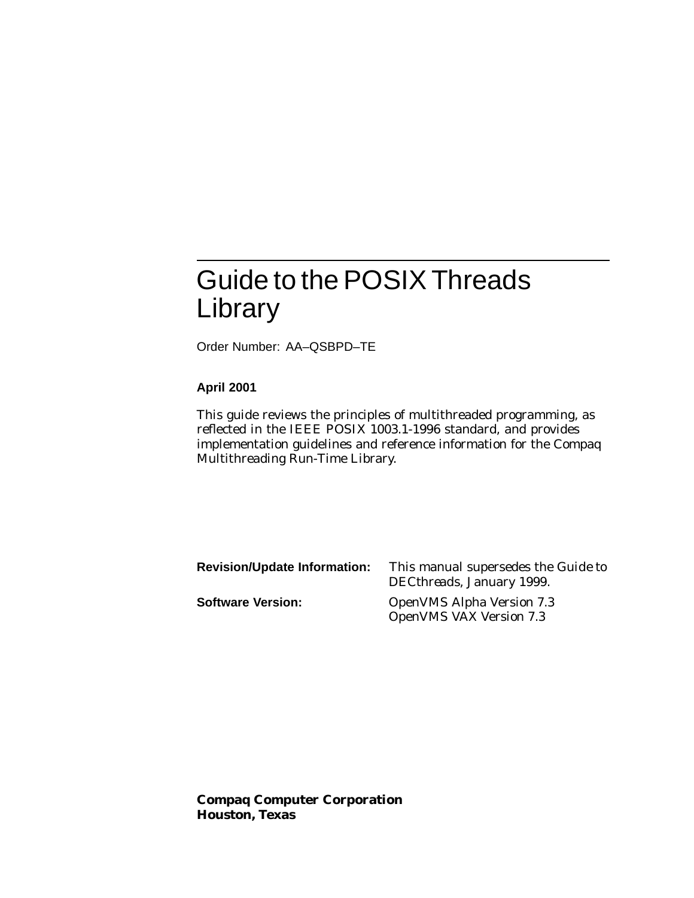# Guide to the POSIX Threads Library

Order Number: AA–QSBPD–TE

#### **April 2001**

This guide reviews the principles of multithreaded programming, as reflected in the IEEE POSIX 1003.1-1996 standard, and provides implementation guidelines and reference information for the Compaq Multithreading Run-Time Library.

| <b>Revision/Update Information:</b> | This manual supersedes the <i>Guide to</i><br>DECthreads, January 1999. |
|-------------------------------------|-------------------------------------------------------------------------|
| <b>Software Version:</b>            | <b>OpenVMS Alpha Version 7.3</b><br><b>OpenVMS VAX Version 7.3</b>      |

**Compaq Computer Corporation Houston, Texas**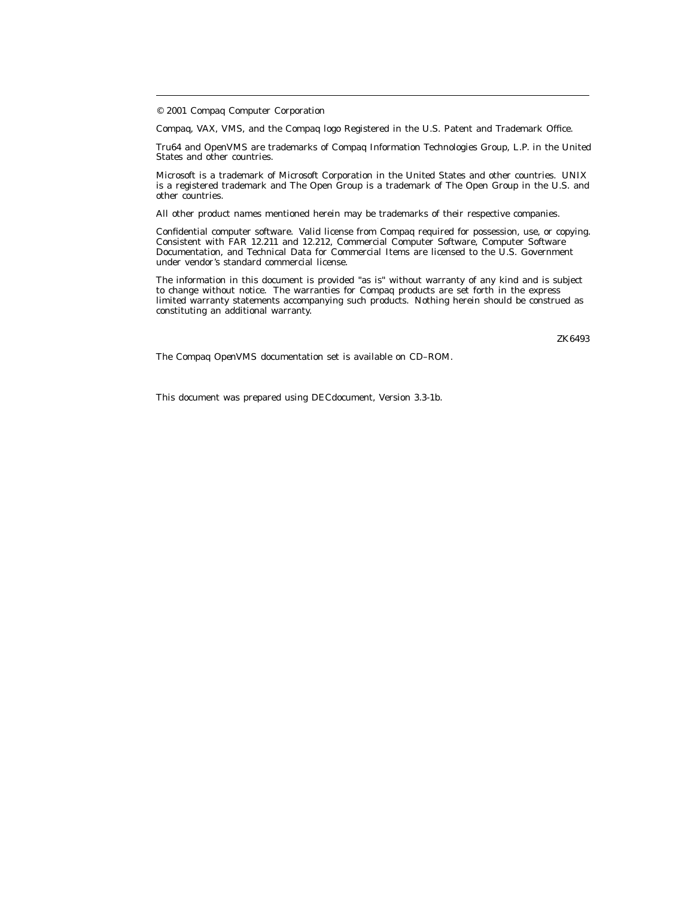© 2001 Compaq Computer Corporation

Compaq, VAX, VMS, and the Compaq logo Registered in the U.S. Patent and Trademark Office.

Tru64 and OpenVMS are trademarks of Compaq Information Technologies Group, L.P. in the United States and other countries.

Microsoft is a trademark of Microsoft Corporation in the United States and other countries. UNIX is a registered trademark and The Open Group is a trademark of The Open Group in the U.S. and other countries.

All other product names mentioned herein may be trademarks of their respective companies.

Confidential computer software. Valid license from Compaq required for possession, use, or copying. Consistent with FAR 12.211 and 12.212, Commercial Computer Software, Computer Software Documentation, and Technical Data for Commercial Items are licensed to the U.S. Government under vendor's standard commercial license.

The information in this document is provided "as is" without warranty of any kind and is subject to change without notice. The warranties for Compaq products are set forth in the express limited warranty statements accompanying such products. Nothing herein should be construed as constituting an additional warranty.

ZK6493

The Compaq *OpenVMS* documentation set is available on CD–ROM.

This document was prepared using DECdocument, Version 3.3-1b.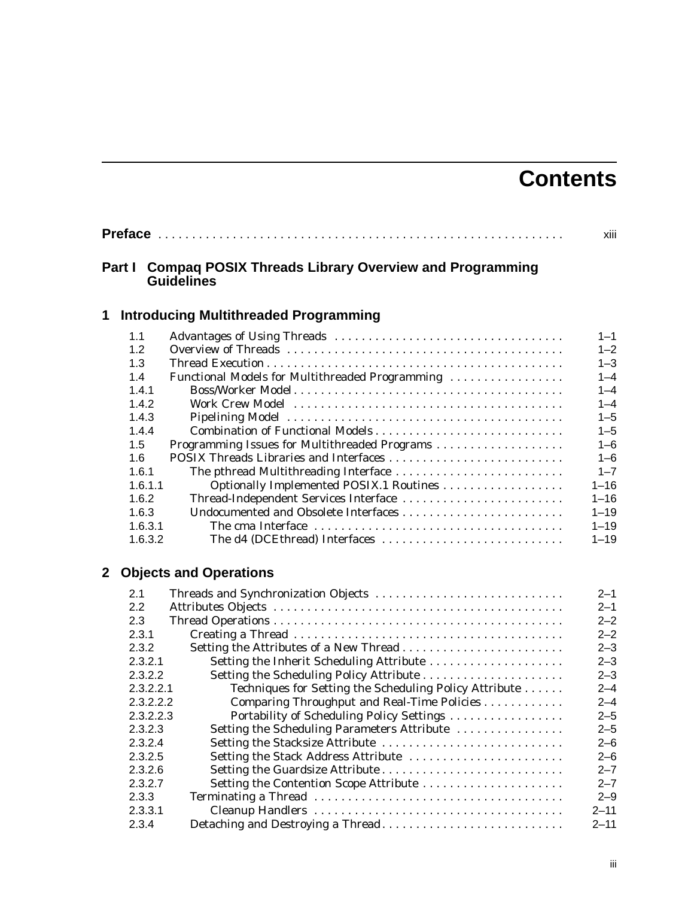# **Contents**

|   |           | xiii                                                                              |          |
|---|-----------|-----------------------------------------------------------------------------------|----------|
|   | Part I    | <b>Compaq POSIX Threads Library Overview and Programming</b><br><b>Guidelines</b> |          |
| 1 |           | <b>Introducing Multithreaded Programming</b>                                      |          |
|   | 1.1       |                                                                                   | $1 - 1$  |
|   | 1.2       |                                                                                   | $1 - 2$  |
|   | 1.3       |                                                                                   | $1 - 3$  |
|   | 1.4       | Functional Models for Multithreaded Programming                                   | $1 - 4$  |
|   | 1.4.1     |                                                                                   | $1 - 4$  |
|   | 1.4.2     |                                                                                   | $1 - 4$  |
|   | 1.4.3     |                                                                                   | $1 - 5$  |
|   | 1.4.4     | Combination of Functional Models                                                  | $1 - 5$  |
|   | 1.5       | Programming Issues for Multithreaded Programs                                     | $1 - 6$  |
|   | 1.6       | POSIX Threads Libraries and Interfaces                                            | $1 - 6$  |
|   | 1.6.1     | The pthread Multithreading Interface                                              | $1 - 7$  |
|   | 1.6.1.1   | Optionally Implemented POSIX.1 Routines                                           | $1 - 16$ |
|   | 1.6.2     | Thread-Independent Services Interface                                             | $1 - 16$ |
|   | 1.6.3     |                                                                                   | $1 - 19$ |
|   | 1.6.3.1   |                                                                                   | $1 - 19$ |
|   | 1.6.3.2   | The d4 (DCEthread) Interfaces                                                     | $1 - 19$ |
| 2 |           | <b>Objects and Operations</b>                                                     |          |
|   | 2.1       | Threads and Synchronization Objects                                               | $2 - 1$  |
|   | 2.2       |                                                                                   | $2 - 1$  |
|   | 2.3       |                                                                                   | $2 - 2$  |
|   | 2.3.1     |                                                                                   | $2 - 2$  |
|   | 2.3.2     | Setting the Attributes of a New Thread                                            | $2 - 3$  |
|   | 2.3.2.1   | Setting the Inherit Scheduling Attribute                                          | $2 - 3$  |
|   | 2.3.2.2   |                                                                                   | $2 - 3$  |
|   | 2.3.2.2.1 | Techniques for Setting the Scheduling Policy Attribute                            | $2 - 4$  |
|   | 2.3.2.2.2 | Comparing Throughput and Real-Time Policies                                       | $2 - 4$  |
|   | 2.3.2.2.3 | Portability of Scheduling Policy Settings                                         | $2 - 5$  |
|   | 2.3.2.3   | Setting the Scheduling Parameters Attribute                                       | $2 - 5$  |
|   | 2.3.2.4   | Setting the Stacksize Attribute                                                   | $2 - 6$  |
|   | 2.3.2.5   | Setting the Stack Address Attribute                                               | $2 - 6$  |
|   | 2.3.2.6   |                                                                                   | $2 - 7$  |
|   | 2.3.2.7   | Setting the Contention Scope Attribute                                            | $2 - 7$  |
|   | 2.3.3     |                                                                                   | $2 - 9$  |
|   | 2.3.3.1   |                                                                                   | $2 - 11$ |
|   | 2.3.4     | Detaching and Destroying a Thread                                                 | $2 - 11$ |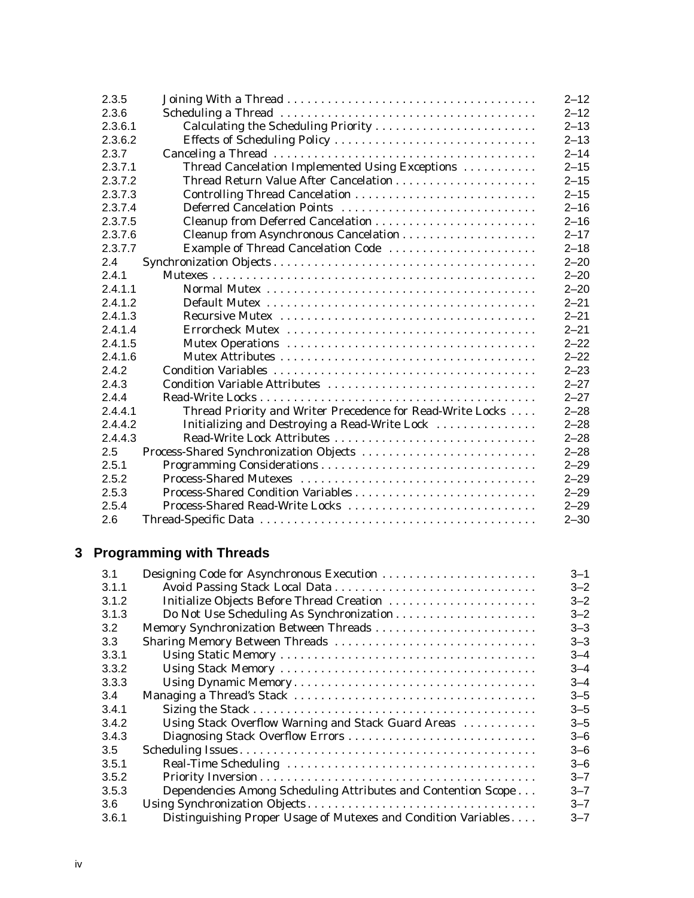| 2.3.5   |                                                            | $2 - 12$ |
|---------|------------------------------------------------------------|----------|
| 2.3.6   |                                                            | $2 - 12$ |
| 2.3.6.1 | Calculating the Scheduling Priority                        | $2 - 13$ |
| 2.3.6.2 | Effects of Scheduling Policy                               | $2 - 13$ |
| 2.3.7   |                                                            | $2 - 14$ |
| 2.3.7.1 | Thread Cancelation Implemented Using Exceptions            | $2 - 15$ |
| 2.3.7.2 | Thread Return Value After Cancelation                      | $2 - 15$ |
| 2.3.7.3 |                                                            | $2 - 15$ |
| 2.3.7.4 | Deferred Cancelation Points                                | $2 - 16$ |
| 2.3.7.5 |                                                            | $2 - 16$ |
| 2.3.7.6 |                                                            | $2 - 17$ |
| 2.3.7.7 | Example of Thread Cancelation Code                         | $2 - 18$ |
| 2.4     |                                                            | $2 - 20$ |
| 2.4.1   |                                                            | $2 - 20$ |
| 2.4.1.1 |                                                            | $2 - 20$ |
| 2.4.1.2 |                                                            | $2 - 21$ |
| 2.4.1.3 |                                                            | $2 - 21$ |
| 2.4.1.4 |                                                            | $2 - 21$ |
| 2.4.1.5 |                                                            | $2 - 22$ |
| 2.4.1.6 |                                                            | $2 - 22$ |
| 2.4.2   |                                                            | $2 - 23$ |
| 2.4.3   | Condition Variable Attributes                              | $2 - 27$ |
| 2.4.4   |                                                            | $2 - 27$ |
| 2.4.4.1 | Thread Priority and Writer Precedence for Read-Write Locks | $2 - 28$ |
| 2.4.4.2 | Initializing and Destroying a Read-Write Lock              | $2 - 28$ |
| 2.4.4.3 | Read-Write Lock Attributes                                 | $2 - 28$ |
| 2.5     | Process-Shared Synchronization Objects                     | $2 - 28$ |
| 2.5.1   |                                                            | $2 - 29$ |
| 2.5.2   |                                                            | $2 - 29$ |
| 2.5.3   |                                                            | $2 - 29$ |
| 2.5.4   | Process-Shared Read-Write Locks                            | $2 - 29$ |
| 2.6     |                                                            | $2 - 30$ |

# **3 Programming with Threads**

| 3.1              | Designing Code for Asynchronous Execution                      | $3 - 1$ |
|------------------|----------------------------------------------------------------|---------|
| 3.1.1            |                                                                | $3 - 2$ |
| 3.1.2            | Initialize Objects Before Thread Creation                      | $3 - 2$ |
| 3.1.3            |                                                                | $3 - 2$ |
| 3.2              |                                                                | $3 - 3$ |
| 3.3 <sub>2</sub> | Sharing Memory Between Threads                                 | $3 - 3$ |
| 3.3.1            |                                                                | $3 - 4$ |
| 3.3.2            |                                                                | $3 - 4$ |
| 3.3.3            |                                                                | $3 - 4$ |
| 3.4              |                                                                | $3 - 5$ |
| 3.4.1            |                                                                | $3 - 5$ |
| 3.4.2            | Using Stack Overflow Warning and Stack Guard Areas             | $3 - 5$ |
| 3.4.3            | Diagnosing Stack Overflow Errors                               | $3 - 6$ |
| 3.5              |                                                                | $3 - 6$ |
| 3.5.1            |                                                                | $3 - 6$ |
| 3.5.2            |                                                                | $3 - 7$ |
| 3.5.3            | Dependencies Among Scheduling Attributes and Contention Scope  | $3 - 7$ |
| 3.6              |                                                                | $3 - 7$ |
| 3.6.1            | Distinguishing Proper Usage of Mutexes and Condition Variables | $3 - 7$ |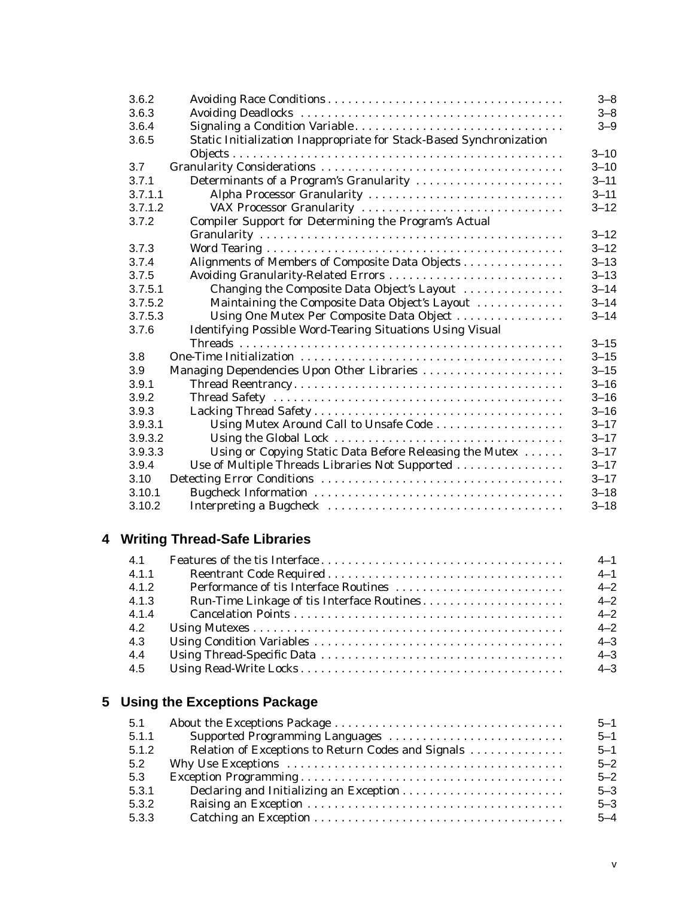| 3.6.2   |                                                                     | $3 - 8$  |
|---------|---------------------------------------------------------------------|----------|
| 3.6.3   |                                                                     | $3 - 8$  |
| 3.6.4   | Signaling a Condition Variable                                      | $3 - 9$  |
| 3.6.5   | Static Initialization Inappropriate for Stack-Based Synchronization |          |
|         |                                                                     | $3 - 10$ |
| 3.7     |                                                                     | $3 - 10$ |
| 3.7.1   | Determinants of a Program's Granularity                             | $3 - 11$ |
| 3.7.1.1 | Alpha Processor Granularity                                         | $3 - 11$ |
| 3.7.1.2 | VAX Processor Granularity                                           | $3 - 12$ |
| 3.7.2   | Compiler Support for Determining the Program's Actual               |          |
|         |                                                                     | $3 - 12$ |
| 3.7.3   |                                                                     | $3 - 12$ |
| 3.7.4   | Alignments of Members of Composite Data Objects                     | $3 - 13$ |
| 3.7.5   | Avoiding Granularity-Related Errors                                 | $3 - 13$ |
| 3.7.5.1 | Changing the Composite Data Object's Layout                         | $3 - 14$ |
| 3.7.5.2 | Maintaining the Composite Data Object's Layout                      | $3 - 14$ |
| 3.7.5.3 | Using One Mutex Per Composite Data Object                           | $3 - 14$ |
| 3.7.6   | Identifying Possible Word-Tearing Situations Using Visual           |          |
|         |                                                                     | $3 - 15$ |
| 3.8     |                                                                     | $3 - 15$ |
| 3.9     | Managing Dependencies Upon Other Libraries                          | $3 - 15$ |
| 3.9.1   |                                                                     | $3 - 16$ |
| 3.9.2   |                                                                     | $3 - 16$ |
| 3.9.3   |                                                                     | $3 - 16$ |
| 3.9.3.1 | Using Mutex Around Call to Unsafe Code                              | $3 - 17$ |
| 3.9.3.2 |                                                                     | $3 - 17$ |
| 3.9.3.3 | Using or Copying Static Data Before Releasing the Mutex             | $3 - 17$ |
| 3.9.4   | Use of Multiple Threads Libraries Not Supported                     | $3 - 17$ |
| 3.10    |                                                                     | $3 - 17$ |
| 3.10.1  |                                                                     | $3 - 18$ |
| 3.10.2  |                                                                     | $3 - 18$ |

# **4 Writing Thread-Safe Libraries**

| 4.1   | $4 - 1$ |
|-------|---------|
| 4.1.1 | $4 - 1$ |
| 4.1.2 | $4 - 2$ |
| 4.1.3 | $4 - 2$ |
| 4.1.4 | $4 - 2$ |
| 4.2   | $4 - 2$ |
| 4.3   | $4 - 3$ |
| 4.4   | $4 - 3$ |
| 4.5   | $4 - 3$ |

# **5 Using the Exceptions Package**

| 5.1   |                                                    | $5 - 1$ |
|-------|----------------------------------------------------|---------|
| 5.1.1 | Supported Programming Languages                    | $5 - 1$ |
| 5.1.2 | Relation of Exceptions to Return Codes and Signals | $5 - 1$ |
| 5.2   |                                                    | $5 - 2$ |
| 5.3   |                                                    | $5 - 2$ |
| 5.3.1 |                                                    | $5 - 3$ |
| 5.3.2 |                                                    | $5 - 3$ |
| 5.3.3 |                                                    | $5 - 4$ |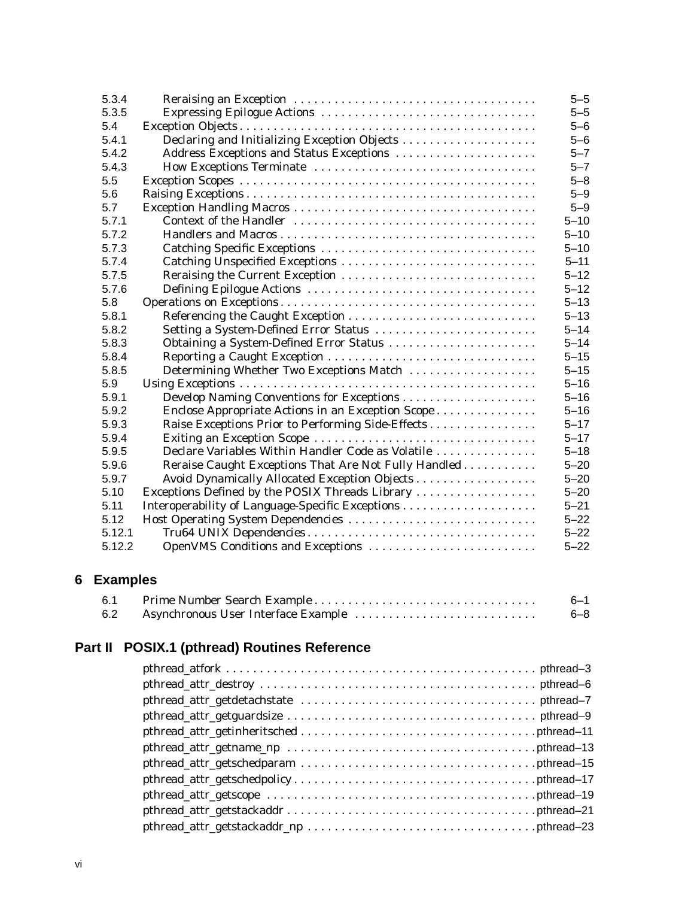| 5.3.4  |                                                      | $5 - 5$  |
|--------|------------------------------------------------------|----------|
| 5.3.5  |                                                      | $5 - 5$  |
| 5.4    |                                                      | $5 - 6$  |
| 5.4.1  | Declaring and Initializing Exception Objects         | $5 - 6$  |
| 5.4.2  | Address Exceptions and Status Exceptions             | $5 - 7$  |
| 5.4.3  |                                                      | $5 - 7$  |
| 5.5    |                                                      | $5 - 8$  |
| 5.6    |                                                      | $5 - 9$  |
| 5.7    |                                                      | $5 - 9$  |
| 5.7.1  |                                                      | $5 - 10$ |
| 5.7.2  |                                                      | $5 - 10$ |
| 5.7.3  |                                                      | $5 - 10$ |
| 5.7.4  | Catching Unspecified Exceptions                      | $5 - 11$ |
| 5.7.5  | Reraising the Current Exception                      | $5 - 12$ |
| 5.7.6  |                                                      | $5 - 12$ |
| 5.8    |                                                      | $5 - 13$ |
| 5.8.1  |                                                      | $5 - 13$ |
| 5.8.2  | Setting a System-Defined Error Status                | $5 - 14$ |
| 5.8.3  | Obtaining a System-Defined Error Status              | $5 - 14$ |
| 5.8.4  |                                                      | $5 - 15$ |
| 5.8.5  | Determining Whether Two Exceptions Match             | $5 - 15$ |
| 5.9    |                                                      | $5 - 16$ |
| 5.9.1  |                                                      | $5 - 16$ |
| 5.9.2  | Enclose Appropriate Actions in an Exception Scope    | $5 - 16$ |
| 5.9.3  | Raise Exceptions Prior to Performing Side-Effects    | $5 - 17$ |
| 5.9.4  |                                                      | $5 - 17$ |
| 5.9.5  | Declare Variables Within Handler Code as Volatile    | $5 - 18$ |
| 5.9.6  | Reraise Caught Exceptions That Are Not Fully Handled | $5 - 20$ |
| 5.9.7  | Avoid Dynamically Allocated Exception Objects        | $5 - 20$ |
| 5.10   | Exceptions Defined by the POSIX Threads Library      | $5 - 20$ |
| 5.11   |                                                      | $5 - 21$ |
| 5.12   | Host Operating System Dependencies                   | $5 - 22$ |
| 5.12.1 |                                                      | $5 - 22$ |
| 5.12.2 | OpenVMS Conditions and Exceptions                    | $5 - 22$ |

# **6 Examples**

| 6.1 |                                     | $6 - 1$ |
|-----|-------------------------------------|---------|
| 6.2 | Asynchronous User Interface Example | $6 - 8$ |

# **Part II POSIX.1 (pthread) Routines Reference**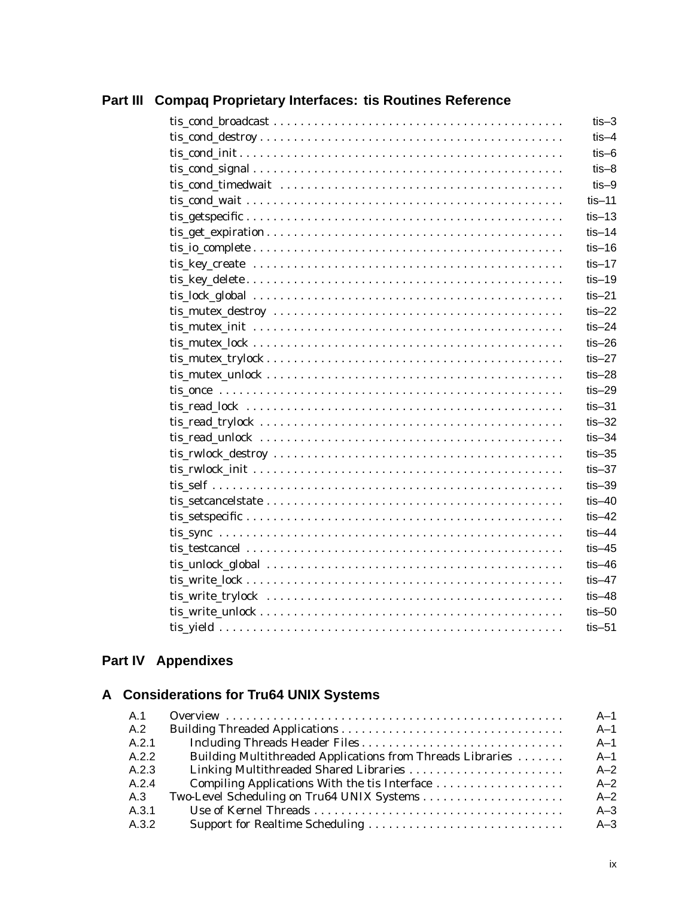|                                                                                                                         | $t$ is-3     |
|-------------------------------------------------------------------------------------------------------------------------|--------------|
|                                                                                                                         | $t$ is $-4$  |
| $\text{tis cond}\text{ init} \dots \dots \dots \dots \dots \dots \dots \dots \dots \dots \dots \dots \dots \dots \dots$ | $t$ is-6     |
|                                                                                                                         | $t$ is $-8$  |
|                                                                                                                         | $t$ is $-9$  |
|                                                                                                                         | $t$ is-11    |
|                                                                                                                         | $t$ is-13    |
|                                                                                                                         | $t$ is-14    |
|                                                                                                                         | $t$ is-16    |
|                                                                                                                         | $tis-17$     |
|                                                                                                                         | $tis-19$     |
|                                                                                                                         | $t$ is-21    |
|                                                                                                                         | $t$ is-22    |
|                                                                                                                         | $t$ is-24    |
|                                                                                                                         | $t$ is-26    |
|                                                                                                                         | $tis-27$     |
|                                                                                                                         | $t$ is $-28$ |
|                                                                                                                         | $t$ is $-29$ |
|                                                                                                                         | $t$ is $-31$ |
|                                                                                                                         | $t$ is $-32$ |
|                                                                                                                         | $t$ is-34    |
|                                                                                                                         | $t$ is $-35$ |
|                                                                                                                         | $t$ is $-37$ |
|                                                                                                                         | $t$ is $-39$ |
|                                                                                                                         | $t$ is $-40$ |
|                                                                                                                         | $t$ is-42    |
|                                                                                                                         | $t$ is-44    |
|                                                                                                                         | $t$ is-45    |
|                                                                                                                         | $t$ is-46    |
|                                                                                                                         | $t$ is-47    |
|                                                                                                                         | $t$ is-48    |
|                                                                                                                         | $t$ is $-50$ |
|                                                                                                                         | $t$ is $-51$ |

## **Part III Compaq Proprietary Interfaces: tis Routines Reference**

# **Part IV Appendixes**

# **A Considerations for Tru64 UNIX Systems**

| A.1   |                                                            | $A-1$ |
|-------|------------------------------------------------------------|-------|
| A.2   |                                                            | $A-1$ |
| A.2.1 |                                                            | $A-1$ |
| A.2.2 | Building Multithreaded Applications from Threads Libraries | $A-1$ |
| A.2.3 |                                                            | $A-2$ |
| A.2.4 |                                                            | $A-2$ |
| A.3   |                                                            | $A-2$ |
| A.3.1 |                                                            | $A-3$ |
| A.3.2 |                                                            | $A-3$ |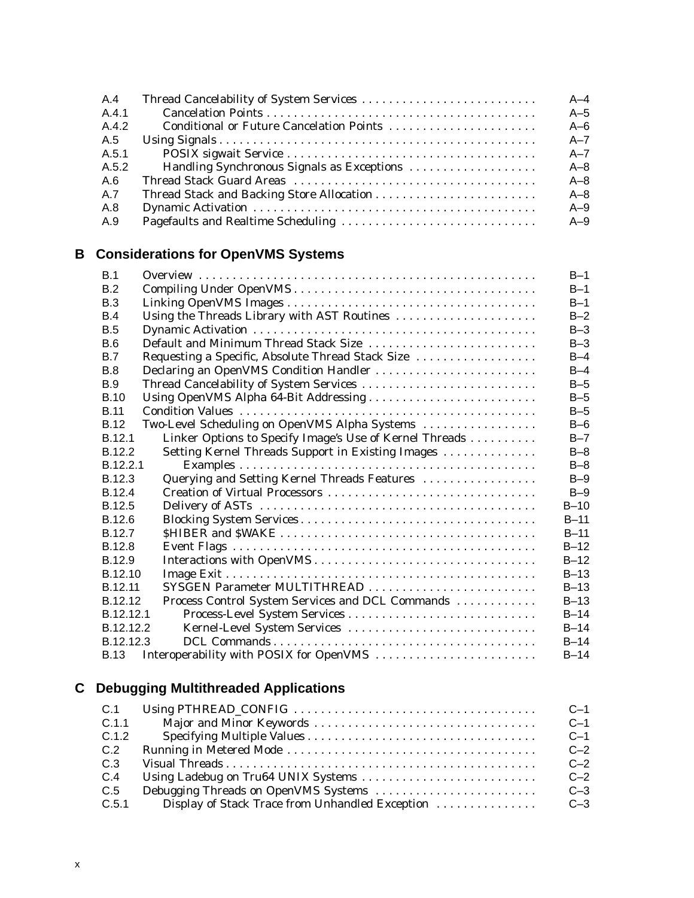| A.4   |                                            | $A-4$   |
|-------|--------------------------------------------|---------|
| A.4.1 |                                            | $A-5$   |
| A.4.2 | Conditional or Future Cancelation Points   | $A-6$   |
| A.5   |                                            | $A - 7$ |
| A.5.1 |                                            | $A - 7$ |
| A.5.2 | Handling Synchronous Signals as Exceptions | $A - 8$ |
| A.6   |                                            | $A - 8$ |
| A.7   |                                            | $A - 8$ |
| A.8   |                                            | $A-9$   |
| A.9   |                                            | $A-9$   |

# **B Considerations for OpenVMS Systems**

| B.1                                                         |                                                         | $B-1$   |
|-------------------------------------------------------------|---------------------------------------------------------|---------|
| B.2                                                         |                                                         | $B-1$   |
| B.3                                                         |                                                         | $B-1$   |
| B.4                                                         | Using the Threads Library with AST Routines             | $B-2$   |
| <b>B.5</b>                                                  |                                                         | $B-3$   |
| B.6                                                         | Default and Minimum Thread Stack Size                   | $B-3$   |
| B.7                                                         | Requesting a Specific, Absolute Thread Stack Size       | $B-4$   |
| B.8                                                         | Declaring an OpenVMS Condition Handler                  | $B-4$   |
| <b>B.9</b>                                                  | Thread Cancelability of System Services                 | $B-5$   |
| <b>B.10</b>                                                 | Using OpenVMS Alpha 64-Bit Addressing                   | $B-5$   |
| <b>B.11</b>                                                 |                                                         | $B-5$   |
| <b>B.12</b>                                                 | Two-Level Scheduling on OpenVMS Alpha Systems           | $B-6$   |
| B.12.1                                                      | Linker Options to Specify Image's Use of Kernel Threads | $B - 7$ |
| B.12.2<br>Setting Kernel Threads Support in Existing Images |                                                         | $B-8$   |
| B.12.2.1                                                    |                                                         | $B-8$   |
| Querying and Setting Kernel Threads Features<br>B.12.3      |                                                         | $B-9$   |
| B.12.4                                                      |                                                         | $B-9$   |
| B.12.5                                                      |                                                         | $B-10$  |
| B.12.6                                                      |                                                         | $B-11$  |
| B.12.7                                                      |                                                         | $B-11$  |
| B.12.8                                                      |                                                         | $B-12$  |
| B.12.9                                                      |                                                         | $B-12$  |
| B.12.10                                                     |                                                         | $B-13$  |
| B.12.11                                                     | SYSGEN Parameter MULTITHREAD                            | $B-13$  |
| B.12.12                                                     | Process Control System Services and DCL Commands        | $B-13$  |
| B.12.12.1                                                   |                                                         | $B-14$  |
| B.12.12.2                                                   | Kernel-Level System Services                            | $B-14$  |
| B.12.12.3                                                   |                                                         | $B-14$  |
| Interoperability with POSIX for OpenVMS<br><b>B.13</b>      |                                                         | $B-14$  |

# **C Debugging Multithreaded Applications**

| C.1   |                                                 | $C-1$ |
|-------|-------------------------------------------------|-------|
| C.1.1 |                                                 | $C-1$ |
| C.1.2 |                                                 | $C-1$ |
| C.2   |                                                 | $C-2$ |
| C.3   |                                                 | $C-2$ |
| C.4   |                                                 | $C-2$ |
| C.5   |                                                 | $C-3$ |
| C.5.1 | Display of Stack Trace from Unhandled Exception | $C-3$ |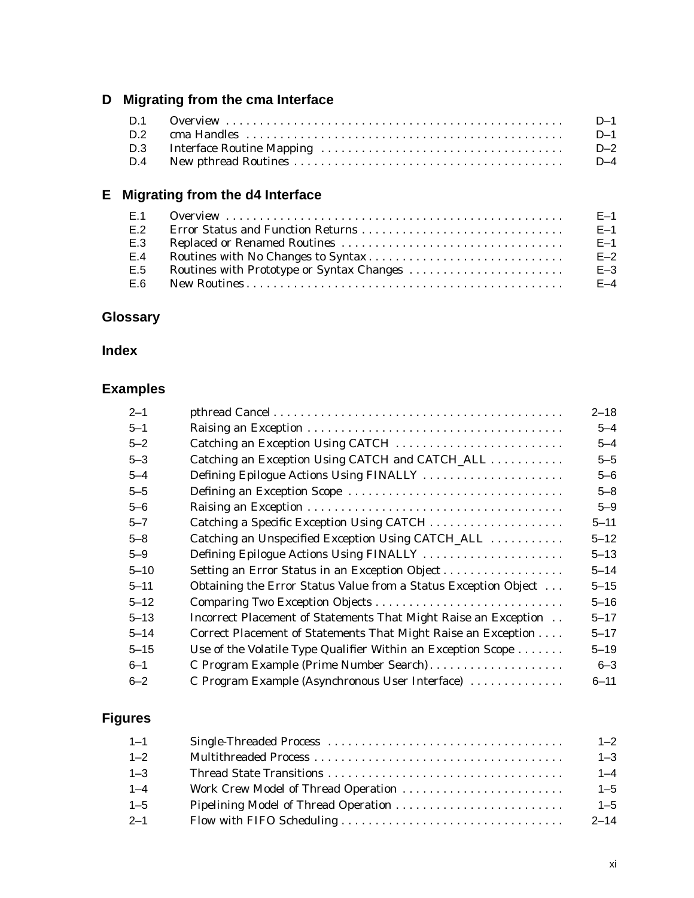# **D Migrating from the cma Interface**

|  | $D-1$ |
|--|-------|
|  | $D-1$ |
|  | D-2   |
|  |       |

# **E Migrating from the d4 Interface**

| E.1 | $E-1$   |
|-----|---------|
| E.2 | $E-1$   |
| E.3 | $E-1$   |
| E.4 | $E-2$   |
| E.5 | $E - 3$ |
| E.6 | $E-4$   |

## **Glossary**

## **Index**

# **Examples**

| $2 - 1$  |                                                                            | $2 - 18$ |
|----------|----------------------------------------------------------------------------|----------|
| $5 - 1$  |                                                                            | $5 - 4$  |
| $5 - 2$  | Catching an Exception Using CATCH                                          | $5 - 4$  |
| $5 - 3$  | Catching an Exception Using CATCH and CATCH_ALL                            | $5 - 5$  |
| $5 - 4$  | Defining Epilogue Actions Using FINALLY                                    | $5 - 6$  |
| $5 - 5$  |                                                                            | $5 - 8$  |
| $5 - 6$  |                                                                            | $5 - 9$  |
| $5 - 7$  |                                                                            | $5 - 11$ |
| $5 - 8$  | Catching an Unspecified Exception Using CATCH_ALL                          | $5 - 12$ |
| $5 - 9$  | Defining Epilogue Actions Using FINALLY                                    | $5 - 13$ |
| $5 - 10$ | Setting an Error Status in an Exception Object                             | $5 - 14$ |
| $5 - 11$ | Obtaining the Error Status Value from a Status Exception Object            | $5 - 15$ |
| $5 - 12$ |                                                                            | $5 - 16$ |
| $5 - 13$ | Incorrect Placement of Statements That Might Raise an Exception            | $5 - 17$ |
| $5 - 14$ | Correct Placement of Statements That Might Raise an Exception              | $5 - 17$ |
| $5 - 15$ | Use of the Volatile Type Qualifier Within an Exception Scope $\dots \dots$ | $5 - 19$ |
| $6 - 1$  | C Program Example (Prime Number Search)                                    | $6 - 3$  |
| $6 - 2$  | C Program Example (Asynchronous User Interface)                            | $6 - 11$ |

# **Figures**

| $1 - 3$  |
|----------|
| $1 - 4$  |
| $1 - 5$  |
| $1 - 5$  |
| $2 - 14$ |
|          |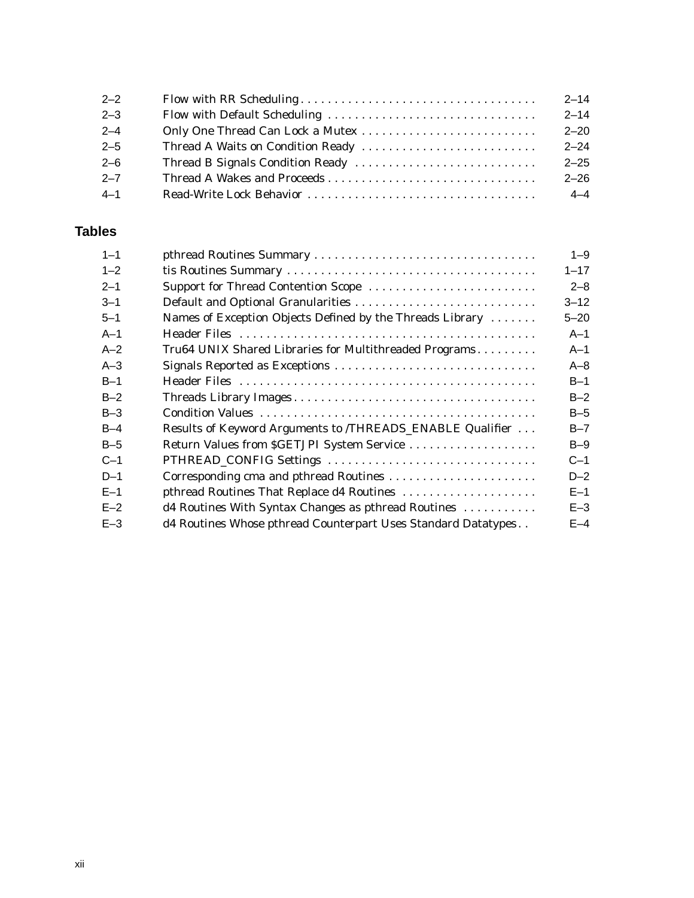| $2 - 2$ | $2 - 14$ |
|---------|----------|
| $2 - 3$ | $2 - 14$ |
| $2 - 4$ | $2 - 20$ |
| $2 - 5$ | $2 - 24$ |
| $2 - 6$ | $2 - 25$ |
| $2 - 7$ | $2 - 26$ |
| $4 - 1$ | $4 - 4$  |

## **Tables**

| $1 - 1$ |                                                               | $1 - 9$  |
|---------|---------------------------------------------------------------|----------|
| $1 - 2$ |                                                               | $1 - 17$ |
| $2 - 1$ | Support for Thread Contention Scope                           | $2 - 8$  |
| $3 - 1$ | Default and Optional Granularities                            | $3 - 12$ |
| $5 - 1$ | Names of Exception Objects Defined by the Threads Library     | $5 - 20$ |
| $A-1$   |                                                               | $A-1$    |
| $A-2$   | Tru64 UNIX Shared Libraries for Multithreaded Programs        | $A-1$    |
| $A-3$   | Signals Reported as Exceptions                                | $A - 8$  |
| $B-1$   |                                                               | $B-1$    |
| $B-2$   |                                                               | $B-2$    |
| $B-3$   |                                                               | $B-5$    |
| $B-4$   | Results of Keyword Arguments to /THREADS_ENABLE Qualifier     | $B - 7$  |
| $B-5$   | Return Values from \$GETJPI System Service                    | $B-9$    |
| $C-1$   | PTHREAD_CONFIG Settings                                       | $C-1$    |
| $D-1$   | Corresponding cma and pthread Routines                        | $D-2$    |
| $E-1$   | pthread Routines That Replace d4 Routines                     | $E-1$    |
| $E-2$   | d4 Routines With Syntax Changes as pthread Routines           | $E-3$    |
| $E - 3$ | d4 Routines Whose pthread Counterpart Uses Standard Datatypes | $E-4$    |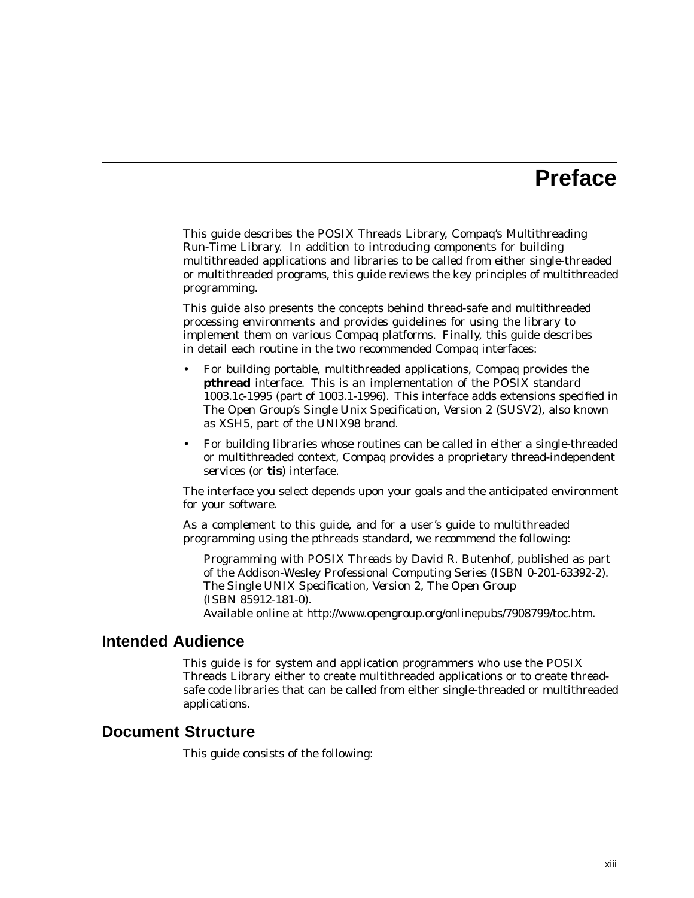# **Preface**

This guide describes the POSIX Threads Library, Compaq's Multithreading Run-Time Library. In addition to introducing components for building multithreaded applications and libraries to be called from either single-threaded or multithreaded programs, this guide reviews the key principles of multithreaded programming.

This guide also presents the concepts behind thread-safe and multithreaded processing environments and provides guidelines for using the library to implement them on various Compaq platforms. Finally, this guide describes in detail each routine in the two recommended Compaq interfaces:

- For building portable, multithreaded applications, Compaq provides the **pthread** interface. This is an implementation of the POSIX standard 1003.1c-1995 (part of 1003.1-1996). This interface adds extensions specified in The Open Group's *Single Unix Specification, Version 2* (SUSV2), also known as XSH5, part of the UNIX98 brand.
- For building libraries whose routines can be called in either a single-threaded or multithreaded context, Compaq provides a proprietary thread-independent services (or **tis**) interface.

The interface you select depends upon your goals and the anticipated environment for your software.

As a complement to this guide, and for a user's guide to multithreaded programming using the pthreads standard, we recommend the following:

*Programming with POSIX Threads* by David R. Butenhof, published as part of the Addison-Wesley Professional Computing Series (ISBN 0-201-63392-2). *The Single UNIX Specification, Version 2*, The Open Group (ISBN 85912-181-0). Available online at http://www.opengroup.org/onlinepubs/7908799/toc.htm.

#### **Intended Audience**

This guide is for system and application programmers who use the POSIX Threads Library either to create multithreaded applications or to create threadsafe code libraries that can be called from either single-threaded or multithreaded applications.

#### **Document Structure**

This guide consists of the following: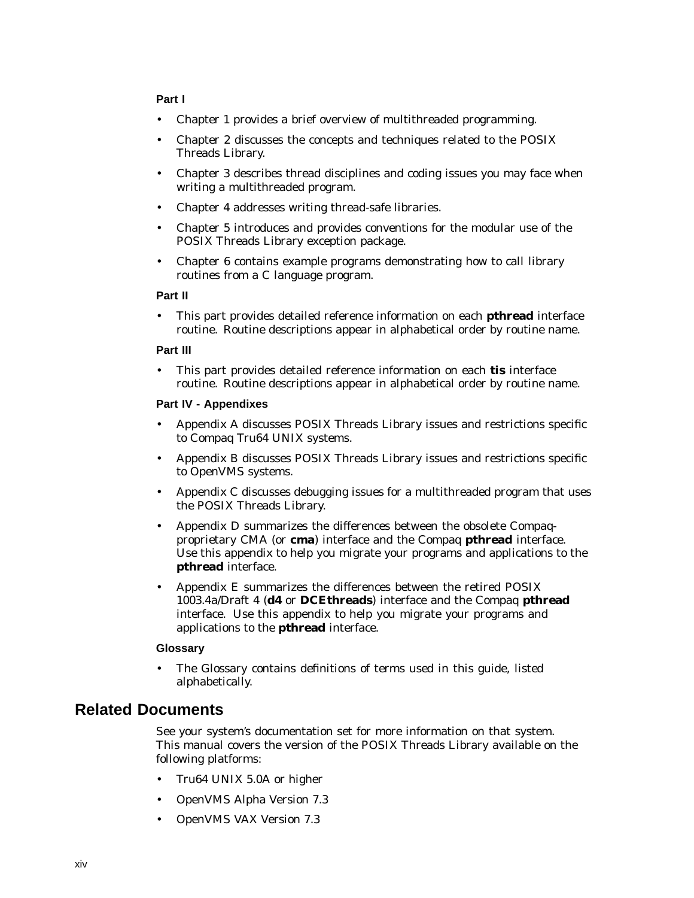#### **Part I**

- Chapter 1 provides a brief overview of multithreaded programming.
- Chapter 2 discusses the concepts and techniques related to the POSIX Threads Library.
- Chapter 3 describes thread disciplines and coding issues you may face when writing a multithreaded program.
- Chapter 4 addresses writing thread-safe libraries.
- Chapter 5 introduces and provides conventions for the modular use of the POSIX Threads Library exception package.
- Chapter 6 contains example programs demonstrating how to call library routines from a C language program.

#### **Part II**

• This part provides detailed reference information on each **pthread** interface routine. Routine descriptions appear in alphabetical order by routine name.

#### **Part III**

• This part provides detailed reference information on each **tis** interface routine. Routine descriptions appear in alphabetical order by routine name.

#### **Part IV - Appendixes**

- Appendix A discusses POSIX Threads Library issues and restrictions specific to Compaq Tru64 UNIX systems.
- Appendix B discusses POSIX Threads Library issues and restrictions specific to OpenVMS systems.
- Appendix C discusses debugging issues for a multithreaded program that uses the POSIX Threads Library.
- Appendix D summarizes the differences between the obsolete Compaqproprietary CMA (or **cma**) interface and the Compaq **pthread** interface. Use this appendix to help you migrate your programs and applications to the **pthread** interface.
- Appendix E summarizes the differences between the retired POSIX 1003.4a/Draft 4 (**d4** or **DCEthreads**) interface and the Compaq **pthread** interface. Use this appendix to help you migrate your programs and applications to the **pthread** interface.

#### **Glossary**

• The Glossary contains definitions of terms used in this guide, listed alphabetically.

#### **Related Documents**

See your system's documentation set for more information on that system. This manual covers the version of the POSIX Threads Library available on the following platforms:

- Tru64 UNIX 5.0A or higher
- OpenVMS Alpha Version 7.3
- OpenVMS VAX Version 7.3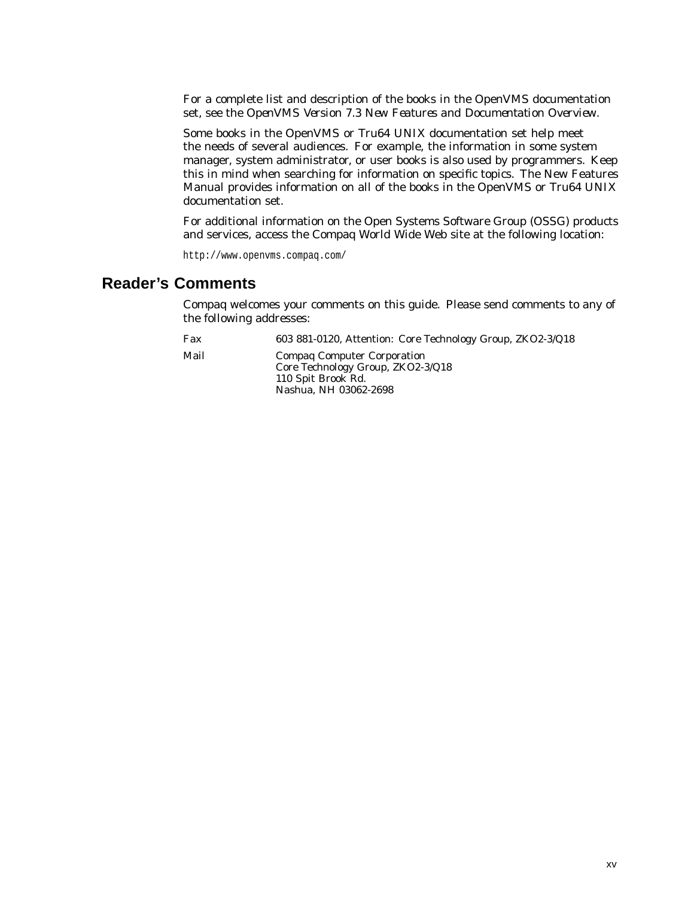For a complete list and description of the books in the OpenVMS documentation set, see the *OpenVMS Version 7.3 New Features and Documentation Overview*.

Some books in the OpenVMS or Tru64 UNIX documentation set help meet the needs of several audiences. For example, the information in some system manager, system administrator, or user books is also used by programmers. Keep this in mind when searching for information on specific topics. The New Features Manual provides information on all of the books in the OpenVMS or Tru64 UNIX documentation set.

For additional information on the Open Systems Software Group (OSSG) products and services, access the Compaq World Wide Web site at the following location:

http://www.openvms.compaq.com/

## **Reader's Comments**

Compaq welcomes your comments on this guide. Please send comments to any of the following addresses:

| Fax  | 603 881-0120, Attention: Core Technology Group, ZKO2-3/Q18                                                             |
|------|------------------------------------------------------------------------------------------------------------------------|
| Mail | <b>Compag Computer Corporation</b><br>Core Technology Group, ZKO2-3/Q18<br>110 Spit Brook Rd.<br>Nashua, NH 03062-2698 |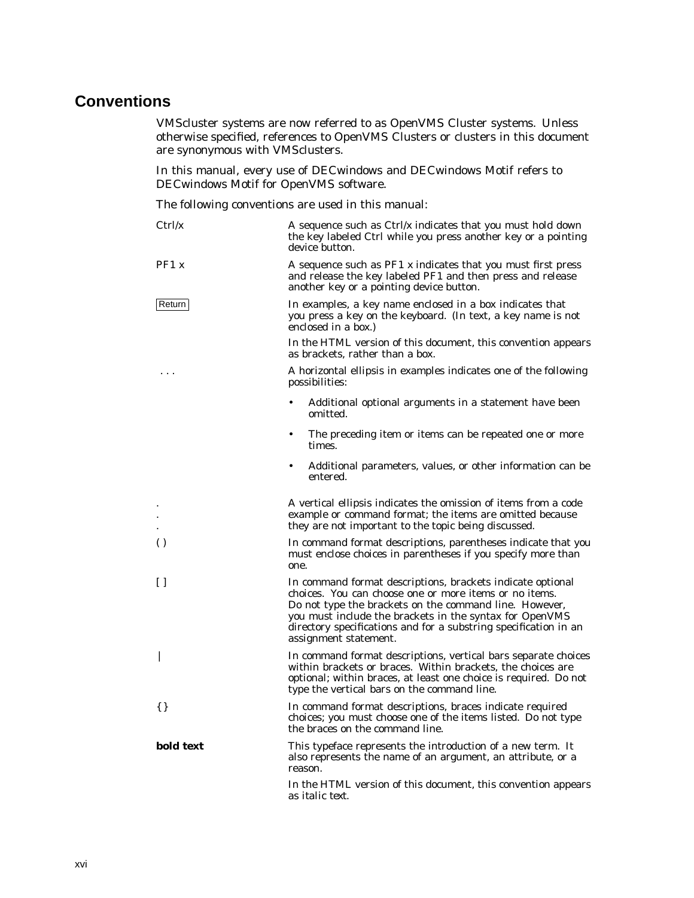## **Conventions**

VMScluster systems are now referred to as OpenVMS Cluster systems. Unless otherwise specified, references to OpenVMS Clusters or clusters in this document are synonymous with VMSclusters.

In this manual, every use of DECwindows and DECwindows Motif refers to DECwindows Motif for OpenVMS software.

The following conventions are used in this manual:

| Ctrl/x           | A sequence such as $Ctrl/x$ indicates that you must hold down<br>the key labeled Ctrl while you press another key or a pointing<br>device button.                                                                                                                                                                                      |  |
|------------------|----------------------------------------------------------------------------------------------------------------------------------------------------------------------------------------------------------------------------------------------------------------------------------------------------------------------------------------|--|
| PF1 X            | A sequence such as $PF1$ x indicates that you must first press<br>and release the key labeled PF1 and then press and release<br>another key or a pointing device button.                                                                                                                                                               |  |
| Return           | In examples, a key name enclosed in a box indicates that<br>you press a key on the keyboard. (In text, a key name is not<br>enclosed in a box.)                                                                                                                                                                                        |  |
|                  | In the HTML version of this document, this convention appears<br>as brackets, rather than a box.                                                                                                                                                                                                                                       |  |
| .                | A horizontal ellipsis in examples indicates one of the following<br>possibilities:                                                                                                                                                                                                                                                     |  |
|                  | Additional optional arguments in a statement have been<br>omitted.                                                                                                                                                                                                                                                                     |  |
|                  | The preceding item or items can be repeated one or more<br>$\bullet$<br>times.                                                                                                                                                                                                                                                         |  |
|                  | Additional parameters, values, or other information can be<br>entered.                                                                                                                                                                                                                                                                 |  |
|                  | A vertical ellipsis indicates the omission of items from a code<br>example or command format; the items are omitted because<br>they are not important to the topic being discussed.                                                                                                                                                    |  |
| $\left( \right)$ | In command format descriptions, parentheses indicate that you<br>must enclose choices in parentheses if you specify more than<br>one.                                                                                                                                                                                                  |  |
| U                | In command format descriptions, brackets indicate optional<br>choices. You can choose one or more items or no items.<br>Do not type the brackets on the command line. However,<br>you must include the brackets in the syntax for OpenVMS<br>directory specifications and for a substring specification in an<br>assignment statement. |  |
|                  | In command format descriptions, vertical bars separate choices<br>within brackets or braces. Within brackets, the choices are<br>optional; within braces, at least one choice is required. Do not<br>type the vertical bars on the command line.                                                                                       |  |
| $\{\}$           | In command format descriptions, braces indicate required<br>choices; you must choose one of the items listed. Do not type<br>the braces on the command line.                                                                                                                                                                           |  |
| bold text        | This typeface represents the introduction of a new term. It<br>also represents the name of an argument, an attribute, or a<br>reason.                                                                                                                                                                                                  |  |
|                  | In the HTML version of this document, this convention appears<br>as <i>italic</i> text.                                                                                                                                                                                                                                                |  |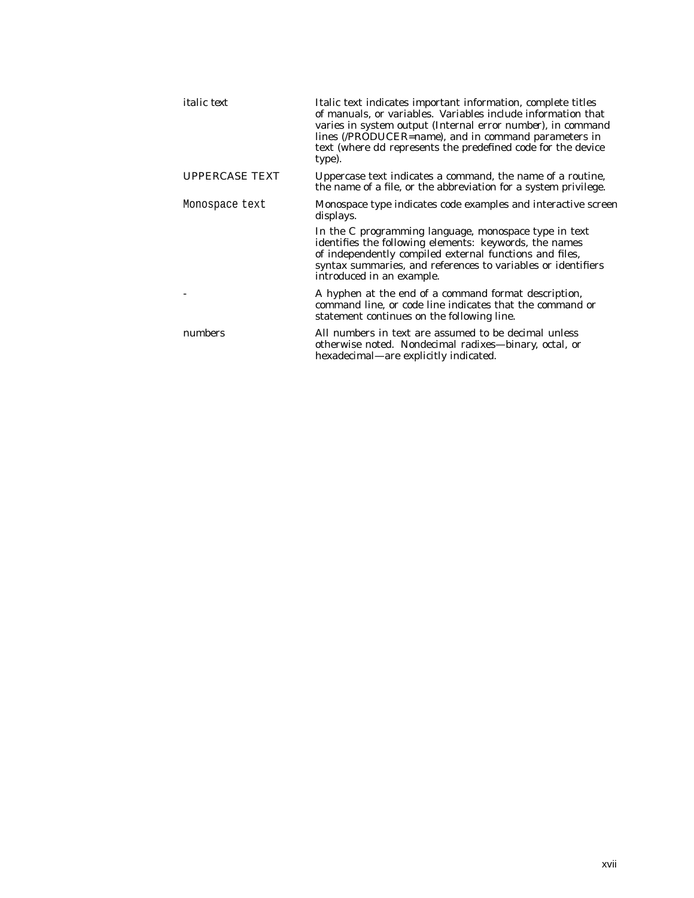| <i>italic</i> text    | Italic text indicates important information, complete titles<br>of manuals, or variables. Variables include information that<br>varies in system output (Internal error number), in command<br>lines (/PRODUCER=name), and in command parameters in<br>text (where <i>dd</i> represents the predefined code for the device<br>type). |
|-----------------------|--------------------------------------------------------------------------------------------------------------------------------------------------------------------------------------------------------------------------------------------------------------------------------------------------------------------------------------|
| <b>UPPERCASE TEXT</b> | Uppercase text indicates a command, the name of a routine,<br>the name of a file, or the abbreviation for a system privilege.                                                                                                                                                                                                        |
| Monospace text        | Monospace type indicates code examples and interactive screen<br>displays.                                                                                                                                                                                                                                                           |
|                       | In the C programming language, monospace type in text<br>identifies the following elements: keywords, the names<br>of independently compiled external functions and files,<br>syntax summaries, and references to variables or identifiers<br>introduced in an example.                                                              |
|                       | A hyphen at the end of a command format description,<br>command line, or code line indicates that the command or<br>statement continues on the following line.                                                                                                                                                                       |
| numbers               | All numbers in text are assumed to be decimal unless<br>otherwise noted. Nondecimal radixes—binary, octal, or<br>hexadecimal—are explicitly indicated.                                                                                                                                                                               |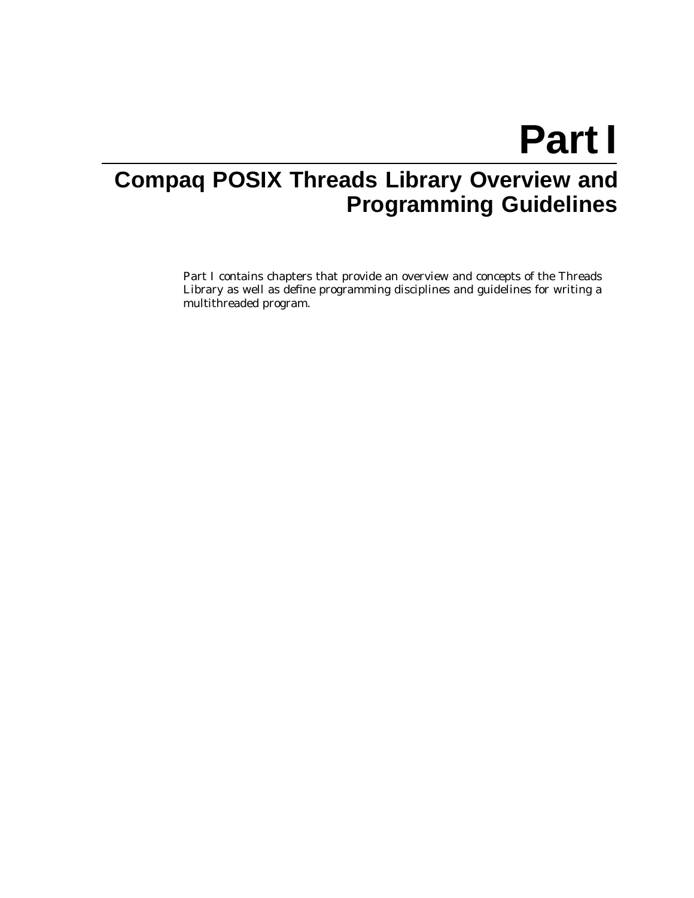# **Part I**

# **Compaq POSIX Threads Library Overview and Programming Guidelines**

Part I contains chapters that provide an overview and concepts of the Threads Library as well as define programming disciplines and guidelines for writing a multithreaded program.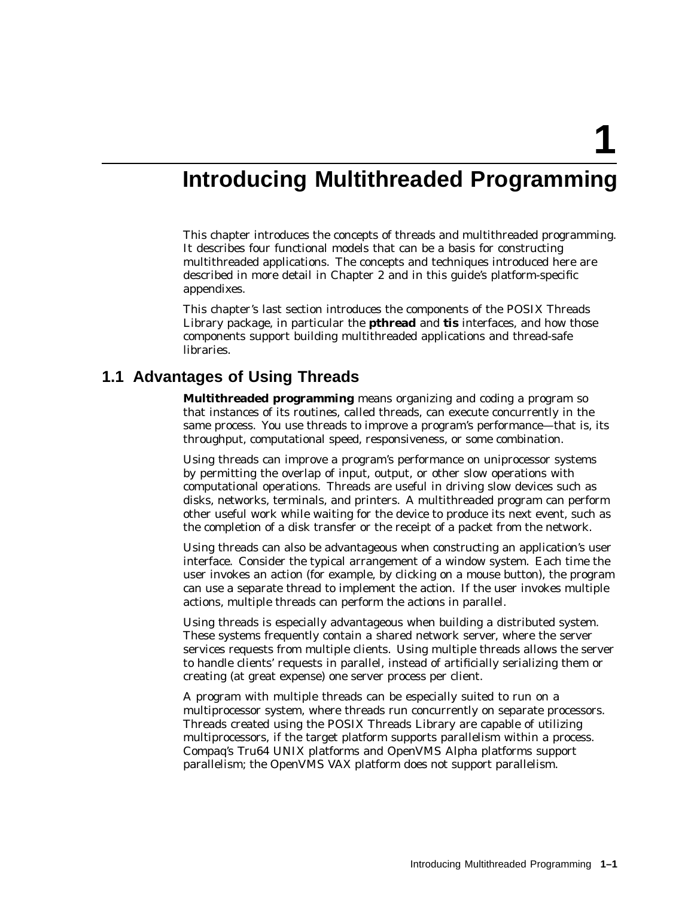**1**

# **Introducing Multithreaded Programming**

This chapter introduces the concepts of threads and multithreaded programming. It describes four functional models that can be a basis for constructing multithreaded applications. The concepts and techniques introduced here are described in more detail in Chapter 2 and in this guide's platform-specific appendixes.

This chapter's last section introduces the components of the POSIX Threads Library package, in particular the **pthread** and **tis** interfaces, and how those components support building multithreaded applications and thread-safe libraries.

#### **1.1 Advantages of Using Threads**

**Multithreaded programming** means organizing and coding a program so that instances of its routines, called threads, can execute concurrently in the same process. You use threads to improve a program's performance—that is, its throughput, computational speed, responsiveness, or some combination.

Using threads can improve a program's performance on uniprocessor systems by permitting the overlap of input, output, or other slow operations with computational operations. Threads are useful in driving slow devices such as disks, networks, terminals, and printers. A multithreaded program can perform other useful work while waiting for the device to produce its next event, such as the completion of a disk transfer or the receipt of a packet from the network.

Using threads can also be advantageous when constructing an application's user interface. Consider the typical arrangement of a window system. Each time the user invokes an action (for example, by clicking on a mouse button), the program can use a separate thread to implement the action. If the user invokes multiple actions, multiple threads can perform the actions in parallel.

Using threads is especially advantageous when building a distributed system. These systems frequently contain a shared network server, where the server services requests from multiple clients. Using multiple threads allows the server to handle clients' requests in parallel, instead of artificially serializing them or creating (at great expense) one server process per client.

A program with multiple threads can be especially suited to run on a multiprocessor system, where threads run concurrently on separate processors. Threads created using the POSIX Threads Library are capable of utilizing multiprocessors, if the target platform supports parallelism within a process. Compaq's Tru64 UNIX platforms and OpenVMS Alpha platforms support parallelism; the OpenVMS VAX platform does not support parallelism.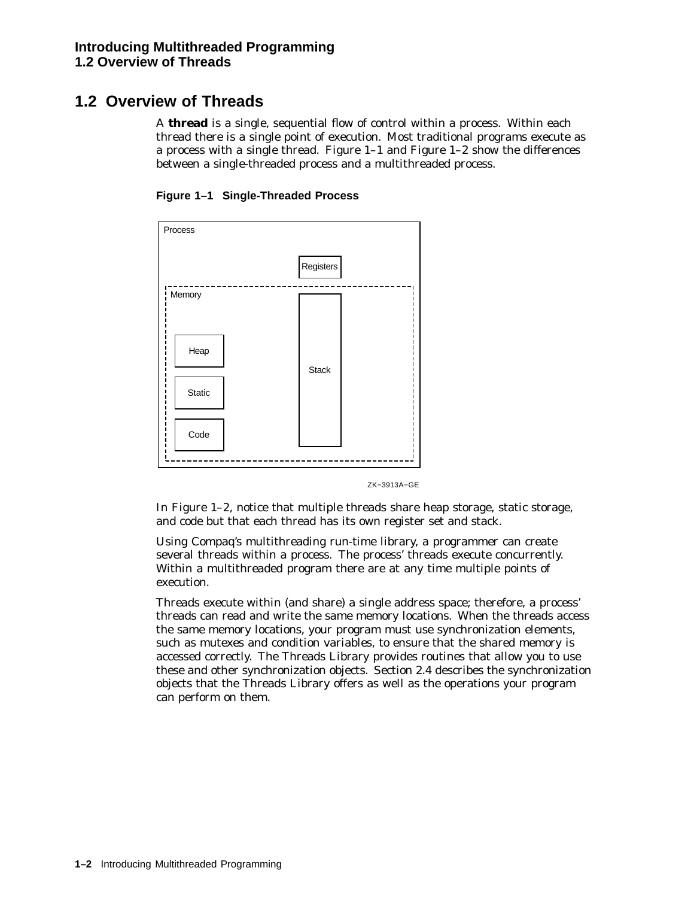## **1.2 Overview of Threads**

A **thread** is a single, sequential flow of control within a process. Within each thread there is a single point of execution. Most traditional programs execute as a process with a single thread. Figure 1–1 and Figure 1–2 show the differences between a single-threaded process and a multithreaded process.





ZK−3913A−GE

In Figure 1–2, notice that multiple threads share heap storage, static storage, and code but that each thread has its own register set and stack.

Using Compaq's multithreading run-time library, a programmer can create several threads within a process. The process' threads execute concurrently. Within a multithreaded program there are at any time multiple points of execution.

Threads execute within (and share) a single address space; therefore, a process' threads can read and write the same memory locations. When the threads access the same memory locations, your program must use synchronization elements, such as mutexes and condition variables, to ensure that the shared memory is accessed correctly. The Threads Library provides routines that allow you to use these and other synchronization objects. Section 2.4 describes the synchronization objects that the Threads Library offers as well as the operations your program can perform on them.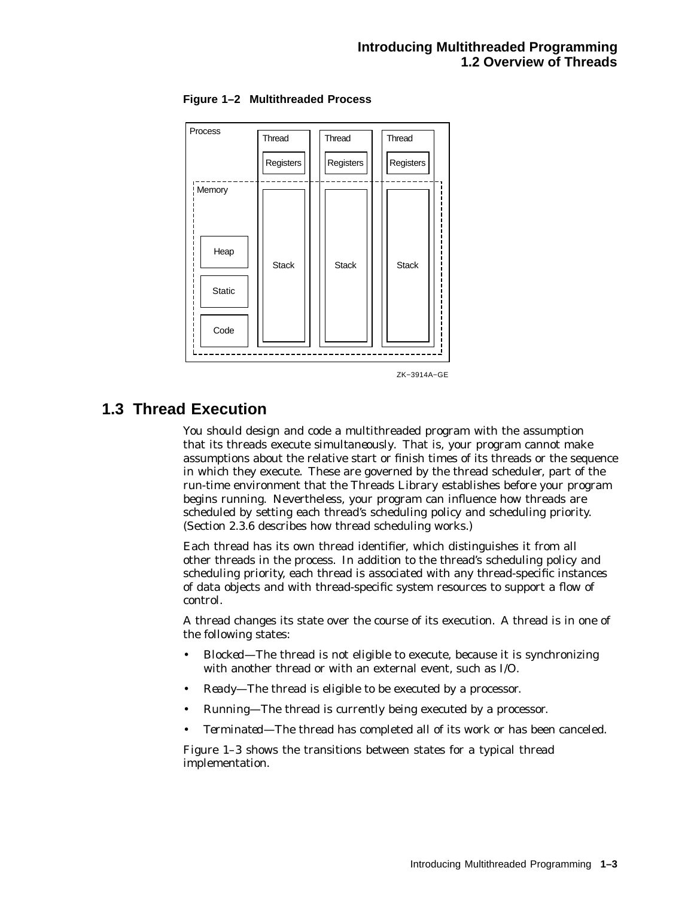

**Figure 1–2 Multithreaded Process**



## **1.3 Thread Execution**

You should design and code a multithreaded program with the assumption that its threads execute *simultaneously*. That is, your program cannot make assumptions about the relative start or finish times of its threads or the sequence in which they execute. These are governed by the thread scheduler, part of the run-time environment that the Threads Library establishes before your program begins running. Nevertheless, your program can influence how threads are scheduled by setting each thread's scheduling policy and scheduling priority. (Section 2.3.6 describes how thread scheduling works.)

Each thread has its own thread identifier, which distinguishes it from all other threads in the process. In addition to the thread's scheduling policy and scheduling priority, each thread is associated with any thread-specific instances of data objects and with thread-specific system resources to support a flow of control.

A thread changes its state over the course of its execution. A thread is in one of the following states:

- *Blocked*—The thread is not eligible to execute, because it is synchronizing with another thread or with an external event, such as I/O.
- *Ready*—The thread is eligible to be executed by a processor.
- *Running*—The thread is currently being executed by a processor.
- *Terminated*—The thread has completed all of its work or has been canceled.

Figure 1–3 shows the transitions between states for a typical thread implementation.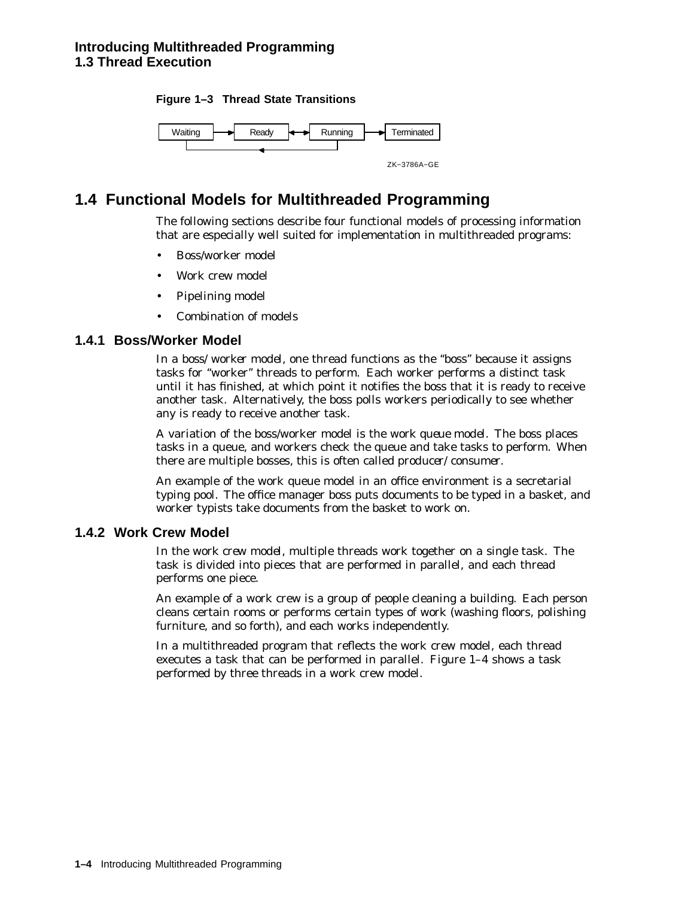



## **1.4 Functional Models for Multithreaded Programming**

The following sections describe four functional models of processing information that are especially well suited for implementation in multithreaded programs:

- Boss/worker model
- Work crew model
- Pipelining model
- Combination of models

#### **1.4.1 Boss/Worker Model**

In a *boss/worker model*, one thread functions as the "boss" because it assigns tasks for ''worker'' threads to perform. Each worker performs a distinct task until it has finished, at which point it notifies the boss that it is ready to receive another task. Alternatively, the boss polls workers periodically to see whether any is ready to receive another task.

A variation of the boss/worker model is the *work queue model*. The boss places tasks in a queue, and workers check the queue and take tasks to perform. When there are multiple bosses, this is often called *producer/consumer*.

An example of the work queue model in an office environment is a secretarial typing pool. The office manager boss puts documents to be typed in a basket, and worker typists take documents from the basket to work on.

#### **1.4.2 Work Crew Model**

In the *work crew model*, multiple threads work together on a single task. The task is divided into pieces that are performed in parallel, and each thread performs one piece.

An example of a work crew is a group of people cleaning a building. Each person cleans certain rooms or performs certain types of work (washing floors, polishing furniture, and so forth), and each works independently.

In a multithreaded program that reflects the work crew model, each thread executes a task that can be performed in parallel. Figure 1–4 shows a task performed by three threads in a work crew model.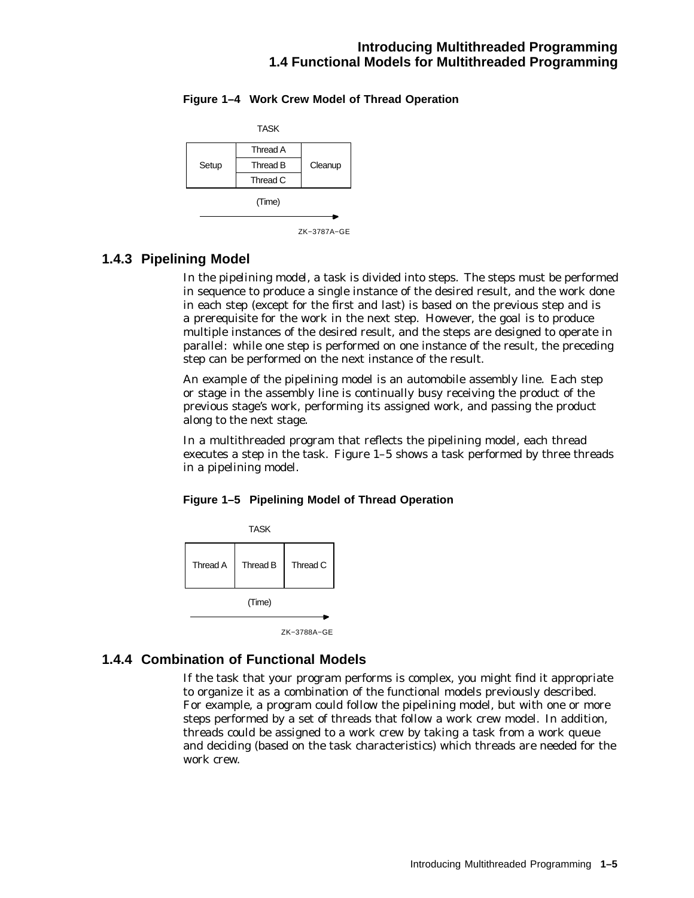#### **Introducing Multithreaded Programming 1.4 Functional Models for Multithreaded Programming**

#### **Figure 1–4 Work Crew Model of Thread Operation**



ZK−3787A−GE

#### **1.4.3 Pipelining Model**

In the *pipelining model*, a task is divided into steps. The steps must be performed in sequence to produce a single instance of the desired result, and the work done in each step (except for the first and last) is based on the previous step and is a prerequisite for the work in the next step. However, the goal is to produce multiple instances of the desired result, and the steps are designed to operate in parallel: while one step is performed on one instance of the result, the preceding step can be performed on the next instance of the result.

An example of the pipelining model is an automobile assembly line. Each step or stage in the assembly line is continually busy receiving the product of the previous stage's work, performing its assigned work, and passing the product along to the next stage.

In a multithreaded program that reflects the pipelining model, each thread executes a step in the task. Figure 1–5 shows a task performed by three threads in a pipelining model.

#### **Figure 1–5 Pipelining Model of Thread Operation**



ZK−3788A−GE

#### **1.4.4 Combination of Functional Models**

If the task that your program performs is complex, you might find it appropriate to organize it as a combination of the functional models previously described. For example, a program could follow the pipelining model, but with one or more steps performed by a set of threads that follow a work crew model. In addition, threads could be assigned to a work crew by taking a task from a work queue and deciding (based on the task characteristics) which threads are needed for the work crew.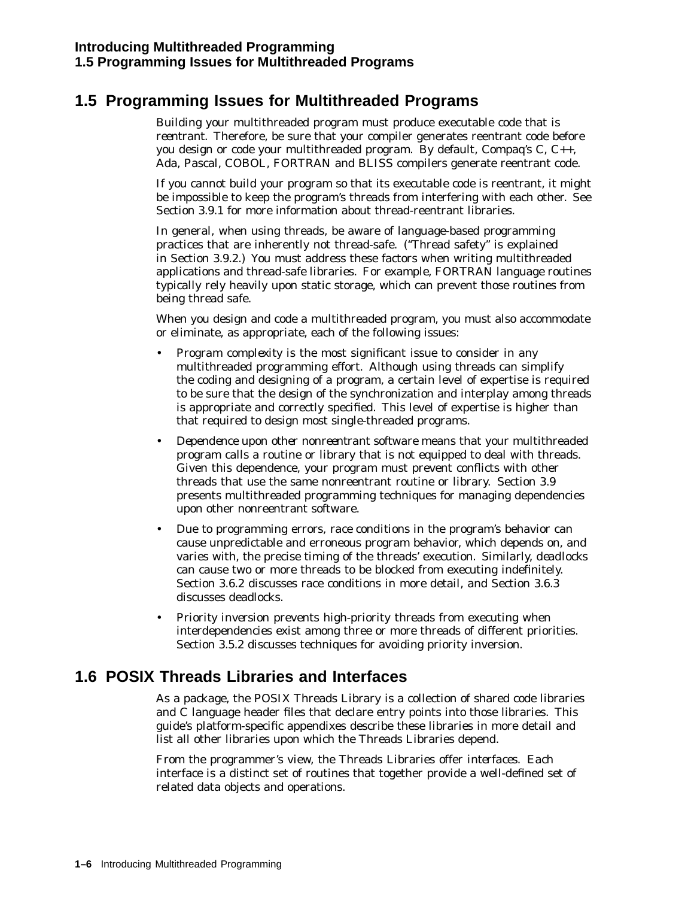## **1.5 Programming Issues for Multithreaded Programs**

Building your multithreaded program must produce executable code that is *reentrant*. Therefore, be sure that your compiler generates reentrant code before you design or code your multithreaded program. By default, Compaq's C, C++, Ada, Pascal, COBOL, FORTRAN and BLISS compilers generate reentrant code.

If you cannot build your program so that its executable code is reentrant, it might be impossible to keep the program's threads from interfering with each other. See Section 3.9.1 for more information about thread-reentrant libraries.

In general, when using threads, be aware of language-based programming practices that are inherently not thread-safe. (''Thread safety'' is explained in Section 3.9.2.) You must address these factors when writing multithreaded applications and thread-safe libraries. For example, FORTRAN language routines typically rely heavily upon static storage, which can prevent those routines from being thread safe.

When you design and code a multithreaded program, you must also accommodate or eliminate, as appropriate, each of the following issues:

- *Program complexity* is the most significant issue to consider in any multithreaded programming effort. Although using threads can simplify the coding and designing of a program, a certain level of expertise is required to be sure that the design of the synchronization and interplay among threads is appropriate and correctly specified. This level of expertise is higher than that required to design most single-threaded programs.
- *Dependence upon other nonreentrant software* means that your multithreaded program calls a routine or library that is not equipped to deal with threads. Given this dependence, your program must prevent conflicts with other threads that use the same nonreentrant routine or library. Section 3.9 presents multithreaded programming techniques for managing dependencies upon other nonreentrant software.
- Due to programming errors, *race conditions* in the program's behavior can cause unpredictable and erroneous program behavior, which depends on, and varies with, the precise timing of the threads' execution. Similarly, *deadlocks* can cause two or more threads to be blocked from executing indefinitely. Section 3.6.2 discusses race conditions in more detail, and Section 3.6.3 discusses deadlocks.
- *Priority inversion* prevents high-priority threads from executing when interdependencies exist among three or more threads of different priorities. Section 3.5.2 discusses techniques for avoiding priority inversion.

## **1.6 POSIX Threads Libraries and Interfaces**

As a package, the POSIX Threads Library is a collection of shared code libraries and  $\tilde{C}$  language header files that declare entry points into those libraries. This guide's platform-specific appendixes describe these libraries in more detail and list all other libraries upon which the Threads Libraries depend.

From the programmer's view, the Threads Libraries offer *interfaces*. Each interface is a distinct set of routines that together provide a well-defined set of related data objects and operations.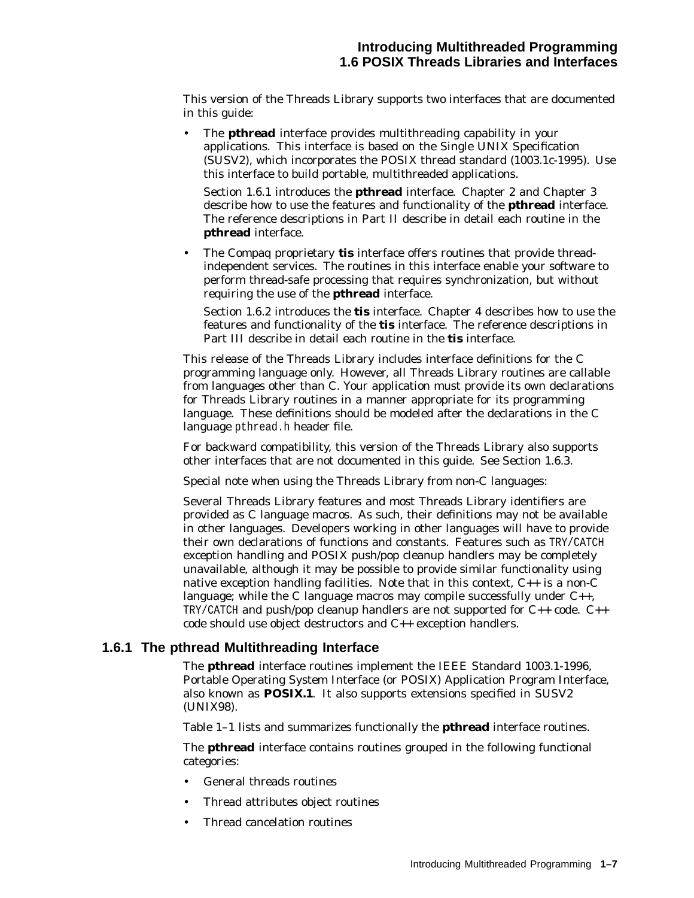This version of the Threads Library supports two interfaces that are documented in this guide:

• The **pthread** interface provides multithreading capability in your applications. This interface is based on the Single UNIX Specification (SUSV2), which incorporates the POSIX thread standard (1003.1c-1995). Use this interface to build portable, multithreaded applications.

Section 1.6.1 introduces the **pthread** interface. Chapter 2 and Chapter 3 describe how to use the features and functionality of the **pthread** interface. The reference descriptions in Part II describe in detail each routine in the **pthread** interface.

• The Compaq proprietary **tis** interface offers routines that provide threadindependent services. The routines in this interface enable your software to perform thread-safe processing that requires synchronization, but without requiring the use of the **pthread** interface.

Section 1.6.2 introduces the **tis** interface. Chapter 4 describes how to use the features and functionality of the **tis** interface. The reference descriptions in Part III describe in detail each routine in the **tis** interface.

This release of the Threads Library includes interface definitions for the C programming language only. However, all Threads Library routines are callable from languages other than C. Your application must provide its own declarations for Threads Library routines in a manner appropriate for its programming language. These definitions should be modeled after the declarations in the C language pthread.h header file.

For backward compatibility, this version of the Threads Library also supports other interfaces that are not documented in this guide. See Section 1.6.3.

Special note when using the Threads Library from non-C languages:

Several Threads Library features and most Threads Library identifiers are provided as C language macros. As such, their definitions may not be available in other languages. Developers working in other languages will have to provide their own declarations of functions and constants. Features such as TRY/CATCH exception handling and POSIX push/pop cleanup handlers may be completely unavailable, although it may be possible to provide similar functionality using native exception handling facilities. Note that in this context,  $C_{++}$  is a non-C language; while the C language macros may compile successfully under  $C_{++}$ , TRY/CATCH and push/pop cleanup handlers are not supported for  $C_{++}$  code.  $C_{++}$ code should use object destructors and C++ exception handlers.

#### **1.6.1 The pthread Multithreading Interface**

The **pthread** interface routines implement the IEEE Standard 1003.1-1996, Portable Operating System Interface (or POSIX) Application Program Interface, also known as **POSIX.1**. It also supports extensions specified in SUSV2 (UNIX98).

Table 1–1 lists and summarizes functionally the **pthread** interface routines.

The **pthread** interface contains routines grouped in the following functional categories:

- General threads routines
- Thread attributes object routines
- Thread cancelation routines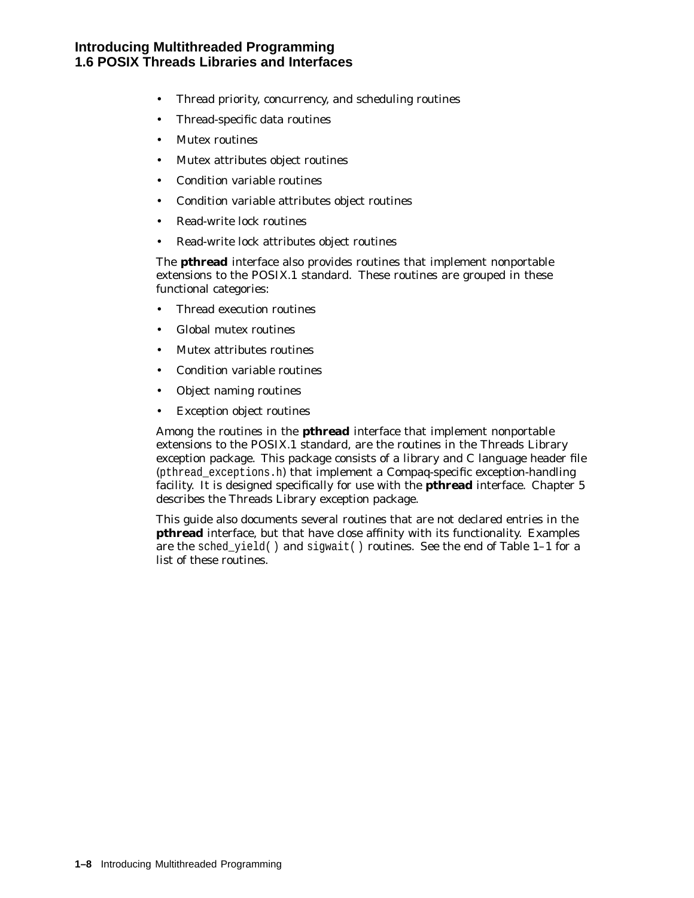- Thread priority, concurrency, and scheduling routines
- Thread-specific data routines
- Mutex routines
- Mutex attributes object routines
- Condition variable routines
- Condition variable attributes object routines
- Read-write lock routines
- Read-write lock attributes object routines

The **pthread** interface also provides routines that implement nonportable extensions to the POSIX.1 standard. These routines are grouped in these functional categories:

- Thread execution routines
- Global mutex routines
- Mutex attributes routines
- Condition variable routines
- Object naming routines
- Exception object routines

Among the routines in the **pthread** interface that implement nonportable extensions to the POSIX.1 standard, are the routines in the Threads Library exception package. This package consists of a library and C language header file (pthread\_exceptions.h) that implement a Compaq-specific exception-handling facility. It is designed specifically for use with the **pthread** interface. Chapter 5 describes the Threads Library exception package.

This guide also documents several routines that are not declared entries in the **pthread** interface, but that have close affinity with its functionality. Examples are the sched\_yield() and sigwait() routines. See the end of Table  $1-1$  for a list of these routines.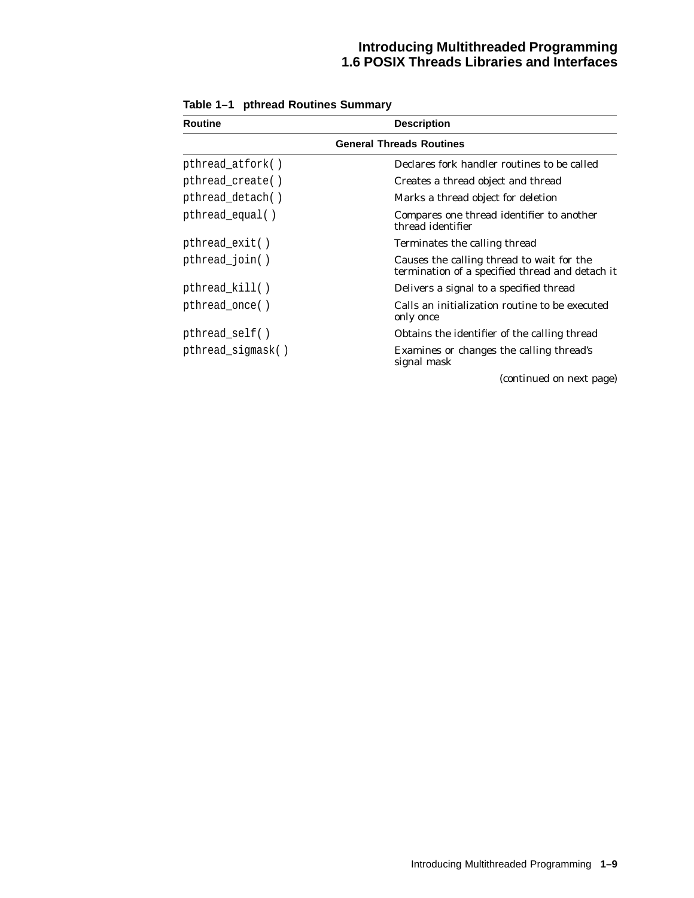| <b>Routine</b>                  | <b>Description</b>                                                                           |  |
|---------------------------------|----------------------------------------------------------------------------------------------|--|
| <b>General Threads Routines</b> |                                                                                              |  |
| pthread_atfork()                | Declares fork handler routines to be called                                                  |  |
| pthread_create()                | Creates a thread object and thread                                                           |  |
| pthread_detach()                | Marks a thread object for deletion                                                           |  |
| pthread_equal()                 | Compares one thread identifier to another<br>thread identifier                               |  |
| pthread_exit()                  | Terminates the calling thread                                                                |  |
| pthread_join()                  | Causes the calling thread to wait for the<br>termination of a specified thread and detach it |  |
| pthread_kill()                  | Delivers a signal to a specified thread                                                      |  |
| pthread_once()                  | Calls an initialization routine to be executed<br>only once                                  |  |
| $pthread_set$ $(f)$             | Obtains the identifier of the calling thread                                                 |  |
| pthread_sigmask()               | Examines or changes the calling thread's<br>signal mask                                      |  |
|                                 | (continued on next page)                                                                     |  |

**Table 1–1 pthread Routines Summary**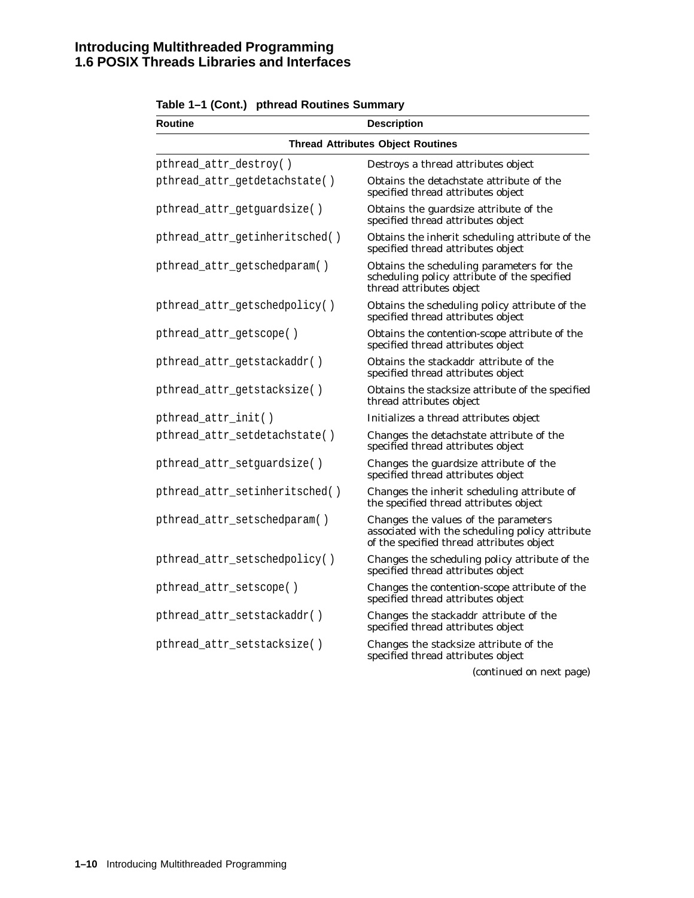| <b>Routine</b>                 | <b>Description</b>                                                                                                                   |
|--------------------------------|--------------------------------------------------------------------------------------------------------------------------------------|
|                                | <b>Thread Attributes Object Routines</b>                                                                                             |
| pthread_attr_destroy()         | Destroys a thread attributes object                                                                                                  |
| pthread_attr_getdetachstate()  | Obtains the detachstate attribute of the<br>specified thread attributes object                                                       |
| pthread_attr_getguardsize()    | Obtains the guardsize attribute of the<br>specified thread attributes object                                                         |
| pthread_attr_getinheritsched() | Obtains the inherit scheduling attribute of the<br>specified thread attributes object                                                |
| pthread_attr_getschedparam()   | Obtains the scheduling parameters for the<br>scheduling policy attribute of the specified<br>thread attributes object                |
| pthread_attr_getschedpolicy()  | Obtains the scheduling policy attribute of the<br>specified thread attributes object                                                 |
| pthread_attr_getscope()        | Obtains the contention-scope attribute of the<br>specified thread attributes object                                                  |
| pthread_attr_getstackaddr()    | Obtains the stackaddr attribute of the<br>specified thread attributes object                                                         |
| pthread_attr_getstacksize()    | Obtains the stacksize attribute of the specified<br>thread attributes object                                                         |
| pthread_attr_init()            | Initializes a thread attributes object                                                                                               |
| pthread_attr_setdetachstate()  | Changes the detachstate attribute of the<br>specified thread attributes object                                                       |
| pthread_attr_setguardsize()    | Changes the guardsize attribute of the<br>specified thread attributes object                                                         |
| pthread_attr_setinheritsched() | Changes the inherit scheduling attribute of<br>the specified thread attributes object                                                |
| pthread_attr_setschedparam()   | Changes the values of the parameters<br>associated with the scheduling policy attribute<br>of the specified thread attributes object |
| pthread_attr_setschedpolicy()  | Changes the scheduling policy attribute of the<br>specified thread attributes object                                                 |
| pthread_attr_setscope()        | Changes the contention-scope attribute of the<br>specified thread attributes object                                                  |
| pthread_attr_setstackaddr()    | Changes the stackaddr attribute of the<br>specified thread attributes object                                                         |
| pthread_attr_setstacksize()    | Changes the stacksize attribute of the<br>specified thread attributes object                                                         |

#### **Table 1–1 (Cont.) pthread Routines Summary**

(continued on next page)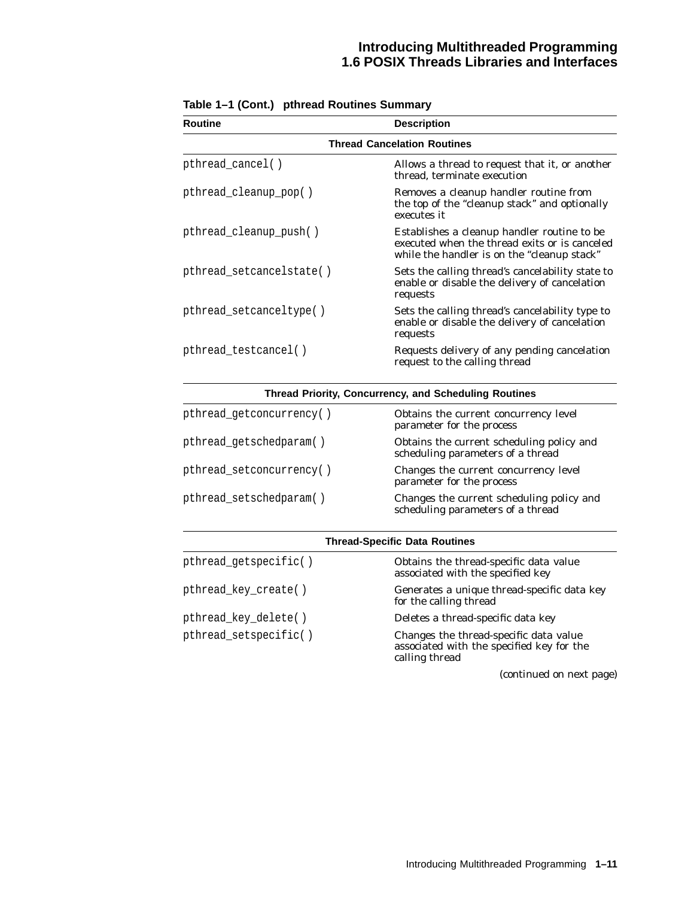| <b>Routine</b>                     | <b>Description</b>                                                                                                                          |  |
|------------------------------------|---------------------------------------------------------------------------------------------------------------------------------------------|--|
| <b>Thread Cancelation Routines</b> |                                                                                                                                             |  |
| pthread_cancel()                   | Allows a thread to request that it, or another<br>thread, terminate execution                                                               |  |
| pthread_cleanup_pop()              | Removes a cleanup handler routine from<br>the top of the "cleanup stack" and optionally<br>executes it                                      |  |
| pthread_cleanup_push()             | Establishes a cleanup handler routine to be<br>executed when the thread exits or is canceled<br>while the handler is on the "cleanup stack" |  |
| pthread setcancelstate()           | Sets the calling thread's cancelability state to<br>enable or disable the delivery of cancelation<br>requests                               |  |
| pthread_setcanceltype()            | Sets the calling thread's cancelability type to<br>enable or disable the delivery of cancelation<br>requests                                |  |
| pthread_testcancel()               | Requests delivery of any pending cancelation<br>request to the calling thread                                                               |  |

#### **Table 1–1 (Cont.) pthread Routines Summary**

#### **Thread Priority, Concurrency, and Scheduling Routines**

| pthread_getconcurrency() | Obtains the current concurrency level<br>parameter for the process             |
|--------------------------|--------------------------------------------------------------------------------|
| pthread_getschedparam()  | Obtains the current scheduling policy and<br>scheduling parameters of a thread |
| pthread_setconcurrency() | Changes the current concurrency level<br>parameter for the process             |
| pthread_setschedparam()  | Changes the current scheduling policy and<br>scheduling parameters of a thread |

| <b>Thread-Specific Data Routines</b> |                                                                                                       |
|--------------------------------------|-------------------------------------------------------------------------------------------------------|
| pthread_getspecific()                | Obtains the thread-specific data value<br>associated with the specified key                           |
| pthread_key_create()                 | Generates a unique thread-specific data key<br>for the calling thread                                 |
| pthread_key_delete()                 | Deletes a thread-specific data key                                                                    |
| pthread_setspecific()                | Changes the thread-specific data value<br>associated with the specified key for the<br>calling thread |

(continued on next page)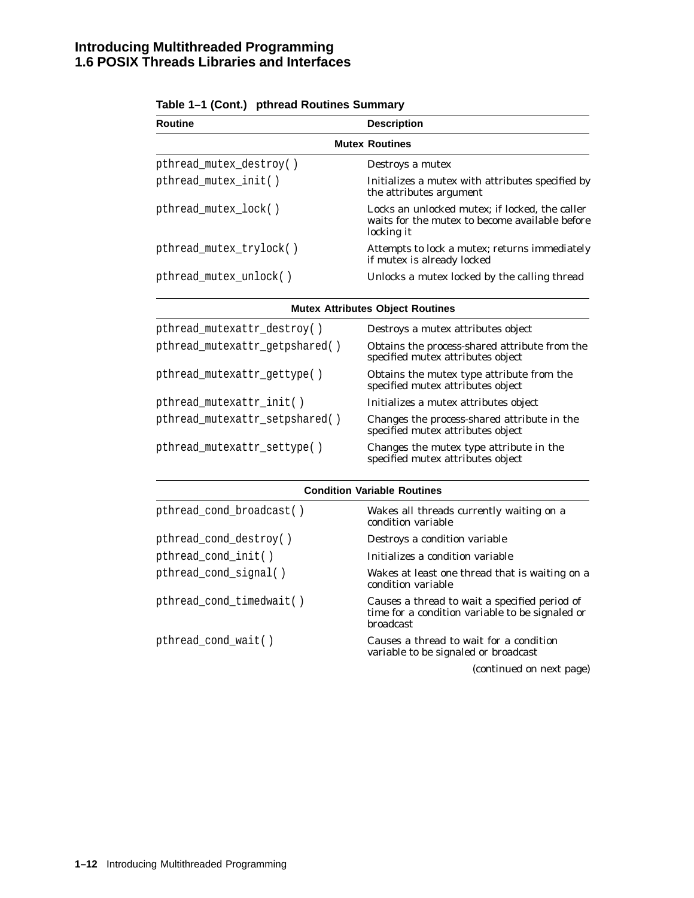| <b>Routine</b>          | <b>Description</b>                                                                                             |  |
|-------------------------|----------------------------------------------------------------------------------------------------------------|--|
| <b>Mutex Routines</b>   |                                                                                                                |  |
| pthread_mutex_destroy() | Destroys a mutex                                                                                               |  |
| pthread_mutex_init()    | Initializes a mutex with attributes specified by<br>the attributes argument                                    |  |
| pthread_mutex_lock()    | Locks an unlocked mutex; if locked, the caller<br>waits for the mutex to become available before<br>locking it |  |
| pthread_mutex_trylock() | Attempts to lock a mutex; returns immediately<br>if mutex is already locked                                    |  |
| pthread_mutex_unlock()  | Unlocks a mutex locked by the calling thread                                                                   |  |

|  | Table 1–1 (Cont.) pthread Routines Summary |
|--|--------------------------------------------|
|--|--------------------------------------------|

**Mutex Attributes Object Routines**

| pthread_mutexattr_destroy()    | Destroys a mutex attributes object                                                 |
|--------------------------------|------------------------------------------------------------------------------------|
| pthread_mutexattr_getpshared() | Obtains the process-shared attribute from the<br>specified mutex attributes object |
| pthread_mutexattr_gettype()    | Obtains the mutex type attribute from the<br>specified mutex attributes object     |
| pthread_mutexattr_init()       | Initializes a mutex attributes object                                              |
| pthread_mutexattr_setpshared() | Changes the process-shared attribute in the<br>specified mutex attributes object   |
| pthread_mutexattr_settype()    | Changes the mutex type attribute in the<br>specified mutex attributes object       |

| <b>Condition Variable Routines</b> |  |
|------------------------------------|--|
|                                    |  |

| pthread_cond_broadcast() | Wakes all threads currently waiting on a<br>condition variable                                                       |
|--------------------------|----------------------------------------------------------------------------------------------------------------------|
| pthread_cond_destroy()   | Destroys a condition variable                                                                                        |
| pthread_cond_init()      | Initializes a condition variable                                                                                     |
| pthread_cond_signal()    | Wakes at least one thread that is waiting on a<br>condition variable                                                 |
| pthread_cond_timedwait() | Causes a thread to wait a specified period of<br>time for a condition variable to be signaled or<br><b>broadcast</b> |
| pthread_cond_wait()      | Causes a thread to wait for a condition<br>variable to be signaled or broadcast                                      |
|                          | (continued on next page)                                                                                             |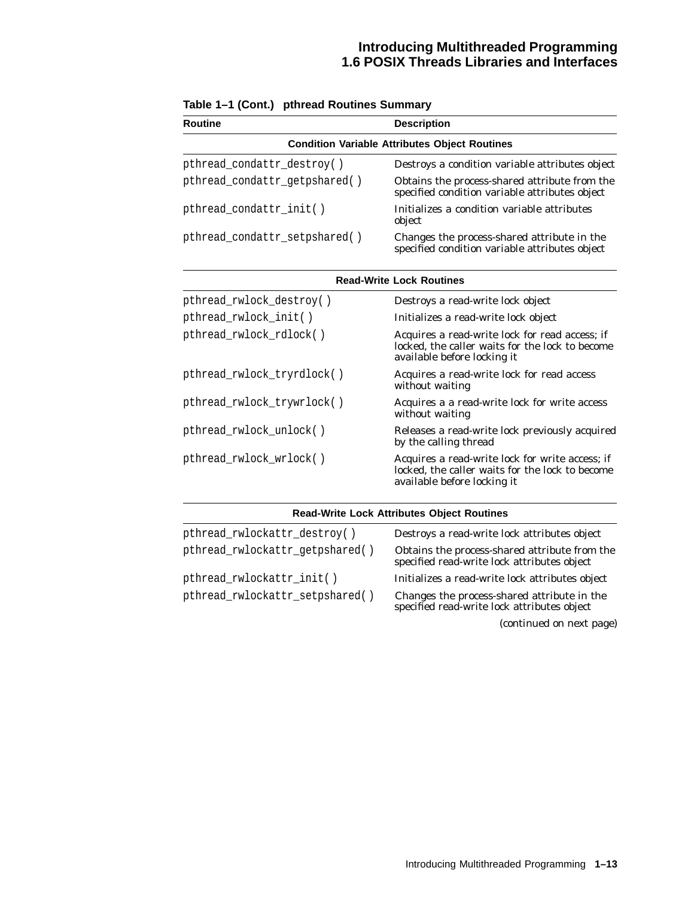| <b>Routine</b>                                       | <b>Description</b>                                                                                                                |  |
|------------------------------------------------------|-----------------------------------------------------------------------------------------------------------------------------------|--|
| <b>Condition Variable Attributes Object Routines</b> |                                                                                                                                   |  |
| pthread_condattr_destroy()                           | Destroys a condition variable attributes object                                                                                   |  |
| pthread_condattr_getpshared()                        | Obtains the process-shared attribute from the<br>specified condition variable attributes object                                   |  |
| pthread_condattr_init()                              | Initializes a condition variable attributes<br>object                                                                             |  |
| pthread_condattr_setpshared()                        | Changes the process-shared attribute in the<br>specified condition variable attributes object                                     |  |
| <b>Read-Write Lock Routines</b>                      |                                                                                                                                   |  |
| pthread_rwlock_destroy()                             | Destroys a read-write lock object                                                                                                 |  |
| pthread_rwlock_init()                                | Initializes a read-write lock object                                                                                              |  |
| pthread_rwlock_rdlock()                              | Acquires a read-write lock for read access; if<br>locked, the caller waits for the lock to become<br>available before locking it  |  |
| pthread_rwlock_tryrdlock()                           | Acquires a read-write lock for read access<br>without waiting                                                                     |  |
| pthread_rwlock_trywrlock()                           | Acquires a a read-write lock for write access<br>without waiting                                                                  |  |
| pthread_rwlock_unlock()                              | Releases a read-write lock previously acquired<br>by the calling thread                                                           |  |
| pthread_rwlock_wrlock()                              | Acquires a read-write lock for write access; if<br>locked, the caller waits for the lock to become<br>available before locking it |  |

|  | Table 1–1 (Cont.) pthread Routines Summary |  |
|--|--------------------------------------------|--|
|--|--------------------------------------------|--|

| <b>Read-Write Lock Attributes Object Routines</b> |                                                                                              |  |
|---------------------------------------------------|----------------------------------------------------------------------------------------------|--|
| pthread_rwlockattr_destroy()                      | Destroys a read-write lock attributes object                                                 |  |
| pthread_rwlockattr_getpshared()                   | Obtains the process-shared attribute from the<br>specified read-write lock attributes object |  |
| pthread_rwlockattr_init()                         | Initializes a read-write lock attributes object                                              |  |
| pthread_rwlockattr_setpshared()                   | Changes the process-shared attribute in the<br>specified read-write lock attributes object   |  |

(continued on next page)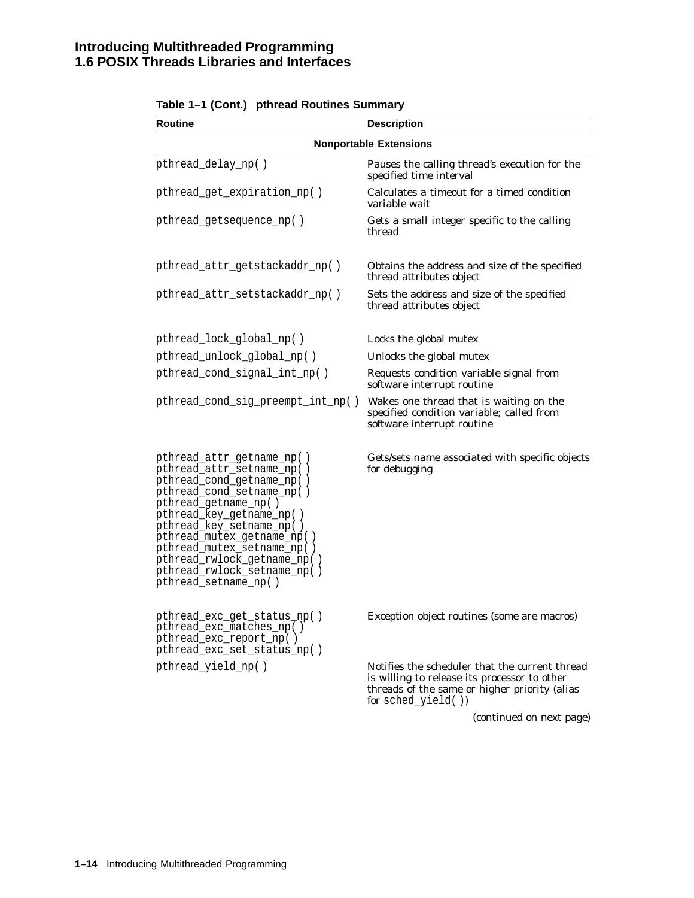| <b>Routine</b>                                                                                                                                                                                                                                                                                                                                     | <b>Description</b>                                                                                                                                                    |
|----------------------------------------------------------------------------------------------------------------------------------------------------------------------------------------------------------------------------------------------------------------------------------------------------------------------------------------------------|-----------------------------------------------------------------------------------------------------------------------------------------------------------------------|
|                                                                                                                                                                                                                                                                                                                                                    | <b>Nonportable Extensions</b>                                                                                                                                         |
| pthread_delay_np()                                                                                                                                                                                                                                                                                                                                 | Pauses the calling thread's execution for the<br>specified time interval                                                                                              |
| pthread_get_expiration_np()                                                                                                                                                                                                                                                                                                                        | Calculates a timeout for a timed condition<br>variable wait                                                                                                           |
| pthread_getsequence_np()                                                                                                                                                                                                                                                                                                                           | Gets a small integer specific to the calling<br>thread                                                                                                                |
| pthread_attr_getstackaddr_np()                                                                                                                                                                                                                                                                                                                     | Obtains the address and size of the specified<br>thread attributes object                                                                                             |
| pthread_attr_setstackaddr_np()                                                                                                                                                                                                                                                                                                                     | Sets the address and size of the specified<br>thread attributes object                                                                                                |
| pthread_lock_global_np()                                                                                                                                                                                                                                                                                                                           | Locks the global mutex                                                                                                                                                |
| pthread_unlock_global_np()                                                                                                                                                                                                                                                                                                                         | Unlocks the global mutex                                                                                                                                              |
| pthread_cond_signal_int_np()                                                                                                                                                                                                                                                                                                                       | Requests condition variable signal from<br>software interrupt routine                                                                                                 |
| pthread_cond_sig_preempt_int_np()                                                                                                                                                                                                                                                                                                                  | Wakes one thread that is waiting on the<br>specified condition variable; called from<br>software interrupt routine                                                    |
| pthread_attr_getname_np()<br>pthread_attr_setname_np()<br>pthread_cond_getname_np()<br>pthread_cond_setname_np()<br>pthread_getname_np()<br>pthread_key_getname_np()<br>pthread_key_setname_np()<br>pthread_mutex_getname_np()<br>pthread_mutex_setname_np()<br>pthread_rwlock_getname_np()<br>pthread_rwlock_setname_np()<br>pthread_setname_np() | Gets/sets name associated with specific objects<br>for debugging                                                                                                      |
| pthread_exc_get_status_np()<br>pthread_exc_matches_np()<br>pthread_exc_report_np()<br>pthread_exc_set_status_np()                                                                                                                                                                                                                                  | Exception object routines (some are macros)                                                                                                                           |
| pthread_yield_np()                                                                                                                                                                                                                                                                                                                                 | Notifies the scheduler that the current thread<br>is willing to release its processor to other<br>threads of the same or higher priority (alias<br>for sched_yield()) |
|                                                                                                                                                                                                                                                                                                                                                    | (continued on next page)                                                                                                                                              |

#### **Table 1–1 (Cont.) pthread Routines Summary**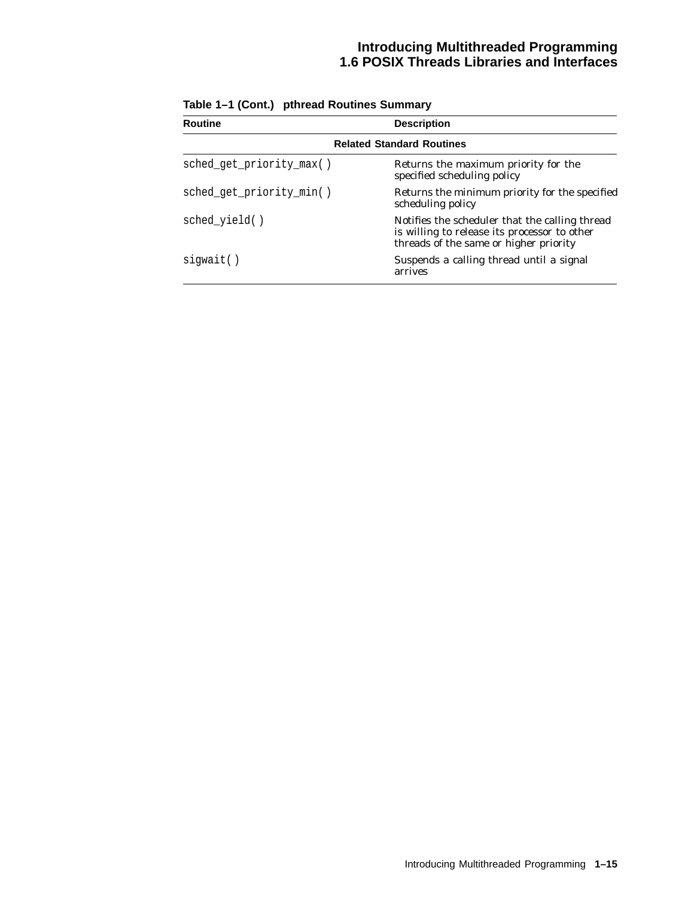| <b>Routine</b>                   | <b>Description</b>                                                                                                                       |  |
|----------------------------------|------------------------------------------------------------------------------------------------------------------------------------------|--|
| <b>Related Standard Routines</b> |                                                                                                                                          |  |
| sched_get_priority_max()         | Returns the maximum priority for the<br>specified scheduling policy                                                                      |  |
| sched_get_priority_min()         | Returns the minimum priority for the specified<br>scheduling policy                                                                      |  |
| sched yield()                    | Notifies the scheduler that the calling thread<br>is willing to release its processor to other<br>threads of the same or higher priority |  |
| siqwait()                        | Suspends a calling thread until a signal<br>arrives                                                                                      |  |

**Table 1–1 (Cont.) pthread Routines Summary**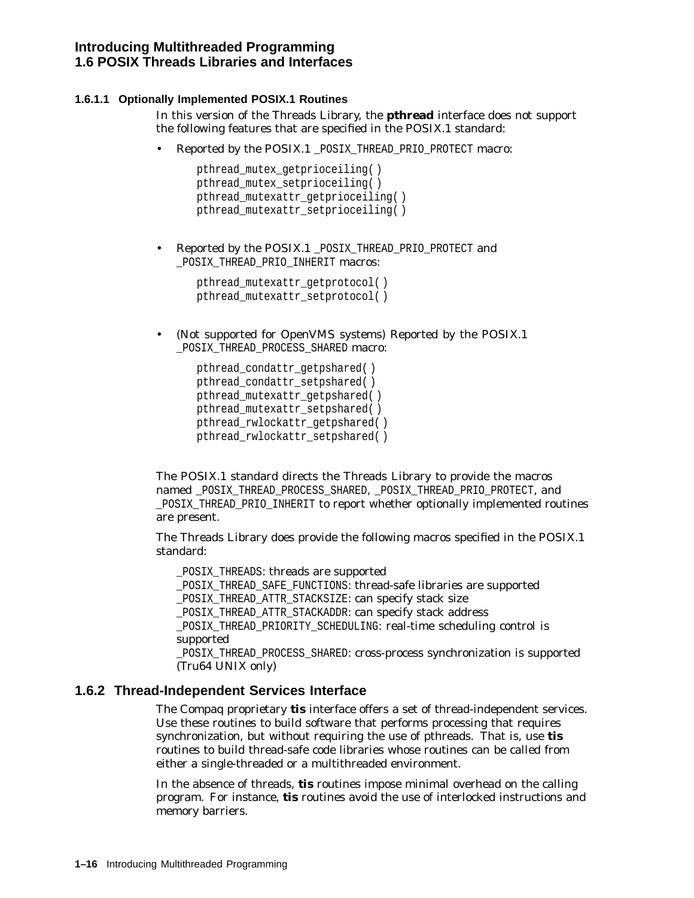#### **1.6.1.1 Optionally Implemented POSIX.1 Routines**

In this version of the Threads Library, the **pthread** interface does not support the following features that are specified in the POSIX.1 standard:

• Reported by the POSIX.1 POSIX THREAD PRIO PROTECT macro:

```
pthread_mutex_getprioceiling( )
pthread mutex setprioceiling()
pthread mutexattr getprioceiling()
pthread mutexattr setprioceiling( )
```
• Reported by the POSIX.1 \_POSIX\_THREAD\_PRIO\_PROTECT and \_POSIX\_THREAD\_PRIO\_INHERIT macros:

```
pthread_mutexattr_getprotocol( )
pthread_mutexattr_setprotocol( )
```
• (Not supported for OpenVMS systems) Reported by the POSIX.1 \_POSIX\_THREAD\_PROCESS\_SHARED macro:

```
pthread_condattr_getpshared( )
pthread_condattr_setpshared( )
pthread_mutexattr_getpshared( )
pthread_mutexattr_setpshared( )
pthread_rwlockattr_getpshared( )
pthread_rwlockattr_setpshared( )
```
The POSIX.1 standard directs the Threads Library to provide the macros named POSIX\_THREAD\_PROCESS\_SHARED, POSIX\_THREAD\_PRIO\_PROTECT, and POSIX\_THREAD\_PRIO\_INHERIT to report whether optionally implemented routines are present.

The Threads Library does provide the following macros specified in the POSIX.1 standard:

\_POSIX\_THREADS: threads are supported

\_POSIX\_THREAD\_SAFE\_FUNCTIONS: thread-safe libraries are supported

\_POSIX\_THREAD\_ATTR\_STACKSIZE: can specify stack size

\_POSIX\_THREAD\_ATTR\_STACKADDR: can specify stack address

\_POSIX\_THREAD\_PRIORITY\_SCHEDULING: real-time scheduling control is supported

\_POSIX\_THREAD\_PROCESS\_SHARED: cross-process synchronization is supported (Tru64 UNIX only)

#### **1.6.2 Thread-Independent Services Interface**

The Compaq proprietary **tis** interface offers a set of thread-independent services. Use these routines to build software that performs processing that requires synchronization, but without requiring the use of pthreads. That is, use **tis** routines to build thread-safe code libraries whose routines can be called from either a single-threaded or a multithreaded environment.

In the absence of threads, **tis** routines impose minimal overhead on the calling program. For instance, **tis** routines avoid the use of interlocked instructions and memory barriers.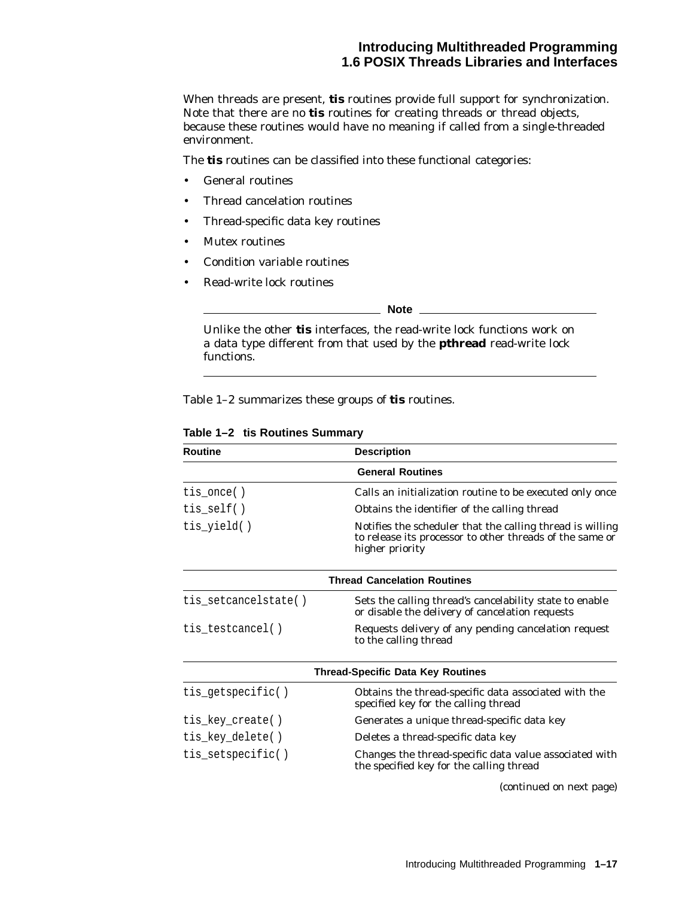# **Introducing Multithreaded Programming 1.6 POSIX Threads Libraries and Interfaces**

When threads are present, **tis** routines provide full support for synchronization. Note that there are no **tis** routines for creating threads or thread objects, because these routines would have no meaning if called from a single-threaded environment.

The **tis** routines can be classified into these functional categories:

- General routines
- Thread cancelation routines
- Thread-specific data key routines
- Mutex routines
- Condition variable routines
- Read-write lock routines

**Note**

Unlike the other **tis** interfaces, the read-write lock functions work on a data type different from that used by the **pthread** read-write lock functions.

Table 1–2 summarizes these groups of **tis** routines.

| <b>Routine</b>       | <b>Description</b>                                                                                                                       |  |
|----------------------|------------------------------------------------------------------------------------------------------------------------------------------|--|
|                      | <b>General Routines</b>                                                                                                                  |  |
| $tis\_once()$        | Calls an initialization routine to be executed only once                                                                                 |  |
| $tis\_self()$        | Obtains the identifier of the calling thread                                                                                             |  |
| tis_yield()          | Notifies the scheduler that the calling thread is willing<br>to release its processor to other threads of the same or<br>higher priority |  |
|                      | <b>Thread Cancelation Routines</b>                                                                                                       |  |
| tis_setcancelstate() | Sets the calling thread's cancelability state to enable<br>or disable the delivery of cancelation requests                               |  |
| tis_testcancel()     | Requests delivery of any pending cancelation request<br>to the calling thread                                                            |  |
|                      | <b>Thread-Specific Data Key Routines</b>                                                                                                 |  |
| tis_getspecific()    | Obtains the thread-specific data associated with the<br>specified key for the calling thread                                             |  |
| tis_key_create()     | Generates a unique thread-specific data key                                                                                              |  |
| tis_key_delete()     | Deletes a thread-specific data key                                                                                                       |  |
| tis_setspecific()    | Changes the thread-specific data value associated with<br>the specified key for the calling thread                                       |  |

**Table 1–2 tis Routines Summary**

(continued on next page)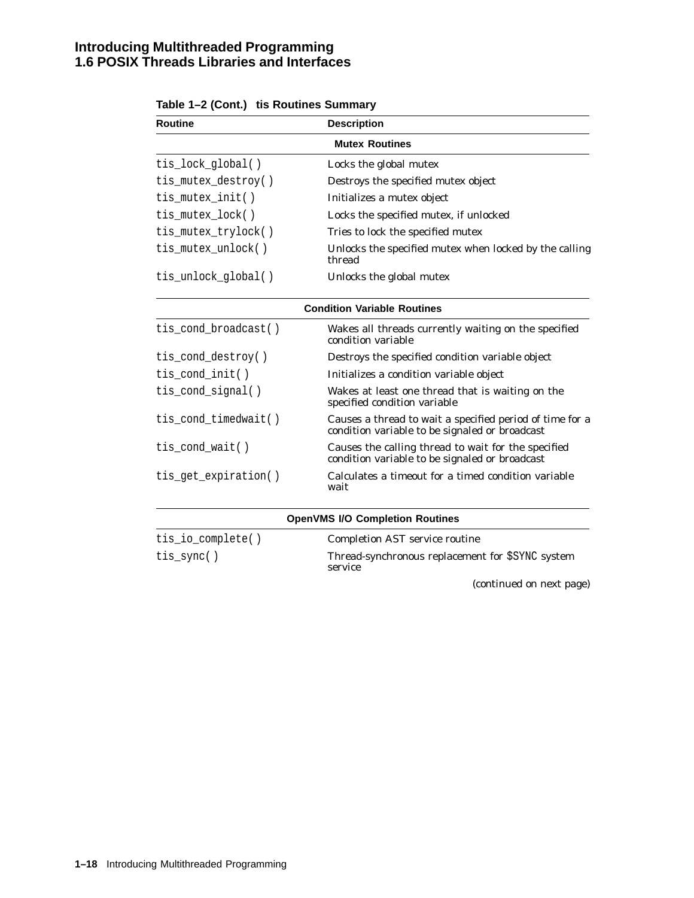# **Introducing Multithreaded Programming 1.6 POSIX Threads Libraries and Interfaces**

| <b>Routine</b>       | <b>Description</b>                                                                                         |
|----------------------|------------------------------------------------------------------------------------------------------------|
|                      | <b>Mutex Routines</b>                                                                                      |
| tis_lock_global()    | Locks the global mutex                                                                                     |
| tis_mutex_destroy()  | Destroys the specified mutex object                                                                        |
| tis_mutex_init()     | Initializes a mutex object                                                                                 |
| tis_mutex_lock()     | Locks the specified mutex, if unlocked                                                                     |
| tis_mutex_trylock()  | Tries to lock the specified mutex                                                                          |
| tis_mutex_unlock()   | Unlocks the specified mutex when locked by the calling<br>thread                                           |
| tis_unlock_global()  | Unlocks the global mutex                                                                                   |
|                      | <b>Condition Variable Routines</b>                                                                         |
| tis_cond_broadcast() | Wakes all threads currently waiting on the specified<br>condition variable                                 |
| tis_cond_destroy()   | Destroys the specified condition variable object                                                           |
| tis_cond_init()      | Initializes a condition variable object                                                                    |
| tis_cond_signal()    | Wakes at least one thread that is waiting on the<br>specified condition variable                           |
| tis_cond_timedwait() | Causes a thread to wait a specified period of time for a<br>condition variable to be signaled or broadcast |
| tis_cond_wait()      | Causes the calling thread to wait for the specified<br>condition variable to be signaled or broadcast      |
| tis_get_expiration() | Calculates a timeout for a timed condition variable<br>wait                                                |
|                      | <b>OpenVMS I/O Completion Routines</b>                                                                     |
| tis_io_complete()    | <b>Completion AST service routine</b>                                                                      |
| tis_sync()           | Thread-synchronous replacement for \$SYNC system<br>service                                                |

(continued on next page)

| Table 1–2 (Cont.) tis Routines Summary |  |  |
|----------------------------------------|--|--|
|----------------------------------------|--|--|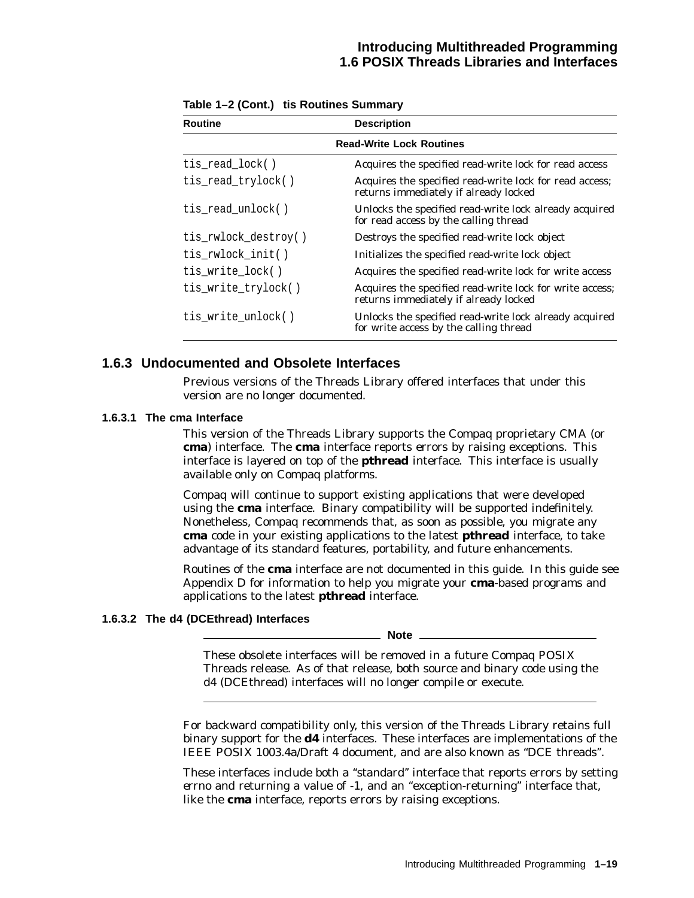# **Introducing Multithreaded Programming 1.6 POSIX Threads Libraries and Interfaces**

| <b>Routine</b>                  | <b>Description</b>                                                                                |  |  |
|---------------------------------|---------------------------------------------------------------------------------------------------|--|--|
| <b>Read-Write Lock Routines</b> |                                                                                                   |  |  |
| tis_read_lock()                 | Acquires the specified read-write lock for read access                                            |  |  |
| tis_read_trylock()              | Acquires the specified read-write lock for read access;<br>returns immediately if already locked  |  |  |
| tis read unlock()               | Unlocks the specified read-write lock already acquired<br>for read access by the calling thread   |  |  |
| tis_rwlock_destroy()            | Destroys the specified read-write lock object                                                     |  |  |
| tis_rwlock_init()               | Initializes the specified read-write lock object                                                  |  |  |
| tis_write_lock()                | Acquires the specified read-write lock for write access                                           |  |  |
| tis_write_trylock()             | Acquires the specified read-write lock for write access;<br>returns immediately if already locked |  |  |
| tis_write_unlock()              | Unlocks the specified read-write lock already acquired<br>for write access by the calling thread  |  |  |

**Table 1–2 (Cont.) tis Routines Summary**

# **1.6.3 Undocumented and Obsolete Interfaces**

Previous versions of the Threads Library offered interfaces that under this version are no longer documented.

#### **1.6.3.1 The cma Interface**

This version of the Threads Library supports the Compaq proprietary CMA (or **cma**) interface. The **cma** interface reports errors by raising exceptions. This interface is layered on top of the **pthread** interface. This interface is usually available only on Compaq platforms.

Compaq will continue to support existing applications that were developed using the **cma** interface. Binary compatibility will be supported indefinitely. Nonetheless, Compaq recommends that, as soon as possible, you migrate any **cma** code in your existing applications to the latest **pthread** interface, to take advantage of its standard features, portability, and future enhancements.

Routines of the **cma** interface are not documented in this guide. In this guide see Appendix D for information to help you migrate your **cma**-based programs and applications to the latest **pthread** interface.

#### **1.6.3.2 The d4 (DCEthread) Interfaces**

**Note**

These obsolete interfaces will be removed in a future Compaq POSIX Threads release. As of that release, both source and binary code using the d4 (DCEthread) interfaces will no longer compile or execute.

For backward compatibility only, this version of the Threads Library retains full binary support for the **d4** interfaces. These interfaces are implementations of the IEEE POSIX 1003.4a/Draft 4 document, and are also known as ''DCE threads''.

These interfaces include both a ''standard'' interface that reports errors by setting *errno* and returning a value of -1, and an ''exception-returning'' interface that, like the **cma** interface, reports errors by raising exceptions.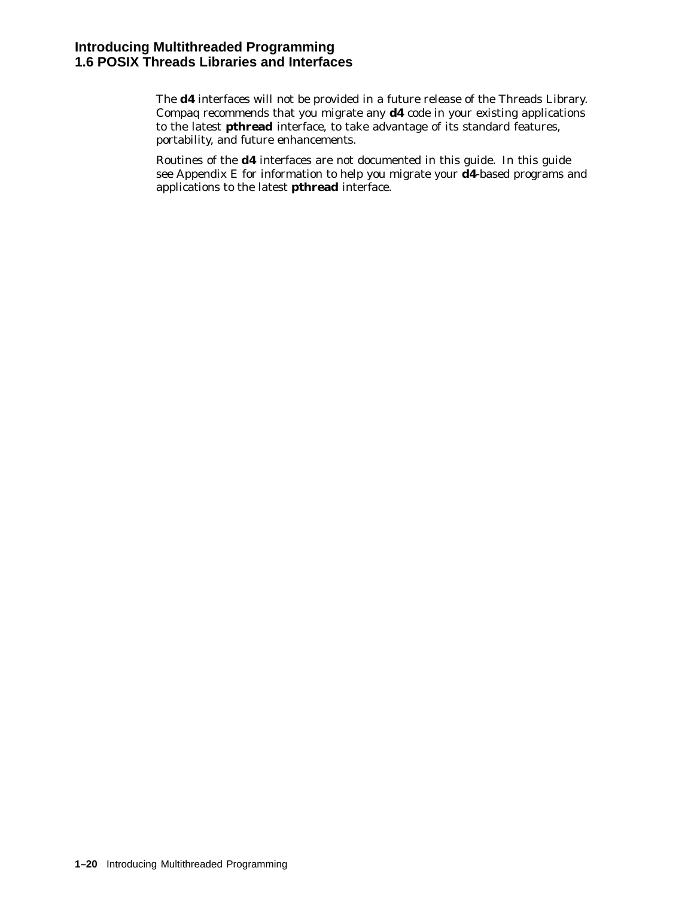The **d4** interfaces will not be provided in a future release of the Threads Library. Compaq recommends that you migrate any **d4** code in your existing applications to the latest **pthread** interface, to take advantage of its standard features, portability, and future enhancements.

Routines of the **d4** interfaces are not documented in this guide. In this guide see Appendix E for information to help you migrate your **d4**-based programs and applications to the latest **pthread** interface.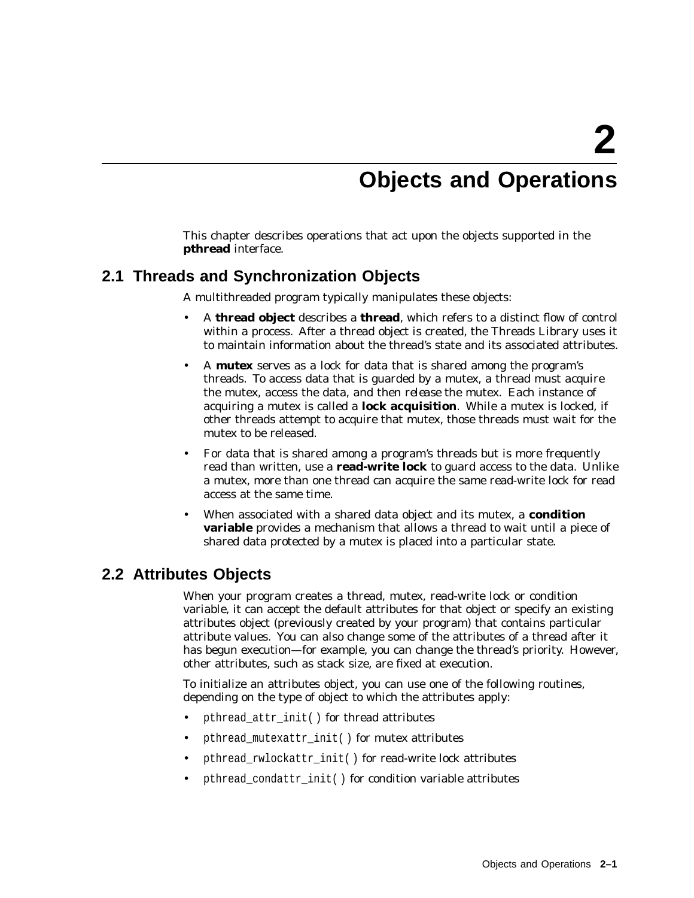# **Objects and Operations**

This chapter describes operations that act upon the objects supported in the **pthread** interface.

# **2.1 Threads and Synchronization Objects**

A multithreaded program typically manipulates these objects:

- A **thread object** describes a **thread**, which refers to a distinct flow of control within a process. After a thread object is created, the Threads Library uses it to maintain information about the thread's state and its associated attributes.
- A **mutex** serves as a lock for data that is shared among the program's threads. To access data that is guarded by a mutex, a thread must *acquire* the mutex, access the data, and then *release* the mutex. Each instance of acquiring a mutex is called a **lock acquisition**. While a mutex is locked, if other threads attempt to acquire that mutex, those threads must wait for the mutex to be released.
- For data that is shared among a program's threads but is more frequently read than written, use a **read-write lock** to guard access to the data. Unlike a mutex, more than one thread can acquire the same read-write lock for read access at the same time.
- When associated with a shared data object and its mutex, a **condition variable** provides a mechanism that allows a thread to wait until a piece of shared data protected by a mutex is placed into a particular state.

# **2.2 Attributes Objects**

When your program creates a thread, mutex, read-write lock or condition variable, it can accept the default attributes for that object or specify an existing attributes object (previously created by your program) that contains particular attribute values. You can also change some of the attributes of a thread after it has begun execution—for example, you can change the thread's priority. However, other attributes, such as stack size, are fixed at execution.

To initialize an attributes object, you can use one of the following routines, depending on the type of object to which the attributes apply:

- pthread\_attr\_init( ) for thread attributes
- pthread mutexattr init( ) for mutex attributes
- pthread\_rwlockattr\_init( ) for read-write lock attributes
- pthread\_condattr\_init( ) for condition variable attributes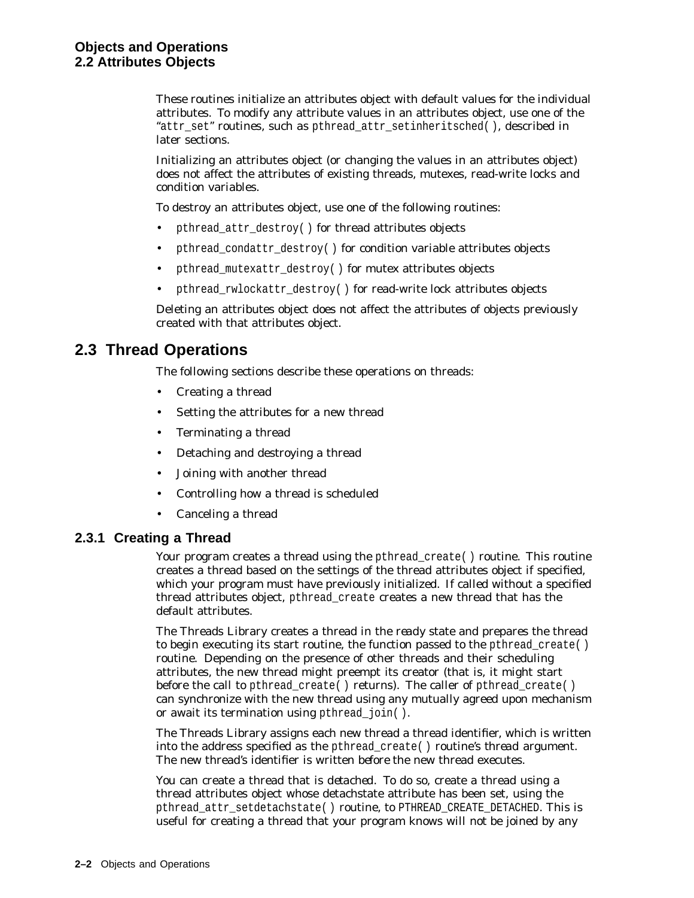These routines initialize an attributes object with default values for the individual attributes. To modify any attribute values in an attributes object, use one of the "attr\_set" routines, such as pthread\_attr\_setinheritsched(), described in later sections.

Initializing an attributes object (or changing the values in an attributes object) does not affect the attributes of existing threads, mutexes, read-write locks and condition variables.

To destroy an attributes object, use one of the following routines:

- pthread\_attr\_destroy( ) for thread attributes objects
- pthread\_condattr\_destroy( ) for condition variable attributes objects
- pthread\_mutexattr\_destroy( ) for mutex attributes objects
- pthread\_rwlockattr\_destroy( ) for read-write lock attributes objects

Deleting an attributes object does not affect the attributes of objects previously created with that attributes object.

# **2.3 Thread Operations**

The following sections describe these operations on threads:

- Creating a thread
- Setting the attributes for a new thread
- Terminating a thread
- Detaching and destroying a thread
- Joining with another thread
- Controlling how a thread is scheduled
- Canceling a thread

## **2.3.1 Creating a Thread**

Your program creates a thread using the pthread create() routine. This routine creates a thread based on the settings of the thread attributes object if specified, which your program must have previously initialized. If called without a specified thread attributes object, pthread\_create creates a new thread that has the default attributes.

The Threads Library creates a thread in the *ready* state and prepares the thread to begin executing its start routine, the function passed to the pthread create( $)$ ) routine. Depending on the presence of other threads and their scheduling attributes, the new thread might preempt its creator (that is, it might start before the call to pthread\_create( ) returns). The caller of pthread\_create( ) can synchronize with the new thread using any mutually agreed upon mechanism or await its termination using pthread join( ).

The Threads Library assigns each new thread a thread identifier, which is written into the address specified as the pthread\_create( ) routine's *thread* argument. The new thread's identifier is written *before* the new thread executes.

You can create a thread that is *detached*. To do so, create a thread using a thread attributes object whose detachstate attribute has been set, using the pthread attr\_setdetachstate( ) routine, to PTHREAD\_CREATE\_DETACHED. This is useful for creating a thread that your program knows will *not* be joined by any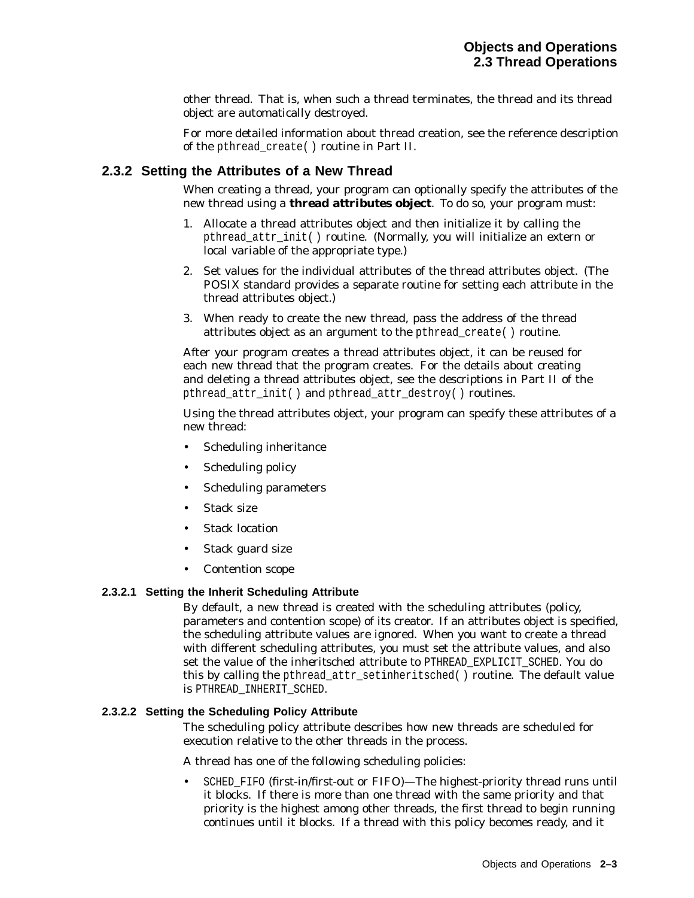other thread. That is, when such a thread terminates, the thread and its thread object are automatically destroyed.

For more detailed information about thread creation, see the reference description of the pthread\_create( ) routine in Part II.

## **2.3.2 Setting the Attributes of a New Thread**

When creating a thread, your program can optionally specify the attributes of the new thread using a **thread attributes object**. To do so, your program must:

- 1. Allocate a thread attributes object and then initialize it by calling the pthread\_attr\_init( ) routine. (Normally, you will initialize an extern or local variable of the appropriate type.)
- 2. Set values for the individual attributes of the thread attributes object. (The POSIX standard provides a separate routine for setting each attribute in the thread attributes object.)
- 3. When ready to create the new thread, pass the address of the thread attributes object as an argument to the pthread\_create( ) routine.

After your program creates a thread attributes object, it can be reused for each new thread that the program creates. For the details about creating and deleting a thread attributes object, see the descriptions in Part II of the pthread\_attr\_init( ) and pthread\_attr\_destroy( ) routines.

Using the thread attributes object, your program can specify these attributes of a new thread:

- Scheduling inheritance
- Scheduling policy
- Scheduling parameters
- Stack size
- **Stack location**
- Stack guard size
- Contention scope

#### **2.3.2.1 Setting the Inherit Scheduling Attribute**

By default, a new thread is created with the scheduling attributes (policy, parameters and contention scope) of its creator. If an attributes object is specified, the scheduling attribute values are ignored. When you want to create a thread with different scheduling attributes, you must set the attribute values, and also set the value of the *inheritsched* attribute to PTHREAD\_EXPLICIT\_SCHED. You do this by calling the pthread attr setinheritsched( ) routine. The default value is PTHREAD\_INHERIT\_SCHED.

#### **2.3.2.2 Setting the Scheduling Policy Attribute**

The scheduling policy attribute describes how new threads are scheduled for execution relative to the other threads in the process.

A thread has one of the following scheduling policies:

SCHED FIFO (first-in/first-out or FIFO)—The highest-priority thread runs until it blocks. If there is more than one thread with the same priority and that priority is the highest among other threads, the first thread to begin running continues until it blocks. If a thread with this policy becomes ready, and it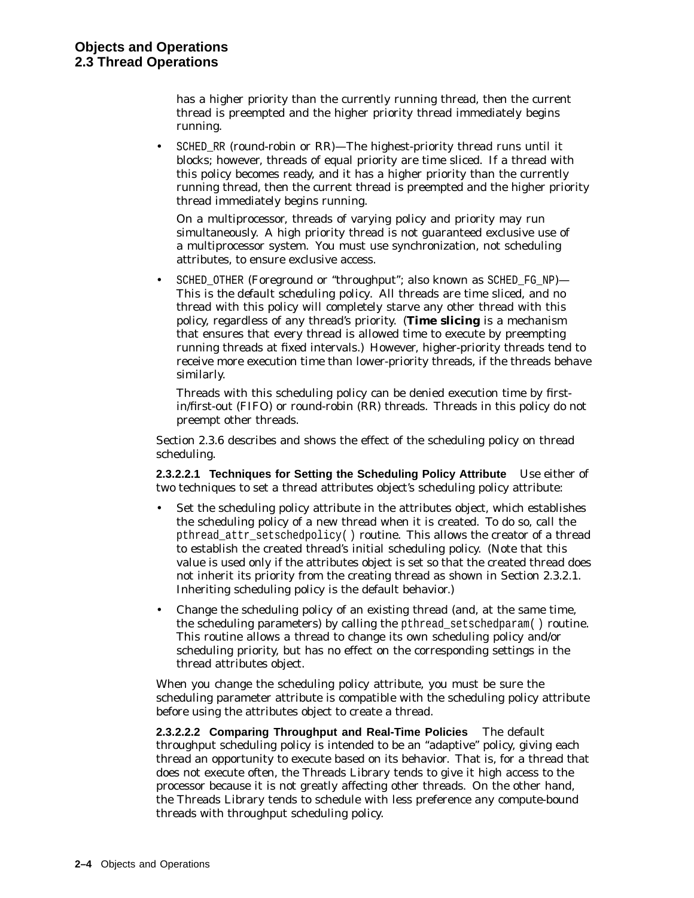has a higher priority than the currently running thread, then the current thread is preempted and the higher priority thread immediately begins running.

SCHED RR (round-robin or RR)—The highest-priority thread runs until it blocks; however, threads of equal priority are time sliced. If a thread with this policy becomes ready, and it has a higher priority than the currently running thread, then the current thread is preempted and the higher priority thread immediately begins running.

On a multiprocessor, threads of varying policy and priority may run simultaneously. A high priority thread is not guaranteed exclusive use of a multiprocessor system. You must use synchronization, not scheduling attributes, to ensure exclusive access.

SCHED\_OTHER (Foreground or "throughput"; also known as SCHED\_FG\_NP)-*This is the default scheduling policy*. All threads are time sliced, and no thread with this policy will completely starve any other thread with this policy, regardless of any thread's priority. (**Time slicing** is a mechanism that ensures that every thread is allowed time to execute by preempting running threads at fixed intervals.) However, higher-priority threads tend to receive more execution time than lower-priority threads, if the threads behave similarly.

Threads with this scheduling policy can be denied execution time by firstin/first-out (FIFO) or round-robin (RR) threads. Threads in this policy do not preempt other threads.

Section 2.3.6 describes and shows the effect of the scheduling policy on thread scheduling.

**2.3.2.2.1 Techniques for Setting the Scheduling Policy Attribute** Use either of two techniques to set a thread attributes object's scheduling policy attribute:

- Set the scheduling policy attribute in the attributes object, which establishes the scheduling policy of a new thread when it is created. To do so, call the pthread attr setschedpolicy( ) routine. This allows the creator of a thread to establish the created thread's initial scheduling policy. (Note that this value is used only if the attributes object is set so that the created thread does not inherit its priority from the creating thread as shown in Section 2.3.2.1. Inheriting scheduling policy is the default behavior.)
- Change the scheduling policy of an existing thread (and, at the same time, the scheduling parameters) by calling the pthread\_setschedparam( ) routine. This routine allows a thread to change its own scheduling policy and/or scheduling priority, but has no effect on the corresponding settings in the thread attributes object.

When you change the scheduling policy attribute, you must be sure the scheduling parameter attribute is compatible with the scheduling policy attribute before using the attributes object to create a thread.

**2.3.2.2.2 Comparing Throughput and Real-Time Policies** The default throughput scheduling policy is intended to be an ''adaptive'' policy, giving each thread an opportunity to execute based on its behavior. That is, for a thread that does not execute often, the Threads Library tends to give it high access to the processor because it is not greatly affecting other threads. On the other hand, the Threads Library tends to schedule with less preference any compute-bound threads with throughput scheduling policy.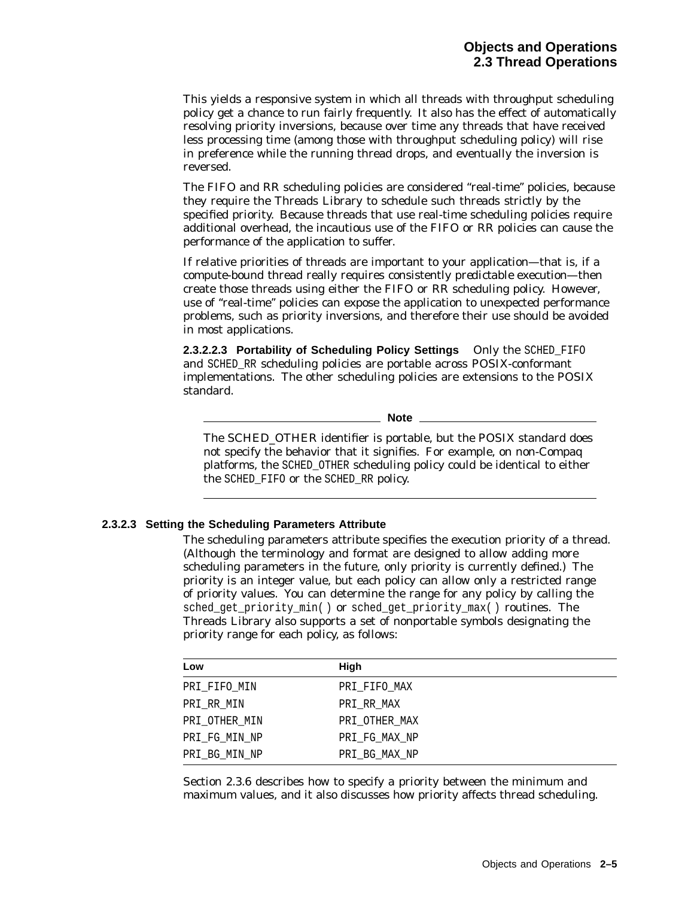This yields a responsive system in which all threads with throughput scheduling policy get a chance to run fairly frequently. It also has the effect of automatically resolving priority inversions, because over time any threads that have received less processing time (among those with throughput scheduling policy) will rise in preference while the running thread drops, and eventually the inversion is reversed.

The FIFO and RR scheduling policies are considered ''real-time'' policies, because they require the Threads Library to schedule such threads strictly by the specified priority. Because threads that use real-time scheduling policies require additional overhead, the incautious use of the FIFO or RR policies can cause the performance of the application to suffer.

If relative priorities of threads are important to your application—that is, if a compute-bound thread really requires consistently *predictable* execution—then create those threads using either the FIFO or RR scheduling policy. However, use of ''real-time'' policies can expose the application to unexpected performance problems, such as priority inversions, and therefore their use should be avoided in most applications.

**2.3.2.2.3 Portability of Scheduling Policy Settings** Only the SCHED\_FIFO and SCHED RR scheduling policies are portable across POSIX-conformant implementations. The other scheduling policies are extensions to the POSIX standard.

**Note**

The SCHED\_OTHER identifier is portable, but the POSIX standard does not specify the behavior that it signifies. For example, on non-Compaq platforms, the SCHED\_OTHER scheduling policy could be identical to either the SCHED\_FIFO or the SCHED\_RR policy.

#### **2.3.2.3 Setting the Scheduling Parameters Attribute**

The scheduling parameters attribute specifies the execution priority of a thread. (Although the terminology and format are designed to allow adding more scheduling parameters in the future, only priority is currently defined.) The priority is an integer value, but each policy can allow only a restricted range of priority values. You can determine the range for any policy by calling the sched get priority min( ) or sched get priority max( ) routines. The Threads Library also supports a set of nonportable symbols designating the priority range for each policy, as follows:

| Low           | High          |  |
|---------------|---------------|--|
| PRI_FIFO_MIN  | PRI_FIFO_MAX  |  |
| PRI_RR_MIN    | PRI RR MAX    |  |
| PRI_OTHER_MIN | PRI OTHER MAX |  |
| PRI_FG_MIN_NP | PRI_FG_MAX_NP |  |
| PRI_BG_MIN_NP | PRI_BG_MAX_NP |  |

Section 2.3.6 describes how to specify a priority between the minimum and maximum values, and it also discusses how priority affects thread scheduling.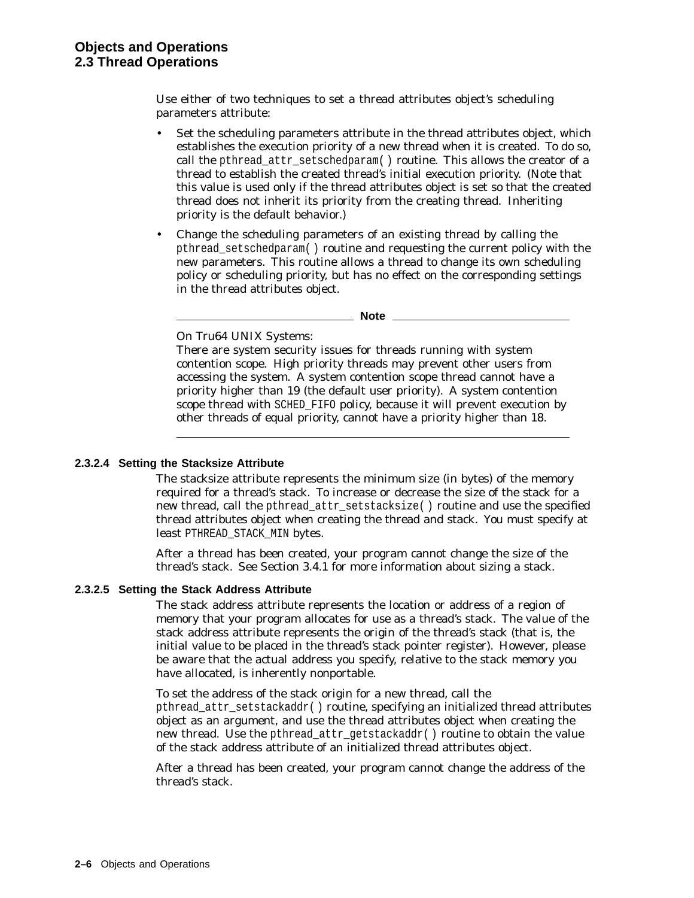Use either of two techniques to set a thread attributes object's scheduling parameters attribute:

- Set the scheduling parameters attribute in the thread attributes object, which establishes the execution priority of a new thread when it is created. To do so, call the pthread attr setschedparam( ) routine. This allows the creator of a thread to establish the created thread's initial execution priority. (Note that this value is used only if the thread attributes object is set so that the created thread does not inherit its priority from the creating thread. Inheriting priority is the default behavior.)
- Change the scheduling parameters of an existing thread by calling the pthread\_setschedparam( ) routine and requesting the current policy with the new parameters. This routine allows a thread to change its own scheduling policy or scheduling priority, but has no effect on the corresponding settings in the thread attributes object.

**Note**

On Tru64 UNIX Systems:

There are system security issues for threads running with system contention scope. High priority threads may prevent other users from accessing the system. A system contention scope thread cannot have a priority higher than 19 (the default user priority). A system contention scope thread with SCHED\_FIFO policy, because it will prevent execution by other threads of equal priority, cannot have a priority higher than 18.

## **2.3.2.4 Setting the Stacksize Attribute**

The stacksize attribute represents the minimum size (in bytes) of the memory required for a thread's stack. To increase or decrease the size of the stack for a new thread, call the pthread\_attr\_setstacksize( ) routine and use the specified thread attributes object when creating the thread and stack. You must specify at least PTHREAD\_STACK\_MIN bytes.

After a thread has been created, your program cannot change the size of the thread's stack. See Section 3.4.1 for more information about sizing a stack.

#### **2.3.2.5 Setting the Stack Address Attribute**

The stack address attribute represents the location or address of a region of memory that your program allocates for use as a thread's stack. The value of the stack address attribute represents the origin of the thread's stack (that is, the initial value to be placed in the thread's stack pointer register). However, please be aware that the actual address you specify, relative to the stack memory you have allocated, is inherently nonportable.

To set the address of the stack origin for a new thread, call the pthread\_attr\_setstackaddr( ) routine, specifying an initialized thread attributes object as an argument, and use the thread attributes object when creating the new thread. Use the pthread\_attr\_getstackaddr( ) routine to obtain the value of the stack address attribute of an initialized thread attributes object.

After a thread has been created, your program cannot change the address of the thread's stack.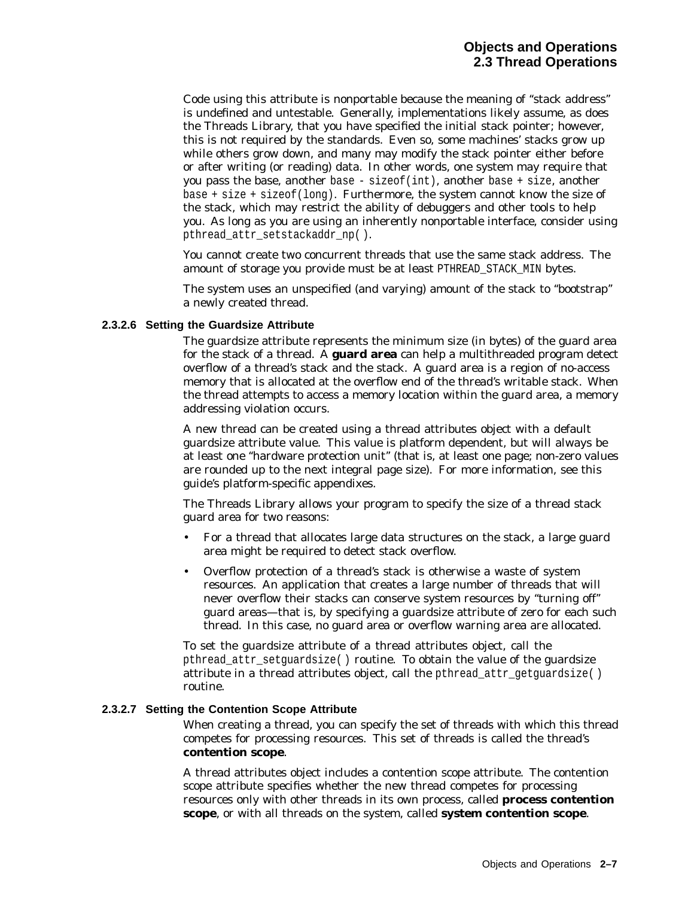Code using this attribute is nonportable because the meaning of ''stack address'' is undefined and untestable. Generally, implementations likely assume, as does the Threads Library, that you have specified the initial stack pointer; however, this is not required by the standards. Even so, some machines' stacks grow up while others grow down, and many may modify the stack pointer either before or after writing (or reading) data. In other words, one system may require that you pass the base, another base - sizeof(int), another base + size, another base + size + sizeof(long). Furthermore, the system cannot know the size of the stack, which may restrict the ability of debuggers and other tools to help you. As long as you are using an inherently nonportable interface, consider using pthread\_attr\_setstackaddr\_np( ).

You cannot create two concurrent threads that use the same stack address. The amount of storage you provide must be at least PTHREAD\_STACK\_MIN bytes.

The system uses an unspecified (and varying) amount of the stack to ''bootstrap'' a newly created thread.

#### **2.3.2.6 Setting the Guardsize Attribute**

The guardsize attribute represents the minimum size (in bytes) of the guard area for the stack of a thread. A **guard area** can help a multithreaded program detect overflow of a thread's stack and the stack. A guard area is a region of no-access memory that is allocated at the overflow end of the thread's writable stack. When the thread attempts to access a memory location within the guard area, a memory addressing violation occurs.

A new thread can be created using a thread attributes object with a default guardsize attribute value. This value is platform dependent, but will always be at least one ''hardware protection unit'' (that is, at least one page; non-zero values are rounded up to the next integral page size). For more information, see this guide's platform-specific appendixes.

The Threads Library allows your program to specify the size of a thread stack guard area for two reasons:

- For a thread that allocates large data structures on the stack, a large guard area might be required to detect stack overflow.
- Overflow protection of a thread's stack is otherwise a waste of system resources. An application that creates a large number of threads that will never overflow their stacks can conserve system resources by ''turning off'' guard areas—that is, by specifying a guardsize attribute of zero for each such thread. In this case, no guard area or overflow warning area are allocated.

To set the guardsize attribute of a thread attributes object, call the pthread\_attr\_setguardsize( ) routine. To obtain the value of the guardsize attribute in a thread attributes object, call the pthread\_attr\_getguardsize( ) routine.

#### **2.3.2.7 Setting the Contention Scope Attribute**

When creating a thread, you can specify the set of threads with which this thread competes for processing resources. This set of threads is called the thread's **contention scope**.

A thread attributes object includes a contention scope attribute. The contention scope attribute specifies whether the new thread competes for processing resources only with other threads in its own process, called **process contention scope**, or with all threads on the system, called **system contention scope**.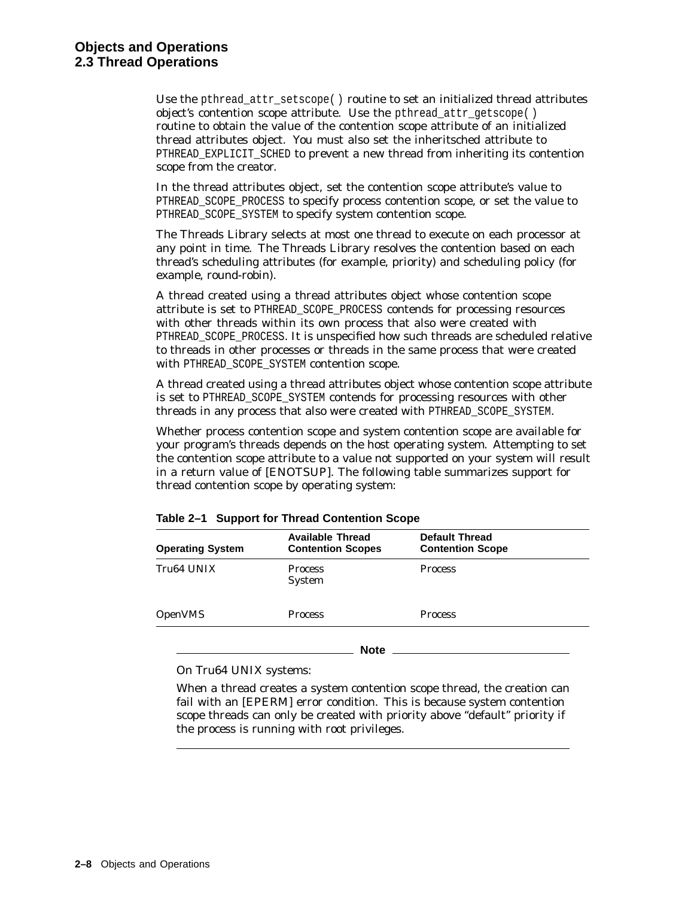Use the pthread\_attr\_setscope( ) routine to set an initialized thread attributes object's contention scope attribute. Use the pthread\_attr\_getscope( ) routine to obtain the value of the contention scope attribute of an initialized thread attributes object. You must also set the inheritsched attribute to PTHREAD EXPLICIT SCHED to prevent a new thread from inheriting its contention scope from the creator.

In the thread attributes object, set the contention scope attribute's value to PTHREAD SCOPE PROCESS to specify process contention scope, or set the value to PTHREAD SCOPE SYSTEM to specify system contention scope.

The Threads Library selects at most one thread to execute on each processor at any point in time. The Threads Library resolves the contention based on each thread's scheduling attributes (for example, priority) and scheduling policy (for example, round-robin).

A thread created using a thread attributes object whose contention scope attribute is set to PTHREAD\_SCOPE\_PROCESS contends for processing resources with other threads within its own process that also were created with PTHREAD\_SCOPE\_PROCESS. It is unspecified how such threads are scheduled relative to threads in other processes or threads in the same process that were created with PTHREAD SCOPE SYSTEM contention scope.

A thread created using a thread attributes object whose contention scope attribute is set to PTHREAD\_SCOPE\_SYSTEM contends for processing resources with other threads in any process that also were created with PTHREAD\_SCOPE\_SYSTEM.

Whether process contention scope and system contention scope are available for your program's threads depends on the host operating system. Attempting to set the contention scope attribute to a value not supported on your system will result in a return value of [ENOTSUP]. The following table summarizes support for thread contention scope by operating system:

| <b>Operating System</b> | <b>Available Thread</b><br><b>Contention Scopes</b> | <b>Default Thread</b><br><b>Contention Scope</b> |  |
|-------------------------|-----------------------------------------------------|--------------------------------------------------|--|
| Tru64 UNIX              | <b>Process</b><br><b>System</b>                     | <b>Process</b>                                   |  |
| <b>OpenVMS</b>          | <b>Process</b>                                      | <b>Process</b>                                   |  |

**Note**

#### **Table 2–1 Support for Thread Contention Scope**

On Tru64 UNIX systems:

When a thread creates a system contention scope thread, the creation can fail with an [EPERM] error condition. This is because system contention scope threads can only be created with priority above "default" priority if the process is running with root privileges.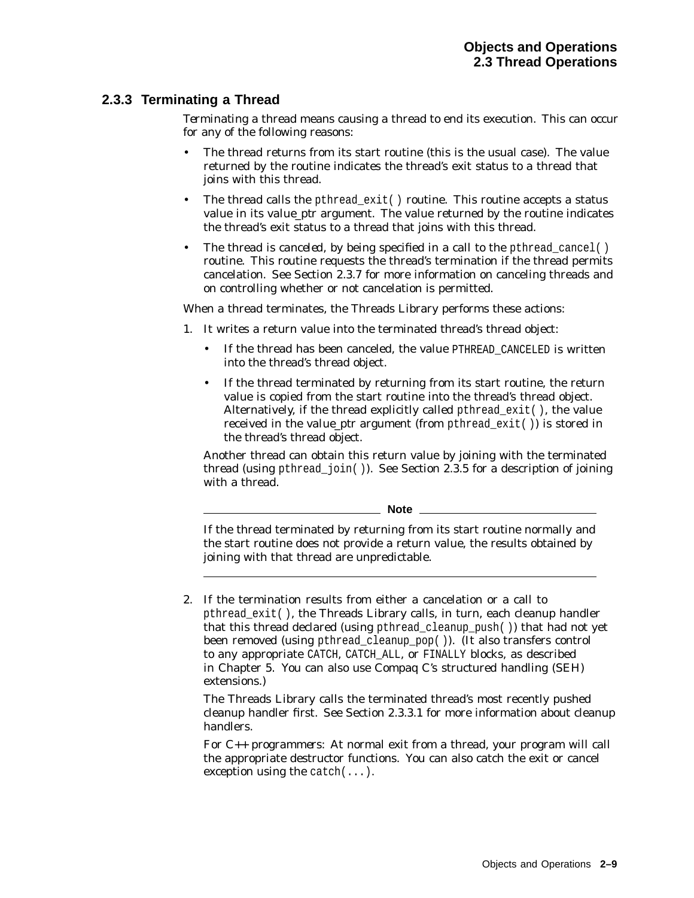# **2.3.3 Terminating a Thread**

*Terminating* a thread means causing a thread to end its execution. This can occur for any of the following reasons:

- The thread returns from its start routine (this is the usual case). The value returned by the routine indicates the thread's exit status to a thread that joins with this thread.
- The thread calls the pthread\_exit() routine. This routine accepts a status value in its *value\_ptr* argument. The value returned by the routine indicates the thread's exit status to a thread that joins with this thread.
- The thread is *canceled*, by being specified in a call to the pthread cancel( ) routine. This routine requests the thread's termination if the thread permits cancelation. See Section 2.3.7 for more information on canceling threads and on controlling whether or not cancelation is permitted.

When a thread terminates, the Threads Library performs these actions:

- 1. It writes a return value into the terminated thread's thread object:
	- If the thread has been canceled, the value PTHREAD\_CANCELED is written into the thread's thread object.
	- If the thread terminated by returning from its start routine, the return value is copied from the start routine into the thread's thread object. Alternatively, if the thread explicitly called pthread\_exit( ), the value received in the *value\_ptr* argument (from pthread\_exit( )) is stored in the thread's thread object.

Another thread can obtain this return value by joining with the terminated thread (using pthread  $join( )$ ). See Section 2.3.5 for a description of joining with a thread.

**Note**

If the thread terminated by returning from its start routine normally and the start routine does not provide a return value, the results obtained by joining with that thread are unpredictable.

2. If the termination results from either a cancelation or a call to pthread\_exit( ), the Threads Library calls, in turn, each cleanup handler that this thread declared (using pthread\_cleanup\_push( )) that had not yet been removed (using pthread\_cleanup\_pop( )). (It also transfers control to any appropriate CATCH, CATCH\_ALL, or FINALLY blocks, as described in Chapter 5. You can also use Compaq C's structured handling (SEH) extensions.)

The Threads Library calls the terminated thread's most recently pushed cleanup handler first. See Section 2.3.3.1 for more information about cleanup handlers.

*For C++ programmers*: At normal exit from a thread, your program will call the appropriate destructor functions. You can also catch the exit or cancel exception using the catch $(\ldots)$ .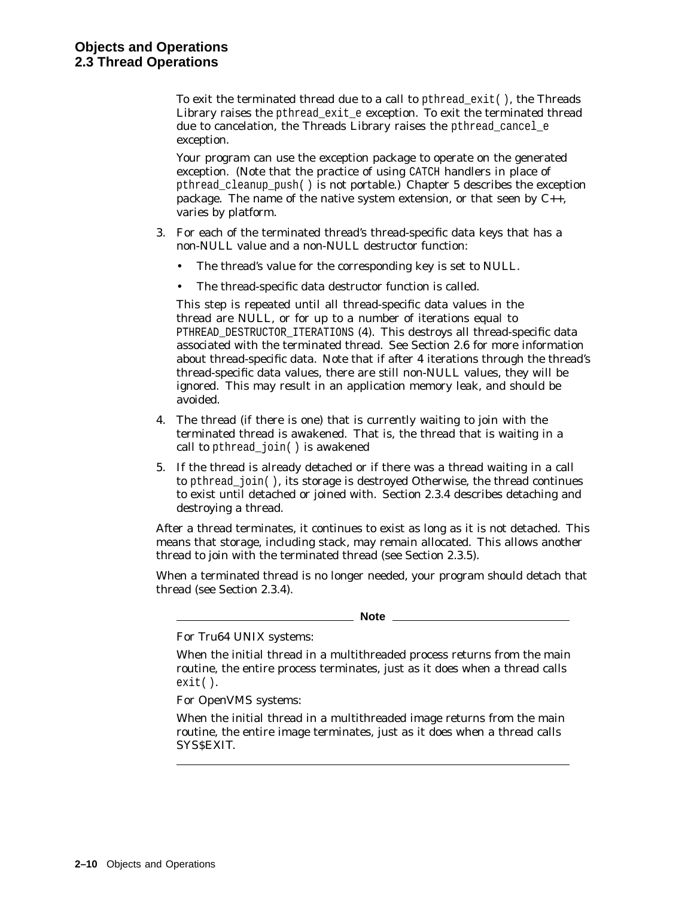To exit the terminated thread due to a call to pthread  $ext()$ , the Threads Library raises the pthread\_exit\_e exception. To exit the terminated thread due to cancelation, the Threads Library raises the pthread cancel e exception.

Your program can use the exception package to operate on the generated exception. (Note that the practice of using CATCH handlers in place of pthread cleanup push( ) is not portable.) Chapter 5 describes the exception package. The name of the native system extension, or that seen by C++, varies by platform.

- 3. For each of the terminated thread's thread-specific data keys that has a non-NULL value and a non-NULL destructor function:
	- The thread's value for the corresponding key is set to NULL.
	- The thread-specific data destructor function is called.

This step is repeated until all thread-specific data values in the thread are NULL, or for up to a number of iterations equal to PTHREAD DESTRUCTOR ITERATIONS (4). This destroys all thread-specific data associated with the terminated thread. See Section 2.6 for more information about thread-specific data. Note that if after 4 iterations through the thread's thread-specific data values, there are still non-NULL values, they will be ignored. This may result in an application memory leak, and should be avoided.

- 4. The thread (if there is one) that is currently waiting to join with the terminated thread is awakened. That is, the thread that is waiting in a call to pthread\_join( ) is awakened
- 5. If the thread is already detached or if there was a thread waiting in a call to pthread\_join( ), its storage is destroyed Otherwise, the thread continues to exist until detached or joined with. Section 2.3.4 describes detaching and destroying a thread.

After a thread terminates, it continues to exist as long as it is not detached. This means that storage, including stack, may remain allocated. This allows another thread to join with the terminated thread (see Section 2.3.5).

When a terminated thread is no longer needed, your program should detach that thread (see Section 2.3.4).

**Note**

For Tru64 UNIX systems:

When the initial thread in a multithreaded process returns from the main routine, the entire process terminates, just as it does when a thread calls exit( ).

For OpenVMS systems:

When the initial thread in a multithreaded image returns from the main routine, the entire image terminates, just as it does when a thread calls SYS\$EXIT.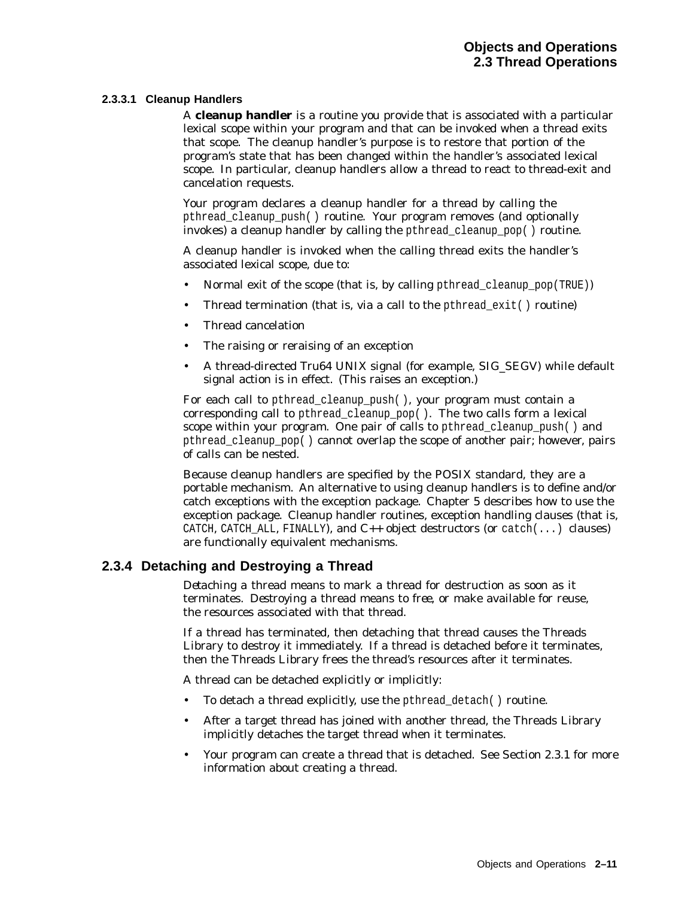#### **2.3.3.1 Cleanup Handlers**

A **cleanup handler** is a routine you provide that is associated with a particular lexical scope within your program and that can be invoked when a thread exits that scope. The cleanup handler's purpose is to restore that portion of the program's state that has been changed within the handler's associated lexical scope. In particular, cleanup handlers allow a thread to react to thread-exit and cancelation requests.

Your program declares a cleanup handler for a thread by calling the pthread\_cleanup\_push( ) routine. Your program removes (and optionally invokes) a cleanup handler by calling the pthread\_cleanup\_pop( ) routine.

A cleanup handler is invoked when the calling thread exits the handler's associated lexical scope, due to:

- Normal exit of the scope (that is, by calling pthread\_cleanup\_pop(TRUE))
- Thread termination (that is, via a call to the pthread  $exit()$  routine)
- Thread cancelation
- The raising or reraising of an exception
- A thread-directed Tru64 UNIX signal (for example, SIG\_SEGV) while default signal action is in effect. (This raises an exception.)

For each call to pthread cleanup push( ), your program must contain a corresponding call to pthread\_cleanup\_pop( ). The two calls form a lexical scope within your program. One pair of calls to pthread cleanup  $push()$  and pthread\_cleanup\_pop( ) cannot overlap the scope of another pair; however, pairs of calls can be nested.

Because cleanup handlers are specified by the POSIX standard, they are a portable mechanism. An alternative to using cleanup handlers is to define and/or catch exceptions with the exception package. Chapter 5 describes how to use the exception package. Cleanup handler routines, exception handling clauses (that is, CATCH, CATCH\_ALL, FINALLY), and  $C_{++}$  object destructors (or catch $(...)$  clauses) are functionally equivalent mechanisms.

# **2.3.4 Detaching and Destroying a Thread**

*Detaching* a thread means to mark a thread for destruction as soon as it terminates. *Destroying* a thread means to *free*, or make available for reuse, the resources associated with that thread.

If a thread has terminated, then detaching that thread causes the Threads Library to destroy it immediately. If a thread is detached before it terminates, then the Threads Library frees the thread's resources after it terminates.

A thread can be detached explicitly or implicitly:

- To detach a thread explicitly, use the pthread detach() routine.
- After a target thread has joined with another thread, the Threads Library implicitly detaches the target thread when it terminates.
- Your program can create a thread that is detached. See Section 2.3.1 for more information about creating a thread.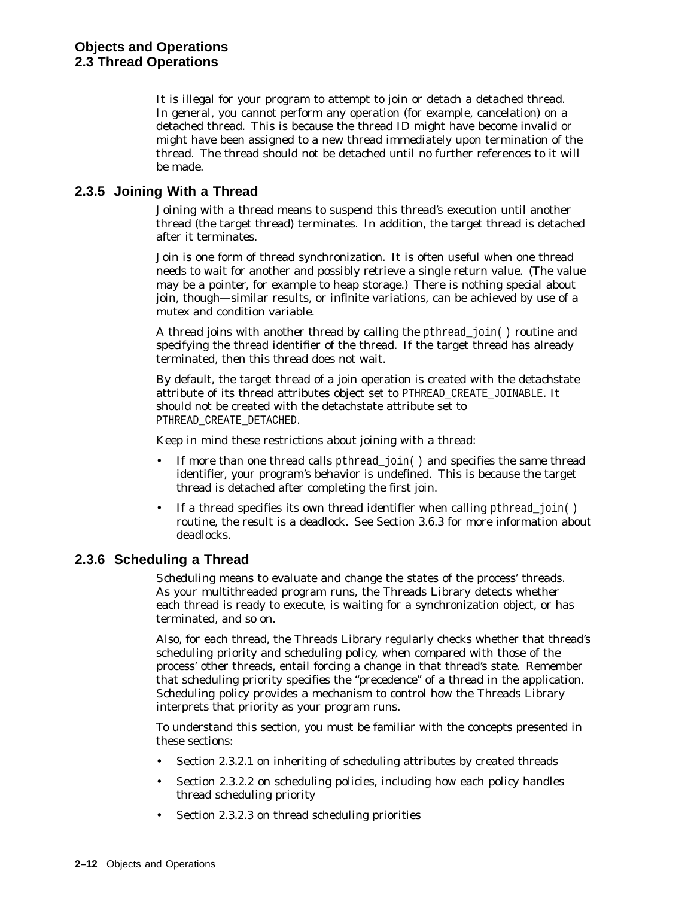It is illegal for your program to attempt to join or detach a detached thread. In general, you cannot perform any operation (for example, cancelation) on a detached thread. This is because the thread ID might have become invalid or might have been assigned to a new thread immediately upon termination of the thread. The thread should not be detached until no further references to it will be made.

# **2.3.5 Joining With a Thread**

*Joining* with a thread means to suspend this thread's execution until another thread (the target thread) terminates. In addition, the target thread is detached after it terminates.

Join is one form of thread synchronization. It is often useful when one thread needs to wait for another and possibly retrieve a single return value. (The value may be a pointer, for example to heap storage.) There is nothing special about join, though—similar results, or infinite variations, can be achieved by use of a mutex and condition variable.

A thread joins with another thread by calling the pthread\_join( ) routine and specifying the thread identifier of the thread. If the target thread has already terminated, then this thread does not wait.

By default, the target thread of a join operation is created with the detachstate attribute of its thread attributes object set to PTHREAD\_CREATE\_JOINABLE. It should not be created with the detachstate attribute set to PTHREAD\_CREATE\_DETACHED.

Keep in mind these restrictions about joining with a thread:

- If more than one thread calls pthread\_join() and specifies the same thread identifier, your program's behavior is undefined. This is because the target thread is detached after completing the first join.
- If a thread specifies its own thread identifier when calling pthread  $join()$ routine, the result is a deadlock. See Section 3.6.3 for more information about deadlocks.

# **2.3.6 Scheduling a Thread**

*Scheduling* means to evaluate and change the states of the process' threads. As your multithreaded program runs, the Threads Library detects whether each thread is ready to execute, is waiting for a synchronization object, or has terminated, and so on.

Also, for each thread, the Threads Library regularly checks whether that thread's scheduling priority and scheduling policy, when compared with those of the process' other threads, entail forcing a change in that thread's state. Remember that scheduling priority specifies the ''precedence'' of a thread in the application. Scheduling policy provides a mechanism to control how the Threads Library interprets that priority as your program runs.

To understand this section, you must be familiar with the concepts presented in these sections:

- Section 2.3.2.1 on inheriting of scheduling attributes by created threads
- Section 2.3.2.2 on scheduling policies, including how each policy handles thread scheduling priority
- Section 2.3.2.3 on thread scheduling priorities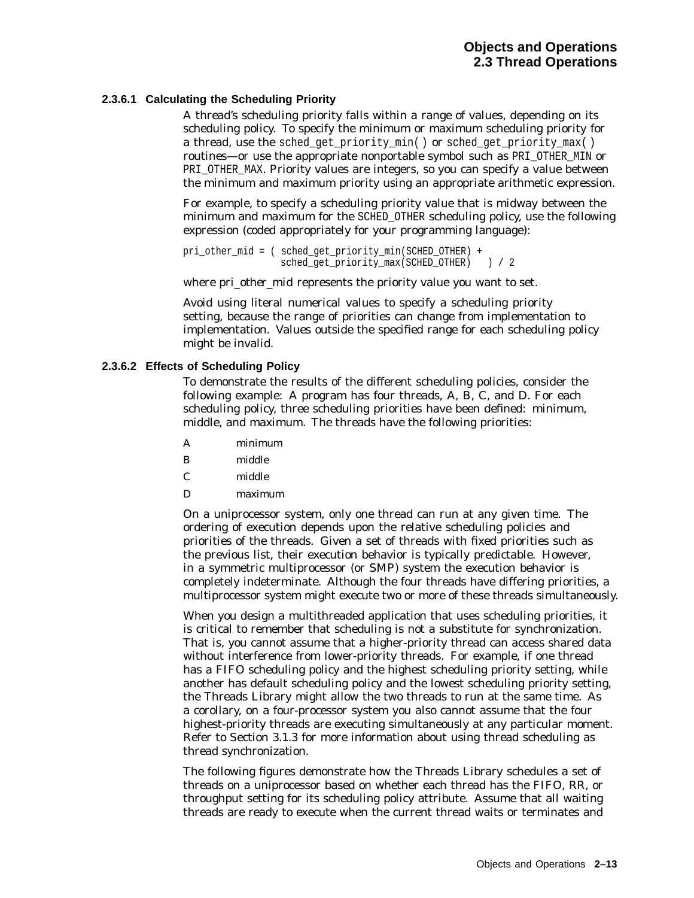#### **2.3.6.1 Calculating the Scheduling Priority**

A thread's scheduling priority falls within a range of values, depending on its scheduling policy. To specify the minimum or maximum scheduling priority for a thread, use the sched\_get\_priority\_min( ) or sched\_get\_priority\_max( ) routines—or use the appropriate nonportable symbol such as PRI\_OTHER\_MIN or PRI\_OTHER\_MAX. Priority values are integers, so you can specify a value between the minimum and maximum priority using an appropriate arithmetic expression.

For example, to specify a scheduling priority value that is midway between the minimum and maximum for the SCHED\_OTHER scheduling policy, use the following expression (coded appropriately for your programming language):

pri\_other\_mid = ( sched get priority min(SCHED\_OTHER) + sched\_get\_priority\_max(SCHED\_OTHER) ) / 2

where *pri\_other\_mid* represents the priority value you want to set.

Avoid using literal numerical values to specify a scheduling priority setting, because the range of priorities can change from implementation to implementation. Values outside the specified range for each scheduling policy might be invalid.

#### **2.3.6.2 Effects of Scheduling Policy**

To demonstrate the results of the different scheduling policies, consider the following example: A program has four threads, A, B, C, and D. For each scheduling policy, three scheduling priorities have been defined: minimum, middle, and maximum. The threads have the following priorities:

- A minimum
- B middle
- C middle
- D maximum

On a uniprocessor system, only one thread can run at any given time. The ordering of execution depends upon the relative scheduling policies and priorities of the threads. Given a set of threads with fixed priorities such as the previous list, their execution behavior is typically predictable. However, in a symmetric multiprocessor (or SMP) system the execution behavior is completely indeterminate. Although the four threads have differing priorities, a multiprocessor system might execute two or more of these threads simultaneously.

When you design a multithreaded application that uses scheduling priorities, it is critical to remember that scheduling is not a substitute for synchronization. That is, you cannot assume that a higher-priority thread can access shared data without interference from lower-priority threads. For example, if one thread has a FIFO scheduling policy and the highest scheduling priority setting, while another has default scheduling policy and the lowest scheduling priority setting, the Threads Library might allow the two threads to run at the same time. As a corollary, on a four-processor system you also cannot assume that the four highest-priority threads are executing simultaneously at any particular moment. Refer to Section 3.1.3 for more information about using thread scheduling as thread synchronization.

The following figures demonstrate how the Threads Library schedules a set of threads on a uniprocessor based on whether each thread has the FIFO, RR, or throughput setting for its scheduling policy attribute. Assume that all waiting threads are ready to execute when the current thread waits or terminates and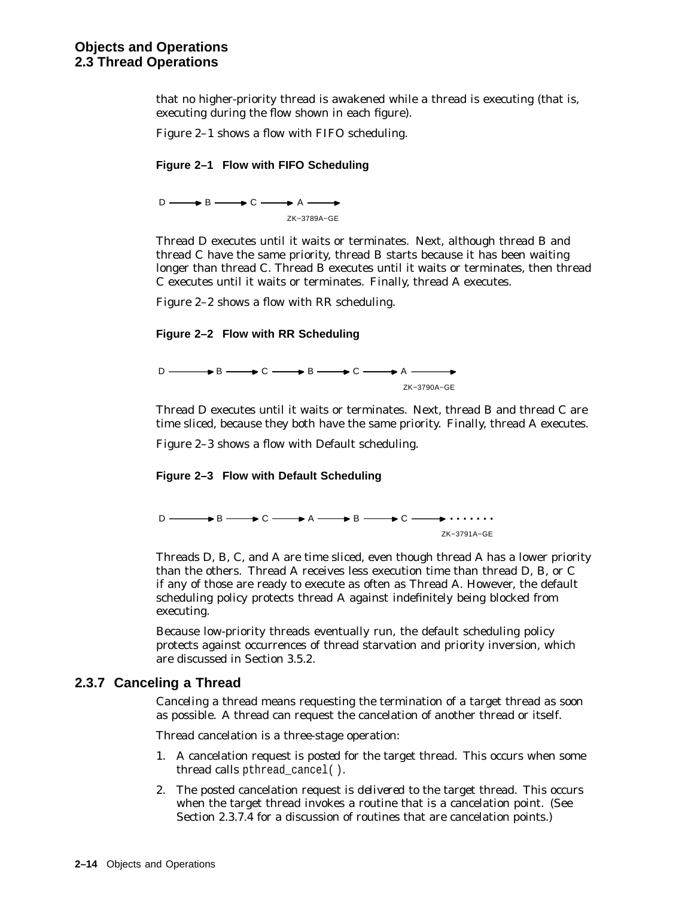that no higher-priority thread is awakened while a thread is executing (that is, executing during the flow shown in each figure).

Figure 2–1 shows a flow with FIFO scheduling.

#### **Figure 2–1 Flow with FIFO Scheduling**

 $D \longrightarrow B \longrightarrow C \longrightarrow A$ ZK−3789A−GE

Thread D executes until it waits or terminates. Next, although thread B and thread C have the same priority, thread B starts because it has been waiting longer than thread C. Thread B executes until it waits or terminates, then thread C executes until it waits or terminates. Finally, thread A executes.

Figure 2–2 shows a flow with RR scheduling.

#### **Figure 2–2 Flow with RR Scheduling**

 $D \longrightarrow B \longrightarrow C \longrightarrow B \longrightarrow C \longrightarrow A \longrightarrow$ ZK−3790A−GE

Thread D executes until it waits or terminates. Next, thread B and thread C are time sliced, because they both have the same priority. Finally, thread A executes.

Figure 2–3 shows a flow with Default scheduling.

#### **Figure 2–3 Flow with Default Scheduling**



Threads D, B, C, and A are time sliced, even though thread A has a lower priority than the others. Thread A receives less execution time than thread D, B, or C if any of those are ready to execute as often as Thread A. However, the default scheduling policy protects thread A against indefinitely being blocked from executing.

Because low-priority threads eventually run, the default scheduling policy protects against occurrences of thread starvation and priority inversion, which are discussed in Section 3.5.2.

#### **2.3.7 Canceling a Thread**

*Canceling* a thread means requesting the termination of a target thread as soon as possible. A thread can request the cancelation of another thread or itself.

Thread cancelation is a three-stage operation:

- 1. A cancelation request is *posted* for the target thread. This occurs when some thread calls pthread\_cancel( ).
- 2. The posted cancelation request is *delivered* to the target thread. This occurs when the target thread invokes a routine that is a cancelation point. (See Section 2.3.7.4 for a discussion of routines that are cancelation points.)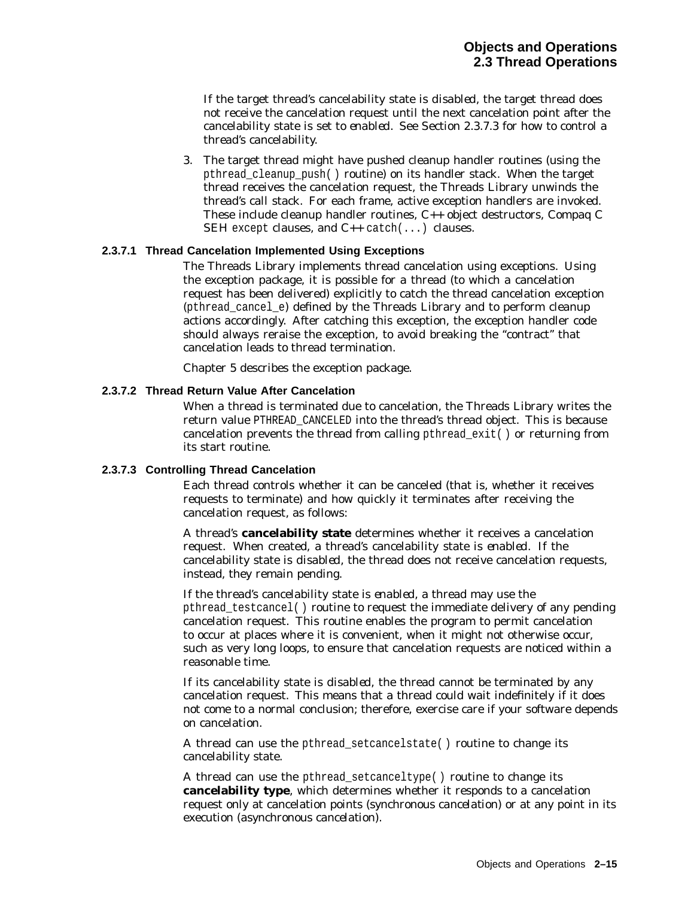If the target thread's cancelability state is *disabled*, the target thread does not receive the cancelation request until the next cancelation point after the cancelability state is set to *enabled*. See Section 2.3.7.3 for how to control a thread's cancelability.

3. The target thread might have pushed cleanup handler routines (using the pthread\_cleanup\_push( ) routine) on its handler stack. When the target thread receives the cancelation request, the Threads Library unwinds the thread's call stack. For each frame, active exception handlers are invoked. These include cleanup handler routines, C++ object destructors, Compaq C SEH except clauses, and C++ catch(...) clauses.

#### **2.3.7.1 Thread Cancelation Implemented Using Exceptions**

The Threads Library implements thread cancelation using exceptions. Using the exception package, it is possible for a thread (to which a cancelation request has been delivered) explicitly to catch the thread cancelation exception (pthread cancel  $e$ ) defined by the Threads Library and to perform cleanup actions accordingly. After catching this exception, the exception handler code should always reraise the exception, to avoid breaking the ''contract'' that cancelation leads to thread termination.

Chapter 5 describes the exception package.

#### **2.3.7.2 Thread Return Value After Cancelation**

When a thread is terminated due to cancelation, the Threads Library writes the return value PTHREAD\_CANCELED into the thread's thread object. This is because cancelation prevents the thread from calling pthread\_exit( ) or returning from its start routine.

#### **2.3.7.3 Controlling Thread Cancelation**

Each thread controls whether it can be canceled (that is, whether it receives requests to terminate) and how quickly it terminates after receiving the cancelation request, as follows:

A thread's **cancelability state** determines whether it receives a cancelation request. When created, a thread's cancelability state is *enabled*. If the cancelability state is *disabled*, the thread does not receive cancelation requests, instead, they remain pending.

If the thread's cancelability state is *enabled*, a thread may use the pthread\_testcancel( ) routine to request the immediate delivery of any pending cancelation request. This routine enables the program to permit cancelation to occur at places where it is convenient, when it might not otherwise occur, such as very long loops, to ensure that cancelation requests are noticed within a reasonable time.

If its cancelability state is *disabled*, the thread cannot be terminated by any cancelation request. This means that a thread could wait indefinitely if it does not come to a normal conclusion; therefore, exercise care if your software depends on cancelation.

A thread can use the pthread\_setcancelstate( ) routine to change its cancelability state.

A thread can use the pthread\_setcanceltype( ) routine to change its **cancelability type**, which determines whether it responds to a cancelation request only at cancelation points (*synchronous cancelation*) or at any point in its execution (*asynchronous cancelation*).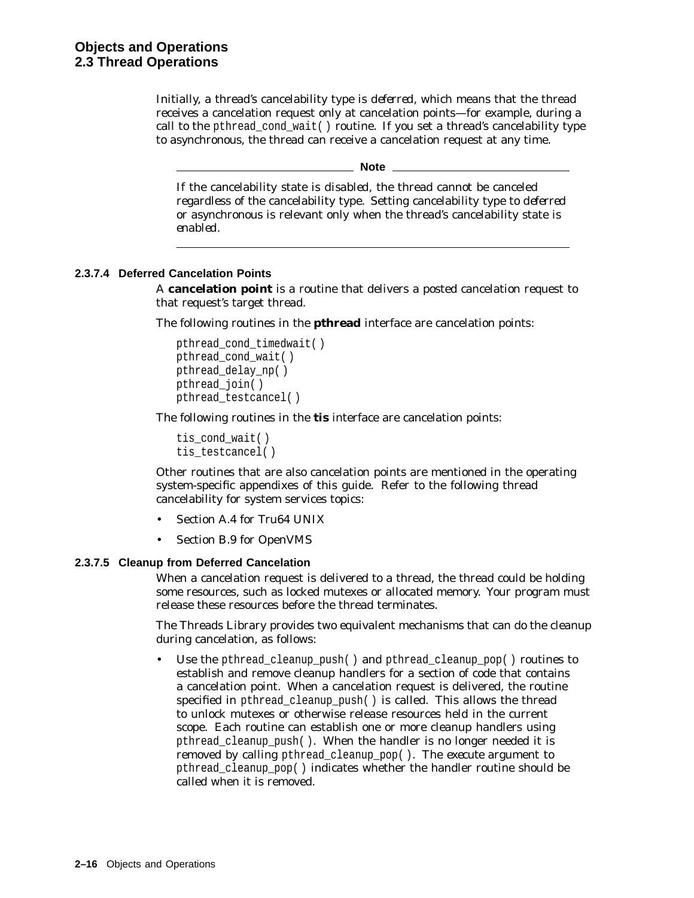Initially, a thread's cancelability type is *deferred*, which means that the thread receives a cancelation request only at cancelation points—for example, during a call to the pthread\_cond\_wait( ) routine. If you set a thread's cancelability type to *asynchronous*, the thread can receive a cancelation request at any time.

**Note** \_\_\_\_\_\_

If the cancelability state is *disabled*, the thread cannot be canceled regardless of the cancelability type. Setting cancelability type to *deferred* or *asynchronous* is relevant only when the thread's cancelability state is *enabled*.

#### **2.3.7.4 Deferred Cancelation Points**

A **cancelation point** is a routine that delivers a posted cancelation request to that request's target thread.

The following routines in the **pthread** interface are cancelation points:

```
pthread_cond_timedwait( )
pthread_cond_wait( )
pthread_delay_np( )
pthread_join( )
pthread_testcancel( )
```
The following routines in the **tis** interface are cancelation points:

```
tis cond wait( )
tis testcancel()
```
Other routines that are also cancelation points are mentioned in the operating system-specific appendixes of this guide. Refer to the following thread cancelability for system services topics:

- Section A.4 for Tru64 UNIX
- Section B.9 for OpenVMS

#### **2.3.7.5 Cleanup from Deferred Cancelation**

When a cancelation request is delivered to a thread, the thread could be holding some resources, such as locked mutexes or allocated memory. Your program must release these resources before the thread terminates.

The Threads Library provides two equivalent mechanisms that can do the cleanup during cancelation, as follows:

Use the pthread\_cleanup\_push() and pthread\_cleanup\_pop() routines to establish and remove cleanup handlers for a section of code that contains a cancelation point. When a cancelation request is delivered, the routine specified in pthread cleanup  $push()$  is called. This allows the thread to unlock mutexes or otherwise release resources held in the current scope. Each routine can establish one or more cleanup handlers using pthread\_cleanup\_push( ). When the handler is no longer needed it is removed by calling pthread\_cleanup\_pop( ). The *execute* argument to pthread\_cleanup\_pop( ) indicates whether the handler routine should be called when it is removed.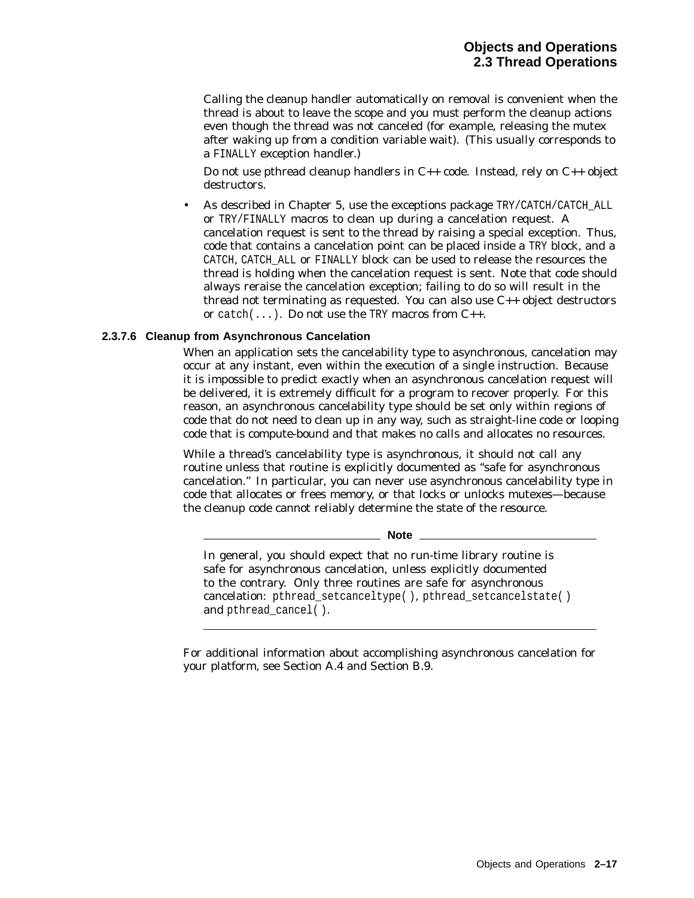Calling the cleanup handler automatically on removal is convenient when the thread is about to leave the scope and you must perform the cleanup actions even though the thread was not canceled (for example, releasing the mutex after waking up from a condition variable wait). (This usually corresponds to a FINALLY exception handler.)

Do not use pthread cleanup handlers in C++ code. Instead, rely on C++ object destructors.

As described in Chapter 5, use the exceptions package TRY/CATCH/CATCH\_ALL or TRY/FINALLY macros to clean up during a cancelation request. A cancelation request is sent to the thread by raising a special exception. Thus, code that contains a cancelation point can be placed inside a TRY block, and a CATCH, CATCH\_ALL or FINALLY block can be used to release the resources the thread is holding when the cancelation request is sent. Note that code should always reraise the cancelation exception; failing to do so will result in the thread not terminating as requested. You can also use  $C_{++}$  object destructors or catch( $\ldots$ ). Do not use the TRY macros from  $C_{++}$ .

#### **2.3.7.6 Cleanup from Asynchronous Cancelation**

When an application sets the cancelability type to asynchronous, cancelation may occur at any instant, even within the execution of a single instruction. Because it is impossible to predict exactly when an asynchronous cancelation request will be delivered, it is extremely difficult for a program to recover properly. For this reason, an asynchronous cancelability type should be set only within regions of code that do not need to clean up in any way, such as straight-line code or looping code that is compute-bound and that makes no calls and allocates no resources.

While a thread's cancelability type is asynchronous, it should not call any routine unless that routine is explicitly documented as ''safe for asynchronous cancelation.'' In particular, you can never use asynchronous cancelability type in code that allocates or frees memory, or that locks or unlocks mutexes—because the cleanup code cannot reliably determine the state of the resource.

**Note**

In general, you should expect that no run-time library routine is safe for asynchronous cancelation, unless explicitly documented to the contrary. Only three routines are safe for asynchronous cancelation: pthread\_setcanceltype( ), pthread\_setcancelstate( ) and pthread cancel( ).

For additional information about accomplishing asynchronous cancelation for your platform, see Section A.4 and Section B.9.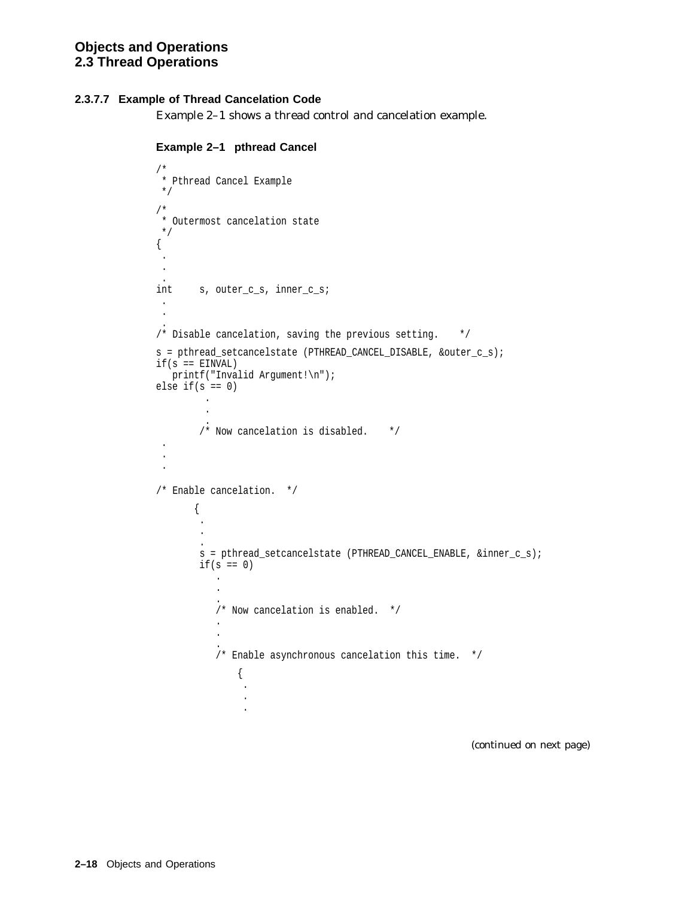## **2.3.7.7 Example of Thread Cancelation Code**

Example 2–1 shows a thread control and cancelation example.

```
Example 2–1 pthread Cancel
```

```
/*
 * Pthread Cancel Example
*/
/*
 * Outermost cancelation state
 */
{
 .
 .
 .
int s, outer_c_s, inner_c_s;
 .
 .
 .
/* Disable cancelation, saving the previous setting. */
s = pthread_setcancelstate (PTHREAD_CANCEL_DISABLE, &outer_c_s);
if(s == EINVAL)printf("Invalid Argument!\n");
else if(s == 0)
         .
         .
         .
       /* Now cancelation is disabled. */ .
 .
 .
/* Enable cancelation. */
       {
        .
        .
        .
        s = pthread_setcancelstate (PTHREAD_CANCEL_ENABLE, &inner_c_s);
        if(s == 0).
           .
           .
           /* Now cancelation is enabled. */
           .
           .
           .
           /* Enable asynchronous cancelation this time. */
               {
                .
                .
                .
```
(continued on next page)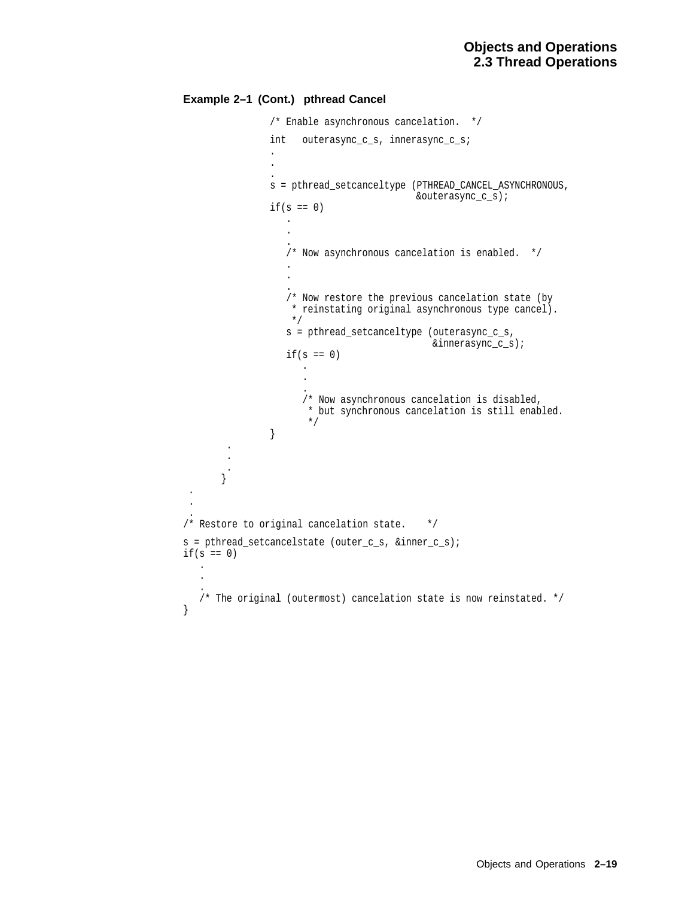## **Example 2–1 (Cont.) pthread Cancel**

. . .

}

```
/* Enable asynchronous cancelation. */
                int outerasync_c_s, innerasync_c_s;
                .
                .
                .
                s = pthread_setcanceltype (PTHREAD_CANCEL_ASYNCHRONOUS,
                                           &outerasync_c_s);
                if(s == 0).
                   .
                   .
                   /* Now asynchronous cancelation is enabled. */
                   .
                   .
                   .
                   /* Now restore the previous cancelation state (by
                   * reinstating original asynchronous type cancel).
                    \star /
                   s = pthread_setcanceltype (outerasync_c_s,
                                              &innerasync_c_s);
                   if(s == 0).
                       .
                       .
                       /* Now asynchronous cancelation is disabled,
                       * but synchronous cancelation is still enabled.
                       */
                } .
        .
        .
       } /* Restore to original cancelation state. */
s = pthread_setcancelstate (outer_c_s, &inner_c_s);
if(s == 0).
   .
   .
   /* The original (outermost) cancelation state is now reinstated. */
```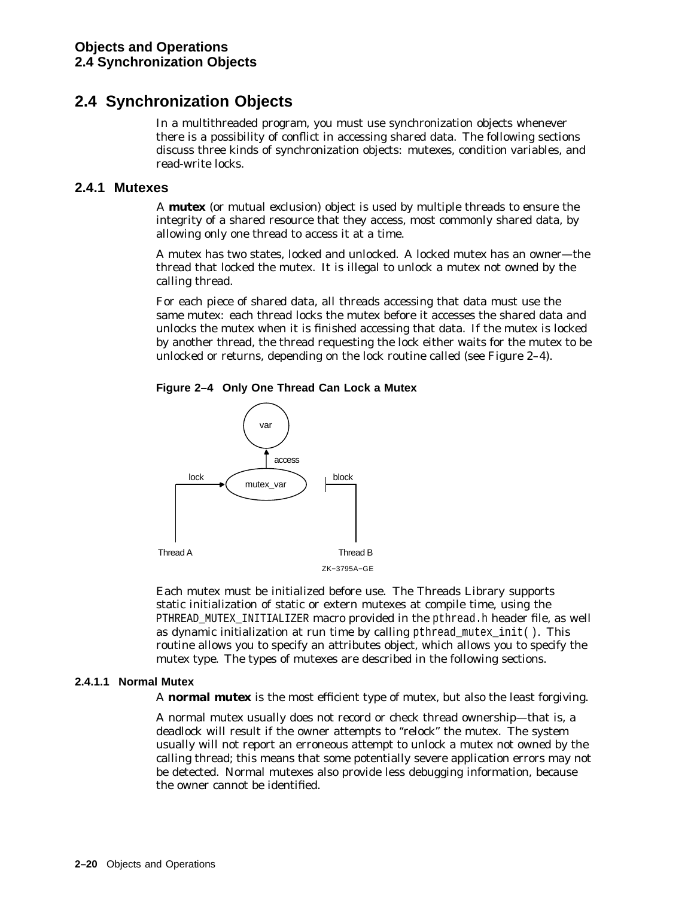# **2.4 Synchronization Objects**

In a multithreaded program, you must use synchronization objects whenever there is a possibility of conflict in accessing shared data. The following sections discuss three kinds of synchronization objects: mutexes, condition variables, and read-write locks.

# **2.4.1 Mutexes**

A **mutex** (or *mut*ual *ex*clusion) object is used by multiple threads to ensure the integrity of a shared resource that they access, most commonly shared data, by allowing only one thread to access it at a time.

A mutex has two states, locked and unlocked. A locked mutex has an owner—the thread that locked the mutex. It is illegal to unlock a mutex not owned by the calling thread.

For each piece of shared data, all threads accessing that data must use the same mutex: each thread locks the mutex before it accesses the shared data and unlocks the mutex when it is finished accessing that data. If the mutex is locked by another thread, the thread requesting the lock either waits for the mutex to be unlocked or returns, depending on the lock routine called (see Figure 2–4).





Each mutex must be initialized before use. The Threads Library supports static initialization of static or extern mutexes at compile time, using the PTHREAD MUTEX INITIALIZER macro provided in the pthread.h header file, as well as dynamic initialization at run time by calling pthread\_mutex\_init( ). This routine allows you to specify an attributes object, which allows you to specify the mutex type. The types of mutexes are described in the following sections.

## **2.4.1.1 Normal Mutex**

A **normal mutex** is the most efficient type of mutex, but also the least forgiving.

A normal mutex usually does not record or check thread ownership—that is, a deadlock will result if the owner attempts to ''relock'' the mutex. The system usually will not report an erroneous attempt to unlock a mutex not owned by the calling thread; this means that some potentially severe application errors may not be detected. Normal mutexes also provide less debugging information, because the owner cannot be identified.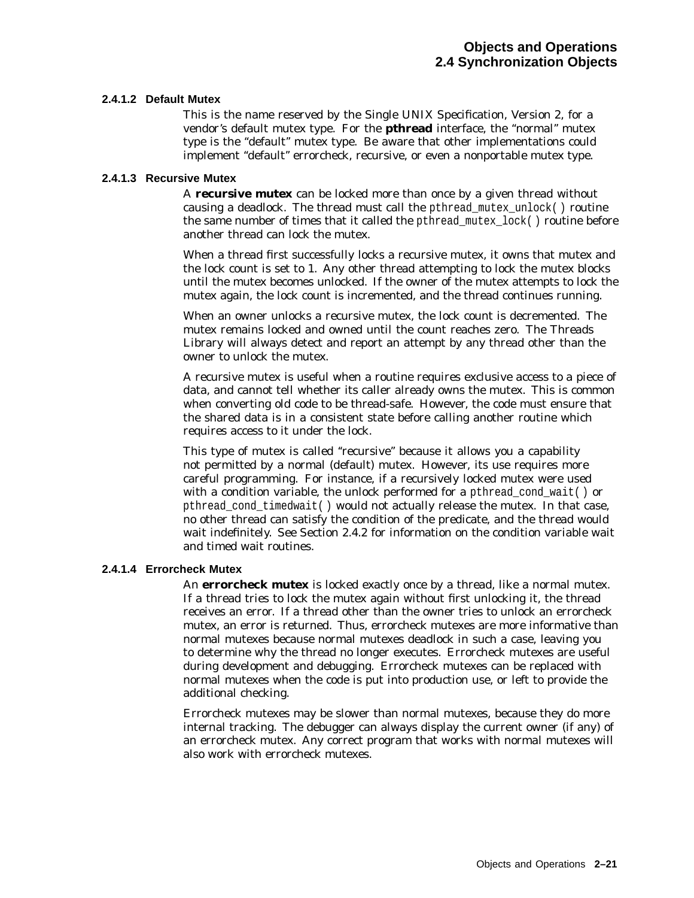#### **2.4.1.2 Default Mutex**

This is the name reserved by the Single UNIX Specification, Version 2, for a vendor's default mutex type. For the **pthread** interface, the ''normal'' mutex type is the "default" mutex type. Be aware that other implementations could implement "default" errorcheck, recursive, or even a nonportable mutex type.

#### **2.4.1.3 Recursive Mutex**

A **recursive mutex** can be locked more than once by a given thread without causing a deadlock. The thread must call the pthread\_mutex\_unlock( ) routine the same number of times that it called the pthread\_mutex\_lock( ) routine before another thread can lock the mutex.

When a thread first successfully locks a recursive mutex, it owns that mutex and the lock count is set to 1. Any other thread attempting to lock the mutex blocks until the mutex becomes unlocked. If the owner of the mutex attempts to lock the mutex again, the lock count is incremented, and the thread continues running.

When an owner unlocks a recursive mutex, the lock count is decremented. The mutex remains locked and owned until the count reaches zero. The Threads Library will always detect and report an attempt by any thread other than the owner to unlock the mutex.

A recursive mutex is useful when a routine requires exclusive access to a piece of data, and cannot tell whether its caller already owns the mutex. This is common when converting old code to be thread-safe. However, the code must ensure that the shared data is in a consistent state before calling another routine which requires access to it under the lock.

This type of mutex is called ''recursive'' because it allows you a capability not permitted by a normal (default) mutex. However, its use requires more careful programming. For instance, if a recursively locked mutex were used with a condition variable, the unlock performed for a pthread\_cond\_wait() or pthread\_cond\_timedwait( ) would not actually release the mutex. In that case, no other thread can satisfy the condition of the predicate, and the thread would wait indefinitely. See Section 2.4.2 for information on the condition variable wait and timed wait routines.

#### **2.4.1.4 Errorcheck Mutex**

An **errorcheck mutex** is locked exactly once by a thread, like a normal mutex. If a thread tries to lock the mutex again without first unlocking it, the thread receives an error. If a thread other than the owner tries to unlock an errorcheck mutex, an error is returned. Thus, errorcheck mutexes are more informative than normal mutexes because normal mutexes deadlock in such a case, leaving you to determine why the thread no longer executes. Errorcheck mutexes are useful during development and debugging. Errorcheck mutexes can be replaced with normal mutexes when the code is put into production use, or left to provide the additional checking.

Errorcheck mutexes may be slower than normal mutexes, because they do more internal tracking. The debugger can always display the current owner (if any) of an errorcheck mutex. Any correct program that works with *normal* mutexes will also work with errorcheck mutexes.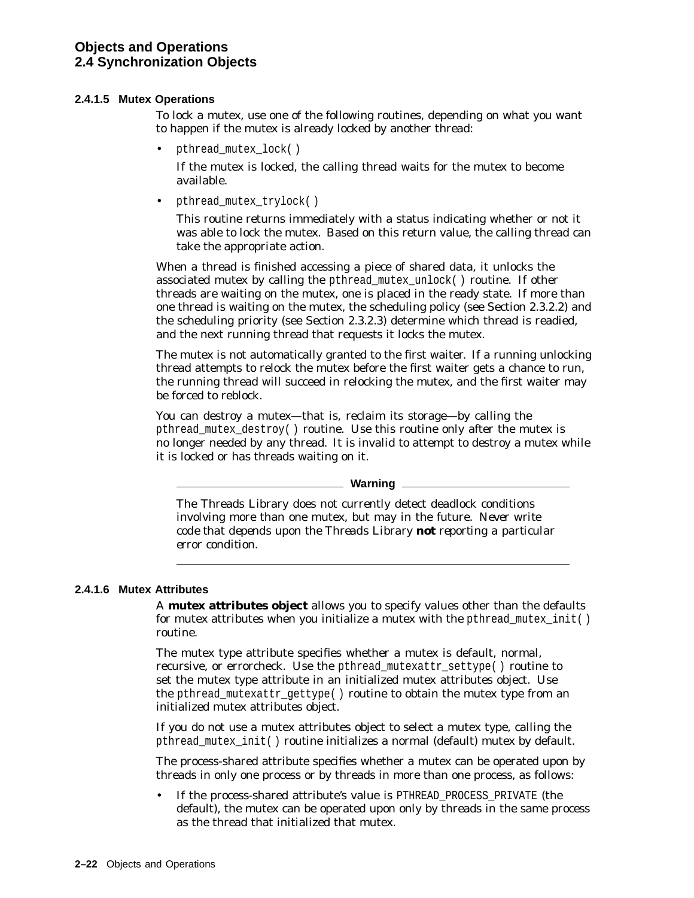#### **2.4.1.5 Mutex Operations**

To lock a mutex, use one of the following routines, depending on what you want to happen if the mutex is already locked by another thread:

• pthread mutex lock()

If the mutex is locked, the calling thread waits for the mutex to become available.

• pthread mutex trylock()

This routine returns immediately with a status indicating whether or not it was able to lock the mutex. Based on this return value, the calling thread can take the appropriate action.

When a thread is finished accessing a piece of shared data, it unlocks the associated mutex by calling the pthread\_mutex\_unlock( ) routine. If other threads are waiting on the mutex, one is placed in the ready state. If more than one thread is waiting on the mutex, the scheduling policy (see Section 2.3.2.2) and the scheduling priority (see Section 2.3.2.3) determine which thread is readied, and the next running thread that requests it locks the mutex.

The mutex is not automatically granted to the first waiter. If a running unlocking thread attempts to relock the mutex before the first waiter gets a chance to run, the running thread will succeed in relocking the mutex, and the first waiter may be forced to reblock.

You can destroy a mutex—that is, reclaim its storage—by calling the pthread\_mutex\_destroy( ) routine. Use this routine only after the mutex is no longer needed by any thread. It is invalid to attempt to destroy a mutex while it is locked or has threads waiting on it.

**Warning**

The Threads Library does not currently detect deadlock conditions involving more than one mutex, but may in the future. *Never write code that depends upon the Threads Library not reporting a particular error condition.*

#### **2.4.1.6 Mutex Attributes**

A **mutex attributes object** allows you to specify values other than the defaults for mutex attributes when you initialize a mutex with the pthread\_mutex\_init() routine.

The mutex type attribute specifies whether a mutex is default, normal, recursive, or errorcheck. Use the pthread\_mutexattr\_settype( ) routine to set the mutex type attribute in an initialized mutex attributes object. Use the pthread mutexattr  $q$ ettype( ) routine to obtain the mutex type from an initialized mutex attributes object.

If you do not use a mutex attributes object to select a mutex type, calling the pthread\_mutex\_init( ) routine initializes a normal (default) mutex by default.

The process-shared attribute specifies whether a mutex can be operated upon by threads in only one process or by threads in more than one process, as follows:

If the process-shared attribute's value is PTHREAD\_PROCESS\_PRIVATE (the default), the mutex can be operated upon only by threads in the same process as the thread that initialized that mutex.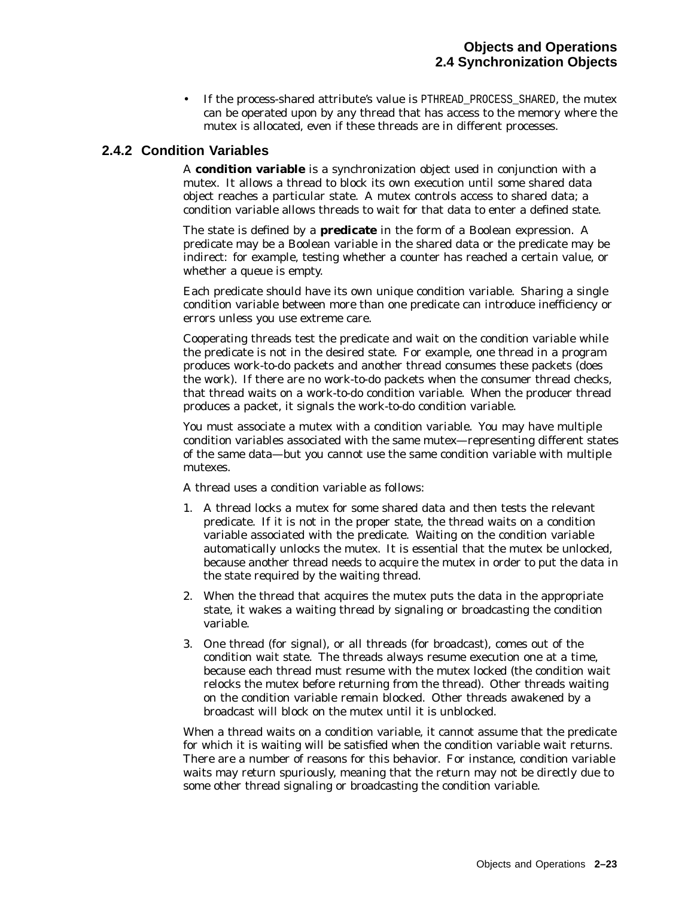If the process-shared attribute's value is PTHREAD\_PROCESS\_SHARED, the mutex can be operated upon by any thread that has access to the memory where the mutex is allocated, even if these threads are in different processes.

# **2.4.2 Condition Variables**

A **condition variable** is a synchronization object used in conjunction with a mutex. It allows a thread to block its own execution until some shared data object reaches a particular state. A mutex controls access to shared data; a condition variable allows threads to wait for that data to enter a defined state.

The state is defined by a **predicate** in the form of a Boolean expression. A predicate may be a Boolean variable in the shared data or the predicate may be indirect: for example, testing whether a counter has reached a certain value, or whether a queue is empty.

Each predicate should have its own unique condition variable. Sharing a single condition variable between more than one predicate can introduce inefficiency or errors unless you use extreme care.

Cooperating threads test the predicate and wait on the condition variable while the predicate is not in the desired state. For example, one thread in a program produces work-to-do packets and another thread consumes these packets (does the work). If there are no work-to-do packets when the consumer thread checks, that thread waits on a work-to-do condition variable. When the producer thread produces a packet, it signals the work-to-do condition variable.

You must associate a mutex with a condition variable. You may have multiple condition variables associated with the same mutex—representing different states of the same data—but you cannot use the same condition variable with multiple mutexes.

A thread uses a condition variable as follows:

- 1. A thread locks a mutex for some shared data and then tests the relevant predicate. If it is not in the proper state, the thread waits on a condition variable associated with the predicate. Waiting on the condition variable automatically unlocks the mutex. It is essential that the mutex be unlocked, because another thread needs to acquire the mutex in order to put the data in the state required by the waiting thread.
- 2. When the thread that acquires the mutex puts the data in the appropriate state, it wakes a waiting thread by signaling or broadcasting the condition variable.
- 3. One thread (for signal), or all threads (for broadcast), comes out of the condition wait state. The threads always resume execution one at a time, because each thread must resume with the mutex locked (the condition wait relocks the mutex before returning from the thread). Other threads waiting on the condition variable remain blocked. Other threads awakened by a broadcast will block on the mutex until it is unblocked.

When a thread waits on a condition variable, it cannot assume that the predicate for which it is waiting will be satisfied when the condition variable wait returns. There are a number of reasons for this behavior. For instance, condition variable waits may return spuriously, meaning that the return may not be directly due to some other thread signaling or broadcasting the condition variable.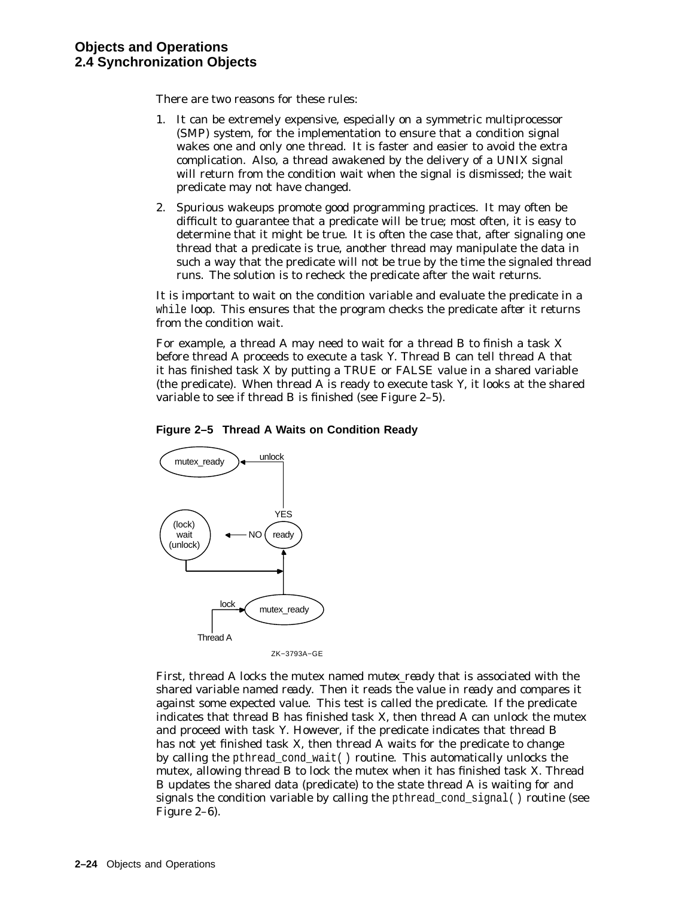There are two reasons for these rules:

- 1. It can be extremely expensive, especially on a symmetric multiprocessor (SMP) system, for the implementation to ensure that a condition signal wakes one and only one thread. It is faster and easier to avoid the extra complication. Also, a thread awakened by the delivery of a UNIX signal will return from the condition wait when the signal is dismissed; the wait predicate may not have changed.
- 2. Spurious wakeups promote good programming practices. It may often be difficult to guarantee that a predicate will be true; most often, it is easy to determine that it might be true. It is often the case that, after signaling one thread that a predicate is true, another thread may manipulate the data in such a way that the predicate will not be true by the time the signaled thread runs. The solution is to recheck the predicate after the wait returns.

It is important to wait on the condition variable and evaluate the predicate in a while loop. This ensures that the program checks the predicate *after* it returns from the condition wait.

For example, a thread A may need to wait for a thread B to finish a task X before thread A proceeds to execute a task Y. Thread B can tell thread A that it has finished task X by putting a TRUE or FALSE value in a shared variable (the predicate). When thread A is ready to execute task Y, it looks at the shared variable to see if thread B is finished (see Figure 2–5).





ZK−3793A−GE

First, thread A locks the mutex named *mutex\_ready* that is associated with the shared variable named *ready*. Then it reads the value in *ready* and compares it against some expected value. This test is called the predicate. If the predicate indicates that thread B has finished task X, then thread A can unlock the mutex and proceed with task Y. However, if the predicate indicates that thread B has not yet finished task X, then thread A waits for the predicate to change by calling the pthread\_cond\_wait( ) routine. This automatically unlocks the mutex, allowing thread B to lock the mutex when it has finished task X. Thread B updates the shared data (predicate) to the state thread A is waiting for and signals the condition variable by calling the pthread\_cond\_signal( ) routine (see Figure 2–6).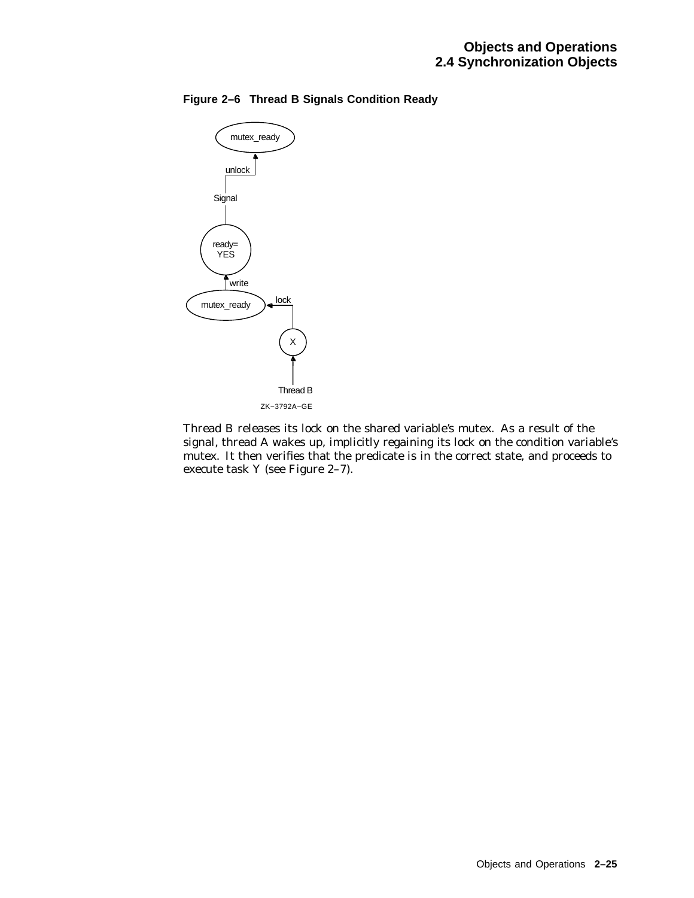

## **Figure 2–6 Thread B Signals Condition Ready**

Thread B releases its lock on the shared variable's mutex. As a result of the signal, thread A wakes up, implicitly regaining its lock on the condition variable's mutex. It then verifies that the predicate is in the correct state, and proceeds to execute task Y (see Figure 2–7).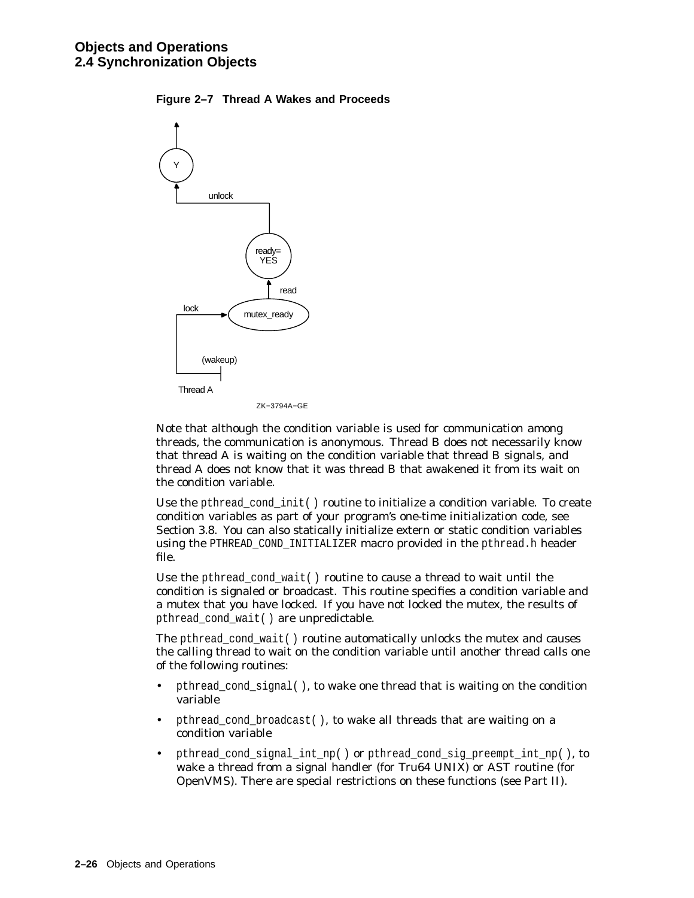



Note that although the condition variable is used for communication among threads, the communication is anonymous. Thread B does not necessarily know that thread A is waiting on the condition variable that thread B signals, and thread A does not know that it was thread B that awakened it from its wait on the condition variable.

Use the pthread\_cond\_init( ) routine to initialize a condition variable. To create condition variables as part of your program's one-time initialization code, see Section 3.8. You can also statically initialize extern or static condition variables using the PTHREAD COND INITIALIZER macro provided in the pthread.h header file.

Use the pthread\_cond\_wait( ) routine to cause a thread to wait until the condition is signaled or broadcast. This routine specifies a condition variable and a mutex that you have locked. If you have not locked the mutex, the results of pthread\_cond\_wait( ) are unpredictable.

The pthread\_cond\_wait( ) routine automatically unlocks the mutex and causes the calling thread to wait on the condition variable until another thread calls one of the following routines:

- pthread\_cond\_signal( ), to wake one thread that is waiting on the condition variable
- pthread\_cond\_broadcast( ), to wake all threads that are waiting on a condition variable
- pthread\_cond\_signal\_int\_np( ) or pthread\_cond\_sig\_preempt\_int\_np( ), to wake a thread from a signal handler (for Tru64 UNIX) or AST routine (for OpenVMS). There are special restrictions on these functions (see Part II).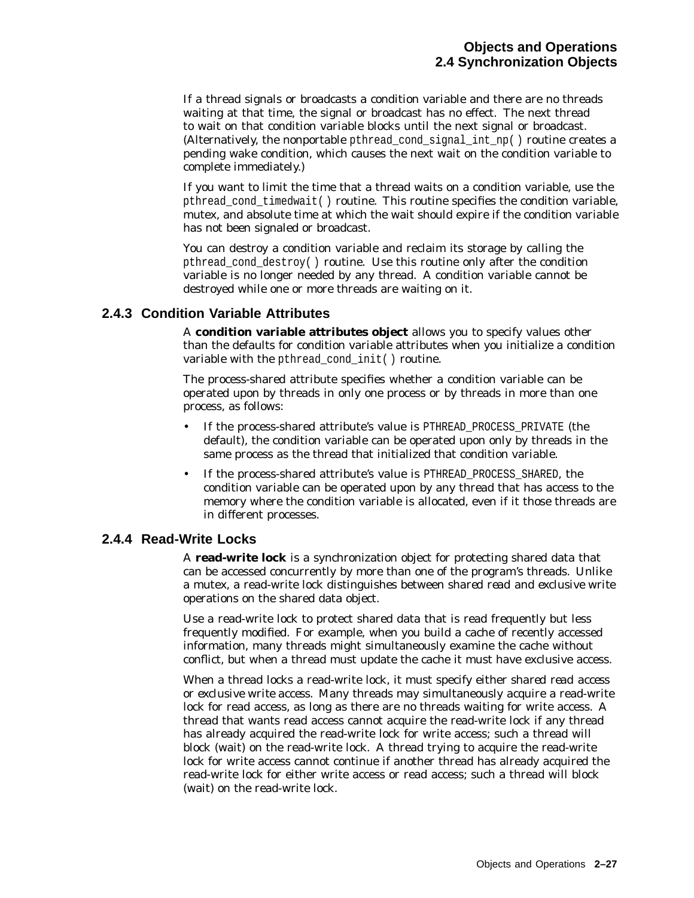If a thread signals or broadcasts a condition variable and there are no threads waiting at that time, the signal or broadcast has no effect. The next thread to wait on that condition variable blocks until the next signal or broadcast. (Alternatively, the nonportable pthread cond signal int  $np()$  routine creates a pending wake condition, which causes the next wait on the condition variable to complete immediately.)

If you want to limit the time that a thread waits on a condition variable, use the pthread\_cond\_timedwait( ) routine. This routine specifies the condition variable, mutex, and absolute time at which the wait should expire if the condition variable has not been signaled or broadcast.

You can destroy a condition variable and reclaim its storage by calling the pthread\_cond\_destroy( ) routine. Use this routine only after the condition variable is no longer needed by any thread. A condition variable cannot be destroyed while one or more threads are waiting on it.

## **2.4.3 Condition Variable Attributes**

A **condition variable attributes object** allows you to specify values other than the defaults for condition variable attributes when you initialize a condition variable with the pthread cond init( ) routine.

The process-shared attribute specifies whether a condition variable can be operated upon by threads in only one process or by threads in more than one process, as follows:

- If the process-shared attribute's value is PTHREAD\_PROCESS\_PRIVATE (the default), the condition variable can be operated upon only by threads in the same process as the thread that initialized that condition variable.
- If the process-shared attribute's value is PTHREAD\_PROCESS\_SHARED, the condition variable can be operated upon by any thread that has access to the memory where the condition variable is allocated, even if it those threads are in different processes.

## **2.4.4 Read-Write Locks**

A **read-write lock** is a synchronization object for protecting shared data that can be accessed concurrently by more than one of the program's threads. Unlike a mutex, a read-write lock distinguishes between *shared read* and *exclusive write* operations on the shared data object.

Use a read-write lock to protect shared data that is read frequently but less frequently modified. For example, when you build a cache of recently accessed information, many threads might simultaneously examine the cache without conflict, but when a thread must update the cache it must have exclusive access.

When a thread locks a read-write lock, it must specify either *shared read access* or *exclusive write access*. Many threads may simultaneously acquire a read-write lock for read access, as long as there are no threads waiting for write access. A thread that wants read access cannot acquire the read-write lock if any thread has already acquired the read-write lock for write access; such a thread will block (wait) on the read-write lock. A thread trying to acquire the read-write lock for write access cannot continue if another thread has already acquired the read-write lock for either write access or read access; such a thread will block (wait) on the read-write lock.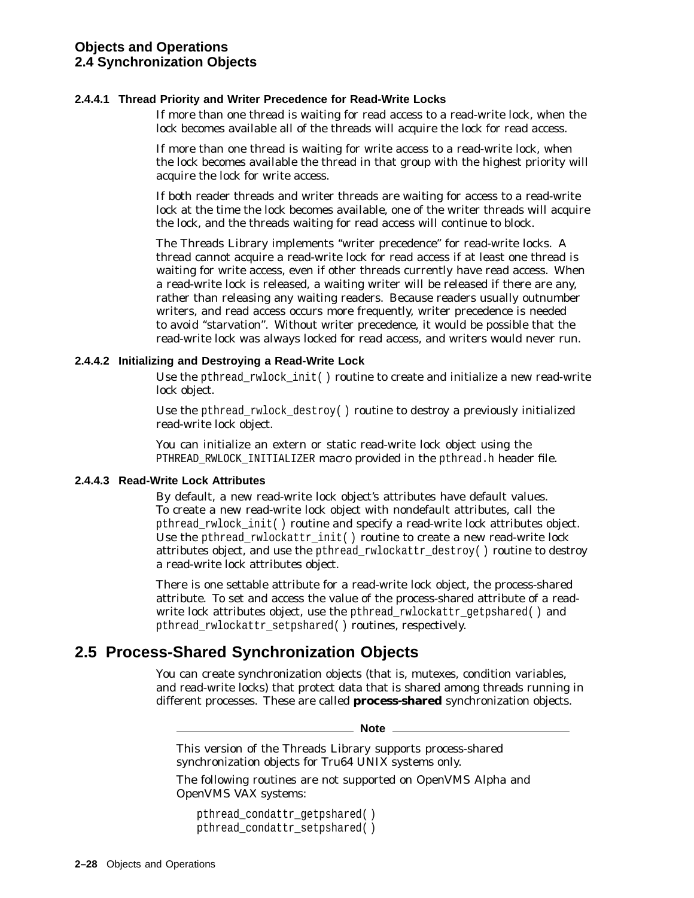#### **2.4.4.1 Thread Priority and Writer Precedence for Read-Write Locks**

If more than one thread is waiting for read access to a read-write lock, when the lock becomes available all of the threads will acquire the lock for read access.

If more than one thread is waiting for write access to a read-write lock, when the lock becomes available the thread in that group with the highest priority will acquire the lock for write access.

If both reader threads and writer threads are waiting for access to a read-write lock at the time the lock becomes available, one of the writer threads will acquire the lock, and the threads waiting for read access will continue to block.

The Threads Library implements ''writer precedence'' for read-write locks. A thread cannot acquire a read-write lock for read access if at least one thread is waiting for write access, even if other threads currently have read access. When a read-write lock is released, a waiting writer will be released if there are any, rather than releasing any waiting readers. Because readers usually outnumber writers, and read access occurs more frequently, writer precedence is needed to avoid ''starvation''. Without writer precedence, it would be possible that the read-write lock was always locked for read access, and writers would never run.

#### **2.4.4.2 Initializing and Destroying a Read-Write Lock**

Use the pthread rwlock init() routine to create and initialize a new read-write lock object.

Use the pthread\_rwlock\_destroy( ) routine to destroy a previously initialized read-write lock object.

You can initialize an extern or static read-write lock object using the PTHREAD\_RWLOCK\_INITIALIZER macro provided in the pthread.h header file.

#### **2.4.4.3 Read-Write Lock Attributes**

By default, a new read-write lock object's attributes have default values. To create a new read-write lock object with nondefault attributes, call the pthread\_rwlock\_init( ) routine and specify a read-write lock attributes object. Use the pthread\_rwlockattr\_init( ) routine to create a new read-write lock attributes object, and use the pthread\_rwlockattr\_destroy( ) routine to destroy a read-write lock attributes object.

There is one settable attribute for a read-write lock object, the process-shared attribute. To set and access the value of the process-shared attribute of a readwrite lock attributes object, use the pthread\_rwlockattr\_getpshared() and pthread rwlockattr setpshared( ) routines, respectively.

# **2.5 Process-Shared Synchronization Objects**

You can create synchronization objects (that is, mutexes, condition variables, and read-write locks) that protect data that is shared among threads running in different processes. These are called **process-shared** synchronization objects.

#### **Note**

This version of the Threads Library supports process-shared synchronization objects for Tru64 UNIX systems only.

The following routines are not supported on OpenVMS Alpha and OpenVMS VAX systems:

```
pthread_condattr_getpshared( )
pthread_condattr_setpshared( )
```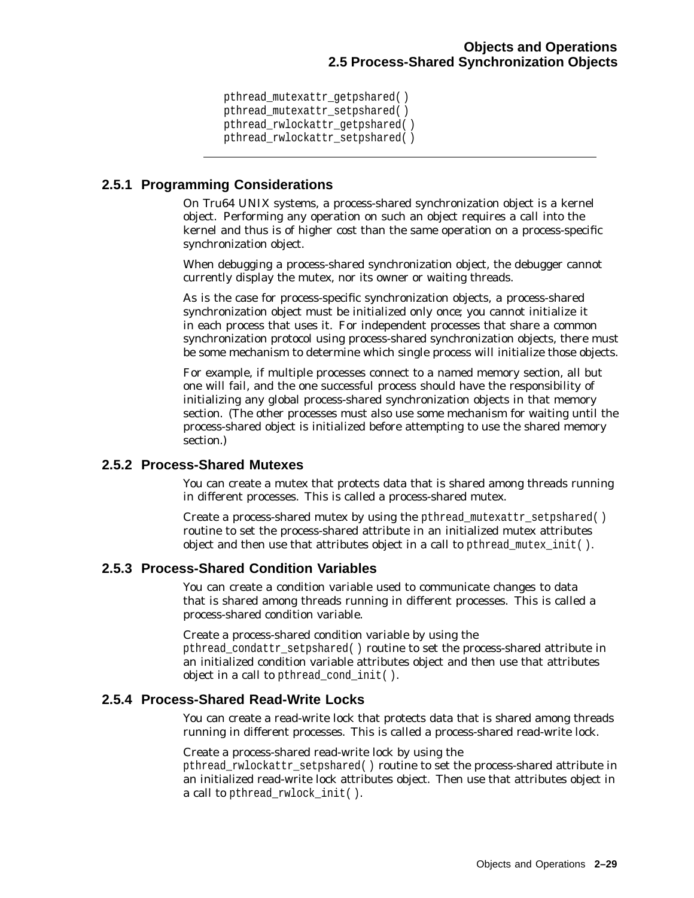pthread\_mutexattr\_getpshared( ) pthread mutexattr setpshared( ) pthread\_rwlockattr\_getpshared( ) pthread\_rwlockattr\_setpshared( )

# **2.5.1 Programming Considerations**

On Tru64 UNIX systems, a process-shared synchronization object is a kernel object. Performing any operation on such an object requires a call into the kernel and thus is of higher cost than the same operation on a process-specific synchronization object.

When debugging a process-shared synchronization object, the debugger cannot currently display the mutex, nor its owner or waiting threads.

As is the case for process-specific synchronization objects, a process-shared synchronization object must be initialized only *once*; you cannot initialize it in each process that uses it. For independent processes that share a common synchronization protocol using process-shared synchronization objects, there must be some mechanism to determine which single process will initialize those objects.

For example, if multiple processes connect to a named memory section, all but one will fail, and the one successful process should have the responsibility of initializing any global process-shared synchronization objects in that memory section. (The other processes must also use some mechanism for waiting until the process-shared object is initialized before attempting to use the shared memory section.)

# **2.5.2 Process-Shared Mutexes**

You can create a mutex that protects data that is shared among threads running in different processes. This is called a process-shared mutex.

Create a process-shared mutex by using the pthread mutexattr setpshared() routine to set the process-shared attribute in an initialized mutex attributes object and then use that attributes object in a call to pthread mutex init( ).

# **2.5.3 Process-Shared Condition Variables**

You can create a condition variable used to communicate changes to data that is shared among threads running in different processes. This is called a process-shared condition variable.

Create a process-shared condition variable by using the

pthread\_condattr\_setpshared( ) routine to set the process-shared attribute in an initialized condition variable attributes object and then use that attributes object in a call to pthread cond init( ).

# **2.5.4 Process-Shared Read-Write Locks**

You can create a read-write lock that protects data that is shared among threads running in different processes. This is called a process-shared read-write lock.

Create a process-shared read-write lock by using the

pthread rwlockattr\_setpshared( ) routine to set the process-shared attribute in an initialized read-write lock attributes object. Then use that attributes object in a call to pthread rwlock init( ).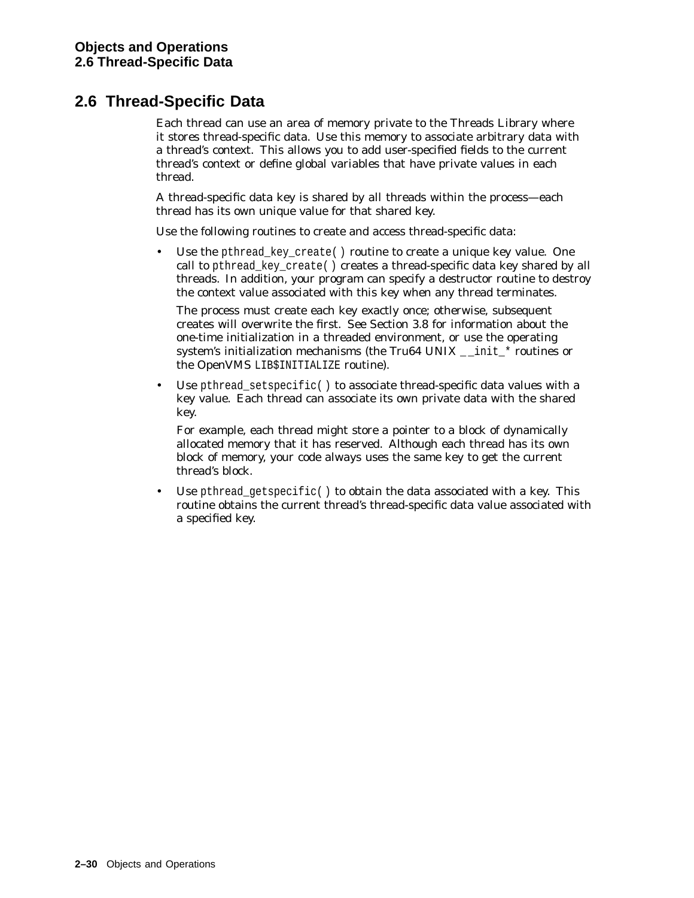# **2.6 Thread-Specific Data**

Each thread can use an area of memory private to the Threads Library where it stores thread-specific data. Use this memory to associate arbitrary data with a thread's context. This allows you to add user-specified fields to the current thread's context or define global variables that have private values in each thread.

A thread-specific data key is shared by all threads within the process—each thread has its own unique value for that shared key.

Use the following routines to create and access thread-specific data:

Use the pthread\_key\_create() routine to create a unique key value. One call to pthread\_key\_create( ) creates a thread-specific data key shared by all threads. In addition, your program can specify a destructor routine to destroy the context value associated with this key when any thread terminates.

The process must create each key exactly once; otherwise, subsequent creates will overwrite the first. See Section 3.8 for information about the one-time initialization in a threaded environment, or use the operating system's initialization mechanisms (the Tru64 UNIX  $\quad$  init  $*$  routines or the OpenVMS LIB\$INITIALIZE routine).

Use pthread\_setspecific( ) to associate thread-specific data values with a key value. Each thread can associate its own private data with the shared key.

For example, each thread might store a pointer to a block of dynamically allocated memory that it has reserved. Although each thread has its own block of memory, your code always uses the same key to get the current thread's block.

Use pthread\_getspecific() to obtain the data associated with a key. This routine obtains the current thread's thread-specific data value associated with a specified key.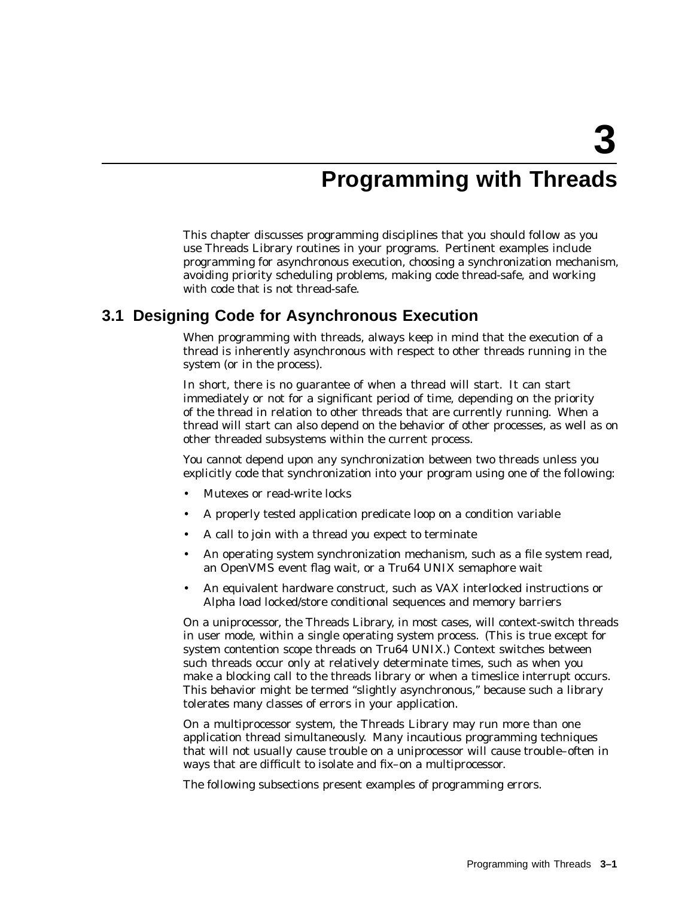# **Programming with Threads**

This chapter discusses programming disciplines that you should follow as you use Threads Library routines in your programs. Pertinent examples include programming for asynchronous execution, choosing a synchronization mechanism, avoiding priority scheduling problems, making code thread-safe, and working with code that is not thread-safe.

# **3.1 Designing Code for Asynchronous Execution**

When programming with threads, always keep in mind that the execution of a thread is inherently asynchronous with respect to other threads running in the system (or in the process).

In short, there is no guarantee of when a thread will start. It can start immediately or not for a significant period of time, depending on the priority of the thread in relation to other threads that are currently running. When a thread will start can also depend on the behavior of other processes, as well as on other threaded subsystems within the current process.

You *cannot* depend upon any synchronization between two threads unless you explicitly code that synchronization into your program using one of the following:

- Mutexes or read-write locks
- A properly tested application predicate loop on a condition variable
- A call to join with a thread you expect to terminate
- An operating system synchronization mechanism, such as a file system read, an OpenVMS event flag wait, or a Tru64 UNIX semaphore wait
- An equivalent hardware construct, such as VAX interlocked instructions or Alpha load locked/store conditional sequences and memory barriers

On a uniprocessor, the Threads Library, in most cases, will context-switch threads in user mode, within a single operating system process. (This is true except for system contention scope threads on Tru64 UNIX.) Context switches between such threads occur only at relatively determinate times, such as when you make a blocking call to the threads library or when a timeslice interrupt occurs. This behavior might be termed ''slightly asynchronous,'' because such a library tolerates many classes of errors in your application.

On a multiprocessor system, the Threads Library may run more than one application thread simultaneously. Many incautious programming techniques that will not usually cause trouble on a uniprocessor will cause trouble–often in ways that are difficult to isolate and fix–on a multiprocessor.

The following subsections present examples of programming errors.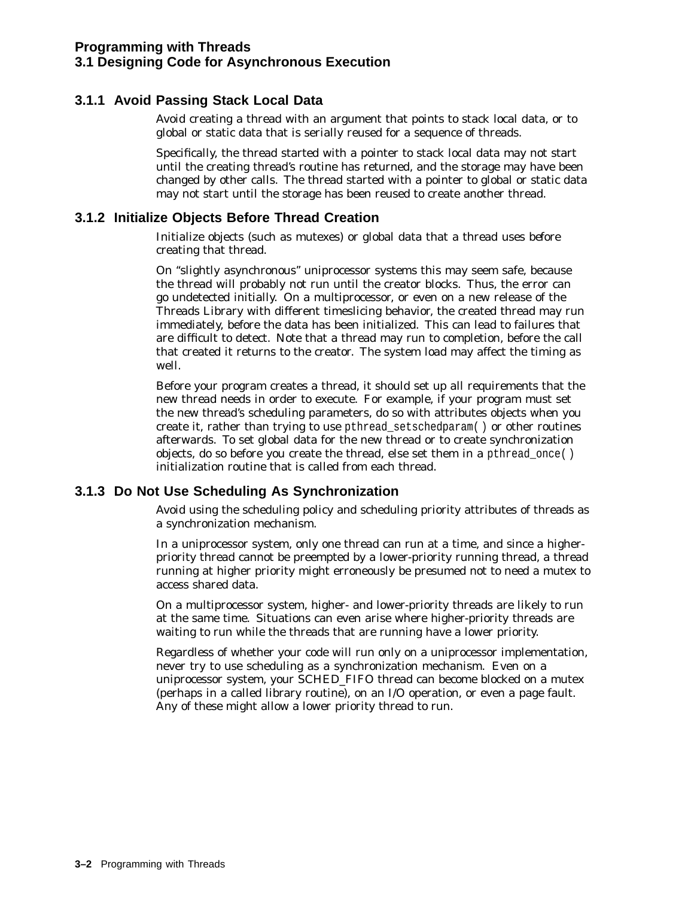# **3.1.1 Avoid Passing Stack Local Data**

Avoid creating a thread with an argument that points to stack local data, or to global or static data that is serially reused for a sequence of threads.

Specifically, the thread started with a pointer to stack local data may not start until the creating thread's routine has returned, and the storage may have been changed by other calls. The thread started with a pointer to global or static data may not start until the storage has been reused to create another thread.

# **3.1.2 Initialize Objects Before Thread Creation**

Initialize objects (such as mutexes) or global data that a thread uses *before* creating that thread.

On ''slightly asynchronous'' uniprocessor systems this may seem safe, because the thread will probably not run until the creator blocks. Thus, the error can go undetected initially. On a multiprocessor, or even on a new release of the Threads Library with different timeslicing behavior, the created thread may run immediately, before the data has been initialized. This can lead to failures that are difficult to detect. Note that a thread may run to completion, before the call that created it returns to the creator. The system load may affect the timing as well.

Before your program creates a thread, it should set up all requirements that the new thread needs in order to execute. For example, if your program must set the new thread's scheduling parameters, do so with attributes objects when you create it, rather than trying to use pthread\_setschedparam( ) or other routines afterwards. To set global data for the new thread or to create synchronization objects, do so before you create the thread, else set them in a pthread\_once( ) initialization routine that is called from each thread.

# **3.1.3 Do Not Use Scheduling As Synchronization**

Avoid using the scheduling policy and scheduling priority attributes of threads as a synchronization mechanism.

In a uniprocessor system, only one thread can run at a time, and since a higherpriority thread cannot be preempted by a lower-priority running thread, a thread running at higher priority might erroneously be presumed not to need a mutex to access shared data.

On a multiprocessor system, higher- and lower-priority threads are likely to run at the same time. Situations can even arise where higher-priority threads are waiting to run while the threads that are running have a lower priority.

Regardless of whether your code will run only on a uniprocessor implementation, never try to use scheduling as a synchronization mechanism. Even on a uniprocessor system, your SCHED\_FIFO thread can become blocked on a mutex (perhaps in a called library routine), on an I/O operation, or even a page fault. Any of these might allow a lower priority thread to run.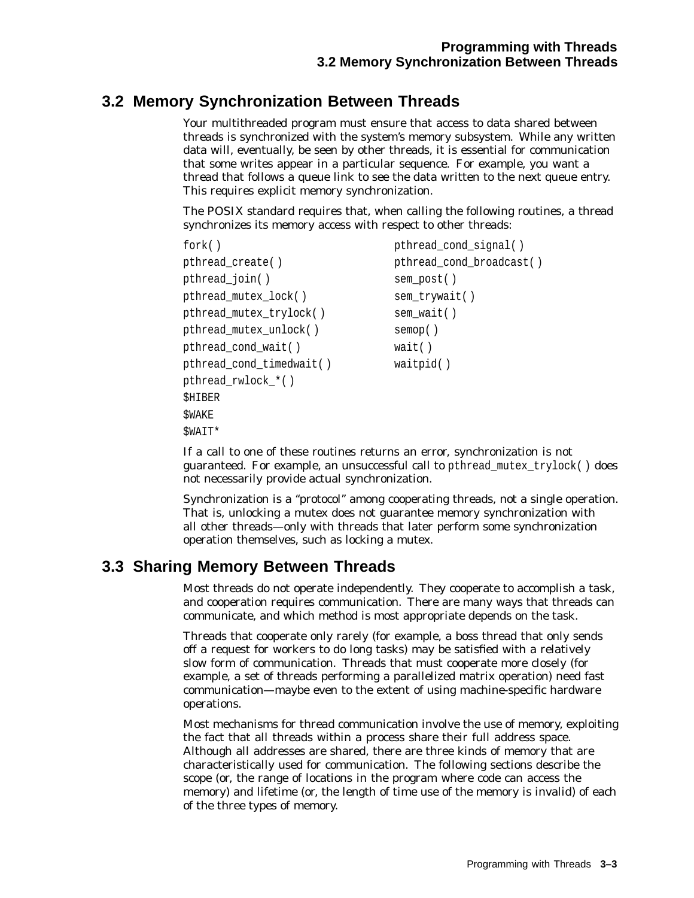# **3.2 Memory Synchronization Between Threads**

Your multithreaded program must ensure that access to data shared between threads is synchronized with the system's memory subsystem. While any written data will, eventually, be seen by other threads, it is essential for communication that some writes appear in a particular sequence. For example, you want a thread that follows a queue link to see the data written to the next queue entry. This requires explicit memory synchronization.

The POSIX standard requires that, when calling the following routines, a thread synchronizes its memory access with respect to other threads:

```
fork() pthread cond signal( )
pthread_create( ) pthread_cond_broadcast( )
pthread_join( ) sem_post( )
pthread mutex lock( ) sem trywait( )
pthread_mutex_trylock() sem_wait()
pthread_mutex_unlock( ) semop( )
pthread_cond_wait( ) wait( )
pthread cond timedwait( ) waitpid( )
pthread_rwlock_*( )
SHIBER
$WAKE
$WAIT*
```
If a call to one of these routines returns an error, synchronization is not guaranteed. For example, an unsuccessful call to pthread\_mutex\_trylock( ) does not necessarily provide actual synchronization.

Synchronization is a ''protocol'' among cooperating threads, not a single operation. That is, unlocking a mutex does not guarantee memory synchronization with all other threads—only with threads that later perform some synchronization operation themselves, such as locking a mutex.

# **3.3 Sharing Memory Between Threads**

Most threads do not operate independently. They cooperate to accomplish a task, and cooperation requires communication. There are many ways that threads can communicate, and which method is most appropriate depends on the task.

Threads that cooperate only rarely (for example, a boss thread that only sends off a request for workers to do long tasks) may be satisfied with a relatively slow form of communication. Threads that must cooperate more closely (for example, a set of threads performing a parallelized matrix operation) need fast communication—maybe even to the extent of using machine-specific hardware operations.

Most mechanisms for thread communication involve the use of memory, exploiting the fact that all threads within a process share their full address space. Although all addresses are shared, there are three kinds of memory that are characteristically used for communication. The following sections describe the scope (or, the range of locations in the program where code can access the memory) and lifetime (or, the length of time use of the memory is invalid) of each of the three types of memory.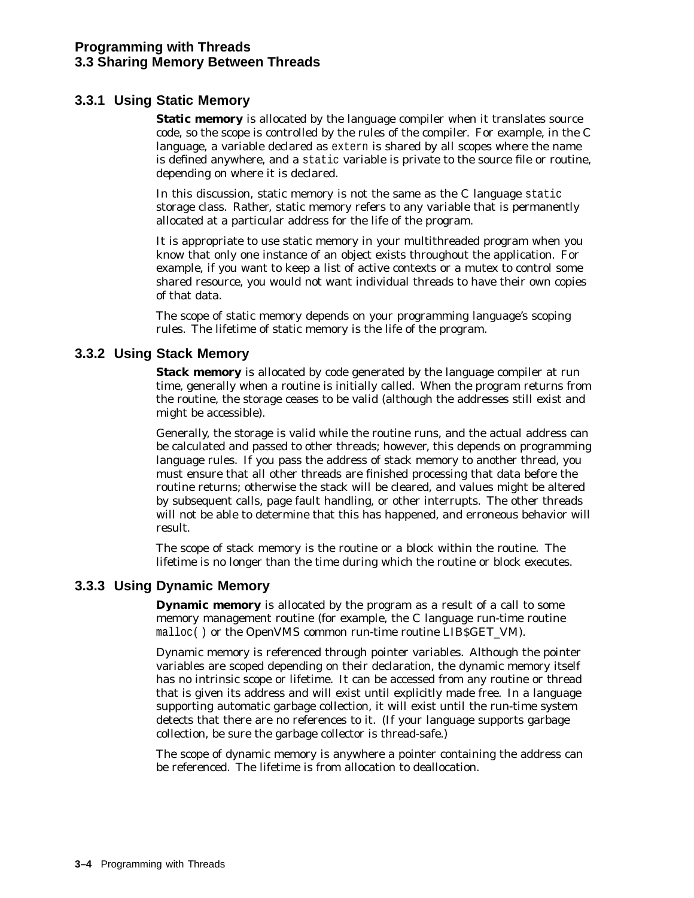### **3.3.1 Using Static Memory**

**Static memory** is allocated by the language compiler when it translates source code, so the scope is controlled by the rules of the compiler. For example, in the C language, a variable declared as extern is shared by all scopes where the name is defined anywhere, and a static variable is private to the source file or routine, depending on where it is declared.

In this discussion, static memory is not the same as the C language static storage class. Rather, static memory refers to any variable that is permanently allocated at a particular address for the life of the program.

It is appropriate to use static memory in your multithreaded program when you know that only one instance of an object exists throughout the application. For example, if you want to keep a list of active contexts or a mutex to control some shared resource, you would not want individual threads to have their own copies of that data.

The scope of static memory depends on your programming language's scoping rules. The lifetime of static memory is the life of the program.

#### **3.3.2 Using Stack Memory**

**Stack memory** is allocated by code generated by the language compiler at run time, generally when a routine is initially called. When the program returns from the routine, the storage ceases to be valid (although the addresses still exist and might be accessible).

Generally, the storage is valid while the routine runs, and the actual address can be calculated and passed to other threads; however, this depends on programming language rules. If you pass the address of stack memory to another thread, you must ensure that all other threads are finished processing that data before the routine returns; otherwise the stack will be cleared, and values might be altered by subsequent calls, page fault handling, or other interrupts. The other threads will not be able to determine that this has happened, and erroneous behavior will result.

The scope of stack memory is the routine or a block within the routine. The lifetime is no longer than the time during which the routine or block executes.

### **3.3.3 Using Dynamic Memory**

**Dynamic memory** is allocated by the program as a result of a call to some memory management routine (for example, the C language run-time routine malloc( ) or the OpenVMS common run-time routine LIB\$GET\_VM).

Dynamic memory is referenced through pointer variables. Although the pointer variables are scoped depending on their declaration, the dynamic memory itself has no intrinsic scope or lifetime. It can be accessed from any routine or thread that is given its address and will exist until explicitly made free. In a language supporting automatic garbage collection, it will exist until the run-time system detects that there are no references to it. (If your language supports garbage collection, be sure the garbage collector is thread-safe.)

The scope of dynamic memory is anywhere a pointer containing the address can be referenced. The lifetime is from allocation to deallocation.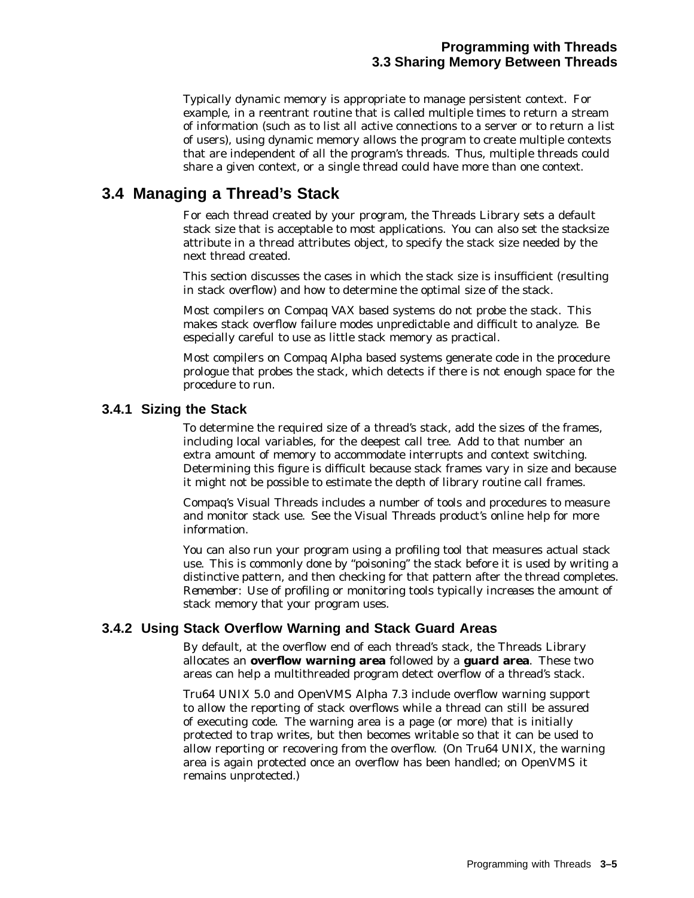Typically dynamic memory is appropriate to manage persistent context. For example, in a reentrant routine that is called multiple times to return a stream of information (such as to list all active connections to a server or to return a list of users), using dynamic memory allows the program to create multiple contexts that are independent of all the program's threads. Thus, multiple threads could share a given context, or a single thread could have more than one context.

# **3.4 Managing a Thread's Stack**

For each thread created by your program, the Threads Library sets a default stack size that is acceptable to most applications. You can also set the *stacksize* attribute in a thread attributes object, to specify the stack size needed by the next thread created.

This section discusses the cases in which the stack size is insufficient (resulting in stack overflow) and how to determine the optimal size of the stack.

Most compilers on Compaq VAX based systems do not probe the stack. This makes stack overflow failure modes unpredictable and difficult to analyze. Be especially careful to use as little stack memory as practical.

Most compilers on Compaq Alpha based systems generate code in the procedure prologue that probes the stack, which detects if there is not enough space for the procedure to run.

### **3.4.1 Sizing the Stack**

To determine the required size of a thread's stack, add the sizes of the frames, including local variables, for the deepest call tree. Add to that number an extra amount of memory to accommodate interrupts and context switching. Determining this figure is difficult because stack frames vary in size and because it might not be possible to estimate the depth of library routine call frames.

Compaq's Visual Threads includes a number of tools and procedures to measure and monitor stack use. See the Visual Threads product's online help for more information.

You can also run your program using a profiling tool that measures actual stack use. This is commonly done by ''poisoning'' the stack before it is used by writing a distinctive pattern, and then checking for that pattern after the thread completes. *Remember:* Use of profiling or monitoring tools typically *increases* the amount of stack memory that your program uses.

### **3.4.2 Using Stack Overflow Warning and Stack Guard Areas**

By default, at the overflow end of each thread's stack, the Threads Library allocates an **overflow warning area** followed by a **guard area**. These two areas can help a multithreaded program detect overflow of a thread's stack.

Tru64 UNIX 5.0 and OpenVMS Alpha 7.3 include overflow warning support to allow the reporting of stack overflows while a thread can still be assured of executing code. The warning area is a page (or more) that is initially protected to trap writes, but then becomes writable so that it can be used to allow reporting or recovering from the overflow. (On Tru64 UNIX, the warning area is again protected once an overflow has been handled; on OpenVMS it remains unprotected.)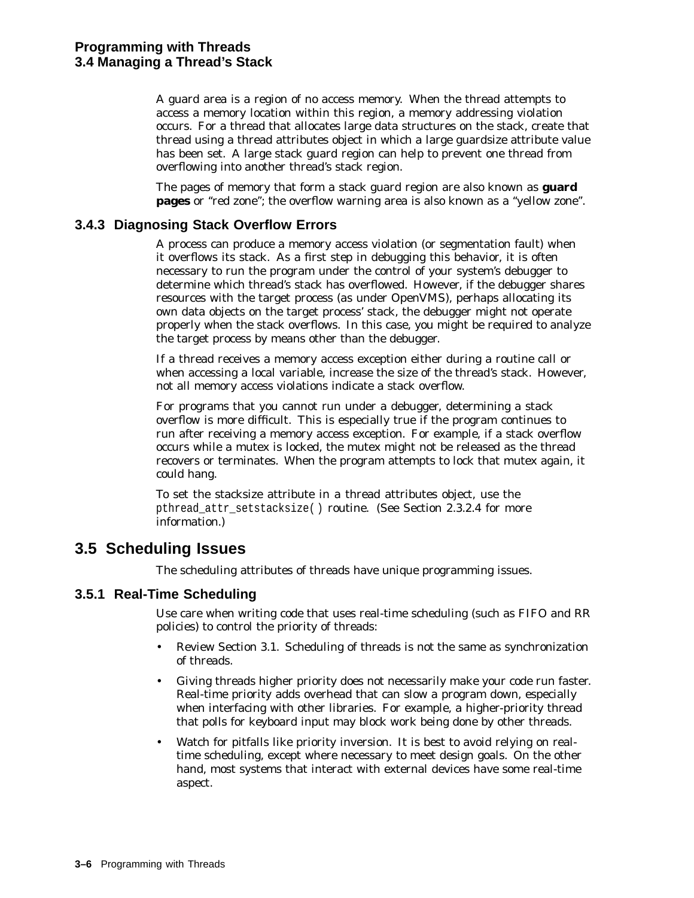A guard area is a region of no access memory. When the thread attempts to access a memory location within this region, a memory addressing violation occurs. For a thread that allocates large data structures on the stack, create that thread using a thread attributes object in which a large guardsize attribute value has been set. A large stack guard region can help to prevent one thread from overflowing into another thread's stack region.

The pages of memory that form a stack guard region are also known as **guard pages** or "red zone"; the overflow warning area is also known as a "yellow zone".

#### **3.4.3 Diagnosing Stack Overflow Errors**

A process can produce a memory access violation (or segmentation fault) when it overflows its stack. As a first step in debugging this behavior, it is often necessary to run the program under the control of your system's debugger to determine which thread's stack has overflowed. However, if the debugger shares resources with the target process (as under OpenVMS), perhaps allocating its own data objects on the target process' stack, the debugger might not operate properly when the stack overflows. In this case, you might be required to analyze the target process by means other than the debugger.

If a thread receives a memory access exception either during a routine call or when accessing a local variable, increase the size of the thread's stack. However, not all memory access violations indicate a stack overflow.

For programs that you cannot run under a debugger, determining a stack overflow is more difficult. This is especially true if the program continues to run after receiving a memory access exception. For example, if a stack overflow occurs while a mutex is locked, the mutex might not be released as the thread recovers or terminates. When the program attempts to lock that mutex again, it could hang.

To set the stacksize attribute in a thread attributes object, use the pthread attr setstacksize( ) routine. (See Section 2.3.2.4 for more information.)

# **3.5 Scheduling Issues**

The scheduling attributes of threads have unique programming issues.

### **3.5.1 Real-Time Scheduling**

Use care when writing code that uses real-time scheduling (such as FIFO and RR policies) to control the priority of threads:

- Review Section 3.1. Scheduling of threads is *not* the same as synchronization of threads.
- Giving threads higher priority does not necessarily make your code run faster. Real-time priority adds overhead that can slow a program down, especially when interfacing with other libraries. For example, a higher-priority thread that polls for keyboard input may block work being done by other threads.
- Watch for pitfalls like priority inversion. It is best to avoid relying on realtime scheduling, except where necessary to meet design goals. On the other hand, most systems that interact with external devices have some real-time aspect.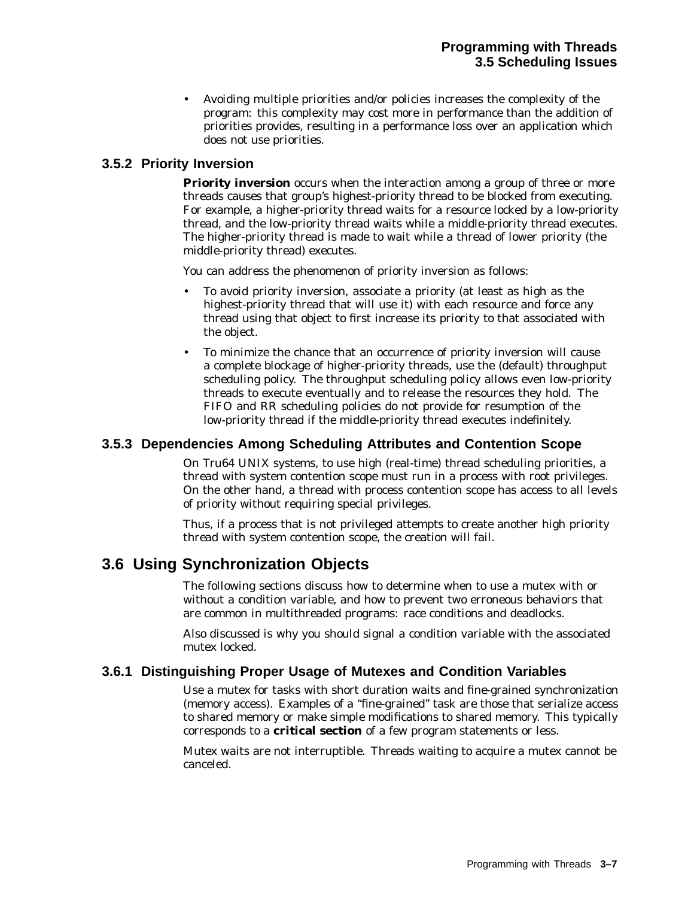• Avoiding multiple priorities and/or policies increases the complexity of the program: this complexity may cost more in performance than the addition of priorities provides, resulting in a performance loss over an application which does not use priorities.

### **3.5.2 Priority Inversion**

**Priority inversion** occurs when the interaction among a group of three or more threads causes that group's highest-priority thread to be blocked from executing. For example, a higher-priority thread waits for a resource locked by a low-priority thread, and the low-priority thread waits while a middle-priority thread executes. The higher-priority thread is made to wait while a thread of lower priority (the middle-priority thread) executes.

You can address the phenomenon of priority inversion as follows:

- To avoid priority inversion, associate a priority (at least as high as the highest-priority thread that will use it) with each resource and force any thread using that object to first increase its priority to that associated with the object.
- To minimize the chance that an occurrence of priority inversion will cause a complete blockage of higher-priority threads, use the (default) throughput scheduling policy. The throughput scheduling policy allows even low-priority threads to execute eventually and to release the resources they hold. The FIFO and RR scheduling policies do not provide for resumption of the low-priority thread if the middle-priority thread executes indefinitely.

### **3.5.3 Dependencies Among Scheduling Attributes and Contention Scope**

On Tru64 UNIX systems, to use high (real-time) thread scheduling priorities, a thread with system contention scope must run in a process with root privileges. On the other hand, a thread with process contention scope has access to all levels of priority without requiring special privileges.

Thus, if a process that is not privileged attempts to create another high priority thread with system contention scope, the creation will fail.

# **3.6 Using Synchronization Objects**

The following sections discuss how to determine when to use a mutex with or without a condition variable, and how to prevent two erroneous behaviors that are common in multithreaded programs: race conditions and deadlocks.

Also discussed is why you should signal a condition variable with the associated mutex locked.

### **3.6.1 Distinguishing Proper Usage of Mutexes and Condition Variables**

Use a mutex for tasks with short duration waits and fine-grained synchronization (memory access). Examples of a ''fine-grained'' task are those that serialize access to shared memory or make simple modifications to shared memory. This typically corresponds to a **critical section** of a few program statements or less.

Mutex waits are not interruptible. Threads waiting to acquire a mutex cannot be canceled.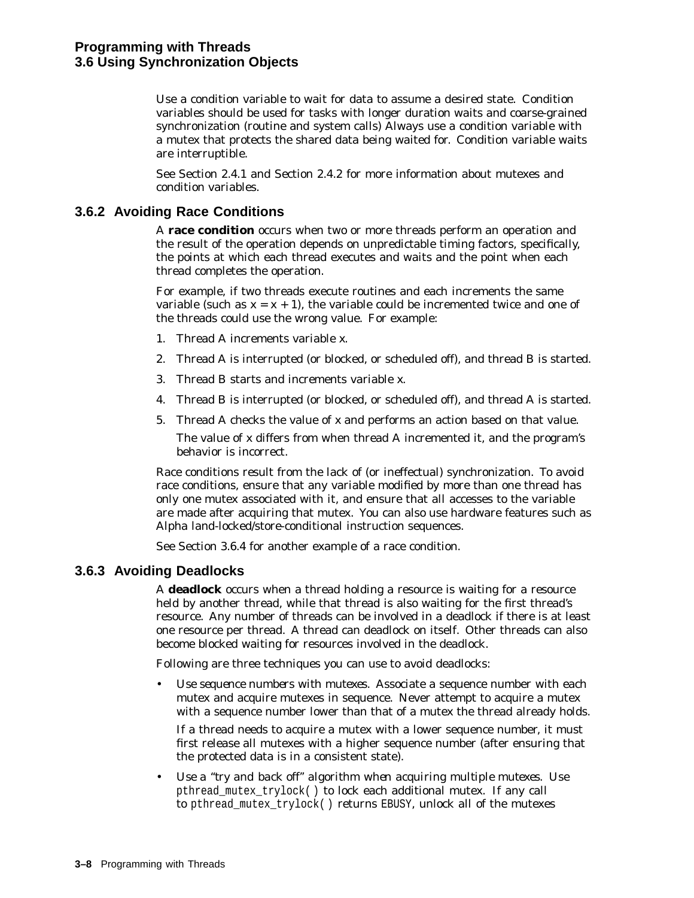Use a condition variable to wait for data to assume a desired state. Condition variables should be used for tasks with longer duration waits and coarse-grained synchronization (routine and system calls) Always use a condition variable with a mutex that protects the shared data being waited for. Condition variable waits are interruptible.

See Section 2.4.1 and Section 2.4.2 for more information about mutexes and condition variables.

### **3.6.2 Avoiding Race Conditions**

A **race condition** occurs when two or more threads perform an operation and the result of the operation depends on unpredictable timing factors, specifically, the points at which each thread executes and waits and the point when each thread completes the operation.

For example, if two threads execute routines and each increments the same variable (such as  $x = x + 1$ ), the variable could be incremented twice and one of the threads could use the wrong value. For example:

- 1. Thread A increments variable *x*.
- 2. Thread A is interrupted (or blocked, or scheduled off), and thread B is started.
- 3. Thread B starts and increments variable *x*.
- 4. Thread B is interrupted (or blocked, or scheduled off), and thread A is started.
- 5. Thread A checks the value of *x* and performs an action based on that value.

The value of *x* differs from when thread A incremented it, and the program's behavior is incorrect.

Race conditions result from the lack of (or ineffectual) synchronization. To avoid race conditions, ensure that any variable modified by more than one thread has only one mutex associated with it, and ensure that all accesses to the variable are made after acquiring that mutex. You can also use hardware features such as Alpha land-locked/store-conditional instruction sequences.

See Section 3.6.4 for another example of a race condition.

### **3.6.3 Avoiding Deadlocks**

A **deadlock** occurs when a thread holding a resource is waiting for a resource held by another thread, while that thread is also waiting for the first thread's resource. Any number of threads can be involved in a deadlock if there is at least one resource per thread. A thread can deadlock on itself. Other threads can also become blocked waiting for resources involved in the deadlock.

Following are three techniques you can use to avoid deadlocks:

• *Use sequence numbers with mutexes*. Associate a sequence number with each mutex and acquire mutexes in sequence. Never attempt to acquire a mutex with a sequence number lower than that of a mutex the thread already holds.

If a thread needs to acquire a mutex with a lower sequence number, it must first release all mutexes with a higher sequence number (after ensuring that the protected data is in a consistent state).

• *Use a ''try and back off'' algorithm when acquiring multiple mutexes.* Use pthread\_mutex\_trylock( ) to lock each additional mutex. If any call to pthread\_mutex\_trylock( ) returns EBUSY, unlock all of the mutexes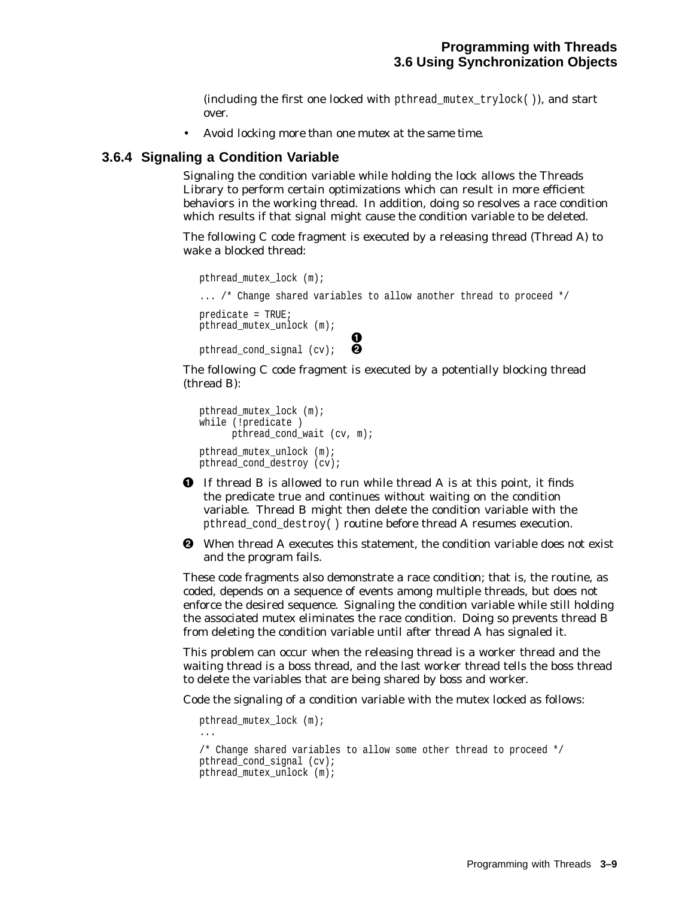(including the first one locked with pthread\_mutex\_trylock( )), and start over.

• *Avoid locking more than one mutex at the same time.*

#### **3.6.4 Signaling a Condition Variable**

Signaling the condition variable while holding the lock allows the Threads Library to perform certain optimizations which can result in more efficient behaviors in the working thread. In addition, doing so resolves a race condition which results if that signal might cause the condition variable to be deleted.

The following C code fragment is executed by a releasing thread (Thread A) to wake a blocked thread:

```
pthread mutex lock (m);
... /* Change shared variables to allow another thread to proceed */
predicate = TRUE;
pthread mutex unlock (m);
                              \boldsymbol{8}pthread cond signal (cv);
```
The following C code fragment is executed by a potentially blocking thread (thread B):

```
pthread_mutex_lock (m);
while (!predicate )
     pthread cond wait (cv, m);
pthread mutex unlock (m);
pthread_cond_destroy (cv);
```
- **1** If thread B is allowed to run while thread A is at this point, it finds the predicate true and continues without waiting on the condition variable. Thread B might then delete the condition variable with the pthread\_cond\_destroy( ) routine before thread A resumes execution.
- $\Theta$  When thread A executes this statement, the condition variable does not exist and the program fails.

These code fragments also demonstrate a race condition; that is, the routine, as coded, depends on a sequence of events among multiple threads, but does not enforce the desired sequence. Signaling the condition variable while still holding the associated mutex eliminates the race condition. Doing so prevents thread B from deleting the condition variable until after thread A has signaled it.

This problem can occur when the releasing thread is a worker thread and the waiting thread is a boss thread, and the last worker thread tells the boss thread to delete the variables that are being shared by boss and worker.

Code the signaling of a condition variable with the mutex locked as follows:

```
pthread_mutex_lock (m);
...
/* Change shared variables to allow some other thread to proceed */
pthread_cond_signal (cv);
pthread_mutex_unlock (m);
```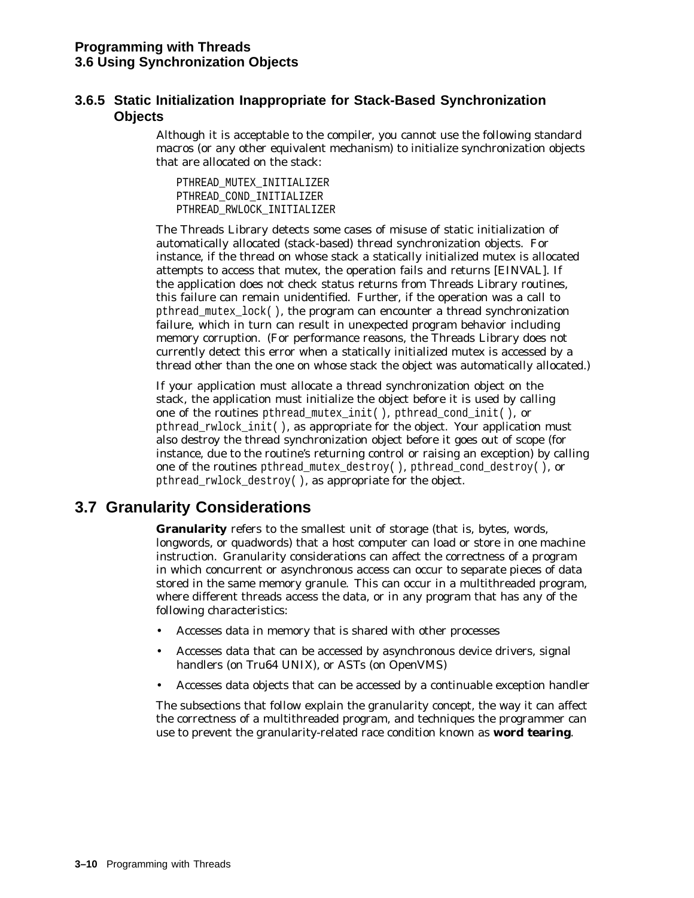### **3.6.5 Static Initialization Inappropriate for Stack-Based Synchronization Objects**

Although it is acceptable to the compiler, you cannot use the following standard macros (or any other equivalent mechanism) to initialize synchronization objects that are allocated on the stack:

PTHREAD\_MUTEX\_INITIALIZER PTHREAD\_COND\_INITIALIZER PTHREAD\_RWLOCK\_INITIALIZER

The Threads Library detects some cases of misuse of static initialization of automatically allocated (stack-based) thread synchronization objects. For instance, if the thread on whose stack a statically initialized mutex is allocated attempts to access that mutex, the operation fails and returns [EINVAL]. If the application does not check status returns from Threads Library routines, this failure can remain unidentified. Further, if the operation was a call to pthread\_mutex\_lock( ), the program can encounter a thread synchronization failure, which in turn can result in unexpected program behavior including memory corruption. (For performance reasons, the Threads Library does not currently detect this error when a statically initialized mutex is accessed by a thread other than the one on whose stack the object was automatically allocated.)

If your application must allocate a thread synchronization object on the stack, the application must initialize the object before it is used by calling one of the routines pthread\_mutex\_init( ), pthread\_cond\_init( ), or pthread  $r$ wlock  $init( )$ , as appropriate for the object. Your application must also destroy the thread synchronization object before it goes out of scope (for instance, due to the routine's returning control or raising an exception) by calling one of the routines pthread\_mutex\_destroy( ), pthread\_cond\_destroy( ), or pthread\_rwlock\_destroy( ), as appropriate for the object.

# **3.7 Granularity Considerations**

**Granularity** refers to the smallest unit of storage (that is, bytes, words, longwords, or quadwords) that a host computer can load or store in one machine instruction. Granularity considerations can affect the correctness of a program in which concurrent or asynchronous access can occur to separate pieces of data stored in the same memory granule. This can occur in a multithreaded program, where different threads access the data, or in any program that has any of the following characteristics:

- Accesses data in memory that is shared with other processes
- Accesses data that can be accessed by asynchronous device drivers, signal handlers (on Tru64 UNIX), or ASTs (on OpenVMS)
- Accesses data objects that can be accessed by a continuable exception handler

The subsections that follow explain the granularity concept, the way it can affect the correctness of a multithreaded program, and techniques the programmer can use to prevent the granularity-related race condition known as **word tearing**.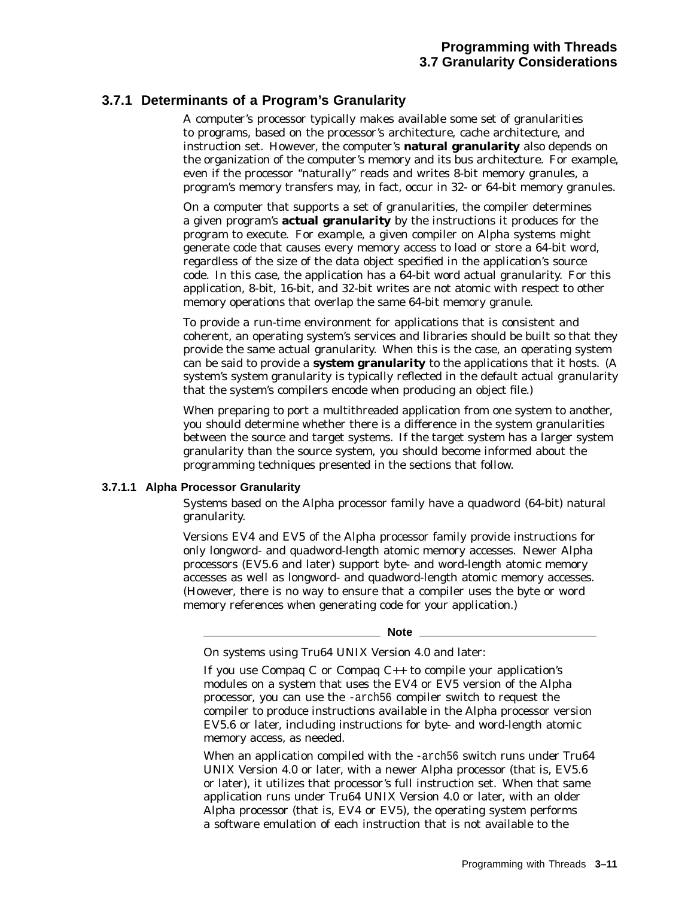### **3.7.1 Determinants of a Program's Granularity**

A computer's processor typically makes available some set of granularities to programs, based on the processor's architecture, cache architecture, and instruction set. However, the computer's **natural granularity** also depends on the organization of the computer's memory and its bus architecture. For example, even if the processor ''naturally'' reads and writes 8-bit memory granules, a program's memory transfers may, in fact, occur in 32- or 64-bit memory granules.

On a computer that supports a set of granularities, the compiler determines a given program's **actual granularity** by the instructions it produces for the program to execute. For example, a given compiler on Alpha systems might generate code that causes every memory access to load or store a 64-bit word, regardless of the size of the data object specified in the application's source code. In this case, the application has a 64-bit word actual granularity. For this application, 8-bit, 16-bit, and 32-bit writes are not atomic with respect to other memory operations that overlap the same 64-bit memory granule.

To provide a run-time environment for applications that is consistent and coherent, an operating system's services and libraries should be built so that they provide the same actual granularity. When this is the case, an operating system can be said to provide a **system granularity** to the applications that it hosts. (A system's system granularity is typically reflected in the default actual granularity that the system's compilers encode when producing an object file.)

When preparing to port a multithreaded application from one system to another, you should determine whether there is a difference in the system granularities between the source and target systems. If the target system has a larger system granularity than the source system, you should become informed about the programming techniques presented in the sections that follow.

#### **3.7.1.1 Alpha Processor Granularity**

Systems based on the Alpha processor family have a *quadword* (64-bit) natural granularity.

Versions EV4 and EV5 of the Alpha processor family provide instructions for only longword- and quadword-length atomic memory accesses. Newer Alpha processors (EV5.6 and later) support byte- and word-length atomic memory accesses as well as longword- and quadword-length atomic memory accesses. (However, there is no way to ensure that a compiler uses the byte or word memory references when generating code for your application.)

**Note**

On systems using Tru64 UNIX Version 4.0 and later:

If you use Compaq C or Compaq  $C_{++}$  to compile your application's modules on a system that uses the EV4 or EV5 version of the Alpha processor, you can use the -arch56 compiler switch to request the compiler to produce instructions available in the Alpha processor version EV5.6 or later, including instructions for byte- and word-length atomic memory access, as needed.

When an application compiled with the -arch56 switch runs under Tru64 UNIX Version 4.0 or later, with a newer Alpha processor (that is, EV5.6 or later), it utilizes that processor's full instruction set. When that same application runs under Tru64 UNIX Version 4.0 or later, with an older Alpha processor (that is, EV4 or EV5), the operating system performs a software emulation of each instruction that is not available to the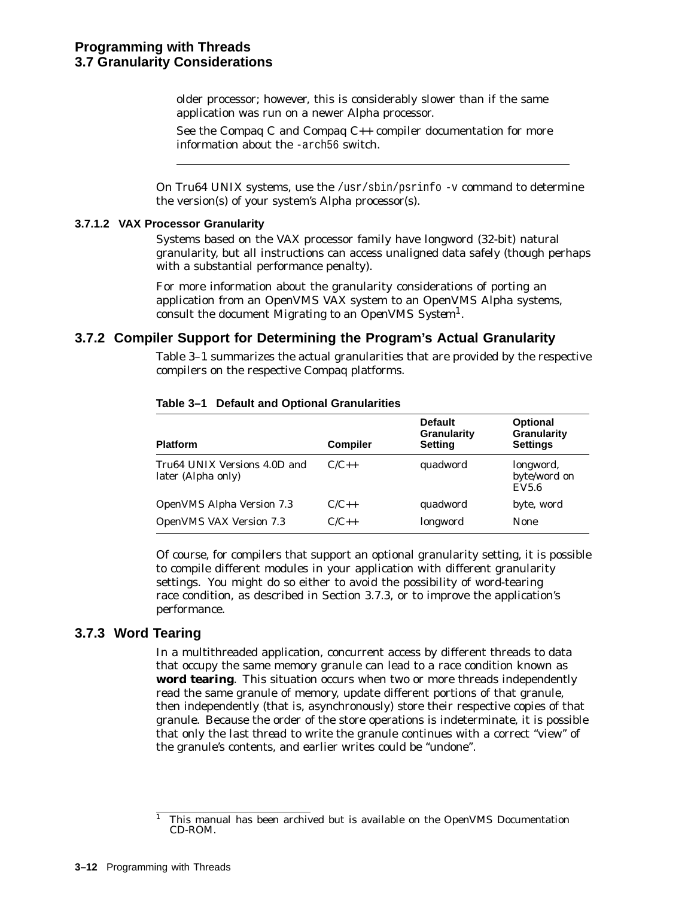older processor; however, this is considerably slower than if the same application was run on a newer Alpha processor.

See the Compaq C and Compaq C++ compiler documentation for more information about the -arch56 switch.

On Tru64 UNIX systems, use the  $/$ usr $/$ sbin $/$ psrinfo -v command to determine the version(s) of your system's Alpha processor(s).

#### **3.7.1.2 VAX Processor Granularity**

Systems based on the VAX processor family have *longword* (32-bit) natural granularity, but all instructions can access unaligned data safely (though perhaps with a substantial performance penalty).

For more information about the granularity considerations of porting an application from an OpenVMS VAX system to an OpenVMS Alpha systems, consult the document *Migrating to an OpenVMS System*1.

#### **3.7.2 Compiler Support for Determining the Program's Actual Granularity**

Table 3–1 summarizes the actual granularities that are provided by the respective compilers on the respective Compaq platforms.

| <b>Platform</b>                                    | <b>Compiler</b> | <b>Default</b><br>Granularity<br><b>Setting</b> | <b>Optional</b><br>Granularity<br><b>Settings</b> |
|----------------------------------------------------|-----------------|-------------------------------------------------|---------------------------------------------------|
| Tru64 UNIX Versions 4.0D and<br>later (Alpha only) | $C/C_{++}$      | quadword                                        | longword,<br>byte/word on<br>EV5.6                |
| <b>OpenVMS Alpha Version 7.3</b>                   | $C/C_{++}$      | quadword                                        | byte, word                                        |
| <b>OpenVMS VAX Version 7.3</b>                     | $C/C++$         | longword                                        | <b>None</b>                                       |

#### **Table 3–1 Default and Optional Granularities**

Of course, for compilers that support an optional granularity setting, it is possible to compile different modules in your application with different granularity settings. You might do so either to avoid the possibility of word-tearing race condition, as described in Section 3.7.3, or to improve the application's performance.

#### **3.7.3 Word Tearing**

In a multithreaded application, concurrent access by different threads to data that occupy the same memory granule can lead to a race condition known as **word tearing**. This situation occurs when two or more threads independently read the same granule of memory, update different portions of that granule, then independently (that is, asynchronously) store their respective copies of that granule. Because the order of the store operations is indeterminate, it is possible that only the *last thread* to write the granule continues with a correct ''view'' of the granule's contents, and earlier writes could be ''undone''.

<sup>1</sup> This manual has been archived but is available on the OpenVMS Documentation CD-ROM.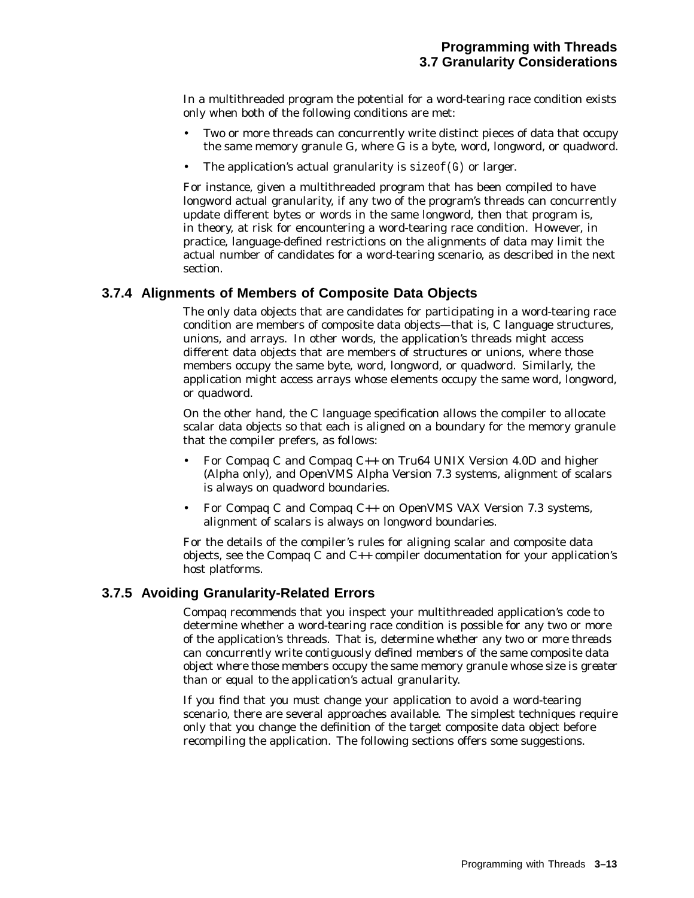In a multithreaded program the potential for a word-tearing race condition exists only when both of the following conditions are met:

- Two or more threads can concurrently write distinct pieces of data that occupy the same memory granule G, where G is a byte, word, longword, or quadword.
- The application's actual granularity is  $sizeof(G)$  or larger.

For instance, given a multithreaded program that has been compiled to have longword actual granularity, if any two of the program's threads can concurrently update different bytes or words in the same longword, then that program is, in theory, at risk for encountering a word-tearing race condition. However, in practice, language-defined restrictions on the alignments of data may limit the actual number of candidates for a word-tearing scenario, as described in the next section.

#### **3.7.4 Alignments of Members of Composite Data Objects**

The only data objects that are candidates for participating in a word-tearing race condition are members of composite data objects—that is, C language structures, unions, and arrays. In other words, the application's threads might access different data objects that are members of structures or unions, where those members occupy the same byte, word, longword, or quadword. Similarly, the application might access arrays whose elements occupy the same word, longword, or quadword.

On the other hand, the C language specification allows the compiler to allocate scalar data objects so that each is aligned on a boundary for the memory granule that the compiler prefers, as follows:

- For Compaq C and Compaq C++ on Tru64 UNIX Version 4.0D and higher (Alpha only), and OpenVMS Alpha Version 7.3 systems, alignment of scalars is always on quadword boundaries.
- For Compaq C and Compaq C++ on OpenVMS VAX Version 7.3 systems, alignment of scalars is always on longword boundaries.

For the details of the compiler's rules for aligning scalar and composite data objects, see the Compaq C and C++ compiler documentation for your application's host platforms.

#### **3.7.5 Avoiding Granularity-Related Errors**

Compaq recommends that you inspect your multithreaded application's code to determine whether a word-tearing race condition is possible for any two or more of the application's threads. That is, *determine whether any two or more threads can concurrently write contiguously defined members of the same composite data object where those members occupy the same memory granule whose size is greater than or equal to the application's actual granularity.*

If you find that you must change your application to avoid a word-tearing scenario, there are several approaches available. The simplest techniques require only that you change the definition of the target composite data object before recompiling the application. The following sections offers some suggestions.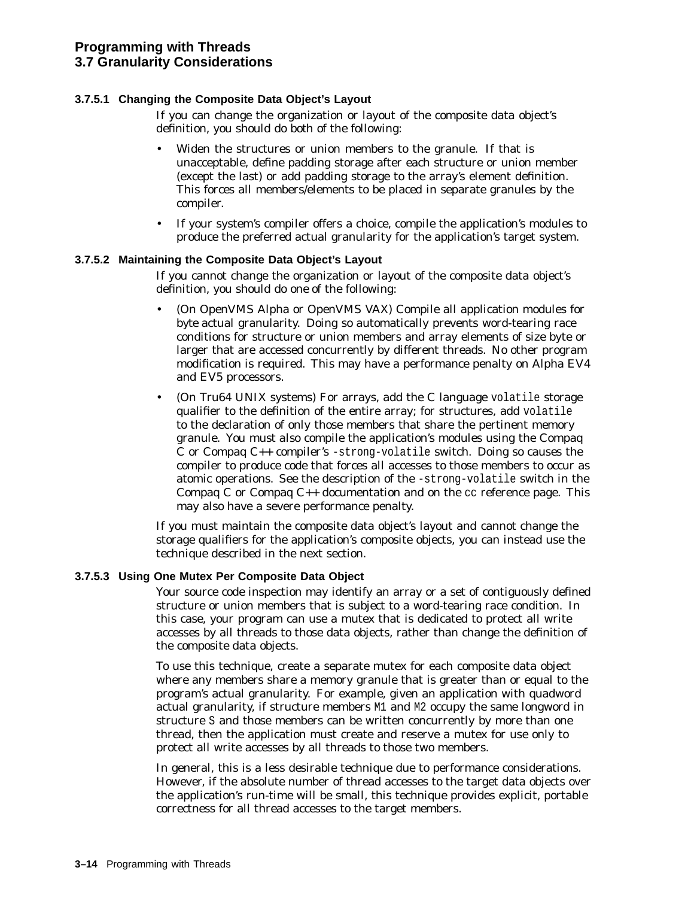#### **3.7.5.1 Changing the Composite Data Object's Layout**

If you can change the organization or layout of the composite data object's definition, you should do *both* of the following:

- Widen the structures or union members to the granule. If that is unacceptable, define padding storage after each structure or union member (except the last) or add padding storage to the array's element definition. This forces all members/elements to be placed in separate granules by the compiler.
- If your system's compiler offers a choice, compile the application's modules to produce the preferred actual granularity for the application's target system.

#### **3.7.5.2 Maintaining the Composite Data Object's Layout**

If you cannot change the organization or layout of the composite data object's definition, you should do *one* of the following:

- (On OpenVMS Alpha or OpenVMS VAX) Compile all application modules for *byte* actual granularity. Doing so automatically prevents word-tearing race conditions for structure or union members and array elements of size byte or larger that are accessed concurrently by different threads. No other program modification is required. This may have a performance penalty on Alpha EV4 and EV5 processors.
- (On Tru64 UNIX systems) For arrays, add the C language volatile storage qualifier to the definition of the entire array; for structures, add volatile to the declaration of only those members that share the pertinent memory granule. You *must also* compile the application's modules using the Compaq C or Compaq  $C_{++}$  compiler's -strong-volatile switch. Doing so causes the compiler to produce code that forces all accesses to those members to occur as atomic operations. See the description of the -strong-volatile switch in the Compaq C or Compaq C++ documentation and on the cc reference page. This may also have a severe performance penalty.

If you must maintain the composite data object's layout *and* cannot change the storage qualifiers for the application's composite objects, you can instead use the technique described in the next section.

#### **3.7.5.3 Using One Mutex Per Composite Data Object**

Your source code inspection may identify an array or a set of contiguously defined structure or union members that is subject to a word-tearing race condition. In this case, your program can use a mutex that is dedicated to protect all write accesses by all threads to those data objects, rather than change the definition of the composite data objects.

To use this technique, create a separate mutex for each composite data object where any members share a memory granule that is greater than or equal to the program's actual granularity. For example, given an application with quadword actual granularity, if structure members M1 and M2 occupy the same longword in structure S and those members can be written concurrently by more than one thread, then the application must create and reserve a mutex for use only to protect all write accesses by all threads to those two members.

In general, this is a less desirable technique due to performance considerations. However, if the absolute number of thread accesses to the target data objects over the application's run-time will be small, this technique provides explicit, portable correctness for all thread accesses to the target members.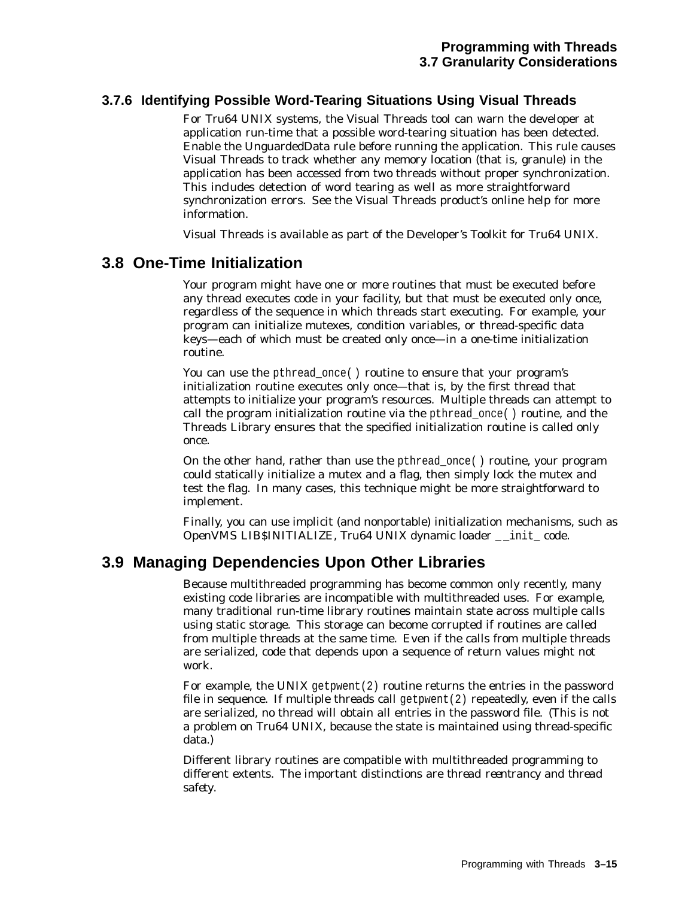### **3.7.6 Identifying Possible Word-Tearing Situations Using Visual Threads**

For Tru64 UNIX systems, the Visual Threads tool can warn the developer at application run-time that a possible word-tearing situation has been detected. Enable the UnguardedData rule before running the application. This rule causes Visual Threads to track whether any memory location (that is, granule) in the application has been accessed from two threads without proper synchronization. This includes detection of word tearing as well as more straightforward synchronization errors. See the Visual Threads product's online help for more information.

Visual Threads is available as part of the Developer's Toolkit for Tru64 UNIX.

### **3.8 One-Time Initialization**

Your program might have one or more routines that must be executed before any thread executes code in your facility, but that must be executed only once, regardless of the sequence in which threads start executing. For example, your program can initialize mutexes, condition variables, or thread-specific data keys—each of which must be created only once—in a one-time initialization routine.

You can use the pthread\_once( ) routine to ensure that your program's initialization routine executes only once—that is, by the first thread that attempts to initialize your program's resources. Multiple threads can attempt to call the program initialization routine via the  $\not$ thread once( ) routine, and the Threads Library ensures that the specified initialization routine is called only once.

On the other hand, rather than use the pthread\_once( ) routine, your program could statically initialize a mutex and a flag, then simply lock the mutex and test the flag. In many cases, this technique might be more straightforward to implement.

Finally, you can use implicit (and nonportable) initialization mechanisms, such as OpenVMS LIB\$INITIALIZE, Tru64 UNIX dynamic loader \_ \_init\_ code.

### **3.9 Managing Dependencies Upon Other Libraries**

Because multithreaded programming has become common only recently, many existing code libraries are incompatible with multithreaded uses. For example, many traditional run-time library routines maintain state across multiple calls using static storage. This storage can become corrupted if routines are called from multiple threads at the same time. Even if the calls from multiple threads are serialized, code that depends upon a sequence of return values might not work.

For example, the UNIX getpwent $(2)$  routine returns the entries in the password file in sequence. If multiple threads call get pwent  $(2)$  repeatedly, even if the calls are serialized, no thread will obtain all entries in the password file. (This is not a problem on Tru64 UNIX, because the state is maintained using thread-specific data.)

Different library routines are compatible with multithreaded programming to different extents. The important distinctions are *thread reentrancy* and *thread safety*.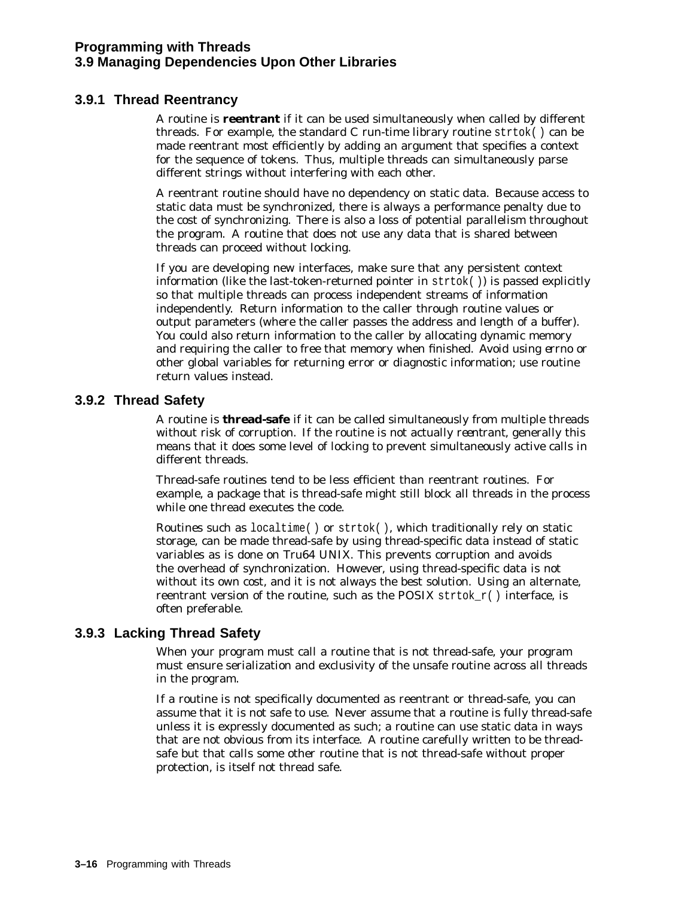### **Programming with Threads 3.9 Managing Dependencies Upon Other Libraries**

### **3.9.1 Thread Reentrancy**

A routine is **reentrant** if it can be used simultaneously when called by different threads. For example, the standard C run-time library routine  $strtok()$  can be made reentrant most efficiently by adding an argument that specifies a context for the sequence of tokens. Thus, multiple threads can simultaneously parse different strings without interfering with each other.

A reentrant routine should have no dependency on static data. Because access to static data must be synchronized, there is always a performance penalty due to the cost of synchronizing. There is also a loss of potential parallelism throughout the program. A routine that does not use any data that is shared between threads can proceed without locking.

If you are developing new interfaces, make sure that any persistent context information (like the last-token-returned pointer in  $strb()$ ) is passed explicitly so that multiple threads can process independent streams of information independently. Return information to the caller through routine values or output parameters (where the caller passes the address and length of a buffer). You could also return information to the caller by allocating dynamic memory and requiring the caller to free that memory when finished. Avoid using *errno* or other global variables for returning error or diagnostic information; use routine return values instead.

### **3.9.2 Thread Safety**

A routine is **thread-safe** if it can be called simultaneously from multiple threads without risk of corruption. If the routine is not actually *reentrant*, generally this means that it does some level of locking to prevent simultaneously active calls in different threads.

Thread-safe routines tend to be less efficient than reentrant routines. For example, a package that is thread-safe might still block all threads in the process while one thread executes the code.

Routines such as localtime( ) or strtok( ), which traditionally rely on static storage, can be made thread-safe by using thread-specific data instead of static variables as is done on Tru64 UNIX. This prevents corruption and avoids the overhead of synchronization. However, using thread-specific data is not without its own cost, and it is not always the best solution. Using an alternate, reentrant version of the routine, such as the POSIX strtok  $r()$  interface, is often preferable.

### **3.9.3 Lacking Thread Safety**

When your program must call a routine that is not thread-safe, your program must ensure serialization and exclusivity of the unsafe routine across all threads in the program.

If a routine is not specifically documented as reentrant or thread-safe, you can assume that it is not safe to use. Never assume that a routine is fully thread-safe unless it is expressly documented as such; a routine can use static data in ways that are not obvious from its interface. A routine carefully written to be threadsafe but that calls some other routine that is not thread-safe without proper protection, is itself not thread safe.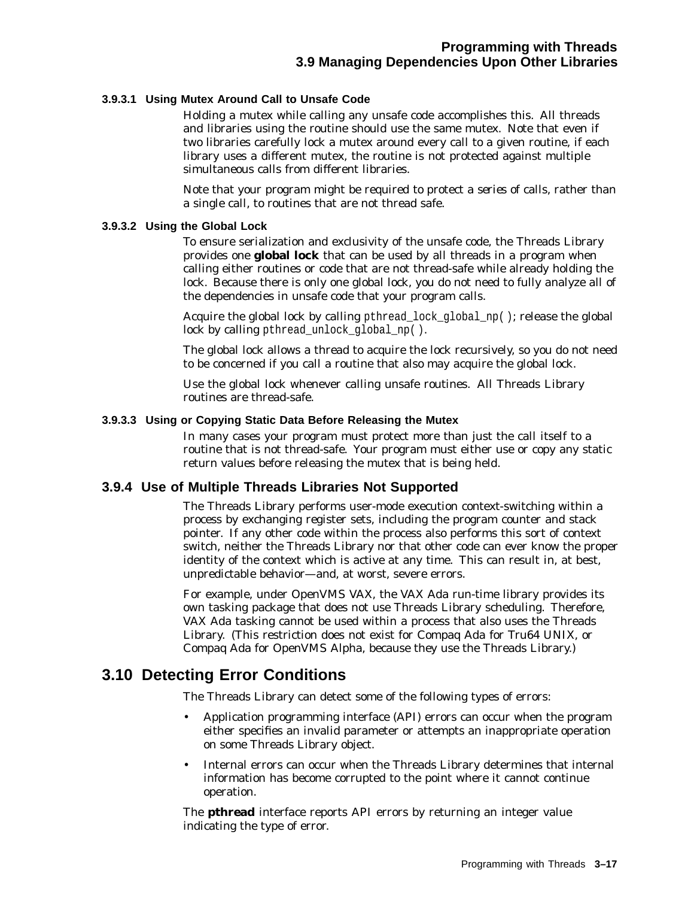#### **3.9.3.1 Using Mutex Around Call to Unsafe Code**

Holding a mutex while calling any unsafe code accomplishes this. All threads and libraries using the routine should use the same mutex. Note that even if two libraries carefully lock a mutex around every call to a given routine, if each library uses a different mutex, the routine is not protected against multiple simultaneous calls from different libraries.

Note that your program might be required to protect a *series* of calls, rather than a single call, to routines that are not thread safe.

#### **3.9.3.2 Using the Global Lock**

To ensure serialization and exclusivity of the unsafe code, the Threads Library provides one **global lock** that can be used by all threads in a program when calling either routines or code that are not thread-safe while already holding the lock. Because there is only one global lock, you do not need to fully analyze all of the dependencies in unsafe code that your program calls.

Acquire the global lock by calling pthread\_lock\_global\_np( ); release the global lock by calling pthread\_unlock\_global\_np( ).

The global lock allows a thread to acquire the lock recursively, so you do not need to be concerned if you call a routine that also may acquire the global lock.

Use the global lock whenever calling unsafe routines. All Threads Library routines are thread-safe.

#### **3.9.3.3 Using or Copying Static Data Before Releasing the Mutex**

In many cases your program must protect more than just the call itself to a routine that is not thread-safe. Your program must either use or copy any static return values before releasing the mutex that is being held.

#### **3.9.4 Use of Multiple Threads Libraries Not Supported**

The Threads Library performs user-mode execution context-switching within a process by exchanging register sets, including the program counter and stack pointer. If any other code within the process also performs this sort of context switch, neither the Threads Library nor that other code can ever know the proper identity of the context which is active at any time. This can result in, at best, unpredictable behavior—and, at worst, severe errors.

For example, under OpenVMS VAX, the VAX Ada run-time library provides its own tasking package that does not use Threads Library scheduling. Therefore, VAX Ada tasking cannot be used within a process that also uses the Threads Library. (This restriction does not exist for Compaq Ada for Tru64 UNIX, or Compaq Ada for OpenVMS Alpha, because they use the Threads Library.)

# **3.10 Detecting Error Conditions**

The Threads Library can detect some of the following types of errors:

- Application programming interface (API) errors can occur when the program either specifies an invalid parameter or attempts an inappropriate operation on some Threads Library object.
- Internal errors can occur when the Threads Library determines that internal information has become corrupted to the point where it cannot continue operation.

The **pthread** interface reports API errors by returning an integer value indicating the type of error.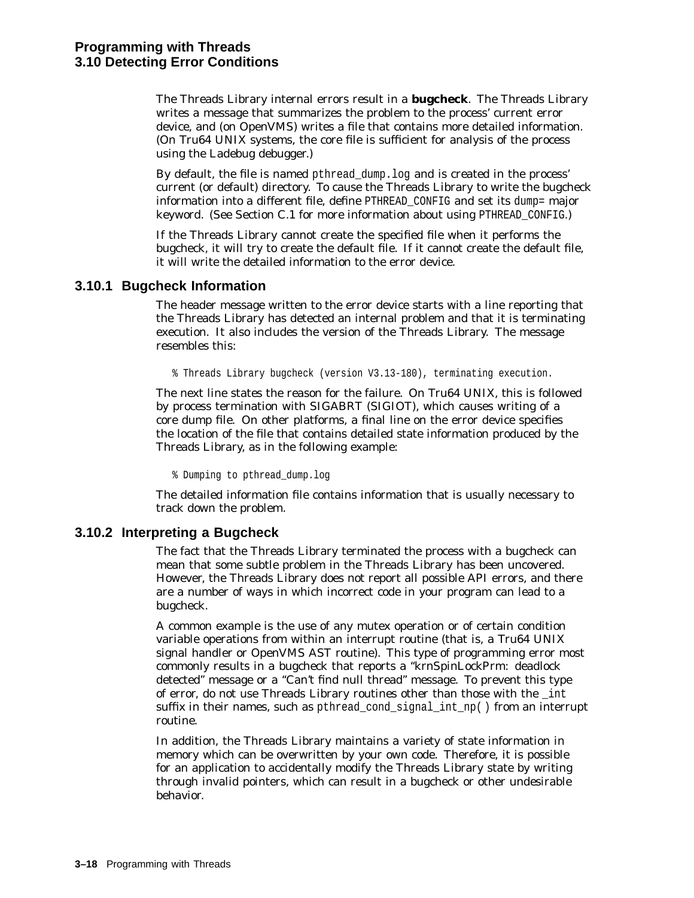The Threads Library internal errors result in a **bugcheck**. The Threads Library writes a message that summarizes the problem to the process' current error device, and (on OpenVMS) writes a file that contains more detailed information. (On Tru64 UNIX systems, the core file is sufficient for analysis of the process using the Ladebug debugger.)

By default, the file is named pthread\_dump.log and is created in the process' current (or default) directory. To cause the Threads Library to write the bugcheck information into a different file, define PTHREAD\_CONFIG and set its dump= major keyword. (See Section C.1 for more information about using PTHREAD\_CONFIG.)

If the Threads Library cannot create the specified file when it performs the bugcheck, it will try to create the default file. If it cannot create the default file, it will write the detailed information to the error device.

#### **3.10.1 Bugcheck Information**

The header message written to the error device starts with a line reporting that the Threads Library has detected an internal problem and that it is terminating execution. It also includes the version of the Threads Library. The message resembles this:

% Threads Library bugcheck (version V3.13-180), terminating execution.

The next line states the reason for the failure. On Tru64 UNIX, this is followed by process termination with SIGABRT (SIGIOT), which causes writing of a core dump file. On other platforms, a final line on the error device specifies the location of the file that contains detailed state information produced by the Threads Library, as in the following example:

% Dumping to pthread\_dump.log

The detailed information file contains information that is usually necessary to track down the problem.

#### **3.10.2 Interpreting a Bugcheck**

The fact that the Threads Library terminated the process with a bugcheck can mean that some subtle problem in the Threads Library has been uncovered. However, the Threads Library does not report all possible API errors, and there are a number of ways in which incorrect code in your program can lead to a bugcheck.

A common example is the use of any mutex operation or of certain condition variable operations from within an interrupt routine (that is, a Tru64 UNIX signal handler or OpenVMS AST routine). This type of programming error most commonly results in a bugcheck that reports a ''krnSpinLockPrm: deadlock detected" message or a "Can't find null thread" message. To prevent this type of error, do not use Threads Library routines other than those with the \_int suffix in their names, such as pthread cond signal int  $np()$  from an interrupt routine.

In addition, the Threads Library maintains a variety of state information in memory which can be overwritten by your own code. Therefore, it is possible for an application to accidentally modify the Threads Library state by writing through invalid pointers, which can result in a bugcheck or other undesirable behavior.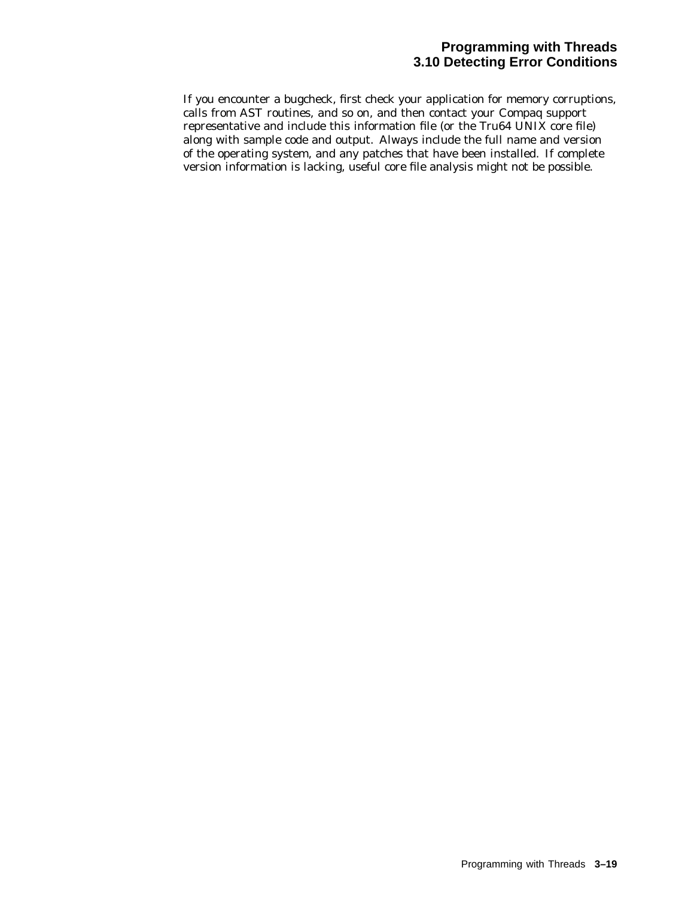### **Programming with Threads 3.10 Detecting Error Conditions**

If you encounter a bugcheck, first check your application for memory corruptions, calls from AST routines, and so on, and then contact your Compaq support representative and include this information file (or the Tru64 UNIX core file) along with sample code and output. Always include the full name and version of the operating system, and any patches that have been installed. If complete version information is lacking, useful core file analysis might not be possible.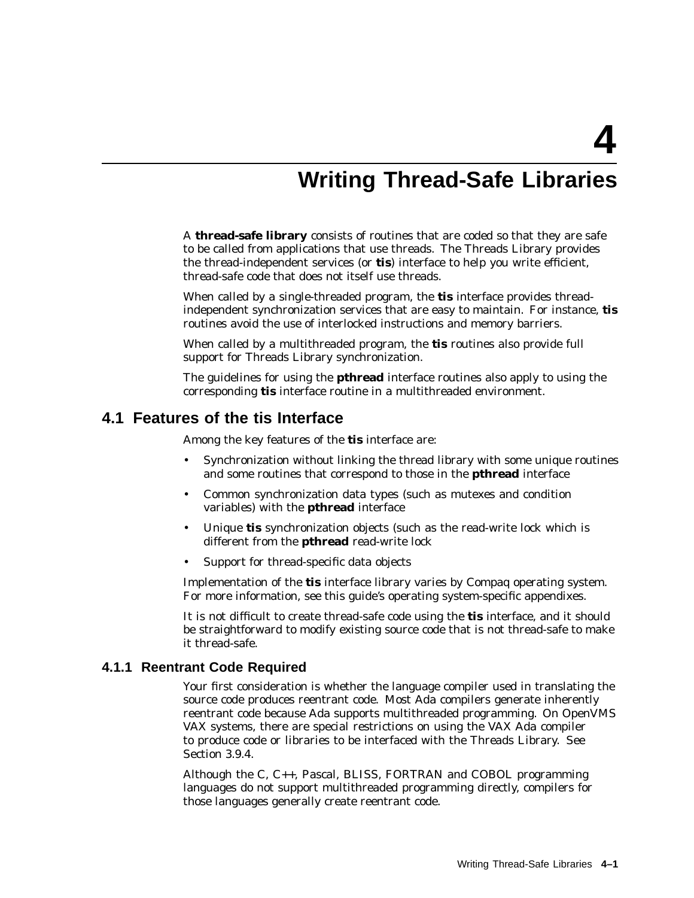**4**

# **Writing Thread-Safe Libraries**

A **thread-safe library** consists of routines that are coded so that they are safe to be called from applications that use threads. The Threads Library provides the thread-independent services (or **tis**) interface to help you write efficient, thread-safe code that does not itself use threads.

When called by a single-threaded program, the **tis** interface provides threadindependent synchronization services that are easy to maintain. For instance, **tis** routines avoid the use of interlocked instructions and memory barriers.

When called by a multithreaded program, the **tis** routines also provide full support for Threads Library synchronization.

The guidelines for using the **pthread** interface routines also apply to using the corresponding **tis** interface routine in a multithreaded environment.

### **4.1 Features of the tis Interface**

Among the key features of the **tis** interface are:

- Synchronization without linking the thread library with some unique routines and some routines that correspond to those in the **pthread** interface
- Common synchronization data types (such as mutexes and condition variables) with the **pthread** interface
- Unique **tis** synchronization objects (such as the read-write lock which is different from the **pthread** read-write lock
- Support for thread-specific data objects

Implementation of the **tis** interface library varies by Compaq operating system. For more information, see this guide's operating system-specific appendixes.

It is not difficult to create thread-safe code using the **tis** interface, and it should be straightforward to modify existing source code that is not thread-safe to make it thread-safe.

#### **4.1.1 Reentrant Code Required**

Your first consideration is whether the language compiler used in translating the source code produces reentrant code. Most Ada compilers generate inherently reentrant code because Ada supports multithreaded programming. On OpenVMS VAX systems, there are special restrictions on using the VAX Ada compiler to produce code or libraries to be interfaced with the Threads Library. See Section 3.9.4.

Although the C, C++, Pascal, BLISS, FORTRAN and COBOL programming languages do not support multithreaded programming directly, compilers for those languages generally create reentrant code.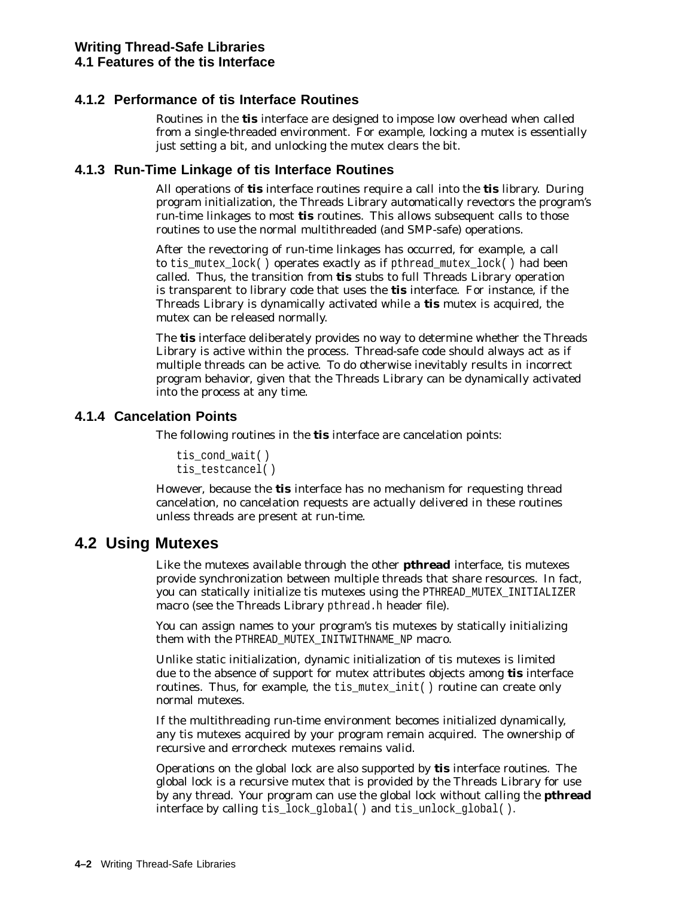### **4.1.2 Performance of tis Interface Routines**

Routines in the **tis** interface are designed to impose low overhead when called from a single-threaded environment. For example, locking a mutex is essentially just setting a bit, and unlocking the mutex clears the bit.

### **4.1.3 Run-Time Linkage of tis Interface Routines**

All operations of **tis** interface routines require a call into the **tis** library. During program initialization, the Threads Library automatically revectors the program's run-time linkages to most **tis** routines. This allows subsequent calls to those routines to use the normal multithreaded (and SMP-safe) operations.

After the revectoring of run-time linkages has occurred, for example, a call to tis mutex lock() operates exactly as if pthread mutex lock() had been called. Thus, the transition from **tis** stubs to full Threads Library operation is transparent to library code that uses the **tis** interface. For instance, if the Threads Library is dynamically activated while a **tis** mutex is acquired, the mutex can be released normally.

The **tis** interface deliberately provides no way to determine whether the Threads Library is active within the process. Thread-safe code should always act as if multiple threads can be active. To do otherwise inevitably results in incorrect program behavior, given that the Threads Library can be dynamically activated into the process at any time.

### **4.1.4 Cancelation Points**

The following routines in the **tis** interface are cancelation points:

```
tis cond wait()
tis testcancel()
```
However, because the **tis** interface has no mechanism for requesting thread cancelation, no cancelation requests are actually delivered in these routines unless threads are present at run-time.

# **4.2 Using Mutexes**

Like the mutexes available through the other **pthread** interface, tis mutexes provide synchronization between multiple threads that share resources. In fact, you can statically initialize tis mutexes using the PTHREAD\_MUTEX\_INITIALIZER macro (see the Threads Library pthread.h header file).

You can assign names to your program's tis mutexes by statically initializing them with the PTHREAD\_MUTEX\_INITWITHNAME\_NP macro.

Unlike static initialization, dynamic initialization of tis mutexes is limited due to the absence of support for mutex attributes objects among **tis** interface routines. Thus, for example, the tis\_mutex\_init() routine can create only normal mutexes.

If the multithreading run-time environment becomes initialized dynamically, any tis mutexes acquired by your program remain acquired. The ownership of recursive and errorcheck mutexes remains valid.

Operations on the global lock are also supported by **tis** interface routines. The global lock is a recursive mutex that is provided by the Threads Library for use by any thread. Your program can use the global lock without calling the **pthread** interface by calling tis\_lock\_global( ) and tis\_unlock\_global( ).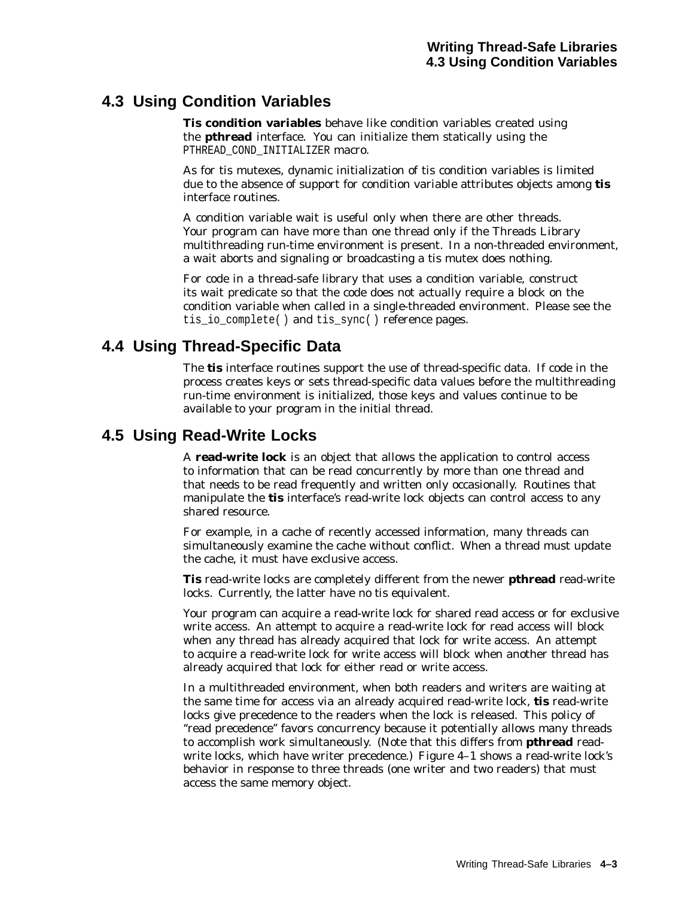# **4.3 Using Condition Variables**

**Tis condition variables** behave like condition variables created using the **pthread** interface. You can initialize them statically using the PTHREAD\_COND\_INITIALIZER macro.

As for tis mutexes, dynamic initialization of tis condition variables is limited due to the absence of support for condition variable attributes objects among **tis** interface routines.

A condition variable wait is useful only when there are other threads. Your program can have more than one thread only if the Threads Library multithreading run-time environment is present. In a non-threaded environment, a wait aborts and signaling or broadcasting a tis mutex does nothing.

For code in a thread-safe library that uses a condition variable, construct its wait predicate so that the code does not actually require a block on the condition variable when called in a single-threaded environment. Please see the tis\_io\_complete( ) and tis\_sync( ) reference pages.

# **4.4 Using Thread-Specific Data**

The **tis** interface routines support the use of thread-specific data. If code in the process creates keys or sets thread-specific data values before the multithreading run-time environment is initialized, those keys and values continue to be available to your program in the initial thread.

# **4.5 Using Read-Write Locks**

A **read-write lock** is an object that allows the application to control access to information that can be read concurrently by more than one thread and that needs to be read frequently and written only occasionally. Routines that manipulate the **tis** interface's read-write lock objects can control access to any shared resource.

For example, in a cache of recently accessed information, many threads can simultaneously examine the cache without conflict. When a thread must update the cache, it must have exclusive access.

**Tis** read-write locks are completely different from the newer **pthread** read-write locks. Currently, the latter have no *tis* equivalent.

Your program can acquire a read-write lock for shared read access or for exclusive write access. An attempt to acquire a read-write lock for read access will block when any thread has already acquired that lock for write access. An attempt to acquire a read-write lock for write access will block when another thread has already acquired that lock for either read or write access.

In a multithreaded environment, when both readers and writers are waiting at the same time for access via an already acquired read-write lock, **tis** read-write locks give precedence to the readers when the lock is released. This policy of ''read precedence'' favors concurrency because it potentially allows many threads to accomplish work simultaneously. (Note that this differs from **pthread** readwrite locks, which have writer precedence.) Figure 4–1 shows a read-write lock's behavior in response to three threads (one writer and two readers) that must access the same memory object.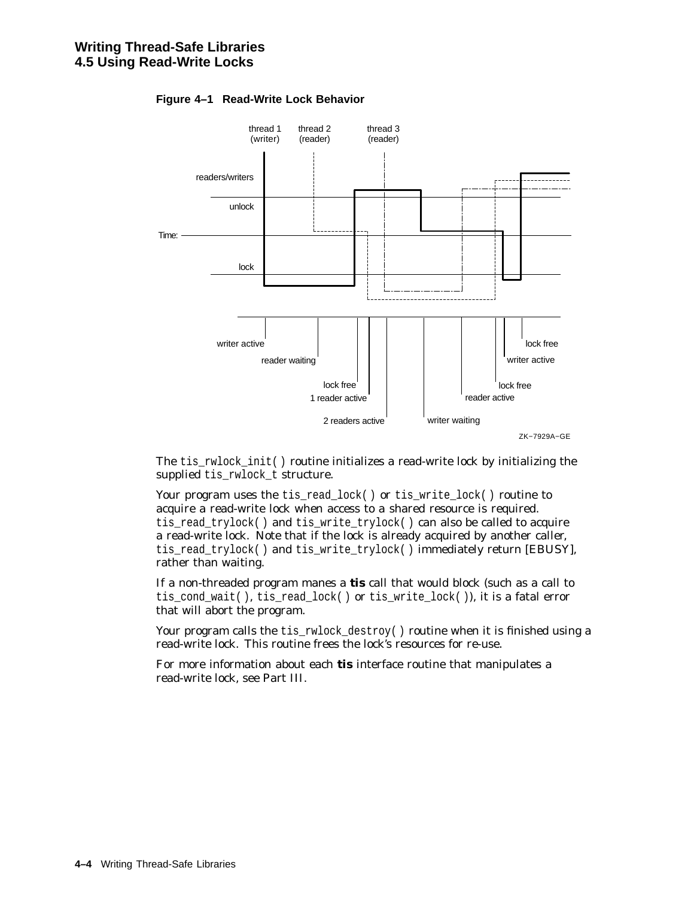

#### **Figure 4–1 Read-Write Lock Behavior**

The tis\_rwlock\_init( ) routine initializes a read-write lock by initializing the supplied tis rwlock t structure.

Your program uses the tis\_read\_lock() or tis\_write\_lock() routine to acquire a read-write lock when access to a shared resource is required. tis\_read\_trylock( ) and tis\_write\_trylock( ) can also be called to acquire a read-write lock. Note that if the lock is already acquired by another caller, tis\_read\_trylock( ) and tis\_write\_trylock( ) immediately return [EBUSY], rather than waiting.

If a non-threaded program manes a **tis** call that would block (such as a call to tis\_cond\_wait( ), tis\_read\_lock( ) or tis\_write\_lock( )), it is a fatal error that will abort the program.

Your program calls the tis\_rwlock\_destroy() routine when it is finished using a read-write lock. This routine frees the lock's resources for re-use.

For more information about each **tis** interface routine that manipulates a read-write lock, see Part III.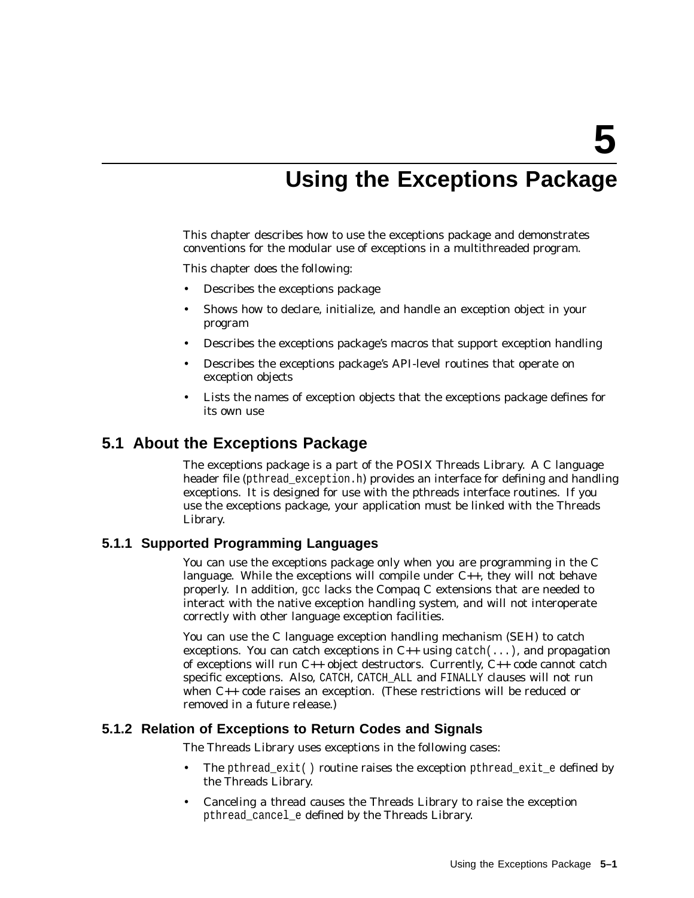# **Using the Exceptions Package**

This chapter describes how to use the exceptions package and demonstrates conventions for the modular use of exceptions in a multithreaded program.

This chapter does the following:

- Describes the exceptions package
- Shows how to declare, initialize, and handle an exception object in your program
- Describes the exceptions package's macros that support exception handling
- Describes the exceptions package's API-level routines that operate on exception objects
- Lists the names of exception objects that the exceptions package defines for its own use

### **5.1 About the Exceptions Package**

The exceptions package is a part of the POSIX Threads Library. A C language header file (pthread exception.h) provides an interface for defining and handling exceptions. It is designed for use with the pthreads interface routines. If you use the exceptions package, your application must be linked with the Threads Library.

#### **5.1.1 Supported Programming Languages**

You can use the exceptions package only when you are programming in the C language. While the exceptions will compile under  $C_{++}$ , they will not behave properly. In addition, gcc lacks the Compaq C extensions that are needed to interact with the native exception handling system, and will not interoperate correctly with other language exception facilities.

You can use the C language exception handling mechanism (SEH) to catch exceptions. You can catch exceptions in  $C_{++}$  using catch(...), and propagation of exceptions will run  $C_{++}$  object destructors. Currently,  $C_{++}$  code cannot catch specific exceptions. Also, CATCH, CATCH\_ALL and FINALLY clauses will not run when C++ code raises an exception. (These restrictions will be reduced or removed in a future release.)

#### **5.1.2 Relation of Exceptions to Return Codes and Signals**

The Threads Library uses exceptions in the following cases:

- The pthread  $exit()$  routine raises the exception pthread exit  $e$  defined by the Threads Library.
- Canceling a thread causes the Threads Library to raise the exception pthread\_cancel\_e defined by the Threads Library.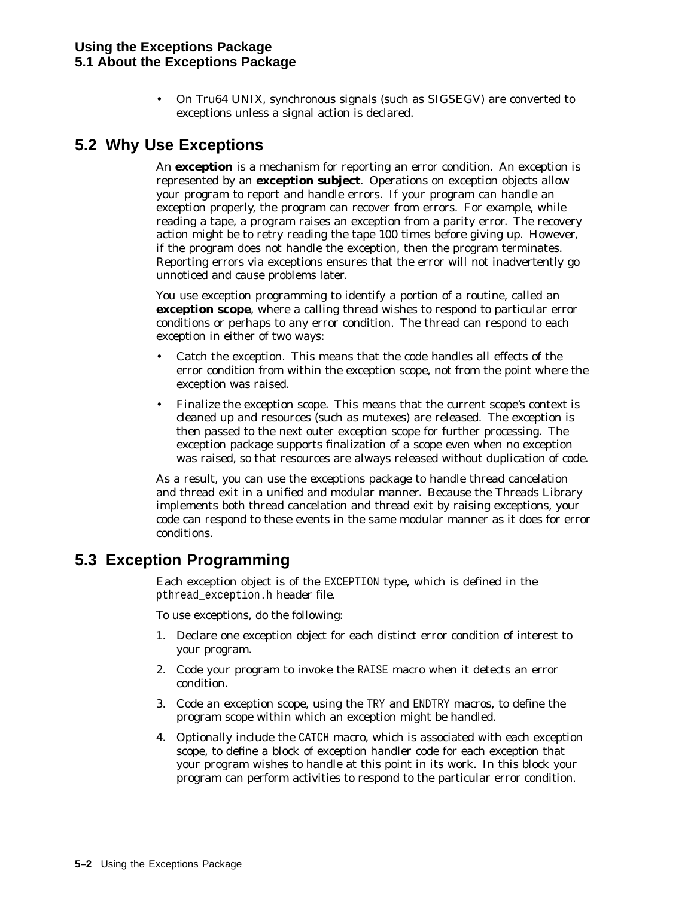• On Tru64 UNIX, synchronous signals (such as SIGSEGV) are converted to exceptions unless a signal action is declared.

# **5.2 Why Use Exceptions**

An **exception** is a mechanism for reporting an error condition. An exception is represented by an **exception subject**. Operations on exception objects allow your program to report and handle errors. If your program can handle an exception properly, the program can recover from errors. For example, while reading a tape, a program raises an exception from a parity error. The recovery action might be to retry reading the tape 100 times before giving up. However, if the program does not handle the exception, then the program terminates. Reporting errors via exceptions ensures that the error will not inadvertently go unnoticed and cause problems later.

You use exception programming to identify a portion of a routine, called an **exception scope**, where a calling thread wishes to respond to particular error conditions or perhaps to any error condition. The thread can respond to each exception in either of two ways:

- *Catch* the exception. This means that the code handles all effects of the error condition from within the exception scope, not from the point where the exception was raised.
- *Finalize* the exception scope. This means that the current scope's context is cleaned up and resources (such as mutexes) are released. The exception is then passed to the next outer exception scope for further processing. The exception package supports finalization of a scope even when no exception was raised, so that resources are always released without duplication of code.

As a result, you can use the exceptions package to handle thread cancelation and thread exit in a unified and modular manner. Because the Threads Library implements both thread cancelation and thread exit by raising exceptions, your code can respond to these events in the same modular manner as it does for error conditions.

# **5.3 Exception Programming**

Each exception object is of the EXCEPTION type, which is defined in the pthread\_exception.h header file.

To use exceptions, do the following:

- 1. Declare one exception object for each distinct error condition of interest to your program.
- 2. Code your program to invoke the RAISE macro when it detects an error condition.
- 3. Code an exception scope, using the TRY and ENDTRY macros, to define the program scope within which an exception might be handled.
- 4. Optionally include the CATCH macro, which is associated with each exception scope, to define a block of exception handler code for each exception that your program wishes to handle at this point in its work. In this block your program can perform activities to respond to the particular error condition.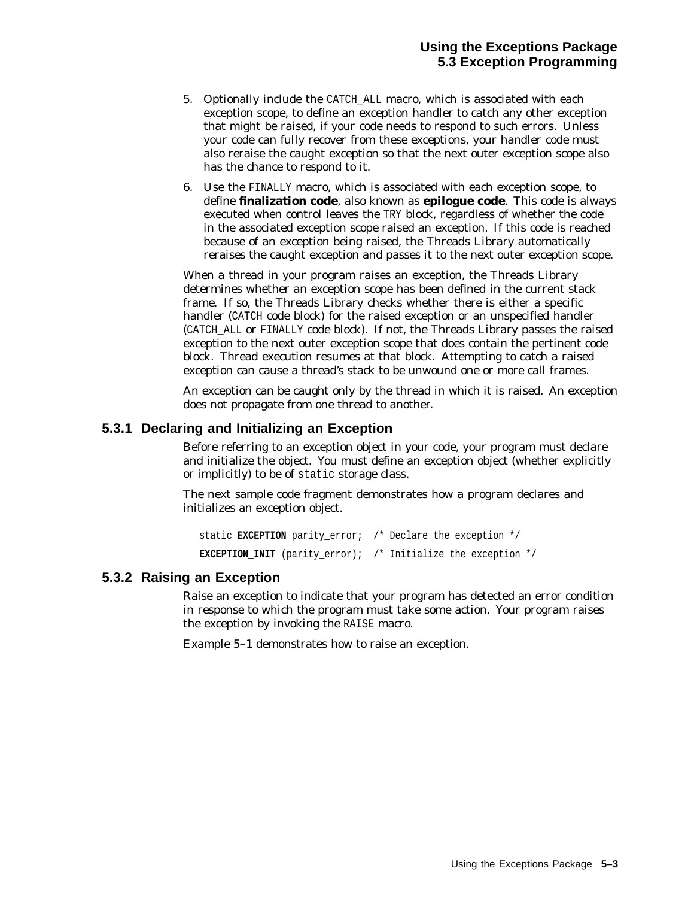- 5. Optionally include the CATCH\_ALL macro, which is associated with each exception scope, to define an exception handler to catch any other exception that might be raised, if your code needs to respond to such errors. Unless your code can fully recover from these exceptions, your handler code must also reraise the caught exception so that the next outer exception scope also has the chance to respond to it.
- 6. Use the FINALLY macro, which is associated with each exception scope, to define **finalization code**, also known as **epilogue code**. This code is always executed when control leaves the TRY block, regardless of whether the code in the associated exception scope raised an exception. If this code is reached because of an exception being raised, the Threads Library automatically reraises the caught exception and passes it to the next outer exception scope.

When a thread in your program raises an exception, the Threads Library determines whether an exception scope has been defined in the current stack frame. If so, the Threads Library checks whether there is either a specific handler (CATCH code block) for the raised exception or an unspecified handler (CATCH\_ALL or FINALLY code block). If not, the Threads Library passes the raised exception to the next outer exception scope that does contain the pertinent code block. Thread execution resumes at that block. Attempting to catch a raised exception can cause a thread's stack to be unwound one or more call frames.

An exception can be caught only by the thread in which it is raised. An exception does not propagate from one thread to another.

#### **5.3.1 Declaring and Initializing an Exception**

Before referring to an exception object in your code, your program must declare and initialize the object. You must define an exception object (whether explicitly or implicitly) to be of static storage class.

The next sample code fragment demonstrates how a program declares and initializes an exception object.

static **EXCEPTION** parity error; /\* Declare the exception \*/ **EXCEPTION INIT** (parity error); /\* Initialize the exception  $*/$ 

#### **5.3.2 Raising an Exception**

Raise an exception to indicate that your program has detected an error condition in response to which the program must take some action. Your program raises the exception by invoking the RAISE macro.

Example 5–1 demonstrates how to raise an exception.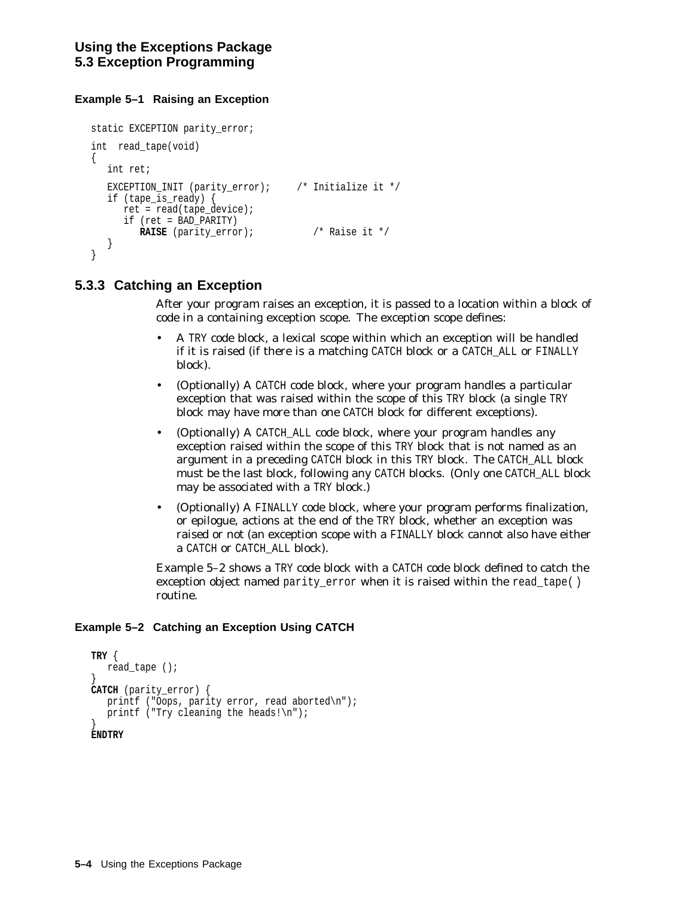#### **Example 5–1 Raising an Exception**

```
static EXCEPTION parity error;
int read_tape(void)
\{int ret;
  EXCEPTION_INIT (parity_error); /* Initialize it */
  if (tape_is_ready) {
     ret = read(tape_device);
     if (ret = BAD_PARITY)
        RAISE (parity_error); /* Raise it */
   }
}
```
### **5.3.3 Catching an Exception**

After your program raises an exception, it is passed to a location within a block of code in a containing exception scope. The exception scope defines:

- A TRY code block, a lexical scope within which an exception will be handled if it is raised (if there is a matching CATCH block or a CATCH\_ALL or FINALLY block).
- (Optionally) A CATCH code block, where your program handles a particular exception that was raised within the scope of this TRY block (a single TRY block may have more than one CATCH block for different exceptions).
- (Optionally) A CATCH\_ALL code block, where your program handles any exception raised within the scope of this TRY block that is not named as an argument in a preceding CATCH block in this TRY block. The CATCH\_ALL block must be the last block, following any CATCH blocks. (Only one CATCH\_ALL block may be associated with a TRY block.)
- (Optionally) A FINALLY code block, where your program performs finalization, or epilogue, actions at the end of the TRY block, whether an exception was raised or not (an exception scope with a FINALLY block cannot also have either a CATCH or CATCH\_ALL block).

Example 5–2 shows a TRY code block with a CATCH code block defined to catch the exception object named parity error when it is raised within the read tape( ) routine.

#### **Example 5–2 Catching an Exception Using CATCH**

```
TRY {
  read_tape ();
}
CATCH (parity_error) {
  printf ("Oops, parity error, read aborted\n");
  printf ("Try cleaning the heads!\n\pi");
}
ENDTRY
```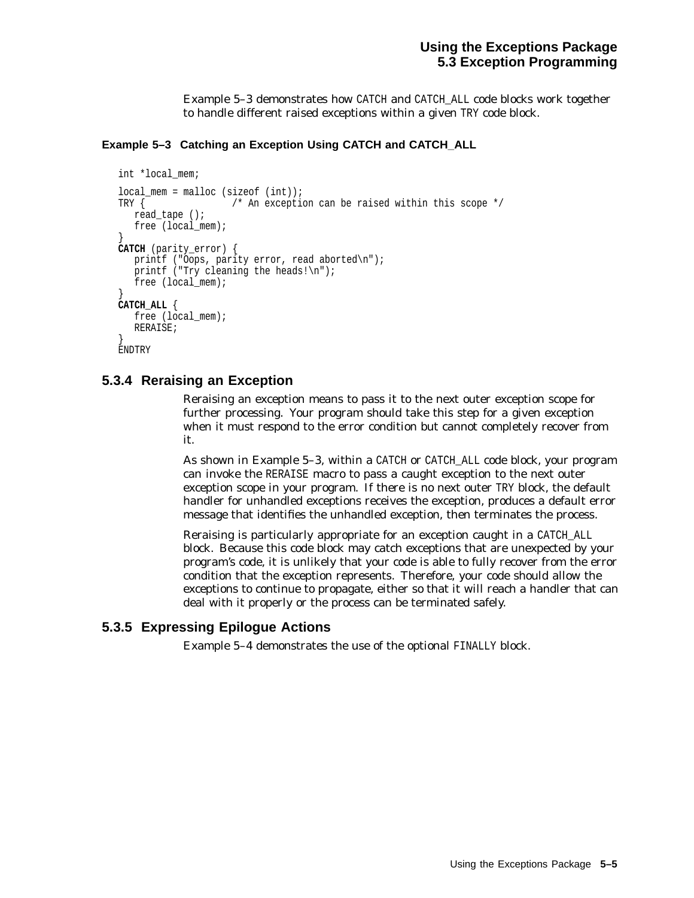Example 5–3 demonstrates how CATCH and CATCH\_ALL code blocks work together to handle different raised exceptions within a given TRY code block.

#### **Example 5–3 Catching an Exception Using CATCH and CATCH\_ALL**

```
int *local_mem;
local mem = malloc (sizeof (int));
TRY { \prime /* An exception can be raised within this scope */
  read_tape ();
  free (local mem);
}
CATCH (parity_error) {
  printf ("Oops, parity error, read aborted\n");
  printf ("Try cleaning the heads!\ln");
  free (local mem);
}
CATCH_ALL {
  free (local mem);
  RERAISE;
}
ENDTRY
```
### **5.3.4 Reraising an Exception**

Reraising an exception means to pass it to the next outer exception scope for further processing. Your program should take this step for a given exception when it must respond to the error condition but cannot completely recover from it.

As shown in Example 5–3, within a CATCH or CATCH\_ALL code block, your program can invoke the RERAISE macro to pass a caught exception to the next outer exception scope in your program. If there is no next outer TRY block, the default handler for unhandled exceptions receives the exception, produces a default error message that identifies the unhandled exception, then terminates the process.

Reraising is particularly appropriate for an exception caught in a CATCH\_ALL block. Because this code block may catch exceptions that are unexpected by your program's code, it is unlikely that your code is able to fully recover from the error condition that the exception represents. Therefore, your code should allow the exceptions to continue to propagate, either so that it will reach a handler that can deal with it properly or the process can be terminated safely.

### **5.3.5 Expressing Epilogue Actions**

Example 5–4 demonstrates the use of the optional FINALLY block.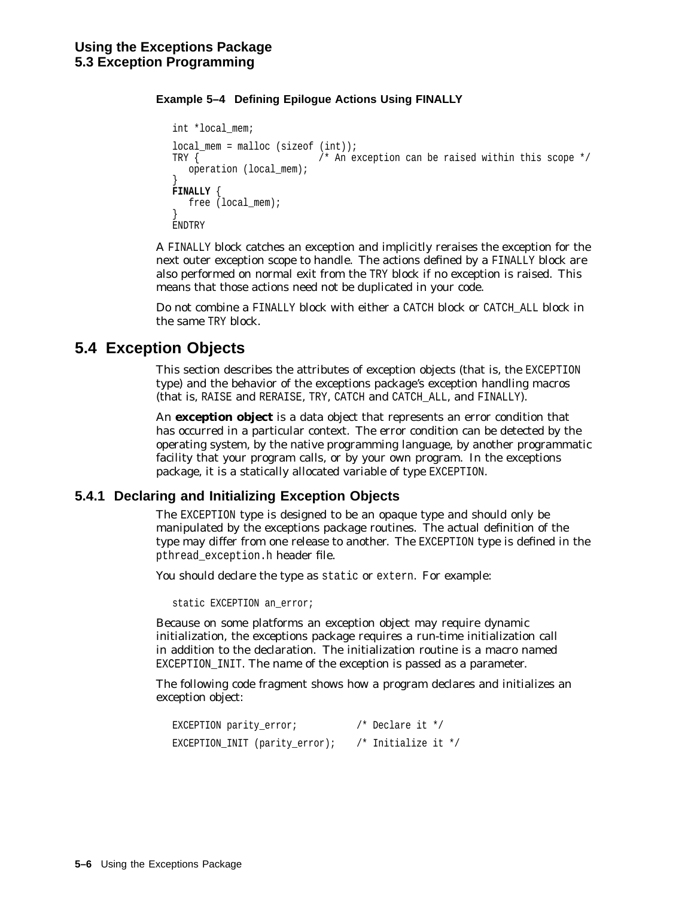#### **Example 5–4 Defining Epilogue Actions Using FINALLY**

```
int *local_mem;
local mem = malloc (sizeof (int));
TRY \{ /* An exception can be raised within this scope */operation (local_mem);
}
FINALLY {
  free (local_mem);
}
ENDTRY
```
A FINALLY block catches an exception and implicitly reraises the exception for the next outer exception scope to handle. The actions defined by a FINALLY block are also performed on normal exit from the TRY block if no exception is raised. This means that those actions need not be duplicated in your code.

Do not combine a FINALLY block with either a CATCH block or CATCH\_ALL block in the same TRY block.

# **5.4 Exception Objects**

This section describes the attributes of exception objects (that is, the EXCEPTION type) and the behavior of the exceptions package's exception handling macros (that is, RAISE and RERAISE, TRY, CATCH and CATCH\_ALL, and FINALLY).

An **exception object** is a data object that represents an error condition that has occurred in a particular context. The error condition can be detected by the operating system, by the native programming language, by another programmatic facility that your program calls, or by your own program. In the exceptions package, it is a statically allocated variable of type EXCEPTION.

### **5.4.1 Declaring and Initializing Exception Objects**

The EXCEPTION type is designed to be an opaque type and should only be manipulated by the exceptions package routines. The actual definition of the type may differ from one release to another. The EXCEPTION type is defined in the pthread\_exception.h header file.

You should declare the type as static or extern. For example:

static EXCEPTION an error;

Because on some platforms an exception object may require dynamic initialization, the exceptions package requires a run-time initialization call in addition to the declaration. The initialization routine is a macro named EXCEPTION INIT. The name of the exception is passed as a parameter.

The following code fragment shows how a program declares and initializes an exception object:

```
EXCEPTION parity_error; /* Declare it */
EXCEPTION_INIT (parity_error); /* Initialize it */
```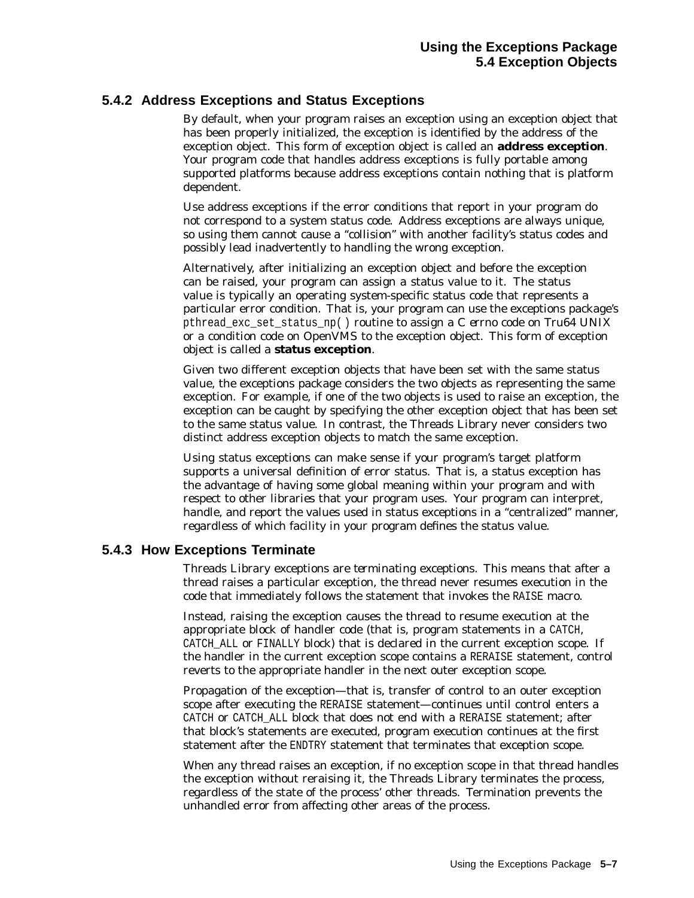### **5.4.2 Address Exceptions and Status Exceptions**

By default, when your program raises an exception using an exception object that has been properly initialized, the exception is identified by the address of the exception object. This form of exception object is called an **address exception**. Your program code that handles address exceptions is fully portable among supported platforms because address exceptions contain nothing that is platform dependent.

Use address exceptions if the error conditions that report in your program do not correspond to a system status code. Address exceptions are always unique, so using them cannot cause a ''collision'' with another facility's status codes and possibly lead inadvertently to handling the wrong exception.

Alternatively, after initializing an exception object and before the exception can be raised, your program can assign a status value to it. The status value is typically an operating system-specific status code that represents a particular error condition. That is, your program can use the exceptions package's pthread\_exc\_set\_status\_np( ) routine to assign a C *errno* code on Tru64 UNIX or a condition code on OpenVMS to the exception object. This form of exception object is called a **status exception**.

Given two different exception objects that have been set with the same status value, the exceptions package considers the two objects as representing the same exception. For example, if one of the two objects is used to raise an exception, the exception can be caught by specifying the other exception object that has been set to the same status value. In contrast, the Threads Library never considers two distinct address exception objects to match the same exception.

Using status exceptions can make sense if your program's target platform supports a universal definition of error status. That is, a status exception has the advantage of having some global meaning within your program and with respect to other libraries that your program uses. Your program can interpret, handle, and report the values used in status exceptions in a "centralized" manner, regardless of which facility in your program defines the status value.

### **5.4.3 How Exceptions Terminate**

Threads Library exceptions are *terminating* exceptions. This means that after a thread raises a particular exception, the thread never resumes execution in the code that immediately follows the statement that invokes the RAISE macro.

Instead, raising the exception causes the thread to resume execution at the appropriate block of handler code (that is, program statements in a CATCH, CATCH ALL or FINALLY block) that is declared in the current exception scope. If the handler in the current exception scope contains a RERAISE statement, control reverts to the appropriate handler in the next outer exception scope.

Propagation of the exception—that is, transfer of control to an outer exception scope after executing the RERAISE statement—continues until control enters a CATCH or CATCH\_ALL block that does not end with a RERAISE statement; after that block's statements are executed, program execution continues at the first statement after the ENDTRY statement that terminates that exception scope.

When any thread raises an exception, if no exception scope in that thread handles the exception without reraising it, the Threads Library terminates the process, regardless of the state of the process' other threads. Termination prevents the unhandled error from affecting other areas of the process.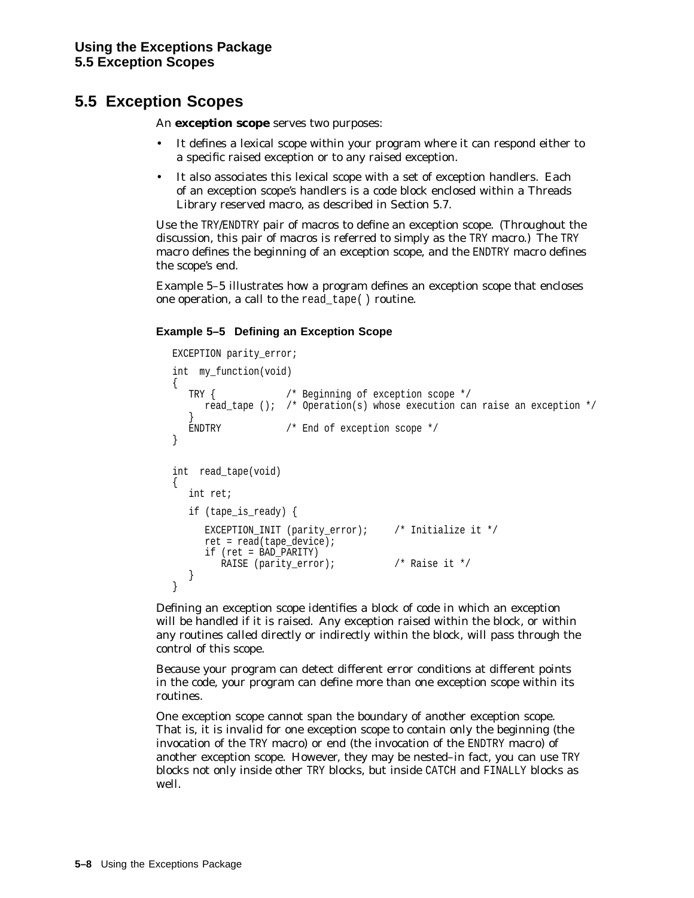# **5.5 Exception Scopes**

An **exception scope** serves two purposes:

- It defines a lexical scope within your program where it can respond either to a specific raised exception or to any raised exception.
- It also associates this lexical scope with a set of exception handlers. Each of an exception scope's handlers is a code block enclosed within a Threads Library reserved macro, as described in Section 5.7.

Use the TRY/ENDTRY pair of macros to define an exception scope. (Throughout the discussion, this pair of macros is referred to simply as the TRY macro.) The TRY macro defines the beginning of an exception scope, and the ENDTRY macro defines the scope's end.

Example 5–5 illustrates how a program defines an exception scope that encloses one operation, a call to the read\_tape( ) routine.

### **Example 5–5 Defining an Exception Scope**

```
EXCEPTION parity error;
int my_function(void)
{
  TRY { /* Beginning of exception scope */
     read_tape (); /* Operation(s) whose execution can raise an exception */
   }
  ENDTRY /* End of exception scope */
}
int read_tape(void)
\{int ret;
  if (tape_is_ready) {
     EXCEPTION INIT (parity error); / Initialize it */
     ret = read(tape_device);
     if (ret = BAD_PARITY)
       RAISE (parity_error); \frac{1}{2} /* Raise it */
  }
}
```
Defining an exception scope identifies a block of code in which an exception will be handled if it is raised. Any exception raised within the block, or within any routines called directly or indirectly within the block, will pass through the control of this scope.

Because your program can detect different error conditions at different points in the code, your program can define more than one exception scope within its routines.

One exception scope cannot span the boundary of another exception scope. That is, it is invalid for one exception scope to contain only the beginning (the invocation of the TRY macro) or end (the invocation of the ENDTRY macro) of another exception scope. However, they may be nested–in fact, you can use TRY blocks not only inside other TRY blocks, but inside CATCH and FINALLY blocks as well.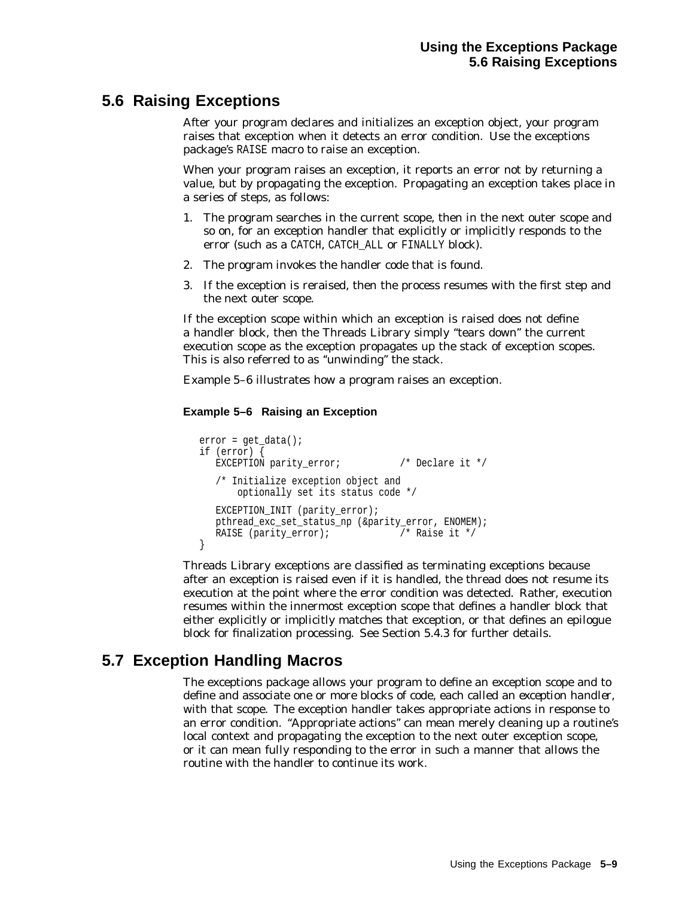# **5.6 Raising Exceptions**

After your program declares and initializes an exception object, your program raises that exception when it detects an error condition. Use the exceptions package's RAISE macro to raise an exception.

When your program raises an exception, it reports an error not by returning a value, but by *propagating* the exception. Propagating an exception takes place in a series of steps, as follows:

- 1. The program searches in the current scope, then in the next outer scope and so on, for an exception handler that explicitly or implicitly responds to the error (such as a CATCH, CATCH ALL or FINALLY block).
- 2. The program invokes the handler code that is found.
- 3. If the exception is reraised, then the process resumes with the first step and the next outer scope.

If the exception scope within which an exception is raised does not define a handler block, then the Threads Library simply ''tears down'' the current execution scope as the exception propagates up the stack of exception scopes. This is also referred to as ''unwinding'' the stack.

Example 5–6 illustrates how a program raises an exception.

#### **Example 5–6 Raising an Exception**

```
error = qet data();
if (error) {
  EXCEPTION parity_error; /* Declare it */
  /* Initialize exception object and
      optionally set its status code */
  EXCEPTION_INIT (parity_error);
  pthread_exc_set_status_np (&parity_error, ENOMEM);
  RAISE (parity error); /* Raise it */
}
```
Threads Library exceptions are classified as terminating exceptions because after an exception is raised even if it is handled, the thread does not resume its execution at the point where the error condition was detected. Rather, execution resumes within the innermost exception scope that defines a handler block that either explicitly or implicitly matches that exception, or that defines an epilogue block for finalization processing. See Section 5.4.3 for further details.

# **5.7 Exception Handling Macros**

The exceptions package allows your program to define an exception scope and to define and associate one or more blocks of code, each called an *exception handler*, with that scope. The exception handler takes appropriate actions in response to an error condition. ''Appropriate actions'' can mean merely cleaning up a routine's local context and propagating the exception to the next outer exception scope, or it can mean fully responding to the error in such a manner that allows the routine with the handler to continue its work.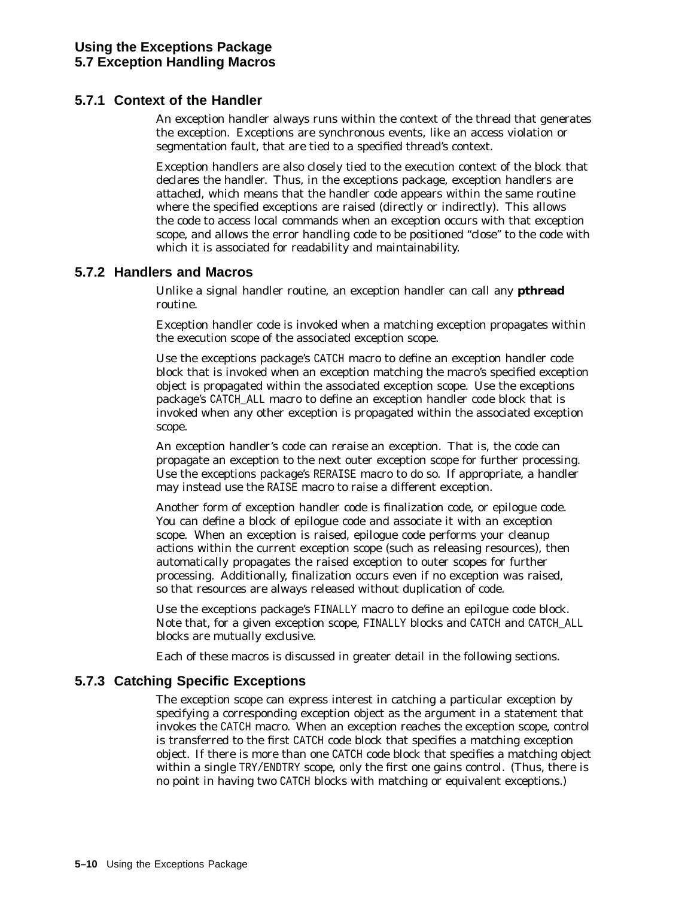### **5.7.1 Context of the Handler**

An exception handler always runs within the context of the thread that generates the exception. Exceptions are synchronous events, like an access violation or segmentation fault, that are tied to a specified thread's context.

Exception handlers are also closely tied to the execution context of the block that declares the handler. Thus, in the exceptions package, exception handlers are *attached*, which means that the handler code appears within the same routine where the specified exceptions are raised (directly or indirectly). This allows the code to access local commands when an exception occurs with that exception scope, and allows the error handling code to be positioned ''close'' to the code with which it is associated for readability and maintainability.

#### **5.7.2 Handlers and Macros**

Unlike a signal handler routine, an exception handler can call any **pthread** routine.

Exception handler code is invoked when a matching exception propagates within the execution scope of the associated exception scope.

Use the exceptions package's CATCH macro to define an exception handler code block that is invoked when an exception matching the macro's specified exception object is propagated within the associated exception scope. Use the exceptions package's CATCH\_ALL macro to define an exception handler code block that is invoked when any other exception is propagated within the associated exception scope.

An exception handler's code can *reraise* an exception. That is, the code can propagate an exception to the next outer exception scope for further processing. Use the exceptions package's RERAISE macro to do so. If appropriate, a handler may instead use the RAISE macro to raise a different exception.

Another form of exception handler code is finalization code, or epilogue code. You can define a block of epilogue code and associate it with an exception scope. When an exception is raised, epilogue code performs your cleanup actions within the current exception scope (such as releasing resources), then automatically propagates the raised exception to outer scopes for further processing. Additionally, finalization occurs even if no exception was raised, so that resources are always released without duplication of code.

Use the exceptions package's FINALLY macro to define an epilogue code block. Note that, for a given exception scope, FINALLY blocks and CATCH and CATCH\_ALL blocks are mutually exclusive.

Each of these macros is discussed in greater detail in the following sections.

### **5.7.3 Catching Specific Exceptions**

The exception scope can express interest in catching a particular exception by specifying a corresponding exception object as the argument in a statement that invokes the CATCH macro. When an exception reaches the exception scope, control is transferred to the first CATCH code block that specifies a matching exception object. If there is more than one CATCH code block that specifies a matching object within a single TRY/ENDTRY scope, only the first one gains control. (Thus, there is no point in having two CATCH blocks with matching or equivalent exceptions.)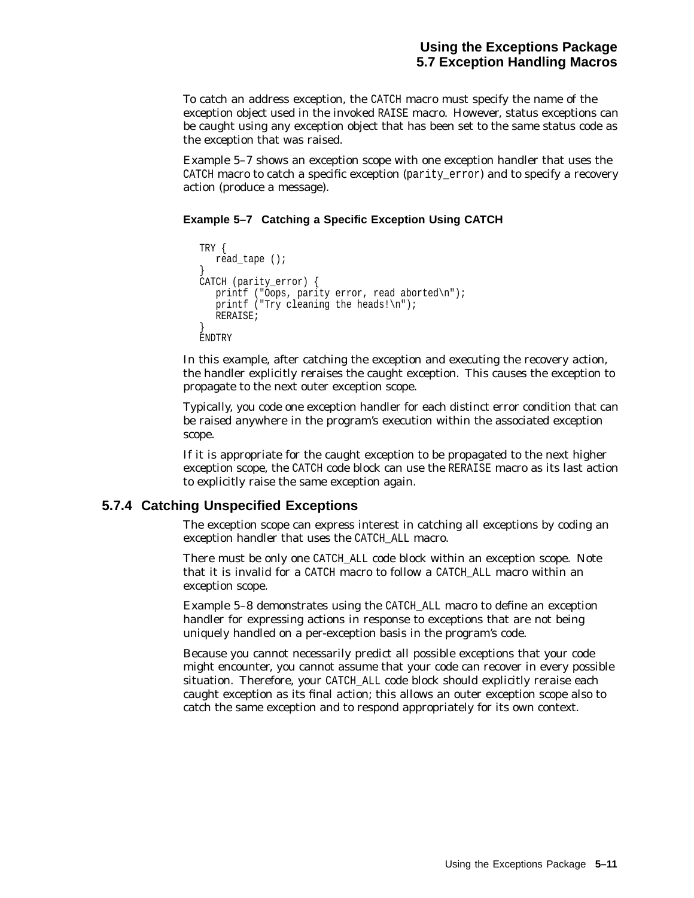To catch an address exception, the CATCH macro must specify the name of the exception object used in the invoked RAISE macro. However, status exceptions can be caught using any exception object that has been set to the same status code as the exception that was raised.

Example 5–7 shows an exception scope with one exception handler that uses the CATCH macro to catch a specific exception (parity\_error) and to specify a recovery action (produce a message).

#### **Example 5–7 Catching a Specific Exception Using CATCH**

```
TRY {
  read_tape ();
}
CATCH (parity_error) {
  printf ("Oops, parity error, read aborted\n");
   printf ("Try cleaning the heads!\n");
  RERAISE;
}
ENDTRY
```
In this example, after catching the exception and executing the recovery action, the handler explicitly reraises the caught exception. This causes the exception to propagate to the next outer exception scope.

Typically, you code one exception handler for each distinct error condition that can be raised anywhere in the program's execution within the associated exception scope.

If it is appropriate for the caught exception to be propagated to the next higher exception scope, the CATCH code block can use the RERAISE macro as its last action to explicitly raise the same exception again.

#### **5.7.4 Catching Unspecified Exceptions**

The exception scope can express interest in catching all exceptions by coding an exception handler that uses the CATCH\_ALL macro.

There must be only one CATCH\_ALL code block within an exception scope. Note that it is invalid for a CATCH macro to follow a CATCH\_ALL macro within an exception scope.

Example 5–8 demonstrates using the CATCH\_ALL macro to define an exception handler for expressing actions in response to exceptions that are not being uniquely handled on a per-exception basis in the program's code.

Because you cannot necessarily predict all possible exceptions that your code might encounter, you cannot assume that your code can recover in every possible situation. Therefore, your CATCH ALL code block should explicitly reraise each caught exception as its final action; this allows an outer exception scope also to catch the same exception and to respond appropriately for its own context.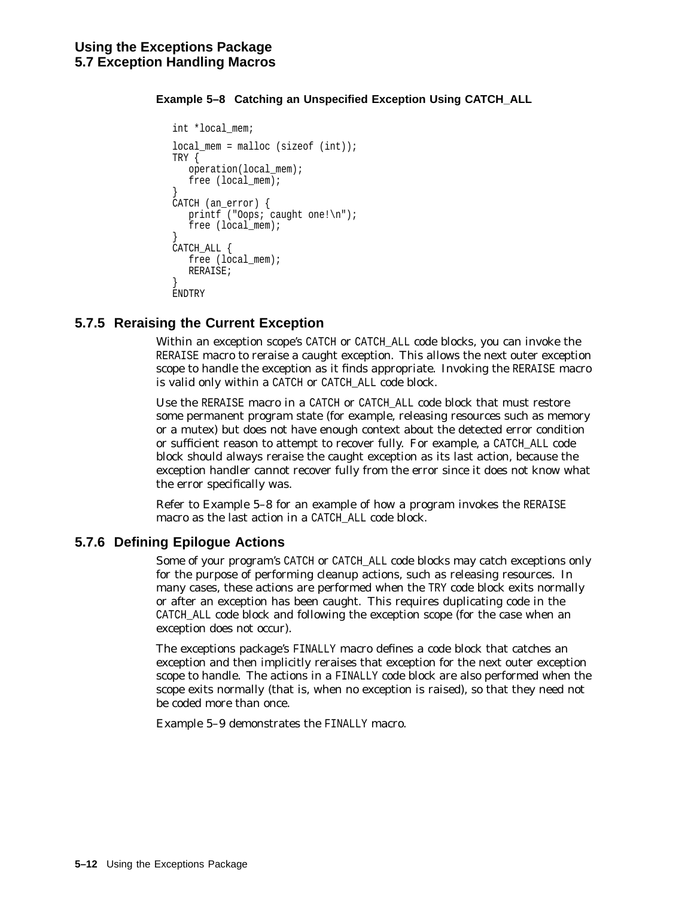**Example 5–8 Catching an Unspecified Exception Using CATCH\_ALL**

```
int *local_mem;
local mem = malloc (sizeof (int));
TRY {
  operation(local_mem);
  free (local_mem);
}
CATCH (an_error) {
  printf ("Oops; caught one!\n");
   free (local_mem);
}
CATCH_ALL {
  free (local mem);
  RERAISE;
}
ENDTRY
```
# **5.7.5 Reraising the Current Exception**

Within an exception scope's CATCH or CATCH\_ALL code blocks, you can invoke the RERAISE macro to reraise a caught exception. This allows the next outer exception scope to handle the exception as it finds appropriate. Invoking the RERAISE macro is valid only within a CATCH or CATCH\_ALL code block.

Use the RERAISE macro in a CATCH or CATCH ALL code block that must restore some permanent program state (for example, releasing resources such as memory or a mutex) but does not have enough context about the detected error condition or sufficient reason to attempt to recover fully. For example, a CATCH\_ALL code block should always reraise the caught exception as its last action, because the exception handler cannot recover fully from the error since it does not know what the error specifically was.

Refer to Example 5–8 for an example of how a program invokes the RERAISE macro as the last action in a CATCH\_ALL code block.

### **5.7.6 Defining Epilogue Actions**

Some of your program's CATCH or CATCH\_ALL code blocks may catch exceptions only for the purpose of performing cleanup actions, such as releasing resources. In many cases, these actions are performed when the TRY code block exits normally or after an exception has been caught. This requires duplicating code in the CATCH\_ALL code block and following the exception scope (for the case when an exception does not occur).

The exceptions package's FINALLY macro defines a code block that catches an exception and then implicitly reraises that exception for the next outer exception scope to handle. The actions in a FINALLY code block are also performed when the scope exits normally (that is, when no exception is raised), so that they need not be coded more than once.

Example 5–9 demonstrates the FINALLY macro.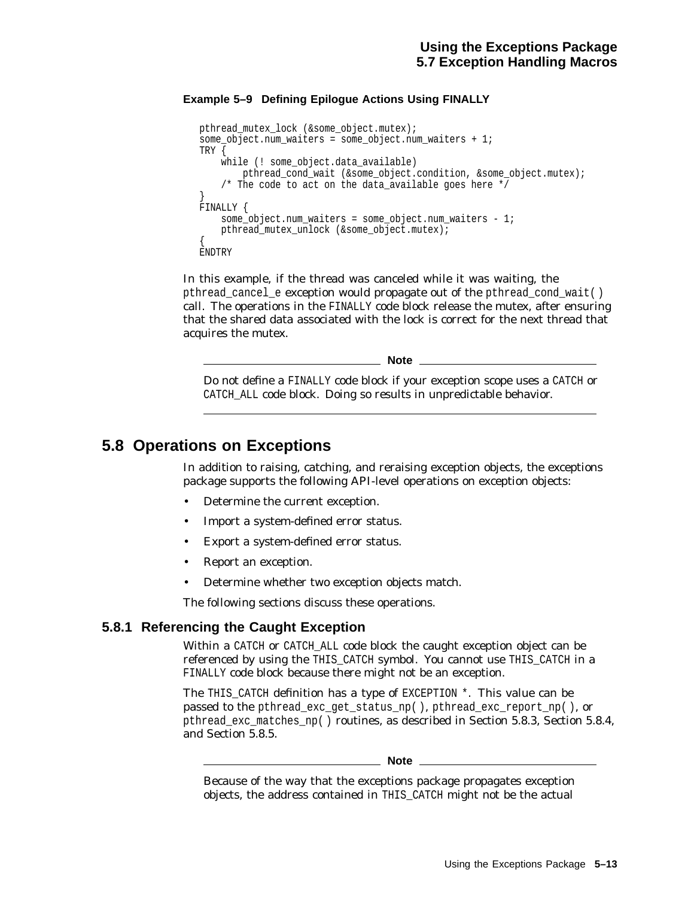#### **Example 5–9 Defining Epilogue Actions Using FINALLY**

```
pthread_mutex_lock (&some_object.mutex);
some object.num waiters = some object.num waiters + 1;
TRY {
   while (! some_object.data_available)
       pthread cond wait (&some object.condition, &some object.mutex);
    /* The code to act on the data_available goes here */
}
FINALLY {
   some object.num waiters = some object.num waiters - 1;
   pthread_mutex_unlock (&some_object.mutex);
\{ENDTRY
```
In this example, if the thread was canceled while it was waiting, the pthread\_cancel\_e exception would propagate out of the pthread\_cond\_wait( ) call. The operations in the FINALLY code block release the mutex, after ensuring that the shared data associated with the lock is correct for the next thread that acquires the mutex.

**Note**

Do not define a FINALLY code block if your exception scope uses a CATCH or CATCH ALL code block. Doing so results in unpredictable behavior.

# **5.8 Operations on Exceptions**

In addition to raising, catching, and reraising exception objects, the exceptions package supports the following API-level operations on exception objects:

- Determine the current exception.
- Import a system-defined error status.
- Export a system-defined error status.
- Report an exception.
- Determine whether two exception objects match.

The following sections discuss these operations.

#### **5.8.1 Referencing the Caught Exception**

Within a CATCH or CATCH ALL code block the caught exception object can be referenced by using the THIS\_CATCH symbol. You cannot use THIS\_CATCH in a FINALLY code block because there might not be an exception.

The THIS CATCH definition has a type of EXCEPTION  $*$ . This value can be passed to the pthread\_exc\_get\_status\_np( ), pthread\_exc\_report\_np( ), or pthread\_exc\_matches\_np( ) routines, as described in Section 5.8.3, Section 5.8.4, and Section 5.8.5.

**Note**

Because of the way that the exceptions package propagates exception objects, the address contained in THIS\_CATCH might not be the actual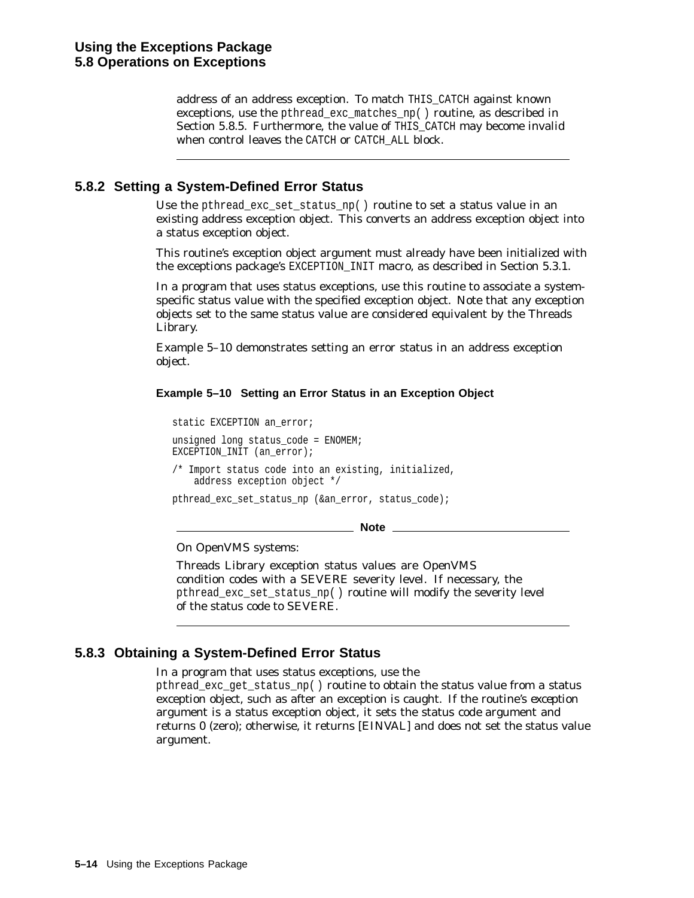address of an address exception. To match THIS\_CATCH against known exceptions, use the pthread\_exc\_matches\_np( ) routine, as described in Section 5.8.5. Furthermore, the value of THIS CATCH may become invalid when control leaves the CATCH or CATCH ALL block.

### **5.8.2 Setting a System-Defined Error Status**

Use the pthread\_exc\_set\_status\_np( ) routine to set a status value in an existing address exception object. This converts an address exception object into a status exception object.

This routine's exception object argument must already have been initialized with the exceptions package's EXCEPTION\_INIT macro, as described in Section 5.3.1.

In a program that uses status exceptions, use this routine to associate a systemspecific status value with the specified exception object. Note that any exception objects set to the same status value are considered equivalent by the Threads Library.

Example 5–10 demonstrates setting an error status in an address exception object.

#### **Example 5–10 Setting an Error Status in an Exception Object**

static EXCEPTION an error; unsigned long status code = ENOMEM; EXCEPTION\_INIT (an\_error); /\* Import status code into an existing, initialized, address exception object \*/ pthread\_exc\_set\_status\_np (&an\_error, status\_code);

**Note**

#### On OpenVMS systems:

Threads Library exception status values are OpenVMS condition codes with a SEVERE severity level. If necessary, the pthread\_exc\_set\_status\_np( ) routine will modify the severity level of the status code to SEVERE.

### **5.8.3 Obtaining a System-Defined Error Status**

In a program that uses status exceptions, use the

pthread\_exc\_get\_status\_np( ) routine to obtain the status value from a status exception object, such as after an exception is caught. If the routine's *exception* argument is a status exception object, it sets the status *code* argument and returns 0 (zero); otherwise, it returns [EINVAL] and does not set the status value argument.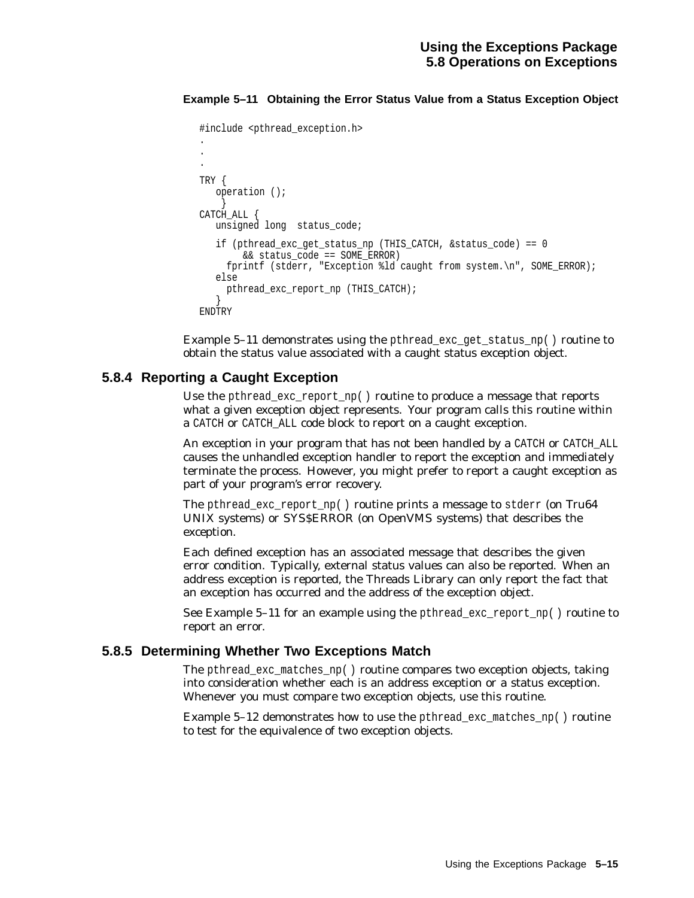#### **Example 5–11 Obtaining the Error Status Value from a Status Exception Object**

```
#include <pthread_exception.h>
.
.
.
TRY {
  operation ();
    }
CATCH_ALL {
  unsigned long status_code;
   if (pthread_exc_get_status_np (THIS_CATCH, &status_code) == 0
        && status_code == SOME_ERROR)
     fprintf (stderr, "Exception %ld caught from system.\n", SOME_ERROR);
   else
    pthread exc_report_np (THIS_CATCH);
   }
ENDTRY
```
Example 5–11 demonstrates using the pthread\_exc\_get\_status\_np( ) routine to obtain the status value associated with a caught status exception object.

#### **5.8.4 Reporting a Caught Exception**

Use the pthread\_exc\_report\_np( ) routine to produce a message that reports what a given exception object represents. Your program calls this routine within a CATCH or CATCH\_ALL code block to report on a caught exception.

An exception in your program that has not been handled by a CATCH or CATCH\_ALL causes the unhandled exception handler to report the exception and immediately terminate the process. However, you might prefer to report a caught exception as part of your program's error recovery.

The pthread\_exc\_report\_np( ) routine prints a message to stderr (on Tru64 UNIX systems) or SYS\$ERROR (on OpenVMS systems) that describes the exception.

Each defined exception has an associated message that describes the given error condition. Typically, external status values can also be reported. When an address exception is reported, the Threads Library can only report the fact that an exception has occurred and the address of the exception object.

See Example 5–11 for an example using the pthread exc\_report\_np( ) routine to report an error.

#### **5.8.5 Determining Whether Two Exceptions Match**

The pthread exc matches  $np()$  routine compares two exception objects, taking into consideration whether each is an address exception or a status exception. Whenever you must compare two exception objects, use this routine.

Example 5–12 demonstrates how to use the pthread\_exc\_matches\_np( ) routine to test for the equivalence of two exception objects.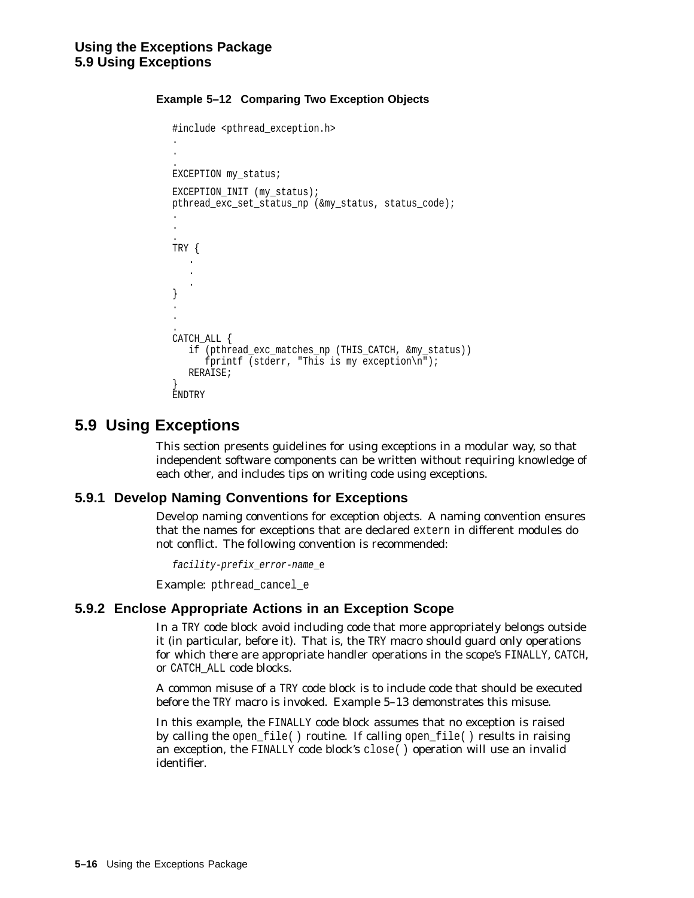#### **Example 5–12 Comparing Two Exception Objects**

```
#include <pthread_exception.h>
.
.
.
EXCEPTION my_status;
EXCEPTION INIT (my status);
pthread exc set status np (&my status, status code);
.
.
.
TRY {.
   .
   . }
.
.
.
CATCH_ALL {
   if (pthread_exc_matches_np (THIS_CATCH, &my_status))
      fprintf (stderr, "This is my exception\n");
   RERAISE;
}
ENDTRY
```
## **5.9 Using Exceptions**

This section presents guidelines for using exceptions in a modular way, so that independent software components can be written without requiring knowledge of each other, and includes tips on writing code using exceptions.

#### **5.9.1 Develop Naming Conventions for Exceptions**

Develop naming conventions for exception objects. A naming convention ensures that the names for exceptions that are declared extern in different modules do not conflict. The following convention is recommended:

```
facility-prefix_error-name_e
```
Example: pthread\_cancel\_e

#### **5.9.2 Enclose Appropriate Actions in an Exception Scope**

In a TRY code block avoid including code that more appropriately belongs outside it (in particular, before it). That is, the TRY macro should guard only operations for which there are appropriate handler operations in the scope's FINALLY, CATCH, or CATCH\_ALL code blocks.

A common misuse of a TRY code block is to include code that should be executed before the TRY macro is invoked. Example 5–13 demonstrates this misuse.

In this example, the FINALLY code block assumes that no exception is raised by calling the open\_file( ) routine. If calling open\_file( ) results in raising an exception, the FINALLY code block's close( ) operation will use an invalid identifier.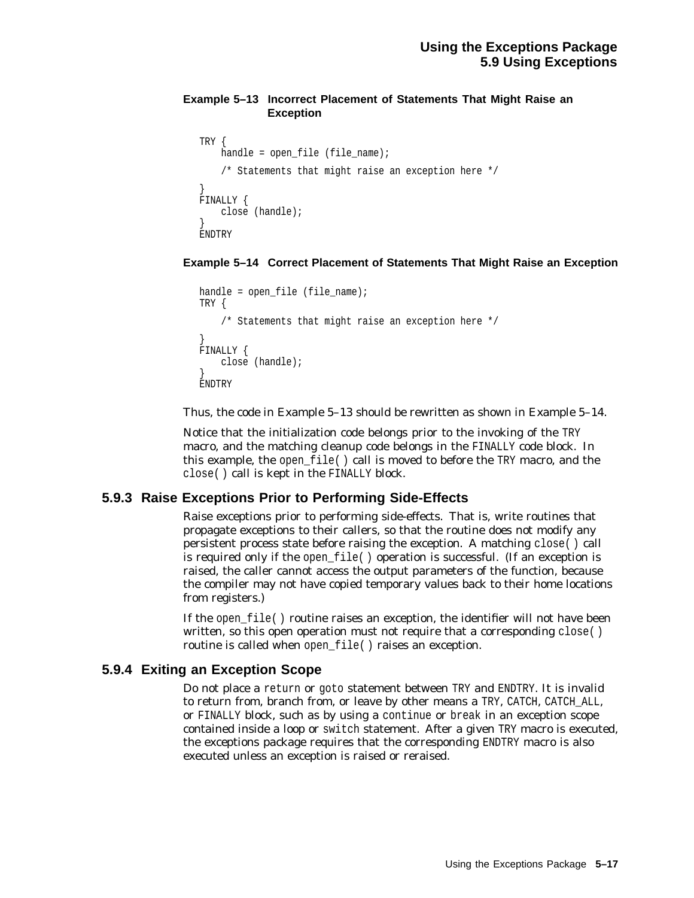#### **Example 5–13 Incorrect Placement of Statements That Might Raise an Exception**

```
TRY {
    handle = open file (file name);
    /* Statements that might raise an exception here */
}
FINALLY {
    close (handle);
}
ENDTRY
```
#### **Example 5–14 Correct Placement of Statements That Might Raise an Exception**

```
handle = open_file (file_name);
TRY {
    /* Statements that might raise an exception here */
}
FINALLY {
   close (handle);
}
ENDTRY
```
Thus, the code in Example 5–13 should be rewritten as shown in Example 5–14.

Notice that the initialization code belongs prior to the invoking of the TRY macro, and the matching cleanup code belongs in the FINALLY code block. In this example, the open\_file( ) call is moved to before the TRY macro, and the close( ) call is kept in the FINALLY block.

#### **5.9.3 Raise Exceptions Prior to Performing Side-Effects**

Raise exceptions prior to performing side-effects. That is, write routines that propagate exceptions to their callers, so that the routine does not modify any persistent process state before raising the exception. A matching close( ) call is required only if the open  $file()$  operation is successful. (If an exception is raised, the caller cannot access the output parameters of the function, because the compiler may not have copied temporary values back to their home locations from registers.)

If the open  $file()$  routine raises an exception, the identifier will not have been written, so this open operation must not require that a corresponding close () routine is called when open\_file( ) raises an exception.

#### **5.9.4 Exiting an Exception Scope**

Do not place a return or goto statement between TRY and ENDTRY. It is invalid to return from, branch from, or leave by other means a TRY, CATCH, CATCH\_ALL, or FINALLY block, such as by using a continue or break in an exception scope contained inside a loop or switch statement. After a given TRY macro is executed, the exceptions package requires that the corresponding ENDTRY macro is also executed unless an exception is raised or reraised.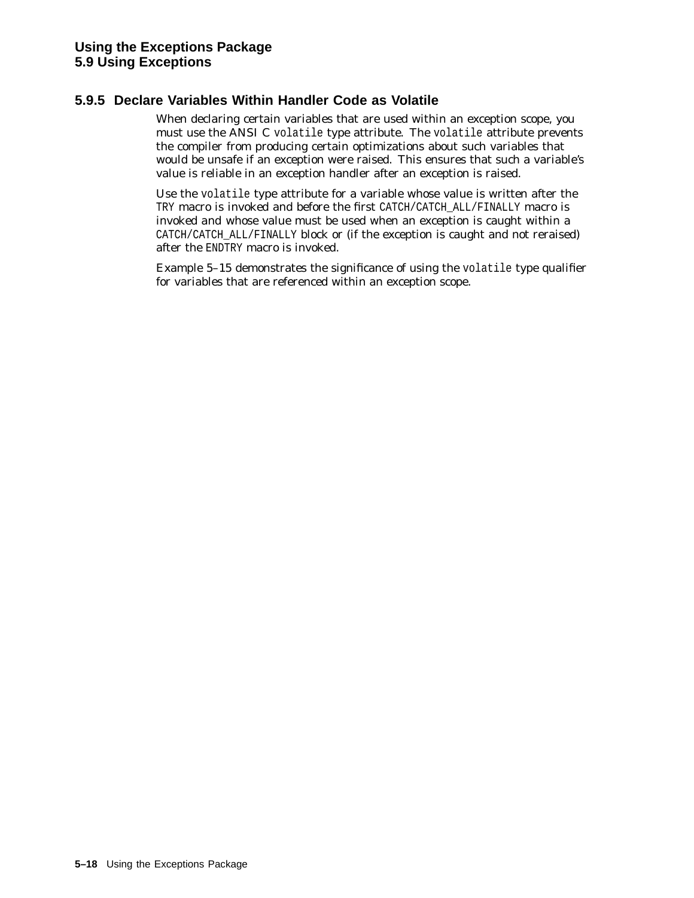#### **5.9.5 Declare Variables Within Handler Code as Volatile**

When declaring certain variables that are used within an exception scope, you must use the ANSI C volatile type attribute. The volatile attribute prevents the compiler from producing certain optimizations about such variables that would be unsafe if an exception were raised. This ensures that such a variable's value is reliable in an exception handler after an exception is raised.

Use the volatile type attribute for a variable whose value is written after the TRY macro is invoked and before the first CATCH/CATCH\_ALL/FINALLY macro is invoked *and* whose value must be used when an exception is caught within a CATCH/CATCH\_ALL/FINALLY block or (if the exception is caught and not reraised) after the ENDTRY macro is invoked.

Example 5–15 demonstrates the significance of using the volatile type qualifier for variables that are referenced within an exception scope.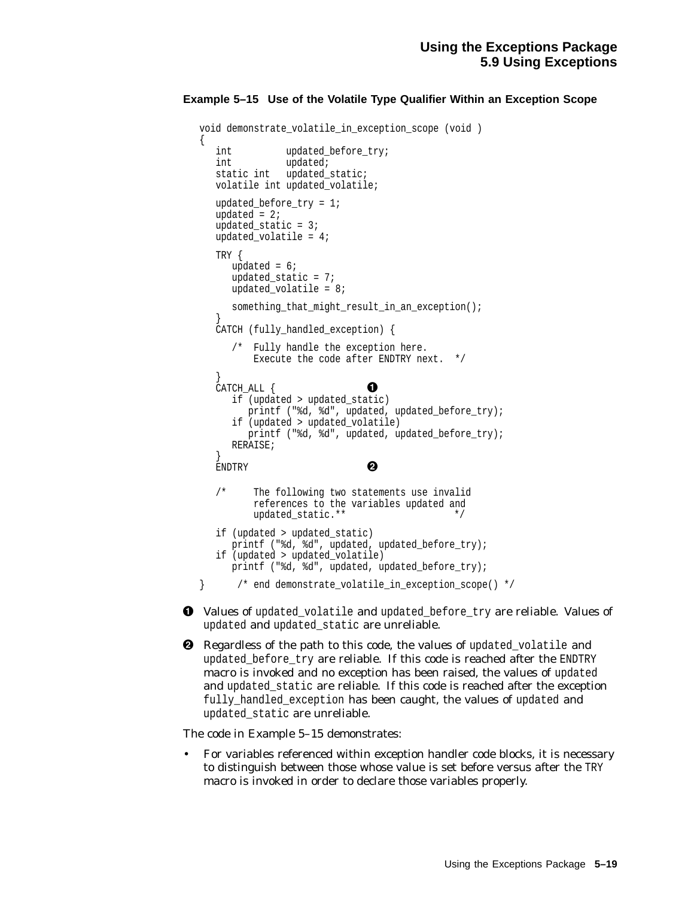#### **Example 5–15 Use of the Volatile Type Qualifier Within an Exception Scope**

```
void demonstrate_volatile_in_exception_scope (void )
{
  int updated before try;
  int updated;
  static int updated_static;
  volatile int updated volatile;
  updated before try = 1;
  updated = 2iupdated_static = 3iupdated_volatile = 4;
  TRY {
     updated = 6;
     updated_static = 7;
     updated volatile = 8;
     something that might result in an exception();
   }
  CATCH (fully handled exception) {
     /* Fully handle the exception here.
         Execute the code after ENDTRY next. */
   }<br>CATCH_ALL { 12000
     if (updated > updated_static)
        printf ("%d, %d", updated, updated_before_try);
     if (updated > updated_volatile)
       printf ("%d, %d", updated, updated_before_try);
     RERAISE;
   }
  ENDTRY 2
  /* The following two statements use invalid
         references to the variables updated and
         updated_static.** */
  if (updated > updated_static)
     printf ("%d, %d", updated, updated before try);
  if (updated > updated_volatile)
     printf ("%d, %d", updated, updated_before_try);
} /* end demonstrate_volatile_in_exception_scope() */
```
! Values of updated\_volatile and updated\_before\_try are reliable. Values of updated and updated\_static are unreliable.

**2** Regardless of the path to this code, the values of updated\_volatile and updated\_before\_try are reliable. If this code is reached after the ENDTRY macro is invoked and no exception has been raised, the values of updated and updated\_static are reliable. If this code is reached after the exception fully\_handled\_exception has been caught, the values of updated and updated\_static are unreliable.

The code in Example 5–15 demonstrates:

• For variables referenced within exception handler code blocks, it is necessary to distinguish between those whose value is set before versus after the TRY macro is invoked in order to declare those variables properly.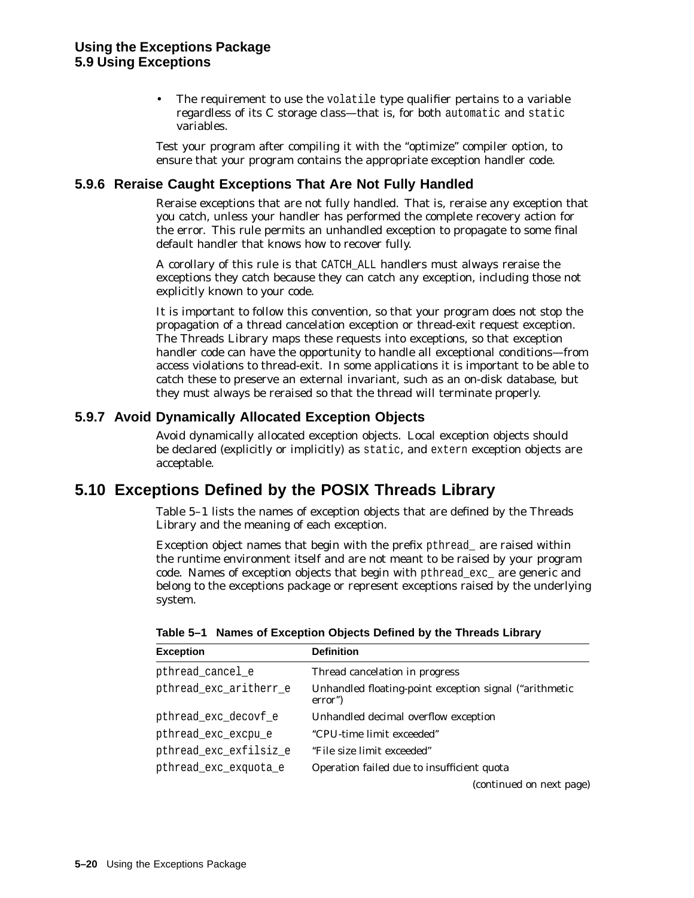The requirement to use the volatile type qualifier pertains to a variable regardless of its C storage class—that is, for both automatic and static variables.

Test your program after compiling it with the ''optimize'' compiler option, to ensure that your program contains the appropriate exception handler code.

#### **5.9.6 Reraise Caught Exceptions That Are Not Fully Handled**

Reraise exceptions that are not fully handled. That is, reraise any exception that you catch, unless your handler has performed the complete recovery action for the error. This rule permits an unhandled exception to propagate to some final default handler that knows how to recover fully.

A corollary of this rule is that CATCH\_ALL handlers must always reraise the exceptions they catch because they can catch any exception, including those not explicitly known to your code.

It is important to follow this convention, so that your program does not stop the propagation of a thread cancelation exception or thread-exit request exception. The Threads Library maps these requests into exceptions, so that exception handler code can have the opportunity to handle all exceptional conditions—from access violations to thread-exit. In some applications it is important to be able to catch these to preserve an external invariant, such as an on-disk database, but they must always be reraised so that the thread will terminate properly.

#### **5.9.7 Avoid Dynamically Allocated Exception Objects**

Avoid dynamically allocated exception objects. Local exception objects should be declared (explicitly or implicitly) as static, and extern exception objects are acceptable.

## **5.10 Exceptions Defined by the POSIX Threads Library**

Table 5–1 lists the names of exception objects that are defined by the Threads Library and the meaning of each exception.

Exception object names that begin with the prefix pthread\_ are raised within the runtime environment itself and are not meant to be raised by your program code. Names of exception objects that begin with pthread\_exc\_ are generic and belong to the exceptions package or represent exceptions raised by the underlying system.

| <b>Exception</b>       | <b>Definition</b>                                                 |
|------------------------|-------------------------------------------------------------------|
| pthread_cancel_e       | Thread cancelation in progress                                    |
| pthread_exc_aritherr_e | Unhandled floating-point exception signal ("arithmetic<br>error") |
| pthread_exc_decovf_e   | Unhandled decimal overflow exception                              |
| pthread_exc_excpu e    | "CPU-time limit exceeded"                                         |
| pthread exc exfilsiz e | "File size limit exceeded"                                        |
| pthread_exc_exquota_e  | Operation failed due to insufficient quota                        |
|                        | (continued on next page)                                          |

**Table 5–1 Names of Exception Objects Defined by the Threads Library**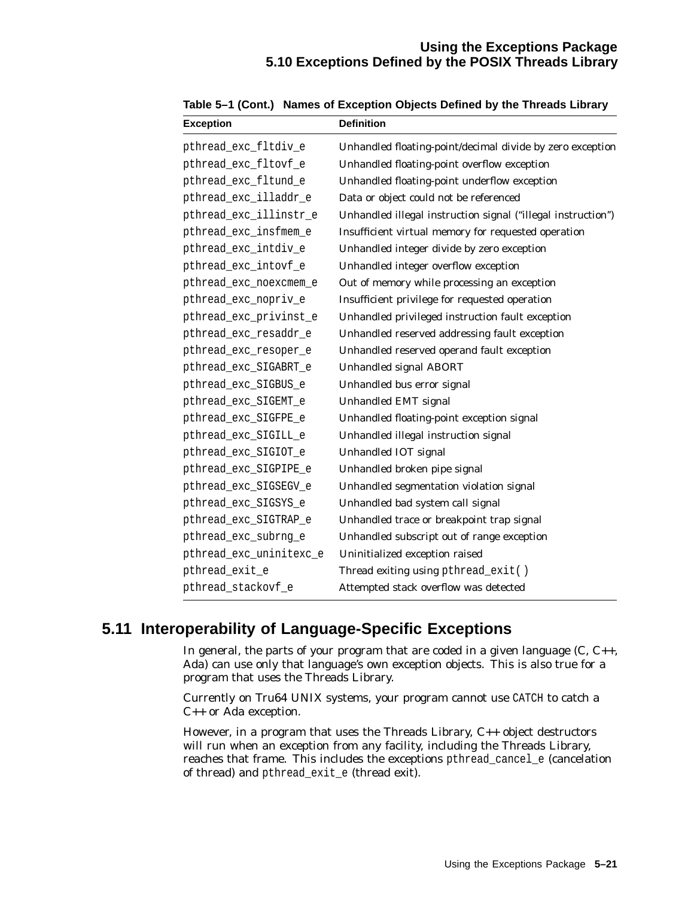#### **Using the Exceptions Package 5.10 Exceptions Defined by the POSIX Threads Library**

| <b>Exception</b>        | <b>Definition</b>                                            |
|-------------------------|--------------------------------------------------------------|
| pthread_exc_fltdiv_e    | Unhandled floating-point/decimal divide by zero exception    |
| pthread_exc_fltovf_e    | Unhandled floating-point overflow exception                  |
| pthread_exc_fltund_e    | Unhandled floating-point underflow exception                 |
| pthread_exc_illaddr_e   | Data or object could not be referenced                       |
| pthread_exc_illinstr_e  | Unhandled illegal instruction signal ("illegal instruction") |
| pthread_exc_insfmem_e   | Insufficient virtual memory for requested operation          |
| pthread_exc_intdiv_e    | Unhandled integer divide by zero exception                   |
| pthread_exc_intovf_e    | Unhandled integer overflow exception                         |
| pthread_exc_noexcmem_e  | Out of memory while processing an exception                  |
| pthread_exc_nopriv_e    | Insufficient privilege for requested operation               |
| pthread_exc_privinst_e  | Unhandled privileged instruction fault exception             |
| pthread_exc_resaddr_e   | Unhandled reserved addressing fault exception                |
| pthread_exc_resoper_e   | Unhandled reserved operand fault exception                   |
| pthread_exc_SIGABRT_e   | <b>Unhandled signal ABORT</b>                                |
| pthread_exc_SIGBUS_e    | Unhandled bus error signal                                   |
| pthread_exc_SIGEMT_e    | Unhandled EMT signal                                         |
| pthread_exc_SIGFPE_e    | Unhandled floating-point exception signal                    |
| pthread_exc_SIGILL_e    | Unhandled illegal instruction signal                         |
| pthread_exc_SIGIOT_e    | Unhandled IOT signal                                         |
| pthread_exc_SIGPIPE_e   | Unhandled broken pipe signal                                 |
| pthread_exc_SIGSEGV_e   | Unhandled segmentation violation signal                      |
| pthread_exc_SIGSYS_e    | Unhandled bad system call signal                             |
| pthread_exc_SIGTRAP_e   | Unhandled trace or breakpoint trap signal                    |
| pthread_exc_subrng_e    | Unhandled subscript out of range exception                   |
| pthread_exc_uninitexc_e | Uninitialized exception raised                               |
| pthread_exit_e          | Thread exiting using pthread_exit()                          |
| pthread_stackovf_e      | Attempted stack overflow was detected                        |

**Table 5–1 (Cont.) Names of Exception Objects Defined by the Threads Library**

## **5.11 Interoperability of Language-Specific Exceptions**

In general, the parts of your program that are coded in a given language  $(C, C_{++},$ Ada) can use only that language's own exception objects. This is also true for a program that uses the Threads Library.

Currently on Tru64 UNIX systems, your program cannot use CATCH to catch a C++ or Ada exception.

However, in a program that uses the Threads Library, C++ object destructors will run when an exception from any facility, including the Threads Library, reaches that frame. This includes the exceptions pthread\_cancel\_e (cancelation of thread) and pthread\_exit\_e (thread exit).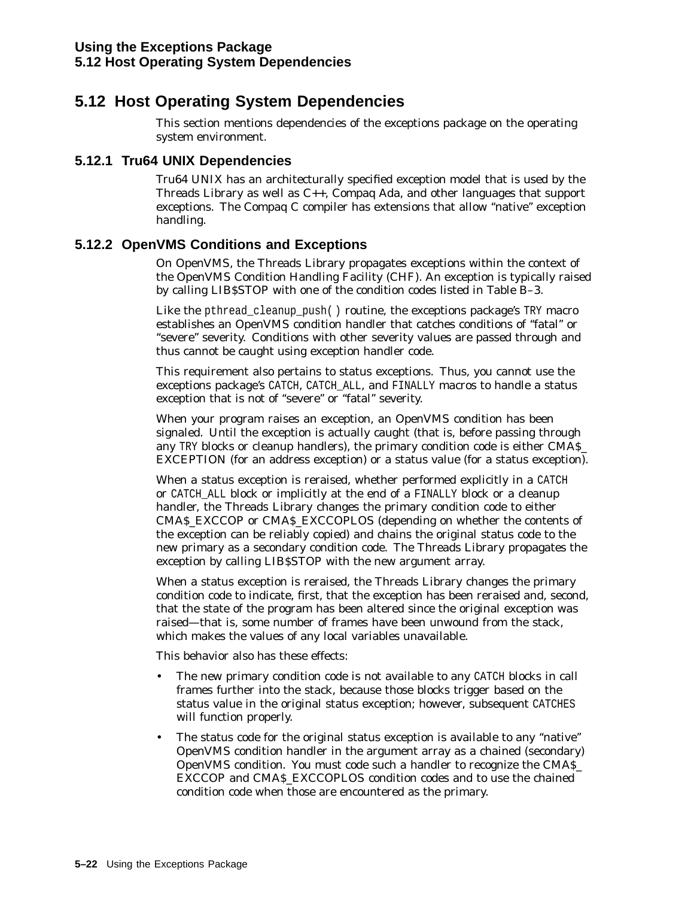## **5.12 Host Operating System Dependencies**

This section mentions dependencies of the exceptions package on the operating system environment.

#### **5.12.1 Tru64 UNIX Dependencies**

Tru64 UNIX has an architecturally specified exception model that is used by the Threads Library as well as C++, Compaq Ada, and other languages that support exceptions. The Compaq C compiler has extensions that allow ''native'' exception handling.

#### **5.12.2 OpenVMS Conditions and Exceptions**

On OpenVMS, the Threads Library propagates exceptions within the context of the OpenVMS Condition Handling Facility (CHF). An exception is typically raised by calling LIB\$STOP with one of the condition codes listed in Table B–3.

Like the pthread\_cleanup\_push( ) routine, the exceptions package's TRY macro establishes an OpenVMS condition handler that catches conditions of ''fatal'' or "severe" severity. Conditions with other severity values are passed through and thus cannot be caught using exception handler code.

This requirement also pertains to status exceptions. Thus, you cannot use the exceptions package's CATCH, CATCH\_ALL, and FINALLY macros to handle a status exception that is not of "severe" or "fatal" severity.

When your program raises an exception, an OpenVMS condition has been signaled. Until the exception is actually caught (that is, before passing through any TRY blocks or cleanup handlers), the primary condition code is either CMA\$\_ EXCEPTION (for an address exception) or a status value (for a status exception).

When a status exception is reraised, whether performed explicitly in a CATCH or CATCH\_ALL block or implicitly at the end of a FINALLY block or a cleanup handler, the Threads Library changes the primary condition code to either CMA\$\_EXCCOP or CMA\$\_EXCCOPLOS (depending on whether the contents of the exception can be reliably copied) and chains the original status code to the new primary as a secondary condition code. The Threads Library propagates the exception by calling LIB\$STOP with the new argument array.

When a status exception is reraised, the Threads Library changes the primary condition code to indicate, first, that the exception has been reraised and, second, that the state of the program has been altered since the original exception was raised—that is, some number of frames have been unwound from the stack, which makes the values of any local variables unavailable.

This behavior also has these effects:

- The new primary condition code is not available to any CATCH blocks in call frames further into the stack, because those blocks trigger based on the status value in the original status exception; however, subsequent CATCHES will function properly.
- The status code for the original status exception is available to any "native" OpenVMS condition handler in the argument array as a chained (secondary) OpenVMS condition. You must code such a handler to recognize the CMA\$\_ EXCCOP and CMA\$\_EXCCOPLOS condition codes and to use the chained condition code when those are encountered as the primary.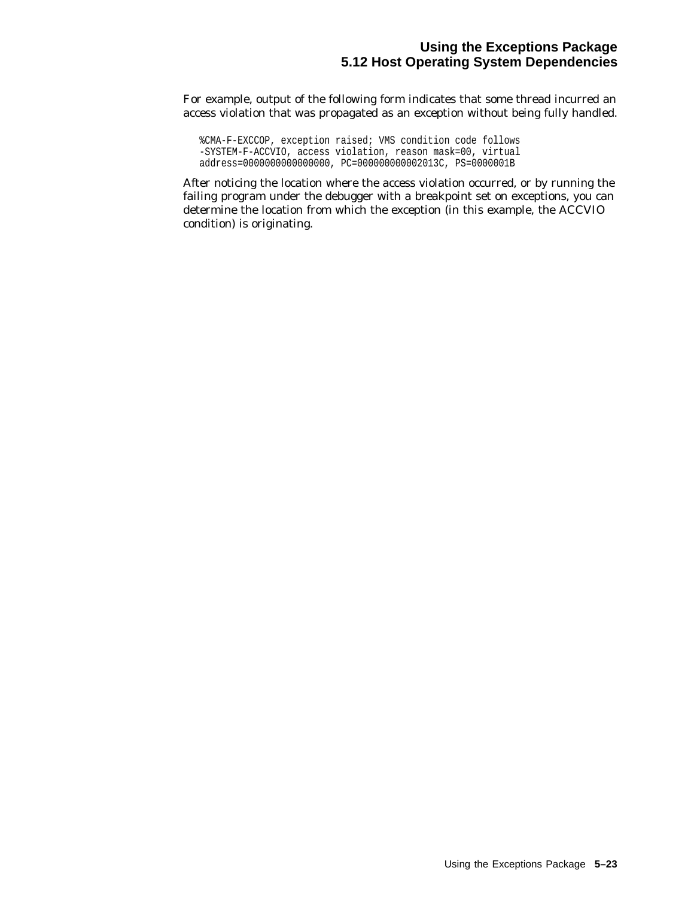#### **Using the Exceptions Package 5.12 Host Operating System Dependencies**

For example, output of the following form indicates that some thread incurred an access violation that was propagated as an exception without being fully handled.

%CMA-F-EXCCOP, exception raised; VMS condition code follows -SYSTEM-F-ACCVIO, access violation, reason mask=00, virtual address=0000000000000000, PC=000000000002013C, PS=0000001B

After noticing the location where the access violation occurred, or by running the failing program under the debugger with a breakpoint set on exceptions, you can determine the location from which the exception (in this example, the ACCVIO condition) is originating.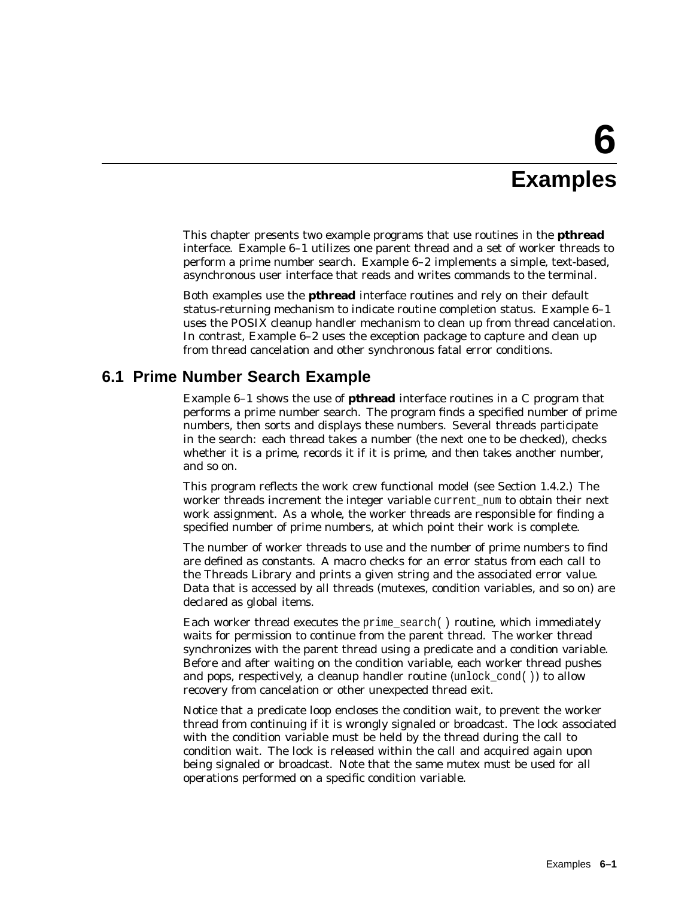# **6 Examples**

This chapter presents two example programs that use routines in the **pthread** interface. Example 6–1 utilizes one parent thread and a set of worker threads to perform a prime number search. Example 6–2 implements a simple, text-based, asynchronous user interface that reads and writes commands to the terminal.

Both examples use the **pthread** interface routines and rely on their default status-returning mechanism to indicate routine completion status. Example 6–1 uses the POSIX cleanup handler mechanism to clean up from thread cancelation. In contrast, Example 6–2 uses the exception package to capture and clean up from thread cancelation and other synchronous fatal error conditions.

### **6.1 Prime Number Search Example**

Example 6–1 shows the use of **pthread** interface routines in a C program that performs a prime number search. The program finds a specified number of prime numbers, then sorts and displays these numbers. Several threads participate in the search: each thread takes a number (the next one to be checked), checks whether it is a prime, records it if it is prime, and then takes another number, and so on.

This program reflects the work crew functional model (see Section 1.4.2.) The worker threads increment the integer variable current num to obtain their next work assignment. As a whole, the worker threads are responsible for finding a specified number of prime numbers, at which point their work is complete.

The number of worker threads to use and the number of prime numbers to find are defined as constants. A macro checks for an error status from each call to the Threads Library and prints a given string and the associated error value. Data that is accessed by all threads (mutexes, condition variables, and so on) are declared as global items.

Each worker thread executes the prime\_search( ) routine, which immediately waits for permission to continue from the parent thread. The worker thread synchronizes with the parent thread using a predicate and a condition variable. Before and after waiting on the condition variable, each worker thread pushes and pops, respectively, a cleanup handler routine (unlock cond( )) to allow recovery from cancelation or other unexpected thread exit.

Notice that a predicate loop encloses the condition wait, to prevent the worker thread from continuing if it is wrongly signaled or broadcast. The lock associated with the condition variable must be held by the thread during the call to condition wait. The lock is released within the call and acquired again upon being signaled or broadcast. Note that the same mutex must be used for all operations performed on a specific condition variable.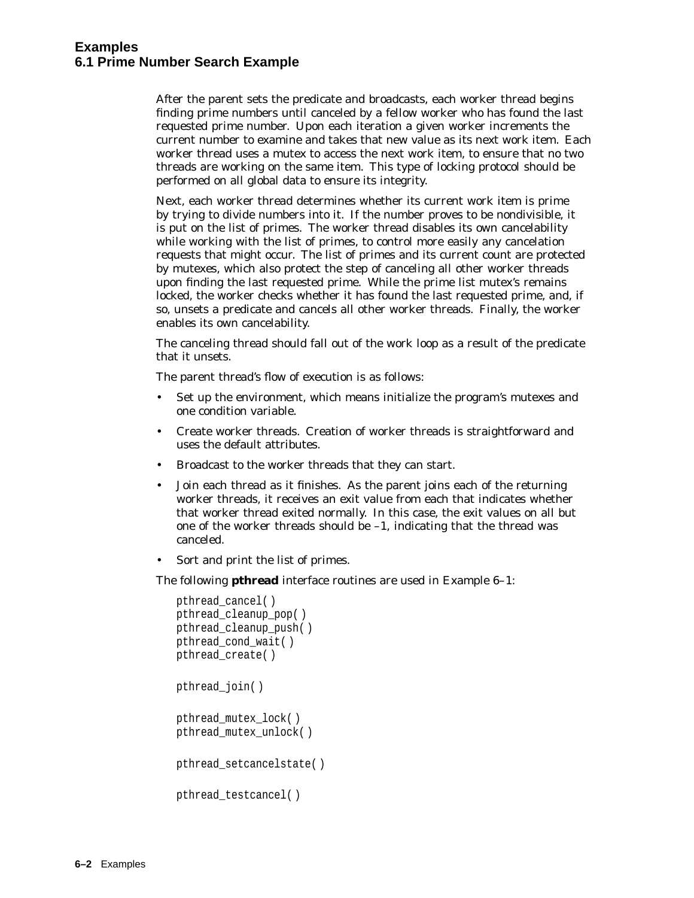After the parent sets the predicate and broadcasts, each worker thread begins finding prime numbers until canceled by a fellow worker who has found the last requested prime number. Upon each iteration a given worker increments the current number to examine and takes that new value as its next work item. Each worker thread uses a mutex to access the next work item, to ensure that no two threads are working on the same item. This type of locking protocol should be performed on all global data to ensure its integrity.

Next, each worker thread determines whether its current work item is prime by trying to divide numbers into it. If the number proves to be nondivisible, it is put on the list of primes. The worker thread disables its own cancelability while working with the list of primes, to control more easily any cancelation requests that might occur. The list of primes and its current count are protected by mutexes, which also protect the step of canceling all other worker threads upon finding the last requested prime. While the prime list mutex's remains locked, the worker checks whether it has found the last requested prime, and, if so, unsets a predicate and cancels all other worker threads. Finally, the worker enables its own cancelability.

The canceling thread should fall out of the work loop as a result of the predicate that it unsets.

The parent thread's flow of execution is as follows:

- Set up the environment, which means initialize the program's mutexes and one condition variable.
- Create worker threads. Creation of worker threads is straightforward and uses the default attributes.
- Broadcast to the worker threads that they can start.
- Join each thread as it finishes. As the parent joins each of the returning worker threads, it receives an exit value from each that indicates whether that worker thread exited normally. In this case, the exit values on all but one of the worker threads should be –1, indicating that the thread was canceled.
- Sort and print the list of primes.

The following **pthread** interface routines are used in Example 6–1:

```
pthread_cancel( )
pthread_cleanup_pop( )
pthread_cleanup_push( )
pthread_cond_wait( )
pthread_create( )
pthread_join( )
pthread_mutex_lock( )
pthread_mutex_unlock( )
pthread_setcancelstate( )
pthread_testcancel( )
```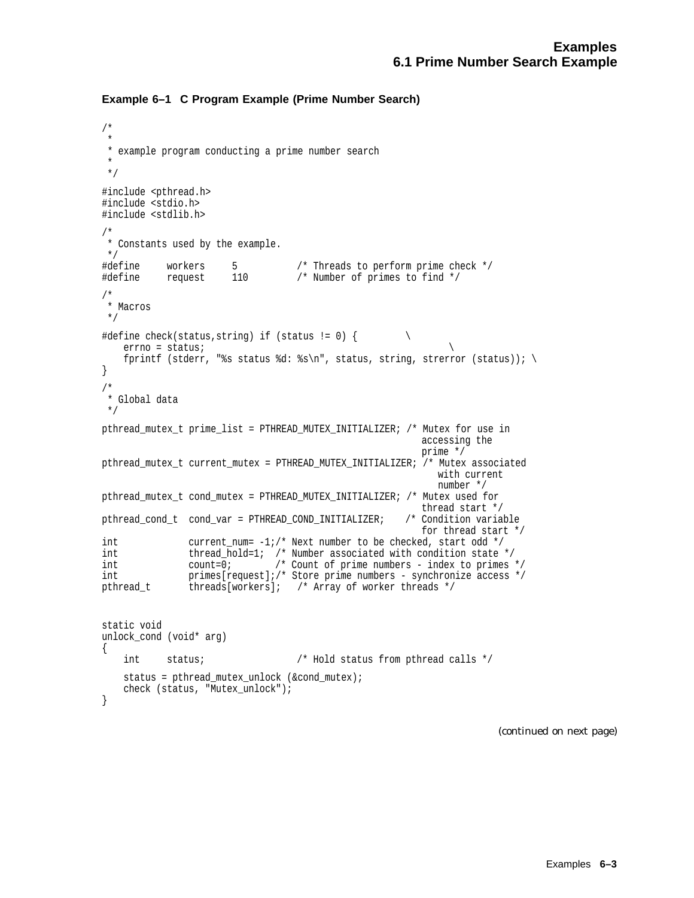#### **Example 6–1 C Program Example (Prime Number Search)**

```
/*
 *
 * example program conducting a prime number search
 *
 */
#include <pthread.h>
#include <stdio.h>
#include <stdlib.h>
/*
* Constants used by the example.
 */
#define workers 5 /* Threads to perform prime check */
#define request 110 /* Number of primes to find */
/*
* Macros
 */
#define check(status, string) if (status != 0) { \setminuserrno = status; \
   fprintf (stderr, "%s status %d: %s\n", status, string, strerror (status)); \
}
/*
 * Global data
 */
pthread_mutex_t prime_list = PTHREAD_MUTEX_INITIALIZER; /* Mutex for use in
                                                      accessing the
                                                       prime */
pthread_mutex_t current_mutex = PTHREAD_MUTEX_INITIALIZER; /* Mutex associated
                                                         with current
                                                         number */
pthread_mutex_t cond_mutex = PTHREAD_MUTEX_INITIALIZER; /* Mutex used for
                                                    thread start */<br>/* Condition variable
pthread cond t cond var = PTHREAD COND INITIALIZER;
                                                       for thread start */
int current_num= -1;/* Next number to be checked, start odd */
int thread_hold=1; /* Number associated with condition state */
int count =0; /* Count of prime numbers - index to primes */
int primes[request];/* Store prime numbers - synchronize access */
pthread_t threads[workers]; /* Array of worker threads */
static void
unlock_cond (void* arg)
{
   int status; /* Hold status from pthread calls */
   status = pthread_mutex_unlock (&cond_mutex);
   check (status, "Mutex_unlock");
}
```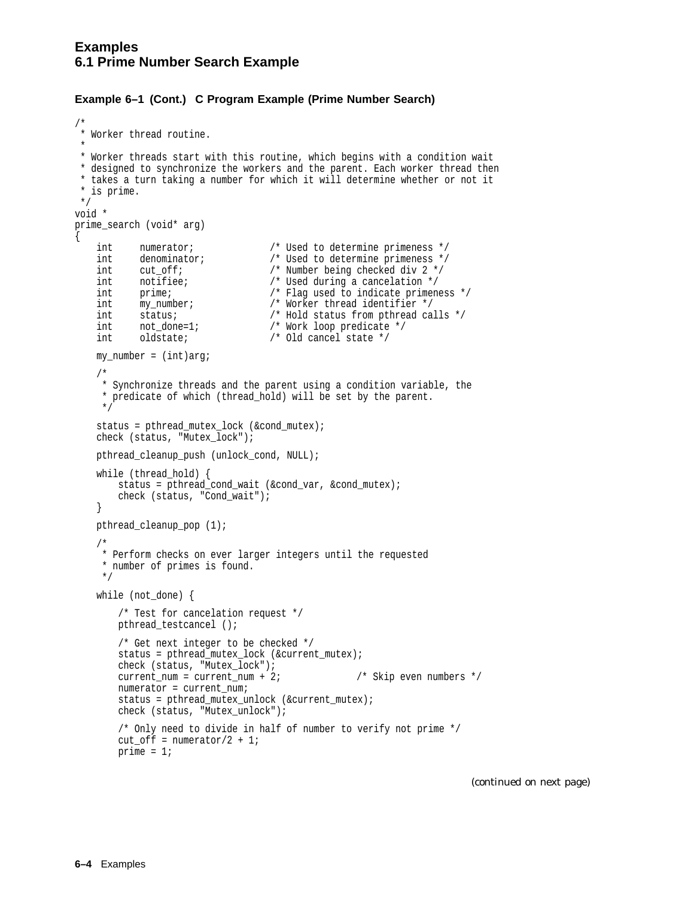{

#### **Example 6–1 (Cont.) C Program Example (Prime Number Search)**

```
/*
* Worker thread routine.
 *
 * Worker threads start with this routine, which begins with a condition wait
 * designed to synchronize the workers and the parent. Each worker thread then
 * takes a turn taking a number for which it will determine whether or not it
 * is prime.
*/
void *
prime_search (void* arg)
   int numerator; /* Used to determine primeness */
   int denominator; <br>
\begin{array}{ccc}\n\text{int} & \text{cut\_off;} \\
\text{cut\_off;} & & \text{/* Number being checked div 2 */} \\
\text{int} & \text{notifice;} & & \text{/* Used during a cancellation */}\n\end{array}int cut_off; /* Number being checked div 2 */
    int notifiee; /* Used during a cancelation */
    int prime; /* Flag used to indicate primeness */
    int my_number; /* Worker thread identifier */
    int status; /* Hold status from pthread calls */
    int not_done=1; /* Work loop predicate */
    int oldstate; /* Old cancel state */
   my number = (int)arg;/*
     * Synchronize threads and the parent using a condition variable, the
     * predicate of which (thread_hold) will be set by the parent.
     */
   status = pthread_mutex_lock (&cond_mutex);
   check (status, "Mutex_lock");
   pthread_cleanup_push (unlock_cond, NULL);
   while (thread_hold) {
       status = pthread cond wait (&cond var, &cond mutex);
       check (status, "Cond_wait");
    }
   pthread cleanup pop (1);
    /*
    * Perform checks on ever larger integers until the requested
     * number of primes is found.
     */
   while (not_done) {
        /* Test for cancelation request */
       pthread testcancel ();
        /* Get next integer to be checked */
       status = pthread_mutex_lock (&current_mutex);
       check (status, "Mutex_lock");
        check (status, "mulex_iver \frac{1}{\sqrt{2}} /* Skip even numbers */
       numerator = current num;
        status = pthread mutex unlock (&current mutex);
       check (status, "Mutex_unlock");
        /* Only need to divide in half of number to verify not prime */
       cut_off = numerator/2 + 1;prime = 1;
```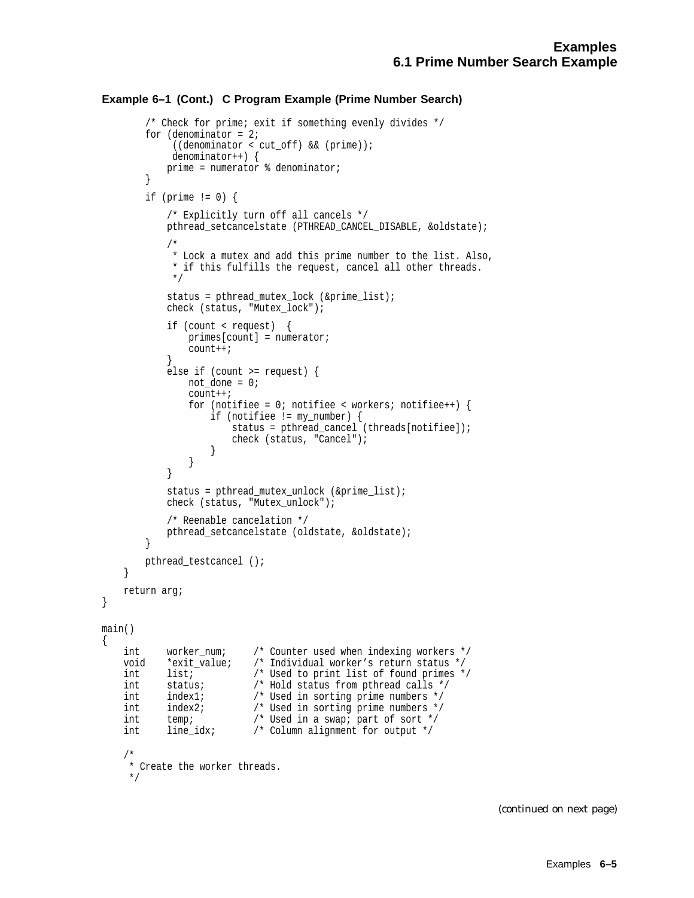#### **Example 6–1 (Cont.) C Program Example (Prime Number Search)**

```
/* Check for prime; exit if something evenly divides */
        for (denominator = 2i((denominator < cut off) & & (prime));
             denominator++) {
            prime = numerator % denominator;
        }
        if (prime != 0) {
            /* Explicitly turn off all cancels */
            pthread setcancelstate (PTHREAD CANCEL DISABLE, &oldstate);
            /*
            * Lock a mutex and add this prime number to the list. Also,
             * if this fulfills the request, cancel all other threads.
             */
            status = pthread_mutex_lock (&prime_list);
            check (status, "Mutex_lock");
            if (count < request) {
                primes[count] = numerator;
                count++;
            }
            else if (count >= request) {
                not done = 0;count++;
                for (notifiee = 0; notifiee < workers; notifiee++) {
                    if (notifiee != my_number) {
                        status = pthread cancel (threads[notifiee]);
                        check (status, "Cancel");
                    }
                }
            }
            status = pthread_mutex_unlock (&prime_list);
            check (status, "Mutex_unlock");
            /* Reenable cancelation */
            pthread_setcancelstate (oldstate, &oldstate);
        }
       pthread_testcancel ();
    }
   return arg;
main()
    int worker_num; /* Counter used when indexing workers */
    void *exit_value; /* Individual worker's return status */<br>int list; /* Used to print list of found primes *
   int list; /* Used to print list of found primes */
   int status; /* Hold status from pthread calls */
   int index1; /* Used in sorting prime numbers */
   int index2; /* Used in sorting prime numbers */
    int temp; <br> /* Used in a swap; part of sort */<br> int line idx; <br> /* Column alignment for output */
    int line_idx; /* Column alignment for output */
    /*
    * Create the worker threads.
     */
```
}

{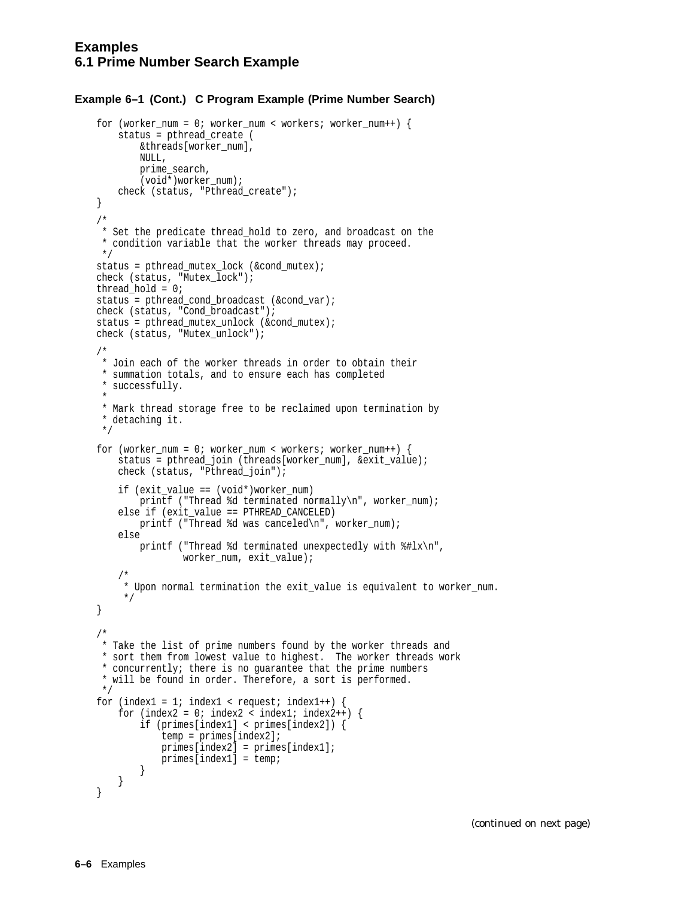#### **Example 6–1 (Cont.) C Program Example (Prime Number Search)**

```
for (worker_num = 0; worker_num < workers; worker_num++) {
    status = pthread_create (
        &threads[worker_num],
        NULL,
        prime_search,
        (void<sup>*</sup>)<sub>worker_number</sub>;
    check (status, "Pthread_create");
}
/*
 * Set the predicate thread_hold to zero, and broadcast on the
 * condition variable that the worker threads may proceed.
 */
status = pthread mutex lock (&cond mutex);
check (status, "Mutex_lock");
thread_hold = 0;
status = pthread_cond_broadcast (&cond_var);
check (status, "Cond_broadcast");
status = pthread_mutex_unlock (&cond_mutex);
check (status, "Mutex_unlock");
/*
 * Join each of the worker threads in order to obtain their
 * summation totals, and to ensure each has completed
 * successfully.
 *
 * Mark thread storage free to be reclaimed upon termination by
 * detaching it.
 */
for (worker_num = 0; worker_num < workers; worker_num++) {
    status = pthread_join (threads[worker_num], &exit_value);
    check (status, "Pthread_join");
    if (exit_value == (void*)worker_num)
        printf ("Thread %d terminated normally\n", worker_num);
    else if (exit_value == PTHREAD_CANCELED)
        printf ("Thread %d was canceled\n", worker_num);
    else
        printf ("Thread %d terminated unexpectedly with %#lx\n",
                worker_num, exit_value);
    /*
     * Upon normal termination the exit_value is equivalent to worker_num.
     */
}
/*
* Take the list of prime numbers found by the worker threads and
 * sort them from lowest value to highest. The worker threads work
 * concurrently; there is no guarantee that the prime numbers
 * will be found in order. Therefore, a sort is performed.
 */
for (index1 = 1; index1 < request; index1++) {
    for (index2 = 0; index2 < index1; index2++) {
        if (primes[index1] < primes[index2]) {
            temp = primes[index2];
            primes[index2] = primes[index1];
            primes[index1] = temp;
        }
    }
}
```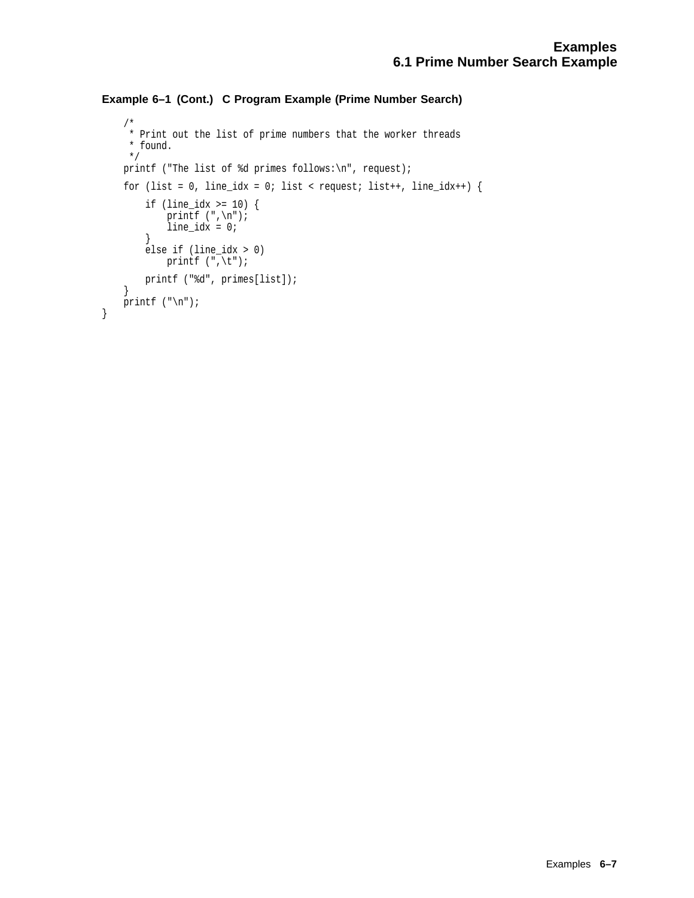```
Example 6–1 (Cont.) C Program Example (Prime Number Search)
```

```
/*
* Print out the list of prime numbers that the worker threads
* found.
*/
printf ("The list of %d primes follows:\n", request);
for (list = 0, line_idx = 0; list < request; list++, line_idx++) {
    if (line_idx >= 10) {
        printf (\n", \n", \n;
        line\_idx = 0;}
    else if (line_idx > 0)
        printf (\sqrt[n]{t});
    printf ("%d", primes[list]);
}
printf (\sqrt[n]{n});
```
}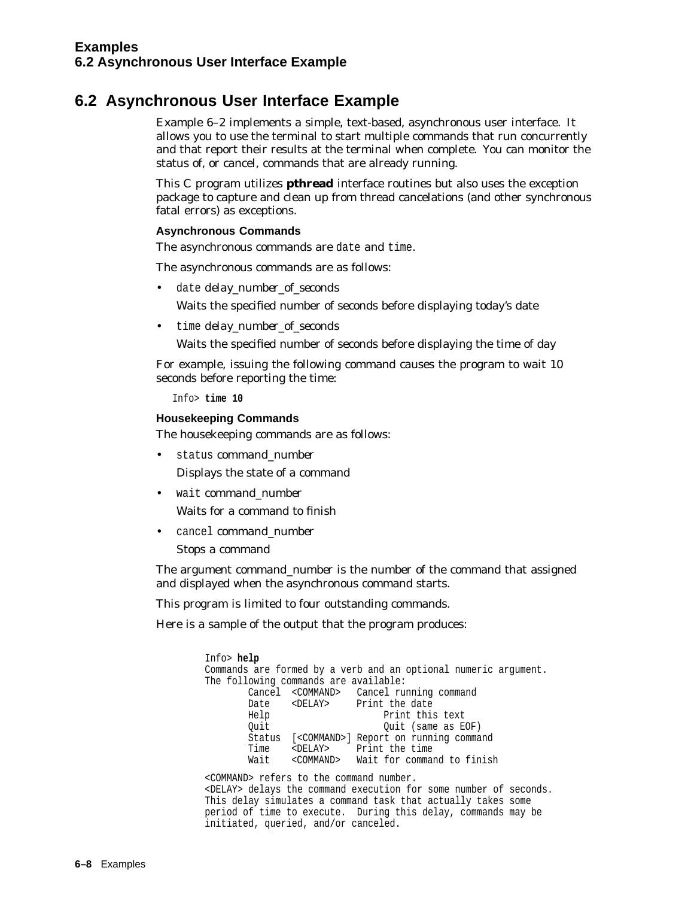## **6.2 Asynchronous User Interface Example**

Example 6–2 implements a simple, text-based, asynchronous user interface. It allows you to use the terminal to start multiple commands that run concurrently and that report their results at the terminal when complete. You can monitor the status of, or cancel, commands that are already running.

This C program utilizes **pthread** interface routines but also uses the exception package to capture and clean up from thread cancelations (and other synchronous fatal errors) as exceptions.

#### **Asynchronous Commands**

The asynchronous commands are date and time.

The asynchronous commands are as follows:

date *delay* number of seconds

Waits the specified number of seconds before displaying today's date

• time *delay\_number\_of\_seconds*

Waits the specified number of seconds before displaying the time of day

For example, issuing the following command causes the program to wait 10 seconds before reporting the time:

Info> **time 10**

#### **Housekeeping Commands**

The housekeeping commands are as follows:

• status *command\_number*

Displays the state of a command

• wait *command\_number*

Waits for a command to finish

• cancel *command\_number*

Stops a command

The argument *command\_number* is the number of the command that assigned and displayed when the asynchronous command starts.

This program is limited to four outstanding commands.

Here is a sample of the output that the program produces:

Info> **help** Commands are formed by a verb and an optional numeric argument. The following commands are available: Cancel <COMMAND> Cancel running command Date <DELAY> Print the date Help Print this text Quit Quit (same as EOF) Status [<COMMAND>] Report on running command Time <DELAY> Print the time Wait <COMMAND> Wait for command to finish

<COMMAND> refers to the command number. <DELAY> delays the command execution for some number of seconds. This delay simulates a command task that actually takes some period of time to execute. During this delay, commands may be initiated, queried, and/or canceled.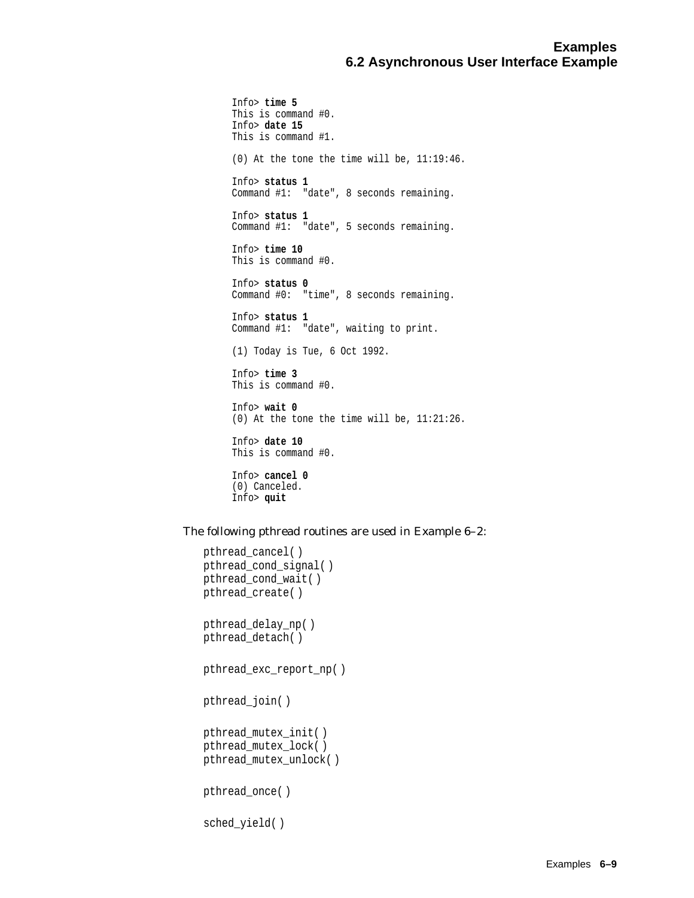Info> **time 5** This is command #0. Info> **date 15** This is command #1. (0) At the tone the time will be, 11:19:46. Info> **status 1** Command #1: "date", 8 seconds remaining. Info> **status 1** Command #1: "date", 5 seconds remaining. Info> **time 10** This is command #0. Info> **status 0** Command #0: "time", 8 seconds remaining. Info> **status 1** Command #1: "date", waiting to print. (1) Today is Tue, 6 Oct 1992. Info> **time 3** This is command #0. Info> **wait 0** (0) At the tone the time will be, 11:21:26. Info> **date 10** This is command #0. Info> **cancel 0** (0) Canceled. Info> **quit**

The following pthread routines are used in Example 6–2:

```
pthread_cancel( )
pthread_cond_signal( )
pthread_cond_wait( )
pthread_create( )
pthread_delay_np( )
pthread_detach( )
pthread_exc_report_np( )
pthread_join( )
pthread_mutex_init( )
pthread_mutex_lock( )
pthread_mutex_unlock( )
pthread_once( )
sched_yield( )
```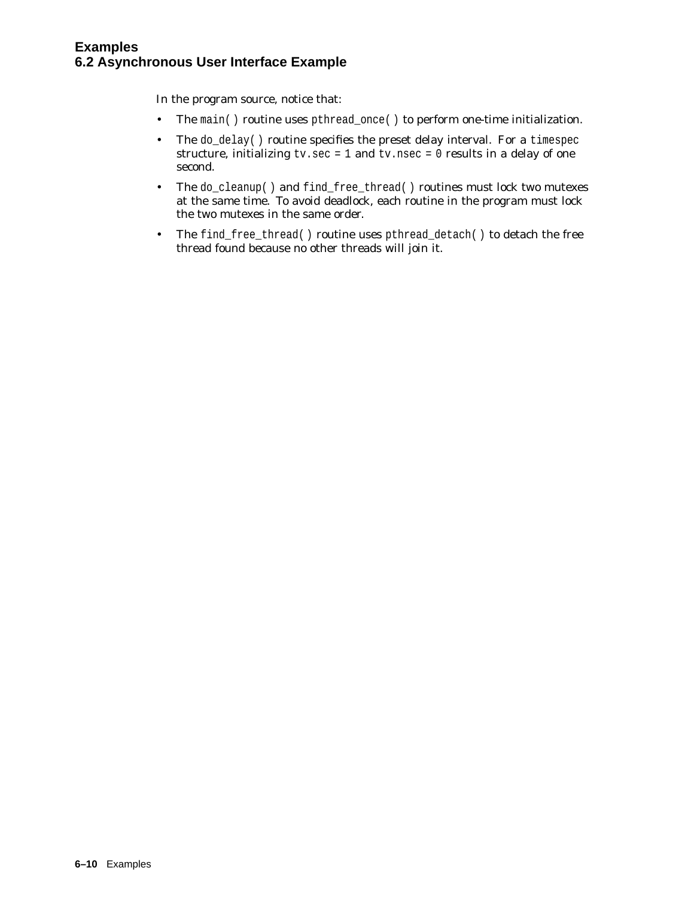In the program source, notice that:

- The main() routine uses pthread\_once() to perform one-time initialization.
- The do\_delay() routine specifies the preset delay interval. For a timespec structure, initializing  $tv/sec = 1$  and  $tv.nsec = 0$  results in a delay of one second.
- The do\_cleanup() and find\_free\_thread() routines must lock two mutexes at the same time. To avoid deadlock, each routine in the program must lock the two mutexes in the same order.
- The find\_free\_thread() routine uses pthread\_detach() to detach the free thread found because no other threads will join it.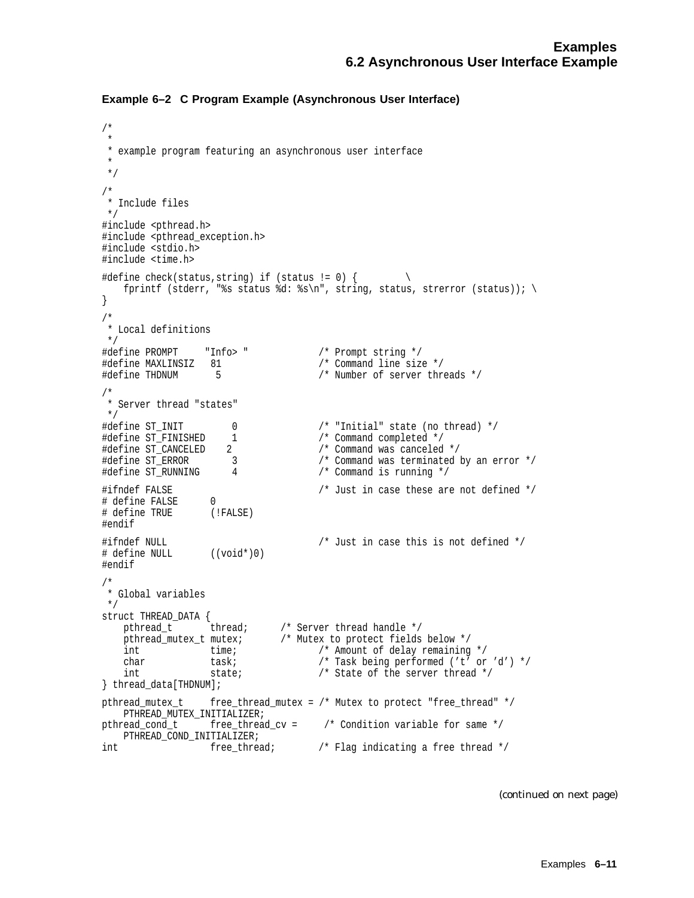```
Example 6–2 C Program Example (Asynchronous User Interface)
```

```
/*
 *
 * example program featuring an asynchronous user interface
 *
 */
/*
 * Include files
 */
#include <pthread.h>
#include <pthread_exception.h>
#include <stdio.h>
#include <time.h>
#define check(status,string) if (status != 0) { \setminusfprintf (stderr, "%s status %d: %s\n", string, status, strerror (status)); \
}
/*
 * Local definitions
*/<br>#define PROMPT       "Info> "
                                         /* Prompt string */<br>/* Command line size */
#define MAXLINSIZ 81<br>#define THDNUM 5
                                             /* Number of server threads *//*
* Server thread "states"<br>*/
 */
                                          /* "Initial" state (no thread) */<br>/* Command completed */
#define ST_FINISHED 1 /* Command completed */
#define ST_CANCELED 2 /* Command was canceled */
                                            % Command was canceled */<br>
/* Command was terminated by an error */<br>
/* Command is running */
#define ST_RUNNING 4 /* Command is running */
#ifndef FALSE /* Just in case these are not defined */
# define FALSE 0
# define TRUE (!FALSE)
#endif
#ifndef NULL /* Just in case this is not defined */
# define NULL ((void*)0)
#endif
/*
* Global variables
 */
struct THREAD_DATA {
    pthread_t thread; /* Server thread handle */<br>pthread_mutex_t mutex; /* Mutex to protect fields
    pthread_mutex_t mutex; /* Mutex to protect fields below */<br>int time; /* Amount of delay remaining<br>char task; /* Task being performed ('t'
                                         /* Amount of delay remaining */
            task; \begin{array}{ccc} & /* \text{ Task being performed } ('t' \text{ or } 'd') * / \text{state;} \\ & /* \text{ State of the server thread *} / \end{array}int state; \frac{1}{2} state; \frac{1}{2} state of the server thread \frac{1}{2} /* State of the server thread \frac{1}{2}} thread_data[THDNUM];
pthread_mutex_t free_thread_mutex = /* Mutex to protect "free_thread" */
    PTHREAD_MUTEX_INITIALIZER;
pthread_cond_t free_thread_cv = /* Condition variable for same */
    PTHREAD COND INITIALIZER;
int \overline{ } free_thread; \overline{ } /* Flag indicating a free thread */
```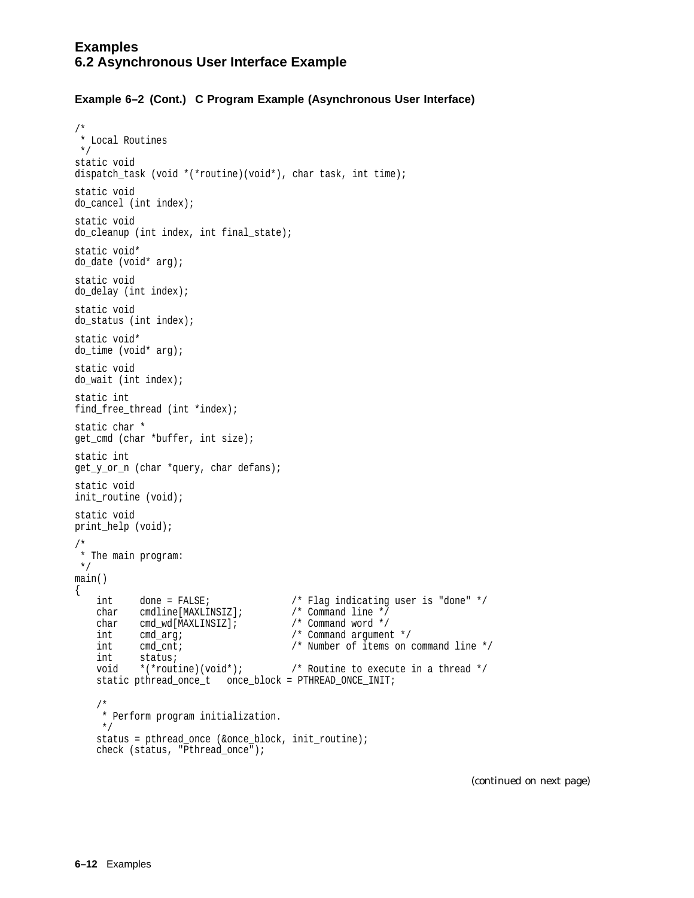```
/*
* Local Routines
*/
static void
dispatch_task (void *(*routine)(void*), char task, int time);
static void
do_cancel (int index);
static void
do cleanup (int index, int final state);
static void*
do_date (void* arg);
static void
do_delay (int index);
static void
do_status (int index);
static void*
do_time (void* arg);
static void
do_wait (int index);
static int
find_free_thread (int *index);
static char *
get_cmd (char *buffer, int size);
static int
get_y_or_n (char *query, char defans);
static void
init_routine (void);
static void
print help (void);
/*
* The main program:
*/
main()
{
    int done = FALSE; /* Flag indicating user is "done" */
    char cmdline[MAXLINSIZ]; /* Command line */
    char cmd_wd[MAXLINSIZ]; /* Command word */
    int cmd_arg; /* Command argument */
   int cmd cnt; \frac{1}{2} /* Number of items on command line */
   int cmd_cnt;<br>int status;<br>void *(*routine)(void*);
                                    /* Routine to execute in a thread */static pthread_once_t once_block = PTHREAD_ONCE_INIT;
    /*
    * Perform program initialization.
    */
   status = pthread once (&once block, init routine);
   check (status, "Pthread_once");
```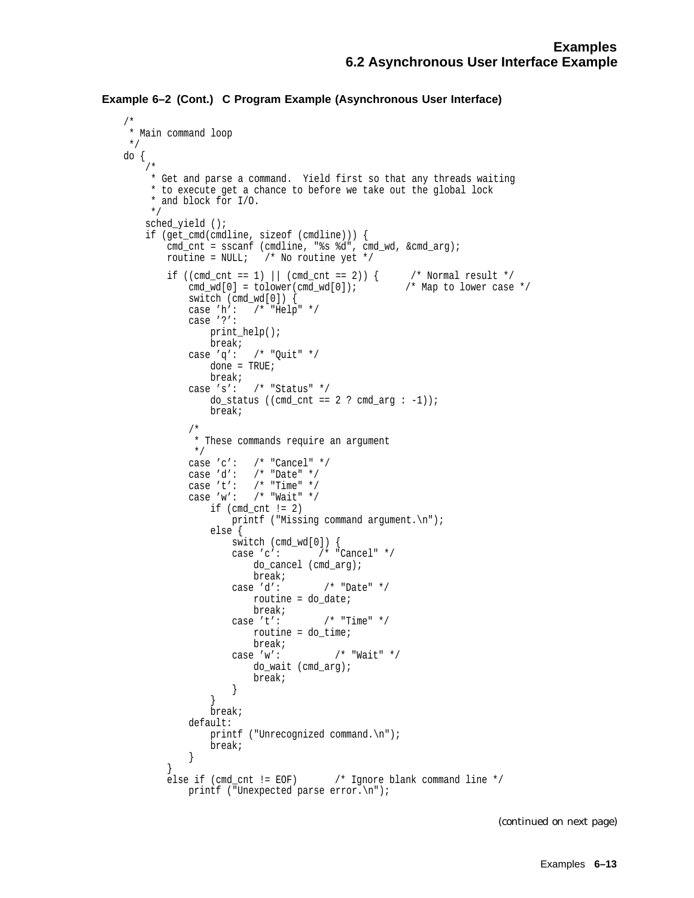```
Example 6–2 (Cont.) C Program Example (Asynchronous User Interface)
```
/\*

```
* Main command loop
*/
do {
    /*
    * Get and parse a command. Yield first so that any threads waiting
     * to execute get a chance to before we take out the global lock
     * and block for I/O.
    */
   sched_yield ();
   if (get_cmd(cmdline, sizeof (cmdline))) {
       cmd_cnt = sscanf (cmdline, "%s %d", cmd_wd, &cmd_arg);
       routine = NULL; /* No routine yet */
        if ((cmd_cnt == 1) || (cmd_cnt == 2)) { /* Normal result */
           cmd_wd[0] = tolower(cmd_wd[0]); /* Map to lower case */
           switch (cmd_wd[0]) {
           case 'h': /* "Help" */
           case '?':
              print_help();
              break;
           case 'q': /* "Quit" */
              done = TRUE;
               break;
           case 's': /* "Status" */
               do_status ((cmd_cnt == 2 ? cmd_arg : -1));
               break;
           /*
            * These commands require an argument
            */
           case 'c': /* "Cancel" */
           case 'd': /* "Date" */
           case 't': /* "Time" */
           case 'w': /* "Wait" */
               if (cmd cnt != 2)
                  printf ("Missing command argument.\n");
               else {
                  switch (cmd_wd[0]) {
                   case 'c': /* "Cancel" */
                      do_cancel (cmd_arg);
                   break;<br>case 'd':
                                  /* "Date" */
                      routine = do_date;
                      break;
                   case 't': /* "Time" */
                      routine = do_time;
                      break;
                   case 'w': /* "Wait" */
                      do_wait (cmd_arg);
                      break;
                   }
               }
               break;
           default:
               printf ("Unrecognized command.\n");
               break;
           }
        }
       else if (cmd_cnt != EOF) /* Ignore blank command line */
           printf ("Unexpected parse error.\n");
```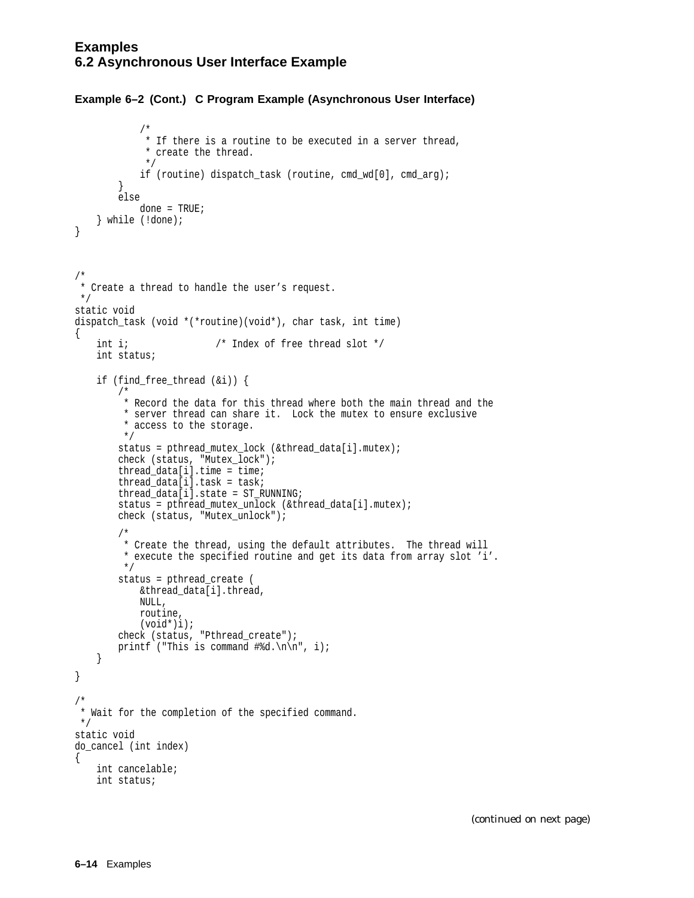#### **Examples 6.2 Asynchronous User Interface Example**

/\*

#### **Example 6–2 (Cont.) C Program Example (Asynchronous User Interface)**

```
* If there is a routine to be executed in a server thread,
            * create the thread.
            */
            if (routine) dispatch_task (routine, cmd_wd[0], cmd_arg);
        }
        else
            done = TRUE;} while (!done);
}
/*
* Create a thread to handle the user's request.
*/
static void
dispatch_task (void *(*routine)(void*), char task, int time)
{
   int i; / Index of free thread slot */int status;
   if (find_free_thread (&i)) {
       /*
        * Record the data for this thread where both the main thread and the
        * server thread can share it. Lock the mutex to ensure exclusive
         * access to the storage.
        */
        status = pthread_mutex_lock (&thread_data[i].mutex);
        check (status, "Mutex_lock");
        thread_data[i].time = time;thread data[i].task = task;thread_data[i].state = ST_RUNNING;
        status = pthread_mutex_unlock (&thread_data[i].mutex);
        check (status, "Mutex_unlock");
        /*
        * Create the thread, using the default attributes. The thread will
         * execute the specified routine and get its data from array slot 'i'.
        */
        status = pthread_create (
           &thread_data[i].thread,
           NULL,
           routine,
           (void*)i);
        check (status, "Pthread_create");
       printf ("This is command \frac{\tan \pi}{\pi}, i);
   }
}
/*
* Wait for the completion of the specified command.
*/
static void
do_cancel (int index)
{
   int cancelable;
   int status;
```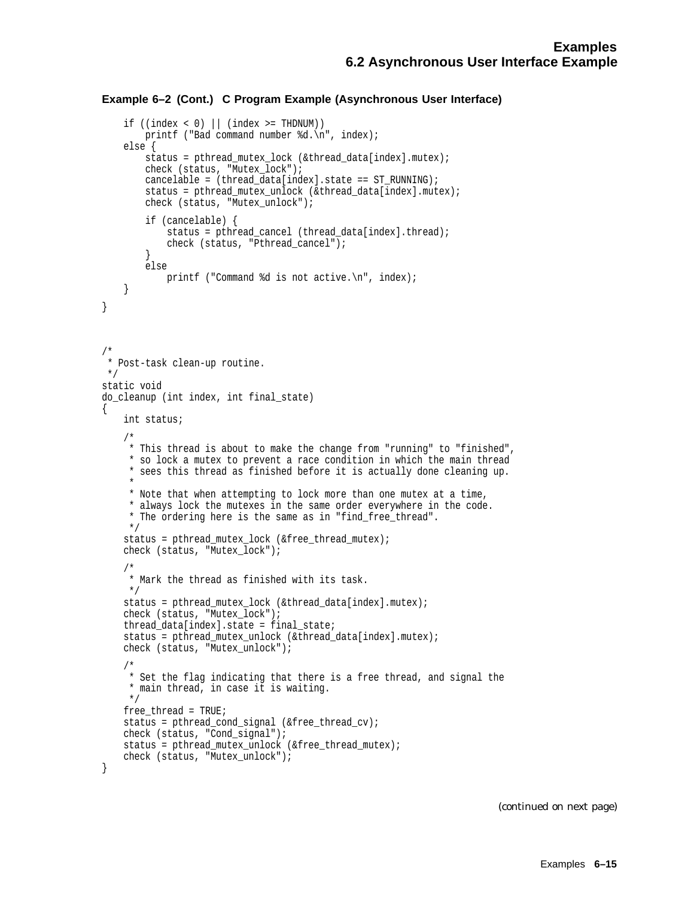```
if ((index < 0) || (index >= ThDNUM))printf ("Bad command number %d.\n", index);
    else {
        status = pthread_mutex_lock (&thread_data[index].mutex);
       check (status, "Mutex_lock");
       cancelable = (thread_data[index].state == ST_RUNNING);
        status = pthread_mutex_unlock (&thread_data[index].mutex);
       check (status, "Mutex_unlock");
        if (cancelable) {
            status = pthread cancel (thread data[index].thread);
            check (status, "Pthread_cancel");
        }
       else
            printf ("Command %d is not active.\n", index);
    }
}
/*
* Post-task clean-up routine.
*/
static void
do_cleanup (int index, int final_state)
{
   int status;
    /*
    * This thread is about to make the change from "running" to "finished",
     * so lock a mutex to prevent a race condition in which the main thread
     * sees this thread as finished before it is actually done cleaning up.
     *
    * Note that when attempting to lock more than one mutex at a time,
     * always lock the mutexes in the same order everywhere in the code.
     * The ordering here is the same as in "find_free_thread".
    */
   status = pthread mutex lock (&free thread mutex);
   check (status, "Mutex_lock");
    /*
    * Mark the thread as finished with its task.
    */
   status = pthread_mutex_lock (&thread_data[index].mutex);
   check (status, "Mutex_lock");
   thread data[index].state = final state;
   status = pthread_mutex_unlock (&thread_data[index].mutex);
   check (status, "Mutex_unlock");
    /*
    * Set the flag indicating that there is a free thread, and signal the
    * main thread, in case it is waiting.
    */
   free_thread = TRUE;
   status = pthread_cond_signal (&free_thread_cv);
   check (status, "Cond_signal");
   status = pthread mutex unlock (&free thread mutex);
   check (status, "Mutex_unlock");
}
```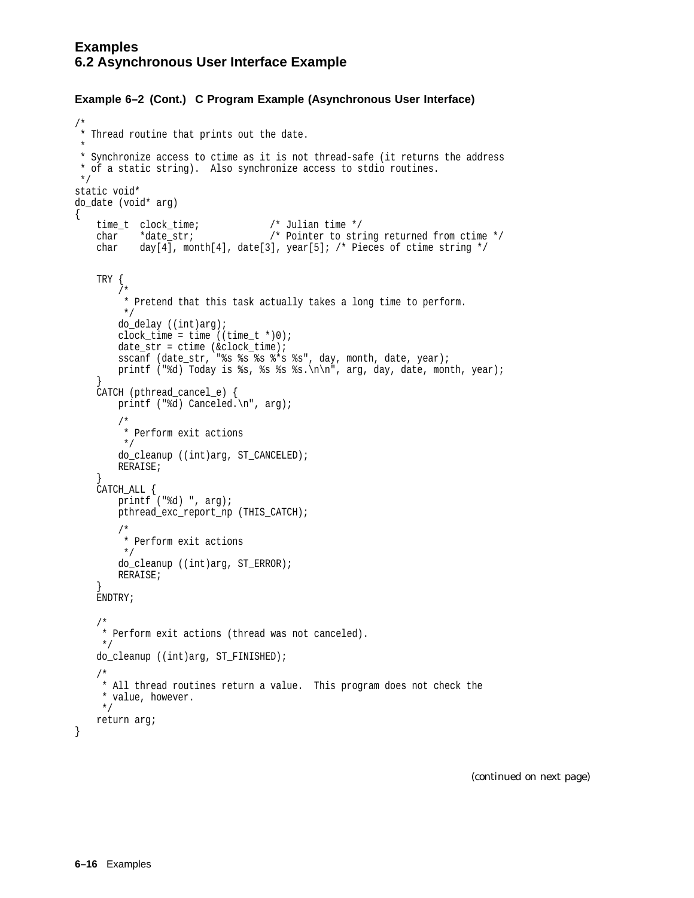```
/*
* Thread routine that prints out the date.
*
* Synchronize access to ctime as it is not thread-safe (it returns the address
* of a static string). Also synchronize access to stdio routines.
*/
static void*
do_date (void* arg)
{
   time_t clock_time;<br>
char *date str; /* Pointer to str
                                   /* Pointer to string returned from ctime */char day[4], month[4], date[3], year[5]; /* Pieces of ctime string */
   TRY {
       /*
        * Pretend that this task actually takes a long time to perform.
        */
       do_delay ((int)arg);
       clock_time = time ((time_t * )0);date str = ctime (&clock time);
       sscanf (date_str, "%s %s %s %*s %s", day, month, date, year);
       printf ("%d) Today is %s, %s %s %s.\n\n", arg, day, date, month, year);
    }
   CATCH (pthread_cancel_e) {
       printf ("%d) Canceled.\n", arg);
        /*
         * Perform exit actions
        */
        do_cleanup ((int)arg, ST_CANCELED);
       RERAISE;
    }
   CATCH_ALL {
       printf ("ad) ", arg);
       pthread_exc_report_np (THIS_CATCH);
        /*
        * Perform exit actions
        */
       do_cleanup ((int)arg, ST_ERROR);
       RERAISE;
    }
    ENDTRY;
    /*
    * Perform exit actions (thread was not canceled).
    */
   do_cleanup ((int)arg, ST_FINISHED);
    /*
    * All thread routines return a value. This program does not check the
    * value, however.
    */
   return arg;
}
```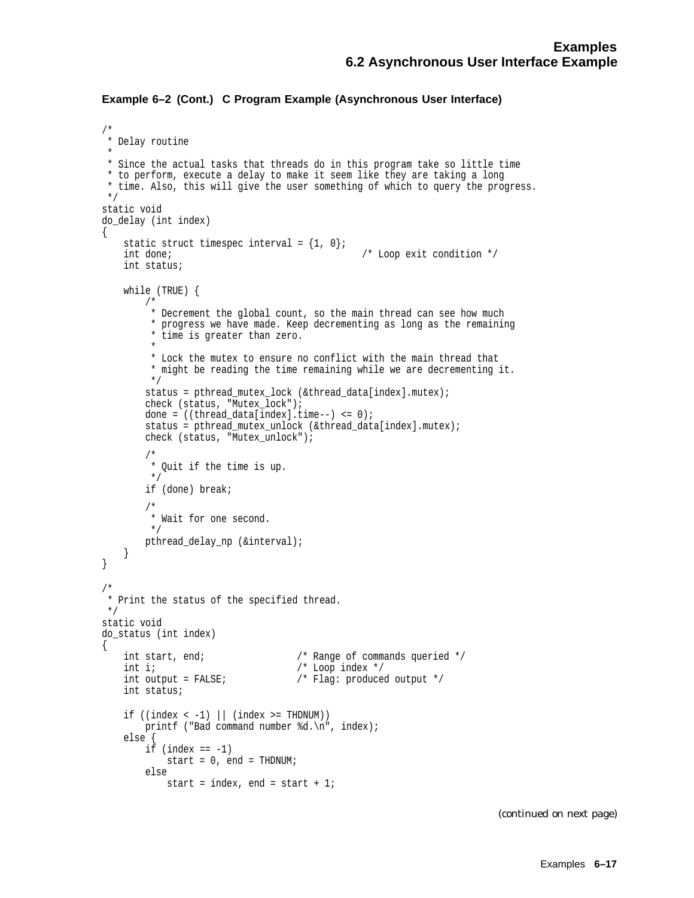```
/*
* Delay routine
 *
* Since the actual tasks that threads do in this program take so little time
* to perform, execute a delay to make it seem like they are taking a long
* time. Also, this will give the user something of which to query the progress.
*/
static void
do_delay (int index)
\{static struct timespec interval = \{1, 0\};
   int done; \frac{1}{2} /* Loop exit condition */
   int status;
    while (TRUE) {
        /*
         * Decrement the global count, so the main thread can see how much
         * progress we have made. Keep decrementing as long as the remaining
         * time is greater than zero.
         *
         * Lock the mutex to ensure no conflict with the main thread that
         * might be reading the time remaining while we are decrementing it.
         */
        status = pthread mutex lock (&thread data[index].mutex);
        check (status, "Mutex_lock");
        done = ((thread_data/index].time--) <= 0);
        status = pthread_mutex_unlock (&thread_data[index].mutex);
        check (status, "Mutex_unlock");
        /*
         * Quit if the time is up.
         */
        if (done) break;
        /*
         * Wait for one second.
         */
        pthread_delay_np (&interval);
   }
}
/*
* Print the status of the specified thread.
*/
static void
do_status (int index)
\{int start, end; 4 \times 10^{-4} /* Range of commands queried */
   \begin{array}{lll} \text{int i}; & & \text{/* Loop index */} \\ \text{int output = FALSE}; & & \text{/* Flag: produce} \end{array}/* Flag: produced output */
   int status;
    if ((index < -1) || (index >= ThDNUM))printf ("Bad command number %d.\n", index);
    else {
        if (index == -1)start = 0, end = THDNUM;
        else
            start = index, end = start + 1;
```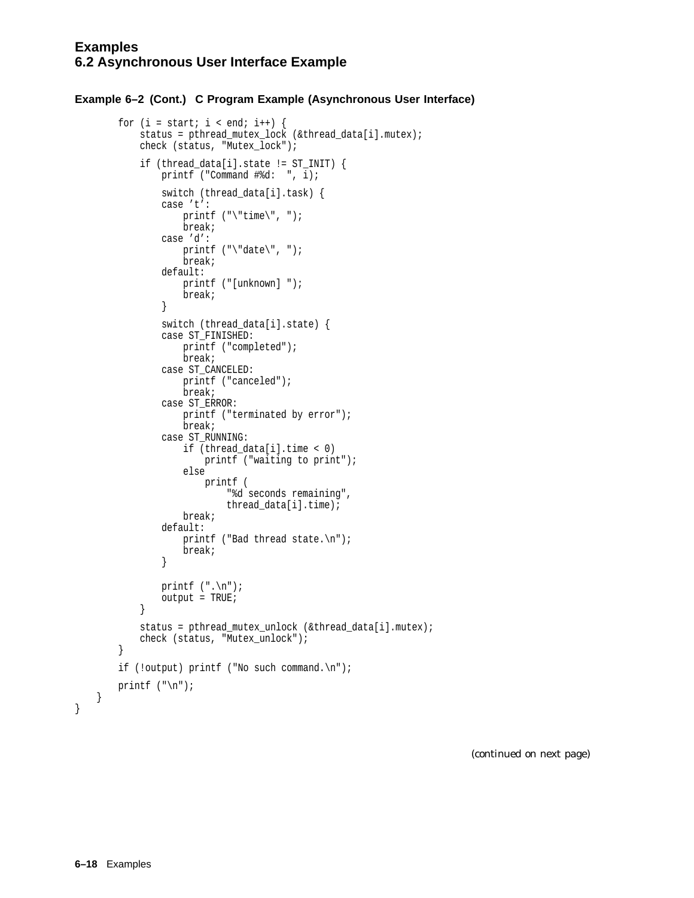```
for (i = start; i < end; i++) {
        status = pthread mutex lock (&thread data[i].mutex);
        check (status, "Mutex_lock");
        if (thread data[i].state != ST_INIT) {
            printf ("Command \#\text{d}: ", \overline{i});
            switch (thread_data[i].task) {
            case 't':
                printf ("\time\", ");break;
            case 'd':
                printf ("\"date\", ");
                break;
            default:
                printf ("[unknown] ");
                break;
            }
            switch (thread_data[i].state) {
            case ST_FINISHED:
                printf ("completed");
                break;
            case ST_CANCELED:
                printf ("canceled");
                break;
            case ST_ERROR:
                printf ("terminated by error");
                break;
            case ST_RUNNING:
                if (thread_data[i].time < 0)
                    printf ("waiting to print");
                else
                    printf (
                         "%d seconds remaining",
                        thread_data[i].time);
                break;
            default:
                printf ("Bad thread state.\n");
                break;
            }
            printf (".\n");
            output = TRUE;}
        status = pthread_mutex_unlock (&thread_data[i].mutex);
        check (status, "Mutex_unlock");
    }
    if (!output) printf ("No such command.\n");
    printf (\sqrt[n]{n});
}
```
(continued on next page)

}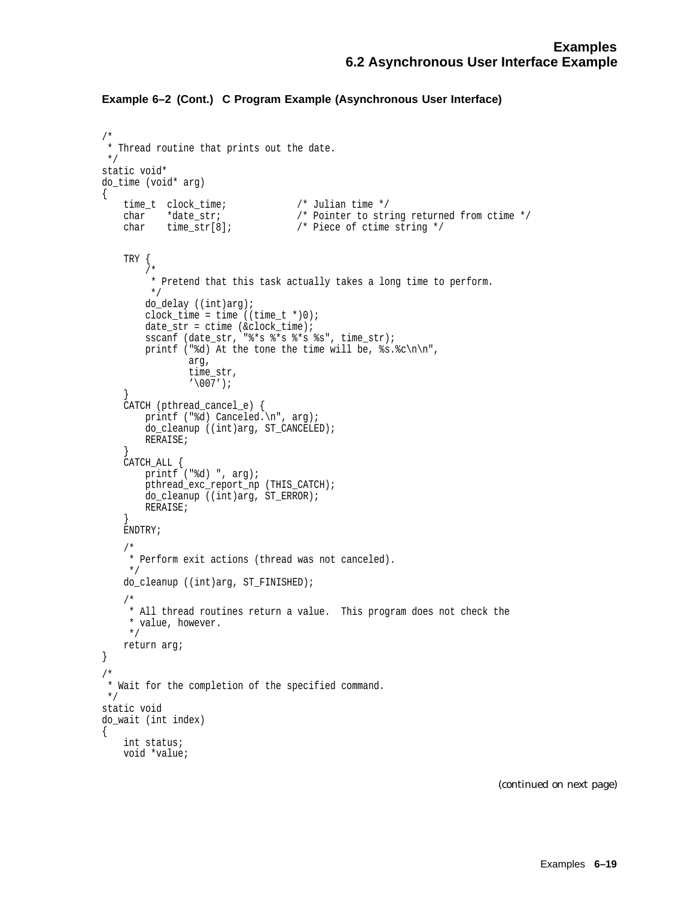```
/*
* Thread routine that prints out the date.
*/
static void*
do_time (void* arg)
{
   time_t clock_time;<br>char *date_str;<br>char time_str[8];
    char *date_str; /* Pointer to string returned from ctime */
    char time_str[8]; /* Piece of ctime string */
   TRY {
        /*
        * Pretend that this task actually takes a long time to perform.
        */
       do_delay ((int)arg);
       clock_time = time ((time_t * 0);date str = ctime (&clock time);
       sscanf (date_str, "%*s %*s %*s %s", time_str);
       printf ("%d) At the tone the time will be, s.sc\n\cdot n",
                arg,
                time_str,
                '\007');
    }
    CATCH (pthread_cancel_e) {
       printf ("%d) Canceled.\n", arg);
       do_cleanup ((int)arg, ST_CANCELED);
       RERAISE;
    }
    CATCH_ALL {
        printf ("%d) ", arg);
       pthread_exc_report_np (THIS_CATCH);
       do_cleanup ((int)arg, ST_ERROR);
       RERAISE;
    }
    ENDTRY;
    /*
    * Perform exit actions (thread was not canceled).
    */
    do_cleanup ((int)arg, ST_FINISHED);
    /*
    * All thread routines return a value. This program does not check the
    * value, however.
    */
   return arg;
}
/*
* Wait for the completion of the specified command.
*/
static void
do_wait (int index)
{
   int status;
   void *value;
```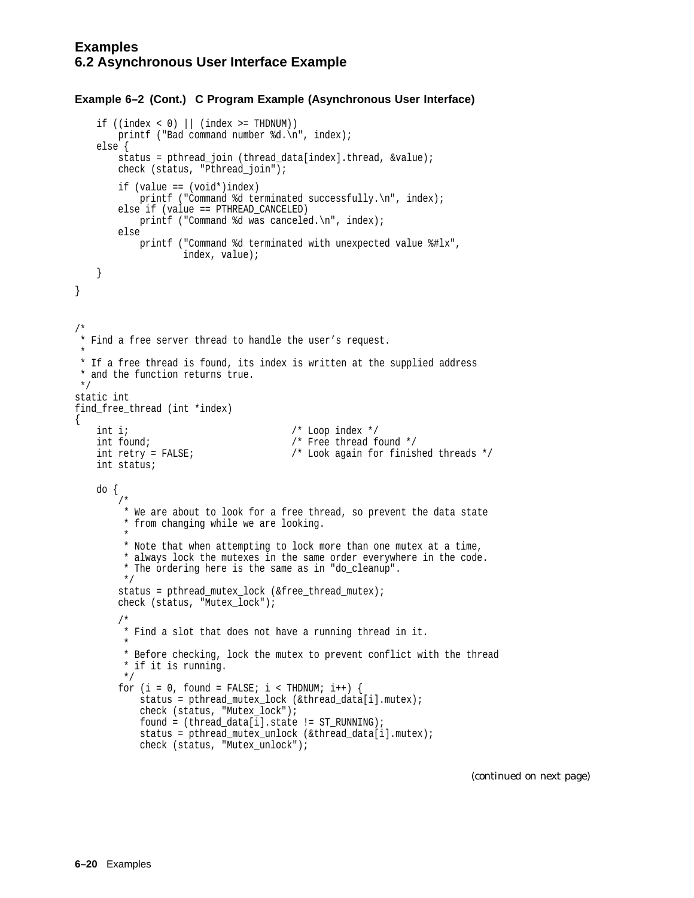```
if ((index < 0) || (index >= ThDNUM))printf ("Bad command number %d.\n", index);
   else {
       status = pthread_join (thread_data[index].thread, &value);
       check (status, "Pthread_join");
       if (value == (void*)index)
           printf ("Command %d terminated successfully.\n", index);
       else if (value == PTHREAD_CANCELED)
           printf ("Command %d was canceled.\n", index);
       else
          printf ("Command %d terminated with unexpected value %#lx",
                   index, value);
   }
}
/*
* Find a free server thread to handle the user's request.
 *
* If a free thread is found, its index is written at the supplied address
* and the function returns true.
*/
static int
find_free_thread (int *index)
{
   int i; /* Loop index */
   int found; \sqrt{*} Free thread found */int retry = FALSE; /* Look again for finished threads */
   int status;
   do {
       /*
        * We are about to look for a free thread, so prevent the data state
        * from changing while we are looking.
         *
        * Note that when attempting to lock more than one mutex at a time,
        * always lock the mutexes in the same order everywhere in the code.
        * The ordering here is the same as in "do_cleanup".
        */
       status = pthread_mutex_lock (&free_thread_mutex);
       check (status, "Mutex_lock");
       /*
        * Find a slot that does not have a running thread in it.
        *
        * Before checking, lock the mutex to prevent conflict with the thread
        * if it is running.
        */
       for (i = 0, found = FALSE; i < THDNUM; i++) {
           status = pthread mutex lock (&thread data[i].mutex);
           check (status, "Mutex_lock");
           found = (thread_data[i].state != ST_RUNNING);status = pthread mutex unlock (&thread data[i].mutex);
           check (status, "Mutex_unlock");
```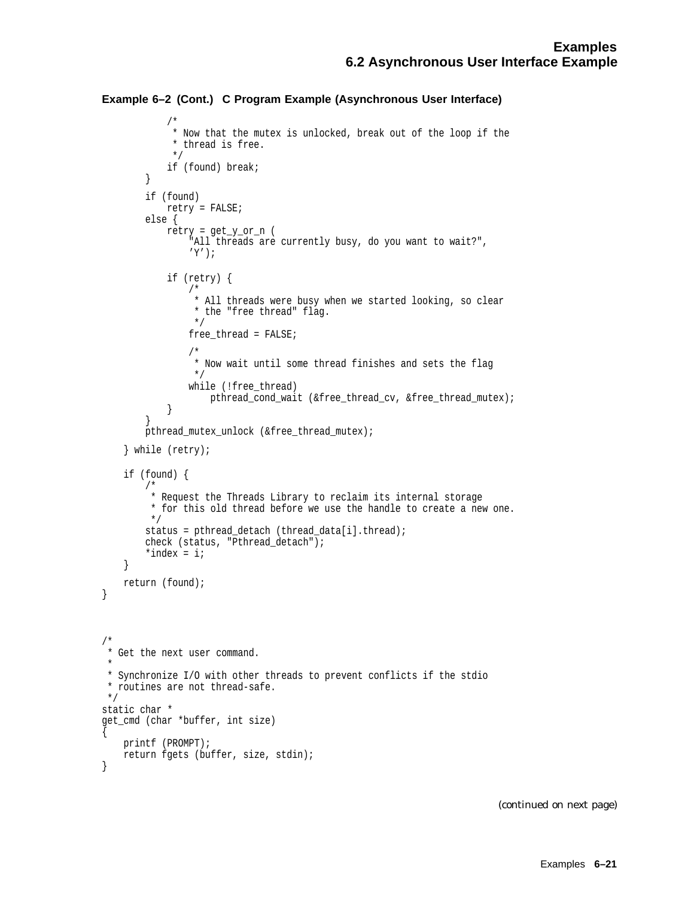```
Example 6–2 (Cont.) C Program Example (Asynchronous User Interface)
```

```
/*
            * Now that the mutex is unlocked, break out of the loop if the
            * thread is free.
            */
            if (found) break;
        }
        if (found)
            retry = FALSE;
       else {
            retry = get_y_or_n (
                "All threads are currently busy, do you want to wait?",
                ' Y ' ) \, ;
            if (retry) {
                /*
                * All threads were busy when we started looking, so clear
                * the "free thread" flag.
                */
                free_thread = FALSE;
                /*
                * Now wait until some thread finishes and sets the flag
                */
                while (!free_thread)
                    pthread_cond_wait (&free_thread_cv, &free_thread_mutex);
            }
        }
       pthread_mutex_unlock (&free_thread_mutex);
    } while (retry);
    if (found) {
        /*
        * Request the Threads Library to reclaim its internal storage
        * for this old thread before we use the handle to create a new one.
        */
        status = pthread_detach (thread_data[i].thread);
       check (status, "Pthread_detach");
        *index = i;
    }
   return (found);
/*
* Get the next user command.
 *
* Synchronize I/O with other threads to prevent conflicts if the stdio
* routines are not thread-safe.
*/
static char *
get_cmd (char *buffer, int size)
   printf (PROMPT);
   return fgets (buffer, size, stdin);
```
}

 $\{$ 

}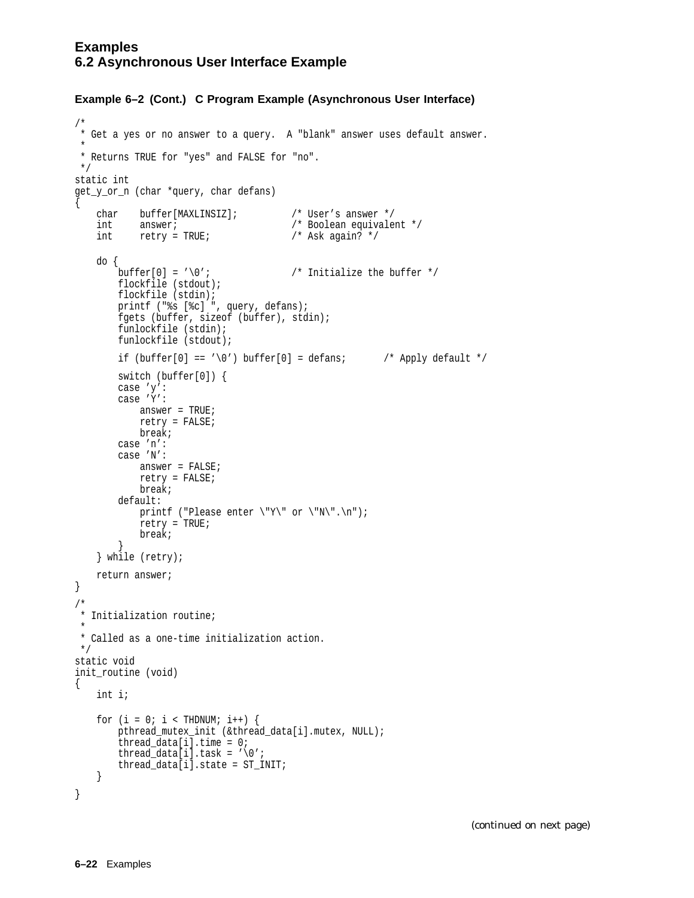#### **Examples 6.2 Asynchronous User Interface Example**

#### **Example 6–2 (Cont.) C Program Example (Asynchronous User Interface)**

```
/*
* Get a yes or no answer to a query. A "blank" answer uses default answer.
*
* Returns TRUE for "yes" and FALSE for "no".
*/
static int
get_y_or_n (char *query, char defans)
\{char buffer[MAXLINSIZ]; /* User's answer */<br>int answer; /* Boolean equivale:
    int answer;<br>int retry = TRUE;<br>\frac{1}{100} /* Ask again? */
          diiswer:<br>\texttt{refry} = \texttt{TRUE:}do {
        buffer[0] = ' \0'; /* Initialize the buffer */
       flockfile (stdout);
        flockfile (stdin);
        printf ("%s [%c] ", query, defans);
        fgets (buffer, sizeof (buffer), stdin);
        funlockfile (stdin);
        funlockfile (stdout);
        if (buffer[0] == '\0') buffer[0] = defans; \frac{\partial f}{\partial x} /* Apply default */
        switch (buffer[0]) {
        case 'y':
        case 'Y':
           answer = TRUE;
           retry = FALSE;
           break;
        case 'n':
        case 'N':
           answer = FALSE;
            retry = FALSE;
            break;
        default:
           printf ("Please enter \"Y\" or \"N\".\n");
            retry = TRUE;
           break;
        }
    } while (retry);
    return answer;
}
/*
* Initialization routine;
*
* Called as a one-time initialization action.
*/
static void
init_routine (void)
{
    int i;
    for (i = 0; i < THDNUM; i++) {
       pthread_mutex_init (&thread_data[i].mutex, NULL);
        thread_data[i].time = 0;
        thread_data[i].task = \sqrt{0'i}thread_data[i].state = ST_INIT;
    }
}
```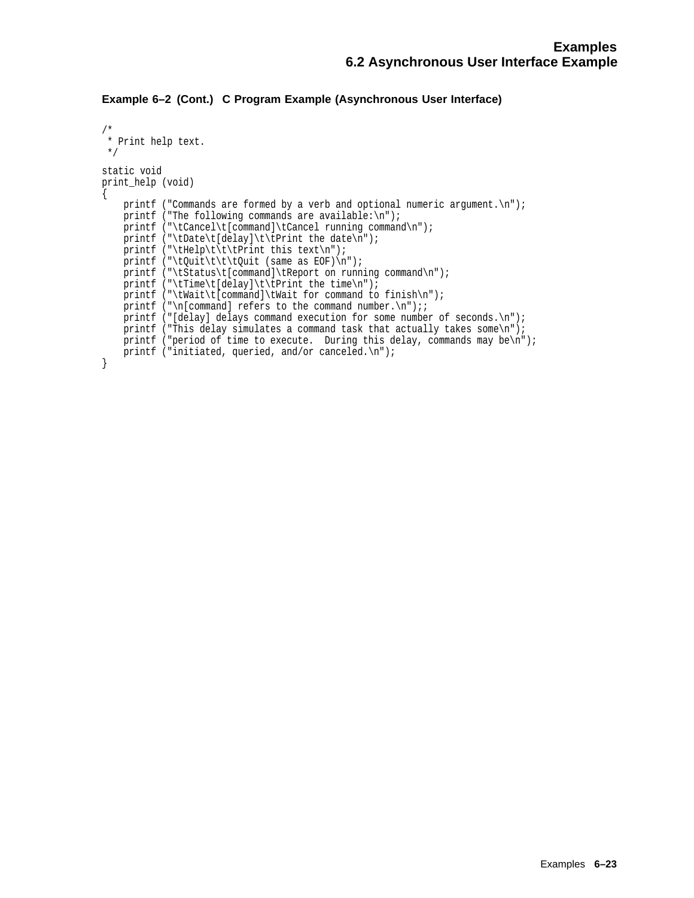```
/*
 * Print help text.
 */
static void
print_help (void)
\{printf ("Commands are formed by a verb and optional numeric argument.\n");
    printf ("The following commands are available:\n");
    printf ("\tCancel\t[command]\tCancel running command\n");
    printf ("\tDate\t[delay]\t\tPrint the date\n");
    printf ("\tHelp\t\t\tPrint this text\n");
    printf ("\tQuit\t\t\tQuit (same as EOF)\n");
    printf ("\tStatus\t[command]\tReport on running command\n");
    printf ("\tTime\t[delay]\t\tPrint the time\n");
    printf ("\tWait\t[command]\tWait for command to finish\n");
    printf ("\n[command] refers to the command number.\n");;
    printf ("[delay] delays command execution for some number of seconds.\n");
    printf ("This delay simulates a command task that actually takes some\n");
    printf ("period of time to execute. During this delay, commands may be\n");
    printf ("initiated, queried, and/or canceled.\n");
}
```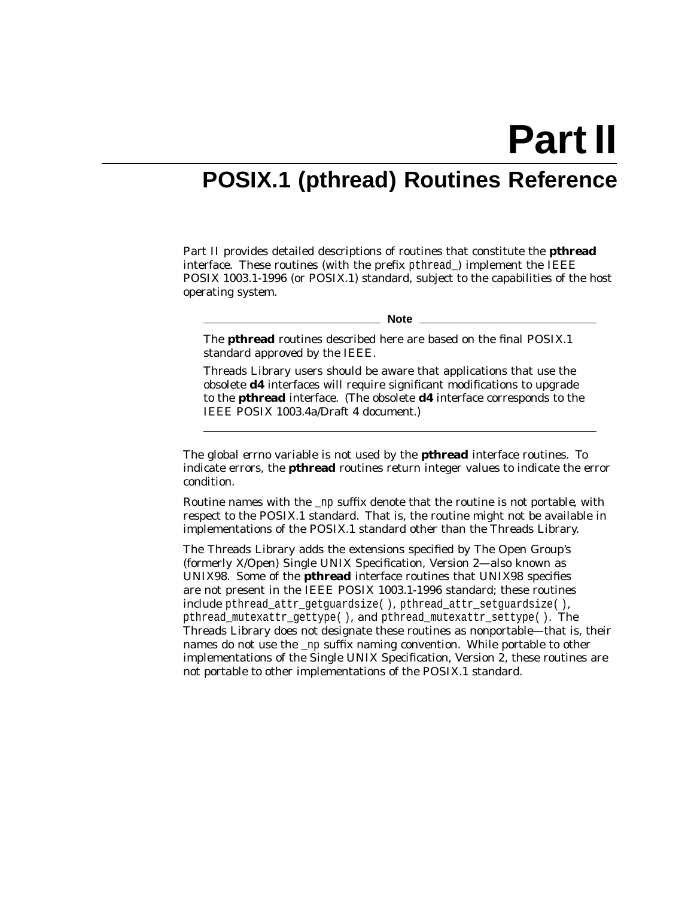**Part II**

## **POSIX.1 (pthread) Routines Reference**

Part II provides detailed descriptions of routines that constitute the **pthread** interface. These routines (with the prefix pthread) implement the IEEE POSIX 1003.1-1996 (or POSIX.1) standard, subject to the capabilities of the host operating system.

**Note**

The **pthread** routines described here are based on the final POSIX.1 standard approved by the IEEE.

Threads Library users should be aware that applications that use the obsolete **d4** interfaces will require significant modifications to upgrade to the **pthread** interface. (The obsolete **d4** interface corresponds to the IEEE POSIX 1003.4a/Draft 4 document.)

The global *errno* variable is not used by the **pthread** interface routines. To indicate errors, the **pthread** routines return integer values to indicate the error condition.

Routine names with the \_np suffix denote that the routine is *not portable*, with respect to the POSIX.1 standard. That is, the routine might not be available in implementations of the POSIX.1 standard other than the Threads Library.

The Threads Library adds the extensions specified by The Open Group's (formerly X/Open) Single UNIX Specification, Version 2—also known as UNIX98. Some of the **pthread** interface routines that UNIX98 specifies are not present in the IEEE POSIX 1003.1-1996 standard; these routines include pthread attr getguardsize( ), pthread attr setguardsize( ), pthread\_mutexattr\_gettype( ), and pthread\_mutexattr\_settype( ). The Threads Library does *not* designate these routines as nonportable—that is, their names do not use the \_np suffix naming convention. While portable to other implementations of the Single UNIX Specification, Version 2, these routines are not portable to other implementations of the POSIX.1 standard.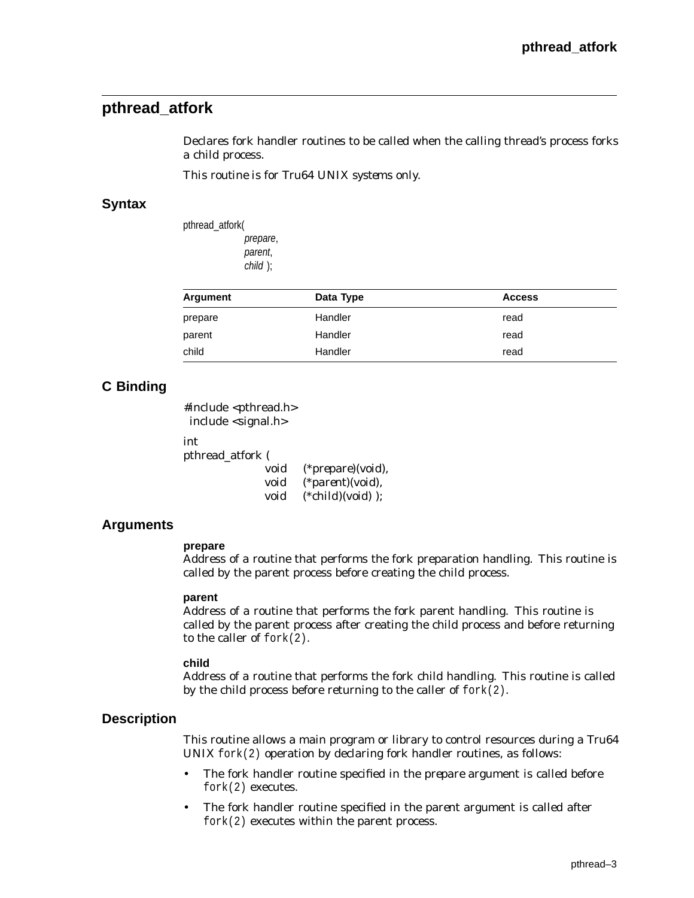## **pthread\_atfork**

Declares fork handler routines to be called when the calling thread's process forks a child process.

*This routine is for Tru64 UNIX systems only.*

#### **Syntax**

| pthread atforkl |          |
|-----------------|----------|
|                 | prepare, |
|                 | parent,  |
|                 | child ); |
|                 |          |

| Argument | Data Type | <b>Access</b> |
|----------|-----------|---------------|
| prepare  | Handler   | read          |
| parent   | Handler   | read          |
| child    | Handler   | read          |

## **C Binding**

#include <pthread.h> include <signal.h>

int

pthread\_atfork (

| void | (* <i>prepare</i> )(void), |
|------|----------------------------|
| void | $(*parent)(void),$         |
| void | $(*child(void))$ ;         |

#### **Arguments**

#### **prepare**

Address of a routine that performs the fork preparation handling. This routine is called by the parent process before creating the child process.

#### **parent**

Address of a routine that performs the fork parent handling. This routine is called by the parent process after creating the child process and before returning to the caller of fork(2).

#### **child**

Address of a routine that performs the fork child handling. This routine is called by the child process before returning to the caller of  $fork(2)$ .

#### **Description**

This routine allows a main program or library to control resources during a Tru64 UNIX fork(2) operation by declaring fork handler routines, as follows:

- The fork handler routine specified in the *prepare* argument is called before fork(2) executes.
- The fork handler routine specified in the *parent* argument is called after fork(2) executes within the parent process.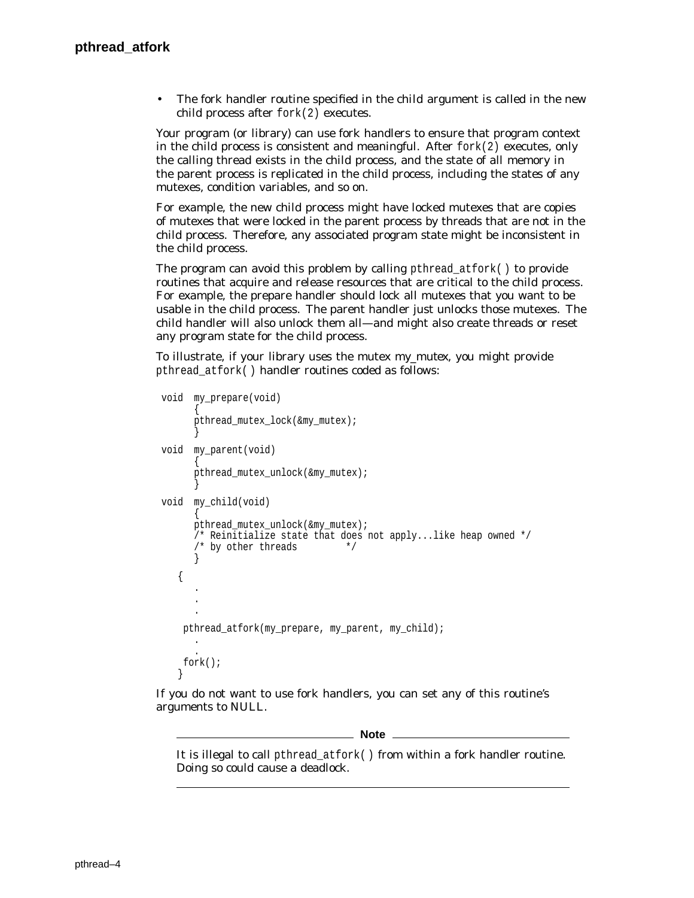• The fork handler routine specified in the *child* argument is called in the new child process after fork(2) executes.

Your program (or library) can use fork handlers to ensure that program context in the child process is consistent and meaningful. After  $fork(2)$  executes, only the calling thread exists in the child process, and the state of all memory in the parent process is replicated in the child process, including the states of any mutexes, condition variables, and so on.

For example, the new child process might have locked mutexes that are copies of mutexes that were locked in the parent process by threads that are not in the child process. Therefore, any associated program state might be inconsistent in the child process.

The program can avoid this problem by calling pthread at fork( ) to provide routines that acquire and release resources that are critical to the child process. For example, the prepare handler should lock all mutexes that you want to be usable in the child process. The parent handler just unlocks those mutexes. The child handler will also unlock them all—and might also create threads or reset any program state for the child process.

To illustrate, if your library uses the mutex *my\_mutex*, you might provide pthread\_atfork( ) handler routines coded as follows:

```
void my_prepare(void)
      \{pthread_mutex_lock(&my_mutex);
      }
void my_parent(void)
      \{pthread_mutex_unlock(&my_mutex);
      }
void my_child(void)
      \{pthread_mutex_unlock(&my_mutex);
     /* Reinitialize state that does not apply...like heap owned */
      /* by other threads *}
   { .
      .
      .
   pthread atfork(my prepare, my parent, my child);
      .
      . fork();
   }
```
If you do not want to use fork handlers, you can set any of this routine's arguments to NULL.

**Note** 

It is illegal to call pthread\_atfork( ) from within a fork handler routine. Doing so could cause a deadlock.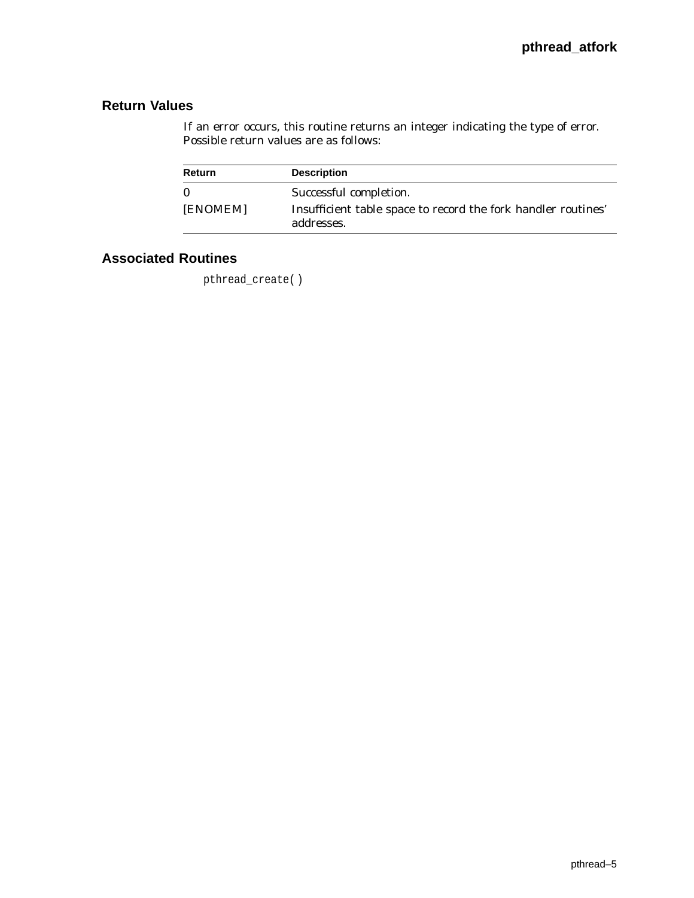# **Return Values**

If an error occurs, this routine returns an integer indicating the type of error. Possible return values are as follows:

| Return   | <b>Description</b>                                                          |
|----------|-----------------------------------------------------------------------------|
| 0        | Successful completion.                                                      |
| [ENOMEM] | Insufficient table space to record the fork handler routines'<br>addresses. |

# **Associated Routines**

pthread\_create( )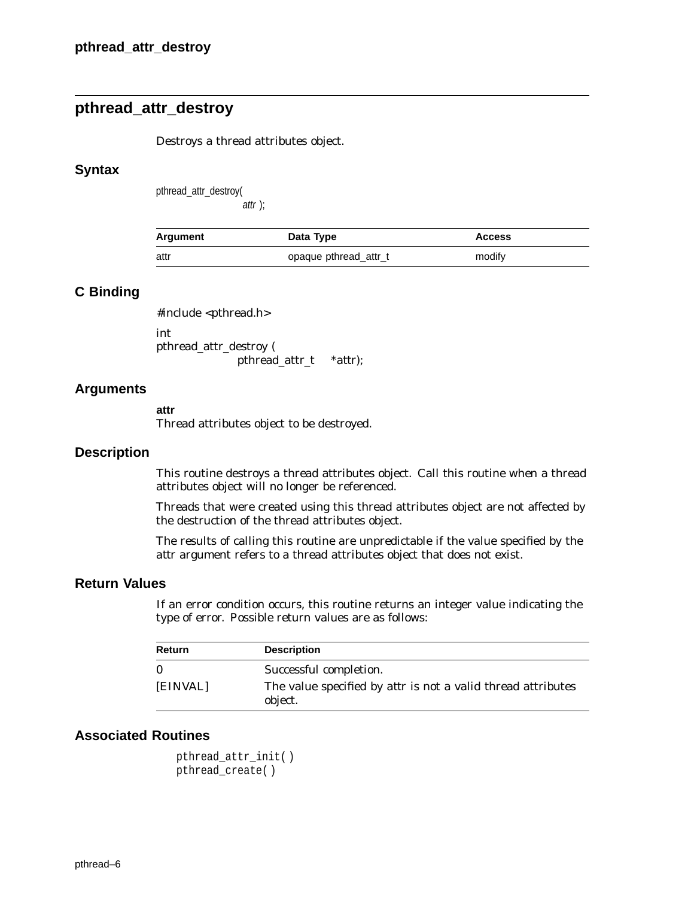# **pthread\_attr\_destroy**

Destroys a thread attributes object.

#### **Syntax**

pthread\_attr\_destroy(

attr );

| Argument | Data Type             | <b>Access</b> |
|----------|-----------------------|---------------|
| attr     | opaque pthread_attr_t | modify        |

### **C Binding**

#include <pthread.h>

int pthread\_attr\_destroy ( pthread\_attr\_t *\*attr*);

#### **Arguments**

**attr**

Thread attributes object to be destroyed.

#### **Description**

This routine destroys a thread attributes object. Call this routine when a thread attributes object will no longer be referenced.

Threads that were created using this thread attributes object are not affected by the destruction of the thread attributes object.

The results of calling this routine are unpredictable if the value specified by the *attr* argument refers to a thread attributes object that does not exist.

## **Return Values**

If an error condition occurs, this routine returns an integer value indicating the type of error. Possible return values are as follows:

| <b>Return</b> | <b>Description</b>                                                             |
|---------------|--------------------------------------------------------------------------------|
| $\Omega$      | Successful completion.                                                         |
| [EINVAL]      | The value specified by <i>attr</i> is not a valid thread attributes<br>object. |

```
pthread_attr_init( )
pthread_create( )
```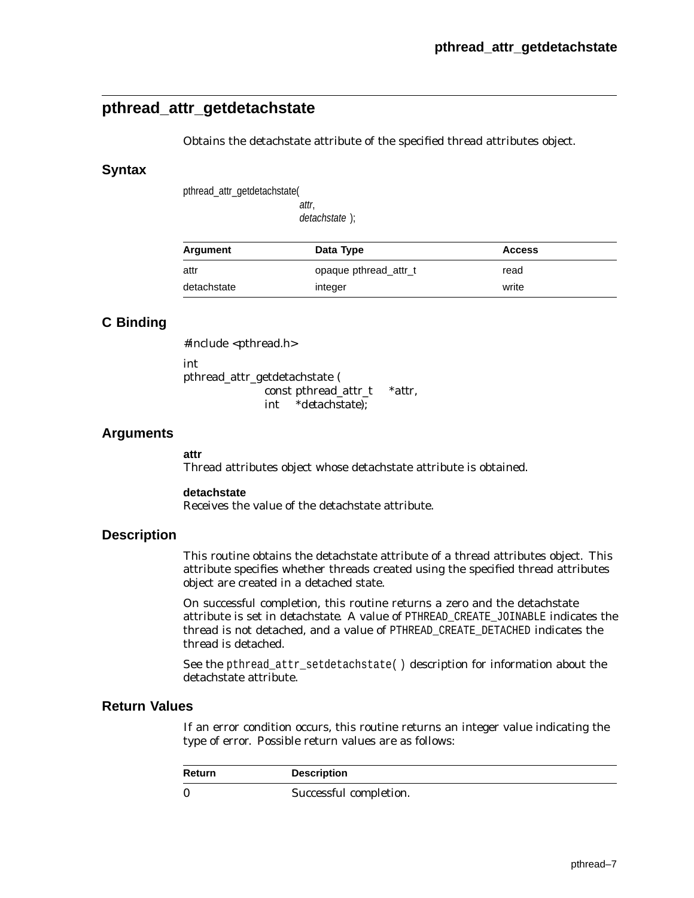# **pthread\_attr\_getdetachstate**

Obtains the detachstate attribute of the specified thread attributes object.

### **Syntax**

pthread\_attr\_getdetachstate(

attr, detachstate );

| Argument    | Data Type             | <b>Access</b> |
|-------------|-----------------------|---------------|
| attr        | opaque pthread_attr_t | read          |
| detachstate | integer               | write         |

## **C Binding**

#include <pthread.h> int pthread\_attr\_getdetachstate ( const pthread\_attr\_t *\*attr*, int \**detachstate*);

## **Arguments**

#### **attr**

Thread attributes object whose detachstate attribute is obtained.

#### **detachstate**

Receives the value of the detachstate attribute.

#### **Description**

This routine obtains the detachstate attribute of a thread attributes object. This attribute specifies whether threads created using the specified thread attributes object are created in a detached state.

On successful completion, this routine returns a zero and the detachstate attribute is set in *detachstate*. A value of PTHREAD\_CREATE\_JOINABLE indicates the thread is not detached, and a value of PTHREAD\_CREATE\_DETACHED indicates the thread is detached.

See the pthread\_attr\_setdetachstate( ) description for information about the detachstate attribute.

## **Return Values**

If an error condition occurs, this routine returns an integer value indicating the type of error. Possible return values are as follows:

| <b>Return</b> | <b>Description</b>     |
|---------------|------------------------|
| $\bf{0}$      | Successful completion. |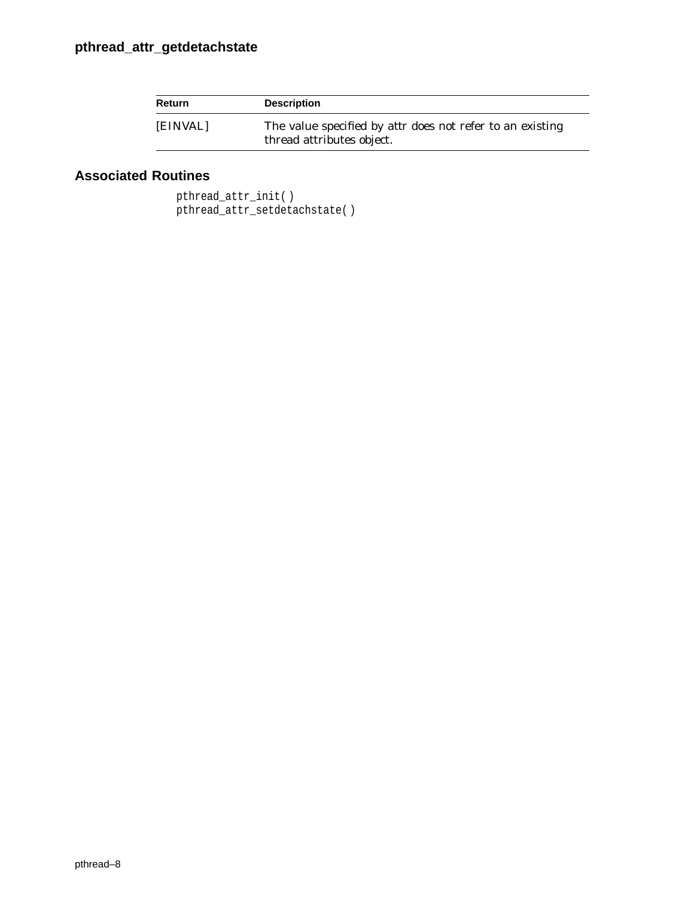| <b>Return</b> | <b>Description</b>                                                                            |
|---------------|-----------------------------------------------------------------------------------------------|
| [EINVAL]      | The value specified by <i>attr</i> does not refer to an existing<br>thread attributes object. |

# **Associated Routines**

pthread\_attr\_init( ) pthread\_attr\_setdetachstate( )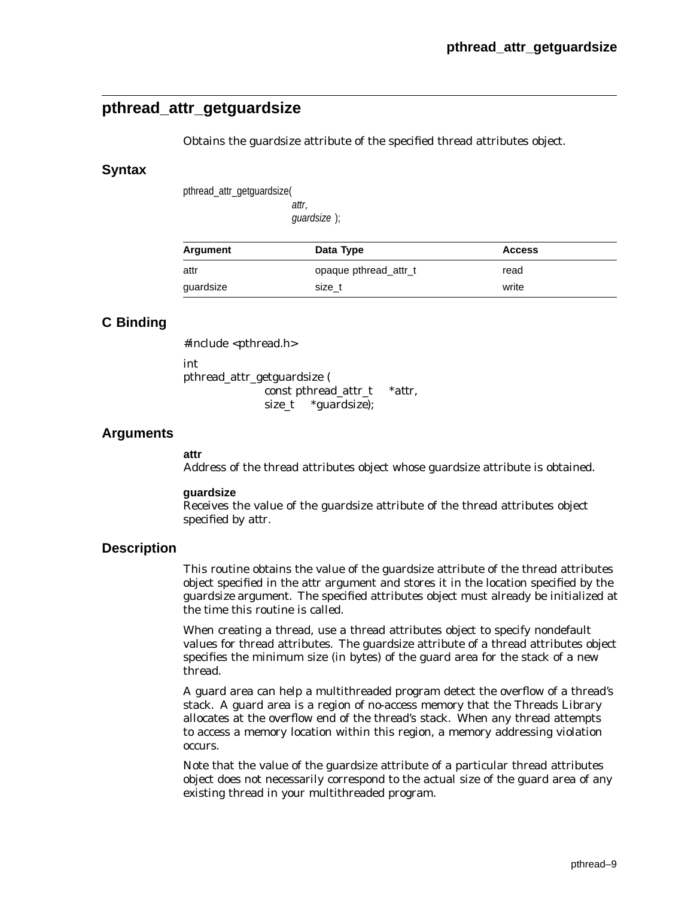# **pthread\_attr\_getguardsize**

Obtains the guardsize attribute of the specified thread attributes object.

### **Syntax**

pthread\_attr\_getguardsize(

attr, guardsize );

| Argument  | Data Type             | <b>Access</b> |
|-----------|-----------------------|---------------|
| attr      | opaque pthread_attr_t | read          |
| guardsize | size t                | write         |

## **C Binding**

#include <pthread.h>

pthread\_attr\_getguardsize (

const pthread\_attr\_t \**attr*, size\_t \**guardsize*);

## **Arguments**

#### **attr**

int

Address of the thread attributes object whose guardsize attribute is obtained.

#### **guardsize**

Receives the value of the guardsize attribute of the thread attributes object specified by *attr*.

## **Description**

This routine obtains the value of the guardsize attribute of the thread attributes object specified in the *attr* argument and stores it in the location specified by the *guardsize* argument. The specified attributes object must already be initialized at the time this routine is called.

When creating a thread, use a thread attributes object to specify nondefault values for thread attributes. The guardsize attribute of a thread attributes object specifies the minimum size (in bytes) of the guard area for the stack of a new thread.

A guard area can help a multithreaded program detect the overflow of a thread's stack. A guard area is a region of no-access memory that the Threads Library allocates at the overflow end of the thread's stack. When any thread attempts to access a memory location within this region, a memory addressing violation occurs.

Note that the value of the guardsize attribute of a particular thread attributes object does not necessarily correspond to the actual size of the guard area of any existing thread in your multithreaded program.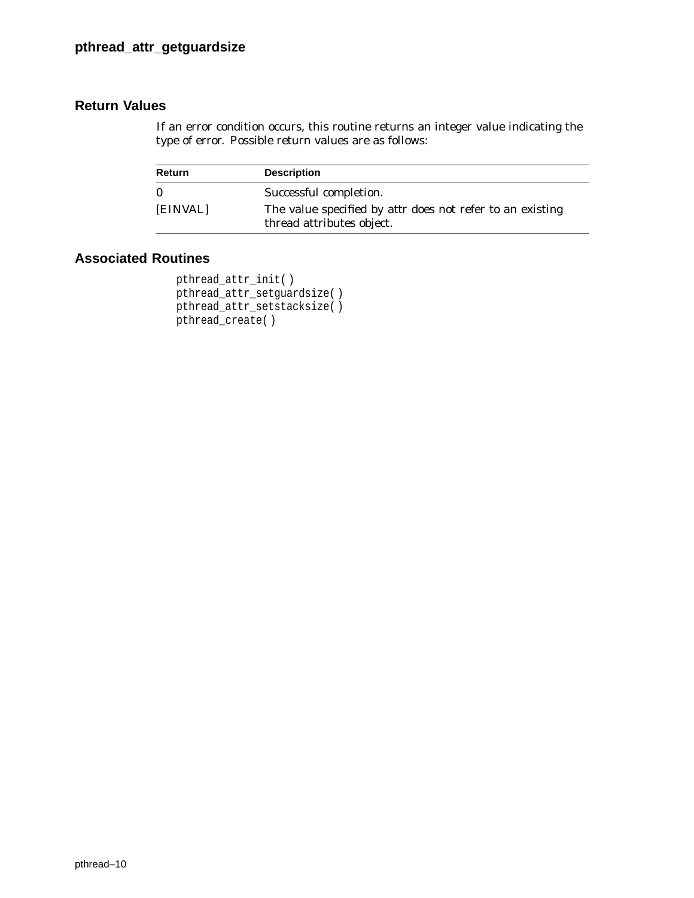## **Return Values**

If an error condition occurs, this routine returns an integer value indicating the type of error. Possible return values are as follows:

| Return   | <b>Description</b>                                                                            |
|----------|-----------------------------------------------------------------------------------------------|
| $\Omega$ | Successful completion.                                                                        |
| [EINVAL] | The value specified by <i>attr</i> does not refer to an existing<br>thread attributes object. |

```
pthread_attr_init( )
pthread_attr_setguardsize( )
pthread_attr_setstacksize( )
pthread_create( )
```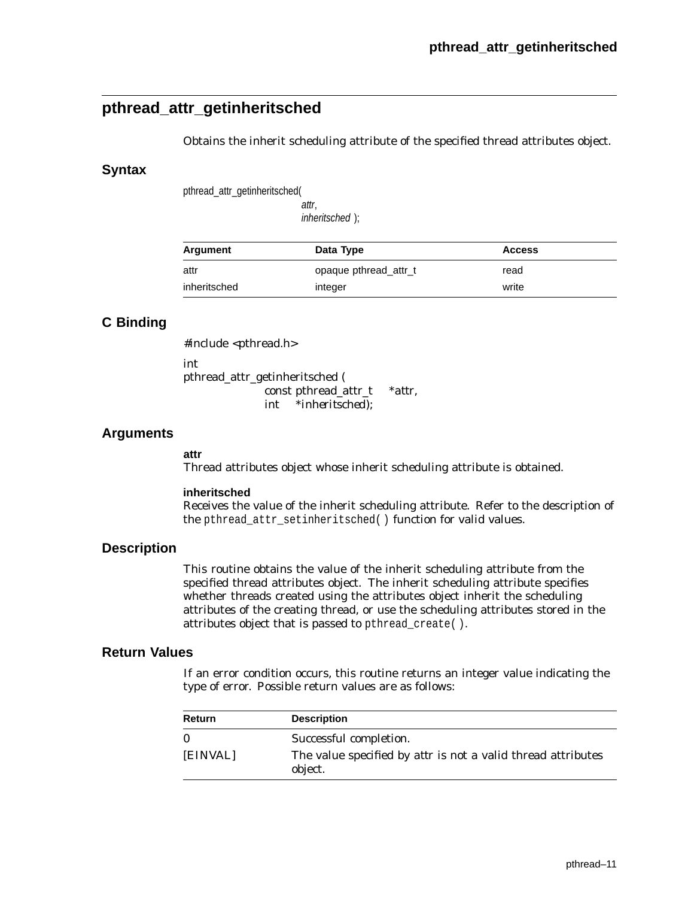# **pthread\_attr\_getinheritsched**

Obtains the inherit scheduling attribute of the specified thread attributes object.

#### **Syntax**

pthread\_attr\_getinheritsched(

attr, inheritsched );

| Argument     | Data Type             | <b>Access</b> |
|--------------|-----------------------|---------------|
| attr         | opaque pthread attr_t | read          |
| inheritsched | integer               | write         |

## **C Binding**

#include <pthread.h>

int pthread\_attr\_getinheritsched ( const pthread\_attr\_t *\*attr*, int *\*inheritsched*);

### **Arguments**

#### **attr**

Thread attributes object whose inherit scheduling attribute is obtained.

#### **inheritsched**

Receives the value of the inherit scheduling attribute. Refer to the description of the pthread\_attr\_setinheritsched( ) function for valid values.

### **Description**

This routine obtains the value of the inherit scheduling attribute from the specified thread attributes object. The inherit scheduling attribute specifies whether threads created using the attributes object inherit the scheduling attributes of the creating thread, or use the scheduling attributes stored in the attributes object that is passed to pthread\_create( ).

### **Return Values**

If an error condition occurs, this routine returns an integer value indicating the type of error. Possible return values are as follows:

| Return   | <b>Description</b>                                                             |
|----------|--------------------------------------------------------------------------------|
| $\bf{0}$ | Successful completion.                                                         |
| [EINVAL] | The value specified by <i>attr</i> is not a valid thread attributes<br>object. |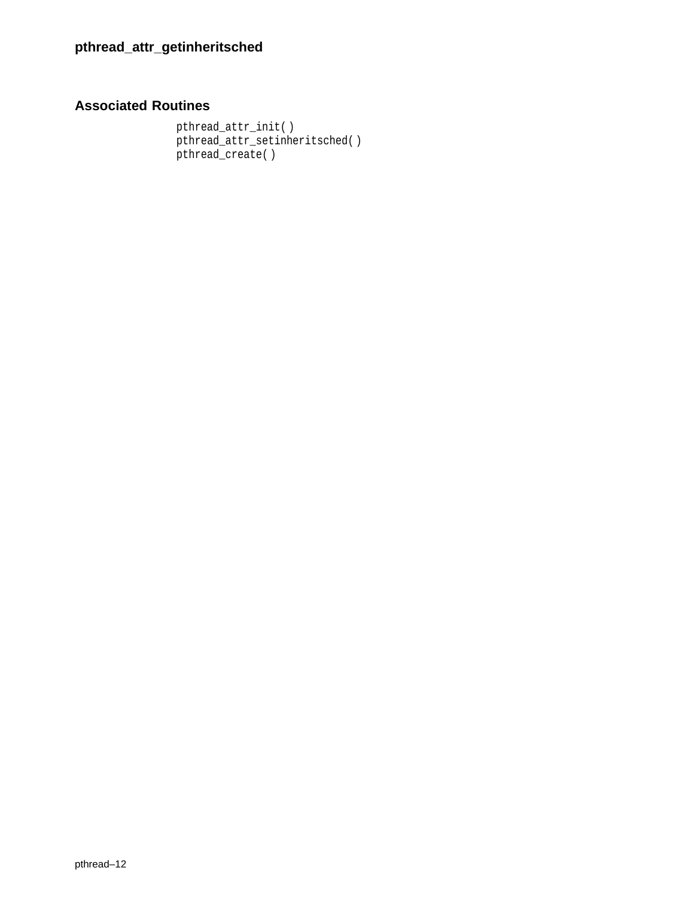```
pthread_attr_init( )
pthread_attr_setinheritsched( )
pthread_create( )
```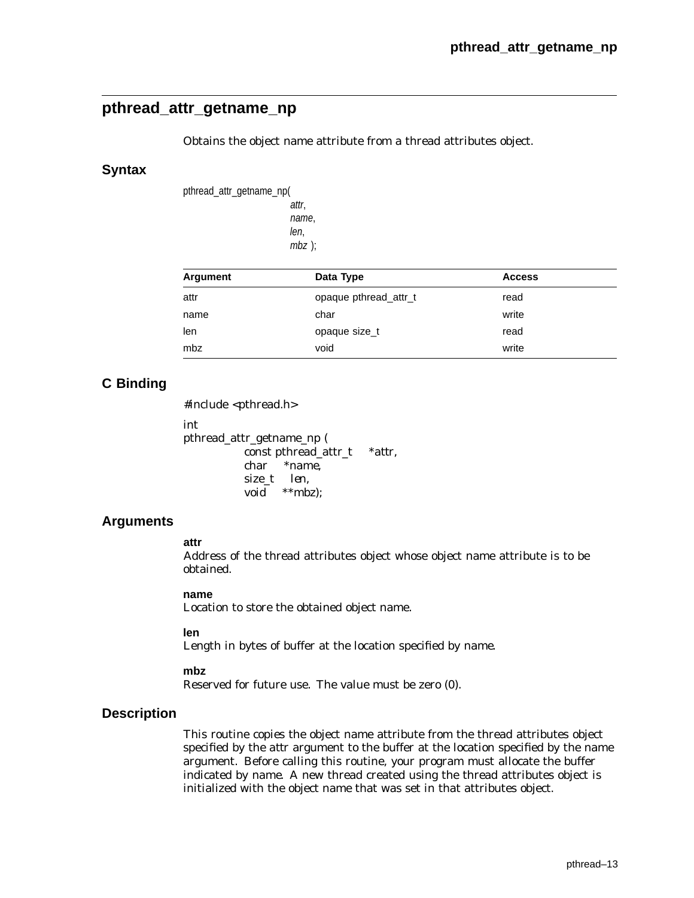## **pthread\_attr\_getname\_np**

Obtains the object name attribute from a thread attributes object.

#### **Syntax**

pthread\_attr\_getname\_np( attr, name, len, mbz );

| Argument | Data Type             | <b>Access</b> |  |
|----------|-----------------------|---------------|--|
| attr     | opaque pthread attr_t | read          |  |
| name     | char                  | write         |  |
| len      | opaque size_t         | read          |  |
| mbz      | void                  | write         |  |

## **C Binding**

#include <pthread.h>

int pthread\_attr\_getname\_np ( const pthread\_attr\_t *\*attr*, char *\*name*, size\_t *len*, void *\*\*mbz*);

## **Arguments**

**attr**

Address of the thread attributes object whose object name attribute is to be obtained.

#### **name**

Location to store the obtained object name.

#### **len**

Length in bytes of buffer at the location specified by *name*.

#### **mbz**

Reserved for future use. The value must be zero (0).

#### **Description**

This routine copies the object name attribute from the thread attributes object specified by the *attr* argument to the buffer at the location specified by the *name* argument. Before calling this routine, your program must allocate the buffer indicated by *name*. A new thread created using the thread attributes object is initialized with the object name that was set in that attributes object.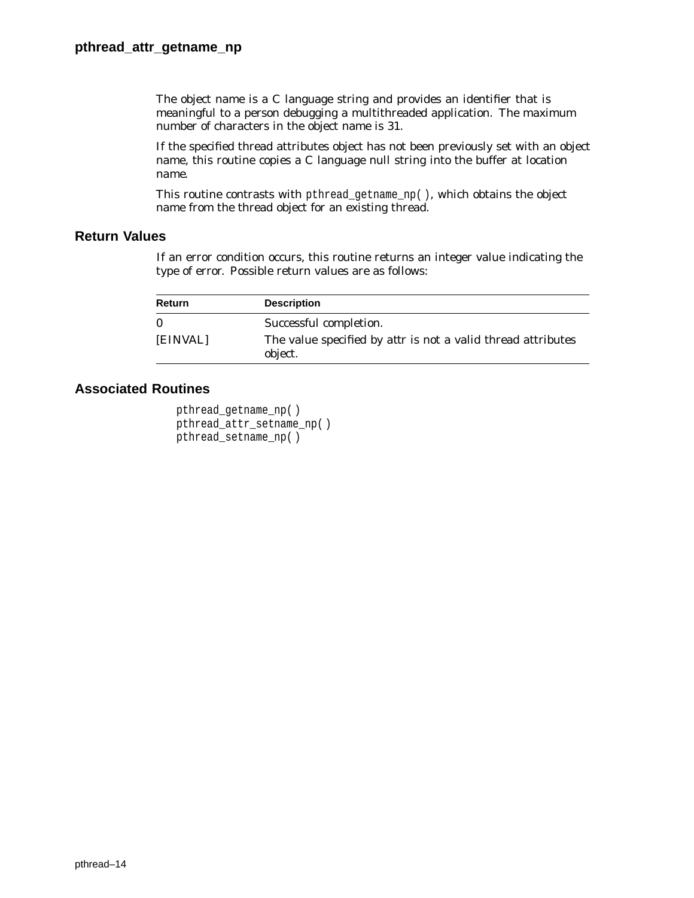The object name is a C language string and provides an identifier that is meaningful to a person debugging a multithreaded application. The maximum number of characters in the object name is 31.

If the specified thread attributes object has not been previously set with an object name, this routine copies a C language null string into the buffer at location *name*.

This routine contrasts with pthread\_getname\_np( ), which obtains the object name from the thread object for an existing thread.

## **Return Values**

If an error condition occurs, this routine returns an integer value indicating the type of error. Possible return values are as follows:

| Return   | <b>Description</b>                                                             |
|----------|--------------------------------------------------------------------------------|
| $\Omega$ | Successful completion.                                                         |
| [EINVAL] | The value specified by <i>attr</i> is not a valid thread attributes<br>object. |

```
pthread_getname_np( )
pthread_attr_setname_np( )
pthread_setname_np( )
```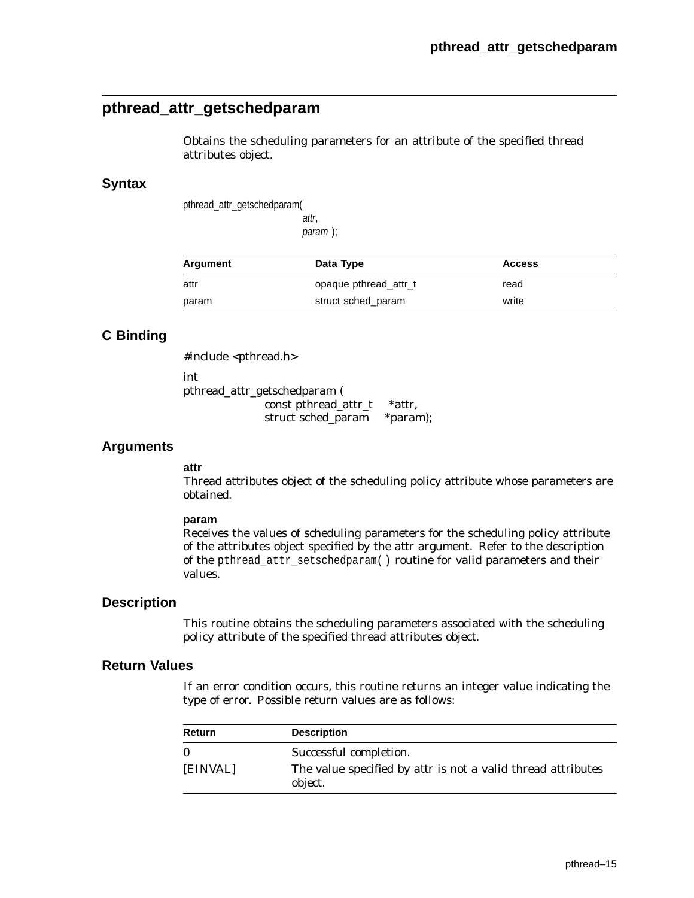# **pthread\_attr\_getschedparam**

Obtains the scheduling parameters for an attribute of the specified thread attributes object.

### **Syntax**

pthread\_attr\_getschedparam(

attr, param );

| Argument | Data Type             | <b>Access</b> |
|----------|-----------------------|---------------|
| attr     | opaque pthread attr_t | read          |
| param    | struct sched param    | write         |

## **C Binding**

#include <pthread.h> int pthread\_attr\_getschedparam ( const pthread\_attr\_t \**attr*, struct sched\_param \**param*);

### **Arguments**

# **attr**

Thread attributes object of the scheduling policy attribute whose parameters are obtained.

#### **param**

Receives the values of scheduling parameters for the scheduling policy attribute of the attributes object specified by the *attr* argument. Refer to the description of the pthread\_attr\_setschedparam( ) routine for valid parameters and their values.

#### **Description**

This routine obtains the scheduling parameters associated with the scheduling policy attribute of the specified thread attributes object.

#### **Return Values**

If an error condition occurs, this routine returns an integer value indicating the type of error. Possible return values are as follows:

| Return   | <b>Description</b>                                                             |
|----------|--------------------------------------------------------------------------------|
| $\Omega$ | Successful completion.                                                         |
| [EINVAL] | The value specified by <i>attr</i> is not a valid thread attributes<br>object. |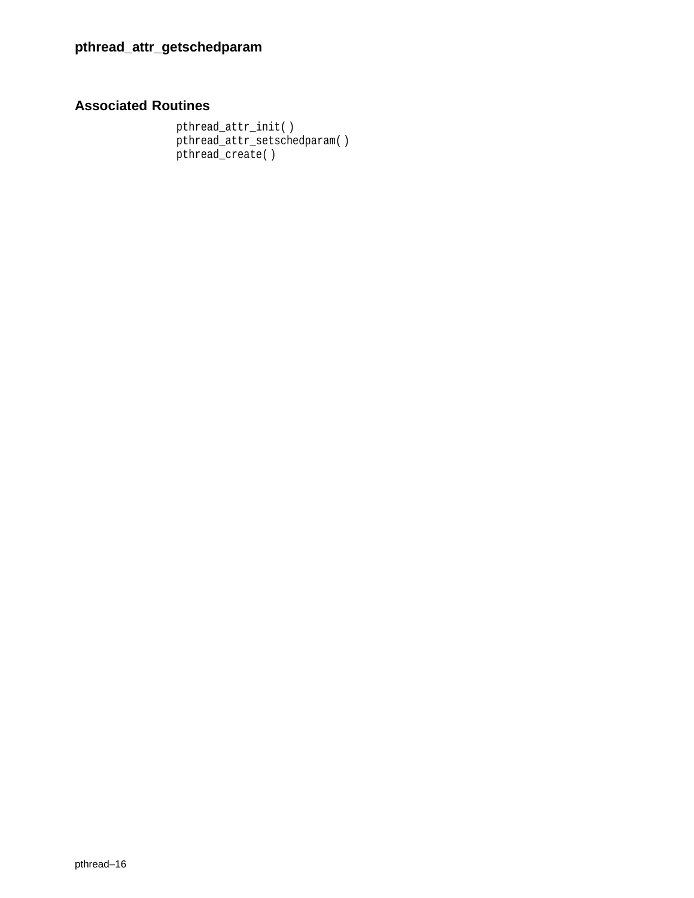# **Associated Routines**

pthread\_attr\_init( ) pthread\_attr\_setschedparam( ) pthread\_create( )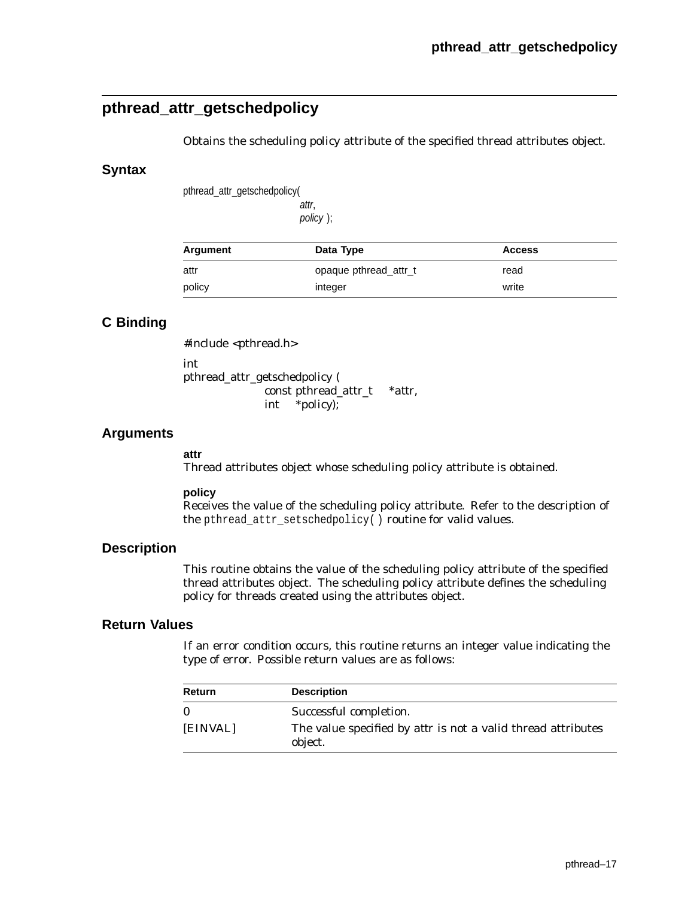# **pthread\_attr\_getschedpolicy**

Obtains the scheduling policy attribute of the specified thread attributes object.

#### **Syntax**

pthread\_attr\_getschedpolicy(

attr, policy );

| Argument | Data Type             | <b>Access</b> |
|----------|-----------------------|---------------|
| attr     | opaque pthread_attr_t | read          |
| policy   | integer               | write         |

## **C Binding**

#include <pthread.h> int pthread\_attr\_getschedpolicy ( const pthread\_attr\_t \**attr*, int \**policy*);

### **Arguments**

#### **attr**

Thread attributes object whose scheduling policy attribute is obtained.

#### **policy**

Receives the value of the scheduling policy attribute. Refer to the description of the pthread\_attr\_setschedpolicy $\overline{()}$  routine for valid values.

#### **Description**

This routine obtains the value of the scheduling policy attribute of the specified thread attributes object. The scheduling policy attribute defines the scheduling policy for threads created using the attributes object.

### **Return Values**

If an error condition occurs, this routine returns an integer value indicating the type of error. Possible return values are as follows:

| Return   | <b>Description</b>                                                             |
|----------|--------------------------------------------------------------------------------|
| $\bf{0}$ | Successful completion.                                                         |
| [EINVAL] | The value specified by <i>attr</i> is not a valid thread attributes<br>object. |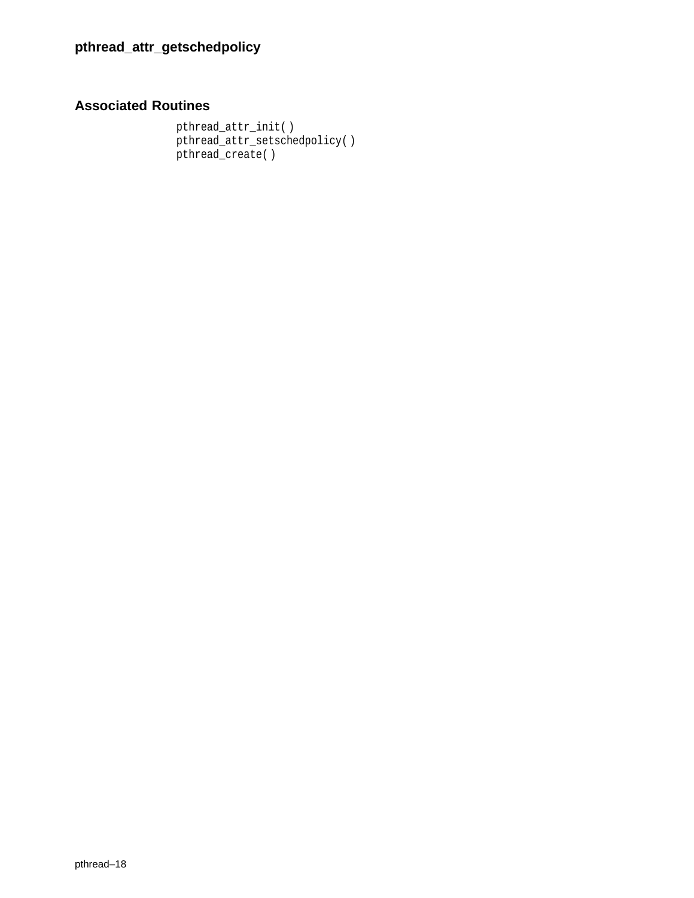## **Associated Routines**

pthread\_attr\_init( ) pthread\_attr\_setschedpolicy( ) pthread\_create( )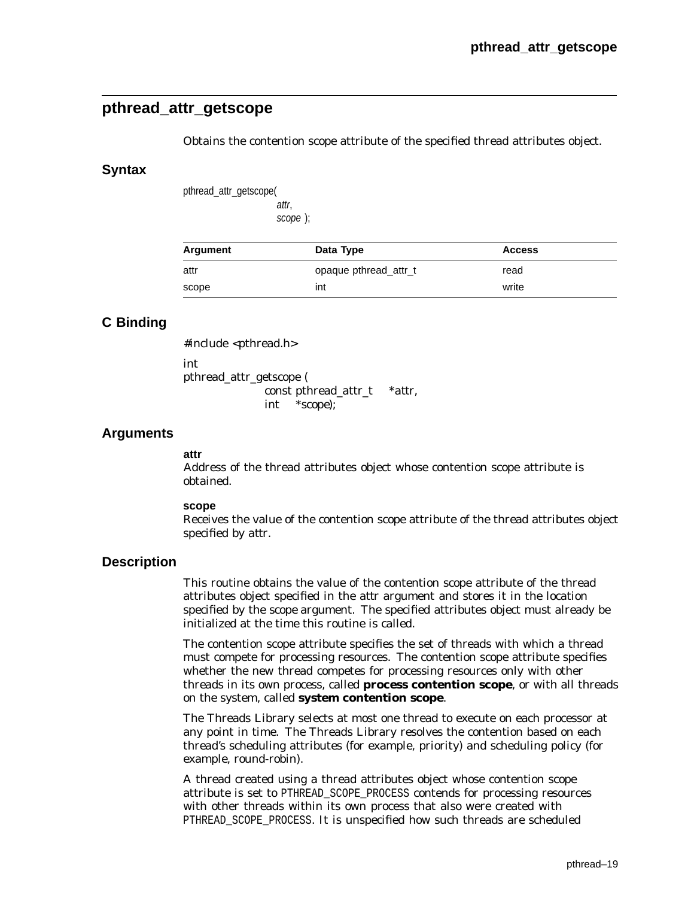# **pthread\_attr\_getscope**

Obtains the contention scope attribute of the specified thread attributes object.

#### **Syntax**

pthread\_attr\_getscope( attr,

scope );

| Argument | Data Type             | <b>Access</b> |  |
|----------|-----------------------|---------------|--|
| attr     | opaque pthread_attr_t | read          |  |
| scope    | int                   | write         |  |

## **C Binding**

#include <pthread.h> int pthread\_attr\_getscope (

const pthread\_attr\_t \**attr*, int \**scope*);

### **Arguments**

#### **attr**

Address of the thread attributes object whose contention scope attribute is obtained.

#### **scope**

Receives the value of the contention scope attribute of the thread attributes object specified by *attr*.

#### **Description**

This routine obtains the value of the contention scope attribute of the thread attributes object specified in the *attr* argument and stores it in the location specified by the *scope* argument. The specified attributes object must already be initialized at the time this routine is called.

The contention scope attribute specifies the set of threads with which a thread must compete for processing resources. The contention scope attribute specifies whether the new thread competes for processing resources only with other threads in its own process, called **process contention scope**, or with all threads on the system, called **system contention scope**.

The Threads Library selects at most one thread to execute on each processor at any point in time. The Threads Library resolves the contention based on each thread's scheduling attributes (for example, priority) and scheduling policy (for example, round-robin).

A thread created using a thread attributes object whose contention scope attribute is set to PTHREAD\_SCOPE\_PROCESS contends for processing resources with other threads within its own process that also were created with PTHREAD SCOPE PROCESS. It is unspecified how such threads are scheduled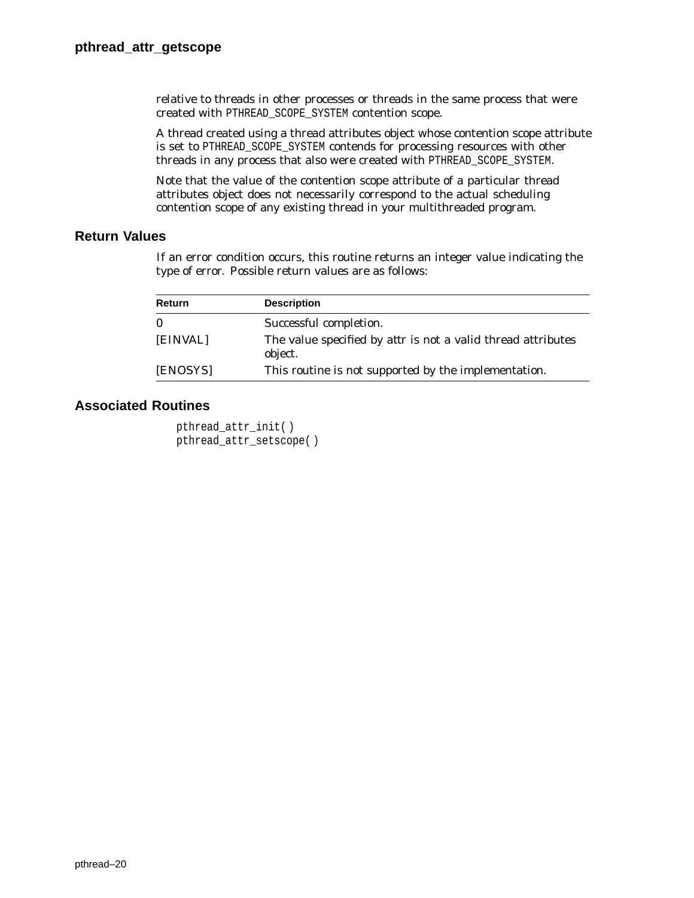relative to threads in other processes or threads in the same process that were created with PTHREAD\_SCOPE\_SYSTEM contention scope.

A thread created using a thread attributes object whose contention scope attribute is set to PTHREAD\_SCOPE\_SYSTEM contends for processing resources with other threads in any process that also were created with PTHREAD\_SCOPE\_SYSTEM.

Note that the value of the contention scope attribute of a particular thread attributes object does not necessarily correspond to the actual scheduling contention scope of any existing thread in your multithreaded program.

### **Return Values**

If an error condition occurs, this routine returns an integer value indicating the type of error. Possible return values are as follows:

| Return   | <b>Description</b>                                                             |
|----------|--------------------------------------------------------------------------------|
| $\bf{0}$ | Successful completion.                                                         |
| [EINVAL] | The value specified by <i>attr</i> is not a valid thread attributes<br>object. |
| [ENOSYS] | This routine is not supported by the implementation.                           |

```
pthread_attr_init( )
pthread_attr_setscope( )
```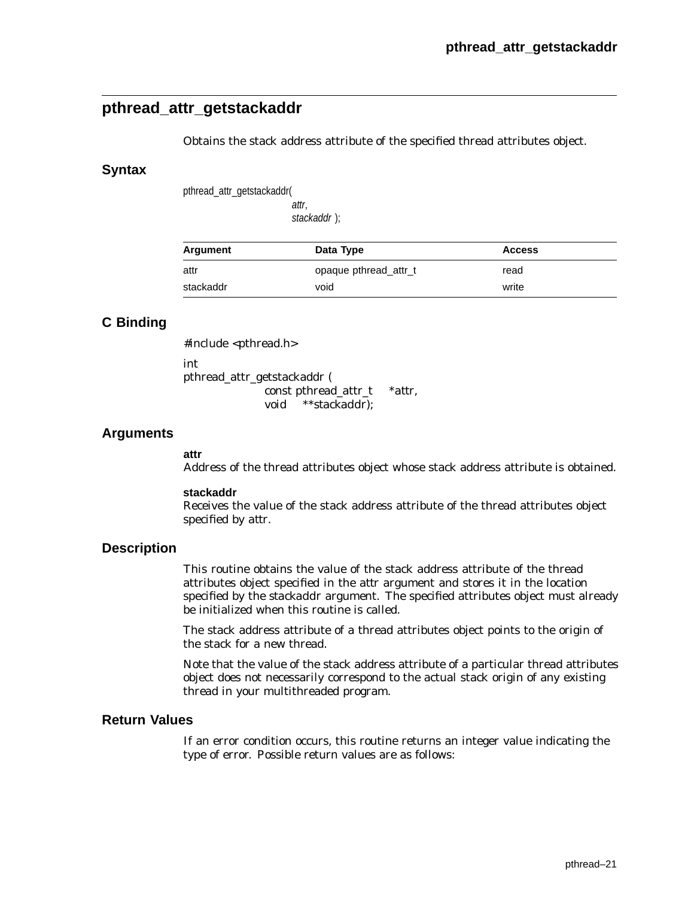# **pthread\_attr\_getstackaddr**

Obtains the stack address attribute of the specified thread attributes object.

### **Syntax**

pthread\_attr\_getstackaddr(

attr, stackaddr );

| Argument  | Data Type             | <b>Access</b> |
|-----------|-----------------------|---------------|
| attr      | opaque pthread attr_t | read          |
| stackaddr | void                  | write         |

## **C Binding**

#include <pthread.h>

int pthread\_attr\_getstackaddr ( const pthread\_attr\_t \**attr*, void \*\**stackaddr*);

## **Arguments**

#### **attr**

Address of the thread attributes object whose stack address attribute is obtained.

#### **stackaddr**

Receives the value of the stack address attribute of the thread attributes object specified by *attr*.

## **Description**

This routine obtains the value of the stack address attribute of the thread attributes object specified in the *attr* argument and stores it in the location specified by the *stackaddr* argument. The specified attributes object must already be initialized when this routine is called.

The stack address attribute of a thread attributes object points to the origin of the stack for a new thread.

Note that the value of the stack address attribute of a particular thread attributes object does not necessarily correspond to the actual stack origin of any existing thread in your multithreaded program.

### **Return Values**

If an error condition occurs, this routine returns an integer value indicating the type of error. Possible return values are as follows: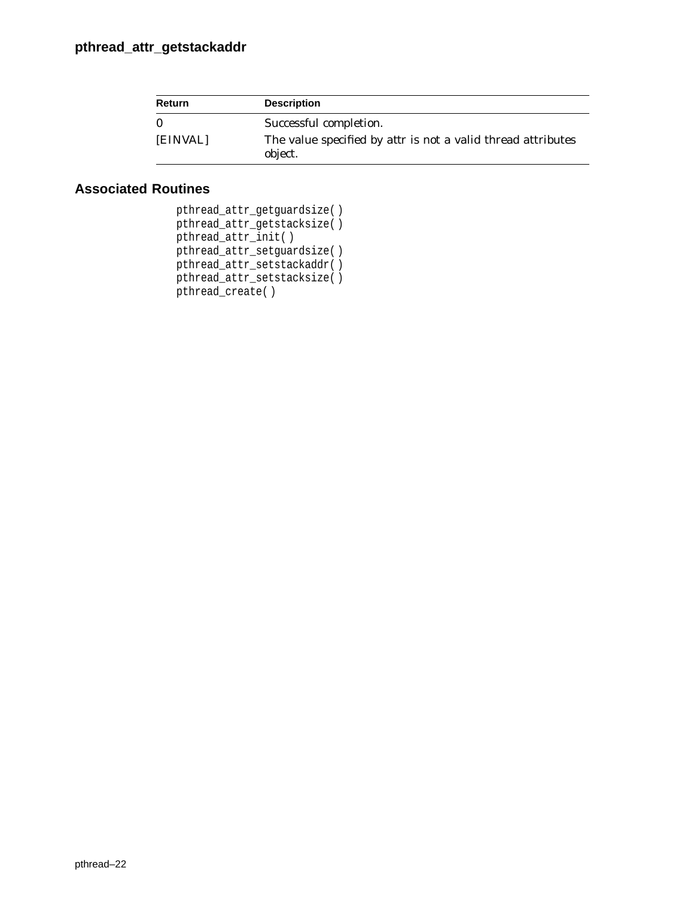| <b>Return</b> | <b>Description</b>                                                             |
|---------------|--------------------------------------------------------------------------------|
| - 0           | Successful completion.                                                         |
| [EINVAL]      | The value specified by <i>attr</i> is not a valid thread attributes<br>object. |

| pthread_attr_getguardsize() |  |
|-----------------------------|--|
| pthread_attr_getstacksize() |  |
| pthread_attr_init()         |  |
| pthread_attr_setguardsize() |  |
| pthread attr setstackaddr() |  |
| pthread attr setstacksize() |  |
| pthread create()            |  |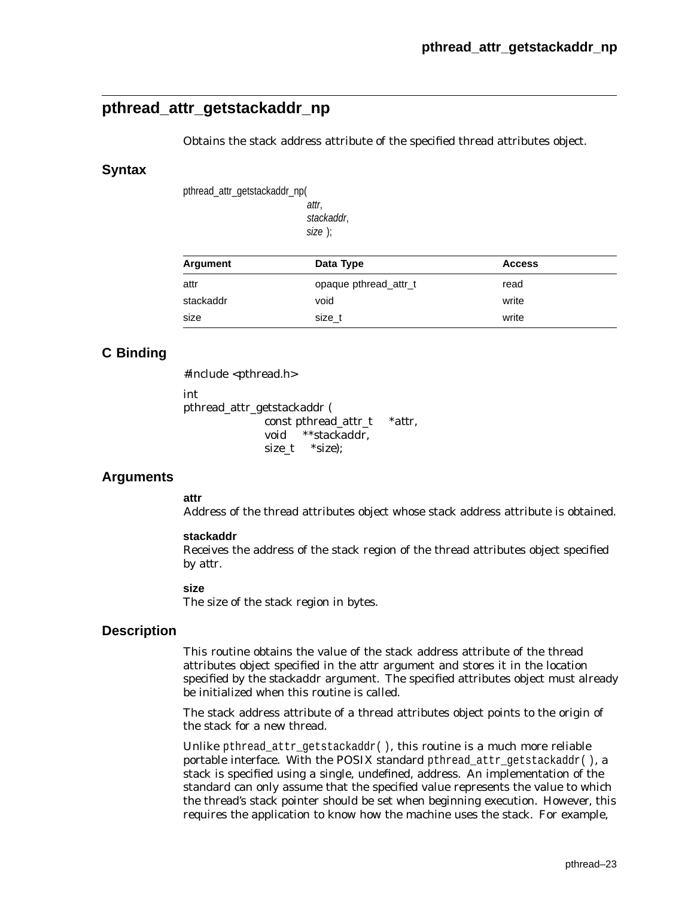# **pthread\_attr\_getstackaddr\_np**

Obtains the stack address attribute of the specified thread attributes object.

### **Syntax**

pthread\_attr\_getstackaddr\_np(

attr, stackaddr, size );

| Argument  | Data Type             | <b>Access</b> |  |
|-----------|-----------------------|---------------|--|
| attr      | opaque pthread attr_t | read          |  |
| stackaddr | void                  | write         |  |
| size      | size t                | write         |  |

## **C Binding**

#include <pthread.h>

int

pthread\_attr\_getstackaddr ( const pthread\_attr\_t \**attr*, void \*\**stackaddr*, size\_t \**size*);

## **Arguments**

#### **attr**

Address of the thread attributes object whose stack address attribute is obtained.

#### **stackaddr**

Receives the address of the stack region of the thread attributes object specified by *attr*.

#### **size**

The size of the stack region in bytes.

## **Description**

This routine obtains the value of the stack address attribute of the thread attributes object specified in the *attr* argument and stores it in the location specified by the *stackaddr* argument. The specified attributes object must already be initialized when this routine is called.

The stack address attribute of a thread attributes object points to the origin of the stack for a new thread.

Unlike pthread\_attr\_getstackaddr( ), this routine is a much more reliable portable interface. With the POSIX standard pthread\_attr\_getstackaddr(), a stack is specified using a single, undefined, address. An implementation of the standard can only assume that the specified value represents the value to which the thread's stack pointer should be set when beginning execution. However, this requires the application to know how the machine uses the stack. For example,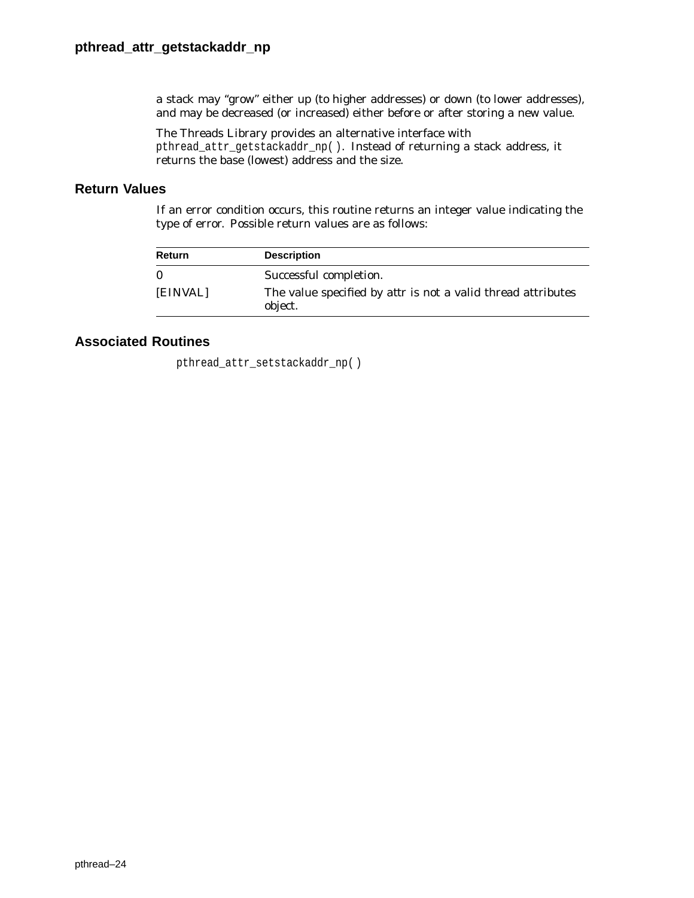a stack may ''grow'' either up (to higher addresses) or down (to lower addresses), and may be decreased (or increased) either before or after storing a new value.

The Threads Library provides an alternative interface with pthread\_attr\_getstackaddr\_np( ). Instead of returning a stack address, it returns the base (lowest) address and the size.

### **Return Values**

If an error condition occurs, this routine returns an integer value indicating the type of error. Possible return values are as follows:

| Return   | <b>Description</b>                                                             |
|----------|--------------------------------------------------------------------------------|
| $\bf{0}$ | Successful completion.                                                         |
| [EINVAL] | The value specified by <i>attr</i> is not a valid thread attributes<br>object. |

## **Associated Routines**

pthread\_attr\_setstackaddr\_np( )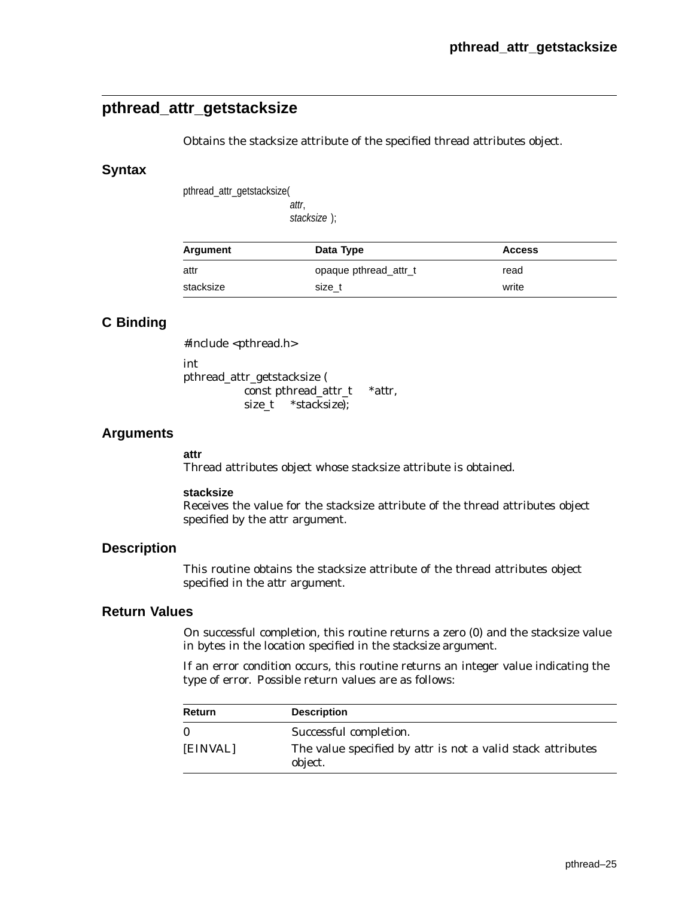# **pthread\_attr\_getstacksize**

Obtains the stacksize attribute of the specified thread attributes object.

### **Syntax**

pthread\_attr\_getstacksize(

attr, stacksize );

| Argument  | Data Type             | <b>Access</b> |
|-----------|-----------------------|---------------|
| attr      | opaque pthread_attr_t | read          |
| stacksize | size t                | write         |

## **C Binding**

#include <pthread.h>

int pthread\_attr\_getstacksize ( const pthread\_attr\_t \**attr*,

size\_t \**stacksize*);

## **Arguments**

#### **attr**

Thread attributes object whose stacksize attribute is obtained.

#### **stacksize**

Receives the value for the stacksize attribute of the thread attributes object specified by the *attr* argument.

### **Description**

This routine obtains the stacksize attribute of the thread attributes object specified in the *attr* argument.

#### **Return Values**

On successful completion, this routine returns a zero (0) and the stacksize value in bytes in the location specified in the *stacksize* argument.

If an error condition occurs, this routine returns an integer value indicating the type of error. Possible return values are as follows:

| Return   | <b>Description</b>                                                            |
|----------|-------------------------------------------------------------------------------|
| $\Omega$ | Successful completion.                                                        |
| [EINVAL] | The value specified by <i>attr</i> is not a valid stack attributes<br>object. |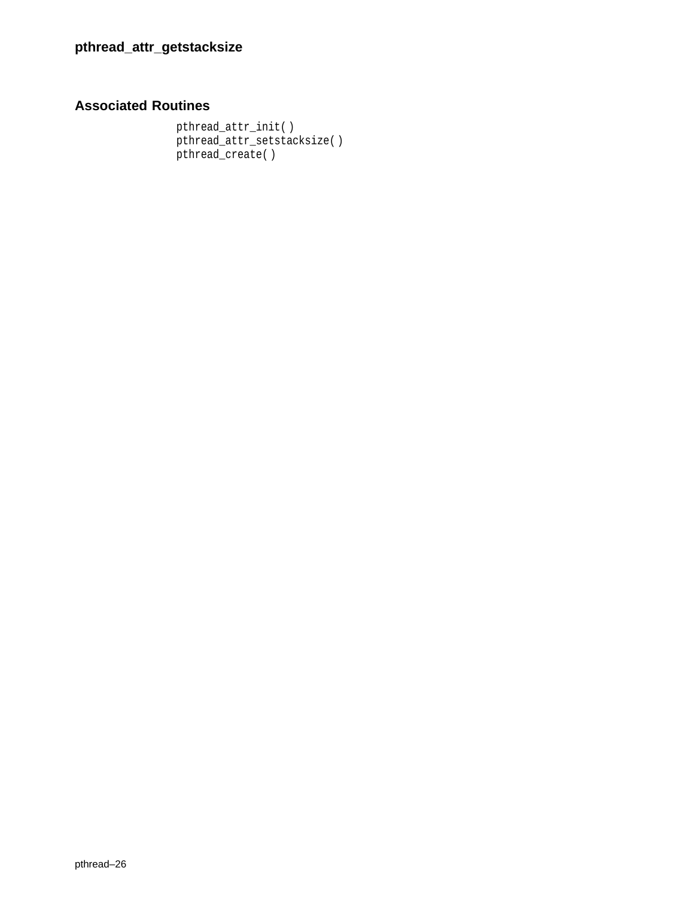# **Associated Routines**

pthread\_attr\_init( ) pthread\_attr\_setstacksize( ) pthread\_create( )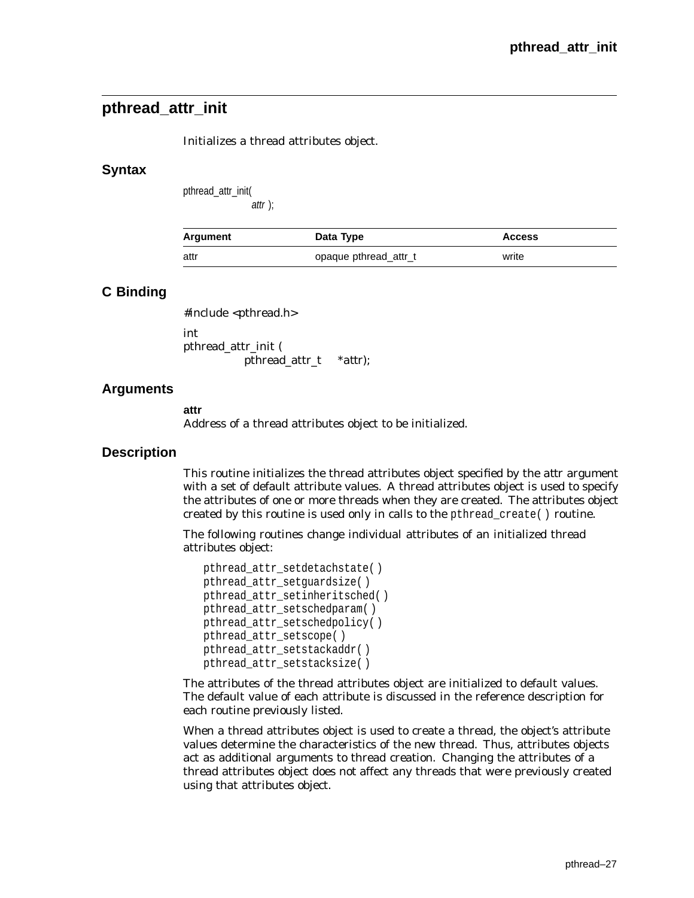# **pthread\_attr\_init**

Initializes a thread attributes object.

### **Syntax**

pthread\_attr\_init( attr );

| Argument | Data Type             | <b>Access</b> |
|----------|-----------------------|---------------|
| attr     | opaque pthread attr_t | write         |

## **C Binding**

#include <pthread.h> int

pthread\_attr\_init ( pthread\_attr\_t *\*attr*);

## **Arguments**

**attr**

Address of a thread attributes object to be initialized.

#### **Description**

This routine initializes the thread attributes object specified by the *attr* argument with a set of default attribute values. A thread attributes object is used to specify the attributes of one or more threads when they are created. The attributes object created by this routine is used only in calls to the pthread  $c$ reate( ) routine.

The following routines change individual attributes of an initialized thread attributes object:

```
pthread_attr_setdetachstate( )
pthread_attr_setguardsize( )
pthread_attr_setinheritsched( )
pthread_attr_setschedparam( )
pthread_attr_setschedpolicy( )
pthread_attr_setscope( )
pthread_attr_setstackaddr( )
pthread_attr_setstacksize( )
```
The attributes of the thread attributes object are initialized to default values. The default value of each attribute is discussed in the reference description for each routine previously listed.

When a thread attributes object is used to create a thread, the object's attribute values determine the characteristics of the new thread. Thus, attributes objects act as additional arguments to thread creation. Changing the attributes of a thread attributes object does *not* affect any threads that were previously created using that attributes object.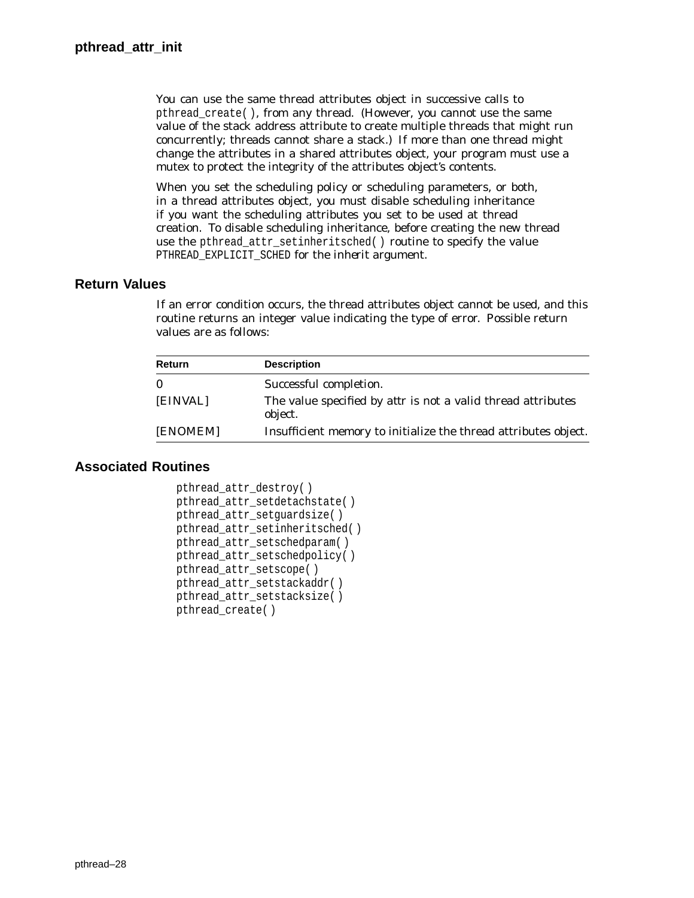You can use the same thread attributes object in successive calls to pthread\_create( ), from any thread. (However, you *cannot* use the same value of the stack address attribute to create multiple threads that might run concurrently; threads cannot share a stack.) If more than one thread might change the attributes in a shared attributes object, your program must use a mutex to protect the integrity of the attributes object's contents.

When you set the scheduling policy or scheduling parameters, or both, in a thread attributes object, you must disable scheduling inheritance if you want the scheduling attributes you set to be used at thread creation. To disable scheduling inheritance, before creating the new thread use the pthread attr setinheritsched( ) routine to specify the value PTHREAD\_EXPLICIT\_SCHED for the *inherit* argument.

## **Return Values**

If an error condition occurs, the thread attributes object cannot be used, and this routine returns an integer value indicating the type of error. Possible return values are as follows:

| <b>Description</b>                                                      |
|-------------------------------------------------------------------------|
| Successful completion.                                                  |
| The value specified by attr is not a valid thread attributes<br>object. |
| Insufficient memory to initialize the thread attributes object.         |
|                                                                         |

```
pthread_attr_destroy( )
pthread_attr_setdetachstate( )
pthread_attr_setguardsize( )
pthread_attr_setinheritsched( )
pthread_attr_setschedparam( )
pthread_attr_setschedpolicy( )
pthread attr setscope( )
pthread attr setstackaddr( )
pthread_attr_setstacksize( )
pthread_create( )
```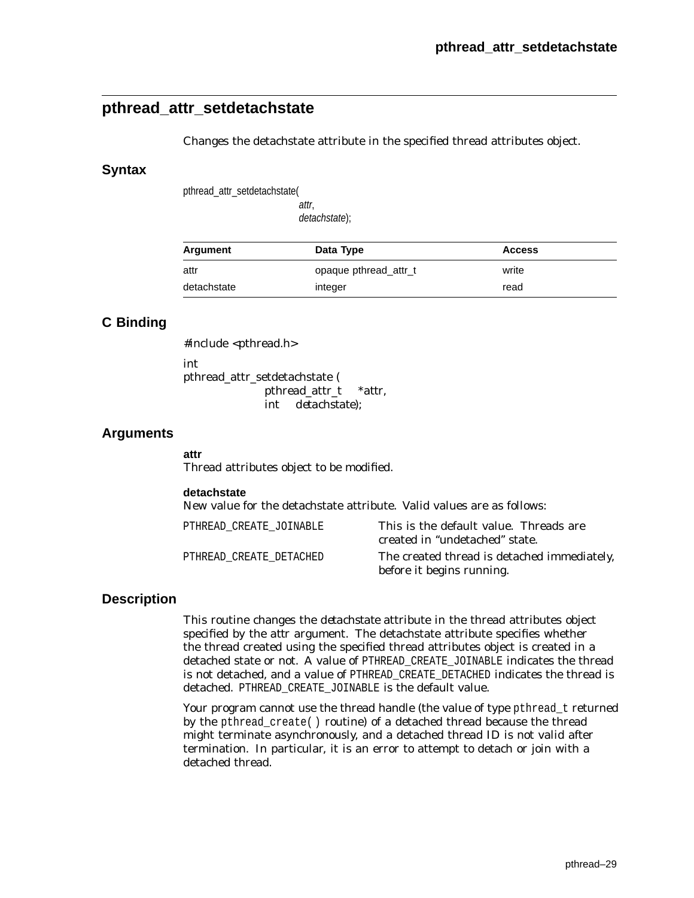# **pthread\_attr\_setdetachstate**

Changes the detachstate attribute in the specified thread attributes object.

#### **Syntax**

pthread\_attr\_setdetachstate(

attr, detachstate);

| Argument    | Data Type             | <b>Access</b> |  |
|-------------|-----------------------|---------------|--|
| attr        | opaque pthread attr_t | write         |  |
| detachstate | integer               | read          |  |

## **C Binding**

#include <pthread.h> int pthread\_attr\_setdetachstate ( pthread\_attr\_t *\*attr*, int *detachstate*);

#### **Arguments**

#### **attr**

Thread attributes object to be modified.

#### **detachstate**

New value for the detachstate attribute. Valid values are as follows:

| PTHREAD CREATE JOINABLE | This is the default value. Threads are<br>created in "undetached" state. |
|-------------------------|--------------------------------------------------------------------------|
| PTHREAD CREATE DETACHED | The created thread is detached immediately,<br>before it begins running. |

### **Description**

This routine changes the *detachstate* attribute in the thread attributes object specified by the *attr* argument. The detachstate attribute specifies whether the thread created using the specified thread attributes object is created in a detached state or not. A value of PTHREAD\_CREATE\_JOINABLE indicates the thread is not detached, and a value of PTHREAD\_CREATE\_DETACHED indicates the thread is detached. PTHREAD\_CREATE\_JOINABLE is the default value.

Your program cannot use the thread handle (the value of type pthread t returned by the pthread\_create( ) routine) of a detached thread because the thread might terminate asynchronously, and a detached thread ID is not valid after termination. In particular, it is an error to attempt to detach or join with a detached thread.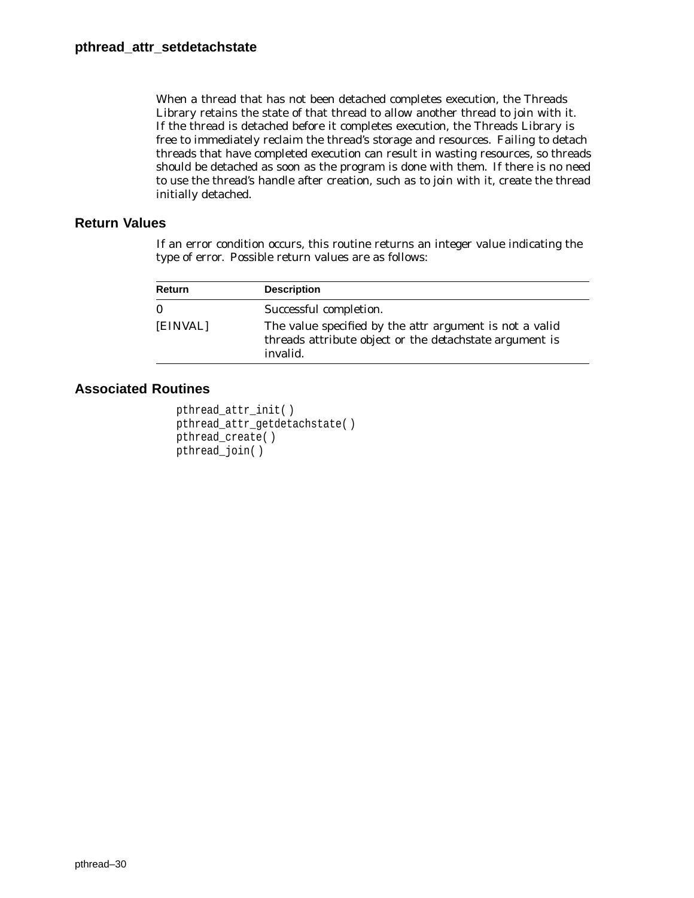When a thread that has not been detached completes execution, the Threads Library retains the state of that thread to allow another thread to join with it. If the thread is detached before it completes execution, the Threads Library is free to immediately reclaim the thread's storage and resources. Failing to detach threads that have completed execution can result in wasting resources, so threads should be detached as soon as the program is done with them. If there is no need to use the thread's handle after creation, such as to join with it, create the thread initially detached.

### **Return Values**

If an error condition occurs, this routine returns an integer value indicating the type of error. Possible return values are as follows:

| Return   | <b>Description</b>                                                                                                                           |
|----------|----------------------------------------------------------------------------------------------------------------------------------------------|
| $\bf{0}$ | Successful completion.                                                                                                                       |
| [EINVAL] | The value specified by the <i>attr</i> argument is not a valid<br>threads attribute object or the <i>detachstate</i> argument is<br>invalid. |

```
pthread_attr_init( )
pthread_attr_getdetachstate( )
pthread_create( )
pthread_join( )
```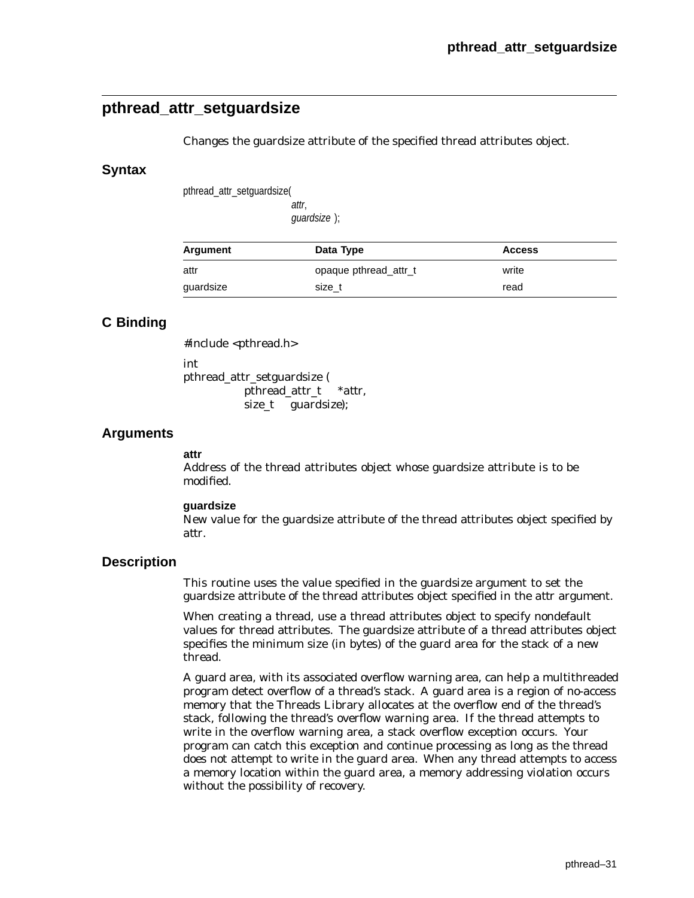## **pthread\_attr\_setguardsize**

Changes the guardsize attribute of the specified thread attributes object.

#### **Syntax**

pthread\_attr\_setguardsize(

attr, guardsize );

| Argument  | Data Type             | <b>Access</b> |
|-----------|-----------------------|---------------|
| attr      | opaque pthread_attr_t | write         |
| guardsize | size t                | read          |

## **C Binding**

#include <pthread.h>

int

pthread\_attr\_setguardsize ( pthread\_attr\_t \**attr*, size\_t *guardsize*);

### **Arguments**

#### **attr**

Address of the thread attributes object whose guardsize attribute is to be modified.

#### **guardsize**

New value for the guardsize attribute of the thread attributes object specified by *attr*.

#### **Description**

This routine uses the value specified in the *guardsize* argument to set the guardsize attribute of the thread attributes object specified in the *attr* argument.

When creating a thread, use a thread attributes object to specify nondefault values for thread attributes. The guardsize attribute of a thread attributes object specifies the minimum size (in bytes) of the guard area for the stack of a new thread.

A guard area, with its associated overflow warning area, can help a multithreaded program detect overflow of a thread's stack. A guard area is a region of no-access memory that the Threads Library allocates at the overflow end of the thread's stack, following the thread's overflow warning area. If the thread attempts to write in the overflow warning area, a stack overflow exception occurs. Your program can catch this exception and continue processing as long as the thread does not attempt to write in the guard area. When any thread attempts to access a memory location within the guard area, a memory addressing violation occurs without the possibility of recovery.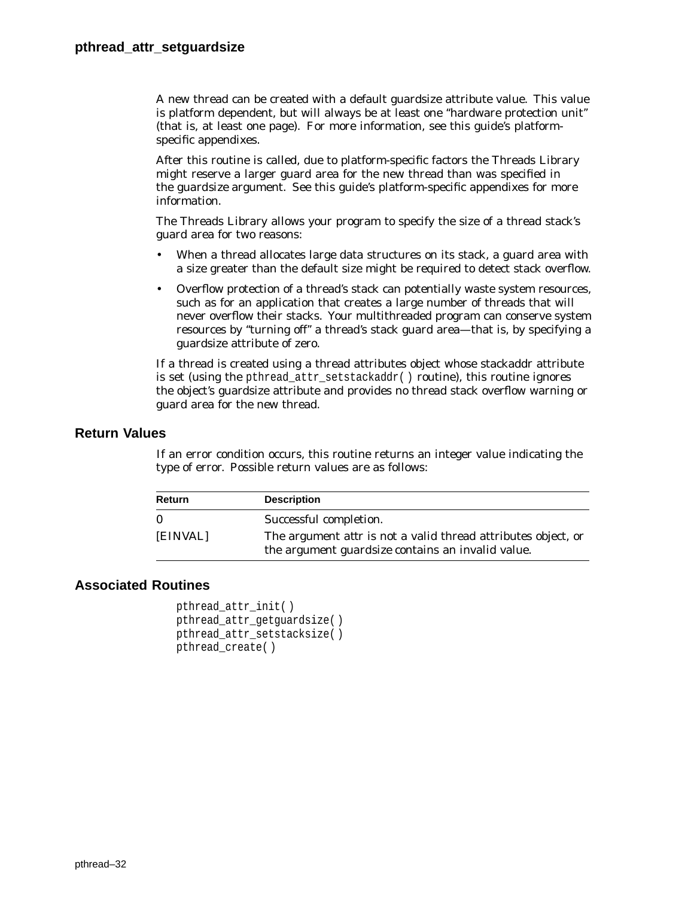A new thread can be created with a default guardsize attribute value. This value is platform dependent, but will always be at least one ''hardware protection unit'' (that is, at least one page). For more information, see this guide's platformspecific appendixes.

After this routine is called, due to platform-specific factors the Threads Library might reserve a larger guard area for the new thread than was specified in the *guardsize* argument. See this guide's platform-specific appendixes for more information.

The Threads Library allows your program to specify the size of a thread stack's guard area for two reasons:

- When a thread allocates large data structures on its stack, a guard area with a size greater than the default size might be required to detect stack overflow.
- Overflow protection of a thread's stack can potentially waste system resources, such as for an application that creates a large number of threads that will never overflow their stacks. Your multithreaded program can conserve system resources by ''turning off'' a thread's stack guard area—that is, by specifying a guardsize attribute of zero.

If a thread is created using a thread attributes object whose stackaddr attribute is set (using the pthread attr setstackaddr( ) routine), this routine ignores the object's guardsize attribute and provides no thread stack overflow warning or guard area for the new thread.

#### **Return Values**

If an error condition occurs, this routine returns an integer value indicating the type of error. Possible return values are as follows:

| Return   | <b>Description</b>                                                                                                               |
|----------|----------------------------------------------------------------------------------------------------------------------------------|
| $\Omega$ | Successful completion.                                                                                                           |
| [EINVAL] | The argument <i>attr</i> is not a valid thread attributes object, or<br>the argument <i>guardsize</i> contains an invalid value. |

```
pthread_attr_init( )
pthread_attr_getguardsize( )
pthread_attr_setstacksize( )
pthread_create( )
```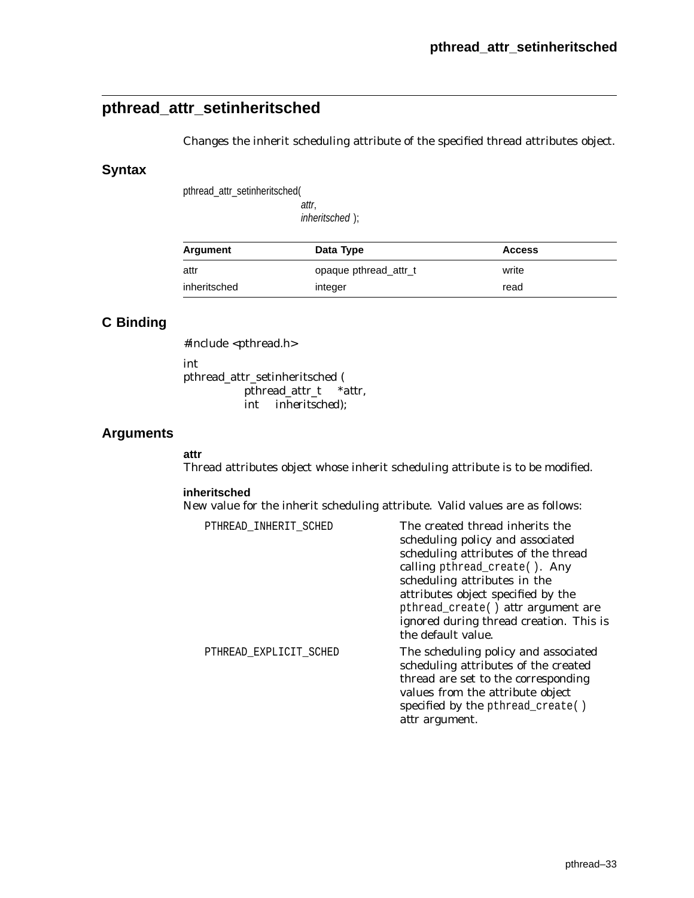# **pthread\_attr\_setinheritsched**

Changes the inherit scheduling attribute of the specified thread attributes object.

### **Syntax**

pthread\_attr\_setinheritsched(

attr, inheritsched );

| Argument     | Data Type             | <b>Access</b> |
|--------------|-----------------------|---------------|
| attr         | opaque pthread attr_t | write         |
| inheritsched | integer               | read          |

# **C Binding**

#include <pthread.h>

int

pthread\_attr\_setinheritsched ( pthread\_attr\_t \**attr*, int *inheritsched*);

## **Arguments**

#### **attr**

Thread attributes object whose inherit scheduling attribute is to be modified.

#### **inheritsched**

New value for the inherit scheduling attribute. Valid values are as follows:

| PTHREAD_INHERIT_SCHED  | The created thread inherits the                                                                                                                                                              |
|------------------------|----------------------------------------------------------------------------------------------------------------------------------------------------------------------------------------------|
|                        | scheduling policy and associated                                                                                                                                                             |
|                        | scheduling attributes of the thread                                                                                                                                                          |
|                        | calling pthread_create(). Any                                                                                                                                                                |
|                        | scheduling attributes in the                                                                                                                                                                 |
|                        | attributes object specified by the                                                                                                                                                           |
|                        | pthread_create() attr argument are<br>ignored during thread creation. This is<br>the default value.                                                                                          |
| PTHREAD EXPLICIT SCHED | The scheduling policy and associated<br>scheduling attributes of the created<br>thread are set to the corresponding<br>values from the attribute object<br>specified by the pthread_create() |
|                        | <i>attr</i> argument.                                                                                                                                                                        |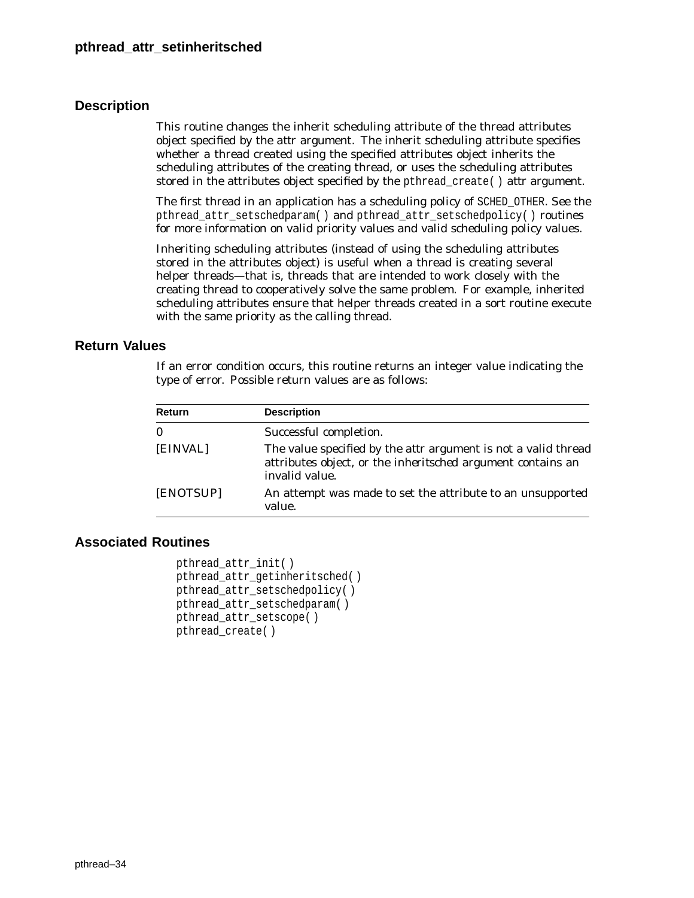## **Description**

This routine changes the inherit scheduling attribute of the thread attributes object specified by the *attr* argument. The inherit scheduling attribute specifies whether a thread created using the specified attributes object inherits the scheduling attributes of the creating thread, or uses the scheduling attributes stored in the attributes object specified by the pthread\_create( ) *attr* argument.

The first thread in an application has a scheduling policy of SCHED\_OTHER. See the pthread\_attr\_setschedparam( ) and pthread\_attr\_setschedpolicy( ) routines for more information on valid priority values and valid scheduling policy values.

Inheriting scheduling attributes (instead of using the scheduling attributes stored in the attributes object) is useful when a thread is creating several helper threads—that is, threads that are intended to work closely with the creating thread to cooperatively solve the same problem. For example, inherited scheduling attributes ensure that helper threads created in a sort routine execute with the same priority as the calling thread.

### **Return Values**

If an error condition occurs, this routine returns an integer value indicating the type of error. Possible return values are as follows:

| Return       | <b>Description</b>                                                                                                                                            |
|--------------|---------------------------------------------------------------------------------------------------------------------------------------------------------------|
| $\mathbf{0}$ | Successful completion.                                                                                                                                        |
| [EINVAL]     | The value specified by the <i>attr</i> argument is not a valid thread<br>attributes object, or the <i>inheritsched</i> argument contains an<br>invalid value. |
| [ENOTSUP]    | An attempt was made to set the attribute to an unsupported<br>value.                                                                                          |

```
pthread_attr_init( )
pthread attr qetinheritsched()
pthread_attr_setschedpolicy( )
pthread_attr_setschedparam( )
pthread_attr_setscope( )
pthread_create( )
```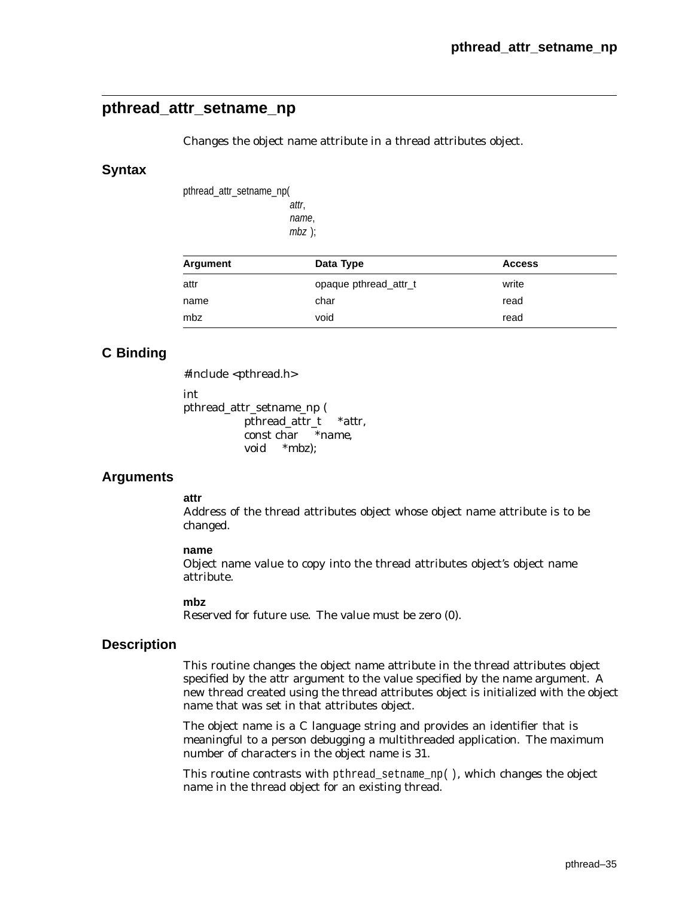## **pthread\_attr\_setname\_np**

Changes the object name attribute in a thread attributes object.

#### **Syntax**

pthread\_attr\_setname\_np( attr,

name, mbz );

| Argument | Data Type             | <b>Access</b> |  |
|----------|-----------------------|---------------|--|
| attr     | opaque pthread attr_t | write         |  |
| name     | char                  | read          |  |
| mbz      | void                  | read          |  |

## **C Binding**

#include <pthread.h>

int

pthread\_attr\_setname\_np ( pthread\_attr\_t *\*attr*, const char *\*name*, void *\*mbz*);

## **Arguments**

#### **attr**

Address of the thread attributes object whose object name attribute is to be changed.

#### **name**

Object name value to copy into the thread attributes object's object name attribute.

#### **mbz**

Reserved for future use. The value must be zero (0).

#### **Description**

This routine changes the object name attribute in the thread attributes object specified by the *attr* argument to the value specified by the *name* argument. A new thread created using the thread attributes object is initialized with the object name that was set in that attributes object.

The object name is a C language string and provides an identifier that is meaningful to a person debugging a multithreaded application. The maximum number of characters in the object name is 31.

This routine contrasts with pthread\_setname\_np(), which changes the object name in the thread object for an existing thread.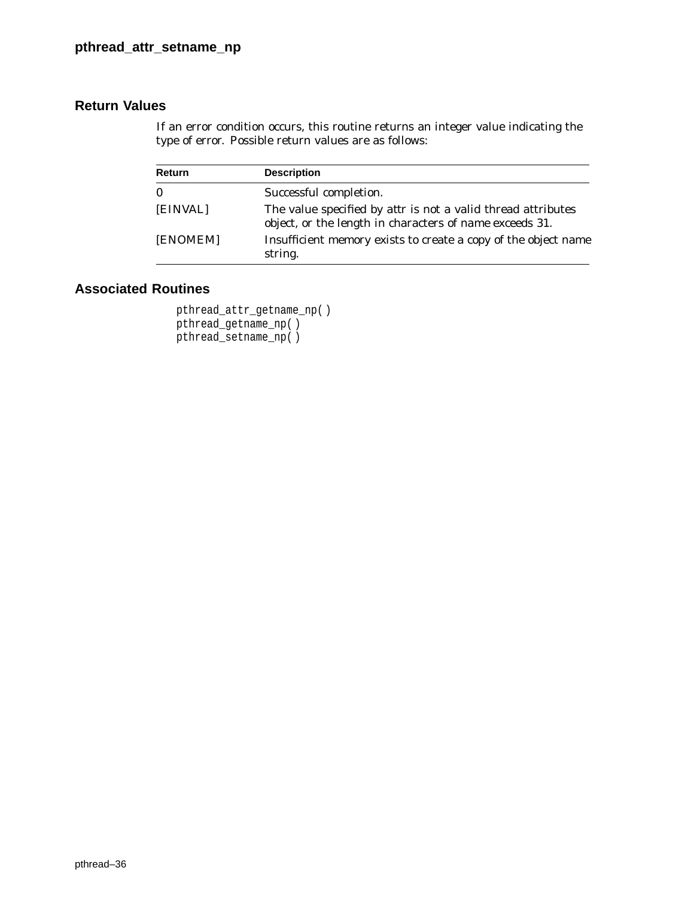## **Return Values**

If an error condition occurs, this routine returns an integer value indicating the type of error. Possible return values are as follows:

| <b>Return</b> | <b>Description</b>                                                                                                                    |
|---------------|---------------------------------------------------------------------------------------------------------------------------------------|
| $\bf{0}$      | Successful completion.                                                                                                                |
| [EINVAL]      | The value specified by <i>attr</i> is not a valid thread attributes<br>object, or the length in characters of <i>name</i> exceeds 31. |
| [ENOMEM]      | Insufficient memory exists to create a copy of the object name<br>string.                                                             |

```
pthread_attr_getname_np( )
pthread_getname_np( )
pthread_setname_np( )
```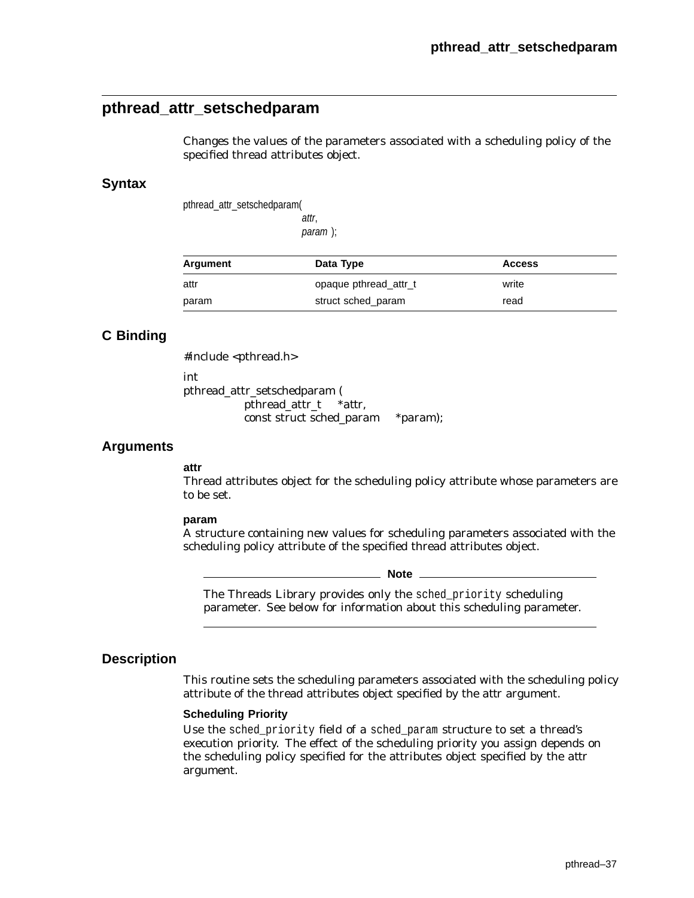# **pthread\_attr\_setschedparam**

Changes the values of the parameters associated with a scheduling policy of the specified thread attributes object.

#### **Syntax**

pthread\_attr\_setschedparam(

attr, param );

| Argument | Data Type             | <b>Access</b> |
|----------|-----------------------|---------------|
| attr     | opaque pthread attr_t | write         |
| param    | struct sched param    | read          |

## **C Binding**

#include <pthread.h>

int

pthread\_attr\_setschedparam ( pthread\_attr\_t \**attr*, const struct sched\_param \**param*);

#### **Arguments**

### **attr**

Thread attributes object for the scheduling policy attribute whose parameters are to be set.

#### **param**

A structure containing new values for scheduling parameters associated with the scheduling policy attribute of the specified thread attributes object.

**Note** \_\_\_\_\_\_

The Threads Library provides only the sched\_priority scheduling parameter. See below for information about this scheduling parameter.

#### **Description**

This routine sets the scheduling parameters associated with the scheduling policy attribute of the thread attributes object specified by the *attr* argument.

#### **Scheduling Priority**

Use the sched\_priority field of a sched\_param structure to set a thread's execution priority. The effect of the scheduling priority you assign depends on the scheduling policy specified for the attributes object specified by the *attr* argument.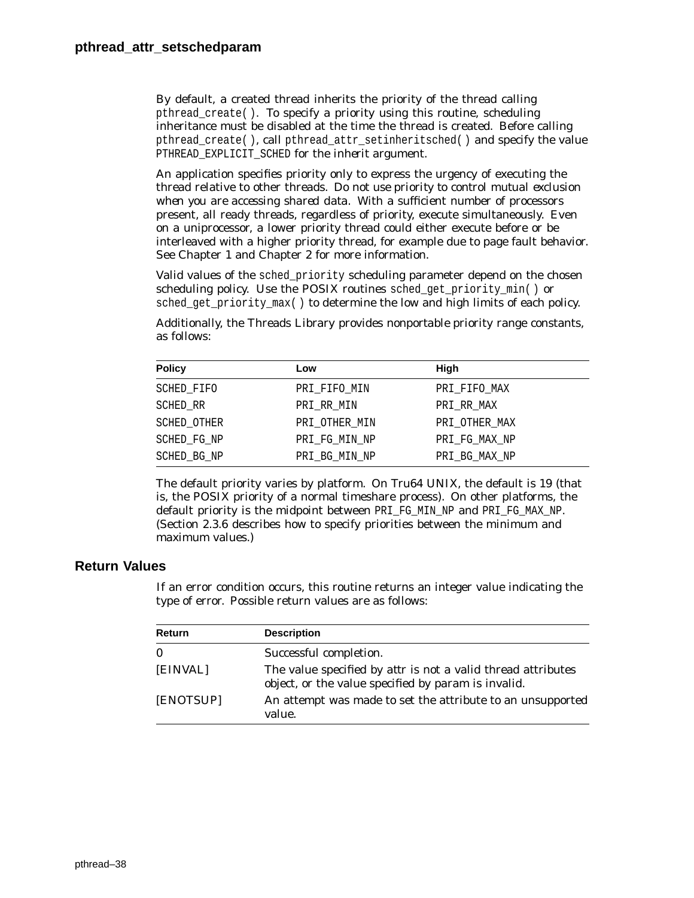By default, a created thread inherits the priority of the thread calling pthread\_create( ). To specify a priority using this routine, scheduling inheritance must be disabled at the time the thread is created. Before calling pthread create( ), call pthread attr\_setinheritsched( ) and specify the value PTHREAD\_EXPLICIT\_SCHED for the *inherit* argument.

An application specifies priority only to express the urgency of executing the thread relative to other threads. *Do not use priority to control mutual exclusion when you are accessing shared data*. With a sufficient number of processors present, all ready threads, regardless of priority, execute simultaneously. Even on a uniprocessor, a lower priority thread could either execute before or be interleaved with a higher priority thread, for example due to page fault behavior. See Chapter 1 and Chapter 2 for more information.

Valid values of the sched\_priority scheduling parameter depend on the chosen scheduling policy. Use the POSIX routines sched\_get\_priority\_min( ) or sched\_get\_priority\_max( ) to determine the low and high limits of each policy.

Additionally, the Threads Library provides *nonportable* priority range constants, as follows:

| <b>Policy</b> | Low           | High          |
|---------------|---------------|---------------|
| SCHED FIFO    | PRI FIFO MIN  | PRI FIFO MAX  |
| SCHED RR      | PRI RR MIN    | PRI RR MAX    |
| SCHED OTHER   | PRI OTHER MIN | PRI OTHER MAX |
| SCHED FG NP   | PRI FG MIN NP | PRI FG MAX NP |
| SCHED BG NP   | PRI_BG_MIN_NP | PRI_BG_MAX_NP |

The default priority varies by platform. On Tru64 UNIX, the default is 19 (that is, the POSIX priority of a normal timeshare process). On other platforms, the default priority is the midpoint between PRI\_FG\_MIN\_NP and PRI\_FG\_MAX\_NP. (Section 2.3.6 describes how to specify priorities between the minimum and maximum values.)

## **Return Values**

If an error condition occurs, this routine returns an integer value indicating the type of error. Possible return values are as follows:

| <b>Return</b> | <b>Description</b>                                                                                                         |
|---------------|----------------------------------------------------------------------------------------------------------------------------|
| $\bf{0}$      | Successful completion.                                                                                                     |
| [EINVAL]      | The value specified by <i>attr</i> is not a valid thread attributes<br>object, or the value specified by param is invalid. |
| [ENOTSUP]     | An attempt was made to set the attribute to an unsupported<br>value.                                                       |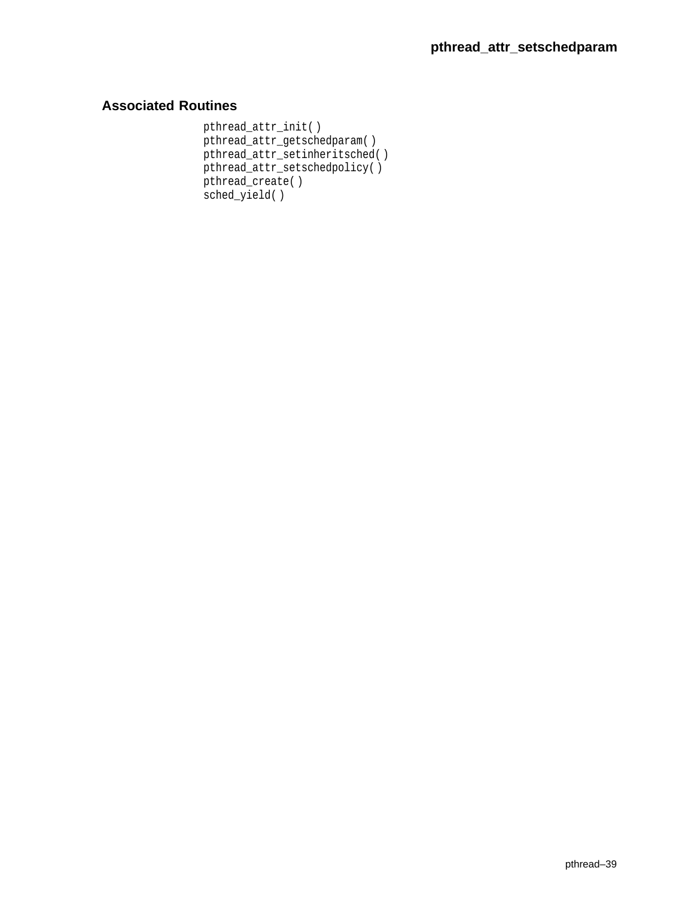```
pthread_attr_init( )
pthread_attr_getschedparam( )
pthread_attr_setinheritsched( )
pthread_attr_setschedpolicy( )
pthread_create( )
sched_yield( )
```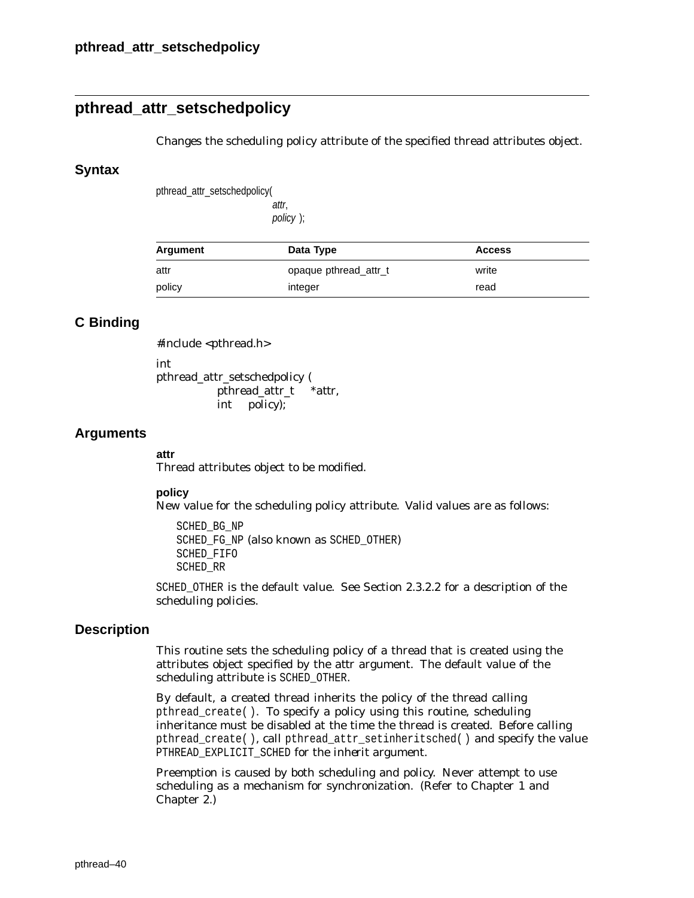# **pthread\_attr\_setschedpolicy**

Changes the scheduling policy attribute of the specified thread attributes object.

#### **Syntax**

pthread\_attr\_setschedpolicy(

attr, policy );

| Argument | Data Type             | <b>Access</b> |
|----------|-----------------------|---------------|
| attr     | opaque pthread attr_t | write         |
| policy   | integer               | read          |

## **C Binding**

#include <pthread.h>

int pthread\_attr\_setschedpolicy ( pthread\_attr\_t \**attr*, int *policy*);

## **Arguments**

#### **attr**

Thread attributes object to be modified.

#### **policy**

New value for the scheduling policy attribute. Valid values are as follows:

SCHED\_BG\_NP SCHED\_FG\_NP (also known as SCHED\_OTHER) SCHED\_FIFO SCHED\_RR

SCHED\_OTHER is the default value. See Section 2.3.2.2 for a description of the scheduling policies.

## **Description**

This routine sets the scheduling policy of a thread that is created using the attributes object specified by the *attr* argument. The default value of the scheduling attribute is SCHED\_OTHER.

By default, a created thread inherits the policy of the thread calling pthread\_create( ). To specify a policy using this routine, scheduling inheritance must be disabled at the time the thread is created. Before calling pthread\_create( ), call pthread\_attr\_setinheritsched( ) and specify the value PTHREAD\_EXPLICIT\_SCHED for the *inherit* argument.

Preemption is caused by both scheduling and policy. Never attempt to use scheduling as a mechanism for synchronization. (Refer to Chapter 1 and Chapter 2.)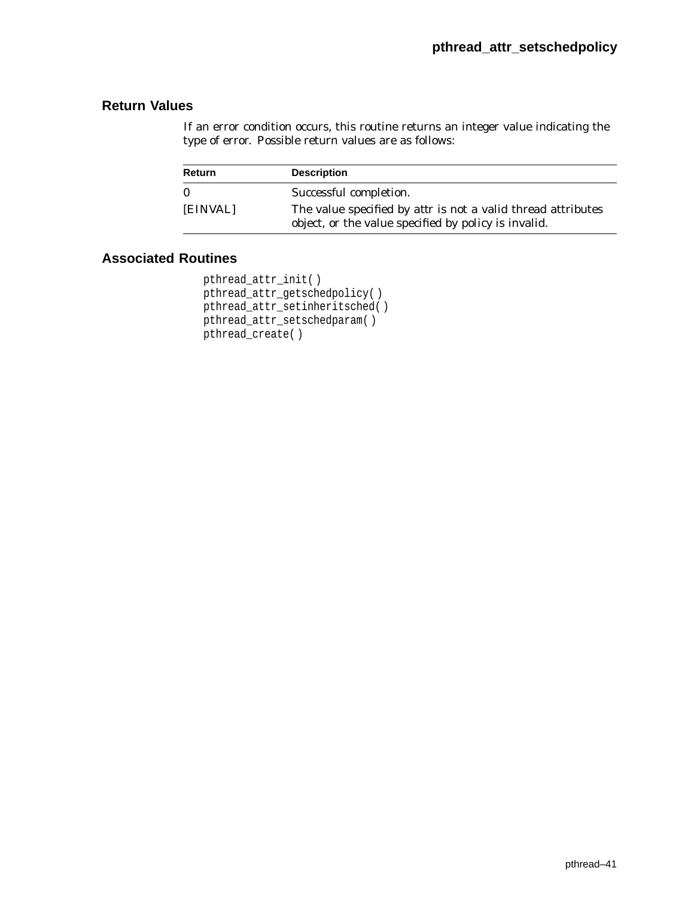If an error condition occurs, this routine returns an integer value indicating the type of error. Possible return values are as follows:

| Return       | <b>Description</b>                                                                                                                 |
|--------------|------------------------------------------------------------------------------------------------------------------------------------|
| $\mathbf{0}$ | Successful completion.                                                                                                             |
| [EINVAL]     | The value specified by <i>attr</i> is not a valid thread attributes<br>object, or the value specified by <i>policy</i> is invalid. |

```
pthread_attr_init( )
pthread_attr_getschedpolicy( )
pthread_attr_setinheritsched( )
pthread_attr_setschedparam( )
pthread_create( )
```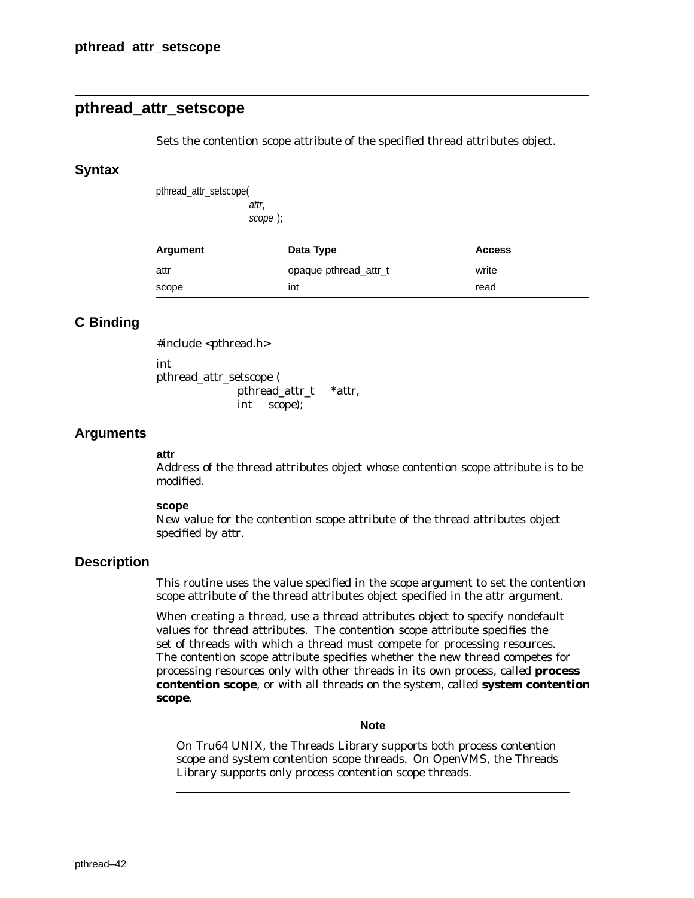# **pthread\_attr\_setscope**

Sets the contention scope attribute of the specified thread attributes object.

## **Syntax**

pthread\_attr\_setscope( attr,

scope );

| Argument | Data Type             | <b>Access</b> |
|----------|-----------------------|---------------|
| attr     | opaque pthread attr_t | write         |
| scope    | int                   | read          |

# **C Binding**

#include <pthread.h>

int pthread\_attr\_setscope ( pthread\_attr\_t \**attr*,

int *scope*);

## **Arguments**

#### **attr**

Address of the thread attributes object whose contention scope attribute is to be modified.

#### **scope**

New value for the contention scope attribute of the thread attributes object specified by *attr*.

## **Description**

This routine uses the value specified in the *scope* argument to set the contention scope attribute of the thread attributes object specified in the *attr* argument.

When creating a thread, use a thread attributes object to specify nondefault values for thread attributes. The contention scope attribute specifies the set of threads with which a thread must compete for processing resources. The contention scope attribute specifies whether the new thread competes for processing resources only with other threads in its own process, called **process contention scope**, or with all threads on the system, called **system contention scope**.

**Note**

On Tru64 UNIX, the Threads Library supports both process contention scope and system contention scope threads. On OpenVMS, the Threads Library supports only process contention scope threads.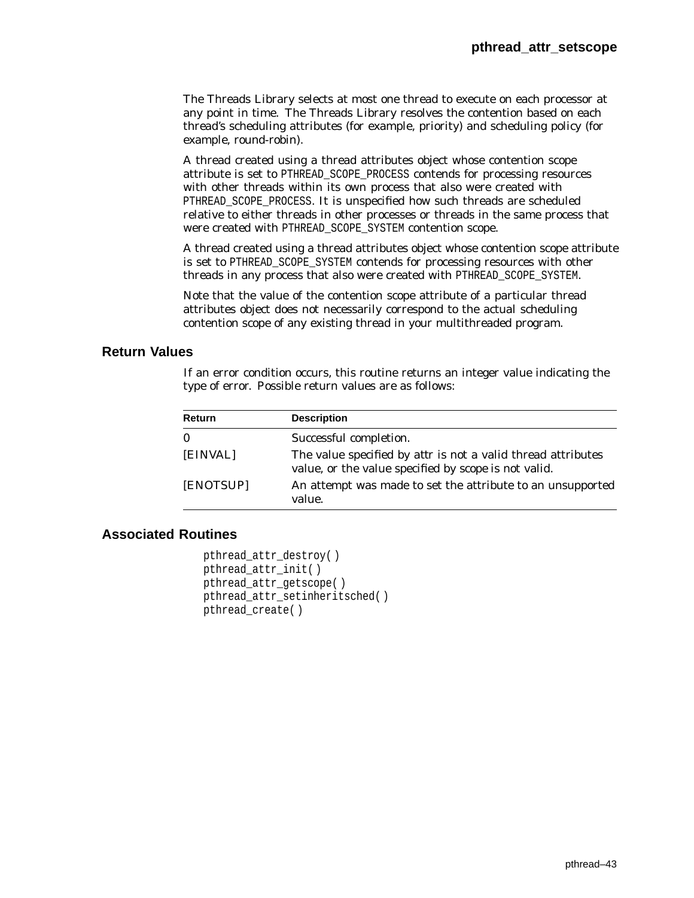The Threads Library selects at most one thread to execute on each processor at any point in time. The Threads Library resolves the contention based on each thread's scheduling attributes (for example, priority) and scheduling policy (for example, round-robin).

A thread created using a thread attributes object whose contention scope attribute is set to PTHREAD\_SCOPE\_PROCESS contends for processing resources with other threads within its own process that also were created with PTHREAD\_SCOPE\_PROCESS. It is unspecified how such threads are scheduled relative to either threads in other processes or threads in the same process that were created with PTHREAD\_SCOPE\_SYSTEM contention scope.

A thread created using a thread attributes object whose contention scope attribute is set to PTHREAD\_SCOPE\_SYSTEM contends for processing resources with other threads in any process that also were created with PTHREAD\_SCOPE\_SYSTEM.

Note that the value of the contention scope attribute of a particular thread attributes object does not necessarily correspond to the actual scheduling contention scope of any existing thread in your multithreaded program.

## **Return Values**

If an error condition occurs, this routine returns an integer value indicating the type of error. Possible return values are as follows:

| <b>Return</b> | <b>Description</b>                                                                                                                 |
|---------------|------------------------------------------------------------------------------------------------------------------------------------|
| 0             | Successful completion.                                                                                                             |
| [EINVAL]      | The value specified by <i>attr</i> is not a valid thread attributes<br>value, or the value specified by <i>scope</i> is not valid. |
| [ENOTSUP]     | An attempt was made to set the attribute to an unsupported<br>value.                                                               |

```
pthread_attr_destroy( )
pthread_attr_init( )
pthread_attr_getscope( )
pthread attr setinheritsched()
pthread_create( )
```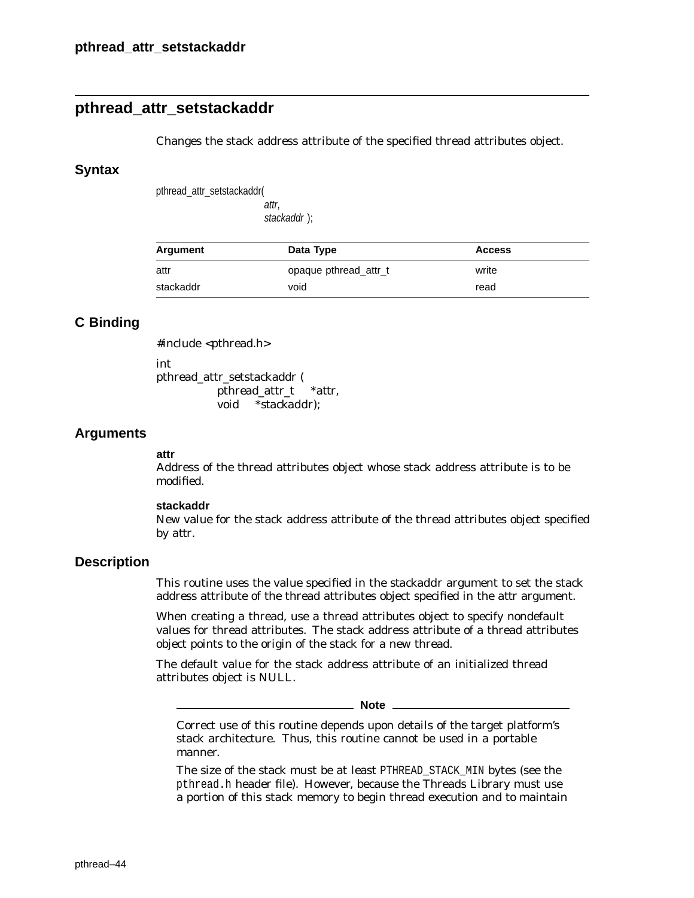# **pthread\_attr\_setstackaddr**

Changes the stack address attribute of the specified thread attributes object.

### **Syntax**

pthread\_attr\_setstackaddr(

attr, stackaddr );

| Argument  | Data Type             | <b>Access</b> |  |
|-----------|-----------------------|---------------|--|
| attr      | opaque pthread attr_t | write         |  |
| stackaddr | void                  | read          |  |

## **C Binding**

#include <pthread.h>

int

pthread\_attr\_setstackaddr ( pthread\_attr\_t \**attr*, void \**stackaddr*);

## **Arguments**

#### **attr**

Address of the thread attributes object whose stack address attribute is to be modified.

#### **stackaddr**

New value for the stack address attribute of the thread attributes object specified by *attr*.

## **Description**

This routine uses the value specified in the *stackaddr* argument to set the stack address attribute of the thread attributes object specified in the *attr* argument.

When creating a thread, use a thread attributes object to specify nondefault values for thread attributes. The stack address attribute of a thread attributes object points to the origin of the stack for a new thread.

The default value for the stack address attribute of an initialized thread attributes object is NULL.

**Note**

Correct use of this routine depends upon details of the target platform's stack architecture. Thus, this routine cannot be used in a portable manner.

The size of the stack must be at least PTHREAD\_STACK\_MIN bytes (see the pthread.h header file). However, because the Threads Library must use a portion of this stack memory to begin thread execution and to maintain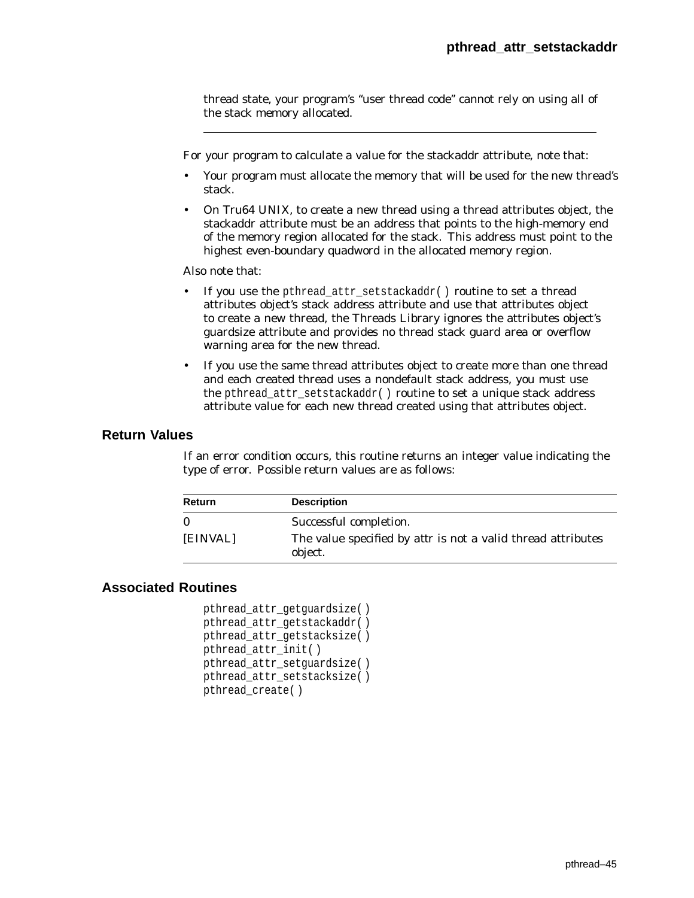thread state, your program's ''user thread code'' cannot rely on using all of the stack memory allocated.

For your program to calculate a value for the stackaddr attribute, note that:

- Your program must allocate the memory that will be used for the new thread's stack.
- On Tru64 UNIX, to create a new thread using a thread attributes object, the stackaddr attribute must be an address that points to the high-memory end of the memory region allocated for the stack. This address must point to the highest even-boundary quadword in the allocated memory region.

Also note that:

- If you use the pthread\_attr\_setstackaddr( ) routine to set a thread attributes object's stack address attribute and use that attributes object to create a new thread, the Threads Library ignores the attributes object's guardsize attribute and provides no thread stack guard area or overflow warning area for the new thread.
- If you use the same thread attributes object to create more than one thread and each created thread uses a nondefault stack address, you must use the pthread\_attr\_setstackaddr( ) routine to set a unique stack address attribute value for each new thread created using that attributes object.

#### **Return Values**

If an error condition occurs, this routine returns an integer value indicating the type of error. Possible return values are as follows:

| <b>Return</b> | <b>Description</b>                                                                                       |
|---------------|----------------------------------------------------------------------------------------------------------|
| [EINVAL]      | Successful completion.<br>The value specified by <i>attr</i> is not a valid thread attributes<br>object. |

```
pthread_attr_getguardsize( )
pthread_attr_getstackaddr( )
pthread_attr_getstacksize( )
pthread_attr_init( )
pthread_attr_setguardsize( )
pthread_attr_setstacksize( )
pthread_create( )
```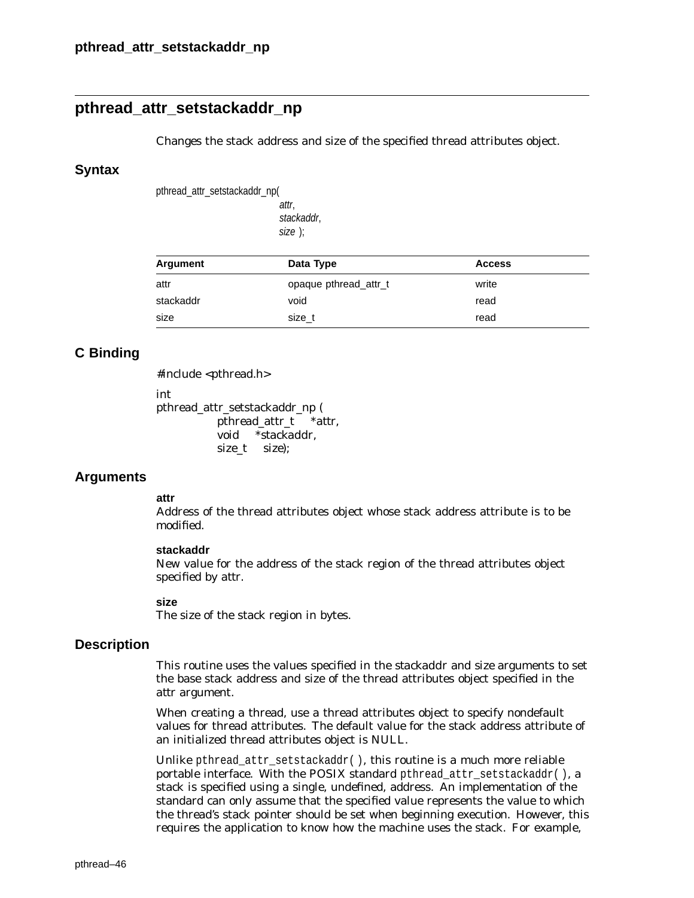# **pthread\_attr\_setstackaddr\_np**

Changes the stack address and size of the specified thread attributes object.

#### **Syntax**

pthread\_attr\_setstackaddr\_np(

attr, stackaddr, size );

| Argument  | Data Type             | <b>Access</b> |
|-----------|-----------------------|---------------|
| attr      | opaque pthread attr t | write         |
| stackaddr | void                  | read          |
| size      | size t                | read          |

## **C Binding**

#include <pthread.h>

int

pthread\_attr\_setstackaddr\_np ( pthread\_attr\_t \**attr*, void \**stackaddr*, size\_t *size*);

## **Arguments**

#### **attr**

Address of the thread attributes object whose stack address attribute is to be modified.

#### **stackaddr**

New value for the address of the stack region of the thread attributes object specified by *attr*.

#### **size**

The size of the stack region in bytes.

## **Description**

This routine uses the values specified in the *stackaddr* and *size* arguments to set the base stack address and size of the thread attributes object specified in the *attr* argument.

When creating a thread, use a thread attributes object to specify nondefault values for thread attributes. The default value for the stack address attribute of an initialized thread attributes object is NULL.

Unlike pthread\_attr\_setstackaddr( ), this routine is a much more reliable portable interface. With the POSIX standard pthread\_attr\_setstackaddr( $)$ , a stack is specified using a single, undefined, address. An implementation of the standard can only assume that the specified value represents the value to which the thread's stack pointer should be set when beginning execution. However, this requires the application to know how the machine uses the stack. For example,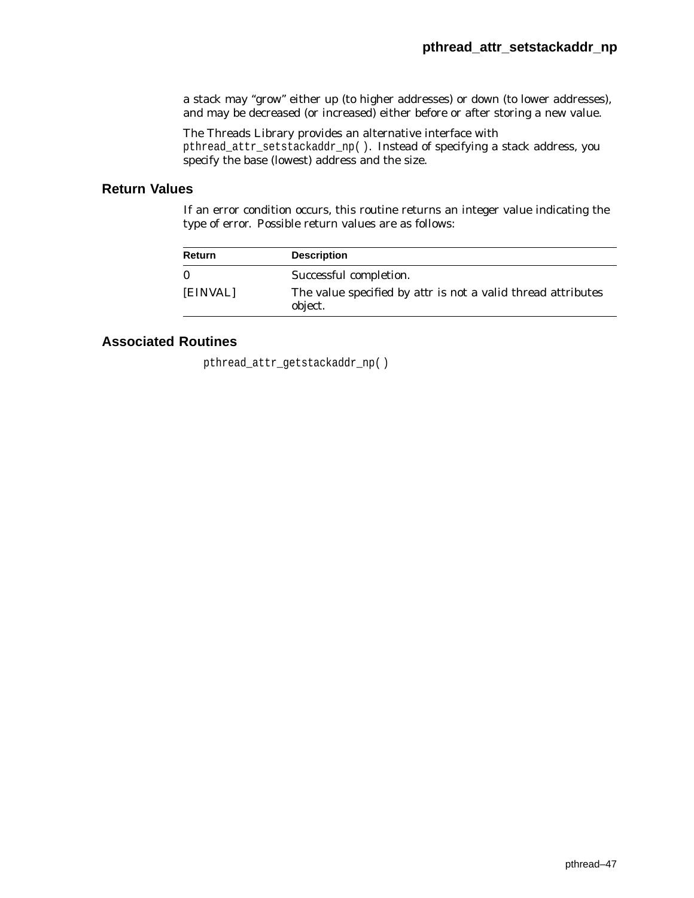a stack may ''grow'' either up (to higher addresses) or down (to lower addresses), and may be decreased (or increased) either before or after storing a new value.

The Threads Library provides an alternative interface with pthread\_attr\_setstackaddr\_np( ). Instead of specifying a stack address, you specify the base (lowest) address and the size.

## **Return Values**

If an error condition occurs, this routine returns an integer value indicating the type of error. Possible return values are as follows:

| Return   | <b>Description</b>                                                             |
|----------|--------------------------------------------------------------------------------|
| $\Omega$ | Successful completion.                                                         |
| [EINVAL] | The value specified by <i>attr</i> is not a valid thread attributes<br>object. |

## **Associated Routines**

pthread\_attr\_getstackaddr\_np( )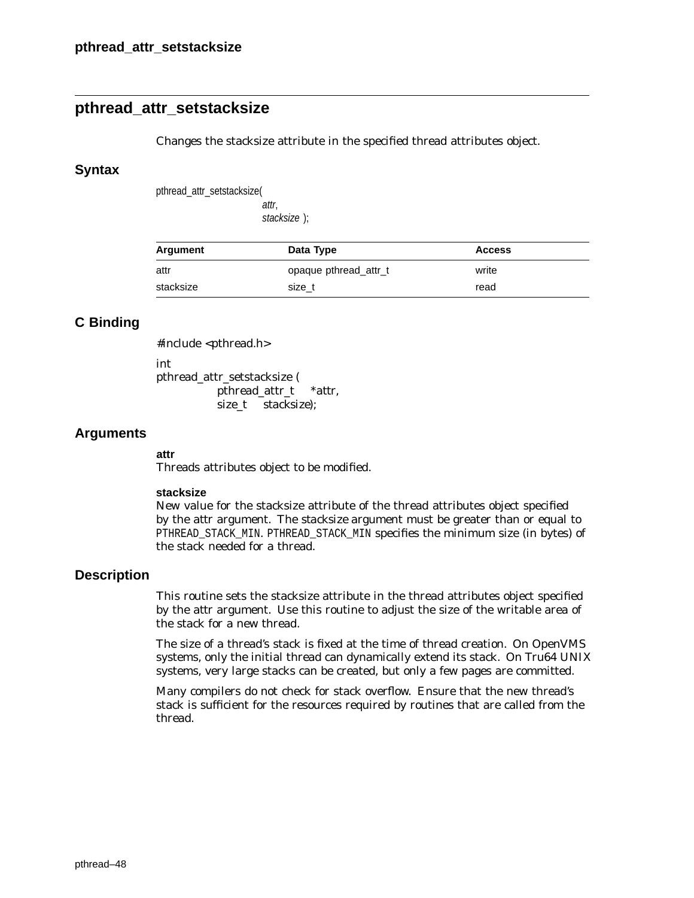# **pthread\_attr\_setstacksize**

Changes the stacksize attribute in the specified thread attributes object.

### **Syntax**

pthread\_attr\_setstacksize(

attr, stacksize );

| Argument  | Data Type             | <b>Access</b> |  |
|-----------|-----------------------|---------------|--|
| attr      | opaque pthread attr_t | write         |  |
| stacksize | size t                | read          |  |

## **C Binding**

#include <pthread.h>

int

pthread\_attr\_setstacksize ( pthread\_attr\_t \**attr*, size\_t *stacksize*);

## **Arguments**

#### **attr**

Threads attributes object to be modified.

#### **stacksize**

New value for the stacksize attribute of the thread attributes object specified by the *attr* argument. The *stacksize* argument must be greater than or equal to PTHREAD\_STACK\_MIN. PTHREAD\_STACK\_MIN specifies the minimum size (in bytes) of the stack needed for a thread.

## **Description**

This routine sets the stacksize attribute in the thread attributes object specified by the *attr* argument. Use this routine to adjust the size of the writable area of the stack for a new thread.

The size of a thread's stack is fixed at the time of thread creation. On OpenVMS systems, only the initial thread can dynamically extend its stack. On Tru64 UNIX systems, very large stacks can be created, but only a few pages are committed.

Many compilers do not check for stack overflow. Ensure that the new thread's stack is sufficient for the resources required by routines that are called from the thread.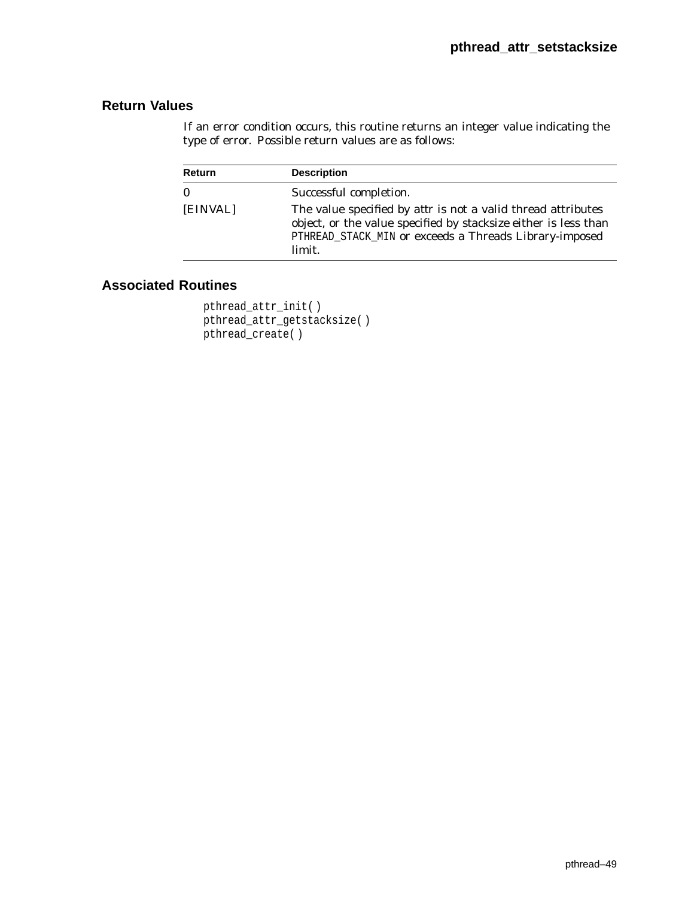If an error condition occurs, this routine returns an integer value indicating the type of error. Possible return values are as follows:

| Return       | <b>Description</b>                                                                                                                                                                                         |
|--------------|------------------------------------------------------------------------------------------------------------------------------------------------------------------------------------------------------------|
| $\mathbf{0}$ | Successful completion.                                                                                                                                                                                     |
| [EINVAL]     | The value specified by <i>attr</i> is not a valid thread attributes<br>object, or the value specified by stacksize either is less than<br>PTHREAD_STACK_MIN or exceeds a Threads Library-imposed<br>limit. |

```
pthread_attr_init( )
pthread_attr_getstacksize( )
pthread_create( )
```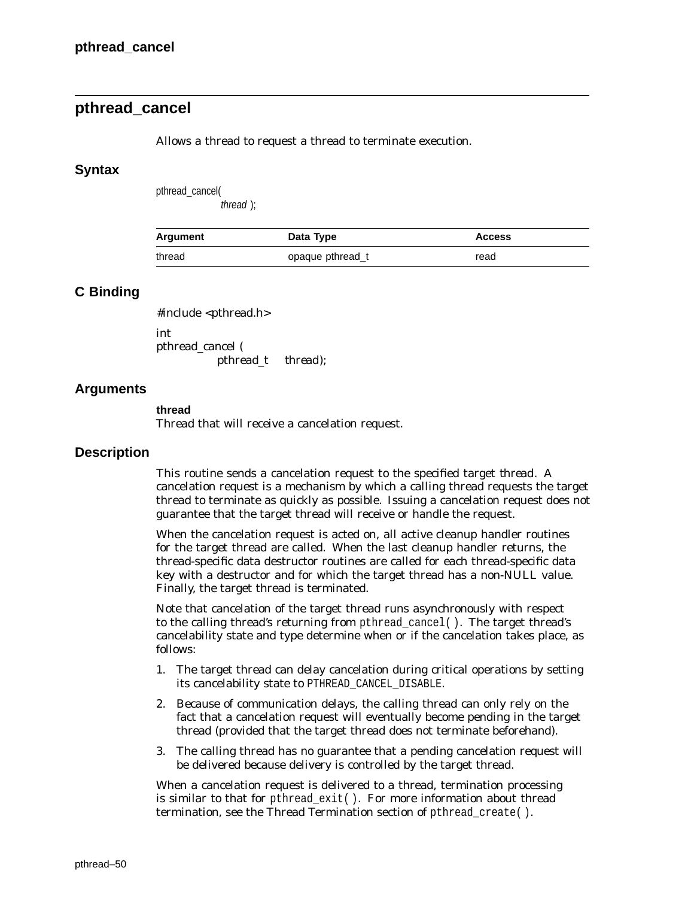# **pthread\_cancel**

Allows a thread to request a thread to terminate execution.

### **Syntax**

pthread\_cancel(

thread );

| Argument | Data Type        | <b>Access</b> |
|----------|------------------|---------------|
| thread   | opaque pthread_t | read          |

## **C Binding**

#include <pthread.h>

int pthread\_cancel ( pthread\_t *thread*);

## **Arguments**

#### **thread**

Thread that will receive a cancelation request.

## **Description**

This routine sends a cancelation request to the specified target *thread*. A cancelation request is a mechanism by which a calling thread requests the target thread to terminate as quickly as possible. Issuing a cancelation request does not guarantee that the target thread will receive or handle the request.

When the cancelation request is acted on, all active cleanup handler routines for the target thread are called. When the last cleanup handler returns, the thread-specific data destructor routines are called for each thread-specific data key with a destructor and for which the target thread has a non-NULL value. Finally, the target thread is terminated.

Note that cancelation of the target thread runs asynchronously with respect to the calling thread's returning from pthread\_cancel( ). The target thread's cancelability state and type determine when or if the cancelation takes place, as follows:

- 1. The target thread can delay cancelation during critical operations by setting its cancelability state to PTHREAD\_CANCEL\_DISABLE.
- 2. Because of communication delays, the calling thread can only rely on the fact that a cancelation request will eventually become pending in the target thread (provided that the target thread does not terminate beforehand).
- 3. The calling thread has no guarantee that a pending cancelation request will be delivered because delivery is controlled by the target thread.

When a cancelation request is delivered to a thread, termination processing is similar to that for pthread  $ext{exit}()$ . For more information about thread termination, see the Thread Termination section of pthread\_create( ).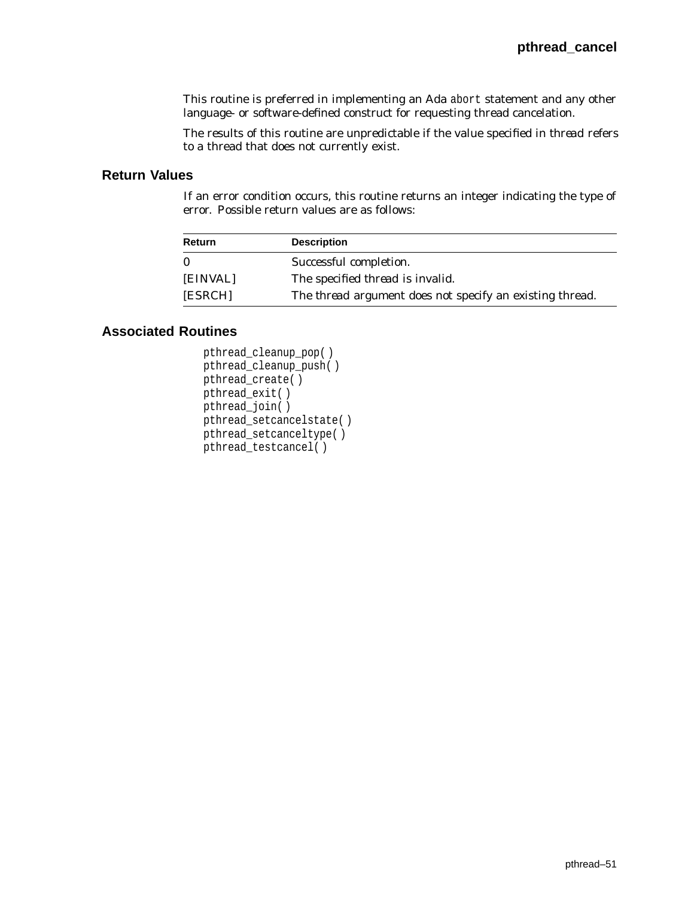This routine is preferred in implementing an Ada abort statement and any other language- or software-defined construct for requesting thread cancelation.

The results of this routine are unpredictable if the value specified in *thread* refers to a thread that does not currently exist.

## **Return Values**

If an error condition occurs, this routine returns an integer indicating the type of error. Possible return values are as follows:

| Return   | <b>Description</b>                                              |
|----------|-----------------------------------------------------------------|
| $\Omega$ | Successful completion.                                          |
| [EINVAL] | The specified <i>thread</i> is invalid.                         |
| [ESRCH]  | The <i>thread</i> argument does not specify an existing thread. |

```
pthread_cleanup_pop( )
pthread_cleanup_push( )
pthread_create( )
pthread_exit( )
pthread_join( )
pthread_setcancelstate( )
pthread_setcanceltype( )
pthread_testcancel( )
```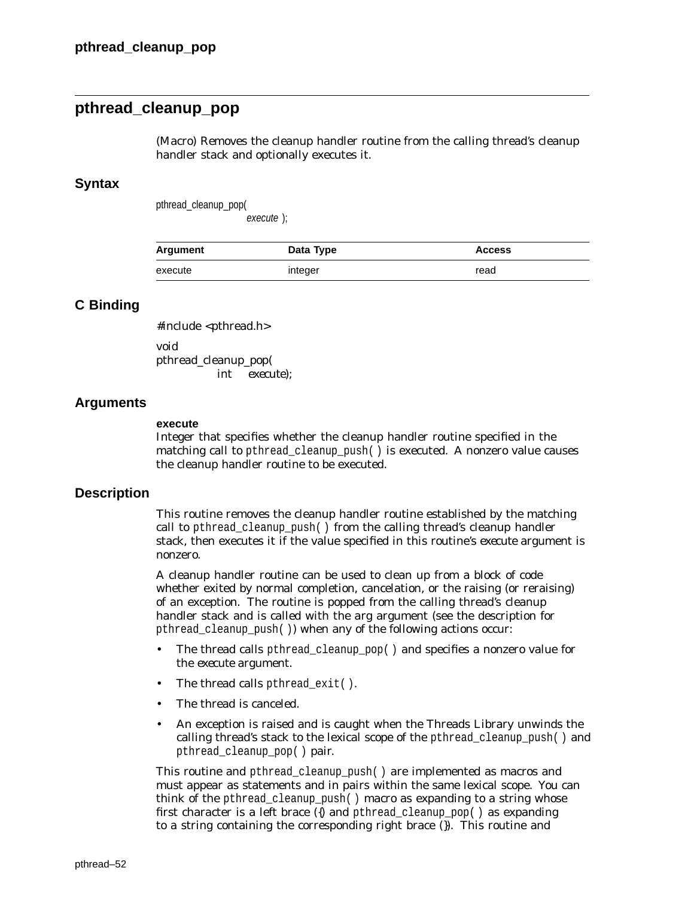# **pthread\_cleanup\_pop**

(Macro) Removes the cleanup handler routine from the calling thread's cleanup handler stack and optionally executes it.

## **Syntax**

pthread\_cleanup\_pop( execute );

| <b>Argument</b> | Data Type | <b>Access</b> |
|-----------------|-----------|---------------|
| execute         | integer   | read          |

## **C Binding**

#include <pthread.h> void pthread\_cleanup\_pop( int *execute*);

## **Arguments**

#### **execute**

Integer that specifies whether the cleanup handler routine specified in the matching call to pthread\_cleanup\_push( ) is executed. A nonzero value causes the cleanup handler routine to be executed.

#### **Description**

This routine removes the cleanup handler routine established by the matching call to pthread\_cleanup\_push( ) from the calling thread's cleanup handler stack, then executes it if the value specified in this routine's *execute* argument is nonzero.

A cleanup handler routine can be used to clean up from a block of code whether exited by normal completion, cancelation, or the raising (or reraising) of an exception. The routine is popped from the calling thread's cleanup handler stack and is called with the *arg* argument (see the description for pthread\_cleanup\_push( )) when any of the following actions occur:

- The thread calls pthread\_cleanup\_pop( ) and specifies a nonzero value for the *execute* argument.
- The thread calls pthread\_exit( ).
- The thread is canceled.
- An exception is raised and is caught when the Threads Library unwinds the calling thread's stack to the lexical scope of the pthread cleanup  $push()$  and pthread cleanup pop( ) pair.

This routine and pthread cleanup push() are implemented as macros and must appear as statements and in pairs within the same lexical scope. You can think of the pthread\_cleanup\_push( ) macro as expanding to a string whose first character is a left brace ({) and pthread cleanup pop( ) as expanding to a string containing the corresponding right brace (}). This routine and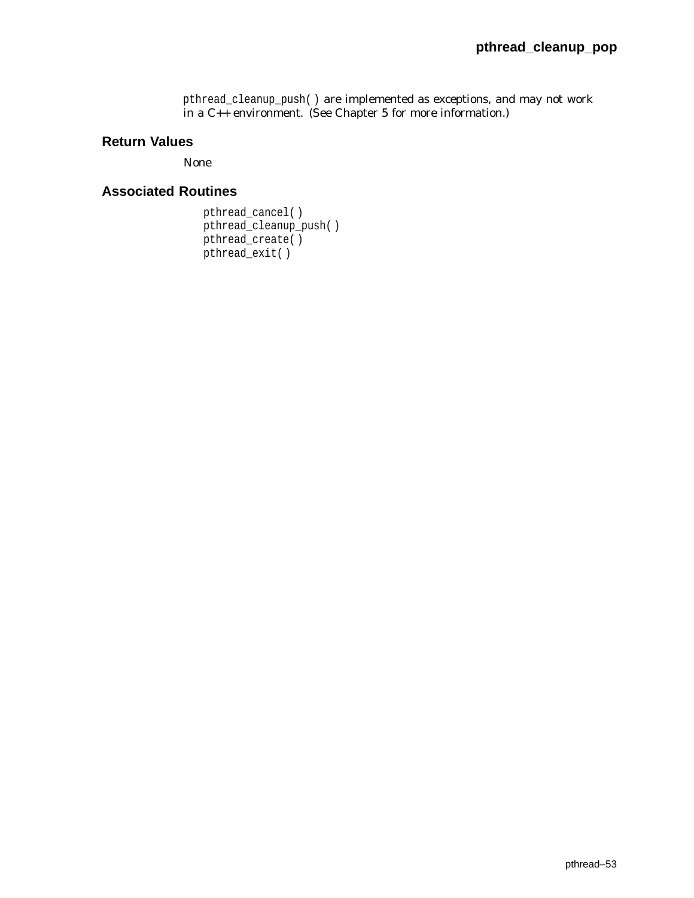pthread\_cleanup\_push( ) are implemented as exceptions, and may not work in a C++ environment. (See Chapter 5 for more information.)

## **Return Values**

None

```
pthread_cancel( )
pthread_cleanup_push( )
pthread_create()
pthread_exit( )
```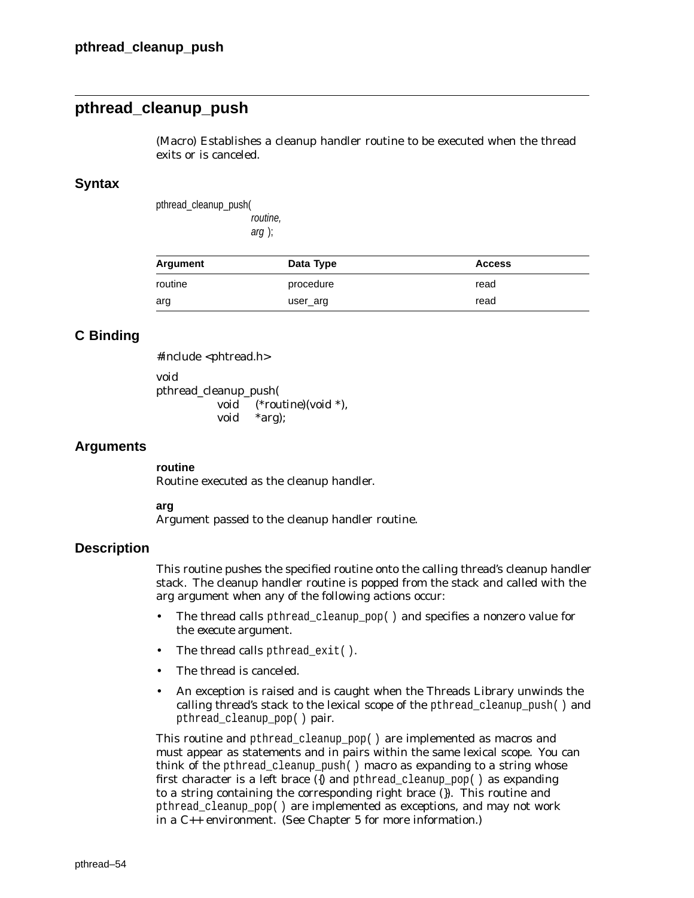# **pthread\_cleanup\_push**

(Macro) Establishes a cleanup handler routine to be executed when the thread exits or is canceled.

## **Syntax**

pthread\_cleanup\_push( routine, arg );

| Argument | Data Type | <b>Access</b> |
|----------|-----------|---------------|
| routine  | procedure | read          |
| arg      | user_arg  | read          |

## **C Binding**

#include <phtread.h> void pthread\_cleanup\_push(

void (\**routine*)(void \*), void \**arg*);

### **Arguments**

**routine** Routine executed as the cleanup handler.

**arg**

Argument passed to the cleanup handler routine.

## **Description**

This routine pushes the specified routine onto the calling thread's cleanup handler stack. The cleanup handler routine is popped from the stack and called with the *arg* argument when any of the following actions occur:

- The thread calls pthread\_cleanup\_pop( ) and specifies a nonzero value for the *execute* argument.
- The thread calls pthread exit( ).
- The thread is canceled.
- An exception is raised and is caught when the Threads Library unwinds the calling thread's stack to the lexical scope of the pthread\_cleanup\_push( ) and pthread\_cleanup\_pop( ) pair.

This routine and pthread cleanup pop() are implemented as macros and must appear as statements and in pairs within the same lexical scope. You can think of the pthread\_cleanup\_push( ) macro as expanding to a string whose first character is a left brace ({) and pthread\_cleanup\_pop( ) as expanding to a string containing the corresponding right brace (}). This routine and pthread\_cleanup\_pop( ) are implemented as exceptions, and may not work in a C++ environment. (See Chapter 5 for more information.)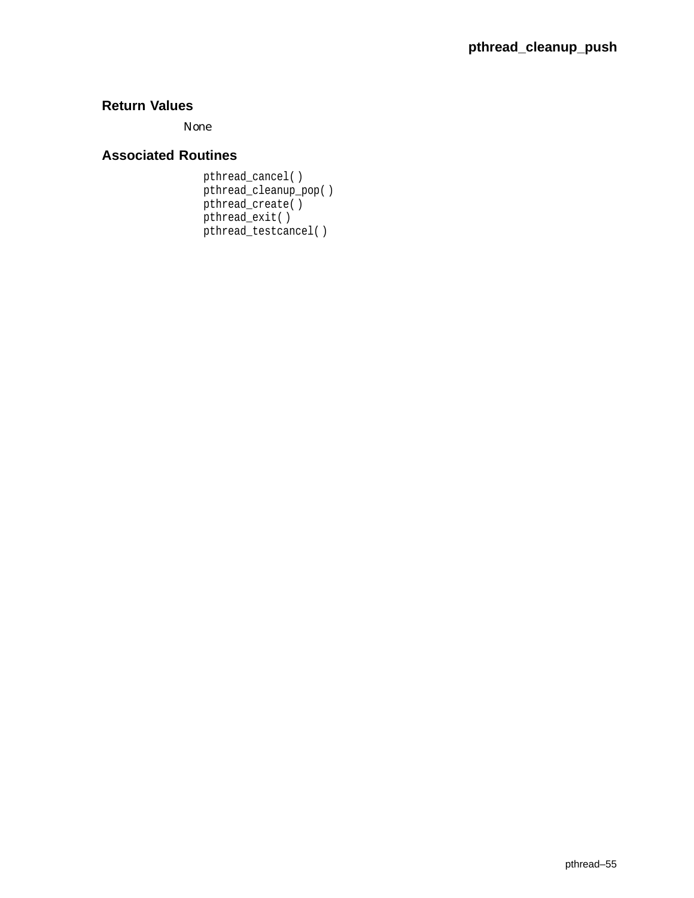None

# **Associated Routines**

pthread\_cancel( ) pthread\_cleanup\_pop( ) pthread\_create( ) pthread\_exit( ) pthread\_testcancel( )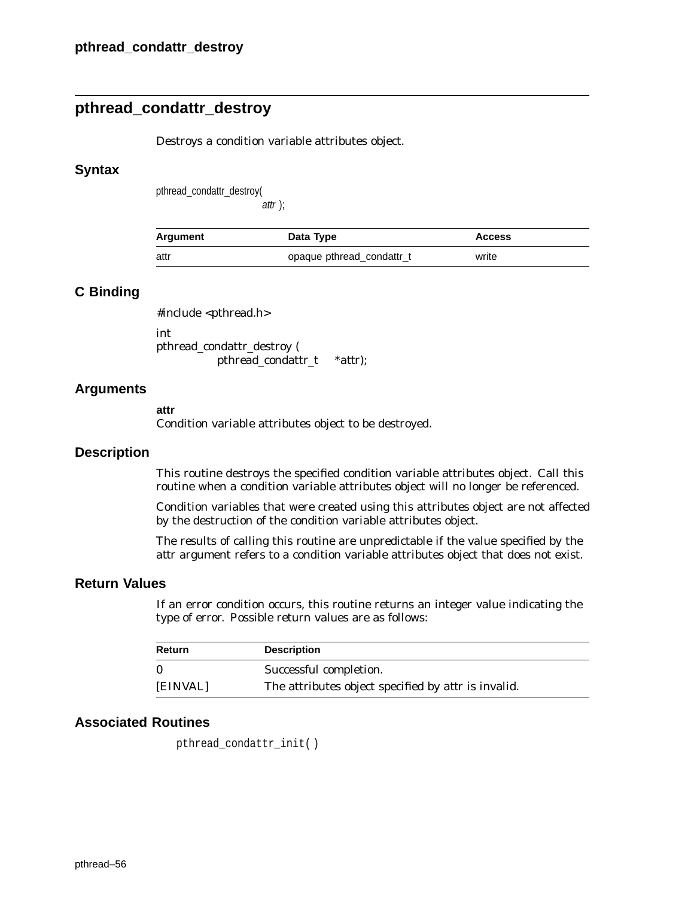# **pthread\_condattr\_destroy**

Destroys a condition variable attributes object.

## **Syntax**

pthread\_condattr\_destroy(

attr );

| Argument | Data Type                 | <b>Access</b> |
|----------|---------------------------|---------------|
| attr     | opaque pthread_condattr_t | write         |

## **C Binding**

#include <pthread.h>

int pthread\_condattr\_destroy ( pthread\_condattr\_t \**attr*);

## **Arguments**

#### **attr**

Condition variable attributes object to be destroyed.

## **Description**

This routine destroys the specified condition variable attributes object. Call this routine when a condition variable attributes object will no longer be referenced.

Condition variables that were created using this attributes object are not affected by the destruction of the condition variable attributes object.

The results of calling this routine are unpredictable if the value specified by the *attr* argument refers to a condition variable attributes object that does not exist.

## **Return Values**

If an error condition occurs, this routine returns an integer value indicating the type of error. Possible return values are as follows:

| Return   | <b>Description</b>                                         |
|----------|------------------------------------------------------------|
| $\Omega$ | Successful completion.                                     |
| [EINVAL] | The attributes object specified by <i>attr</i> is invalid. |

## **Associated Routines**

pthread\_condattr\_init( )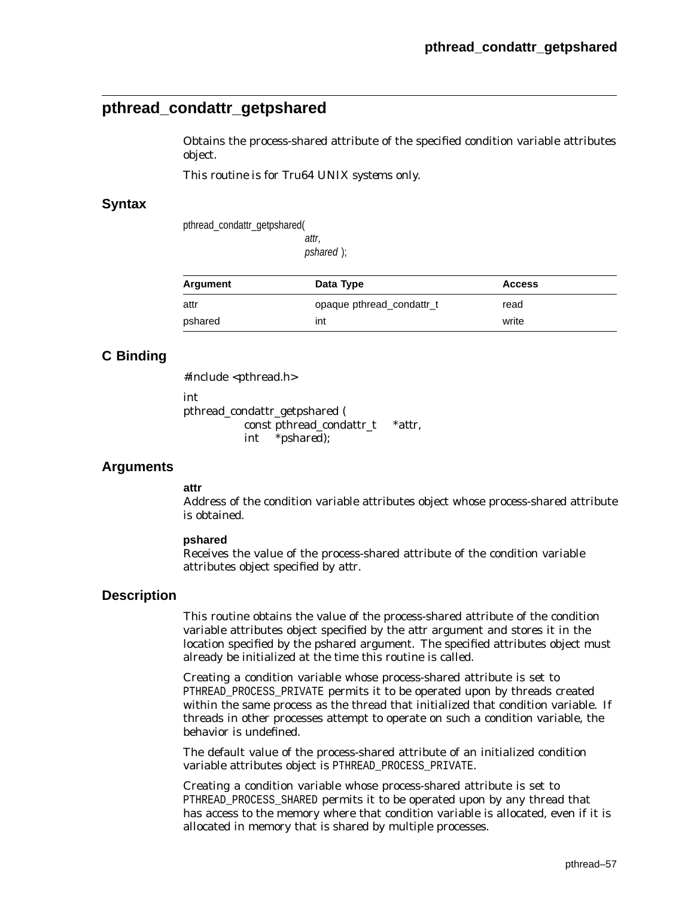# **pthread\_condattr\_getpshared**

Obtains the process-shared attribute of the specified condition variable attributes object.

*This routine is for Tru64 UNIX systems only.*

## **Syntax**

pthread\_condattr\_getpshared(

attr, pshared );

| Argument | Data Type                 | <b>Access</b> |
|----------|---------------------------|---------------|
| attr     | opaque pthread condattr_t | read          |
| pshared  | int                       | write         |

# **C Binding**

#include <pthread.h>

int

pthread\_condattr\_getpshared ( const pthread\_condattr\_t \**attr*, int \**pshared*);

## **Arguments**

#### **attr**

Address of the condition variable attributes object whose process-shared attribute is obtained.

#### **pshared**

Receives the value of the process-shared attribute of the condition variable attributes object specified by *attr*.

## **Description**

This routine obtains the value of the process-shared attribute of the condition variable attributes object specified by the *attr* argument and stores it in the location specified by the *pshared* argument. The specified attributes object must already be initialized at the time this routine is called.

Creating a condition variable whose process-shared attribute is set to PTHREAD\_PROCESS\_PRIVATE permits it to be operated upon by threads created within the same process as the thread that initialized that condition variable. If threads in other processes attempt to operate on such a condition variable, the behavior is undefined.

The default value of the process-shared attribute of an initialized condition variable attributes object is PTHREAD\_PROCESS\_PRIVATE.

Creating a condition variable whose process-shared attribute is set to PTHREAD PROCESS SHARED permits it to be operated upon by any thread that has access to the memory where that condition variable is allocated, even if it is allocated in memory that is shared by multiple processes.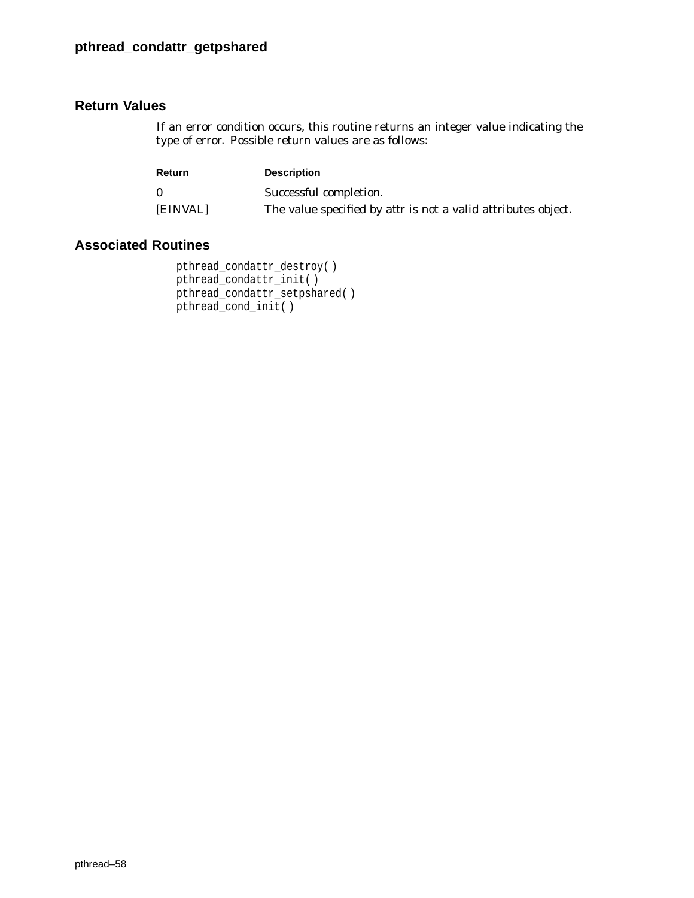If an error condition occurs, this routine returns an integer value indicating the type of error. Possible return values are as follows:

| <b>Return</b> | <b>Description</b>                                                   |
|---------------|----------------------------------------------------------------------|
| $\mathbf{0}$  | Successful completion.                                               |
| [EINVAL]      | The value specified by <i>attr</i> is not a valid attributes object. |

```
pthread_condattr_destroy( )
pthread_condattr_init( )
pthread_condattr_setpshared( )
pthread_cond_init( )
```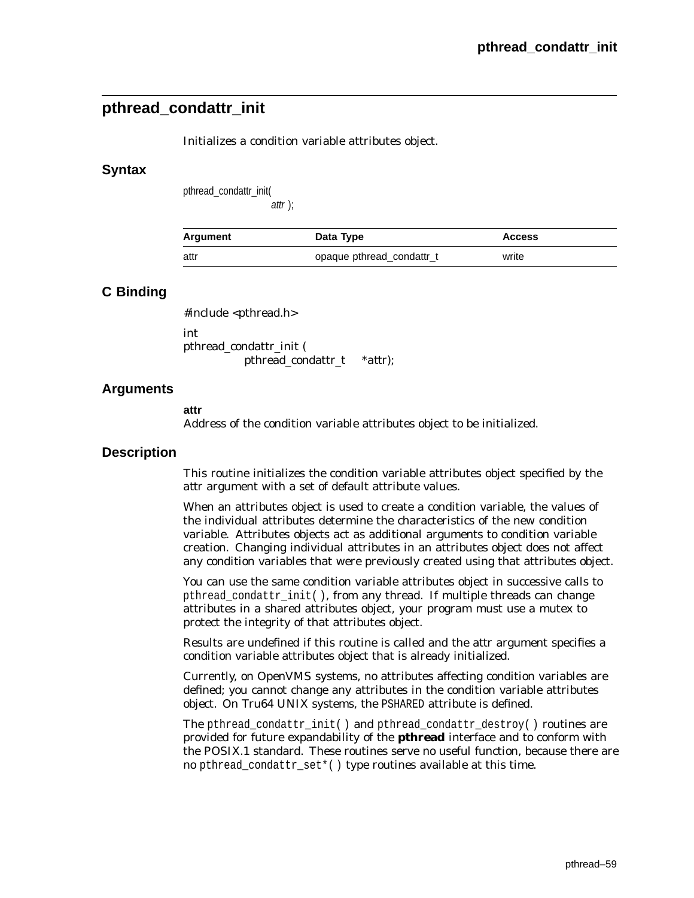# **pthread\_condattr\_init**

Initializes a condition variable attributes object.

## **Syntax**

pthread\_condattr\_init(

attr );

| Argument | Data Type                 | <b>Access</b> |
|----------|---------------------------|---------------|
| attr     | opaque pthread condattr_t | write         |

## **C Binding**

#include <pthread.h> int

pthread\_condattr\_init ( pthread\_condattr\_t \**attr*);

## **Arguments**

**attr**

Address of the condition variable attributes object to be initialized.

## **Description**

This routine initializes the condition variable attributes object specified by the *attr* argument with a set of default attribute values.

When an attributes object is used to create a condition variable, the values of the individual attributes determine the characteristics of the new condition variable. Attributes objects act as additional arguments to condition variable creation. Changing individual attributes in an attributes object does not affect any condition variables that were previously created using that attributes object.

You can use the same condition variable attributes object in successive calls to pthread\_condattr\_init( ), from any thread. If multiple threads can change attributes in a shared attributes object, your program must use a mutex to protect the integrity of that attributes object.

Results are undefined if this routine is called and the *attr* argument specifies a condition variable attributes object that is already initialized.

Currently, on OpenVMS systems, no attributes affecting condition variables are defined; you cannot change any attributes in the condition variable attributes object. On Tru64 UNIX systems, the PSHARED attribute is defined.

The pthread\_condattr\_init( ) and pthread\_condattr\_destroy( ) routines are provided for future expandability of the **pthread** interface and to conform with the POSIX.1 standard. These routines serve no useful function, because there are no pthread\_condattr\_set\*( ) type routines available at this time.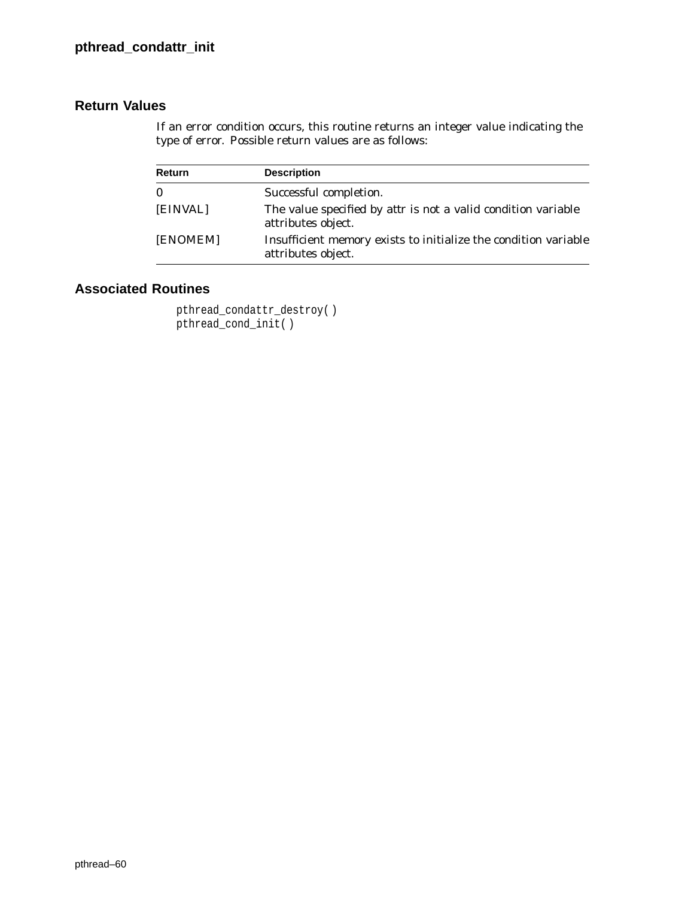If an error condition occurs, this routine returns an integer value indicating the type of error. Possible return values are as follows:

| <b>Return</b> | <b>Description</b>                                                                         |
|---------------|--------------------------------------------------------------------------------------------|
| $\mathbf{0}$  | Successful completion.                                                                     |
| [EINVAL]      | The value specified by <i>attr</i> is not a valid condition variable<br>attributes object. |
| [ENOMEM]      | Insufficient memory exists to initialize the condition variable<br>attributes object.      |

```
pthread_condattr_destroy( )
pthread_cond_init()
```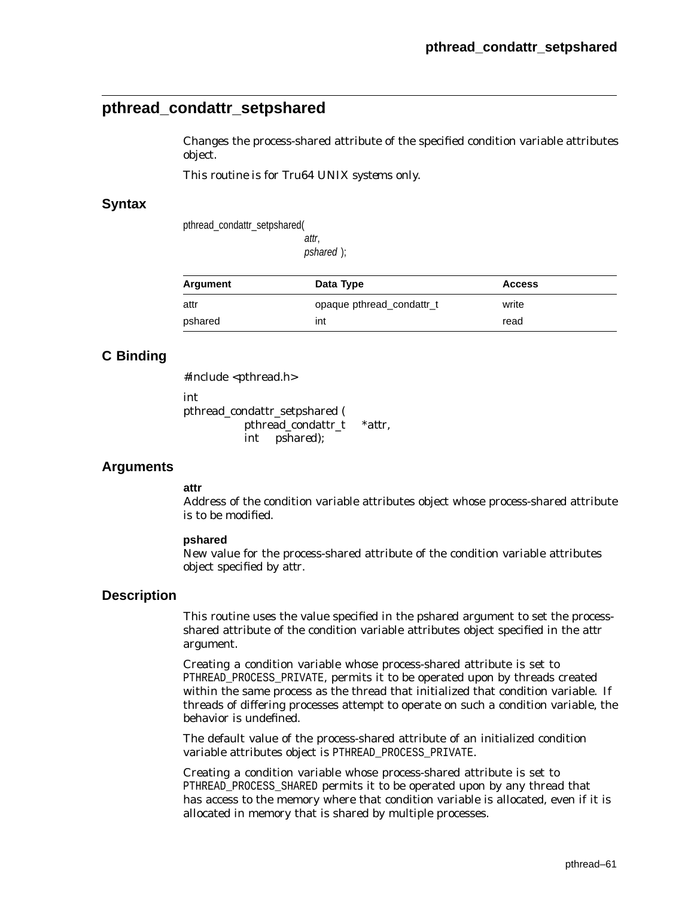# **pthread\_condattr\_setpshared**

Changes the process-shared attribute of the specified condition variable attributes object.

*This routine is for Tru64 UNIX systems only.*

## **Syntax**

pthread\_condattr\_setpshared(

attr, pshared );

| Argument | Data Type                 | <b>Access</b> |  |
|----------|---------------------------|---------------|--|
| attr     | opaque pthread condattr_t | write         |  |
| pshared  | int                       | read          |  |

# **C Binding**

#include <pthread.h>

int

pthread\_condattr\_setpshared ( pthread\_condattr\_t \**attr*, int *pshared*);

## **Arguments**

#### **attr**

Address of the condition variable attributes object whose process-shared attribute is to be modified.

#### **pshared**

New value for the process-shared attribute of the condition variable attributes object specified by *attr*.

## **Description**

This routine uses the value specified in the *pshared* argument to set the processshared attribute of the condition variable attributes object specified in the *attr* argument.

Creating a condition variable whose process-shared attribute is set to PTHREAD\_PROCESS\_PRIVATE, permits it to be operated upon by threads created within the same process as the thread that initialized that condition variable. If threads of differing processes attempt to operate on such a condition variable, the behavior is undefined.

The default value of the process-shared attribute of an initialized condition variable attributes object is PTHREAD\_PROCESS\_PRIVATE.

Creating a condition variable whose process-shared attribute is set to PTHREAD\_PROCESS\_SHARED permits it to be operated upon by any thread that has access to the memory where that condition variable is allocated, even if it is allocated in memory that is shared by multiple processes.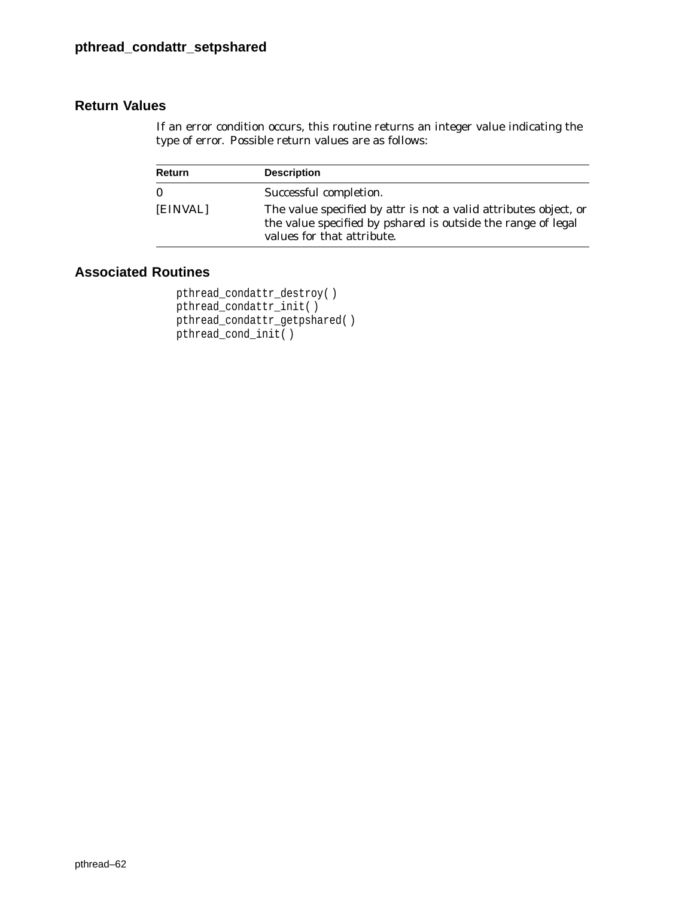If an error condition occurs, this routine returns an integer value indicating the type of error. Possible return values are as follows:

| Return   | <b>Description</b>                                                                                                                                                           |
|----------|------------------------------------------------------------------------------------------------------------------------------------------------------------------------------|
| $\bf{0}$ | Successful completion.                                                                                                                                                       |
| [EINVAL] | The value specified by <i>attr</i> is not a valid attributes object, or<br>the value specified by <i>pshared</i> is outside the range of legal<br>values for that attribute. |

```
pthread_condattr_destroy( )
pthread_condattr_init( )
pthread_condattr_getpshared( )
pthread_cond_init( )
```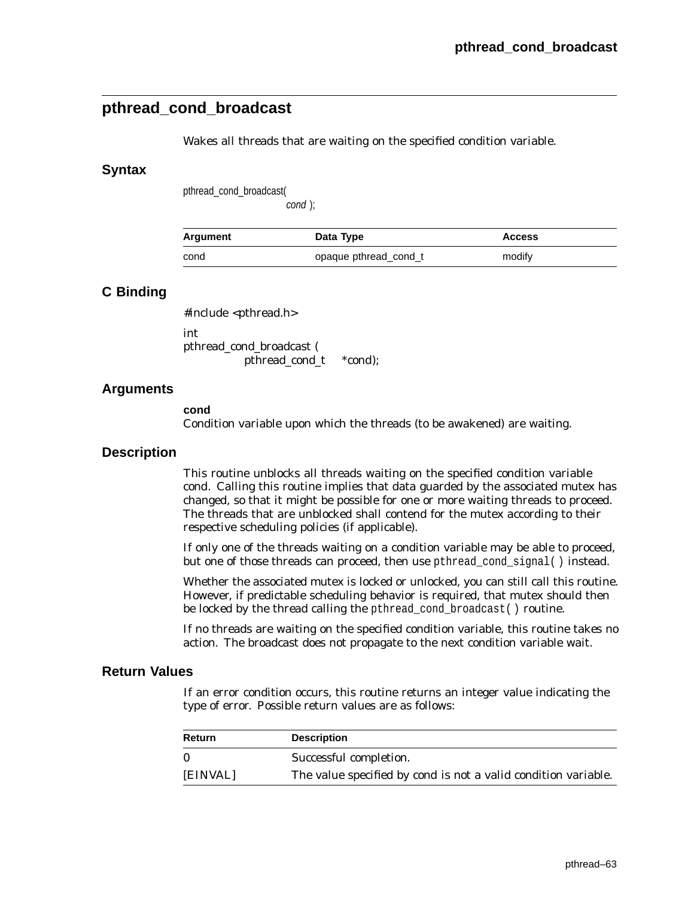# **pthread\_cond\_broadcast**

Wakes all threads that are waiting on the specified condition variable.

## **Syntax**

pthread\_cond\_broadcast(

cond );

| Argument | Data Type             | <b>Access</b> |
|----------|-----------------------|---------------|
| cond     | opaque pthread cond t | modify        |

## **C Binding**

#include <pthread.h>

int pthread\_cond\_broadcast ( pthread\_cond\_t \**cond*);

## **Arguments**

#### **cond**

Condition variable upon which the threads (to be awakened) are waiting.

## **Description**

This routine unblocks all threads waiting on the specified condition variable *cond*. Calling this routine implies that data guarded by the associated mutex has changed, so that it might be possible for one or more waiting threads to proceed. The threads that are unblocked shall contend for the mutex according to their respective scheduling policies (if applicable).

If only one of the threads waiting on a condition variable may be able to proceed, but one of those threads can proceed, then use pthread\_cond\_signal( ) instead.

Whether the associated mutex is locked or unlocked, you can still call this routine. However, if predictable scheduling behavior is required, that mutex should then be locked by the thread calling the pthread\_cond\_broadcast( ) routine.

If no threads are waiting on the specified condition variable, this routine takes no action. The broadcast does not propagate to the next condition variable wait.

## **Return Values**

If an error condition occurs, this routine returns an integer value indicating the type of error. Possible return values are as follows:

| Return       | <b>Description</b>                                                    |
|--------------|-----------------------------------------------------------------------|
| $\mathbf{0}$ | Successful completion.                                                |
| [EINVAL]     | The value specified by <i>cond</i> is not a valid condition variable. |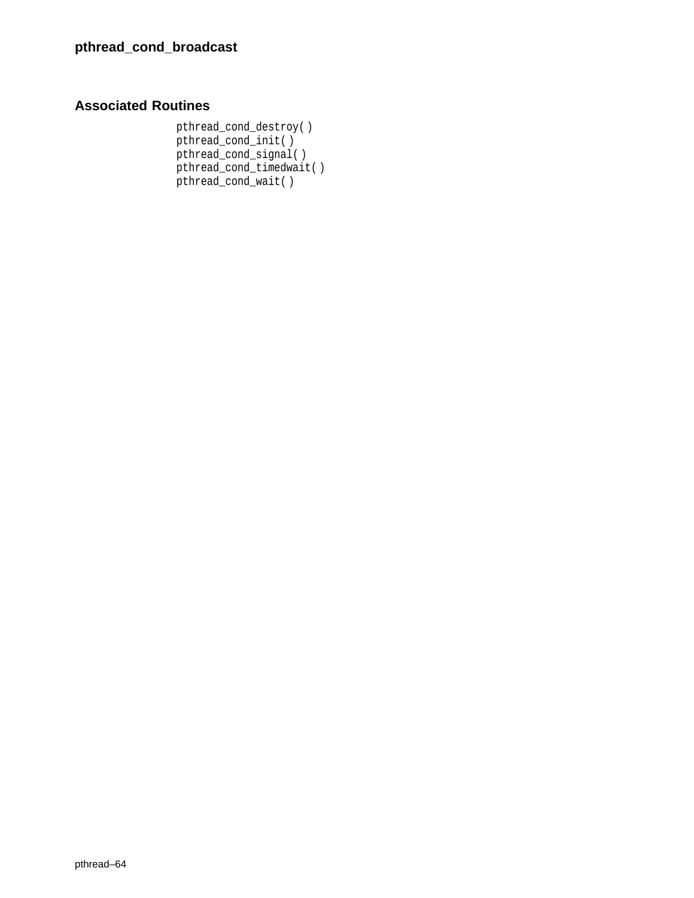# **Associated Routines**

pthread\_cond\_destroy( ) pthread\_cond\_init( ) pthread\_cond\_signal( ) pthread\_cond\_timedwait( ) pthread\_cond\_wait( )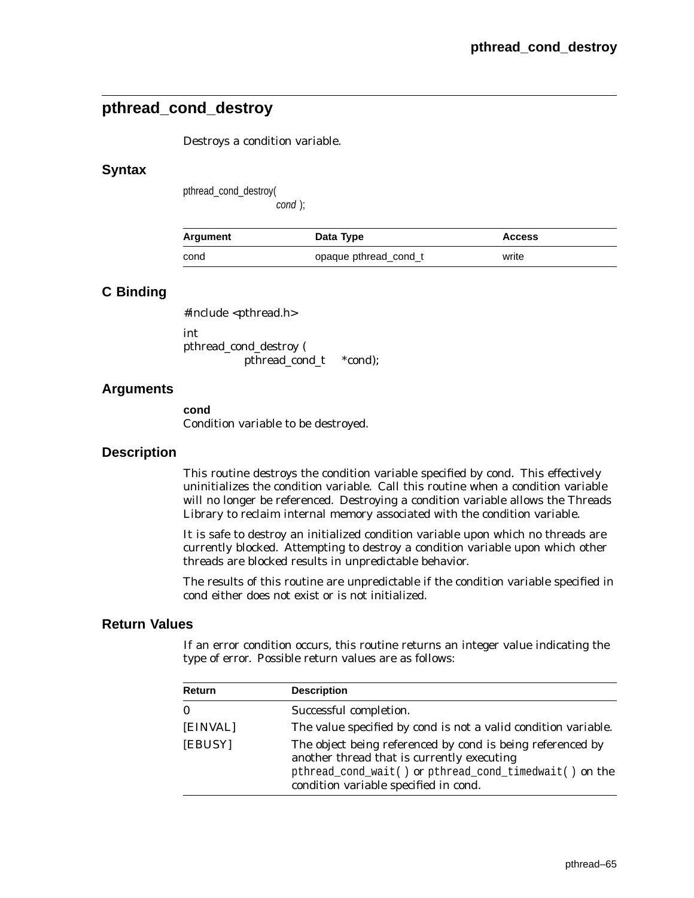# **pthread\_cond\_destroy**

Destroys a condition variable.

## **Syntax**

pthread\_cond\_destroy(

cond );

| Argument | Data Type             | <b>Access</b> |
|----------|-----------------------|---------------|
| cond     | opaque pthread_cond_t | write         |

## **C Binding**

#include <pthread.h> int

pthread\_cond\_destroy ( pthread\_cond\_t \**cond*);

## **Arguments**

**cond** Condition variable to be destroyed.

## **Description**

This routine destroys the condition variable specified by *cond*. This effectively uninitializes the condition variable. Call this routine when a condition variable will no longer be referenced. Destroying a condition variable allows the Threads Library to reclaim internal memory associated with the condition variable.

It is safe to destroy an initialized condition variable upon which no threads are currently blocked. Attempting to destroy a condition variable upon which other threads are blocked results in unpredictable behavior.

The results of this routine are unpredictable if the condition variable specified in *cond* either does not exist or is not initialized.

## **Return Values**

If an error condition occurs, this routine returns an integer value indicating the type of error. Possible return values are as follows:

| Return   | <b>Description</b>                                                                                                                                                                                                 |
|----------|--------------------------------------------------------------------------------------------------------------------------------------------------------------------------------------------------------------------|
| $\bf{0}$ | Successful completion.                                                                                                                                                                                             |
| [EINVAL] | The value specified by cond is not a valid condition variable.                                                                                                                                                     |
| [EBUSY]  | The object being referenced by <i>cond</i> is being referenced by<br>another thread that is currently executing<br>pthread_cond_wait() or pthread_cond_timedwait() on the<br>condition variable specified in cond. |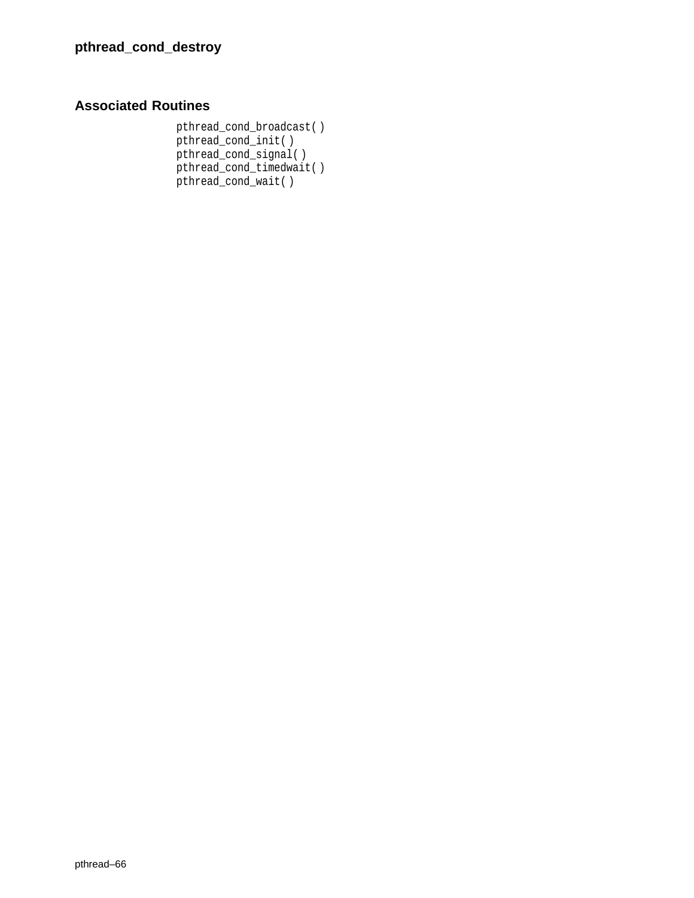# **Associated Routines**

pthread\_cond\_broadcast( ) pthread\_cond\_init( ) pthread\_cond\_signal( ) pthread\_cond\_timedwait( ) pthread\_cond\_wait( )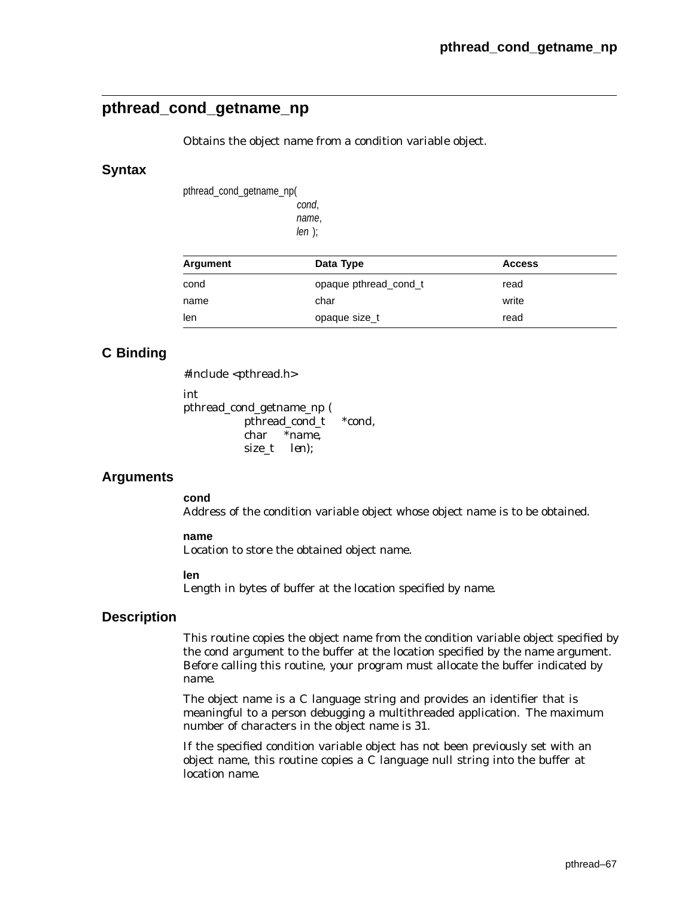# **pthread\_cond\_getname\_np**

Obtains the object name from a condition variable object.

## **Syntax**

pthread\_cond\_getname\_np( cond,

> name,  $len$  );

| Argument | Data Type             | <b>Access</b> |
|----------|-----------------------|---------------|
| cond     | opaque pthread cond t | read          |
| name     | char                  | write         |
| len      | opaque size_t         | read          |

# **C Binding**

#include <pthread.h> int pthread\_cond\_getname\_np ( pthread\_cond\_t *\*cond*, char *\*name*, size\_t *len*);

## **Arguments**

**cond**

Address of the condition variable object whose object name is to be obtained.

#### **name**

Location to store the obtained object name.

#### **len**

Length in bytes of buffer at the location specified by *name*.

## **Description**

This routine copies the object name from the condition variable object specified by the *cond* argument to the buffer at the location specified by the *name* argument. Before calling this routine, your program must allocate the buffer indicated by *name*.

The object name is a C language string and provides an identifier that is meaningful to a person debugging a multithreaded application. The maximum number of characters in the object name is 31.

If the specified condition variable object has not been previously set with an object name, this routine copies a C language null string into the buffer at location *name*.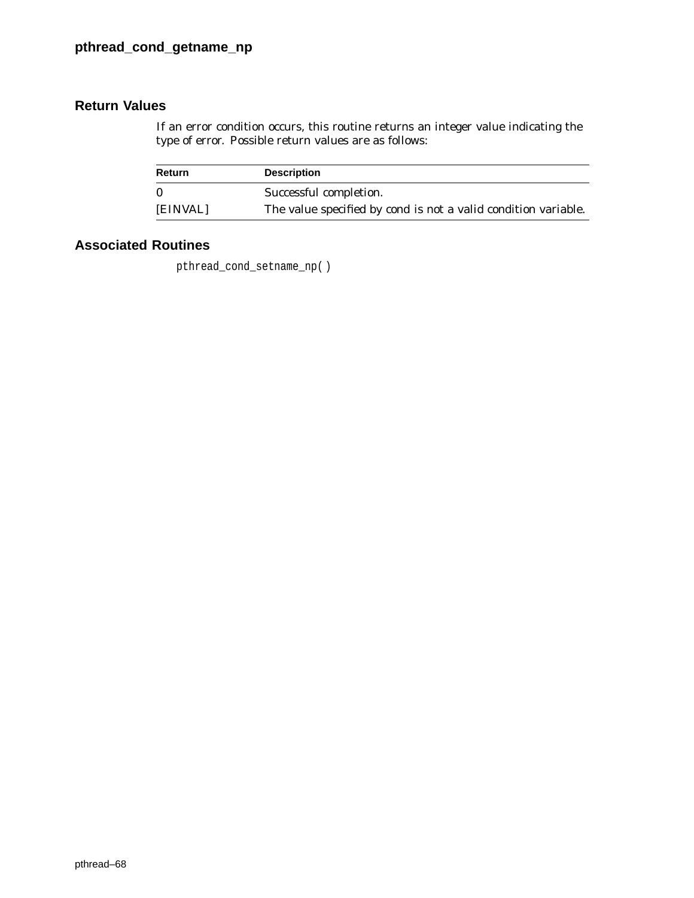If an error condition occurs, this routine returns an integer value indicating the type of error. Possible return values are as follows:

| Return   | <b>Description</b>                                                    |
|----------|-----------------------------------------------------------------------|
| $\Omega$ | Successful completion.                                                |
| [EINVAL] | The value specified by <i>cond</i> is not a valid condition variable. |

# **Associated Routines**

pthread\_cond\_setname\_np( )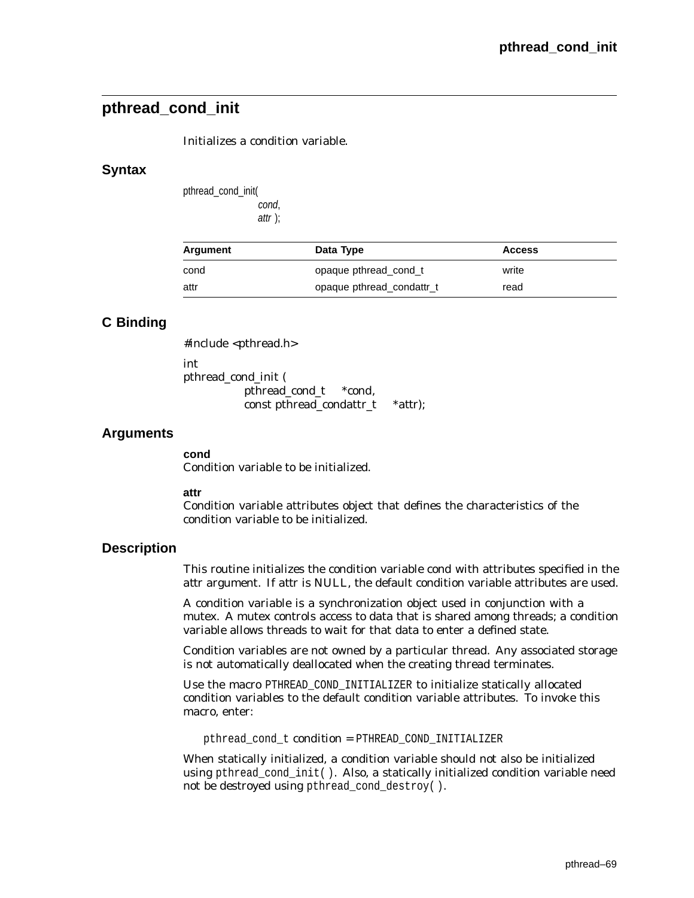# **pthread\_cond\_init**

Initializes a condition variable.

## **Syntax**

pthread\_cond\_init( cond, attr );

| Argument | Data Type                 | <b>Access</b> |
|----------|---------------------------|---------------|
| cond     | opaque pthread cond t     | write         |
| attr     | opaque pthread condattr_t | read          |

## **C Binding**

#include <pthread.h> int pthread\_cond\_init ( pthread\_cond\_t \**cond*, const pthread\_condattr\_t \**attr*);

## **Arguments**

**cond**

Condition variable to be initialized.

**attr**

Condition variable attributes object that defines the characteristics of the condition variable to be initialized.

## **Description**

This routine initializes the condition variable *cond* with attributes specified in the *attr* argument. If *attr* is NULL, the default condition variable attributes are used.

A condition variable is a synchronization object used in conjunction with a mutex. A mutex controls access to data that is shared among threads; a condition variable allows threads to wait for that data to enter a defined state.

Condition variables are not owned by a particular thread. Any associated storage is not automatically deallocated when the creating thread terminates.

Use the macro PTHREAD\_COND\_INITIALIZER to initialize statically allocated condition variables to the default condition variable attributes. To invoke this macro, enter:

pthread\_cond\_t *condition* = PTHREAD\_COND\_INITIALIZER

When statically initialized, a condition variable should not also be initialized using pthread\_cond\_init( ). Also, a statically initialized condition variable need not be destroyed using pthread\_cond\_destroy( ).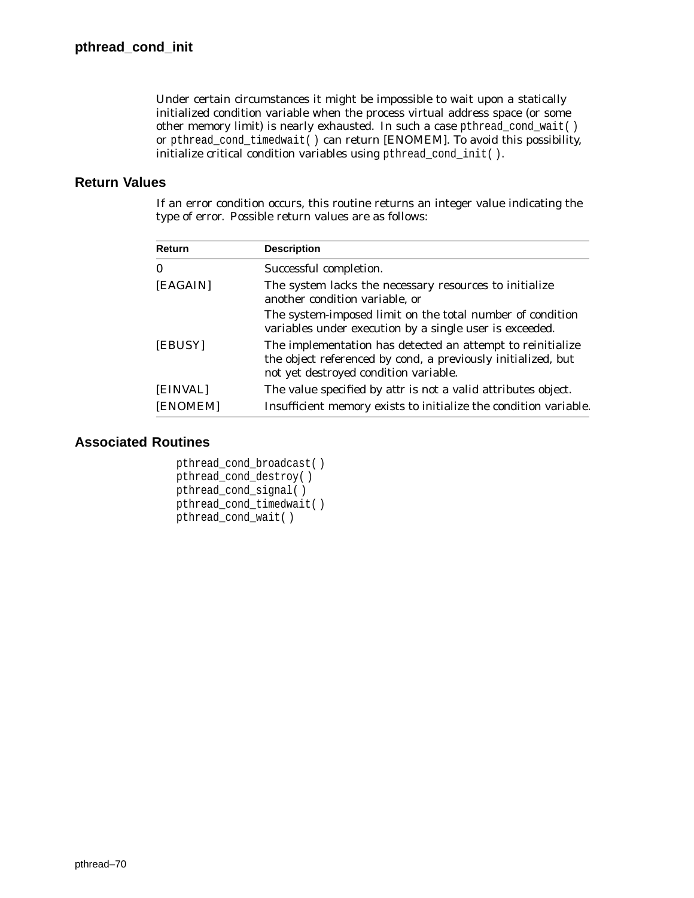Under certain circumstances it might be impossible to wait upon a statically initialized condition variable when the process virtual address space (or some other memory limit) is nearly exhausted. In such a case pthread\_cond\_wait( ) or pthread\_cond\_timedwait( ) can return [ENOMEM]. To avoid this possibility, initialize critical condition variables using pthread\_cond\_init( ).

## **Return Values**

If an error condition occurs, this routine returns an integer value indicating the type of error. Possible return values are as follows:

| Return   | <b>Description</b>                                                                                                                                                  |
|----------|---------------------------------------------------------------------------------------------------------------------------------------------------------------------|
| $\bf{0}$ | Successful completion.                                                                                                                                              |
| [EAGAIN] | The system lacks the necessary resources to initialize<br>another condition variable, or                                                                            |
|          | The system-imposed limit on the total number of condition<br>variables under execution by a single user is exceeded.                                                |
| [EBUSY]  | The implementation has detected an attempt to reinitialize<br>the object referenced by cond, a previously initialized, but<br>not yet destroyed condition variable. |
| [EINVAL] | The value specified by <i>attr</i> is not a valid attributes object.                                                                                                |
| [ENOMEM] | Insufficient memory exists to initialize the condition variable.                                                                                                    |

```
pthread_cond_broadcast( )
pthread_cond_destroy( )
pthread_cond_signal( )
pthread_cond_timedwait( )
pthread_cond_wait( )
```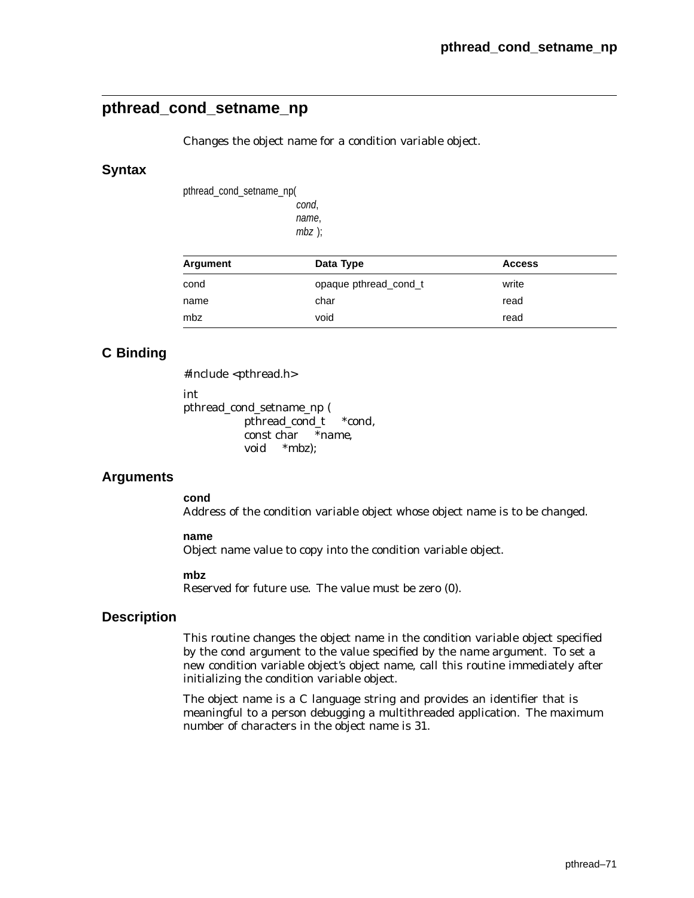# **pthread\_cond\_setname\_np**

Changes the object name for a condition variable object.

## **Syntax**

pthread\_cond\_setname\_np( cond, name, mbz );

| Argument | Data Type             | <b>Access</b> |  |
|----------|-----------------------|---------------|--|
| cond     | opaque pthread cond t | write         |  |
| name     | char                  | read          |  |
| mbz      | void                  | read          |  |

# **C Binding**

#include <pthread.h>

int

pthread\_cond\_setname\_np ( pthread\_cond\_t *\*cond*, const char *\*name*, void *\*mbz*);

## **Arguments**

**cond**

Address of the condition variable object whose object name is to be changed.

#### **name**

Object name value to copy into the condition variable object.

#### **mbz**

Reserved for future use. The value must be zero (0).

## **Description**

This routine changes the object name in the condition variable object specified by the *cond* argument to the value specified by the *name* argument. To set a new condition variable object's object name, call this routine immediately after initializing the condition variable object.

The object name is a C language string and provides an identifier that is meaningful to a person debugging a multithreaded application. The maximum number of characters in the object name is 31.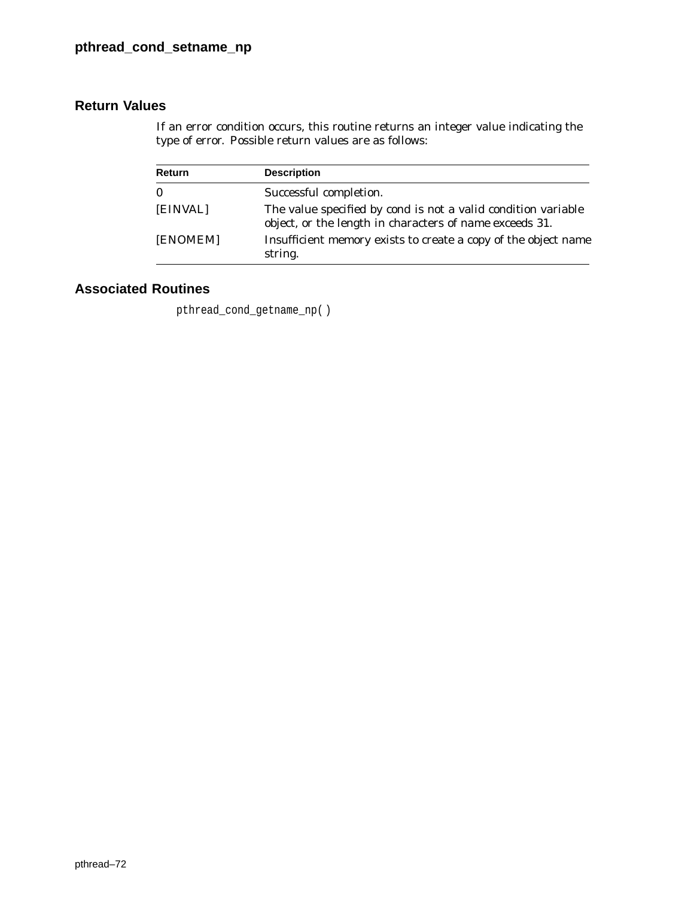If an error condition occurs, this routine returns an integer value indicating the type of error. Possible return values are as follows:

| <b>Return</b> | <b>Description</b>                                                                                                                     |
|---------------|----------------------------------------------------------------------------------------------------------------------------------------|
| $\mathbf{0}$  | Successful completion.                                                                                                                 |
| [EINVAL]      | The value specified by <i>cond</i> is not a valid condition variable<br>object, or the length in characters of <i>name</i> exceeds 31. |
| [ENOMEM]      | Insufficient memory exists to create a copy of the object name<br>string.                                                              |

# **Associated Routines**

pthread\_cond\_getname\_np( )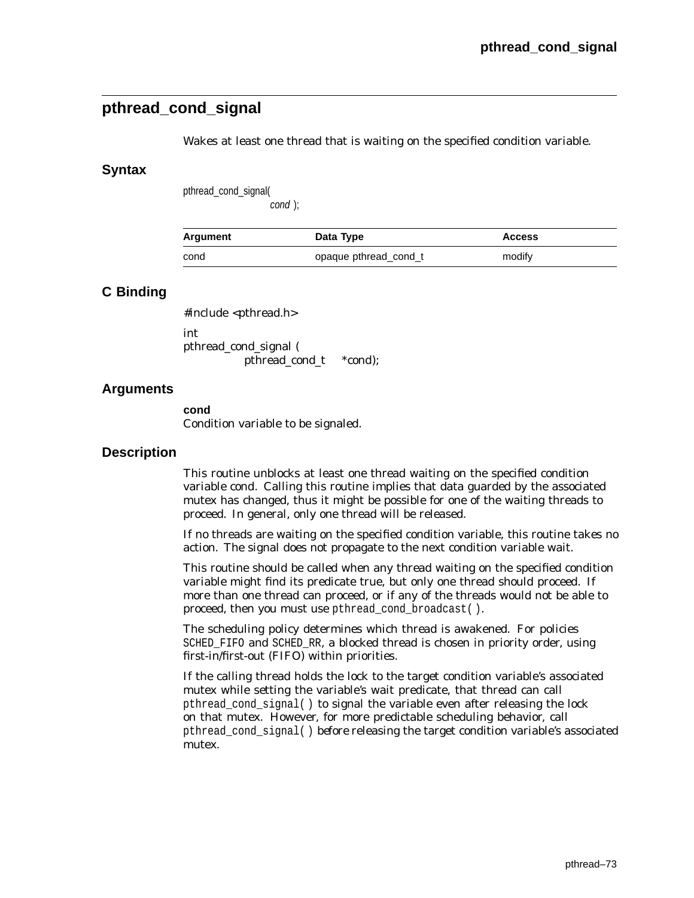# **pthread\_cond\_signal**

Wakes at least one thread that is waiting on the specified condition variable.

## **Syntax**

pthread\_cond\_signal(

cond );

| Argument | Data Type             | <b>Access</b> |
|----------|-----------------------|---------------|
| cond     | opaque pthread cond t | modify        |

## **C Binding**

#include <pthread.h> int

pthread\_cond\_signal ( pthread\_cond\_t \**cond*);

## **Arguments**

**cond** Condition variable to be signaled.

## **Description**

This routine unblocks at least one thread waiting on the specified condition variable *cond*. Calling this routine implies that data guarded by the associated mutex has changed, thus it might be possible for one of the waiting threads to proceed. In general, only one thread will be released.

If no threads are waiting on the specified condition variable, this routine takes no action. The signal does not propagate to the next condition variable wait.

This routine should be called when any thread waiting on the specified condition variable might find its predicate true, but only one thread should proceed. If more than one thread can proceed, or if any of the threads would not be able to proceed, then you must use pthread\_cond\_broadcast( ).

The scheduling policy determines which thread is awakened. For policies SCHED\_FIFO and SCHED\_RR, a blocked thread is chosen in priority order, using first-in/first-out (FIFO) within priorities.

If the calling thread holds the lock to the target condition variable's associated mutex while setting the variable's wait predicate, that thread can call pthread\_cond\_signal( ) to signal the variable even after releasing the lock on that mutex. However, for more predictable scheduling behavior, call pthread\_cond\_signal( ) *before* releasing the target condition variable's associated mutex.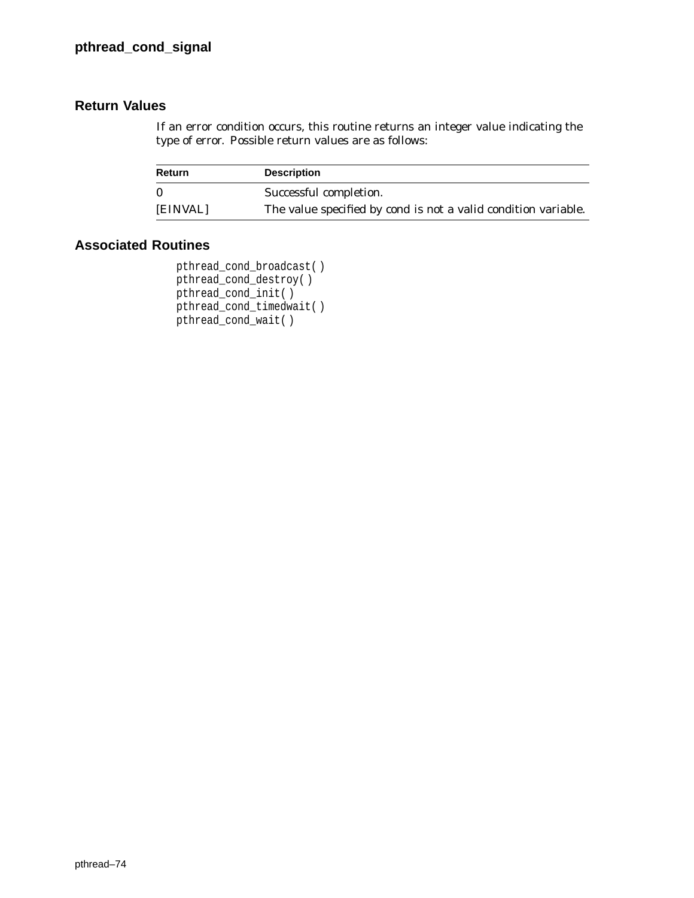If an error condition occurs, this routine returns an integer value indicating the type of error. Possible return values are as follows:

| Return   | <b>Description</b>                                                    |
|----------|-----------------------------------------------------------------------|
| $\Omega$ | Successful completion.                                                |
| [EINVAL] | The value specified by <i>cond</i> is not a valid condition variable. |

```
pthread_cond_broadcast( )
pthread_cond_destroy( )
pthread_cond_init( )
pthread_cond_timedwait( )
pthread_cond_wait( )
```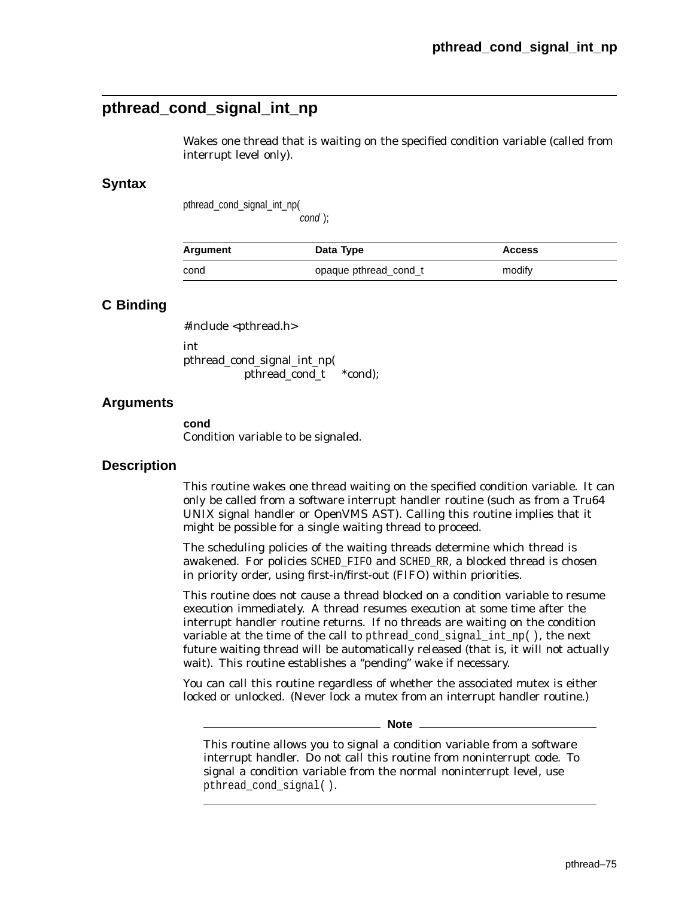# **pthread\_cond\_signal\_int\_np**

Wakes one thread that is waiting on the specified condition variable (called from interrupt level only).

### **Syntax**

pthread\_cond\_signal\_int\_np(

cond );

| Argument | Data Type             | <b>Access</b> |
|----------|-----------------------|---------------|
| cond     | opaque pthread_cond_t | modify        |

### **C Binding**

#include <pthread.h> int pthread\_cond\_signal\_int\_np( pthread\_cond\_t *\*cond*);

### **Arguments**

**cond** Condition variable to be signaled.

### **Description**

This routine wakes one thread waiting on the specified condition variable. It can only be called from a software interrupt handler routine (such as from a Tru64 UNIX signal handler or OpenVMS AST). Calling this routine implies that it might be possible for a single waiting thread to proceed.

The scheduling policies of the waiting threads determine which thread is awakened. For policies SCHED\_FIFO and SCHED\_RR, a blocked thread is chosen in priority order, using first-in/first-out (FIFO) within priorities.

This routine does not cause a thread blocked on a condition variable to resume execution immediately. A thread resumes execution at some time after the interrupt handler routine returns. If no threads are waiting on the condition variable at the time of the call to pthread\_cond\_signal\_int\_np( ), the next future waiting thread will be automatically released (that is, it will not actually wait). This routine establishes a ''pending'' wake if necessary.

You can call this routine regardless of whether the associated mutex is either locked or unlocked. (Never lock a mutex from an interrupt handler routine.)

**Note**

This routine allows you to signal a condition variable from a software interrupt handler. Do not call this routine from noninterrupt code. To signal a condition variable from the normal noninterrupt level, use pthread\_cond\_signal( ).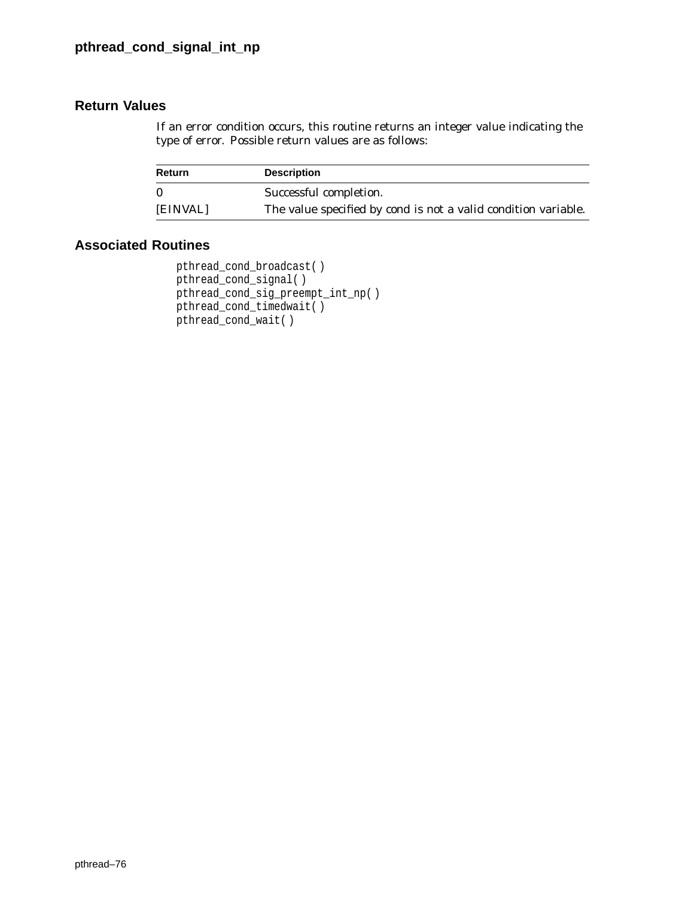## **Return Values**

If an error condition occurs, this routine returns an integer value indicating the type of error. Possible return values are as follows:

| Return   | <b>Description</b>                                                    |
|----------|-----------------------------------------------------------------------|
| $\Omega$ | Successful completion.                                                |
| [EINVAL] | The value specified by <i>cond</i> is not a valid condition variable. |

```
pthread_cond_broadcast( )
pthread_cond_signal( )
pthread_cond_sig_preempt_int_np( )
pthread_cond_timedwait( )
pthread_cond_wait( )
```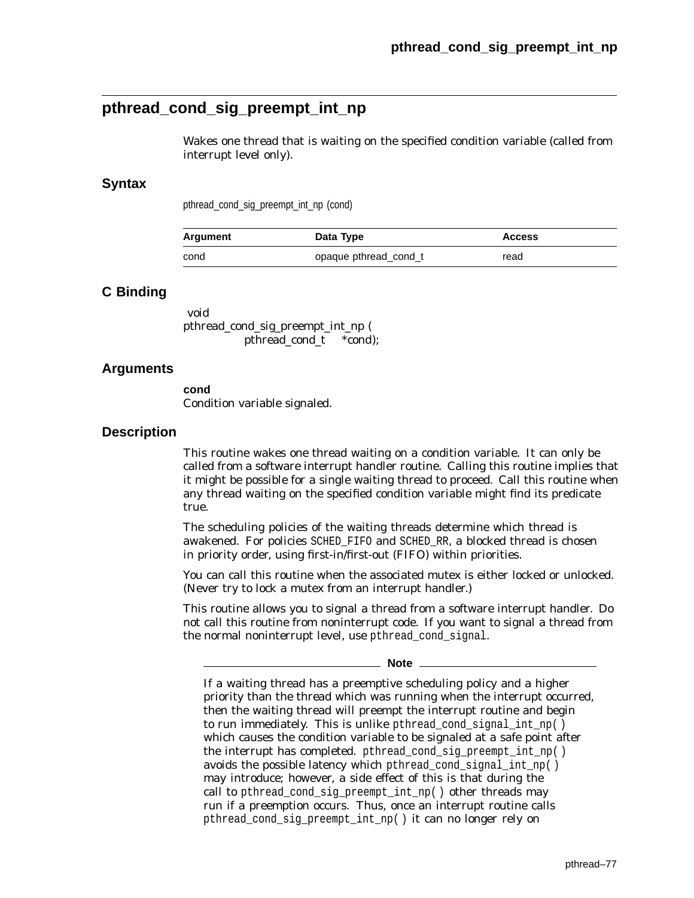# **pthread\_cond\_sig\_preempt\_int\_np**

Wakes one thread that is waiting on the specified condition variable (called from interrupt level only).

### **Syntax**

pthread\_cond\_sig\_preempt\_int\_np (cond)

| Argument | Data Type             | <b>Access</b> |
|----------|-----------------------|---------------|
| cond     | opaque pthread_cond_t | read          |

## **C Binding**

void pthread\_cond\_sig\_preempt\_int\_np ( pthread\_cond\_t \**cond*);

### **Arguments**

**cond** Condition variable signaled.

### **Description**

This routine wakes one thread waiting on a condition variable. It can only be called from a software interrupt handler routine. Calling this routine implies that it might be possible for a single waiting thread to proceed. Call this routine when any thread waiting on the specified condition variable might find its predicate true.

The scheduling policies of the waiting threads determine which thread is awakened. For policies SCHED\_FIFO and SCHED\_RR, a blocked thread is chosen in priority order, using first-in/first-out (FIFO) within priorities.

You can call this routine when the associated mutex is either locked or unlocked. (Never try to lock a mutex from an interrupt handler.)

This routine allows you to signal a thread from a software interrupt handler. Do not call this routine from noninterrupt code. If you want to signal a thread from the normal noninterrupt level, use pthread\_cond\_signal.

**Note**

If a waiting thread has a preemptive scheduling policy and a higher priority than the thread which was running when the interrupt occurred, then the waiting thread will preempt the interrupt routine and begin to run immediately. This is unlike pthread\_cond\_signal\_int\_np( ) which causes the condition variable to be signaled at a safe point after the interrupt has completed. pthread cond sig preempt int  $np()$ avoids the possible latency which pthread\_cond\_signal\_int\_np( ) may introduce; however, a side effect of this is that during the call to pthread\_cond\_sig\_preempt\_int\_np( ) other threads may run if a preemption occurs. Thus, once an interrupt routine calls pthread\_cond\_sig\_preempt\_int\_np( ) it can no longer rely on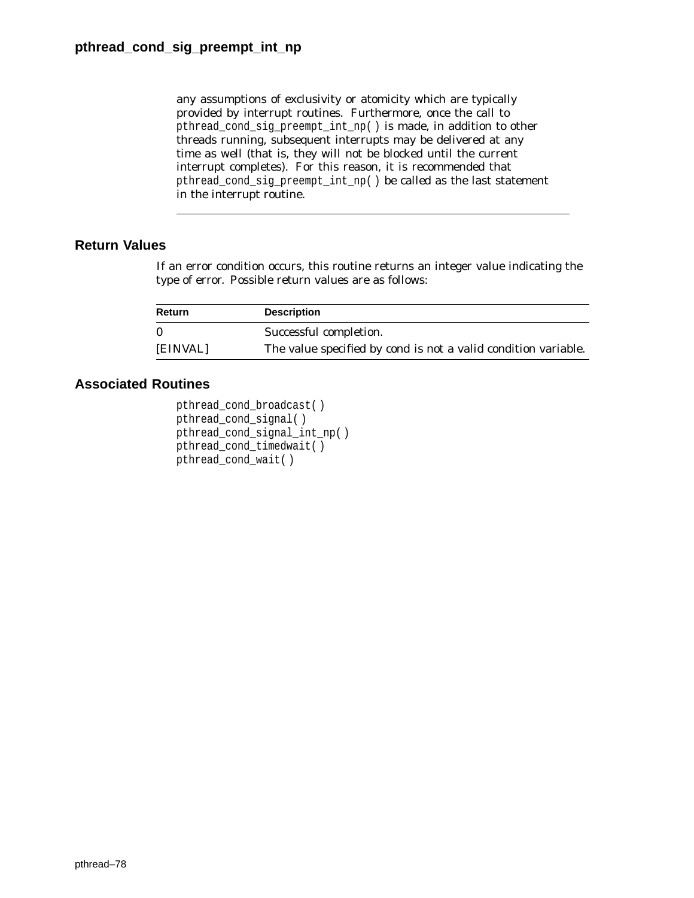any assumptions of exclusivity or atomicity which are typically provided by interrupt routines. Furthermore, once the call to pthread\_cond\_sig\_preempt\_int\_np( ) is made, in addition to other threads running, subsequent interrupts may be delivered at any time as well (that is, they will not be blocked until the current interrupt completes). For this reason, it is recommended that pthread\_cond\_sig\_preempt\_int\_np( ) be called as the last statement in the interrupt routine.

## **Return Values**

If an error condition occurs, this routine returns an integer value indicating the type of error. Possible return values are as follows:

| Return   | <b>Description</b>                                                    |
|----------|-----------------------------------------------------------------------|
| $\Omega$ | Successful completion.                                                |
| [EINVAL] | The value specified by <i>cond</i> is not a valid condition variable. |

```
pthread_cond_broadcast( )
pthread_cond_signal( )
pthread_cond_signal_int_np( )
pthread_cond_timedwait( )
pthread_cond_wait( )
```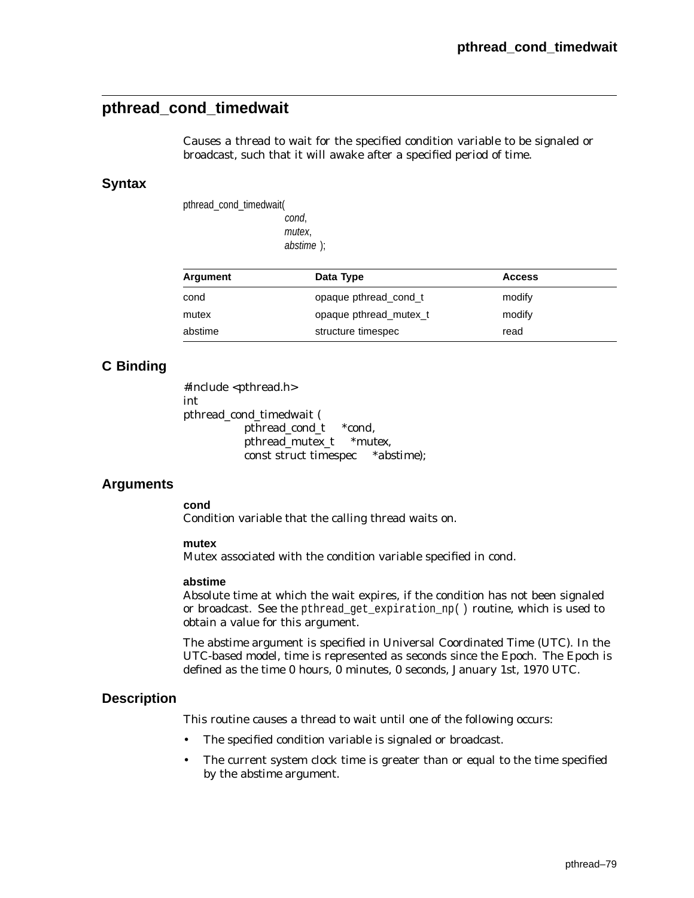# **pthread\_cond\_timedwait**

Causes a thread to wait for the specified condition variable to be signaled or broadcast, such that it will awake after a specified period of time.

### **Syntax**

pthread\_cond\_timedwait( cond, mutex, abstime );

| Argument | Data Type              | <b>Access</b> |
|----------|------------------------|---------------|
| cond     | opaque pthread cond t  | modify        |
| mutex    | opaque pthread mutex t | modify        |
| abstime  | structure timespec     | read          |

## **C Binding**

#include <pthread.h> int pthread\_cond\_timedwait ( pthread\_cond\_t \**cond*, pthread\_mutex\_t \**mutex*, const struct timespec \**abstime*);

## **Arguments**

#### **cond**

Condition variable that the calling thread waits on.

#### **mutex**

Mutex associated with the condition variable specified in *cond*.

#### **abstime**

Absolute time at which the wait expires, if the condition has not been signaled or broadcast. See the pthread\_get\_expiration\_np( ) routine, which is used to obtain a value for this argument.

The *abstime* argument is specified in Universal Coordinated Time (UTC). In the UTC-based model, time is represented as seconds since the Epoch. The Epoch is defined as the time 0 hours, 0 minutes, 0 seconds, January 1st, 1970 UTC.

### **Description**

This routine causes a thread to wait until one of the following occurs:

- The specified condition variable is signaled or broadcast.
- The current system clock time is greater than or equal to the time specified by the *abstime* argument.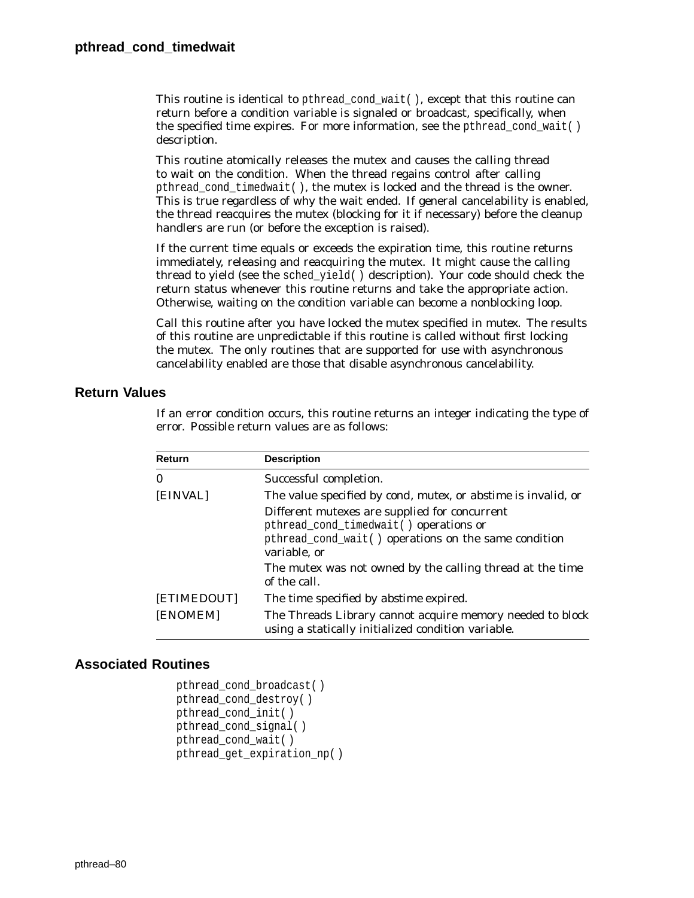This routine is identical to pthread\_cond\_wait( ), except that this routine can return before a condition variable is signaled or broadcast, specifically, when the specified time expires. For more information, see the pthread cond wait( ) description.

This routine atomically releases the mutex and causes the calling thread to wait on the condition. When the thread regains control after calling pthread\_cond\_timedwait( ), the mutex is locked and the thread is the owner. This is true regardless of why the wait ended. If general cancelability is enabled, the thread reacquires the mutex (blocking for it if necessary) before the cleanup handlers are run (or before the exception is raised).

If the current time equals or exceeds the expiration time, this routine returns immediately, releasing and reacquiring the mutex. It might cause the calling thread to yield (see the sched\_yield( ) description). Your code should check the return status whenever this routine returns and take the appropriate action. Otherwise, waiting on the condition variable can become a nonblocking loop.

Call this routine after you have locked the mutex specified in *mutex*. The results of this routine are unpredictable if this routine is called without first locking the mutex. The only routines that are supported for use with asynchronous cancelability enabled are those that disable asynchronous cancelability.

## **Return Values**

If an error condition occurs, this routine returns an integer indicating the type of error. Possible return values are as follows:

| Return      | <b>Description</b>                                                                                                                                              |  |  |
|-------------|-----------------------------------------------------------------------------------------------------------------------------------------------------------------|--|--|
| $\bf{0}$    | Successful completion.                                                                                                                                          |  |  |
| [EINVAL]    | The value specified by <i>cond, mutex, or abstime</i> is invalid, or                                                                                            |  |  |
|             | Different mutexes are supplied for concurrent<br>pthread_cond_timedwait() operations or<br>pthread_cond_wait() operations on the same condition<br>variable, or |  |  |
|             | The mutex was not owned by the calling thread at the time<br>of the call.                                                                                       |  |  |
| [ETIMEDOUT] | The time specified by <i>abstime</i> expired.                                                                                                                   |  |  |
| [ENOMEM]    | The Threads Library cannot acquire memory needed to block<br>using a statically initialized condition variable.                                                 |  |  |

```
pthread_cond_broadcast( )
pthread_cond_destroy( )
pthread_cond_init( )
pthread_cond_signal( )
pthread_cond_wait( )
pthread_get_expiration_np( )
```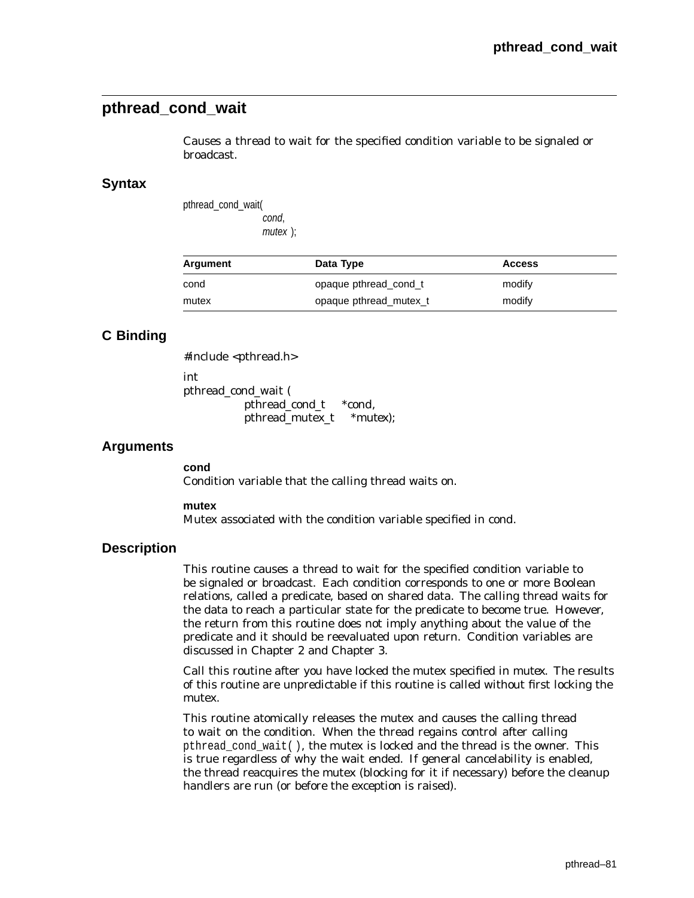# **pthread\_cond\_wait**

Causes a thread to wait for the specified condition variable to be signaled or broadcast.

### **Syntax**

pthread\_cond\_wait( cond, mutex );

| Argument | Data Type              | <b>Access</b> |
|----------|------------------------|---------------|
| cond     | opaque pthread cond t  | modify        |
| mutex    | opaque pthread mutex t | modify        |

## **C Binding**

#include <pthread.h> int pthread\_cond\_wait ( pthread\_cond\_t \**cond*, pthread\_mutex\_t \**mutex*);

### **Arguments**

**cond** Condition variable that the calling thread waits on.

**mutex**

Mutex associated with the condition variable specified in *cond*.

### **Description**

This routine causes a thread to wait for the specified condition variable to be signaled or broadcast. Each condition corresponds to one or more Boolean relations, called a predicate, based on shared data. The calling thread waits for the data to reach a particular state for the predicate to become true. However, the return from this routine does not imply anything about the value of the predicate and it should be reevaluated upon return. Condition variables are discussed in Chapter 2 and Chapter 3.

Call this routine after you have locked the mutex specified in *mutex*. The results of this routine are unpredictable if this routine is called without first locking the mutex.

This routine atomically releases the mutex and causes the calling thread to wait on the condition. When the thread regains control after calling pthread\_cond\_wait( ), the mutex is locked and the thread is the owner. This is true regardless of why the wait ended. If general cancelability is enabled, the thread reacquires the mutex (blocking for it if necessary) before the cleanup handlers are run (or before the exception is raised).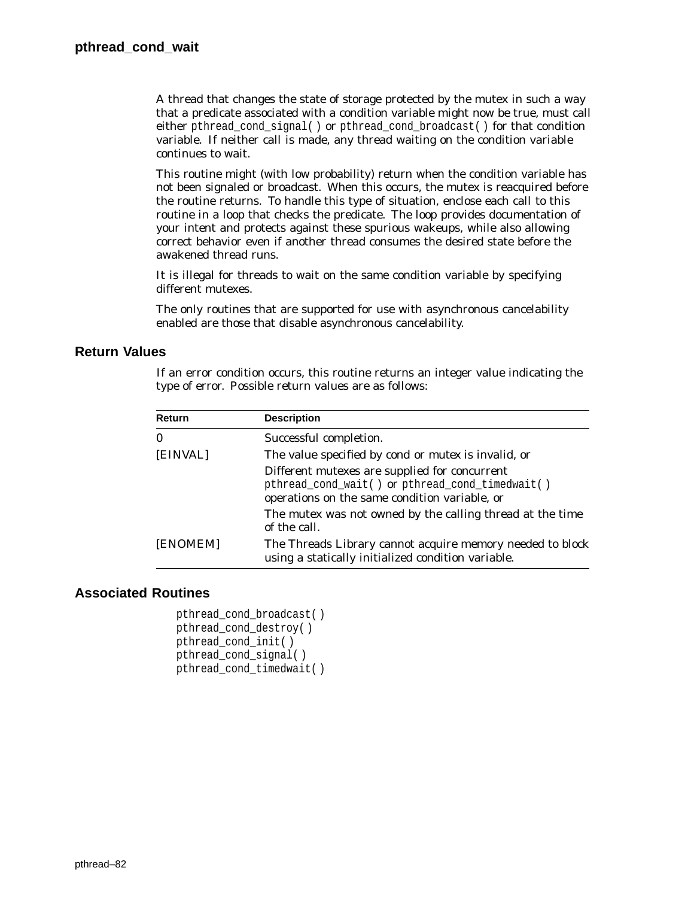A thread that changes the state of storage protected by the mutex in such a way that a predicate associated with a condition variable might now be true, must call either pthread cond signal( ) or pthread cond broadcast( ) for that condition variable. If neither call is made, any thread waiting on the condition variable continues to wait.

This routine might (with low probability) return when the condition variable has not been signaled or broadcast. When this occurs, the mutex is reacquired before the routine returns. To handle this type of situation, enclose each call to this routine in a loop that checks the predicate. The loop provides documentation of your intent and protects against these spurious wakeups, while also allowing correct behavior even if another thread consumes the desired state before the awakened thread runs.

It is illegal for threads to wait on the same condition variable by specifying different mutexes.

The only routines that are supported for use with asynchronous cancelability enabled are those that disable asynchronous cancelability.

## **Return Values**

If an error condition occurs, this routine returns an integer value indicating the type of error. Possible return values are as follows:

| Return   | <b>Description</b>                                                                                                                                                                                                             |
|----------|--------------------------------------------------------------------------------------------------------------------------------------------------------------------------------------------------------------------------------|
| 0        | Successful completion.                                                                                                                                                                                                         |
| [EINVAL] | The value specified by <i>cond</i> or <i>mutex</i> is invalid, or                                                                                                                                                              |
|          | Different mutexes are supplied for concurrent<br>pthread_cond_wait() or pthread_cond_timedwait()<br>operations on the same condition variable, or<br>The mutex was not owned by the calling thread at the time<br>of the call. |
| [ENOMEM] | The Threads Library cannot acquire memory needed to block<br>using a statically initialized condition variable.                                                                                                                |

```
pthread_cond_broadcast( )
pthread_cond_destroy( )
pthread_cond_init( )
pthread_cond_signal( )
pthread_cond_timedwait( )
```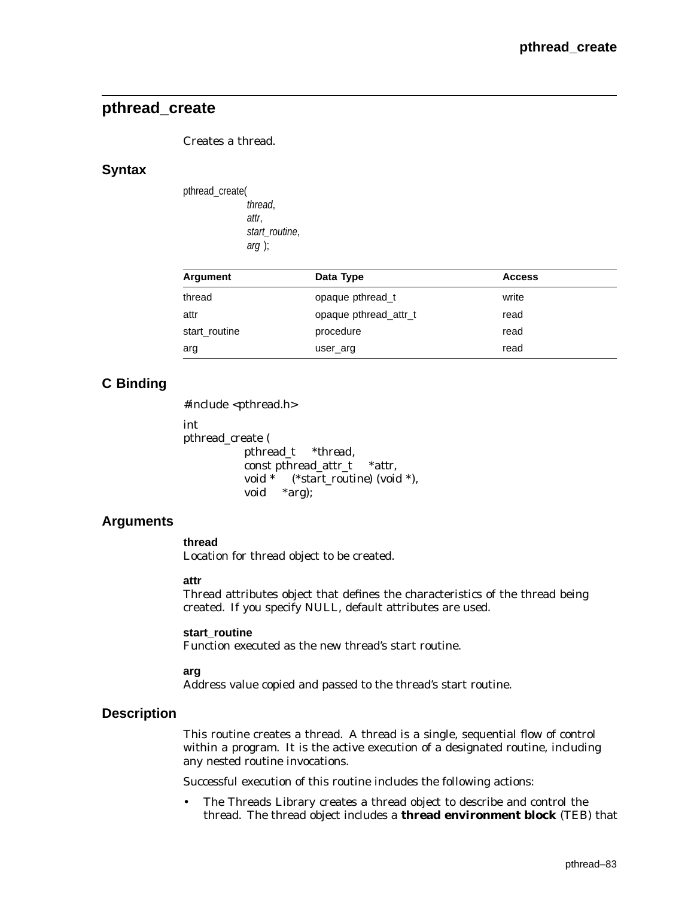## **pthread\_create**

Creates a thread.

### **Syntax**

| pthread_create( |                |
|-----------------|----------------|
|                 | thread,        |
|                 | attr.          |
|                 | start routine, |
|                 | $arg$ );       |

| Argument      | Data Type             | <b>Access</b> |
|---------------|-----------------------|---------------|
| thread        | opaque pthread_t      | write         |
| attr          | opaque pthread attr_t | read          |
| start_routine | procedure             | read          |
| arg           | user_arg              | read          |

## **C Binding**

#include <pthread.h>

int pthread\_create ( pthread\_t *\*thread,* const pthread\_attr\_t *\*attr,* void \* (*\*start\_routine*) (void \*), void *\*arg*);

## **Arguments**

## **thread**

Location for thread object to be created.

#### **attr**

Thread attributes object that defines the characteristics of the thread being created. If you specify NULL, default attributes are used.

#### **start\_routine**

Function executed as the new thread's start routine.

#### **arg**

Address value copied and passed to the thread's start routine.

### **Description**

This routine creates a thread. A thread is a single, sequential flow of control within a program. It is the active execution of a designated routine, including any nested routine invocations.

Successful execution of this routine includes the following actions:

• The Threads Library creates a thread object to describe and control the thread. The thread object includes a **thread environment block** (TEB) that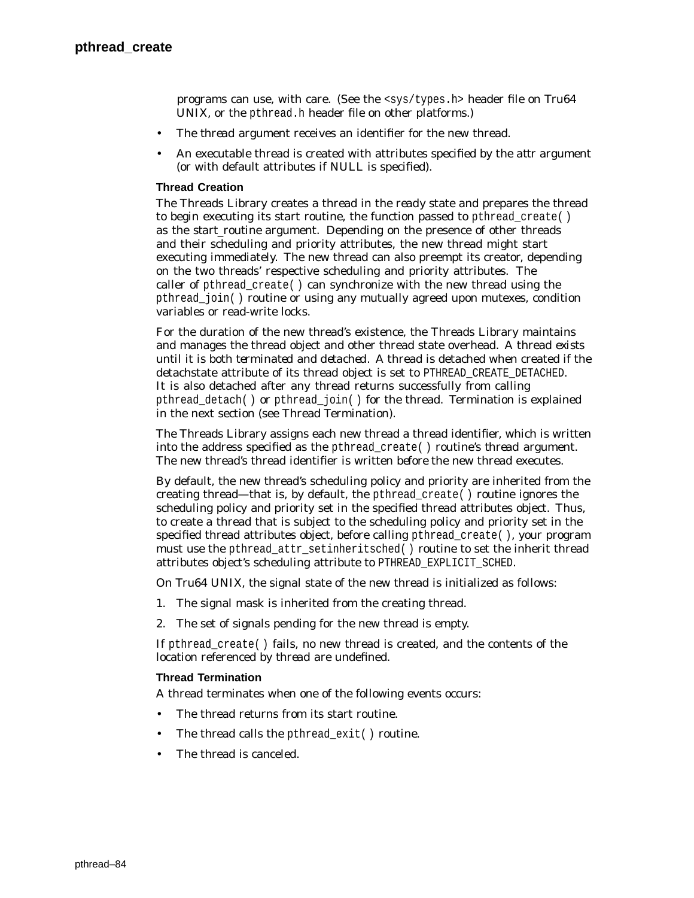programs can use, with care. (See the <sys/types.h> header file on Tru64 UNIX, or the pthread.h header file on other platforms.)

- The *thread* argument receives an identifier for the new thread.
- An executable thread is created with attributes specified by the *attr* argument (or with default attributes if NULL is specified).

#### **Thread Creation**

The Threads Library creates a thread in the *ready* state and prepares the thread to begin executing its start routine, the function passed to pthread\_create( ) as the *start\_routine* argument. Depending on the presence of other threads and their scheduling and priority attributes, the new thread might start executing immediately. The new thread can also preempt its creator, depending on the two threads' respective scheduling and priority attributes. The caller of pthread create( ) can synchronize with the new thread using the pthread\_join( ) routine or using any mutually agreed upon mutexes, condition variables or read-write locks.

For the duration of the new thread's existence, the Threads Library maintains and manages the thread object and other thread state overhead. A thread *exists* until it is both *terminated* and *detached*. A thread is detached when created if the detachstate attribute of its thread object is set to PTHREAD\_CREATE\_DETACHED. It is also detached after any thread returns successfully from calling pthread\_detach( ) or pthread\_join( ) for the thread. Termination is explained in the next section (see Thread Termination).

The Threads Library assigns each new thread a thread identifier, which is written into the address specified as the pthread\_create( ) routine's *thread* argument. The new thread's thread identifier is written *before* the new thread executes.

By default, the new thread's scheduling policy and priority are inherited from the creating thread—that is, by default, the pthread create( ) routine ignores the scheduling policy and priority set in the specified thread attributes object. Thus, to create a thread that is subject to the scheduling policy and priority set in the specified thread attributes object, before calling pthread\_create( ), your program must use the pthread\_attr\_setinheritsched( ) routine to set the inherit thread attributes object's scheduling attribute to PTHREAD\_EXPLICIT\_SCHED.

On Tru64 UNIX, the signal state of the new thread is initialized as follows:

- 1. The signal mask is inherited from the creating thread.
- 2. The set of signals pending for the new thread is empty.

If pthread\_create( ) fails, no new thread is created, and the contents of the location referenced by *thread* are undefined.

#### **Thread Termination**

A thread terminates when one of the following events occurs:

- The thread returns from its start routine.
- The thread calls the pthread\_exit() routine.
- The thread is canceled.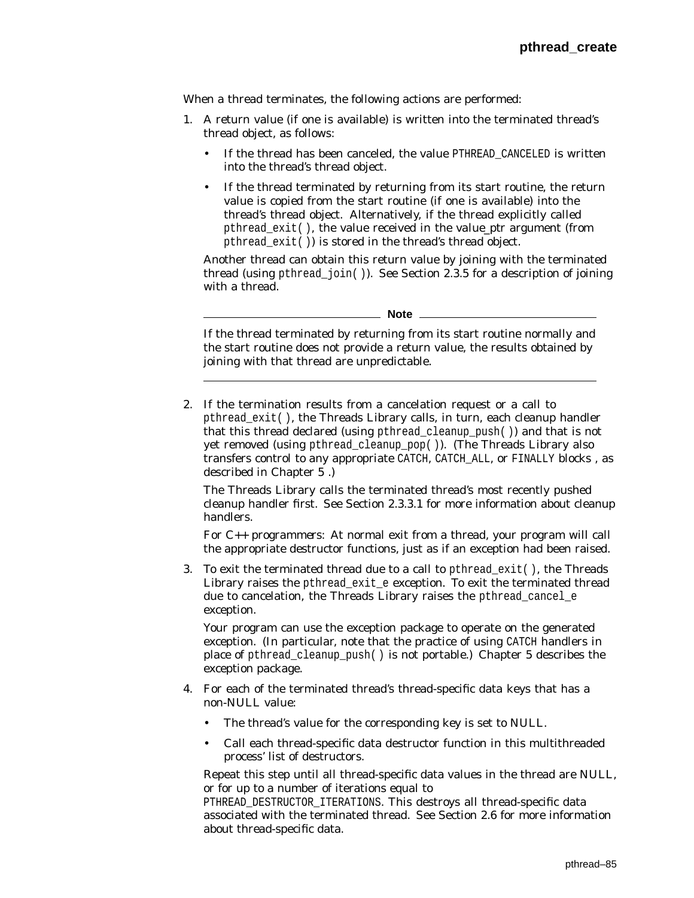When a thread terminates, the following actions are performed:

- 1. A return value (if one is available) is written into the terminated thread's thread object, as follows:
	- If the thread has been canceled, the value PTHREAD\_CANCELED is written into the thread's thread object.
	- If the thread terminated by returning from its start routine, the return value is copied from the start routine (if one is available) into the thread's thread object. Alternatively, if the thread explicitly called pthread\_exit( ), the value received in the *value\_ptr* argument (from pthread\_exit( )) is stored in the thread's thread object.

Another thread can obtain this return value by joining with the terminated thread (using pthread\_join( )). See Section 2.3.5 for a description of joining with a thread.

**Note**

If the thread terminated by returning from its start routine normally and the start routine does not provide a return value, the results obtained by joining with that thread are unpredictable.

2. If the termination results from a cancelation request or a call to pthread\_exit( ), the Threads Library calls, in turn, each cleanup handler that this thread declared (using pthread cleanup  $push()$ ) and that is not yet removed (using pthread\_cleanup\_pop( )). (The Threads Library also transfers control to any appropriate CATCH, CATCH\_ALL, or FINALLY blocks , as described in Chapter 5 .)

The Threads Library calls the terminated thread's most recently pushed cleanup handler first. See Section 2.3.3.1 for more information about cleanup handlers.

*For C++ programmers*: At normal exit from a thread, your program will call the appropriate destructor functions, just as if an exception had been raised.

3. To exit the terminated thread due to a call to pthread  $ext()$ , the Threads Library raises the pthread exit e exception. To exit the terminated thread due to cancelation, the Threads Library raises the pthread cancel e exception.

Your program can use the exception package to operate on the generated exception. (In particular, note that the practice of using CATCH handlers in place of pthread\_cleanup\_push( ) is not portable.) Chapter 5 describes the exception package.

- 4. For each of the terminated thread's thread-specific data keys that has a non-NULL value:
	- The thread's value for the corresponding key is set to NULL.
	- Call each thread-specific data destructor function in this multithreaded process' list of destructors.

Repeat this step until all thread-specific data values in the thread are NULL, or for up to a number of iterations equal to

PTHREAD\_DESTRUCTOR\_ITERATIONS. This destroys all thread-specific data associated with the terminated thread. See Section 2.6 for more information about thread-specific data.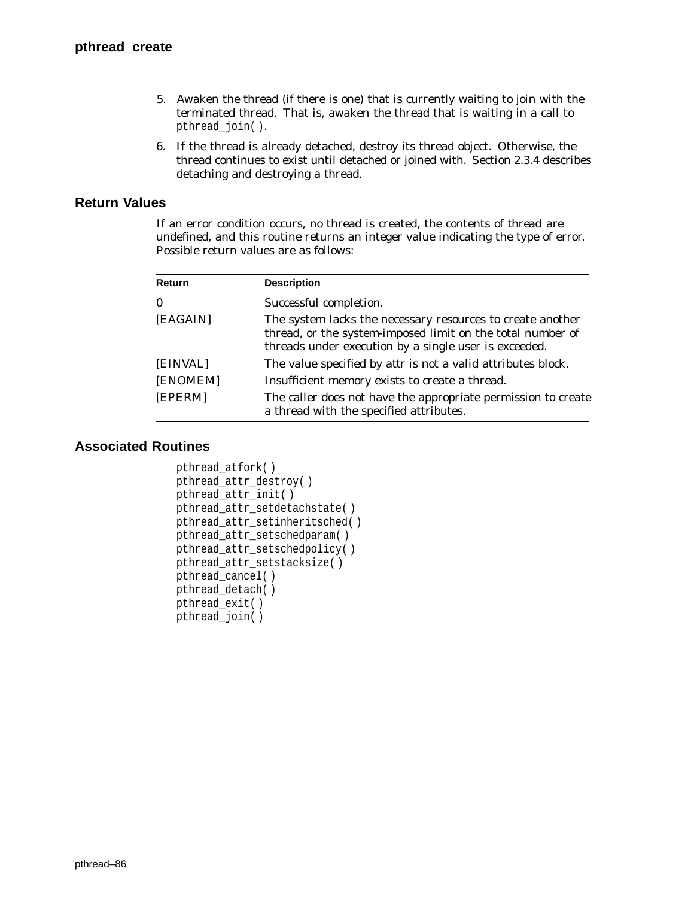- 5. Awaken the thread (if there is one) that is currently waiting to join with the terminated thread. That is, awaken the thread that is waiting in a call to pthread\_join( ).
- 6. If the thread is already detached, destroy its thread object. Otherwise, the thread continues to exist until detached or joined with. Section 2.3.4 describes detaching and destroying a thread.

## **Return Values**

If an error condition occurs, no thread is created, the contents of *thread* are undefined, and this routine returns an integer value indicating the type of error. Possible return values are as follows:

| <b>Return</b> | <b>Description</b>                                                                                                                                                                |
|---------------|-----------------------------------------------------------------------------------------------------------------------------------------------------------------------------------|
| $\bf{0}$      | Successful completion.                                                                                                                                                            |
| [EAGAIN]      | The system lacks the necessary resources to create another<br>thread, or the system-imposed limit on the total number of<br>threads under execution by a single user is exceeded. |
| [EINVAL]      | The value specified by <i>attr</i> is not a valid attributes block.                                                                                                               |
| [ENOMEM]      | Insufficient memory exists to create a thread.                                                                                                                                    |
| [EPERM]       | The caller does not have the appropriate permission to create<br>a thread with the specified attributes.                                                                          |

```
pthread_atfork( )
pthread_attr_destroy( )
pthread_attr_init( )
pthread_attr_setdetachstate( )
pthread_attr_setinheritsched( )
pthread_attr_setschedparam( )
pthread_attr_setschedpolicy( )
pthread_attr_setstacksize( )
pthread_cancel( )
pthread_detach( )
pthread_exit( )
pthread_join( )
```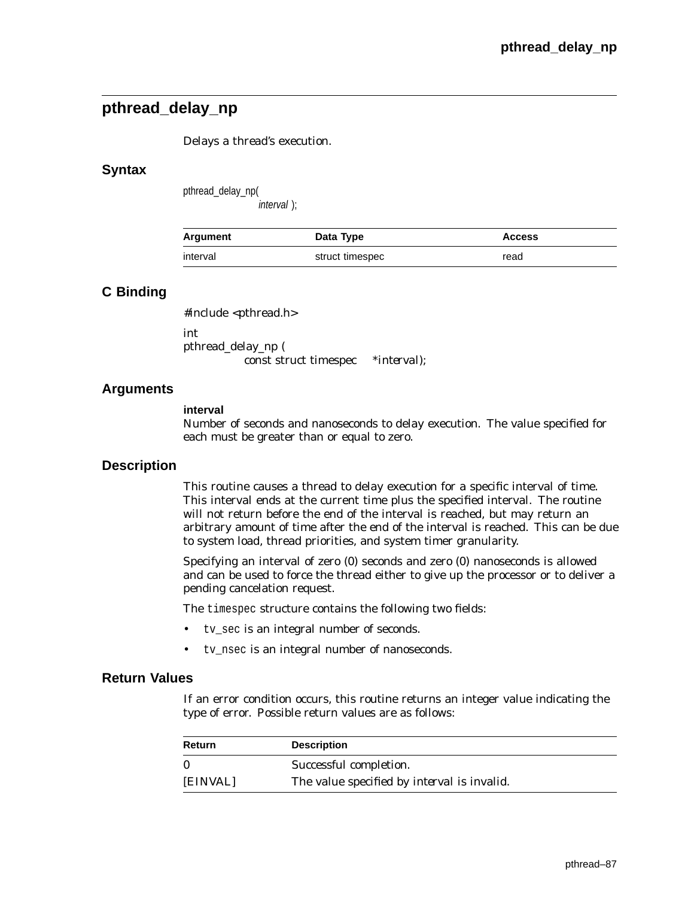# **pthread\_delay\_np**

Delays a thread's execution.

## **Syntax**

pthread\_delay\_np( interval );

| Argument | Data Type       | <b>Access</b> |
|----------|-----------------|---------------|
| interval | struct timespec | read          |

## **C Binding**

#include <pthread.h>

int pthread\_delay\_np ( const struct timespec \**interval*);

## **Arguments**

#### **interval**

Number of seconds and nanoseconds to delay execution. The value specified for each must be greater than or equal to zero.

## **Description**

This routine causes a thread to delay execution for a specific interval of time. This interval ends at the current time plus the specified interval. The routine will not return before the end of the interval is reached, but may return an arbitrary amount of time after the end of the interval is reached. This can be due to system load, thread priorities, and system timer granularity.

Specifying an interval of zero (0) seconds and zero (0) nanoseconds is allowed and can be used to force the thread either to give up the processor or to deliver a pending cancelation request.

The timespec structure contains the following two fields:

- tv\_sec is an integral number of seconds.
- tv\_nsec is an integral number of nanoseconds.

## **Return Values**

If an error condition occurs, this routine returns an integer value indicating the type of error. Possible return values are as follows:

| Return       | <b>Description</b>                                 |
|--------------|----------------------------------------------------|
| $\mathbf{0}$ | Successful completion.                             |
| [EINVAL]     | The value specified by <i>interval</i> is invalid. |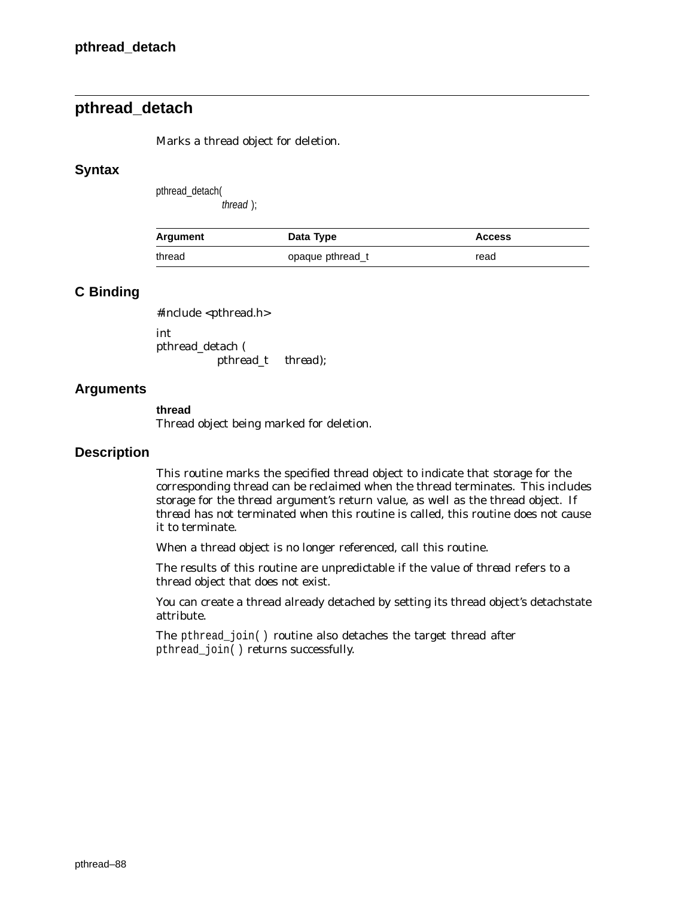# **pthread\_detach**

Marks a thread object for deletion.

### **Syntax**

pthread\_detach(

thread );

| Argument | Data Type        | <b>Access</b> |
|----------|------------------|---------------|
| thread   | opaque pthread_t | read          |

## **C Binding**

#include <pthread.h>

int pthread\_detach ( pthread\_t *thread*);

### **Arguments**

#### **thread**

Thread object being marked for deletion.

### **Description**

This routine marks the specified thread object to indicate that storage for the corresponding thread can be reclaimed when the thread terminates. This includes storage for the *thread* argument's return value, as well as the thread object. If *thread* has not terminated when this routine is called, this routine does not cause it to terminate.

When a thread object is no longer referenced, call this routine.

The results of this routine are unpredictable if the value of *thread* refers to a thread object that does not exist.

You can create a thread already detached by setting its thread object's detachstate attribute.

The pthread\_join( ) routine also detaches the target thread after pthread\_join( ) returns successfully.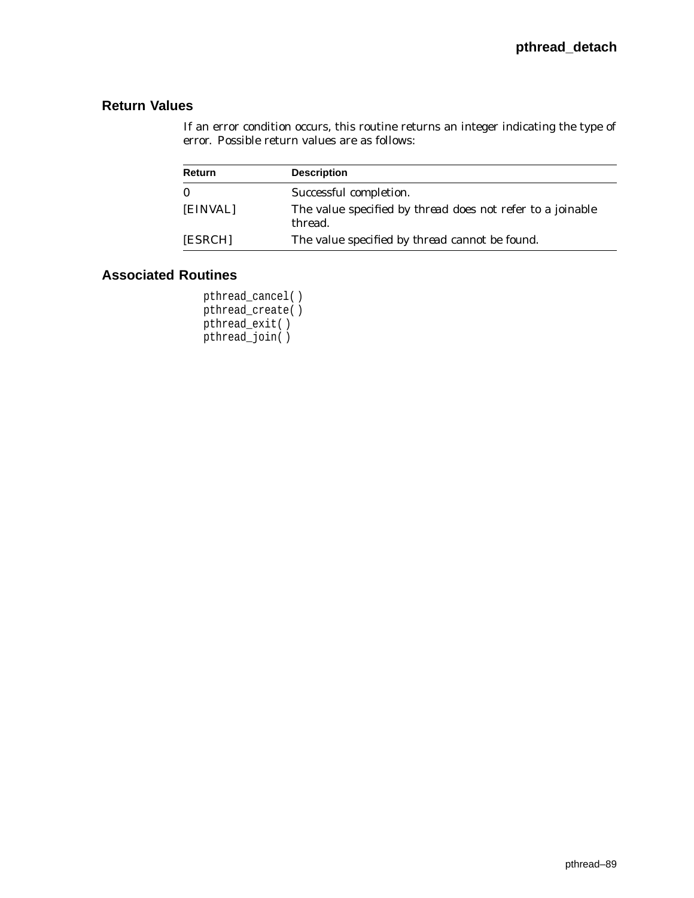# **Return Values**

If an error condition occurs, this routine returns an integer indicating the type of error. Possible return values are as follows:

| Return   | <b>Description</b>                                                           |
|----------|------------------------------------------------------------------------------|
| $\bf{0}$ | Successful completion.                                                       |
| [EINVAL] | The value specified by <i>thread</i> does not refer to a joinable<br>thread. |
| [ESRCH]  | The value specified by <i>thread</i> cannot be found.                        |

## **Associated Routines**

pthread\_cancel( ) pthread\_create( ) pthread\_exit( ) pthread\_join( )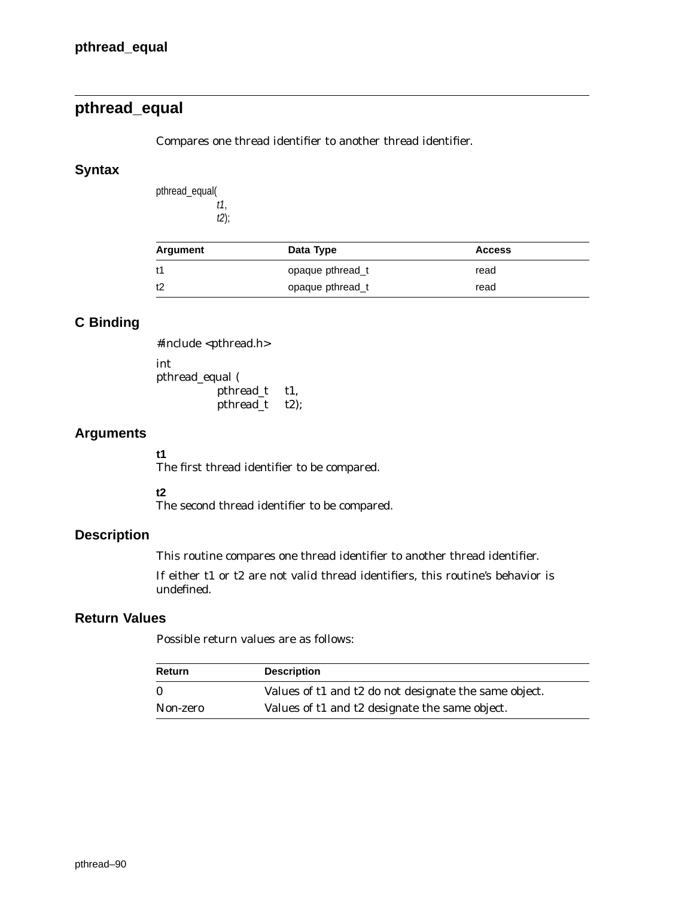# **pthread\_equal**

Compares one thread identifier to another thread identifier.

## **Syntax**

pthread\_equal( t1, t2);

| Argument | Data Type        | <b>Access</b> |  |
|----------|------------------|---------------|--|
| t1       | opaque pthread t | read          |  |
| t2       | opaque pthread_t | read          |  |

# **C Binding**

#include <pthread.h> int pthread\_equal ( pthread\_t *t1,* pthread\_t *t2*);

## **Arguments**

**t1**

The first thread identifier to be compared.

## **t2**

The second thread identifier to be compared.

## **Description**

This routine compares one thread identifier to another thread identifier.

If either *t1* or *t2* are not valid thread identifiers, this routine's behavior is undefined.

## **Return Values**

Possible return values are as follows:

| <b>Return</b> | <b>Description</b>                                    |
|---------------|-------------------------------------------------------|
|               | Values of t1 and t2 do not designate the same object. |
| Non-zero      | Values of t1 and t2 designate the same object.        |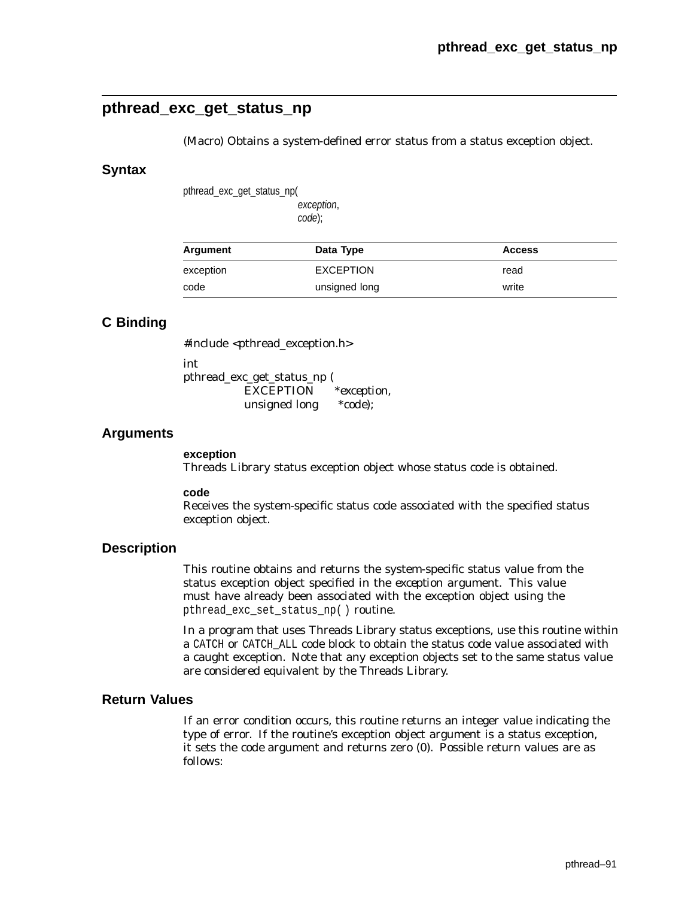# **pthread\_exc\_get\_status\_np**

(Macro) Obtains a system-defined error status from a status exception object.

### **Syntax**

pthread\_exc\_get\_status\_np(

exception, code);

| Argument  | Data Type        | <b>Access</b> |
|-----------|------------------|---------------|
| exception | <b>EXCEPTION</b> | read          |
| code      | unsigned long    | write         |

## **C Binding**

#include <pthread\_exception.h>

int

pthread\_exc\_get\_status\_np ( EXCEPTION \**exception,* unsigned long \**code*);

### **Arguments**

#### **exception**

Threads Library status exception object whose status code is obtained.

#### **code**

Receives the system-specific status code associated with the specified status exception object.

### **Description**

This routine obtains and returns the system-specific status value from the status exception object specified in the *exception* argument. This value must have already been associated with the exception object using the pthread exc set status np( ) routine.

In a program that uses Threads Library status exceptions, use this routine within a CATCH or CATCH\_ALL code block to obtain the status code value associated with a caught exception. Note that any exception objects set to the same status value are considered equivalent by the Threads Library.

## **Return Values**

If an error condition occurs, this routine returns an integer value indicating the type of error. If the routine's exception object argument is a status exception, it sets the *code* argument and returns zero (0). Possible return values are as follows: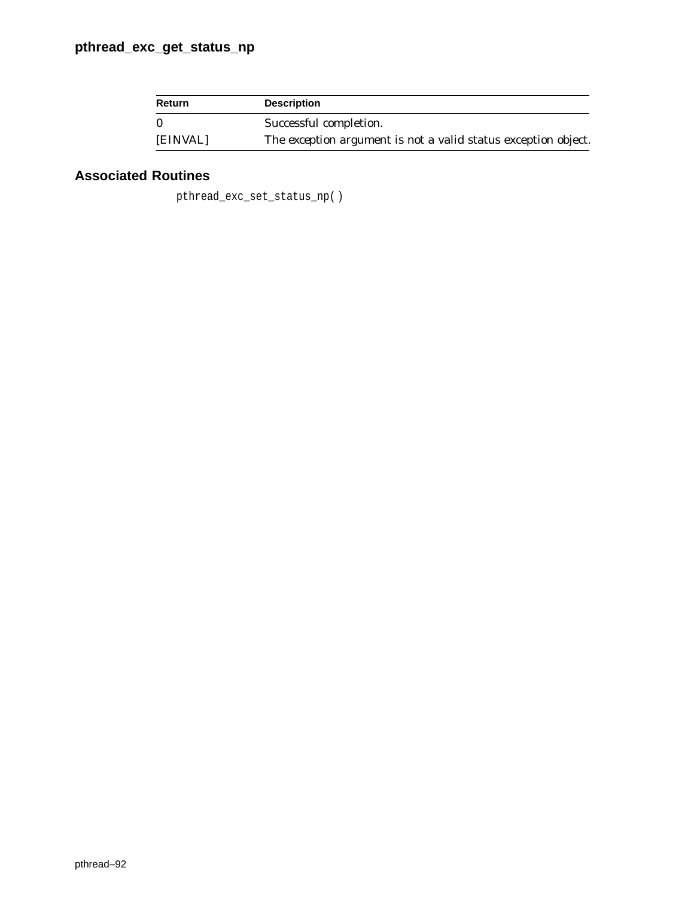| Return   | <b>Description</b>                                                    |
|----------|-----------------------------------------------------------------------|
| $\Omega$ | Successful completion.                                                |
| [EINVAL] | The <i>exception</i> argument is not a valid status exception object. |

# **Associated Routines**

pthread\_exc\_set\_status\_np( )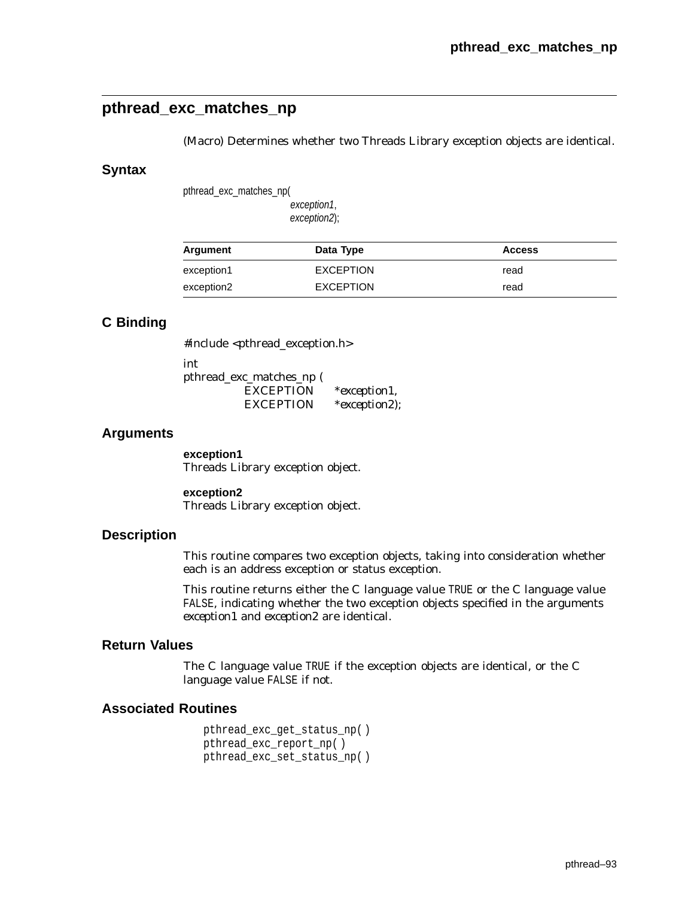# **pthread\_exc\_matches\_np**

(Macro) Determines whether two Threads Library exception objects are identical.

#### **Syntax**

pthread\_exc\_matches\_np(

exception1, exception2);

| Argument   | Data Type        | <b>Access</b> |
|------------|------------------|---------------|
| exception1 | <b>EXCEPTION</b> | read          |
| exception2 | <b>EXCEPTION</b> | read          |

## **C Binding**

#include <pthread\_exception.h>

int pthread\_exc\_matches\_np ( EXCEPTION \**exception1,* EXCEPTION \**exception2*);

### **Arguments**

**exception1** Threads Library exception object.

**exception2** Threads Library exception object.

### **Description**

This routine compares two exception objects, taking into consideration whether each is an address exception or status exception.

This routine returns either the C language value TRUE or the C language value FALSE, indicating whether the two exception objects specified in the arguments *exception1* and *exception2* are identical.

## **Return Values**

The C language value TRUE if the exception objects are identical, or the C language value FALSE if not.

#### **Associated Routines**

pthread\_exc\_get\_status\_np( ) pthread\_exc\_report\_np( ) pthread\_exc\_set\_status\_np( )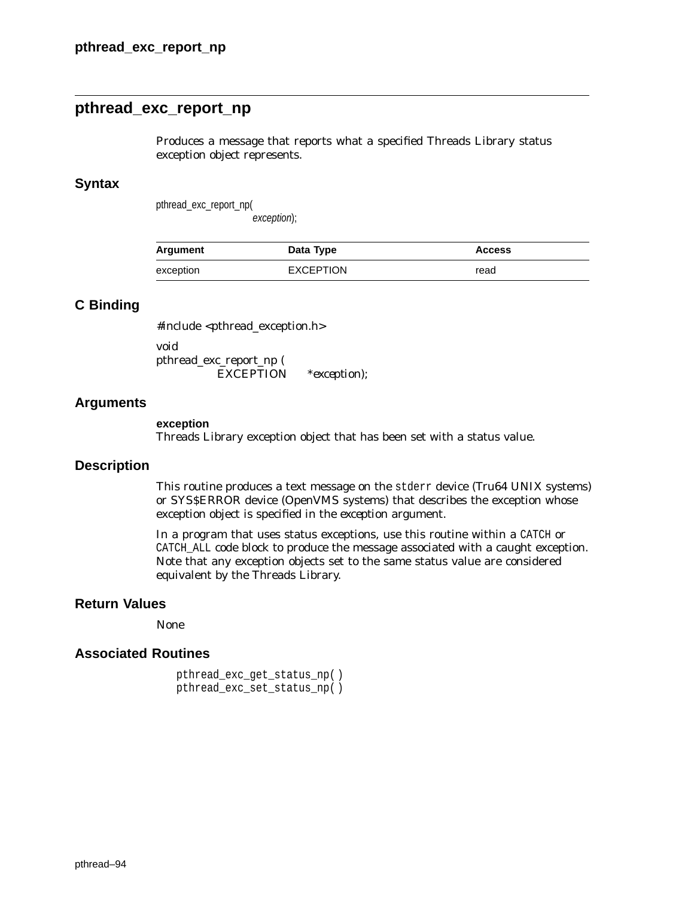## **pthread\_exc\_report\_np**

Produces a message that reports what a specified Threads Library status exception object represents.

### **Syntax**

pthread\_exc\_report\_np(

exception);

| Argument  | Data Type        | <b>Access</b> |
|-----------|------------------|---------------|
| exception | <b>EXCEPTION</b> | read          |

## **C Binding**

#include <pthread\_exception.h> void pthread\_exc\_report\_np (

EXCEPTION \**exception*);

### **Arguments**

#### **exception**

Threads Library exception object that has been set with a status value.

#### **Description**

This routine produces a text message on the stderr device (Tru64 UNIX systems) or SYS\$ERROR device (OpenVMS systems) that describes the exception whose exception object is specified in the *exception* argument.

In a program that uses status exceptions, use this routine within a CATCH or CATCH\_ALL code block to produce the message associated with a caught exception. Note that any exception objects set to the same status value are considered equivalent by the Threads Library.

### **Return Values**

None

```
pthread_exc_get_status_np( )
pthread_exc_set_status_np( )
```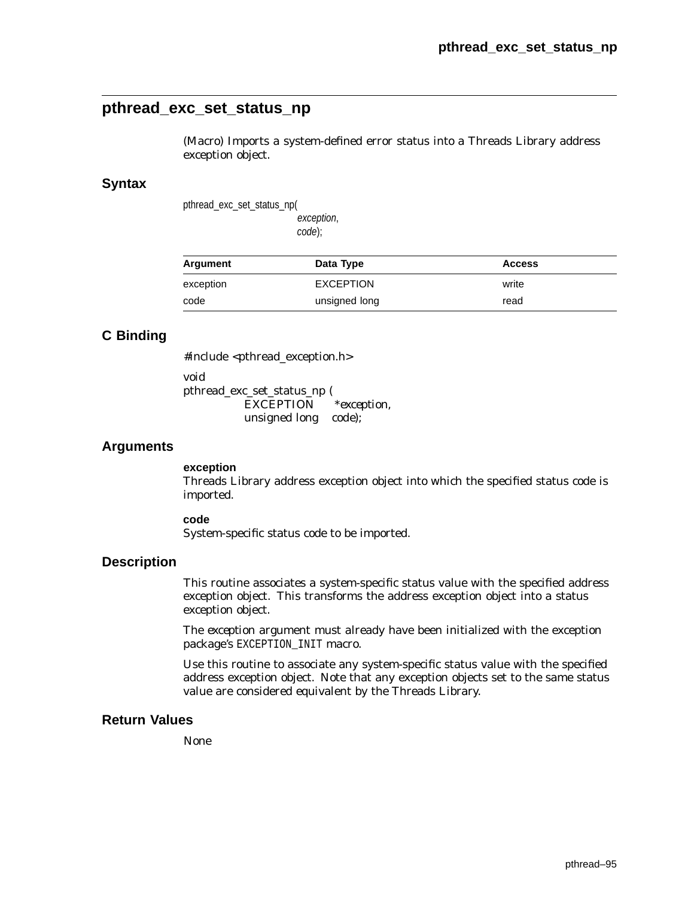## **pthread\_exc\_set\_status\_np**

(Macro) Imports a system-defined error status into a Threads Library address exception object.

#### **Syntax**

pthread\_exc\_set\_status\_np( exception,

code);

| Argument  | Data Type        | <b>Access</b> |
|-----------|------------------|---------------|
| exception | <b>EXCEPTION</b> | write         |
| code      | unsigned long    | read          |

## **C Binding**

#include <pthread\_exception.h>

void pthread\_exc\_set\_status\_np ( EXCEPTION \**exception,* unsigned long *code*);

#### **Arguments**

### **exception**

Threads Library address exception object into which the specified status code is imported.

#### **code**

System-specific status code to be imported.

### **Description**

This routine associates a system-specific status value with the specified address exception object. This transforms the address exception object into a status exception object.

The *exception* argument must already have been initialized with the exception package's EXCEPTION\_INIT macro.

Use this routine to associate any system-specific status value with the specified address exception object. Note that any exception objects set to the same status value are considered equivalent by the Threads Library.

### **Return Values**

None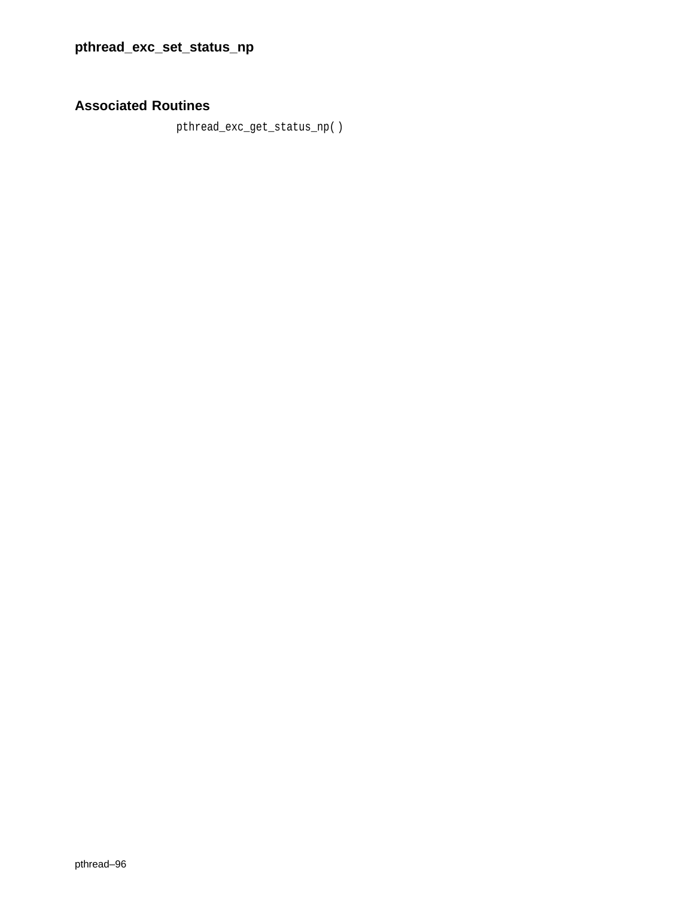# **Associated Routines**

pthread\_exc\_get\_status\_np( )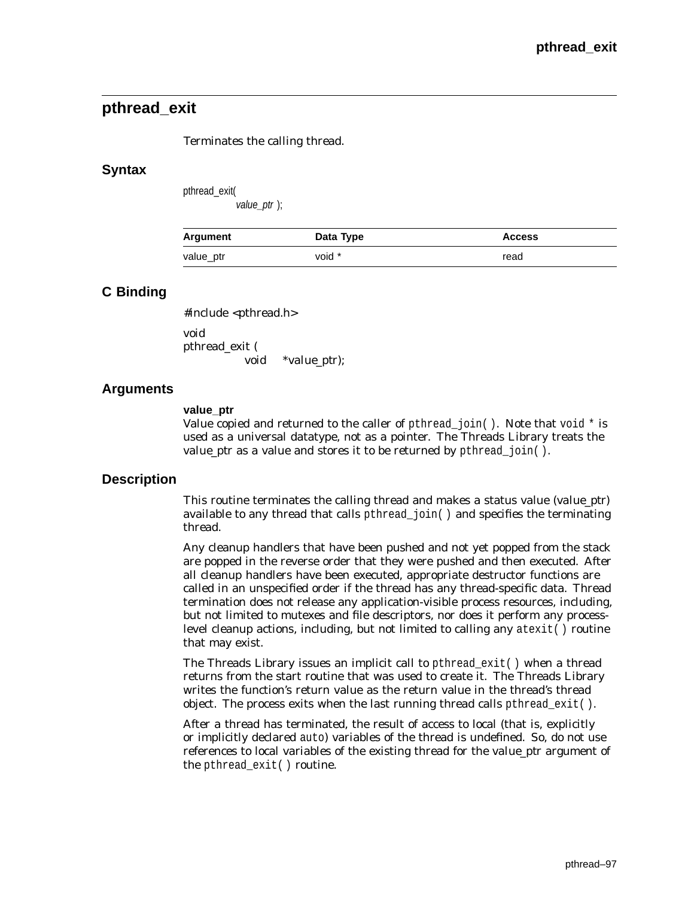# **pthread\_exit**

#### Terminates the calling thread.

#### **Syntax**

pthread\_exit( value\_ptr );

| Argument  | Data Type | <b>Access</b> |
|-----------|-----------|---------------|
| value ptr | void *    | read          |

### **C Binding**

#include <pthread.h>

void pthread\_exit ( void \**value\_ptr*);

### **Arguments**

#### **value\_ptr**

Value copied and returned to the caller of pthread\_join( ). Note that void  $*$  is used as a universal datatype, not as a pointer. The Threads Library treats the *value\_ptr* as a value and stores it to be returned by pthread\_join( ).

### **Description**

This routine terminates the calling thread and makes a status value (*value\_ptr*) available to any thread that calls pthread  $join( )$  and specifies the terminating thread.

Any cleanup handlers that have been pushed and not yet popped from the stack are popped in the reverse order that they were pushed and then executed. After all cleanup handlers have been executed, appropriate destructor functions are called in an unspecified order if the thread has any thread-specific data. Thread termination does *not* release any application-visible process resources, including, but not limited to mutexes and file descriptors, nor does it perform any processlevel cleanup actions, including, but not limited to calling any atexit( ) routine that may exist.

The Threads Library issues an implicit call to pthread\_exit( ) when a thread returns from the start routine that was used to create it. The Threads Library writes the function's return value as the return value in the thread's thread object. The process exits when the last running thread calls pthread\_exit( ).

After a thread has terminated, the result of access to local (that is, explicitly or implicitly declared auto) variables of the thread is undefined. So, do not use references to local variables of the existing thread for the *value\_ptr* argument of the pthread\_exit( ) routine.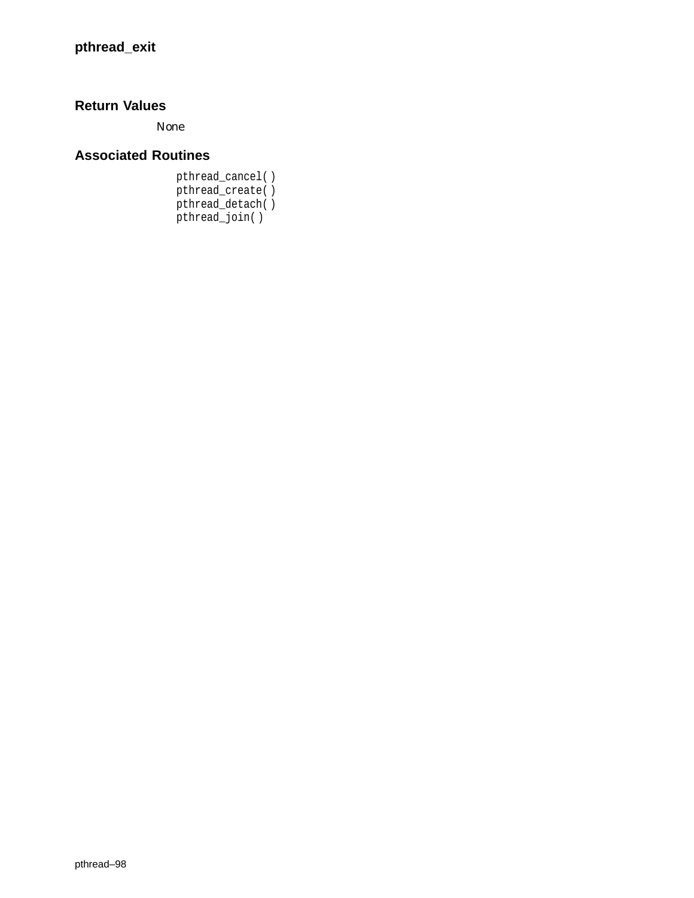# **Return Values**

None

# **Associated Routines**

pthread\_cancel( ) pthread\_create( ) pthread\_detach( ) pthread\_join( )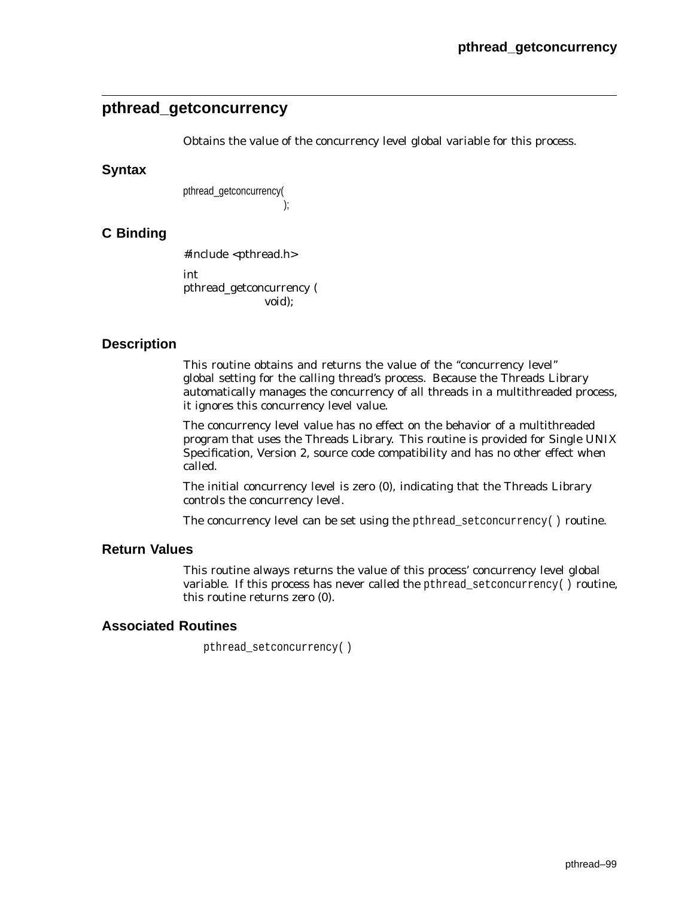# **pthread\_getconcurrency**

Obtains the value of the concurrency level global variable for this process.

### **Syntax**

pthread\_getconcurrency( );

## **C Binding**

#include <pthread.h> int pthread\_getconcurrency ( void);

### **Description**

This routine obtains and returns the value of the ''concurrency level'' global setting for the calling thread's process. Because the Threads Library automatically manages the concurrency of all threads in a multithreaded process, it ignores this concurrency level value.

The concurrency level value has no effect on the behavior of a multithreaded program that uses the Threads Library. This routine is provided for Single UNIX Specification, Version 2, source code compatibility and has no other effect when called.

The initial concurrency level is zero (0), indicating that the Threads Library controls the concurrency level.

The concurrency level can be set using the pthread\_set concurrency( $\cdot$ ) routine.

## **Return Values**

This routine always returns the value of this process' concurrency level global variable. If this process has never called the pthread\_setconcurrency( ) routine, this routine returns zero (0).

### **Associated Routines**

pthread\_setconcurrency( )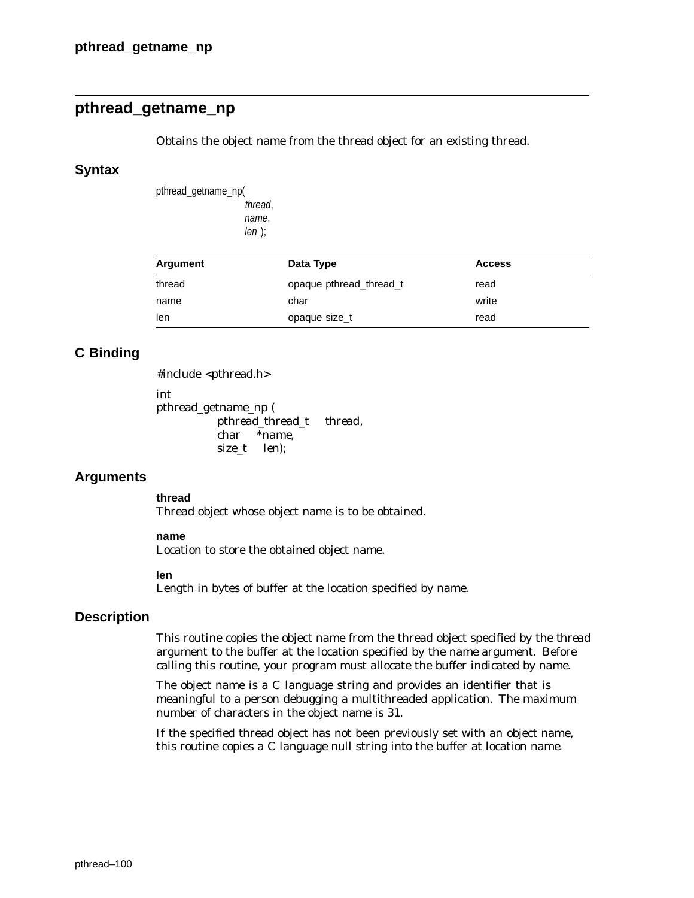# **pthread\_getname\_np**

Obtains the object name from the thread object for an existing thread.

### **Syntax**

pthread\_getname\_np( thread, name,  $len$  );

| Argument | Data Type               | <b>Access</b> |  |
|----------|-------------------------|---------------|--|
| thread   | opaque pthread thread t | read          |  |
| name     | char                    | write         |  |
| len      | opaque size_t           | read          |  |

## **C Binding**

#include <pthread.h>

int

pthread\_getname\_np ( pthread\_thread\_t *thread*, char *\*name*, size\_t *len*);

## **Arguments**

**thread**

Thread object whose object name is to be obtained.

#### **name**

Location to store the obtained object name.

#### **len**

Length in bytes of buffer at the location specified by *name*.

## **Description**

This routine copies the object name from the thread object specified by the *thread* argument to the buffer at the location specified by the *name* argument. Before calling this routine, your program must allocate the buffer indicated by *name*.

The object name is a C language string and provides an identifier that is meaningful to a person debugging a multithreaded application. The maximum number of characters in the object name is 31.

If the specified thread object has not been previously set with an object name, this routine copies a C language null string into the buffer at location *name*.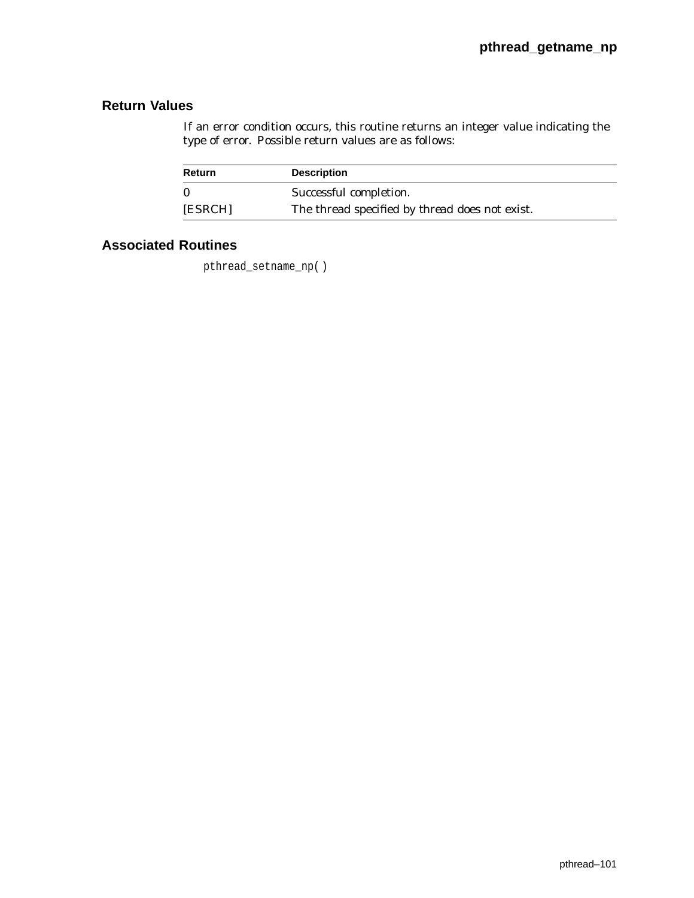# **Return Values**

If an error condition occurs, this routine returns an integer value indicating the type of error. Possible return values are as follows:

| <b>Return</b> | <b>Description</b>                                    |  |
|---------------|-------------------------------------------------------|--|
| 0             | Successful completion.                                |  |
| [ESRCH]       | The thread specified by <i>thread</i> does not exist. |  |

# **Associated Routines**

pthread\_setname\_np( )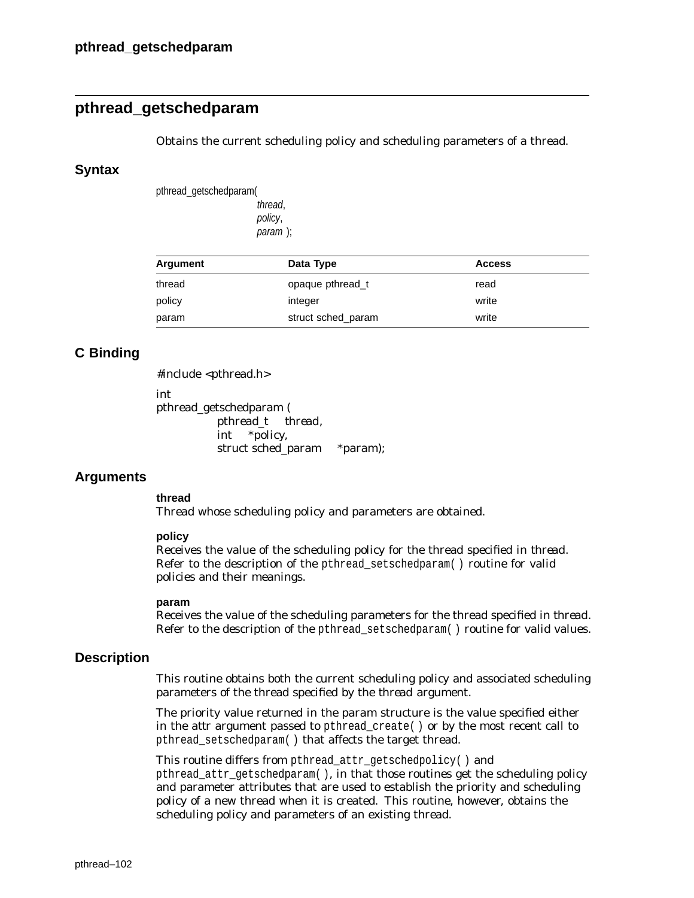## **pthread\_getschedparam**

Obtains the current scheduling policy and scheduling parameters of a thread.

#### **Syntax**

pthread\_getschedparam( thread, policy, param );

| Argument | Data Type          | <b>Access</b> |  |
|----------|--------------------|---------------|--|
| thread   | opaque pthread t   | read          |  |
| policy   | integer            | write         |  |
| param    | struct sched param | write         |  |

### **C Binding**

#include <pthread.h>

int

pthread\_getschedparam ( pthread\_t *thread*, int \**policy*, struct sched\_param \**param*);

### **Arguments**

#### **thread**

Thread whose scheduling policy and parameters are obtained.

#### **policy**

Receives the value of the scheduling policy for the thread specified in *thread*. Refer to the description of the pthread\_setschedparam( ) routine for valid policies and their meanings.

#### **param**

Receives the value of the scheduling parameters for the thread specified in *thread*. Refer to the description of the pthread\_setschedparam( ) routine for valid values.

### **Description**

This routine obtains both the current scheduling policy and associated scheduling parameters of the thread specified by the *thread* argument.

The priority value returned in the *param* structure is the value specified either in the *attr* argument passed to pthread create() or by the most recent call to pthread\_setschedparam( ) that affects the target thread.

This routine differs from pthread\_attr\_getschedpolicy( ) and pthread\_attr\_getschedparam( ), in that those routines get the scheduling policy and parameter attributes that are used to establish the priority and scheduling policy of a new thread when it is created. This routine, however, obtains the scheduling policy and parameters of an existing thread.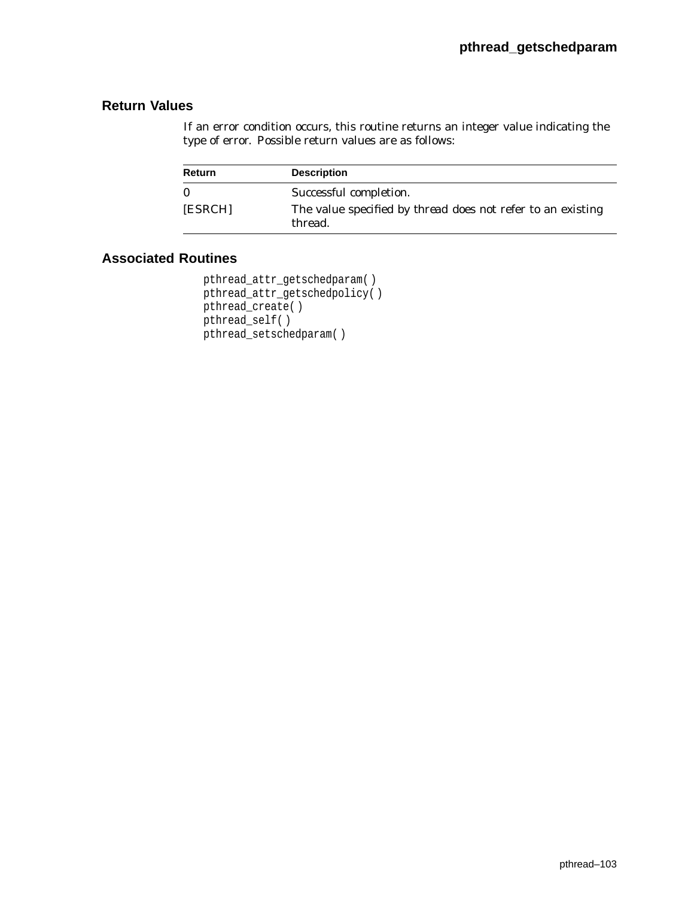## **Return Values**

If an error condition occurs, this routine returns an integer value indicating the type of error. Possible return values are as follows:

| <b>Return</b> | <b>Description</b>                                                            |
|---------------|-------------------------------------------------------------------------------|
| $\mathbf{0}$  | Successful completion.                                                        |
| [ESRCH]       | The value specified by <i>thread</i> does not refer to an existing<br>thread. |

```
pthread_attr_getschedparam( )
pthread_attr_getschedpolicy( )
pthread_create( )
pthread_self( )
pthread_setschedparam( )
```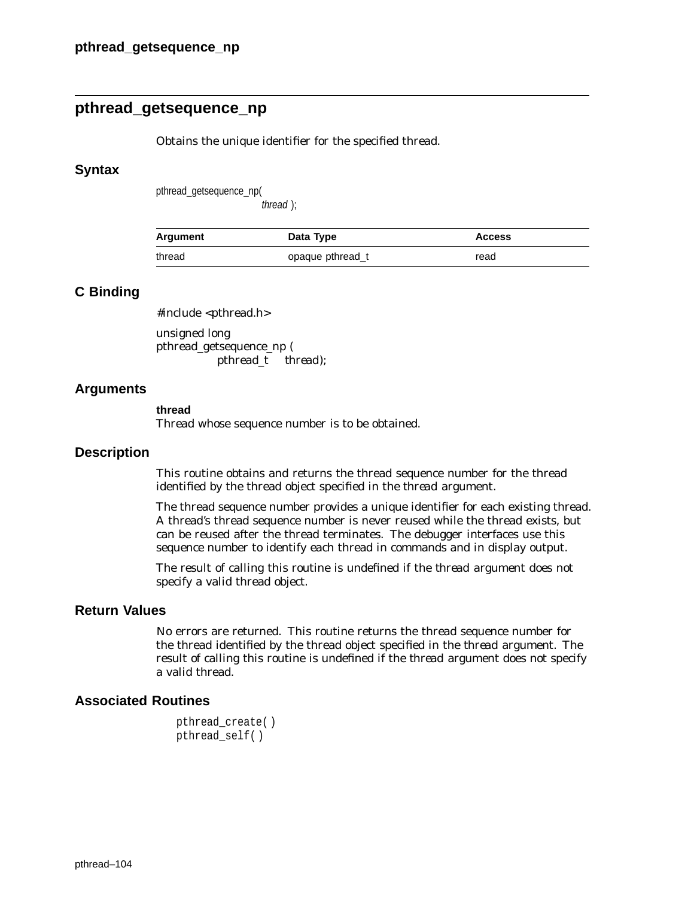# **pthread\_getsequence\_np**

Obtains the unique identifier for the specified thread.

#### **Syntax**

pthread\_getsequence\_np(

thread );

| Argument | Data Type        | <b>Access</b> |
|----------|------------------|---------------|
| thread   | opaque pthread t | read          |

## **C Binding**

#include <pthread.h>

unsigned long pthread\_getsequence\_np ( pthread\_t *thread*);

### **Arguments**

#### **thread**

Thread whose sequence number is to be obtained.

#### **Description**

This routine obtains and returns the thread sequence number for the thread identified by the thread object specified in the *thread* argument.

The thread sequence number provides a unique identifier for each existing thread. A thread's thread sequence number is never reused while the thread exists, but can be reused after the thread terminates. The debugger interfaces use this sequence number to identify each thread in commands and in display output.

The result of calling this routine is undefined if the *thread* argument does not specify a valid thread object.

## **Return Values**

No errors are returned. This routine returns the thread sequence number for the thread identified by the thread object specified in the *thread* argument. The result of calling this routine is undefined if the *thread* argument does not specify a valid thread.

```
pthread_create( )
pthread_self( )
```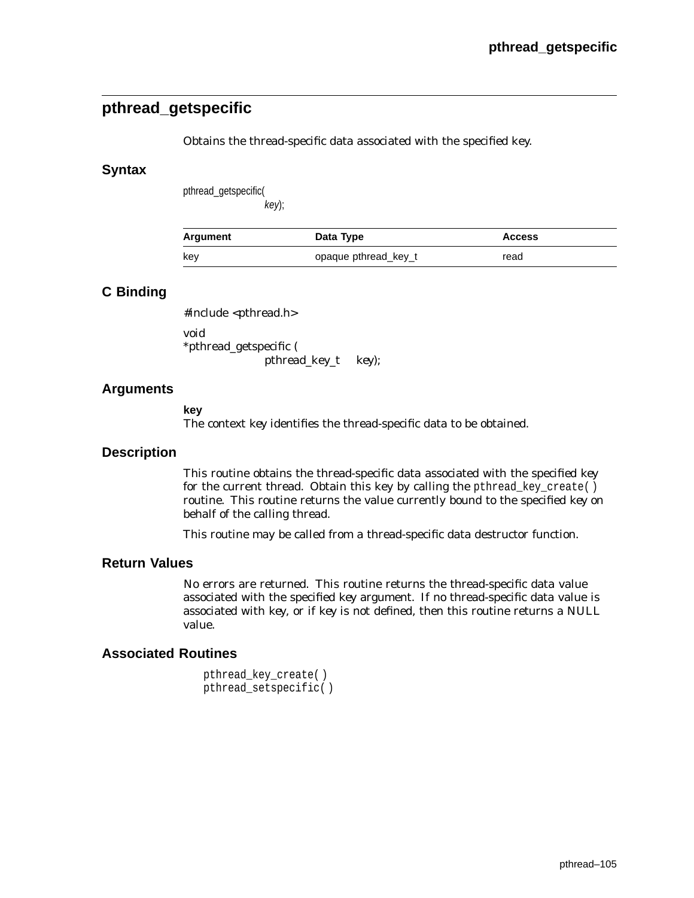# **pthread\_getspecific**

Obtains the thread-specific data associated with the specified key.

## **Syntax**

pthread\_getspecific( key);

| Argument | Data Type            | <b>Access</b> |
|----------|----------------------|---------------|
| kev      | opaque pthread_key_t | read          |

## **C Binding**

#include <pthread.h> void \*pthread\_getspecific (

pthread\_key\_t *key*);

## **Arguments**

**key** The context *key* identifies the thread-specific data to be obtained.

### **Description**

This routine obtains the thread-specific data associated with the specified *key* for the current thread. Obtain this key by calling the pthread\_key\_create( ) routine. This routine returns the value currently bound to the specified *key* on behalf of the calling thread.

This routine may be called from a thread-specific data destructor function.

### **Return Values**

No errors are returned. This routine returns the thread-specific data value associated with the specified *key* argument. If no thread-specific data value is associated with *key*, or if *key* is not defined, then this routine returns a NULL value.

```
pthread_key_create( )
pthread_setspecific( )
```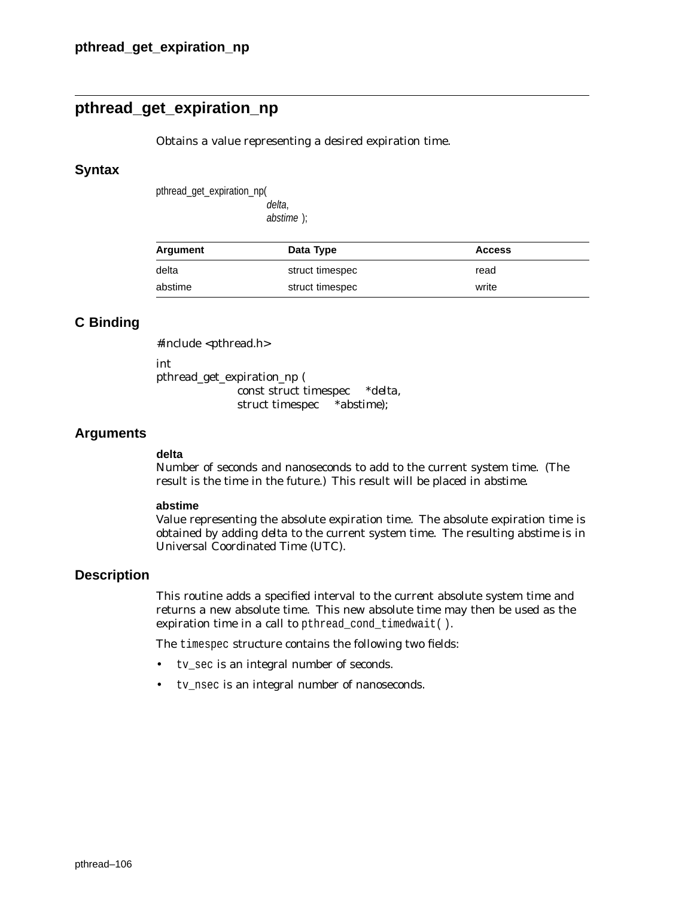# **pthread\_get\_expiration\_np**

Obtains a value representing a desired expiration time.

### **Syntax**

pthread\_get\_expiration\_np(

delta, abstime );

| Argument | Data Type       | <b>Access</b> |
|----------|-----------------|---------------|
| delta    | struct timespec | read          |
| abstime  | struct timespec | write         |

## **C Binding**

#include <pthread.h>

int

pthread\_get\_expiration\_np ( const struct timespec \**delta*, struct timespec \**abstime*);

## **Arguments**

#### **delta**

Number of seconds and nanoseconds to add to the current system time. (The result is the time in the future.) This result will be placed in *abstime*.

#### **abstime**

Value representing the absolute expiration time. The absolute expiration time is obtained by adding *delta* to the current system time. The resulting *abstime* is in Universal Coordinated Time (UTC).

## **Description**

This routine adds a specified interval to the current absolute system time and returns a new absolute time. This new absolute time may then be used as the expiration time in a call to pthread\_cond\_timedwait().

The timespec structure contains the following two fields:

- tv\_sec is an integral number of seconds.
- tv\_nsec is an integral number of nanoseconds.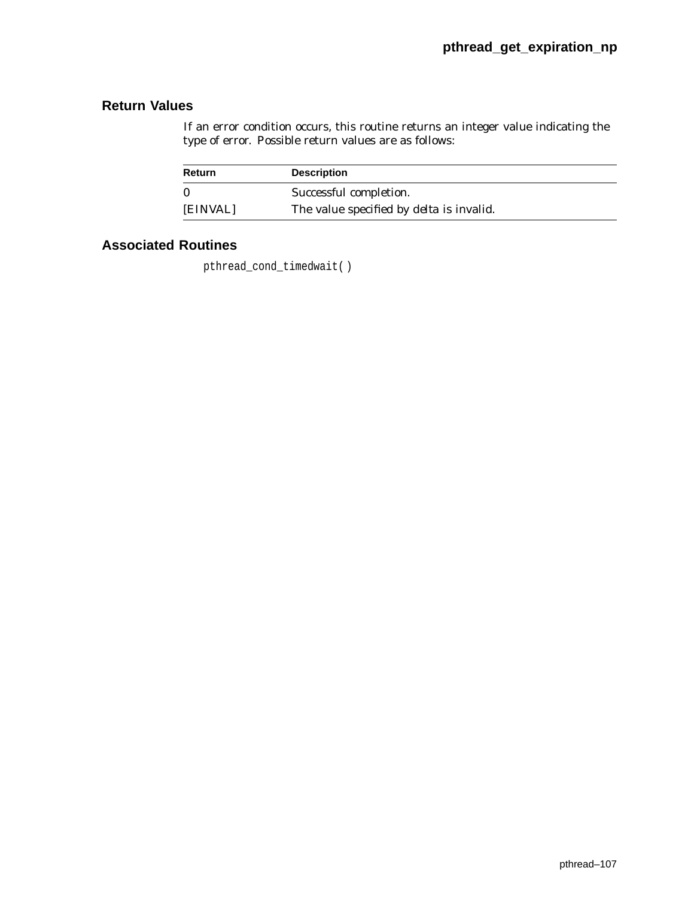# **Return Values**

If an error condition occurs, this routine returns an integer value indicating the type of error. Possible return values are as follows:

| Return   | <b>Description</b>                              |
|----------|-------------------------------------------------|
|          | Successful completion.                          |
| [EINVAL] | The value specified by <i>delta</i> is invalid. |

# **Associated Routines**

pthread\_cond\_timedwait( )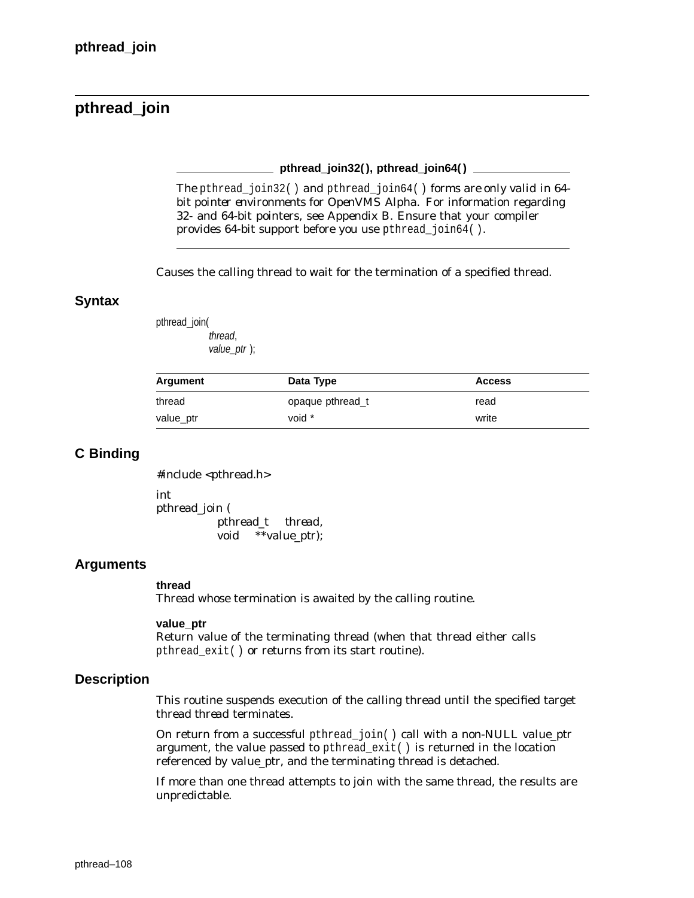# **pthread\_join**

**pthread\_join32( ), pthread\_join64( )**

*The* pthread\_join32( ) *and* pthread\_join64( ) *forms are only valid in 64 bit pointer environments for OpenVMS Alpha.* For information regarding 32- and 64-bit pointers, see Appendix B. Ensure that your compiler provides 64-bit support before you use pthread\_join64( ).

Causes the calling thread to wait for the termination of a specified thread.

### **Syntax**

pthread\_join( thread, value\_ptr );

| Argument  | Data Type        | <b>Access</b> |  |
|-----------|------------------|---------------|--|
| thread    | opaque pthread t | read          |  |
| value_ptr | void *           | write         |  |

## **C Binding**

#include <pthread.h>

int pthread\_join ( pthread\_t *thread*, void \*\**value\_ptr*);

## **Arguments**

#### **thread**

Thread whose termination is awaited by the calling routine.

#### **value\_ptr**

Return value of the terminating thread (when that thread either calls pthread\_exit( ) or returns from its start routine).

## **Description**

This routine suspends execution of the calling thread until the specified target thread *thread* terminates.

On return from a successful pthread\_join( ) call with a non-NULL *value\_ptr* argument, the value passed to pthread\_exit( ) is returned in the location referenced by *value\_ptr*, and the terminating thread is detached.

If more than one thread attempts to join with the same thread, the results are unpredictable.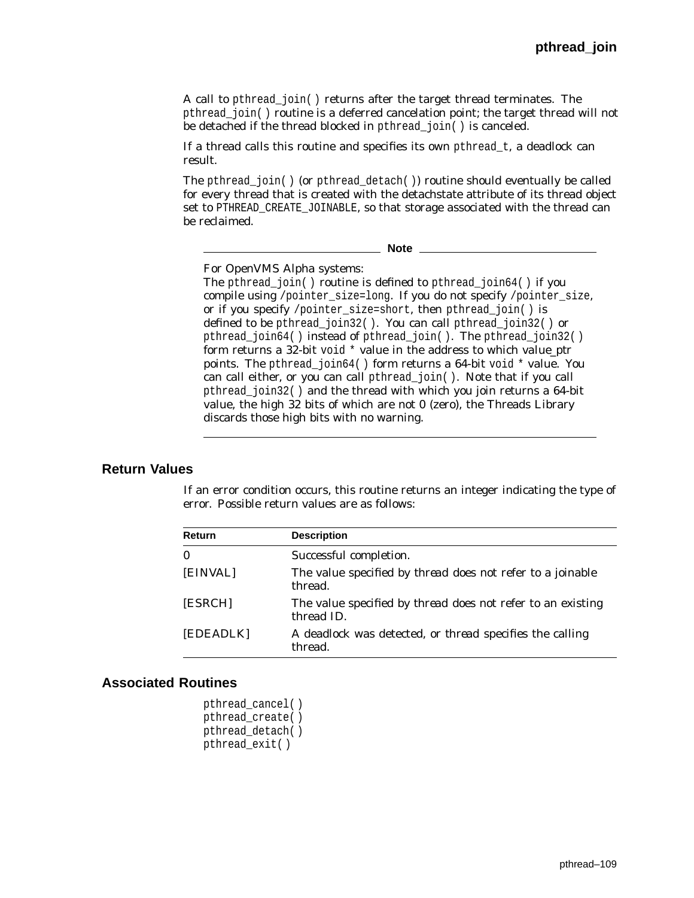A call to pthread\_join( ) returns after the target thread terminates. The pthread\_join( ) routine is a deferred cancelation point; the target thread will not be detached if the thread blocked in pthread join() is canceled.

If a thread calls this routine and specifies its own pthread\_t, a deadlock can result.

The pthread\_join( ) (or pthread\_detach( )) routine should eventually be called for every thread that is created with the detachstate attribute of its thread object set to PTHREAD CREATE JOINABLE, so that storage associated with the thread can be reclaimed.

**Note**

For OpenVMS Alpha systems:

The pthread\_join( ) routine is defined to pthread\_join64( ) if you compile using /pointer\_size=long. If you do not specify /pointer\_size, or if you specify /pointer\_size=short, then pthread\_join( ) is defined to be pthread\_join32( ). You can call pthread\_join32( ) or pthread\_join64( ) instead of pthread\_join( ). The pthread\_join32( ) form returns a 32-bit void \* value in the address to which *value\_ptr* points. The pthread\_join64( ) form returns a 64-bit void \* value. You can call either, or you can call pthread\_join( ). Note that if you call pthread\_join32( ) and the thread with which you join returns a 64-bit value, the high 32 bits of which are not 0 (zero), the Threads Library discards those high bits with no warning.

### **Return Values**

If an error condition occurs, this routine returns an integer indicating the type of error. Possible return values are as follows:

| <b>Return</b> | <b>Description</b>                                                               |
|---------------|----------------------------------------------------------------------------------|
| $\mathbf{0}$  | Successful completion.                                                           |
| [EINVAL]      | The value specified by <i>thread</i> does not refer to a joinable<br>thread.     |
| [ESRCH]       | The value specified by <i>thread</i> does not refer to an existing<br>thread ID. |
| [EDEADLK]     | A deadlock was detected, or <i>thread</i> specifies the calling<br>thread.       |

| pthread cancel() |  |
|------------------|--|
| pthread_create() |  |
| pthread detach() |  |
| pthread exit()   |  |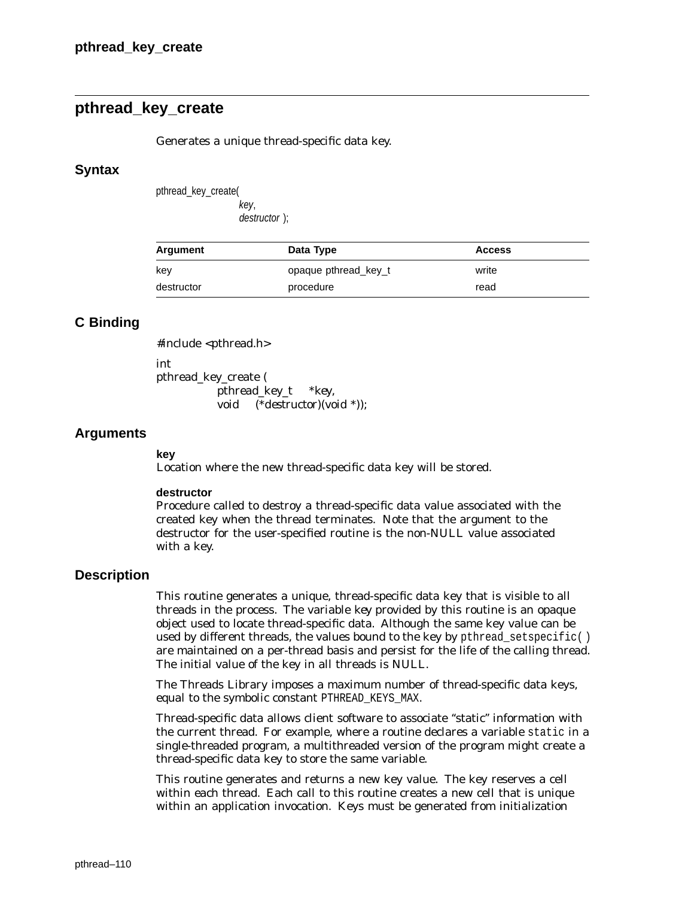# **pthread\_key\_create**

Generates a unique thread-specific data key.

#### **Syntax**

pthread\_key\_create( key,

destructor );

| Argument   | Data Type            | <b>Access</b> |
|------------|----------------------|---------------|
| key        | opaque pthread key t | write         |
| destructor | procedure            | read          |

## **C Binding**

#include <pthread.h>

int

pthread\_key\_create ( pthread\_key\_t \**key*, void (\**destructor*)(void \*));

### **Arguments**

#### **key**

Location where the new thread-specific data key will be stored.

#### **destructor**

Procedure called to destroy a thread-specific data value associated with the created key when the thread terminates. Note that the argument to the destructor for the user-specified routine is the non-NULL value associated with a key.

### **Description**

This routine generates a unique, thread-specific data key that is visible to all threads in the process. The variable *key* provided by this routine is an opaque object used to locate thread-specific data. Although the same key value can be used by different threads, the values bound to the key by pthread setspecific( ) are maintained on a per-thread basis and persist for the life of the calling thread. The initial value of the key in all threads is NULL.

The Threads Library imposes a maximum number of thread-specific data keys, equal to the symbolic constant PTHREAD\_KEYS\_MAX.

Thread-specific data allows client software to associate ''static'' information with the current thread. For example, where a routine declares a variable static in a single-threaded program, a multithreaded version of the program might create a thread-specific data key to store the same variable.

This routine generates and returns a new key value. The key reserves a cell within each thread. Each call to this routine creates a new cell that is unique within an application invocation. Keys must be generated from initialization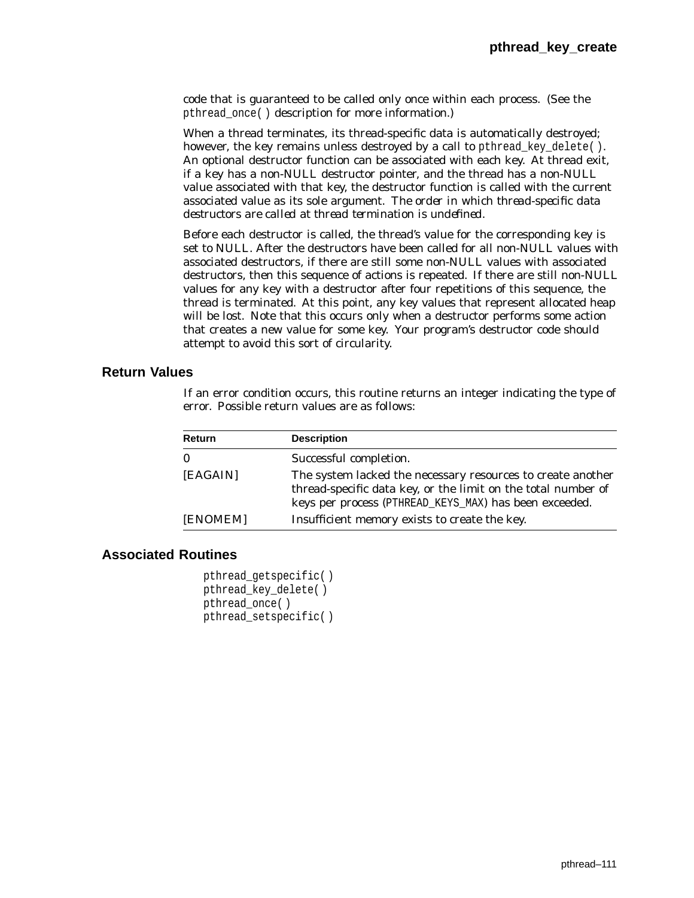code that is guaranteed to be called only once within each process. (See the pthread\_once( ) description for more information.)

When a thread terminates, its thread-specific data is automatically destroyed; however, the key remains unless destroyed by a call to pthread key delete( ). An optional destructor function can be associated with each key. At thread exit, if a key has a non-NULL destructor pointer, and the thread has a non-NULL value associated with that key, the destructor function is called with the current associated value as its sole argument. *The order in which thread-specific data destructors are called at thread termination is undefined.*

Before each destructor is called, the thread's value for the corresponding key is set to NULL. After the destructors have been called for all non-NULL values with associated destructors, if there are still some non-NULL values with associated destructors, then this sequence of actions is repeated. If there are still non-NULL values for any key with a destructor after four repetitions of this sequence, the thread is terminated. At this point, any key values that represent allocated heap will be lost. Note that this occurs only when a destructor performs some action that creates a new value for some key. Your program's destructor code should attempt to avoid this sort of circularity.

### **Return Values**

If an error condition occurs, this routine returns an integer indicating the type of error. Possible return values are as follows:

| Return   | <b>Description</b>                                                                                                                                                                     |
|----------|----------------------------------------------------------------------------------------------------------------------------------------------------------------------------------------|
| $\bf{0}$ | Successful completion.                                                                                                                                                                 |
| [EAGAIN] | The system lacked the necessary resources to create another<br>thread-specific data key, or the limit on the total number of<br>keys per process (PTHREAD_KEYS_MAX) has been exceeded. |
| [ENOMEM] | Insufficient memory exists to create the key.                                                                                                                                          |

## **Associated Routines**

pthread\_getspecific( ) pthread\_key\_delete( ) pthread\_once( ) pthread\_setspecific( )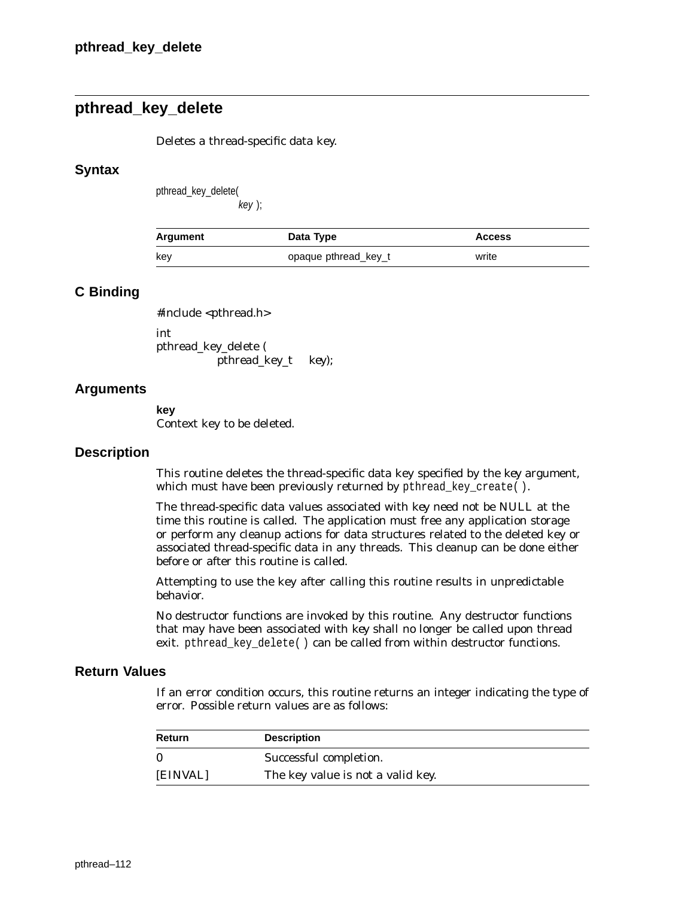# **pthread\_key\_delete**

Deletes a thread-specific data key.

### **Syntax**

pthread\_key\_delete(

key );

| Argument | Data Type            | <b>Access</b> |
|----------|----------------------|---------------|
| kev      | opaque pthread_key_t | write         |

## **C Binding**

#include <pthread.h> int pthread\_key\_delete (

pthread\_key\_t *key*);

### **Arguments**

**key**

Context key to be deleted.

### **Description**

This routine deletes the thread-specific data key specified by the *key* argument, which must have been previously returned by pthread\_key\_create( ).

The thread-specific data values associated with *key* need not be NULL at the time this routine is called. The application must free any application storage or perform any cleanup actions for data structures related to the deleted key or associated thread-specific data in any threads. This cleanup can be done either before or after this routine is called.

Attempting to use the key after calling this routine results in unpredictable behavior.

No destructor functions are invoked by this routine. Any destructor functions that may have been associated with *key* shall no longer be called upon thread exit. pthread\_key\_delete( ) can be called from within destructor functions.

### **Return Values**

If an error condition occurs, this routine returns an integer indicating the type of error. Possible return values are as follows:

| <b>Return</b> | <b>Description</b>                |
|---------------|-----------------------------------|
|               | Successful completion.            |
| [EINVAL]      | The key value is not a valid key. |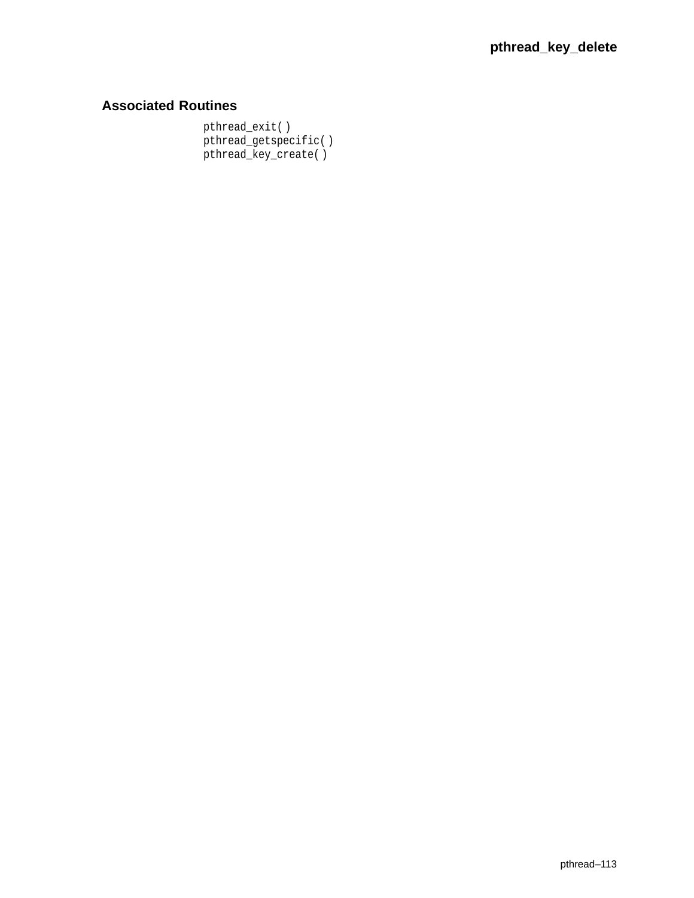# **Associated Routines**

pthread\_exit( ) pthread\_getspecific( ) pthread\_key\_create( )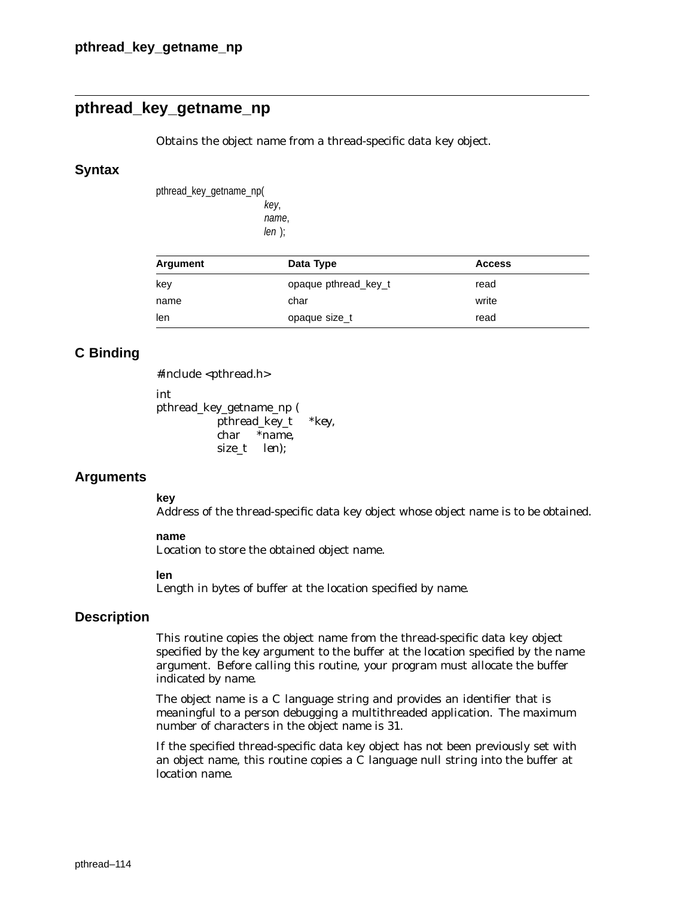# **pthread\_key\_getname\_np**

Obtains the object name from a thread-specific data key object.

#### **Syntax**

pthread\_key\_getname\_np( key, name,

len );

| Argument | Data Type            | <b>Access</b> |
|----------|----------------------|---------------|
| key      | opaque pthread_key_t | read          |
| name     | char                 | write         |
| len      | opaque size_t        | read          |

## **C Binding**

#include <pthread.h>

int

pthread\_key\_getname\_np ( pthread\_key\_t *\*key*, char *\*name*, size\_t *len*);

### **Arguments**

#### **key**

Address of the thread-specific data key object whose object name is to be obtained.

#### **name**

Location to store the obtained object name.

#### **len**

Length in bytes of buffer at the location specified by *name*.

### **Description**

This routine copies the object name from the thread-specific data key object specified by the *key* argument to the buffer at the location specified by the *name* argument. Before calling this routine, your program must allocate the buffer indicated by *name*.

The object name is a C language string and provides an identifier that is meaningful to a person debugging a multithreaded application. The maximum number of characters in the object name is 31.

If the specified thread-specific data key object has not been previously set with an object name, this routine copies a C language null string into the buffer at location *name*.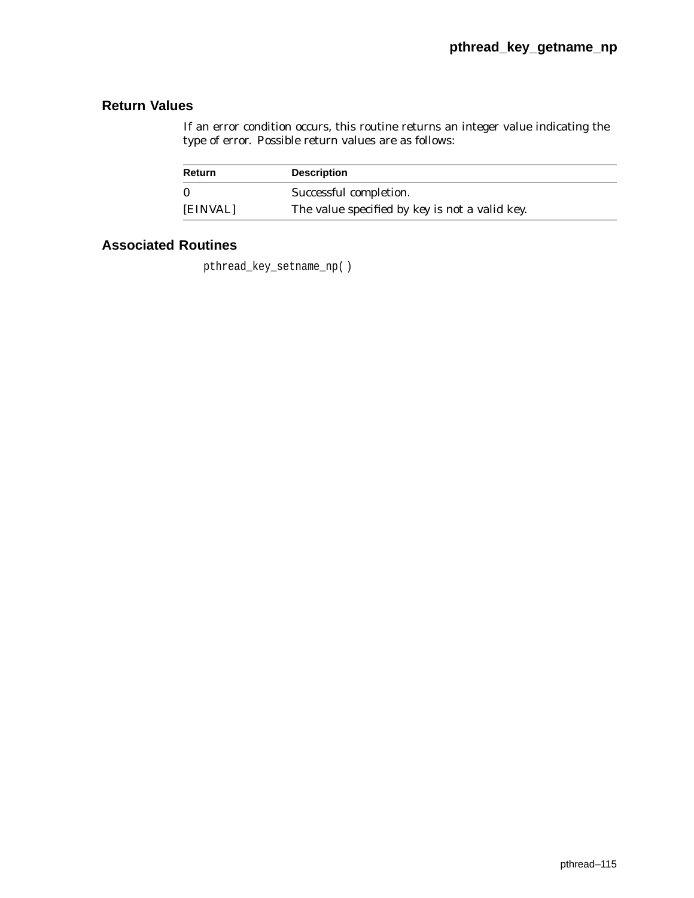If an error condition occurs, this routine returns an integer value indicating the type of error. Possible return values are as follows:

| <b>Return</b> | <b>Description</b>                             |
|---------------|------------------------------------------------|
|               | Successful completion.                         |
| [EINVAL]      | The value specified by key is not a valid key. |

# **Associated Routines**

pthread\_key\_setname\_np( )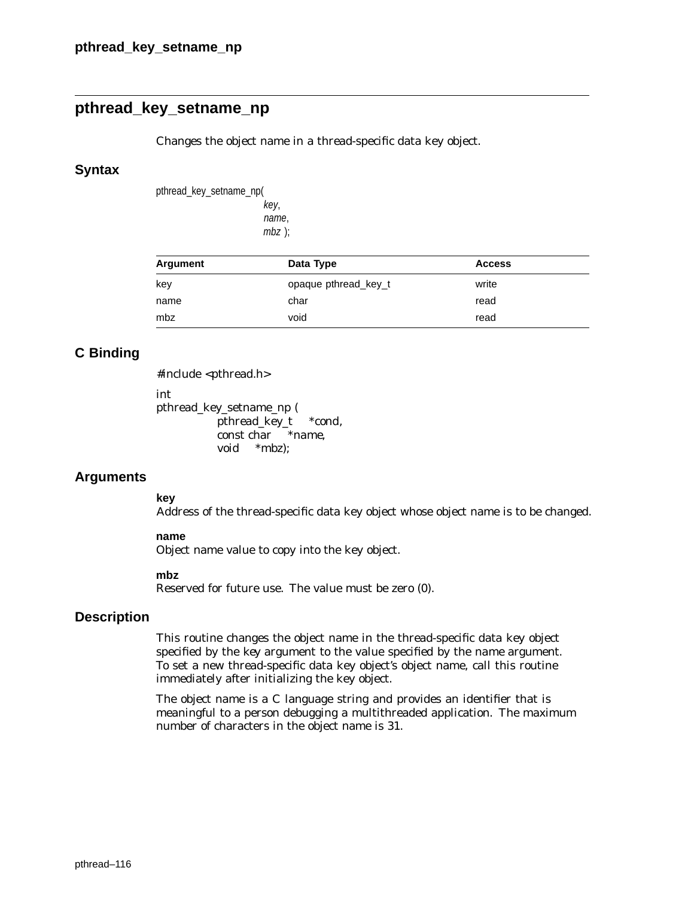# **pthread\_key\_setname\_np**

Changes the object name in a thread-specific data key object.

#### **Syntax**

pthread\_key\_setname\_np( key, name,

mbz );

| Argument | Data Type            | <b>Access</b> |
|----------|----------------------|---------------|
| key      | opaque pthread key t | write         |
| name     | char                 | read          |
| mbz      | void                 | read          |

### **C Binding**

#include <pthread.h>

int

pthread\_key\_setname\_np ( pthread\_key\_t *\*cond*, const char *\*name*, void *\*mbz*);

### **Arguments**

#### **key**

Address of the thread-specific data key object whose object name is to be changed.

#### **name**

Object name value to copy into the key object.

#### **mbz**

Reserved for future use. The value must be zero (0).

### **Description**

This routine changes the object name in the thread-specific data key object specified by the *key* argument to the value specified by the *name* argument. To set a new thread-specific data key object's object name, call this routine immediately after initializing the key object.

The object name is a C language string and provides an identifier that is meaningful to a person debugging a multithreaded application. The maximum number of characters in the object name is 31.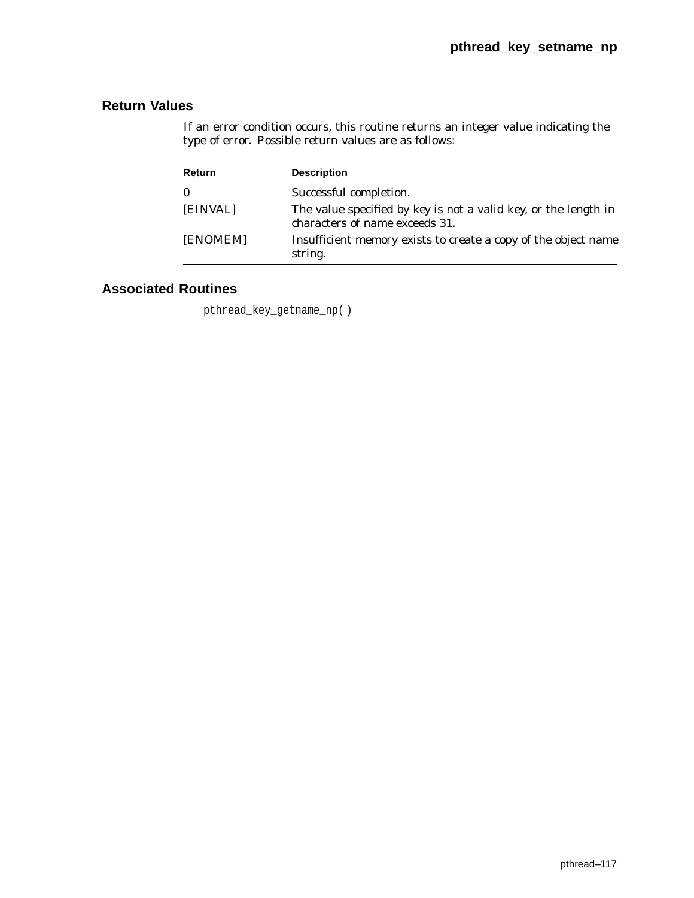If an error condition occurs, this routine returns an integer value indicating the type of error. Possible return values are as follows:

| Return   | <b>Description</b>                                                                                       |
|----------|----------------------------------------------------------------------------------------------------------|
| $\bf{0}$ | Successful completion.                                                                                   |
| [EINVAL] | The value specified by key is not a valid key, or the length in<br>characters of <i>name</i> exceeds 31. |
| [ENOMEM] | Insufficient memory exists to create a copy of the object name<br>string.                                |

# **Associated Routines**

pthread\_key\_getname\_np( )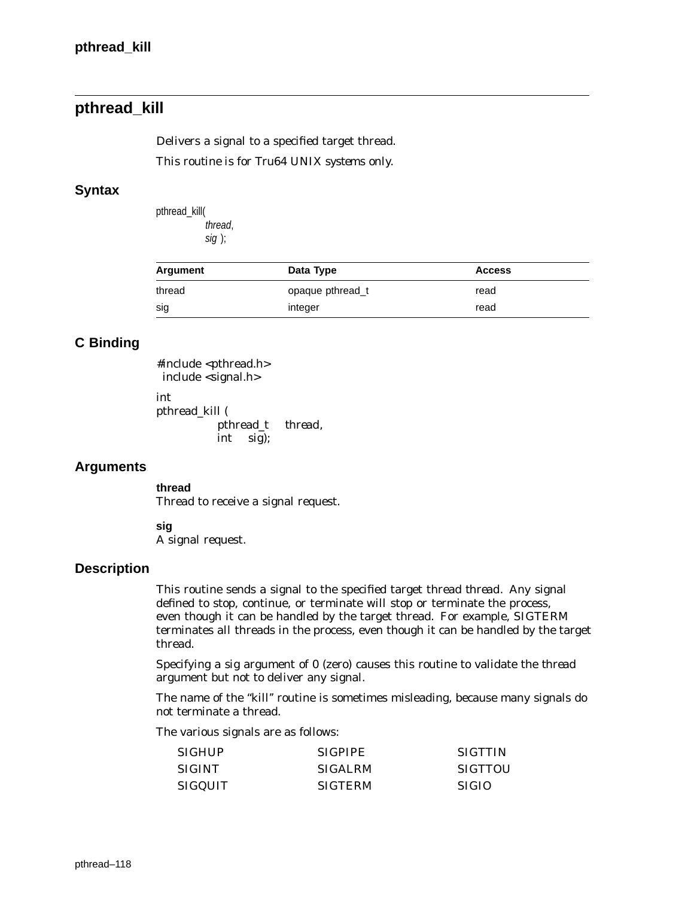# **pthread\_kill**

Delivers a signal to a specified target thread.

*This routine is for Tru64 UNIX systems only.*

### **Syntax**

pthread\_kill( thread, sig );

| Argument | Data Type        | <b>Access</b> |
|----------|------------------|---------------|
| thread   | opaque pthread t | read          |
| sig      | integer          | read          |

# **C Binding**

#include <pthread.h> include <signal.h> int pthread\_kill ( pthread\_t *thread*, int *sig*);

### **Arguments**

**thread** Thread to receive a signal request.

**sig**

A signal request.

### **Description**

This routine sends a signal to the specified target thread *thread*. Any signal defined to stop, continue, or terminate will stop or terminate the process, even though it can be handled by the target thread. For example, SIGTERM terminates *all* threads in the process, even though it can be handled by the target thread.

Specifying a *sig* argument of 0 (zero) causes this routine to validate the *thread* argument but not to deliver any signal.

The name of the "kill" routine is sometimes misleading, because many signals do not terminate a thread.

The various signals are as follows:

| SIGHUP  | <b>SIGPIPE</b> | <b>SIGTTIN</b> |
|---------|----------------|----------------|
| SIGINT  | <b>SIGALRM</b> | SIGTTOU        |
| SIGQUIT | <b>SIGTERM</b> | -SIGIO         |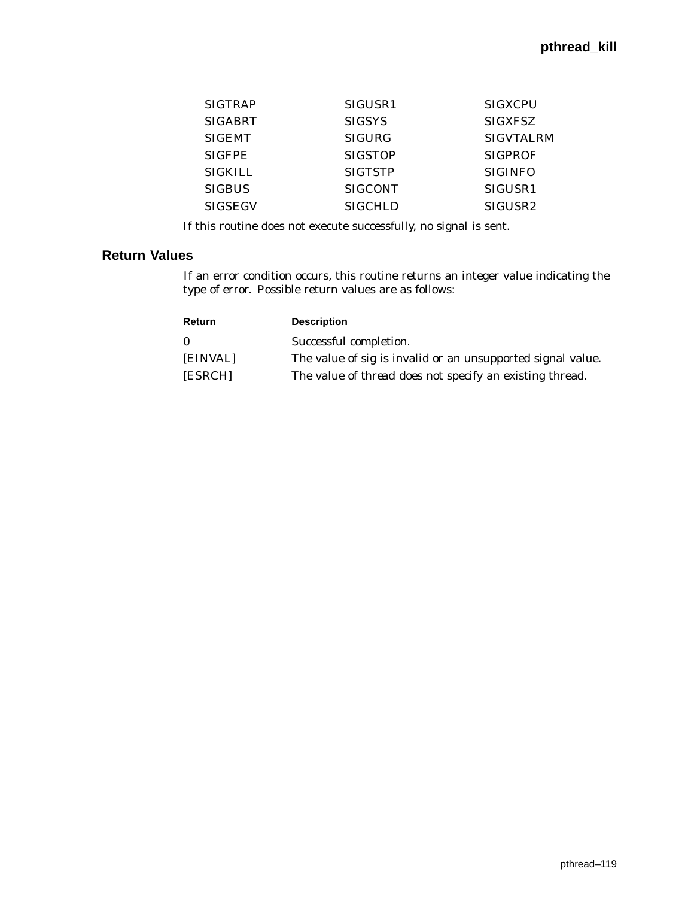| <b>SIGTRAP</b> | SIGUSR <sub>1</sub> | <b>SIGXCPU</b>      |
|----------------|---------------------|---------------------|
| <b>SIGABRT</b> | <b>SIGSYS</b>       | <b>SIGXFSZ</b>      |
| <b>SIGEMT</b>  | <b>SIGURG</b>       | <b>SIGVTALRM</b>    |
| <b>SIGFPE</b>  | <b>SIGSTOP</b>      | <b>SIGPROF</b>      |
| <b>SIGKILL</b> | <b>SIGTSTP</b>      | <b>SIGINFO</b>      |
| <b>SIGBUS</b>  | <b>SIGCONT</b>      | SIGUSR <sub>1</sub> |
| <b>SIGSEGV</b> | <b>SIGCHLD</b>      | SIGUSR <sub>2</sub> |

If this routine does not execute successfully, no signal is sent.

### **Return Values**

If an error condition occurs, this routine returns an integer value indicating the type of error. Possible return values are as follows:

| Return   | <b>Description</b>                                              |
|----------|-----------------------------------------------------------------|
| 0        | Successful completion.                                          |
| [EINVAL] | The value of sig is invalid or an unsupported signal value.     |
| [ESRCH]  | The value of <i>thread</i> does not specify an existing thread. |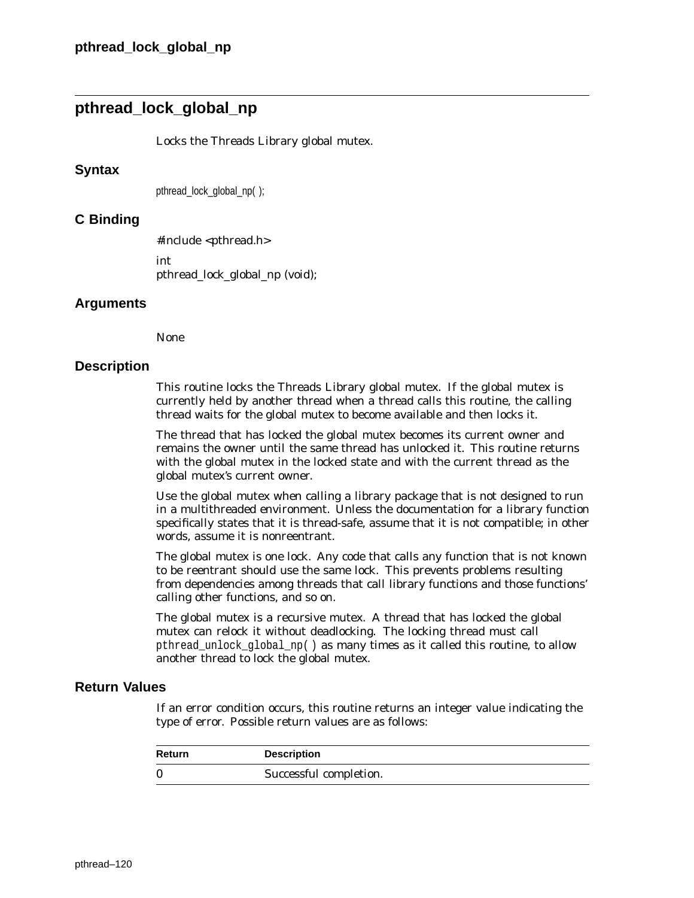# **pthread\_lock\_global\_np**

Locks the Threads Library global mutex.

#### **Syntax**

pthread lock global np( );

### **C Binding**

#include <pthread.h> int

pthread\_lock\_global\_np (void);

#### **Arguments**

None

#### **Description**

This routine locks the Threads Library global mutex. If the global mutex is currently held by another thread when a thread calls this routine, the calling thread waits for the global mutex to become available and then locks it.

The thread that has locked the global mutex becomes its current owner and remains the owner until the same thread has unlocked it. This routine returns with the global mutex in the locked state and with the current thread as the global mutex's current owner.

Use the global mutex when calling a library package that is not designed to run in a multithreaded environment. Unless the documentation for a library function specifically states that it is thread-safe, assume that it is not compatible; in other words, assume it is nonreentrant.

The global mutex is one lock. Any code that calls any function that is not known to be reentrant should use the same lock. This prevents problems resulting from dependencies among threads that call library functions and those functions' calling other functions, and so on.

The global mutex is a recursive mutex. A thread that has locked the global mutex can relock it without deadlocking. The locking thread must call pthread\_unlock\_global\_np( ) as many times as it called this routine, to allow another thread to lock the global mutex.

### **Return Values**

If an error condition occurs, this routine returns an integer value indicating the type of error. Possible return values are as follows:

| <b>Return</b> | <b>Description</b>     |
|---------------|------------------------|
| -0            | Successful completion. |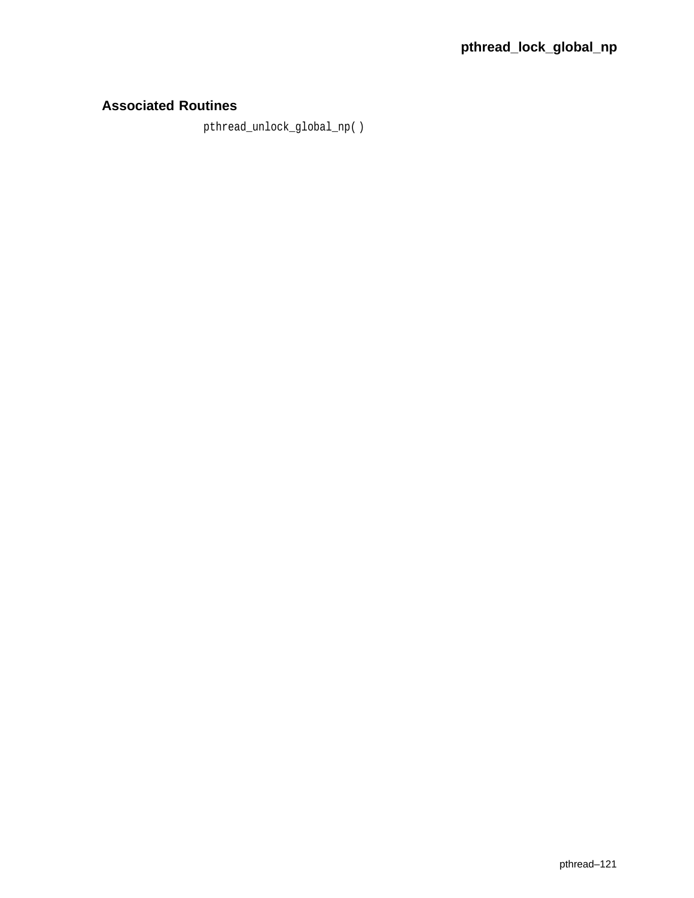# **Associated Routines**

pthread\_unlock\_global\_np( )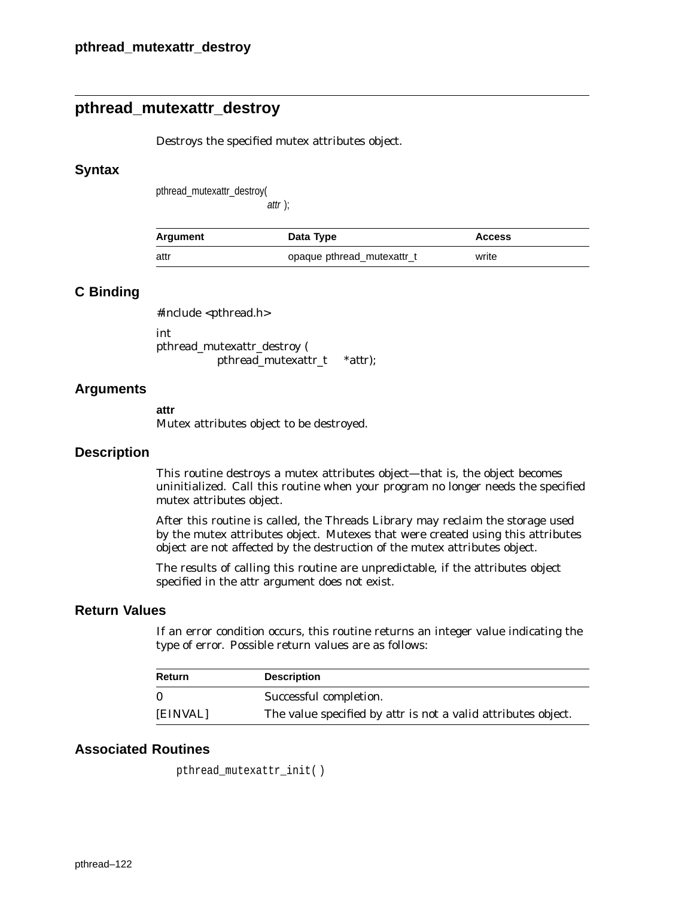# **pthread\_mutexattr\_destroy**

Destroys the specified mutex attributes object.

#### **Syntax**

pthread\_mutexattr\_destroy(

attr );

| Argument | Data Type                  | <b>Access</b> |
|----------|----------------------------|---------------|
| attr     | opaque pthread_mutexattr_t | write         |

### **C Binding**

#include <pthread.h>

int pthread\_mutexattr\_destroy ( pthread\_mutexattr\_t \**attr*);

### **Arguments**

#### **attr**

Mutex attributes object to be destroyed.

#### **Description**

This routine destroys a mutex attributes object—that is, the object becomes uninitialized. Call this routine when your program no longer needs the specified mutex attributes object.

After this routine is called, the Threads Library may reclaim the storage used by the mutex attributes object. Mutexes that were created using this attributes object are not affected by the destruction of the mutex attributes object.

The results of calling this routine are unpredictable, if the attributes object specified in the *attr* argument does not exist.

## **Return Values**

If an error condition occurs, this routine returns an integer value indicating the type of error. Possible return values are as follows:

| Return   | <b>Description</b>                                                   |
|----------|----------------------------------------------------------------------|
| $\Omega$ | Successful completion.                                               |
| [EINVAL] | The value specified by <i>attr</i> is not a valid attributes object. |

```
pthread_mutexattr_init( )
```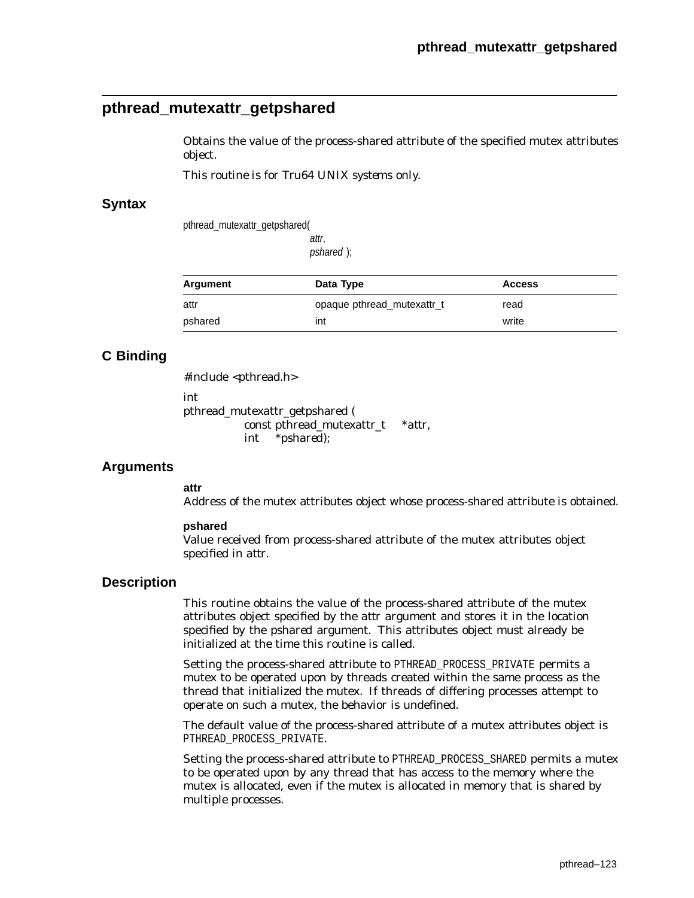# **pthread\_mutexattr\_getpshared**

Obtains the value of the process-shared attribute of the specified mutex attributes object.

*This routine is for Tru64 UNIX systems only.*

### **Syntax**

pthread\_mutexattr\_getpshared(

attr, pshared );

| Argument | Data Type                  | <b>Access</b> |
|----------|----------------------------|---------------|
| attr     | opaque pthread_mutexattr_t | read          |
| pshared  | int                        | write         |

## **C Binding**

#include <pthread.h>

int

pthread\_mutexattr\_getpshared ( const pthread\_mutexattr\_t \**attr*, int \**pshared*);

## **Arguments**

#### **attr**

Address of the mutex attributes object whose process-shared attribute is obtained.

#### **pshared**

Value received from process-shared attribute of the mutex attributes object specified in *attr*.

### **Description**

This routine obtains the value of the process-shared attribute of the mutex attributes object specified by the *attr* argument and stores it in the location specified by the *pshared* argument. This attributes object must already be initialized at the time this routine is called.

Setting the process-shared attribute to PTHREAD PROCESS PRIVATE permits a mutex to be operated upon by threads created within the same process as the thread that initialized the mutex. If threads of differing processes attempt to operate on such a mutex, the behavior is undefined.

The default value of the process-shared attribute of a mutex attributes object is PTHREAD\_PROCESS\_PRIVATE.

Setting the process-shared attribute to PTHREAD\_PROCESS\_SHARED permits a mutex to be operated upon by any thread that has access to the memory where the mutex is allocated, even if the mutex is allocated in memory that is shared by multiple processes.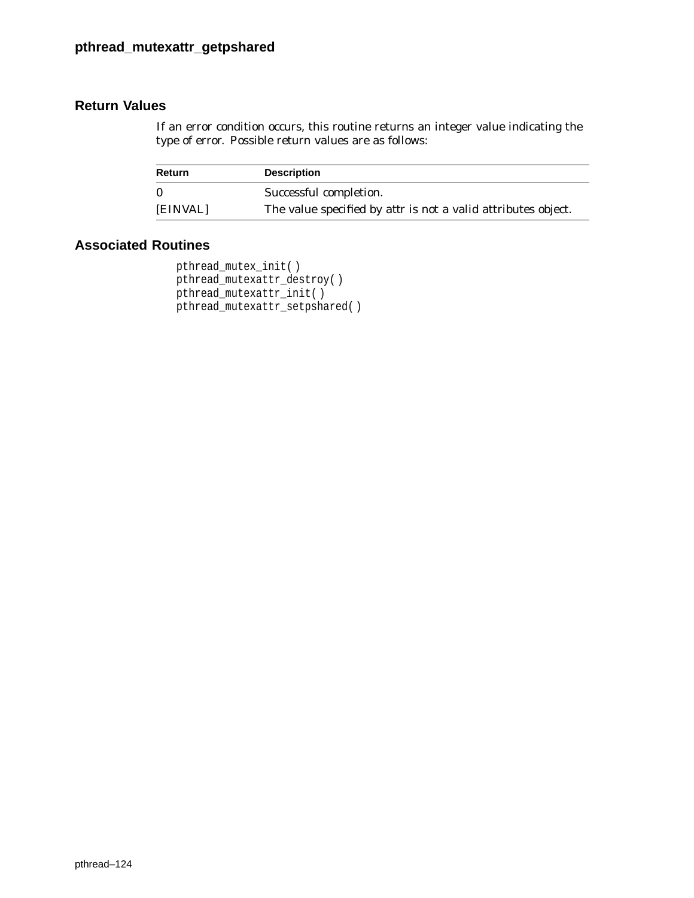If an error condition occurs, this routine returns an integer value indicating the type of error. Possible return values are as follows:

| Return   | <b>Description</b>                                                   |
|----------|----------------------------------------------------------------------|
| $\Omega$ | Successful completion.                                               |
| [EINVAL] | The value specified by <i>attr</i> is not a valid attributes object. |

```
pthread_mutex_init( )
pthread_mutexattr_destroy( )
pthread_mutexattr_init( )
pthread_mutexattr_setpshared( )
```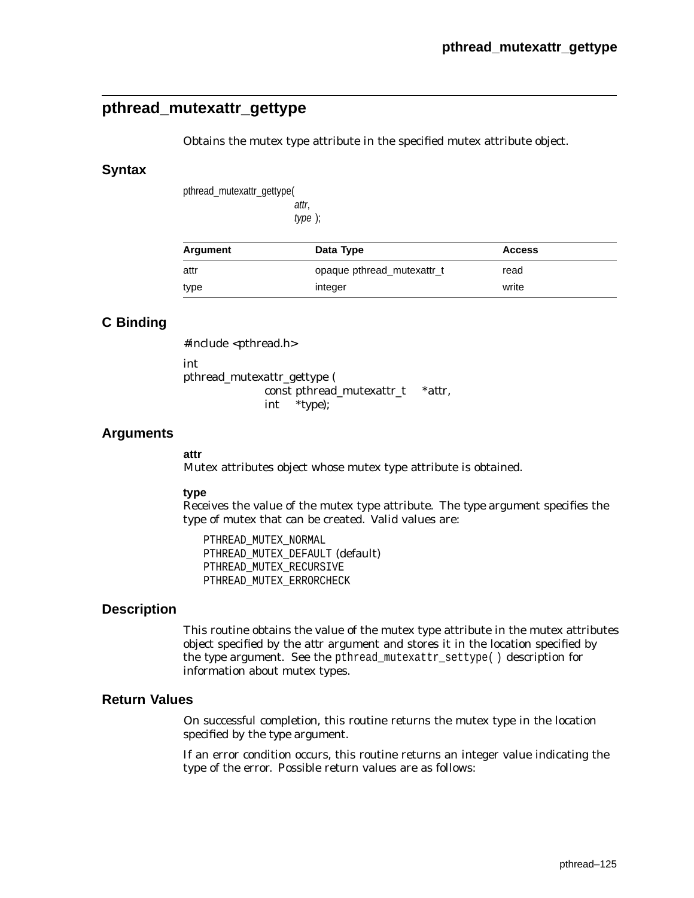# **pthread\_mutexattr\_gettype**

Obtains the mutex type attribute in the specified mutex attribute object.

#### **Syntax**

pthread\_mutexattr\_gettype(

attr, type );

| Argument | Data Type                  | <b>Access</b> |  |
|----------|----------------------------|---------------|--|
| attr     | opaque pthread mutexattr_t | read          |  |
| type     | integer                    | write         |  |

## **C Binding**

#include <pthread.h> int pthread\_mutexattr\_gettype (

> const pthread\_mutexattr\_t \**attr*, int \**type*);

### **Arguments**

#### **attr**

Mutex attributes object whose mutex type attribute is obtained.

#### **type**

Receives the value of the mutex type attribute. The *type* argument specifies the type of mutex that can be created. Valid values are:

PTHREAD\_MUTEX\_NORMAL PTHREAD\_MUTEX\_DEFAULT (default) PTHREAD\_MUTEX\_RECURSIVE PTHREAD\_MUTEX\_ERRORCHECK

### **Description**

This routine obtains the value of the mutex type attribute in the mutex attributes object specified by the *attr* argument and stores it in the location specified by the *type* argument. See the pthread\_mutexattr\_settype( ) description for information about mutex types.

# **Return Values**

On successful completion, this routine returns the mutex type in the location specified by the *type* argument.

If an error condition occurs, this routine returns an integer value indicating the type of the error. Possible return values are as follows: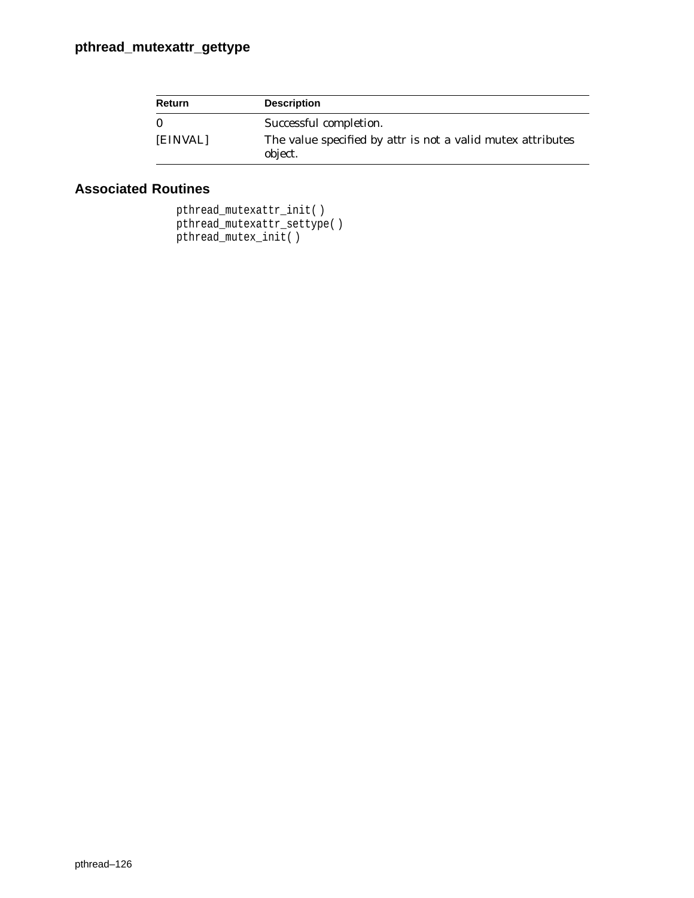| <b>Return</b> | <b>Description</b>                                                            |
|---------------|-------------------------------------------------------------------------------|
| $\bf{0}$      | Successful completion.                                                        |
| [EINVAL]      | The value specified by <i>attr</i> is not a valid mutex attributes<br>object. |

```
pthread_mutexattr_init( )
pthread_mutexattr_settype( )
pthread_mutex_init( )
```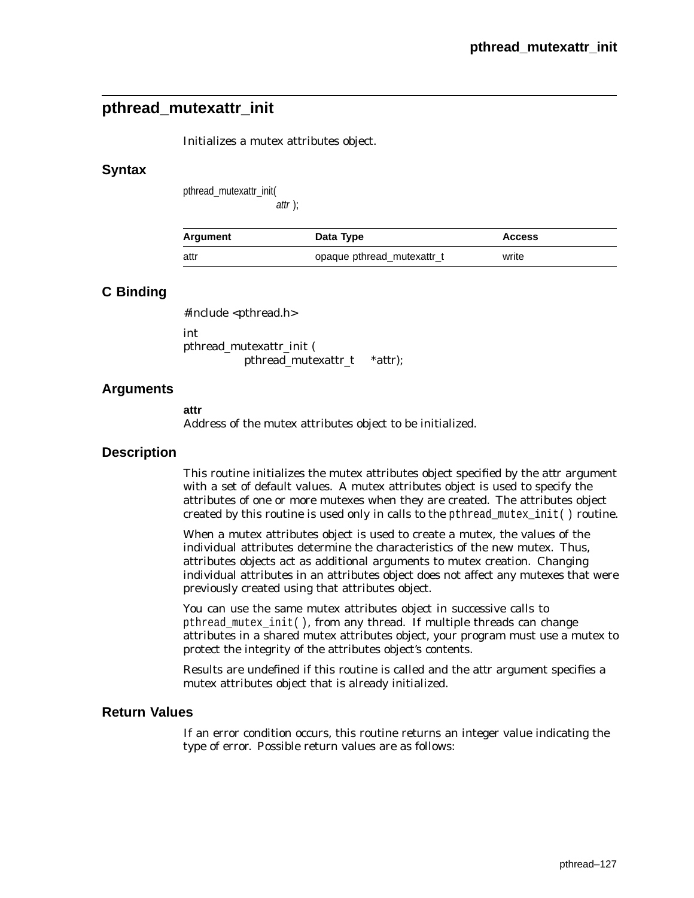# **pthread\_mutexattr\_init**

Initializes a mutex attributes object.

### **Syntax**

pthread\_mutexattr\_init(

attr );

| Argument | Data Type                  | <b>Access</b> |
|----------|----------------------------|---------------|
| attr     | opaque pthread mutexattr_t | write         |

## **C Binding**

#include <pthread.h>

int pthread\_mutexattr\_init ( pthread\_mutexattr\_t \**attr*);

### **Arguments**

**attr**

Address of the mutex attributes object to be initialized.

### **Description**

This routine initializes the mutex attributes object specified by the *attr* argument with a set of default values. A mutex attributes object is used to specify the attributes of one or more mutexes when they are created. The attributes object created by this routine is used only in calls to the pthread\_mutex\_init( ) routine.

When a mutex attributes object is used to create a mutex, the values of the individual attributes determine the characteristics of the new mutex. Thus, attributes objects act as additional arguments to mutex creation. Changing individual attributes in an attributes object does not affect any mutexes that were previously created using that attributes object.

You can use the same mutex attributes object in successive calls to pthread\_mutex\_init( ), from any thread. If multiple threads can change attributes in a shared mutex attributes object, your program must use a mutex to protect the integrity of the attributes object's contents.

Results are undefined if this routine is called and the *attr* argument specifies a mutex attributes object that is already initialized.

### **Return Values**

If an error condition occurs, this routine returns an integer value indicating the type of error. Possible return values are as follows: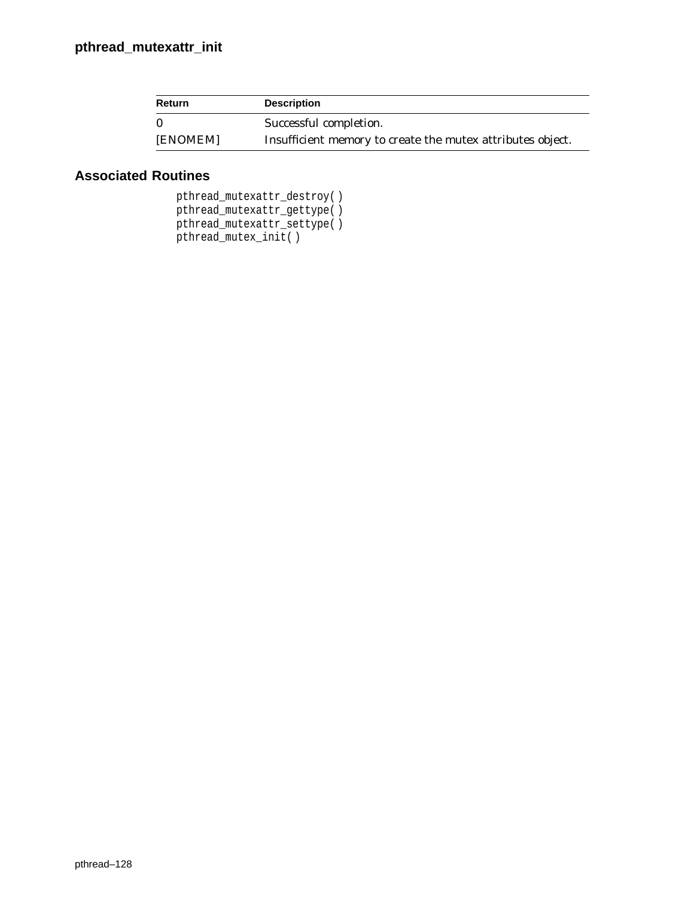| <b>Return</b> | <b>Description</b>                                         |
|---------------|------------------------------------------------------------|
|               | Successful completion.                                     |
| [ENOMEM]      | Insufficient memory to create the mutex attributes object. |

```
pthread_mutexattr_destroy( )
pthread_mutexattr_gettype( )
pthread_mutexattr_settype( )
pthread_mutex_init( )
```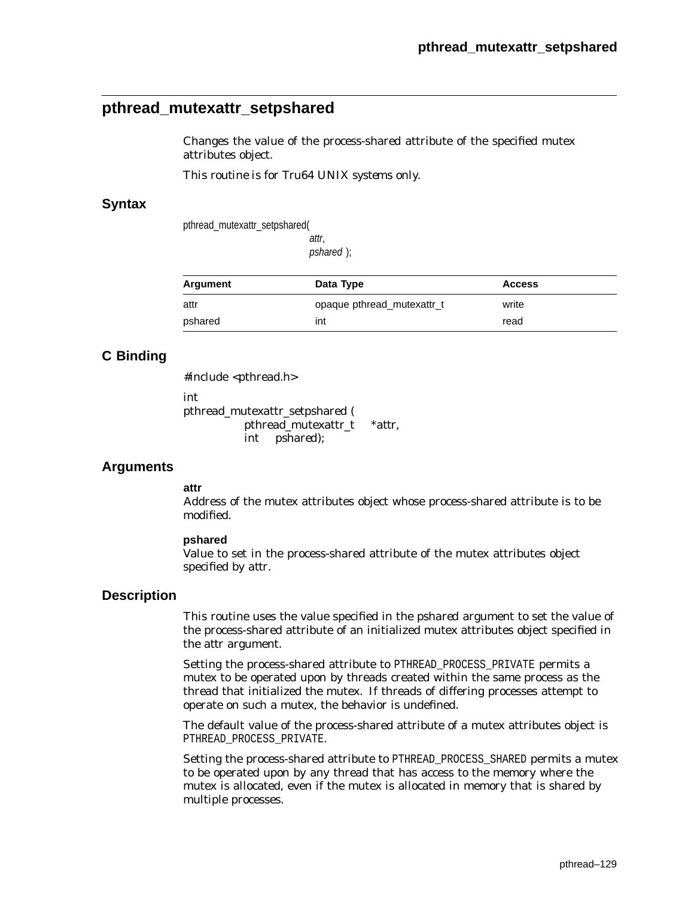# **pthread\_mutexattr\_setpshared**

Changes the value of the process-shared attribute of the specified mutex attributes object.

*This routine is for Tru64 UNIX systems only.*

### **Syntax**

pthread\_mutexattr\_setpshared(

attr,

pshared );

| Argument | Data Type                  | <b>Access</b> |
|----------|----------------------------|---------------|
| attr     | opaque pthread mutexattr t | write         |
| pshared  | int                        | read          |

## **C Binding**

#include <pthread.h>

int

pthread\_mutexattr\_setpshared ( pthread\_mutexattr\_t \**attr*, int *pshared*);

## **Arguments**

#### **attr**

Address of the mutex attributes object whose process-shared attribute is to be modified.

#### **pshared**

Value to set in the process-shared attribute of the mutex attributes object specified by *attr*.

### **Description**

This routine uses the value specified in the *pshared* argument to set the value of the process-shared attribute of an initialized mutex attributes object specified in the *attr* argument.

Setting the process-shared attribute to PTHREAD\_PROCESS\_PRIVATE permits a mutex to be operated upon by threads created within the same process as the thread that initialized the mutex. If threads of differing processes attempt to operate on such a mutex, the behavior is undefined.

The default value of the process-shared attribute of a mutex attributes object is PTHREAD\_PROCESS\_PRIVATE.

Setting the process-shared attribute to PTHREAD\_PROCESS\_SHARED permits a mutex to be operated upon by any thread that has access to the memory where the mutex is allocated, even if the mutex is allocated in memory that is shared by multiple processes.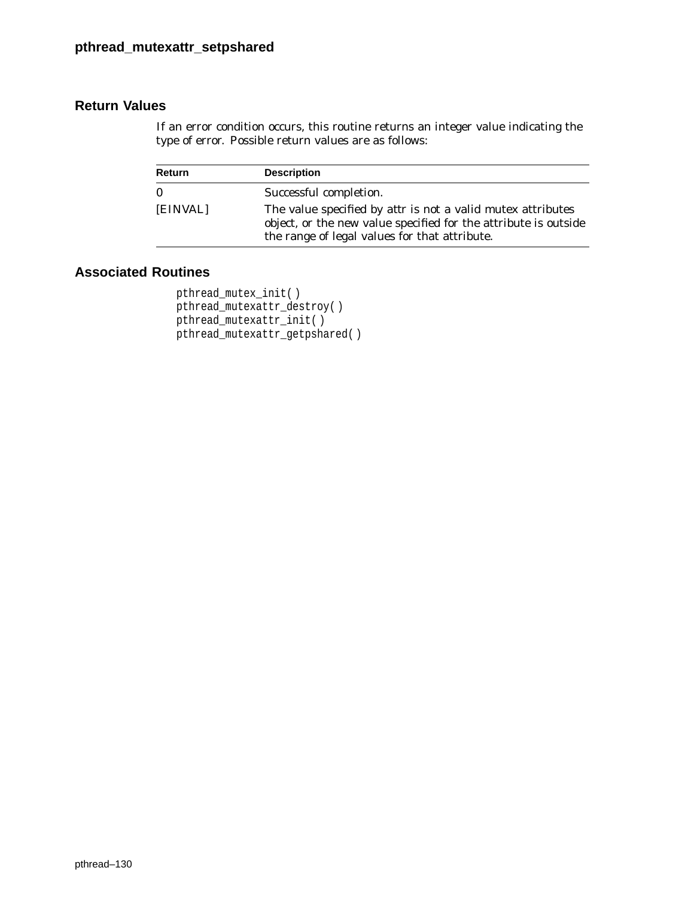If an error condition occurs, this routine returns an integer value indicating the type of error. Possible return values are as follows:

| <b>Return</b> | <b>Description</b>                                                                                                                                                                     |
|---------------|----------------------------------------------------------------------------------------------------------------------------------------------------------------------------------------|
| $\bf{0}$      | Successful completion.                                                                                                                                                                 |
| [EINVAL]      | The value specified by <i>attr</i> is not a valid mutex attributes<br>object, or the new value specified for the attribute is outside<br>the range of legal values for that attribute. |

```
pthread_mutex_init( )
pthread_mutexattr_destroy( )
pthread_mutexattr_init( )
pthread_mutexattr_getpshared( )
```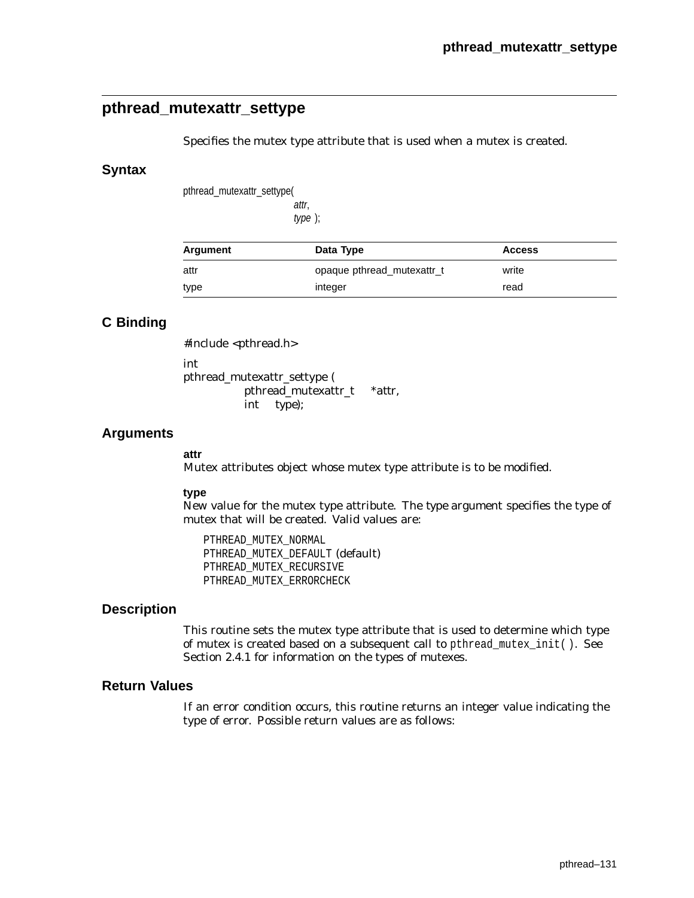# **pthread\_mutexattr\_settype**

Specifies the mutex type attribute that is used when a mutex is created.

#### **Syntax**

pthread\_mutexattr\_settype(

attr, type );

| Argument | Data Type                  | <b>Access</b> |  |
|----------|----------------------------|---------------|--|
| attr     | opaque pthread_mutexattr_t | write         |  |
| type     | integer                    | read          |  |

## **C Binding**

#include <pthread.h>

int

pthread\_mutexattr\_settype ( pthread\_mutexattr\_t \**attr*, int *type*);

### **Arguments**

#### **attr**

Mutex attributes object whose mutex type attribute is to be modified.

#### **type**

New value for the mutex type attribute. The *type* argument specifies the type of mutex that will be created. Valid values are:

PTHREAD\_MUTEX\_NORMAL PTHREAD\_MUTEX\_DEFAULT (default) PTHREAD\_MUTEX\_RECURSIVE PTHREAD\_MUTEX\_ERRORCHECK

### **Description**

This routine sets the mutex type attribute that is used to determine which type of mutex is created based on a subsequent call to pthread\_mutex\_init( ). See Section 2.4.1 for information on the types of mutexes.

### **Return Values**

If an error condition occurs, this routine returns an integer value indicating the type of error. Possible return values are as follows: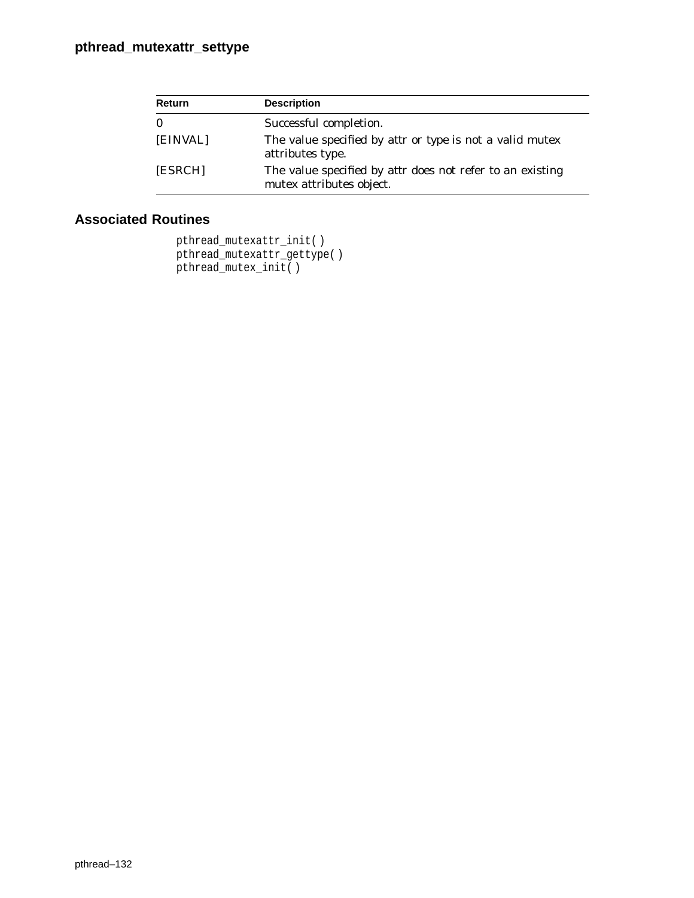| Return   | <b>Description</b>                                                                           |
|----------|----------------------------------------------------------------------------------------------|
| $\bf{0}$ | Successful completion.                                                                       |
| [EINVAL] | The value specified by <i>attr</i> or <i>type</i> is not a valid mutex<br>attributes type.   |
| [ESRCH]  | The value specified by <i>attr</i> does not refer to an existing<br>mutex attributes object. |

```
pthread_mutexattr_init( )
pthread_mutexattr_gettype( )
pthread_mutex_init( )
```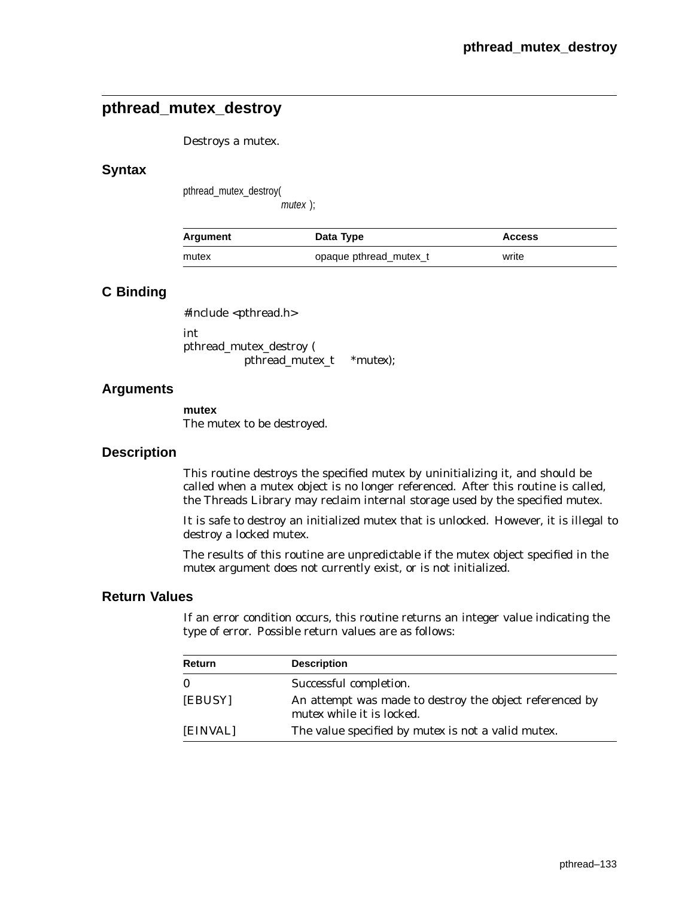# **pthread\_mutex\_destroy**

#### Destroys a mutex.

#### **Syntax**

pthread\_mutex\_destroy(

mutex );

| Argument | Data Type              | <b>Access</b> |
|----------|------------------------|---------------|
| mutex    | opaque pthread mutex t | write         |

### **C Binding**

#include <pthread.h>

int pthread\_mutex\_destroy ( pthread\_mutex\_t \**mutex*);

### **Arguments**

**mutex**

The mutex to be destroyed.

#### **Description**

This routine destroys the specified mutex by uninitializing it, and should be called when a mutex object is no longer referenced. After this routine is called, the Threads Library may reclaim internal storage used by the specified mutex.

It is safe to destroy an initialized mutex that is unlocked. However, it is illegal to destroy a locked mutex.

The results of this routine are unpredictable if the mutex object specified in the *mutex* argument does not currently exist, or is not initialized.

### **Return Values**

If an error condition occurs, this routine returns an integer value indicating the type of error. Possible return values are as follows:

| Return   | <b>Description</b>                                                                          |
|----------|---------------------------------------------------------------------------------------------|
| $\bf{0}$ | Successful completion.                                                                      |
| [EBUSY]  | An attempt was made to destroy the object referenced by<br><i>mutex</i> while it is locked. |
| [EINVAL] | The value specified by <i>mutex</i> is not a valid mutex.                                   |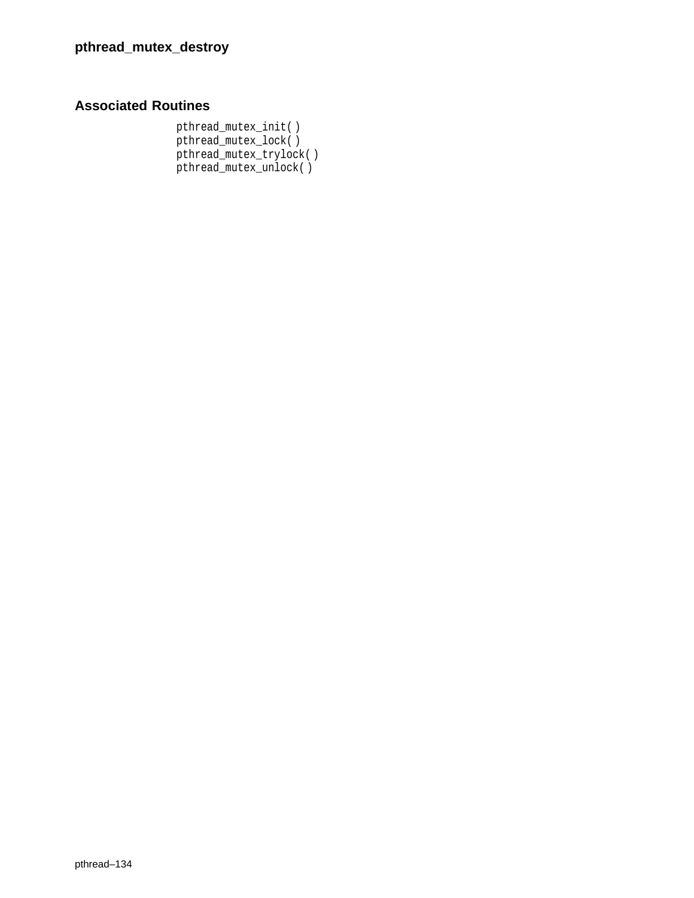# **Associated Routines**

pthread\_mutex\_init( ) pthread\_mutex\_lock( ) pthread\_mutex\_trylock( ) pthread\_mutex\_unlock( )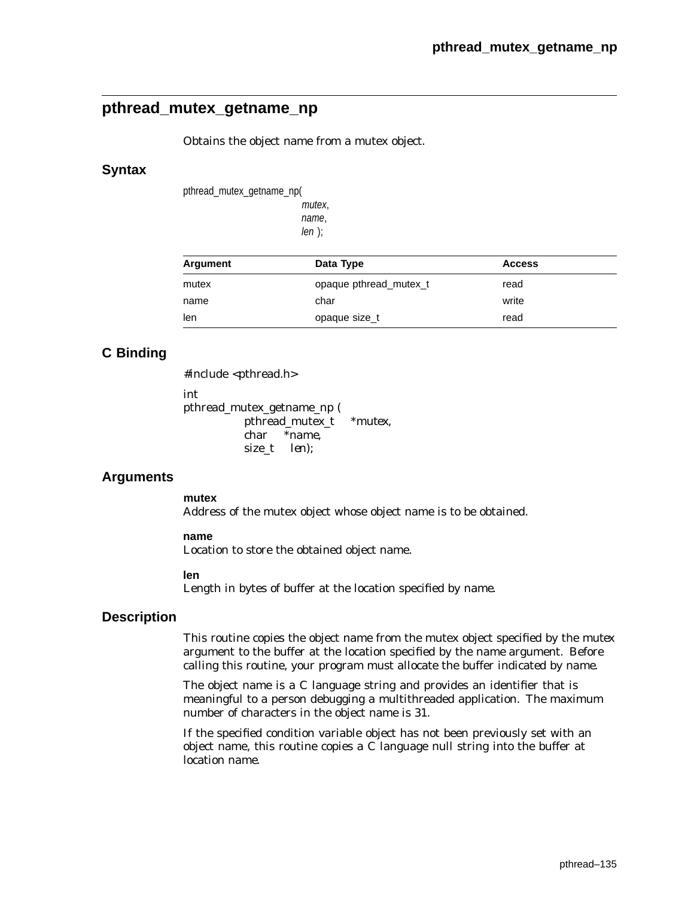# **pthread\_mutex\_getname\_np**

Obtains the object name from a mutex object.

### **Syntax**

pthread\_mutex\_getname\_np(

mutex, name,  $len$  );

| Argument | Data Type              | <b>Access</b> |  |
|----------|------------------------|---------------|--|
| mutex    | opaque pthread mutex t | read          |  |
| name     | char                   | write         |  |
| len      | opaque size_t          | read          |  |

## **C Binding**

#include <pthread.h> int pthread\_mutex\_getname\_np ( pthread\_mutex\_t *\*mutex*, char *\*name*, size\_t *len*);

## **Arguments**

**mutex**

Address of the mutex object whose object name is to be obtained.

#### **name**

Location to store the obtained object name.

#### **len**

Length in bytes of buffer at the location specified by *name*.

#### **Description**

This routine copies the object name from the mutex object specified by the *mutex* argument to the buffer at the location specified by the *name* argument. Before calling this routine, your program must allocate the buffer indicated by *name*.

The object name is a C language string and provides an identifier that is meaningful to a person debugging a multithreaded application. The maximum number of characters in the object name is 31.

If the specified condition variable object has not been previously set with an object name, this routine copies a C language null string into the buffer at location *name*.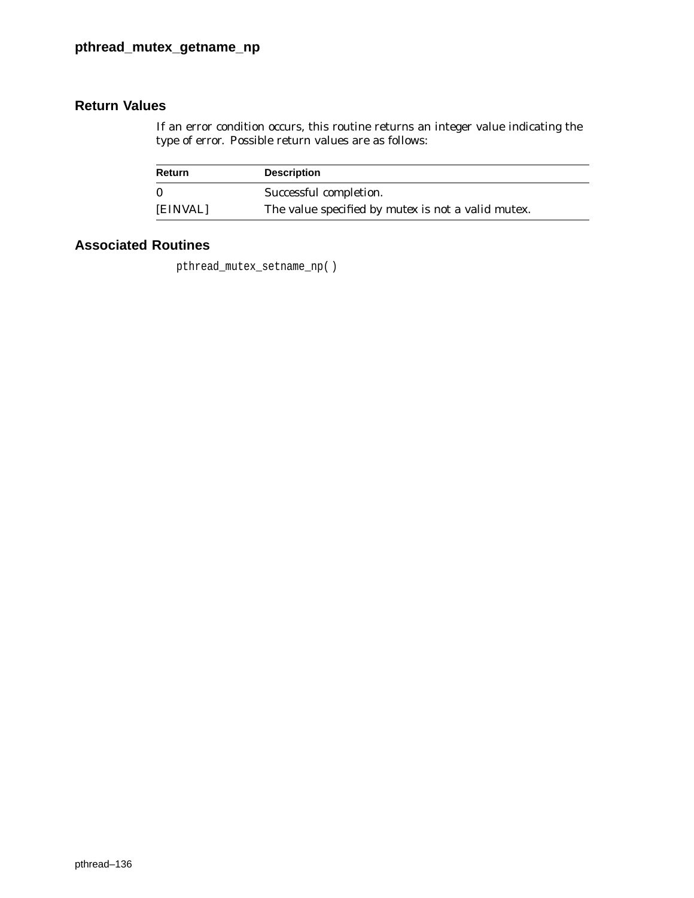If an error condition occurs, this routine returns an integer value indicating the type of error. Possible return values are as follows:

| <b>Return</b> | <b>Description</b>                                        |
|---------------|-----------------------------------------------------------|
| $\Omega$      | Successful completion.                                    |
| [EINVAL]      | The value specified by <i>mutex</i> is not a valid mutex. |

# **Associated Routines**

pthread\_mutex\_setname\_np( )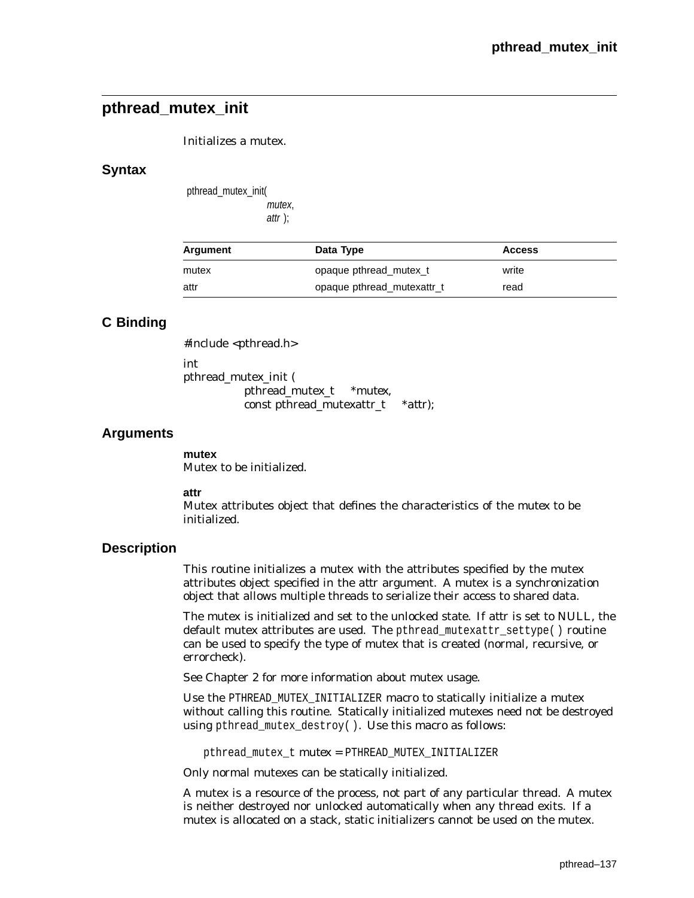# **pthread\_mutex\_init**

Initializes a mutex.

### **Syntax**

pthread\_mutex\_init( mutex, attr );

| Argument | Data Type                  | <b>Access</b> |
|----------|----------------------------|---------------|
| mutex    | opaque pthread mutex t     | write         |
| attr     | opaque pthread mutexattr_t | read          |

# **C Binding**

#include <pthread.h>

int

pthread\_mutex\_init ( pthread\_mutex\_t \**mutex,* const pthread\_mutexattr\_t \**attr*);

## **Arguments**

**mutex** Mutex to be initialized.

#### **attr**

Mutex attributes object that defines the characteristics of the *mutex* to be initialized.

## **Description**

This routine initializes a mutex with the attributes specified by the mutex attributes object specified in the *attr* argument. A mutex is a synchronization object that allows multiple threads to serialize their access to shared data.

The mutex is initialized and set to the unlocked state. If *attr* is set to NULL, the default mutex attributes are used. The pthread\_mutexattr\_settype( ) routine can be used to specify the type of mutex that is created (normal, recursive, or errorcheck).

See Chapter 2 for more information about mutex usage.

Use the PTHREAD\_MUTEX\_INITIALIZER macro to statically initialize a mutex without calling this routine. Statically initialized mutexes need not be destroyed using pthread\_mutex\_destroy( ). Use this macro as follows:

pthread\_mutex\_t *mutex* = PTHREAD\_MUTEX\_INITIALIZER

Only normal mutexes can be statically initialized.

A mutex is a resource of the process, not part of any particular thread. A mutex is neither destroyed nor unlocked automatically when any thread exits. If a mutex is allocated on a stack, static initializers cannot be used on the mutex.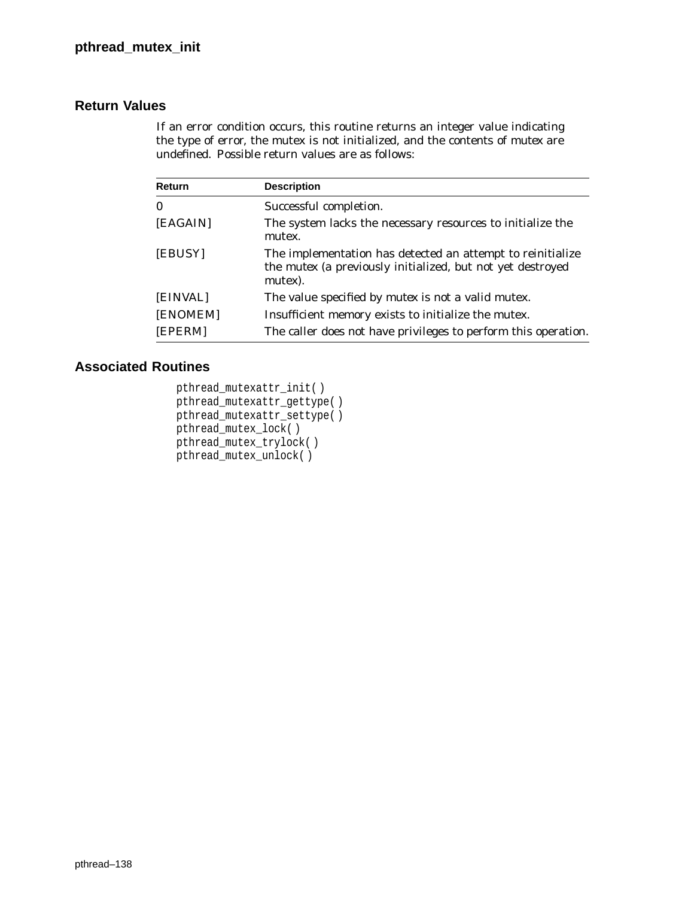If an error condition occurs, this routine returns an integer value indicating the type of error, the mutex is not initialized, and the contents of *mutex* are undefined. Possible return values are as follows:

| Return   | <b>Description</b>                                                                                                                         |
|----------|--------------------------------------------------------------------------------------------------------------------------------------------|
| $\bf{0}$ | Successful completion.                                                                                                                     |
| [EAGAIN] | The system lacks the necessary resources to initialize the<br>mutex.                                                                       |
| [EBUSY]  | The implementation has detected an attempt to reinitialize<br>the <i>mutex</i> (a previously initialized, but not yet destroyed<br>mutex). |
| [EINVAL] | The value specified by <i>mutex</i> is not a valid mutex.                                                                                  |
| [ENOMEM] | Insufficient memory exists to initialize the mutex.                                                                                        |
| [EPERM]  | The caller does not have privileges to perform this operation.                                                                             |

```
pthread_mutexattr_init( )
pthread_mutexattr_gettype( )
pthread_mutexattr_settype( )
pthread_mutex_lock( )
pthread_mutex_trylock( )
pthread_mutex_unlock( )
```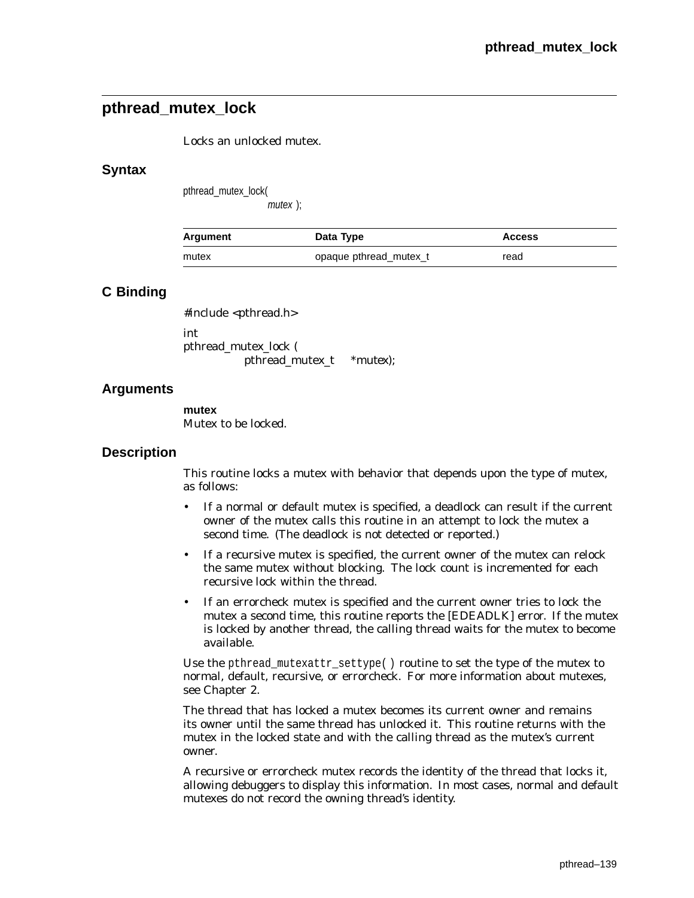# **pthread\_mutex\_lock**

Locks an unlocked mutex.

### **Syntax**

pthread\_mutex\_lock(

mutex );

| Argument | Data Type              | <b>Access</b> |
|----------|------------------------|---------------|
| mutex    | opaque pthread mutex t | read          |

## **C Binding**

#include <pthread.h> int pthread\_mutex\_lock (

pthread\_mutex\_t *\*mutex*);

## **Arguments**

**mutex** Mutex to be locked.

### **Description**

This routine locks a mutex with behavior that depends upon the type of mutex, as follows:

- If a normal or default mutex is specified, a deadlock can result if the current owner of the mutex calls this routine in an attempt to lock the mutex a second time. (The deadlock is not detected or reported.)
- If a recursive mutex is specified, the current owner of the mutex can relock the same mutex without blocking. The lock count is incremented for each recursive lock within the thread.
- If an errorcheck mutex is specified and the current owner tries to lock the mutex a second time, this routine reports the [EDEADLK] error. If the mutex is locked by another thread, the calling thread waits for the mutex to become available.

Use the pthread\_mutexattr\_settype() routine to set the type of the mutex to normal, default, recursive, or errorcheck. For more information about mutexes, see Chapter 2.

The thread that has locked a mutex becomes its current owner and remains its owner until the same thread has unlocked it. This routine returns with the mutex in the locked state and with the calling thread as the mutex's current owner.

A recursive or errorcheck mutex records the identity of the thread that locks it, allowing debuggers to display this information. In most cases, normal and default mutexes do not record the owning thread's identity.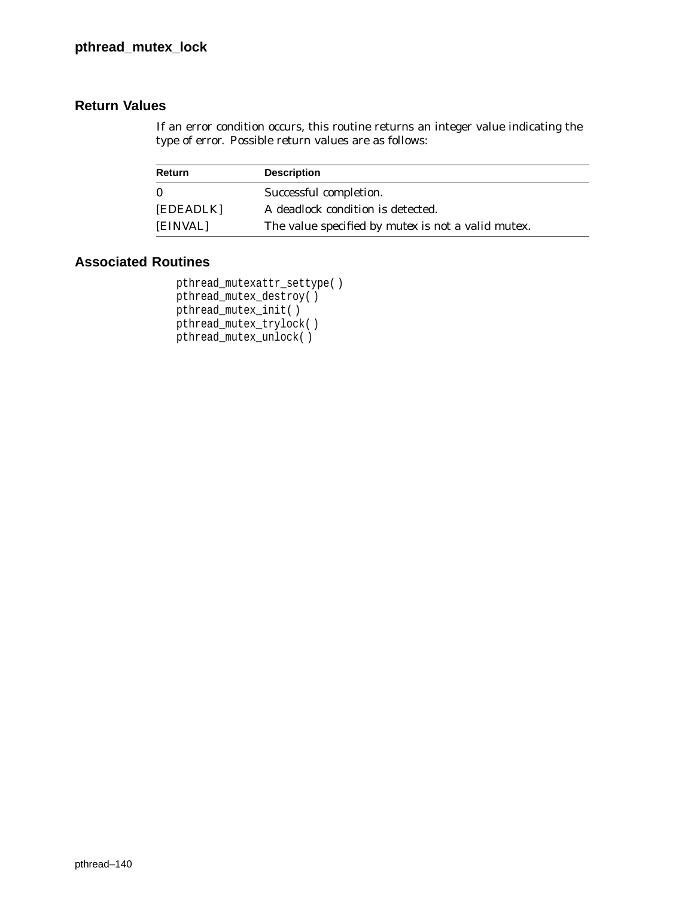If an error condition occurs, this routine returns an integer value indicating the type of error. Possible return values are as follows:

| Return    | <b>Description</b>                                        |
|-----------|-----------------------------------------------------------|
| $\Omega$  | Successful completion.                                    |
| [EDEADLK] | A deadlock condition is detected.                         |
| [EINVAL]  | The value specified by <i>mutex</i> is not a valid mutex. |

```
pthread_mutexattr_settype( )
pthread_mutex_destroy( )
pthread_mutex_init( )
pthread_mutex_trylock( )
pthread_mutex_unlock( )
```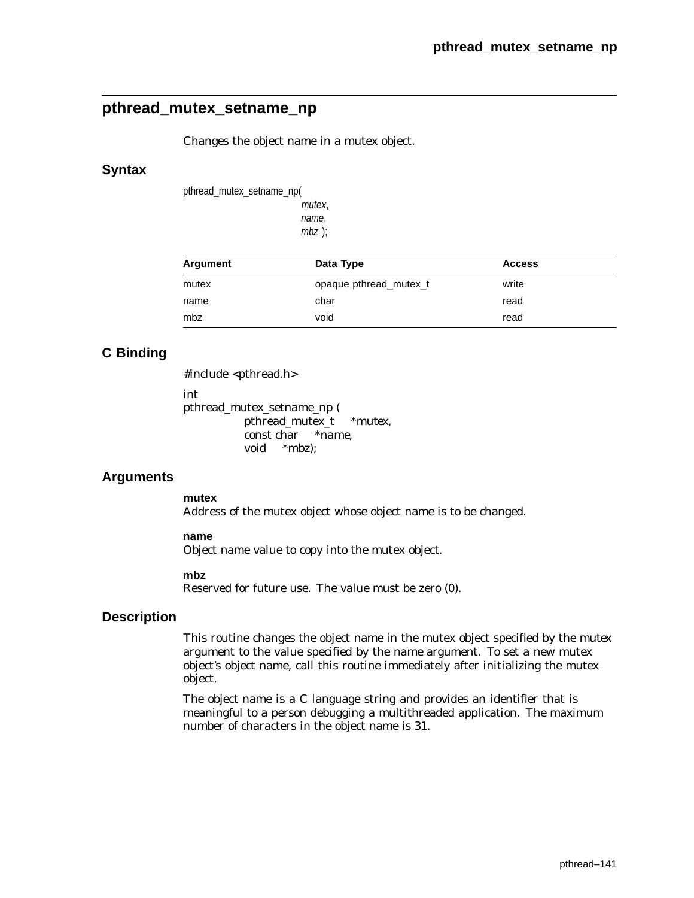# **pthread\_mutex\_setname\_np**

Changes the object name in a mutex object.

### **Syntax**

pthread\_mutex\_setname\_np(

mutex, name, mbz );

| Argument | Data Type              | <b>Access</b> |  |
|----------|------------------------|---------------|--|
| mutex    | opaque pthread mutex t | write         |  |
| name     | char                   | read          |  |
| mbz      | void                   | read          |  |

## **C Binding**

#include <pthread.h>

int

pthread\_mutex\_setname\_np ( pthread\_mutex\_t *\*mutex*, const char *\*name*, void *\*mbz*);

## **Arguments**

**mutex**

Address of the mutex object whose object name is to be changed.

### **name**

Object name value to copy into the mutex object.

#### **mbz**

Reserved for future use. The value must be zero (0).

### **Description**

This routine changes the object name in the mutex object specified by the *mutex* argument to the value specified by the *name* argument. To set a new mutex object's object name, call this routine immediately after initializing the mutex object.

The object name is a C language string and provides an identifier that is meaningful to a person debugging a multithreaded application. The maximum number of characters in the object name is 31.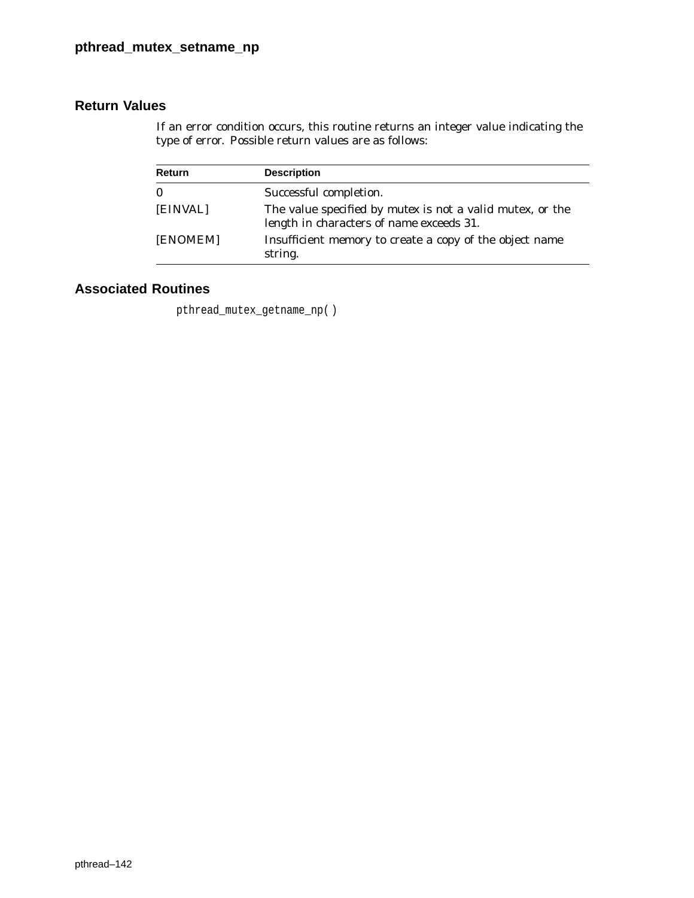If an error condition occurs, this routine returns an integer value indicating the type of error. Possible return values are as follows:

| <b>Return</b> | <b>Description</b>                                                                                                  |
|---------------|---------------------------------------------------------------------------------------------------------------------|
| $\bf{0}$      | Successful completion.                                                                                              |
| [EINVAL]      | The value specified by <i>mutex</i> is not a valid mutex, or the<br>length in characters of <i>name</i> exceeds 31. |
| [ENOMEM]      | Insufficient memory to create a copy of the object name<br>string.                                                  |

# **Associated Routines**

pthread\_mutex\_getname\_np( )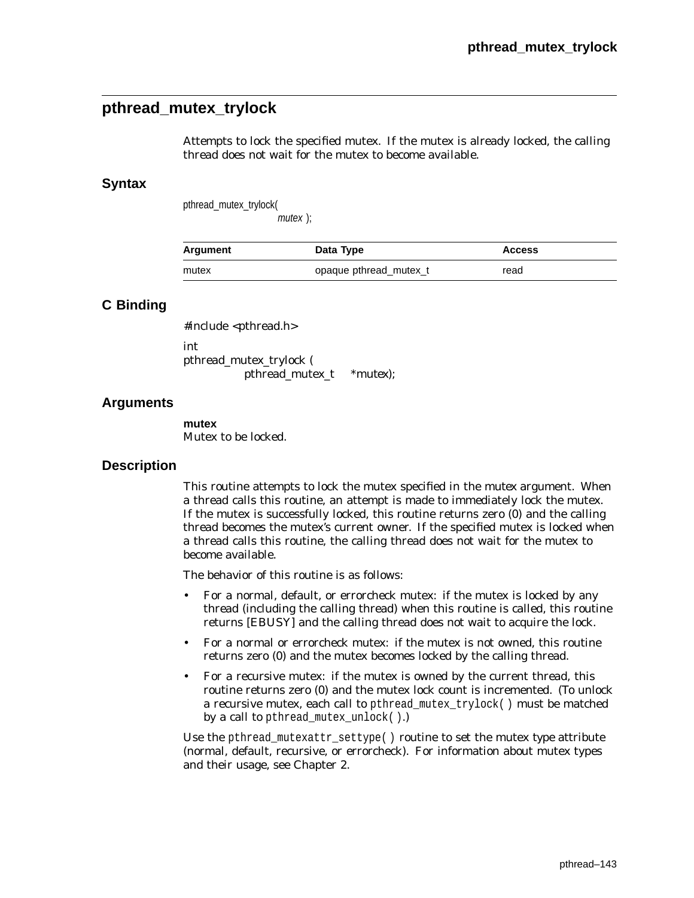# **pthread\_mutex\_trylock**

Attempts to lock the specified mutex. If the mutex is already locked, the calling thread does not wait for the mutex to become available.

### **Syntax**

pthread\_mutex\_trylock( mutex );

Argument **Data Type Access** mutex opaque pthread\_mutex\_t read

## **C Binding**

#include <pthread.h> int pthread\_mutex\_trylock ( pthread\_mutex\_t \**mutex*);

### **Arguments**

**mutex** Mutex to be locked.

### **Description**

This routine attempts to lock the mutex specified in the *mutex* argument. When a thread calls this routine, an attempt is made to immediately lock the mutex. If the mutex is successfully locked, this routine returns zero (0) and the calling thread becomes the mutex's current owner. If the specified mutex is locked when a thread calls this routine, the calling thread does not wait for the mutex to become available.

The behavior of this routine is as follows:

- For a normal, default, or errorcheck mutex: if the mutex is locked by any thread (including the calling thread) when this routine is called, this routine returns [EBUSY] and the calling thread does not wait to acquire the lock.
- For a normal or errorcheck mutex: if the mutex is not owned, this routine returns zero (0) and the mutex becomes locked by the calling thread.
- For a recursive mutex: if the mutex is owned by the current thread, this routine returns zero (0) and the mutex lock count is incremented. (To unlock a recursive mutex, each call to pthread\_mutex\_trylock( ) must be matched by a call to pthread\_mutex\_unlock( ).)

Use the pthread\_mutexattr\_settype( ) routine to set the mutex *type* attribute (normal, default, recursive, or errorcheck). For information about mutex types and their usage, see Chapter 2.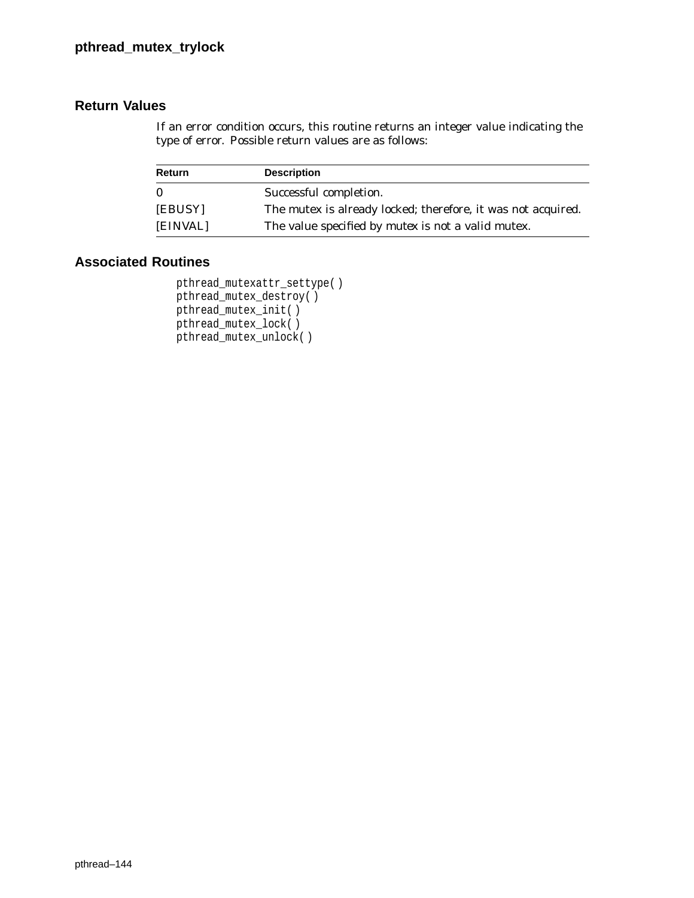If an error condition occurs, this routine returns an integer value indicating the type of error. Possible return values are as follows:

| Return   | <b>Description</b>                                           |
|----------|--------------------------------------------------------------|
| $\bf{0}$ | Successful completion.                                       |
| [EBUSY]  | The mutex is already locked; therefore, it was not acquired. |
| [EINVAL] | The value specified by <i>mutex</i> is not a valid mutex.    |

```
pthread_mutexattr_settype( )
pthread_mutex_destroy( )
pthread_mutex_init( )
pthread_mutex_lock( )
pthread_mutex_unlock( )
```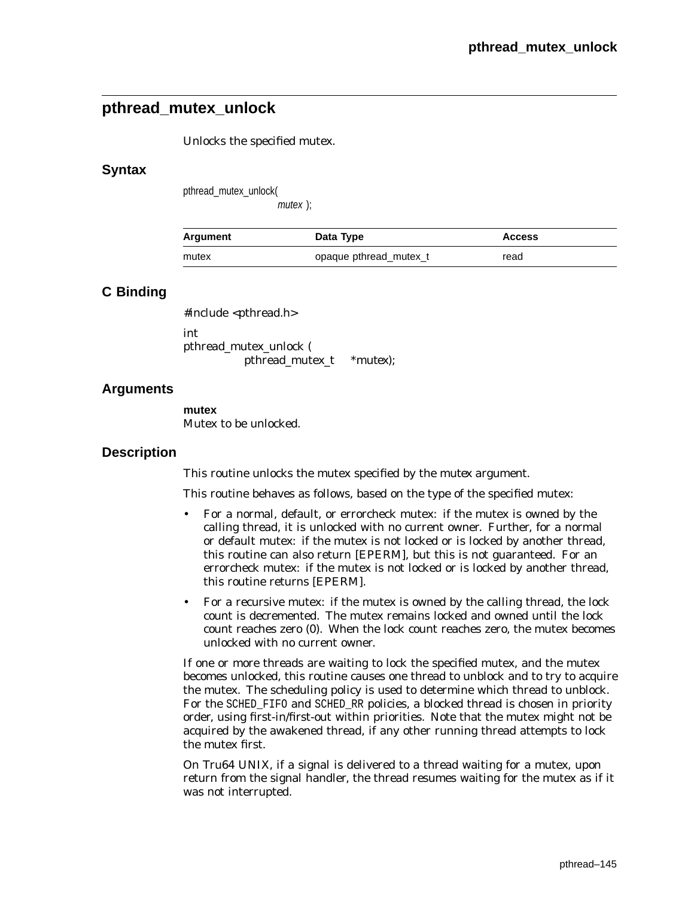# **pthread\_mutex\_unlock**

Unlocks the specified mutex.

### **Syntax**

pthread\_mutex\_unlock(

mutex );

| Argument | Data Type              | <b>Access</b> |
|----------|------------------------|---------------|
| mutex    | opaque pthread mutex t | read          |

## **C Binding**

#include <pthread.h> int pthread\_mutex\_unlock ( pthread\_mutex\_t \**mutex*);

## **Arguments**

**mutex** Mutex to be unlocked.

### **Description**

This routine unlocks the mutex specified by the *mutex* argument.

This routine behaves as follows, based on the type of the specified mutex:

- For a normal, default, or errorcheck mutex: if the mutex is owned by the calling thread, it is unlocked with no current owner. Further, for a normal or default mutex: if the mutex is not locked or is locked by another thread, this routine can also return [EPERM], but this is not guaranteed. For an errorcheck mutex: if the mutex is not locked or is locked by another thread, this routine returns [EPERM].
- For a recursive mutex: if the mutex is owned by the calling thread, the lock count is decremented. The mutex remains locked and owned until the lock count reaches zero (0). When the lock count reaches zero, the mutex becomes unlocked with no current owner.

If one or more threads are waiting to lock the specified mutex, and the mutex becomes unlocked, this routine causes one thread to unblock and to try to acquire the mutex. The scheduling policy is used to determine which thread to unblock. For the SCHED\_FIFO and SCHED\_RR policies, a blocked thread is chosen in priority order, using first-in/first-out within priorities. Note that the mutex might not be acquired by the awakened thread, if any other running thread attempts to lock the mutex first.

On Tru64 UNIX, if a signal is delivered to a thread waiting for a mutex, upon return from the signal handler, the thread resumes waiting for the mutex as if it was not interrupted.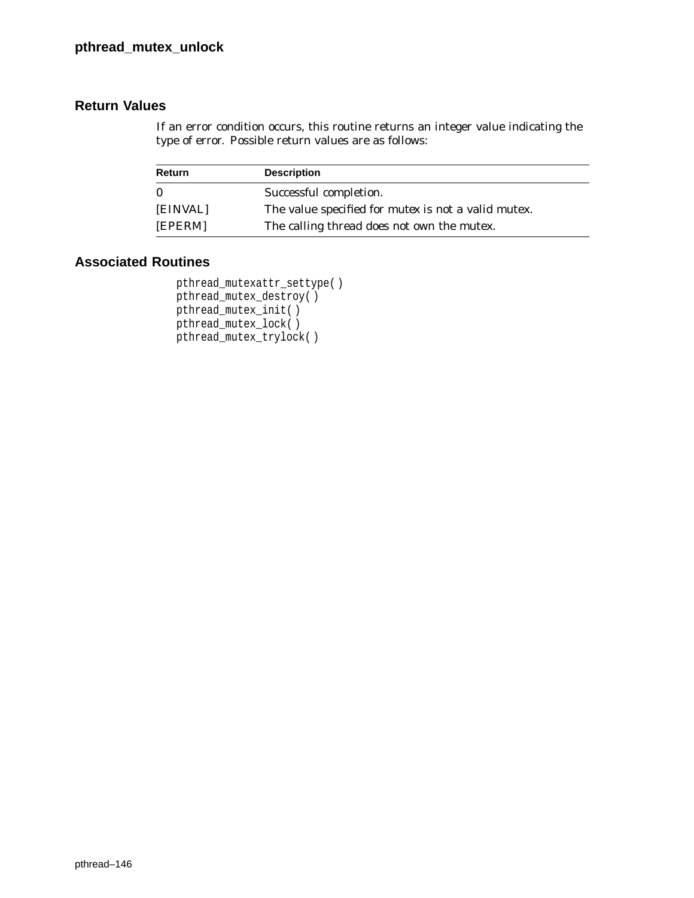If an error condition occurs, this routine returns an integer value indicating the type of error. Possible return values are as follows:

| Return   | <b>Description</b>                                         |
|----------|------------------------------------------------------------|
| $\bf{0}$ | Successful completion.                                     |
| [EINVAL] | The value specified for <i>mutex</i> is not a valid mutex. |
| [EPERM]  | The calling thread does not own the mutex.                 |

```
pthread_mutexattr_settype( )
pthread_mutex_destroy( )
pthread_mutex_init( )
pthread_mutex_lock( )
pthread_mutex_trylock( )
```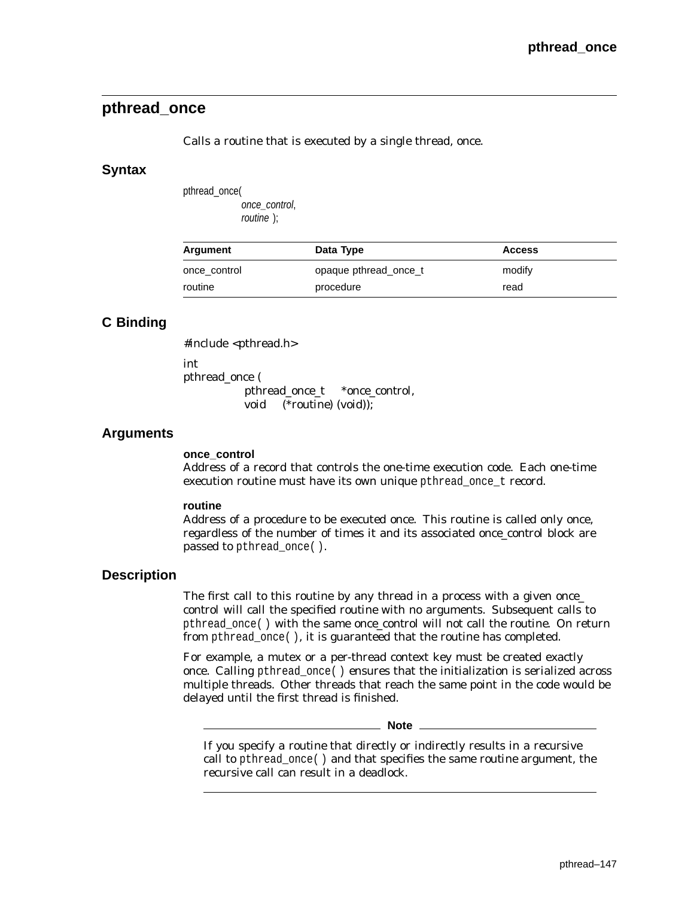# **pthread\_once**

Calls a routine that is executed by a single thread, once.

### **Syntax**

pthread\_once( once\_control, routine );

| Argument     | Data Type             | <b>Access</b> |  |
|--------------|-----------------------|---------------|--|
| once control | opaque pthread once t | modify        |  |
| routine      | procedure             | read          |  |

# **C Binding**

#include <pthread.h>

int

pthread\_once ( pthread\_once\_t \**once\_control*, void (\**routine*) (void));

## **Arguments**

#### **once\_control**

Address of a record that controls the one-time execution code. Each one-time execution routine must have its own unique pthread\_once\_t record.

### **routine**

Address of a procedure to be executed once. This routine is called only once, regardless of the number of times it and its associated *once\_control* block are passed to pthread\_once( ).

## **Description**

The first call to this routine by any thread in a process with a given *once\_ control* will call the specified *routine* with no arguments. Subsequent calls to pthread\_once( ) with the same *once\_control* will not call the *routine*. On return from pthread\_once( ), it is guaranteed that the routine has completed.

For example, a mutex or a per-thread context key must be created exactly once. Calling pthread\_once( ) ensures that the initialization is serialized across multiple threads. Other threads that reach the same point in the code would be delayed until the first thread is finished.

**Note**

If you specify a *routine* that directly or indirectly results in a recursive call to pthread\_once( ) and that specifies the same *routine* argument, the recursive call can result in a deadlock.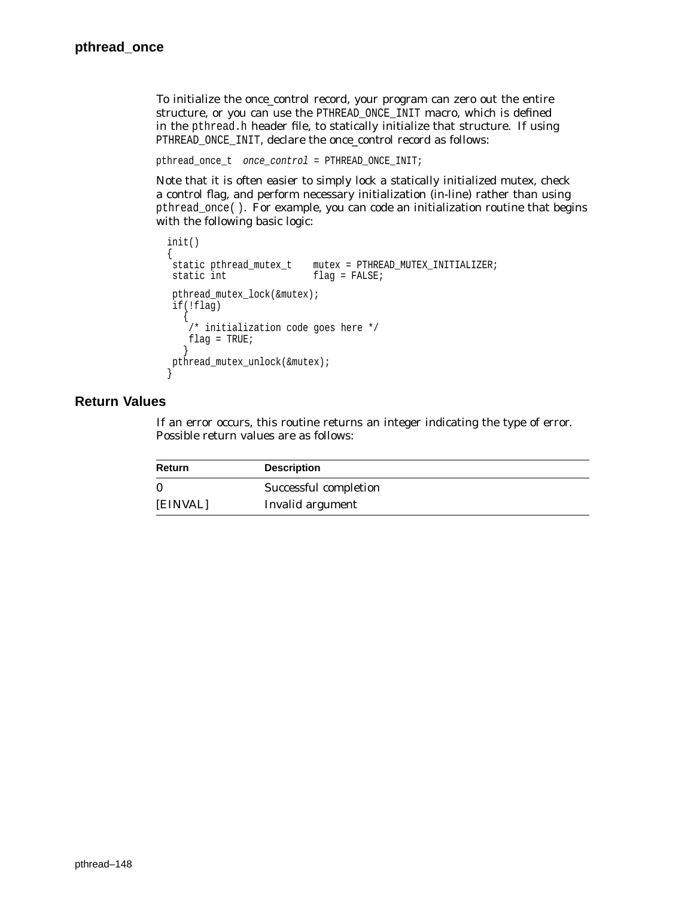To initialize the *once\_control* record, your program can zero out the entire structure, or you can use the PTHREAD\_ONCE\_INIT macro, which is defined in the pthread.h header file, to statically initialize that structure. If using PTHREAD\_ONCE\_INIT, declare the *once\_control* record as follows:

```
pthread_once_t once_control = PTHREAD_ONCE_INIT;
```
Note that it is often easier to simply lock a statically initialized mutex, check a control flag, and perform necessary initialization (in-line) rather than using pthread\_once( ). For example, you can code an initialization routine that begins with the following basic logic:

```
init()
{
static pthread_mutex_t mutex = PTHREAD_MUTEX_INITIALIZER;
static int flag = FALSE;
pthread_mutex_lock(&mutex);
if(!flag)
   {
   /* initialization code goes here */
   flag = TRUE;
   }
pthread_mutex_unlock(&mutex);
}
```
## **Return Values**

If an error occurs, this routine returns an integer indicating the type of error. Possible return values are as follows:

| <b>Return</b> | <b>Description</b>    |  |
|---------------|-----------------------|--|
| $\Omega$      | Successful completion |  |
| [EINVAL]      | Invalid argument      |  |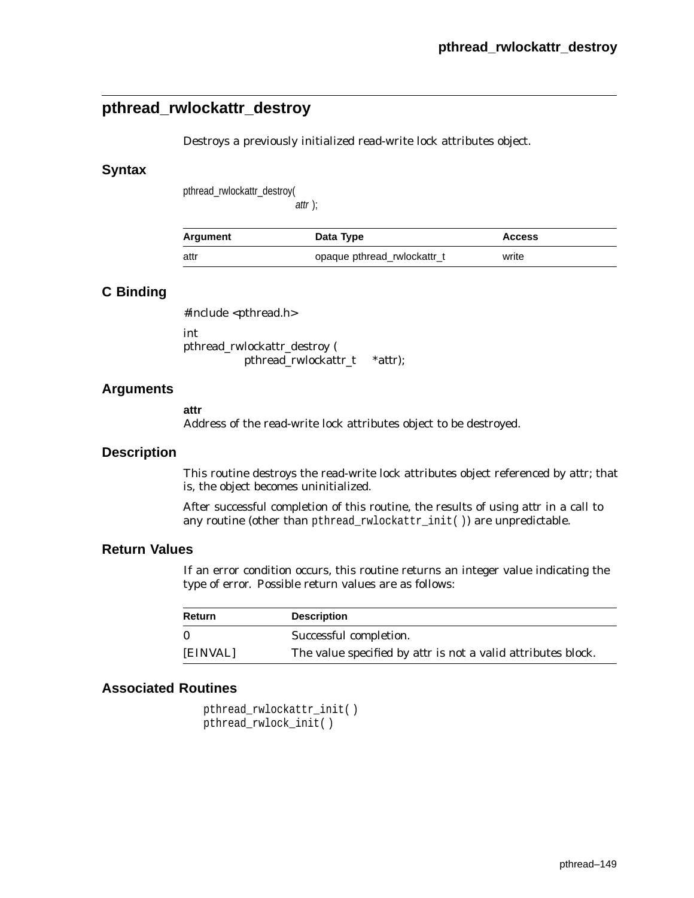# **pthread\_rwlockattr\_destroy**

Destroys a previously initialized read-write lock attributes object.

### **Syntax**

pthread\_rwlockattr\_destroy(

 $attr$  );

| Argument | Data Type                   | <b>Access</b> |
|----------|-----------------------------|---------------|
| attr     | opaque pthread rwlockattr_t | write         |

### **C Binding**

#include <pthread.h>

int pthread\_rwlockattr\_destroy ( pthread\_rwlockattr\_t \**attr*);

### **Arguments**

**attr**

Address of the read-write lock attributes object to be destroyed.

#### **Description**

This routine destroys the read-write lock attributes object referenced by *attr*; that is, the object becomes uninitialized.

After successful completion of this routine, the results of using *attr* in a call to any routine (other than pthread\_rwlockattr\_init( )) are unpredictable.

## **Return Values**

If an error condition occurs, this routine returns an integer value indicating the type of error. Possible return values are as follows:

| <b>Return</b> | <b>Description</b>                                                  |
|---------------|---------------------------------------------------------------------|
|               | Successful completion.                                              |
| [EINVAL]      | The value specified by <i>attr</i> is not a valid attributes block. |

## **Associated Routines**

pthread\_rwlockattr\_init( ) pthread\_rwlock\_init( )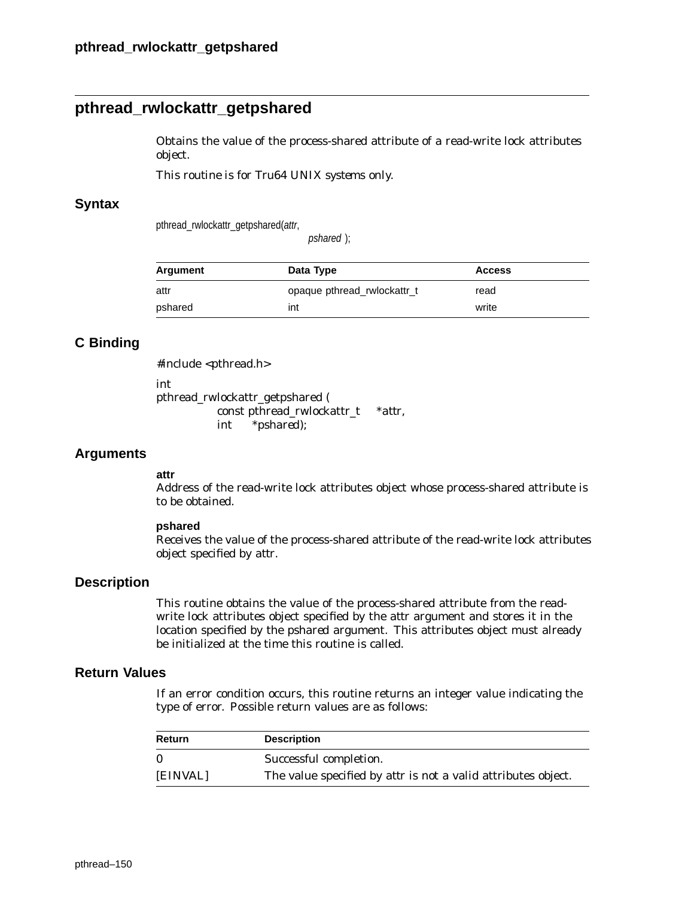# **pthread\_rwlockattr\_getpshared**

Obtains the value of the process-shared attribute of a read-write lock attributes object.

*This routine is for Tru64 UNIX systems only.*

### **Syntax**

pthread\_rwlockattr\_getpshared(attr,

pshared );

| Argument | Data Type                   | <b>Access</b> |
|----------|-----------------------------|---------------|
| attr     | opaque pthread rwlockattr_t | read          |
| pshared  | int                         | write         |

## **C Binding**

#include <pthread.h>

int

pthread\_rwlockattr\_getpshared ( const pthread\_rwlockattr\_t \**attr*, int \**pshared*);

### **Arguments**

#### **attr**

Address of the read-write lock attributes object whose process-shared attribute is to be obtained.

#### **pshared**

Receives the value of the process-shared attribute of the read-write lock attributes object specified by *attr*.

## **Description**

This routine obtains the value of the process-shared attribute from the readwrite lock attributes object specified by the *attr* argument and stores it in the location specified by the *pshared* argument. This attributes object must already be initialized at the time this routine is called.

### **Return Values**

If an error condition occurs, this routine returns an integer value indicating the type of error. Possible return values are as follows:

| <b>Return</b> | <b>Description</b>                                            |
|---------------|---------------------------------------------------------------|
|               | Successful completion.                                        |
| [EINVAL]      | The value specified by attr is not a valid attributes object. |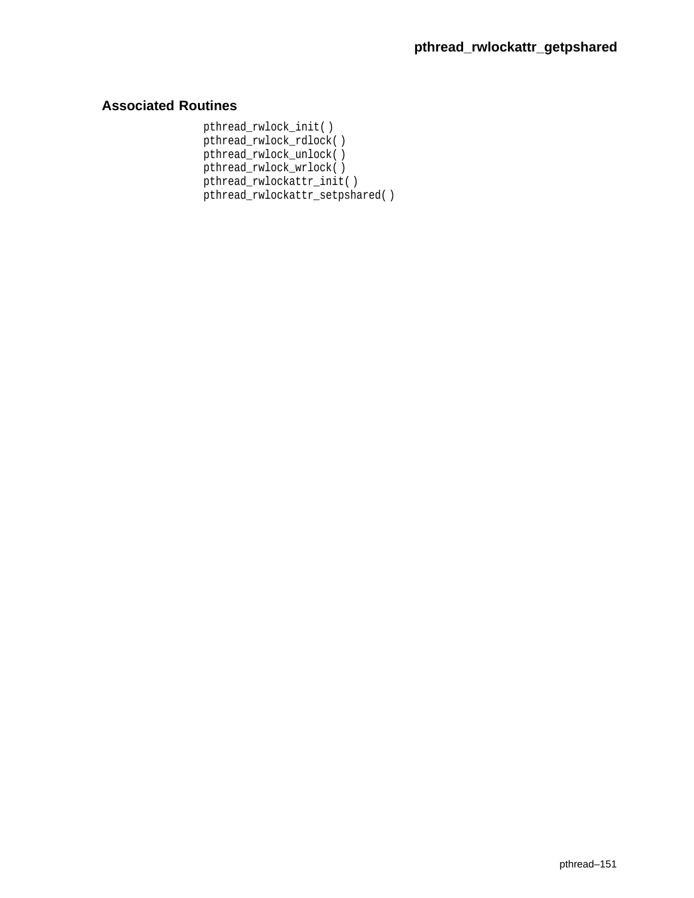# **Associated Routines**

pthread\_rwlock\_init( ) pthread\_rwlock\_rdlock( ) pthread\_rwlock\_unlock( ) pthread\_rwlock\_wrlock( ) pthread\_rwlockattr\_init( ) pthread\_rwlockattr\_setpshared( )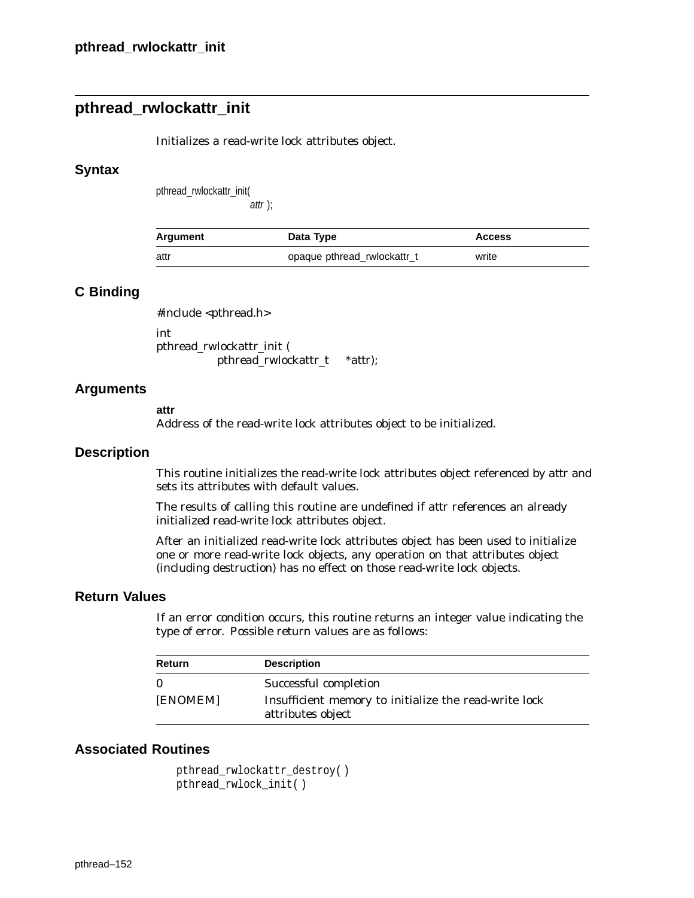# **pthread\_rwlockattr\_init**

Initializes a read-write lock attributes object.

### **Syntax**

pthread\_rwlockattr\_init(

attr );

| Argument | Data Type                   | <b>Access</b> |
|----------|-----------------------------|---------------|
| attr     | opaque pthread rwlockattr_t | write         |

### **C Binding**

#include <pthread.h> int pthread\_rwlockattr\_init ( pthread\_rwlockattr\_t \**attr*);

### **Arguments**

#### **attr**

Address of the read-write lock attributes object to be initialized.

### **Description**

This routine initializes the read-write lock attributes object referenced by *attr* and sets its attributes with default values.

The results of calling this routine are undefined if *attr* references an already initialized read-write lock attributes object.

After an initialized read-write lock attributes object has been used to initialize one or more read-write lock objects, any operation on that attributes object (including destruction) has no effect on those read-write lock objects.

#### **Return Values**

If an error condition occurs, this routine returns an integer value indicating the type of error. Possible return values are as follows:

| <b>Return</b> | <b>Description</b>                                                         |
|---------------|----------------------------------------------------------------------------|
|               | Successful completion                                                      |
| [ENOMEM]      | Insufficient memory to initialize the read-write lock<br>attributes object |

### **Associated Routines**

```
pthread_rwlockattr_destroy( )
pthread_rwlock_init( )
```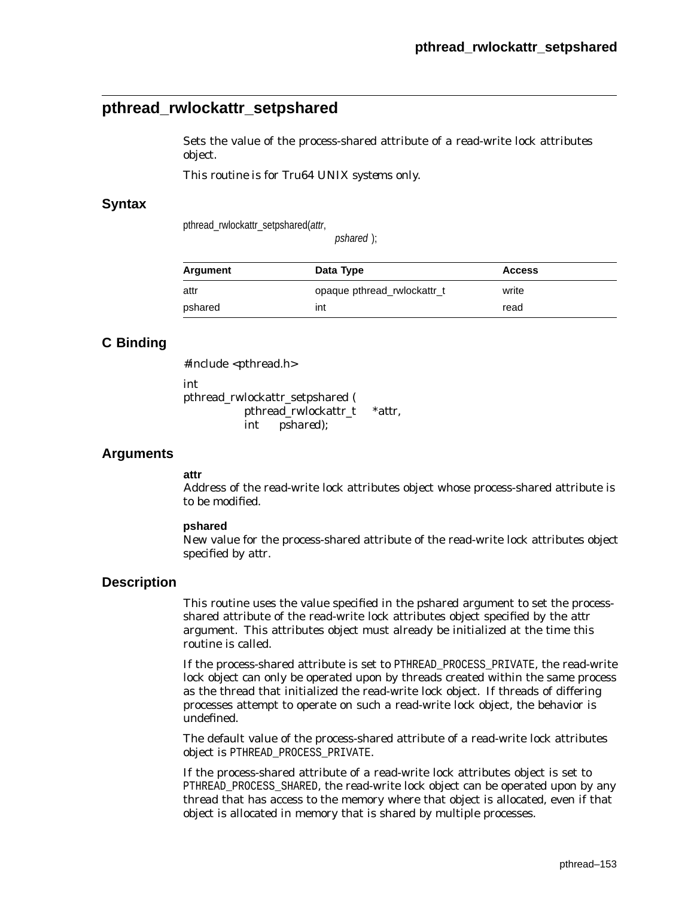# **pthread\_rwlockattr\_setpshared**

Sets the value of the process-shared attribute of a read-write lock attributes object.

*This routine is for Tru64 UNIX systems only.*

### **Syntax**

pthread\_rwlockattr\_setpshared(attr,

pshared );

| Argument | Data Type                   | <b>Access</b> |
|----------|-----------------------------|---------------|
| attr     | opaque pthread rwlockattr_t | write         |
| pshared  | int                         | read          |

## **C Binding**

#include <pthread.h>

int

pthread\_rwlockattr\_setpshared ( pthread\_rwlockattr\_t \**attr*, int *pshared*);

### **Arguments**

#### **attr**

Address of the read-write lock attributes object whose process-shared attribute is to be modified.

### **pshared**

New value for the process-shared attribute of the read-write lock attributes object specified by *attr*.

### **Description**

This routine uses the value specified in the *pshared* argument to set the processshared attribute of the read-write lock attributes object specified by the *attr* argument. This attributes object must already be initialized at the time this routine is called.

If the process-shared attribute is set to PTHREAD\_PROCESS\_PRIVATE, the read-write lock object can only be operated upon by threads created within the same process as the thread that initialized the read-write lock object. If threads of differing processes attempt to operate on such a read-write lock object, the behavior is undefined.

The default value of the process-shared attribute of a read-write lock attributes object is PTHREAD\_PROCESS\_PRIVATE.

If the process-shared attribute of a read-write lock attributes object is set to PTHREAD\_PROCESS\_SHARED, the read-write lock object can be operated upon by any thread that has access to the memory where that object is allocated, even if that object is allocated in memory that is shared by multiple processes.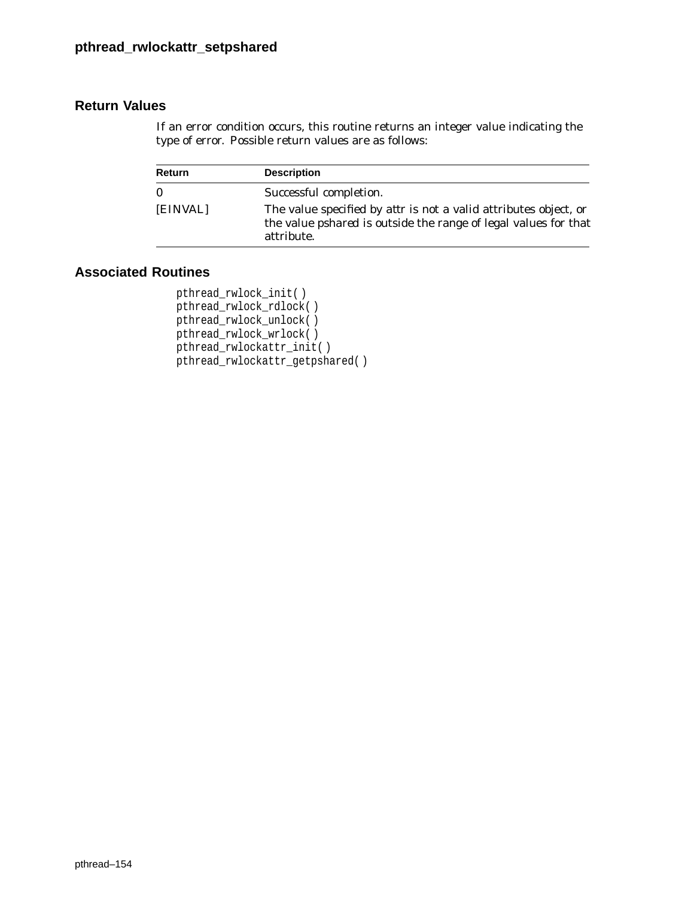If an error condition occurs, this routine returns an integer value indicating the type of error. Possible return values are as follows:

| <b>Return</b> | <b>Description</b>                                                                                                                                              |
|---------------|-----------------------------------------------------------------------------------------------------------------------------------------------------------------|
| $\bf{0}$      | Successful completion.                                                                                                                                          |
| [EINVAL]      | The value specified by <i>attr</i> is not a valid attributes object, or<br>the value <i>pshared</i> is outside the range of legal values for that<br>attribute. |

# **Associated Routines**

```
pthread_rwlock_init( )
pthread_rwlock_rdlock( )
pthread_rwlock_unlock( )
pthread_rwlock_wrlock( )
pthread_rwlockattr_init( )
pthread_rwlockattr_getpshared( )
```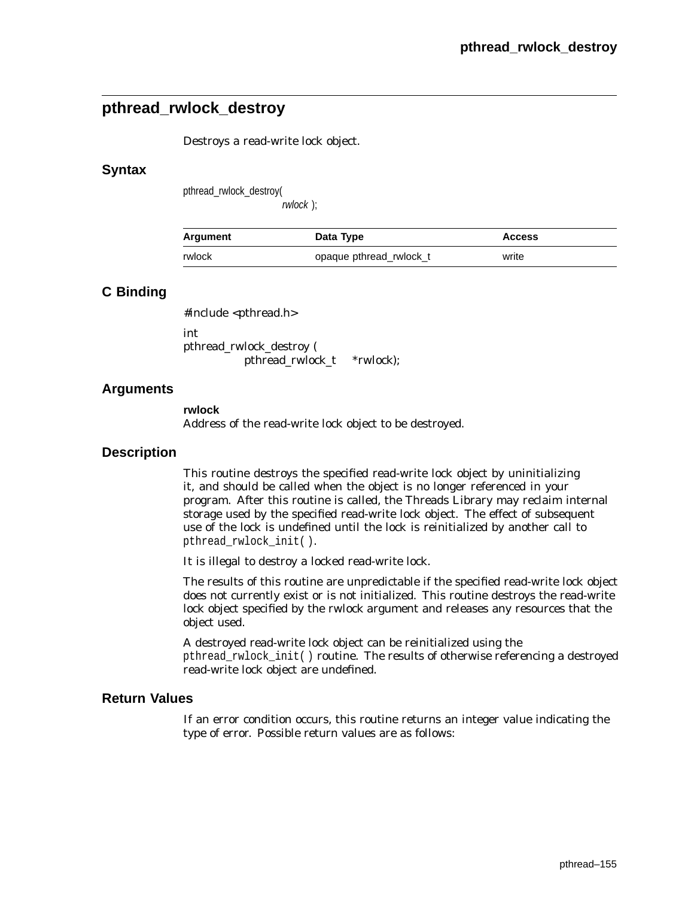# **pthread\_rwlock\_destroy**

Destroys a read-write lock object.

### **Syntax**

pthread\_rwlock\_destroy(

rwlock );

| Argument | Data Type               | <b>Access</b> |
|----------|-------------------------|---------------|
| rwlock   | opaque pthread rwlock t | write         |

## **C Binding**

#include <pthread.h>

int pthread\_rwlock\_destroy ( pthread\_rwlock\_t *\*rwlock*);

### **Arguments**

**rwlock** Address of the read-write lock object to be destroyed.

### **Description**

This routine destroys the specified read-write lock object by uninitializing it, and should be called when the object is no longer referenced in your program. After this routine is called, the Threads Library may reclaim internal storage used by the specified read-write lock object. The effect of subsequent use of the lock is undefined until the lock is reinitialized by another call to pthread\_rwlock\_init( ).

It is illegal to destroy a locked read-write lock.

The results of this routine are unpredictable if the specified read-write lock object does not currently exist or is not initialized. This routine destroys the read-write lock object specified by the *rwlock* argument and releases any resources that the object used.

A destroyed read-write lock object can be reinitialized using the pthread\_rwlock\_init( ) routine. The results of otherwise referencing a destroyed read-write lock object are undefined.

### **Return Values**

If an error condition occurs, this routine returns an integer value indicating the type of error. Possible return values are as follows: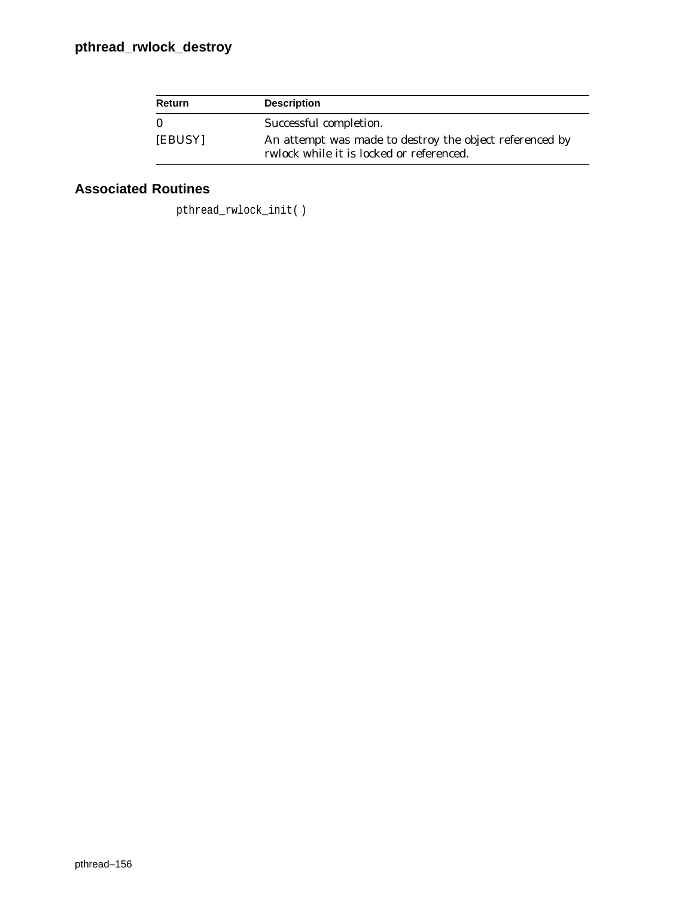# **pthread\_rwlock\_destroy**

| Return  | <b>Description</b>                                                                                         |
|---------|------------------------------------------------------------------------------------------------------------|
|         | Successful completion.                                                                                     |
| [EBUSY] | An attempt was made to destroy the object referenced by<br><i>rwlock</i> while it is locked or referenced. |

# **Associated Routines**

pthread\_rwlock\_init( )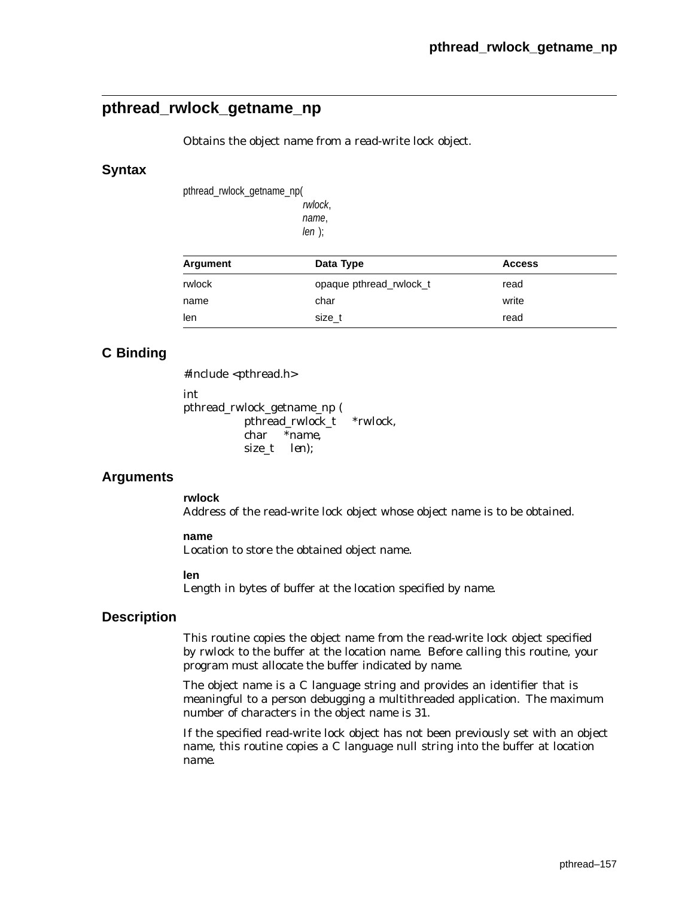# **pthread\_rwlock\_getname\_np**

Obtains the object name from a read-write lock object.

### **Syntax**

pthread\_rwlock\_getname\_np(

rwlock, name,  $len$  );

| Argument | Data Type               | <b>Access</b> |  |
|----------|-------------------------|---------------|--|
| rwlock   | opaque pthread rwlock t | read          |  |
| name     | char                    | write         |  |
| len      | size t                  | read          |  |

# **C Binding**

#include <pthread.h> int pthread\_rwlock\_getname\_np ( pthread\_rwlock\_t \**rwlock*, char \**name*, size\_t *len*);

## **Arguments**

**rwlock**

Address of the read-write lock object whose object name is to be obtained.

#### **name**

Location to store the obtained object name.

#### **len**

Length in bytes of buffer at the location specified by *name*.

### **Description**

This routine copies the object name from the read-write lock object specified by *rwlock* to the buffer at the location *name*. Before calling this routine, your program must allocate the buffer indicated by *name*.

The object name is a C language string and provides an identifier that is meaningful to a person debugging a multithreaded application. The maximum number of characters in the object name is 31.

If the specified read-write lock object has not been previously set with an object name, this routine copies a C language null string into the buffer at location *name*.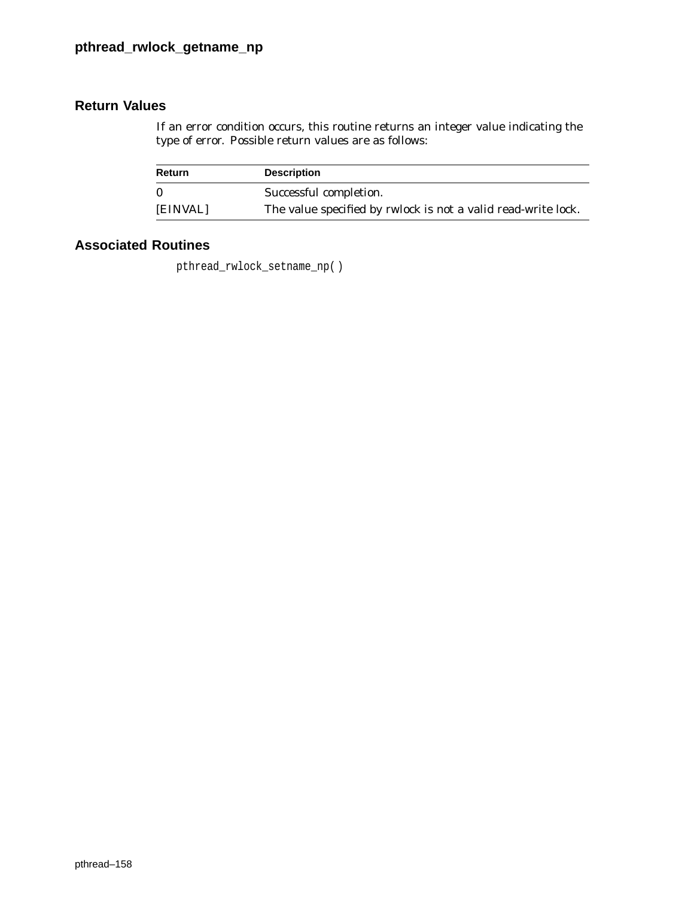If an error condition occurs, this routine returns an integer value indicating the type of error. Possible return values are as follows:

| Return       | <b>Description</b>                                                   |
|--------------|----------------------------------------------------------------------|
| $\mathbf{0}$ | Successful completion.                                               |
| [EINVAL]     | The value specified by <i>rwlock</i> is not a valid read-write lock. |

# **Associated Routines**

pthread\_rwlock\_setname\_np( )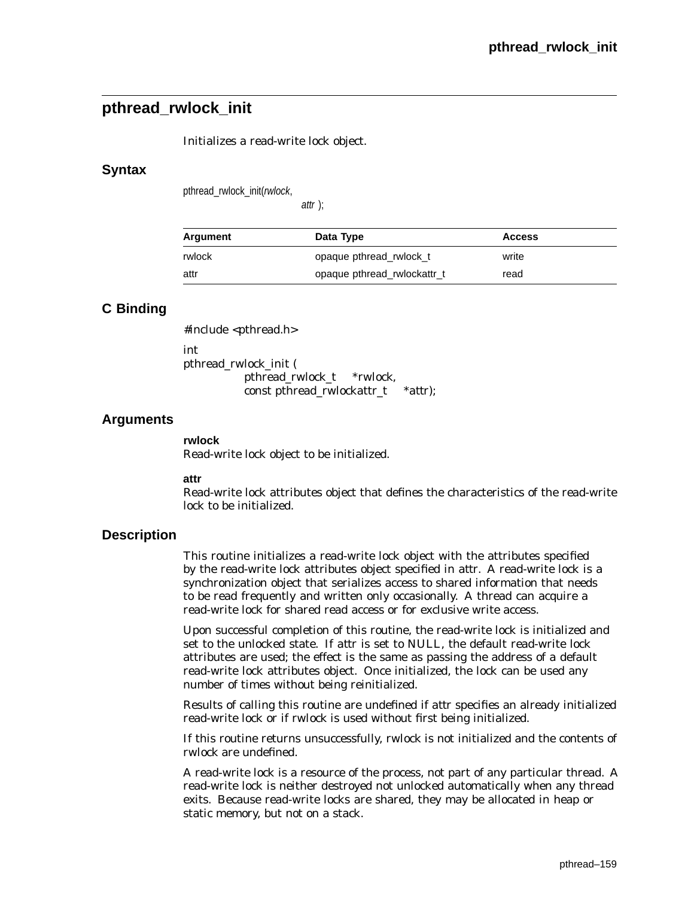# **pthread\_rwlock\_init**

Initializes a read-write lock object.

## **Syntax**

pthread\_rwlock\_init(rwlock,

attr );

| Argument | Data Type                   | <b>Access</b> |  |
|----------|-----------------------------|---------------|--|
| rwlock   | opaque pthread rwlock t     | write         |  |
| attr     | opaque pthread rwlockattr_t | read          |  |

# **C Binding**

#include <pthread.h> int pthread\_rwlock\_init ( pthread\_rwlock\_t \**rwlock*, const pthread\_rwlockattr\_t \**attr*);

## **Arguments**

**rwlock**

Read-write lock object to be initialized.

**attr**

Read-write lock attributes object that defines the characteristics of the read-write lock to be initialized.

### **Description**

This routine initializes a read-write lock object with the attributes specified by the read-write lock attributes object specified in *attr*. A read-write lock is a synchronization object that serializes access to shared information that needs to be read frequently and written only occasionally. A thread can acquire a read-write lock for shared read access or for exclusive write access.

Upon successful completion of this routine, the read-write lock is initialized and set to the unlocked state. If *attr* is set to NULL, the default read-write lock attributes are used; the effect is the same as passing the address of a default read-write lock attributes object. Once initialized, the lock can be used any number of times without being reinitialized.

Results of calling this routine are undefined if *attr* specifies an already initialized read-write lock or if *rwlock* is used without first being initialized.

If this routine returns unsuccessfully, *rwlock* is not initialized and the contents of *rwlock* are undefined.

A read-write lock is a resource of the process, not part of any particular thread. A read-write lock is neither destroyed not unlocked automatically when any thread exits. Because read-write locks are shared, they may be allocated in heap or static memory, but not on a stack.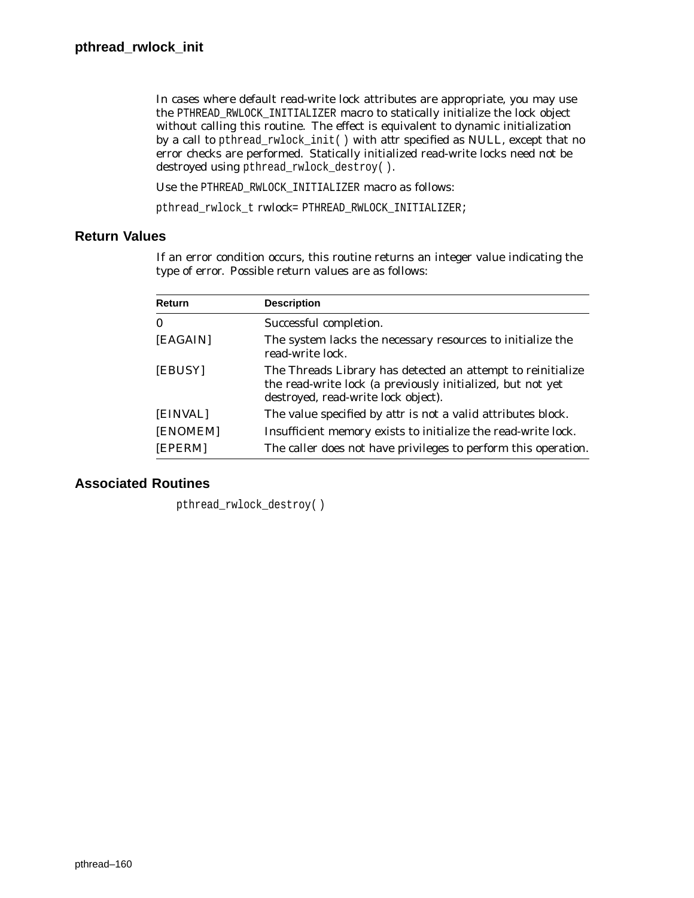In cases where default read-write lock attributes are appropriate, you may use the PTHREAD\_RWLOCK\_INITIALIZER macro to statically initialize the lock object without calling this routine. The effect is equivalent to dynamic initialization by a call to pthread\_rwlock\_init( ) with *attr* specified as NULL, except that no error checks are performed. Statically initialized read-write locks need not be destroyed using pthread\_rwlock\_destroy( ).

Use the PTHREAD\_RWLOCK\_INITIALIZER macro as follows:

pthread\_rwlock\_t *rwlock*= PTHREAD\_RWLOCK\_INITIALIZER;

## **Return Values**

If an error condition occurs, this routine returns an integer value indicating the type of error. Possible return values are as follows:

| Return   | <b>Description</b>                                                                                                                                               |
|----------|------------------------------------------------------------------------------------------------------------------------------------------------------------------|
| $\bf{0}$ | Successful completion.                                                                                                                                           |
| [EAGAIN] | The system lacks the necessary resources to initialize the<br>read-write lock.                                                                                   |
| [EBUSY]  | The Threads Library has detected an attempt to reinitialize<br>the read-write lock (a previously initialized, but not yet<br>destroyed, read-write lock object). |
| [EINVAL] | The value specified by <i>attr</i> is not a valid attributes block.                                                                                              |
| [ENOMEM] | Insufficient memory exists to initialize the read-write lock.                                                                                                    |
| [EPERM]  | The caller does not have privileges to perform this operation.                                                                                                   |

## **Associated Routines**

pthread\_rwlock\_destroy( )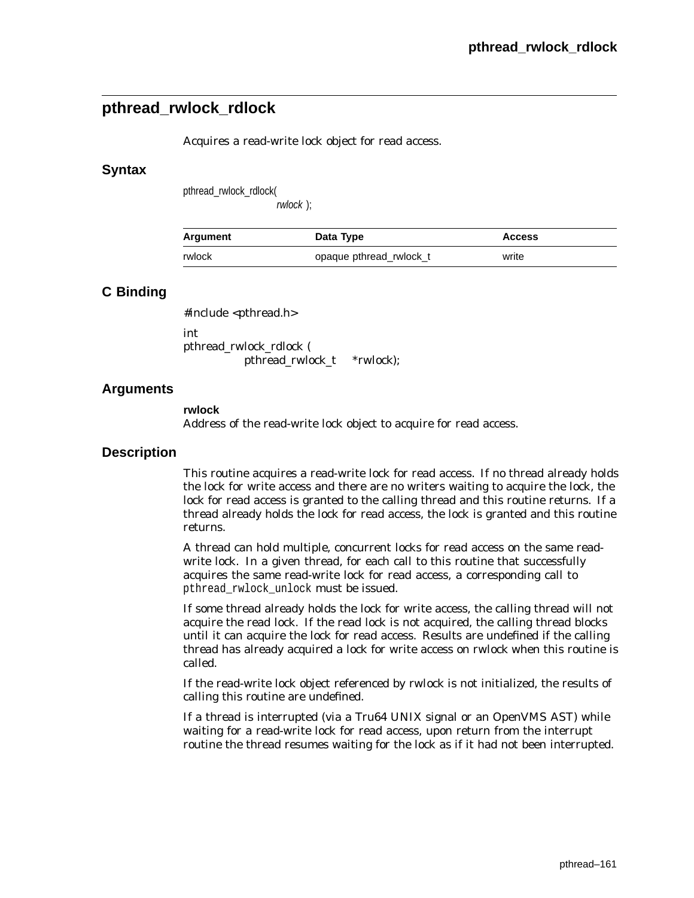# **pthread\_rwlock\_rdlock**

Acquires a read-write lock object for read access.

### **Syntax**

pthread\_rwlock\_rdlock(

rwlock );

| Argument | Data Type               | <b>Access</b> |
|----------|-------------------------|---------------|
| rwlock   | opaque pthread rwlock t | write         |

## **C Binding**

#include <pthread.h>

int pthread\_rwlock\_rdlock ( pthread\_rwlock\_t *\*rwlock*);

## **Arguments**

**rwlock**

Address of the read-write lock object to acquire for read access.

### **Description**

This routine acquires a read-write lock for read access. If no thread already holds the lock for write access and there are no writers waiting to acquire the lock, the lock for read access is granted to the calling thread and this routine returns. If a thread already holds the lock for read access, the lock is granted and this routine returns.

A thread can hold multiple, concurrent locks for read access on the same readwrite lock. In a given thread, for each call to this routine that successfully acquires the same read-write lock for read access, a corresponding call to pthread rwlock unlock must be issued.

If some thread already holds the lock for write access, the calling thread will not acquire the read lock. If the read lock is not acquired, the calling thread blocks until it can acquire the lock for read access. Results are undefined if the calling thread has already acquired a lock for write access on *rwlock* when this routine is called.

If the read-write lock object referenced by *rwlock* is not initialized, the results of calling this routine are undefined.

If a thread is interrupted (via a Tru64 UNIX signal or an OpenVMS AST) while waiting for a read-write lock for read access, upon return from the interrupt routine the thread resumes waiting for the lock as if it had not been interrupted.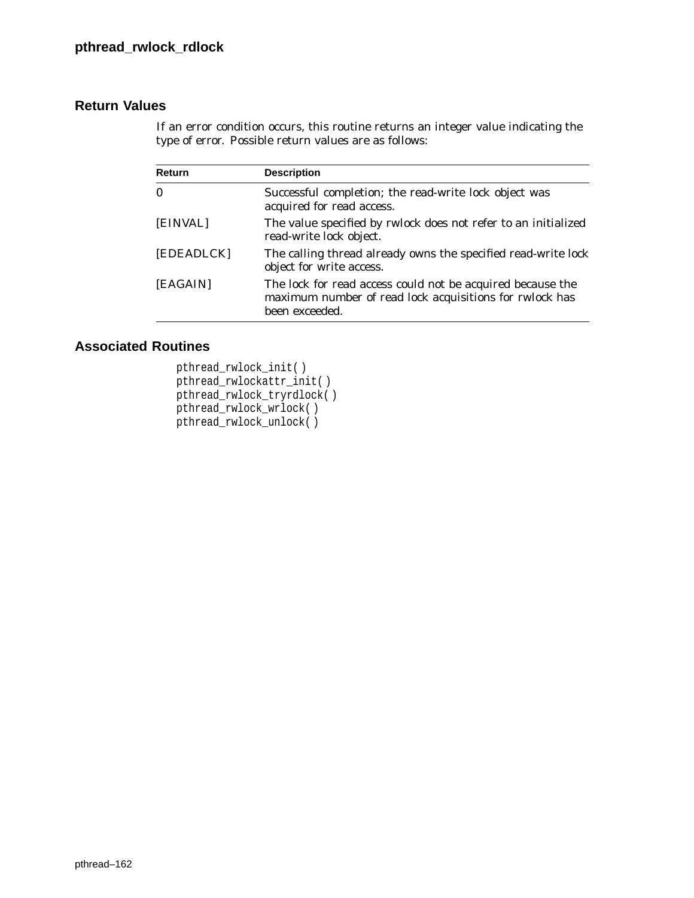If an error condition occurs, this routine returns an integer value indicating the type of error. Possible return values are as follows:

| Return     | <b>Description</b>                                                                                                                      |  |
|------------|-----------------------------------------------------------------------------------------------------------------------------------------|--|
| $\bf{0}$   | Successful completion; the read-write lock object was<br>acquired for read access.                                                      |  |
| [EINVAL]   | The value specified by <i>rwlock</i> does not refer to an initialized<br>read-write lock object.                                        |  |
| [EDEADLCK] | The calling thread already owns the specified read-write lock<br>object for write access.                                               |  |
| [EAGAIN]   | The lock for read access could not be acquired because the<br>maximum number of read lock acquisitions for rwlock has<br>been exceeded. |  |

# **Associated Routines**

pthread\_rwlock\_init( ) pthread\_rwlockattr\_init( ) pthread\_rwlock\_tryrdlock( ) pthread\_rwlock\_wrlock( ) pthread\_rwlock\_unlock( )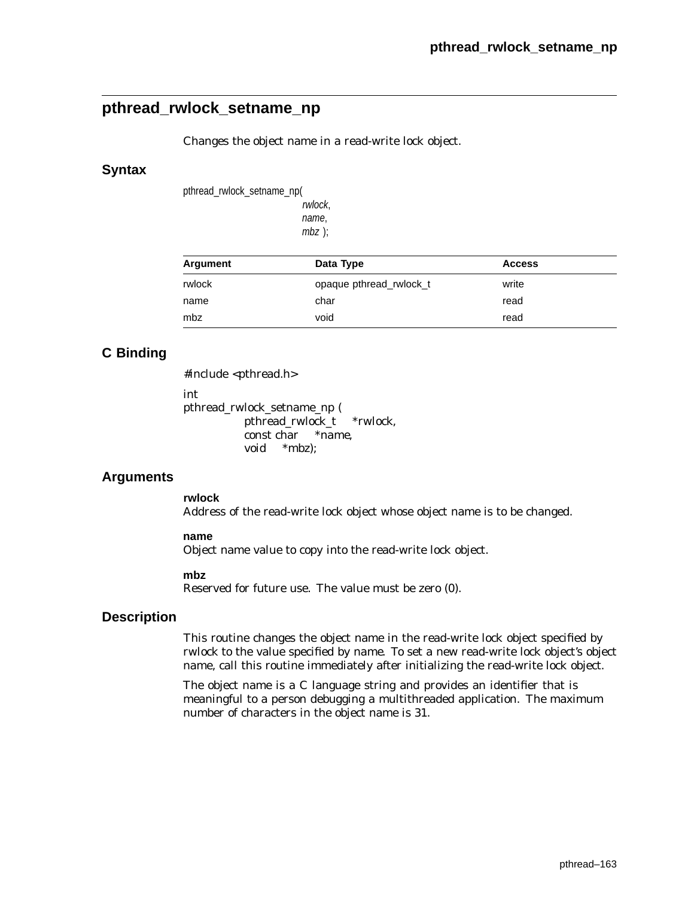# **pthread\_rwlock\_setname\_np**

Changes the object name in a read-write lock object.

### **Syntax**

pthread\_rwlock\_setname\_np(

rwlock, name, mbz );

| Argument | Data Type               | <b>Access</b> |  |
|----------|-------------------------|---------------|--|
| rwlock   | opaque pthread rwlock t | write         |  |
| name     | char                    | read          |  |
| mbz      | void                    | read          |  |

# **C Binding**

#include <pthread.h>

int

pthread\_rwlock\_setname\_np ( pthread\_rwlock\_t *\*rwlock*, const char *\*name*, void *\*mbz*);

## **Arguments**

**rwlock**

Address of the read-write lock object whose object name is to be changed.

#### **name**

Object name value to copy into the read-write lock object.

#### **mbz**

Reserved for future use. The value must be zero (0).

### **Description**

This routine changes the object name in the read-write lock object specified by *rwlock* to the value specified by *name*. To set a new read-write lock object's object name, call this routine immediately after initializing the read-write lock object.

The object name is a C language string and provides an identifier that is meaningful to a person debugging a multithreaded application. The maximum number of characters in the object name is 31.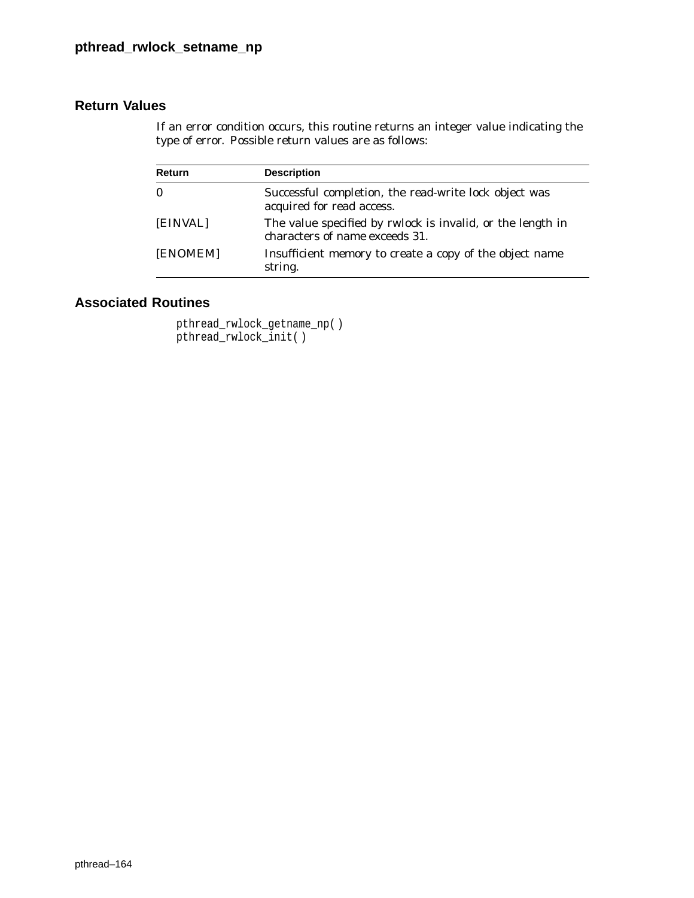If an error condition occurs, this routine returns an integer value indicating the type of error. Possible return values are as follows:

| Return   | <b>Description</b>                                                                                         |
|----------|------------------------------------------------------------------------------------------------------------|
| $\bf{0}$ | Successful completion, the read-write lock object was<br>acquired for read access.                         |
| [EINVAL] | The value specified by <i>rwlock</i> is invalid, or the length in<br>characters of <i>name</i> exceeds 31. |
| [ENOMEM] | Insufficient memory to create a copy of the object name<br>string.                                         |

# **Associated Routines**

pthread\_rwlock\_getname\_np( ) pthread\_rwlock\_init( )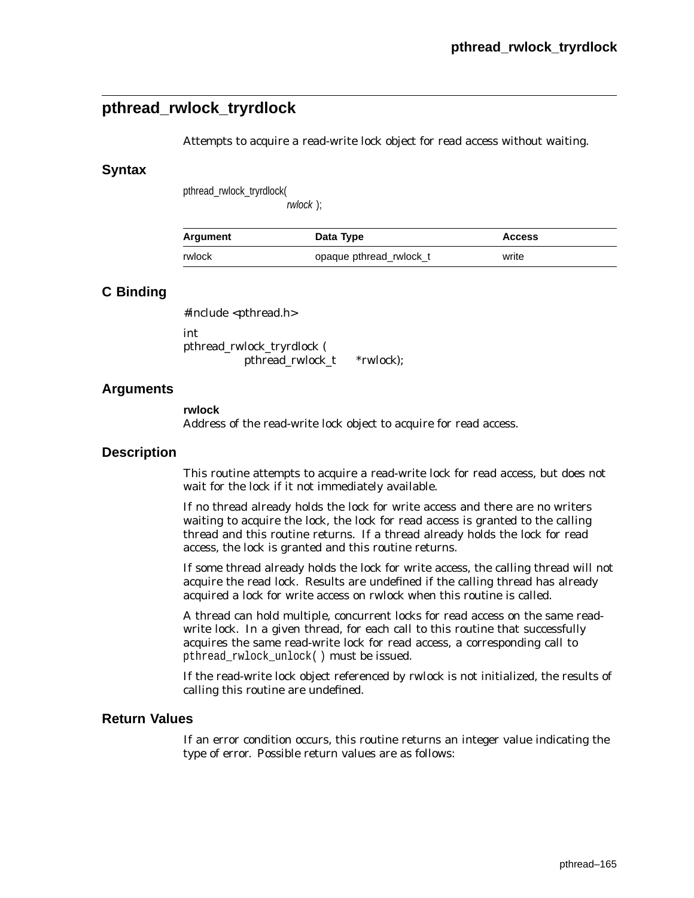# **pthread\_rwlock\_tryrdlock**

Attempts to acquire a read-write lock object for read access without waiting.

### **Syntax**

pthread\_rwlock\_tryrdlock(

rwlock );

| Argument | Data Type               | <b>Access</b> |
|----------|-------------------------|---------------|
| rwlock   | opaque pthread rwlock t | write         |

## **C Binding**

#include <pthread.h>

int pthread\_rwlock\_tryrdlock ( pthread\_rwlock\_t *\*rwlock*);

### **Arguments**

**rwlock**

Address of the read-write lock object to acquire for read access.

### **Description**

This routine attempts to acquire a read-write lock for read access, but does not wait for the lock if it not immediately available.

If no thread already holds the lock for write access and there are no writers waiting to acquire the lock, the lock for read access is granted to the calling thread and this routine returns. If a thread already holds the lock for read access, the lock is granted and this routine returns.

If some thread already holds the lock for write access, the calling thread will not acquire the read lock. Results are undefined if the calling thread has already acquired a lock for write access on *rwlock* when this routine is called.

A thread can hold multiple, concurrent locks for read access on the same readwrite lock. In a given thread, for each call to this routine that successfully acquires the same read-write lock for read access, a corresponding call to pthread\_rwlock\_unlock( ) must be issued.

If the read-write lock object referenced by *rwlock* is not initialized, the results of calling this routine are undefined.

### **Return Values**

If an error condition occurs, this routine returns an integer value indicating the type of error. Possible return values are as follows: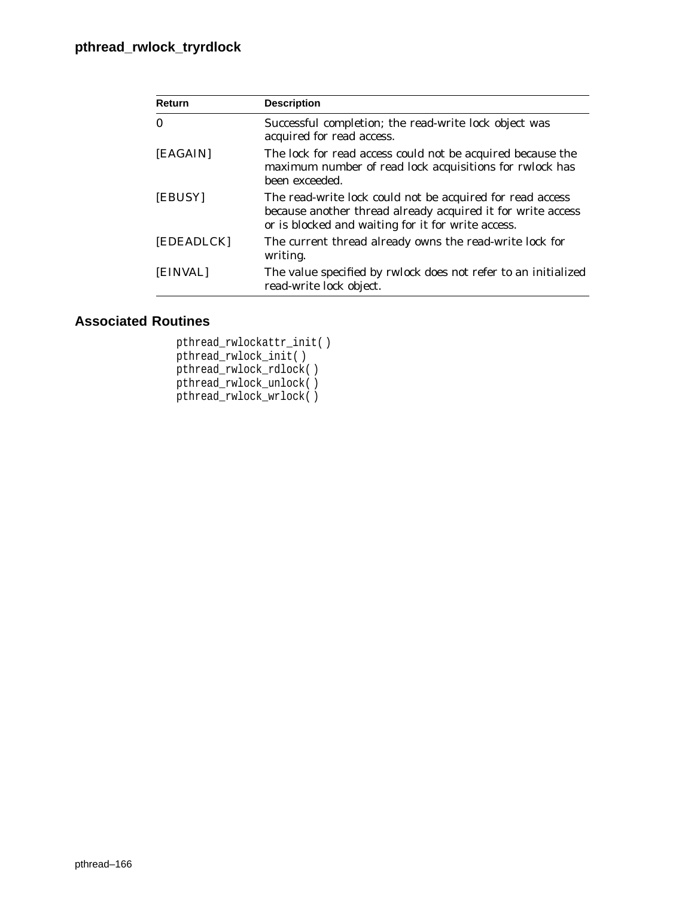| Return     | <b>Description</b>                                                                                                                                                             |
|------------|--------------------------------------------------------------------------------------------------------------------------------------------------------------------------------|
| $\Omega$   | Successful completion; the read-write lock object was<br>acquired for read access.                                                                                             |
| [EAGAIN]   | The lock for read access could not be acquired because the<br>maximum number of read lock acquisitions for rwlock has<br>been exceeded.                                        |
| [EBUSY]    | The read-write lock could not be acquired for read access<br>because another thread already acquired it for write access<br>or is blocked and waiting for it for write access. |
| [EDEADLCK] | The current thread already owns the read-write lock for<br>writing.                                                                                                            |
| [EINVAL]   | The value specified by rwlock does not refer to an initialized<br>read-write lock object.                                                                                      |

# **Associated Routines**

pthread\_rwlockattr\_init( ) pthread\_rwlock\_init( ) pthread\_rwlock\_rdlock( ) pthread\_rwlock\_unlock( ) pthread\_rwlock\_wrlock( )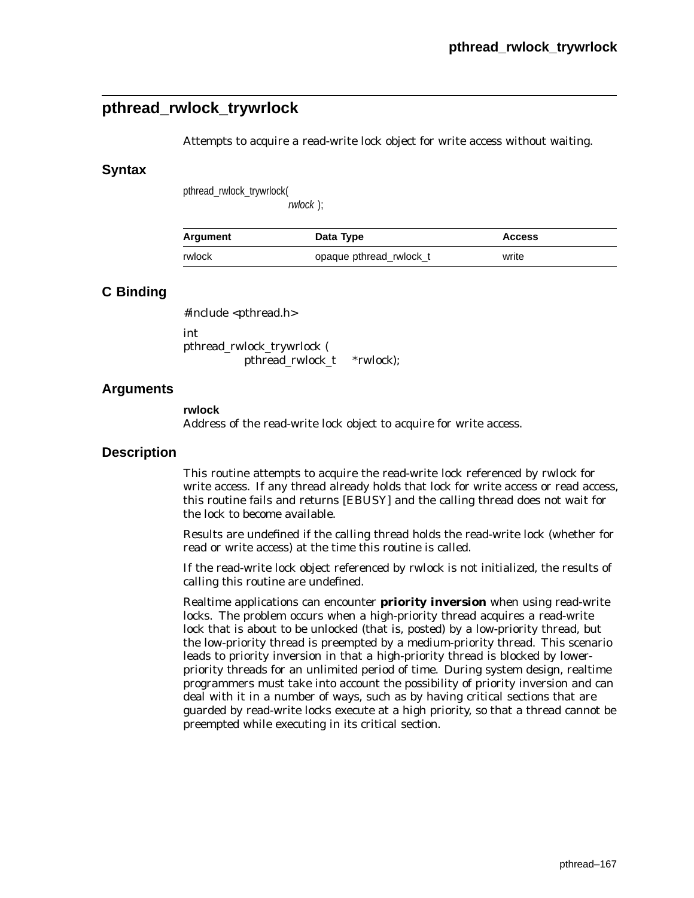# **pthread\_rwlock\_trywrlock**

Attempts to acquire a read-write lock object for write access without waiting.

### **Syntax**

pthread\_rwlock\_trywrlock(

rwlock );

| Argument | Data Type               | <b>Access</b> |
|----------|-------------------------|---------------|
| rwlock   | opaque pthread_rwlock_t | write         |

## **C Binding**

#include <pthread.h>

int pthread\_rwlock\_trywrlock ( pthread\_rwlock\_t *\*rwlock*);

### **Arguments**

**rwlock**

Address of the read-write lock object to acquire for write access.

### **Description**

This routine attempts to acquire the read-write lock referenced by *rwlock* for write access. If any thread already holds that lock for write access or read access, this routine fails and returns [EBUSY] and the calling thread does not wait for the lock to become available.

Results are undefined if the calling thread holds the read-write lock (whether for read or write access) at the time this routine is called.

If the read-write lock object referenced by *rwlock* is not initialized, the results of calling this routine are undefined.

Realtime applications can encounter **priority inversion** when using read-write locks. The problem occurs when a high-priority thread acquires a read-write lock that is about to be unlocked (that is, posted) by a low-priority thread, but the low-priority thread is preempted by a medium-priority thread. This scenario leads to priority inversion in that a high-priority thread is blocked by lowerpriority threads for an unlimited period of time. During system design, realtime programmers must take into account the possibility of priority inversion and can deal with it in a number of ways, such as by having critical sections that are guarded by read-write locks execute at a high priority, so that a thread cannot be preempted while executing in its critical section.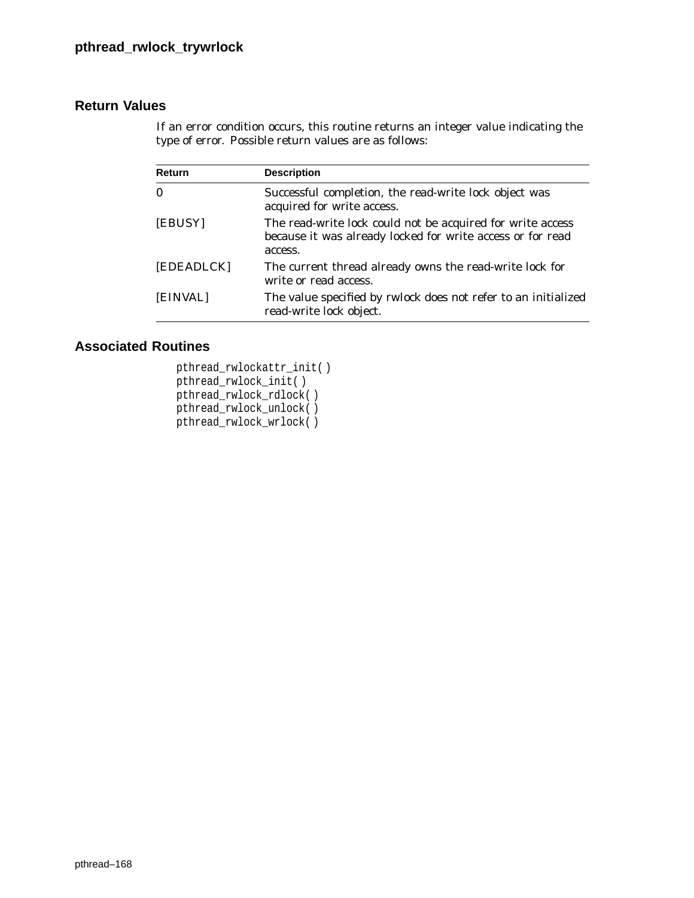If an error condition occurs, this routine returns an integer value indicating the type of error. Possible return values are as follows:

| <b>Description</b>                                                                                                                  |
|-------------------------------------------------------------------------------------------------------------------------------------|
| Successful completion, the read-write lock object was<br>acquired for write access.                                                 |
| The read-write lock could not be acquired for write access<br>because it was already locked for write access or for read<br>access. |
| The current thread already owns the read-write lock for<br>write or read access.                                                    |
| The value specified by rwlock does not refer to an initialized<br>read-write lock object.                                           |
|                                                                                                                                     |

# **Associated Routines**

pthread\_rwlockattr\_init( ) pthread\_rwlock\_init( ) pthread\_rwlock\_rdlock( ) pthread\_rwlock\_unlock( ) pthread\_rwlock\_wrlock( )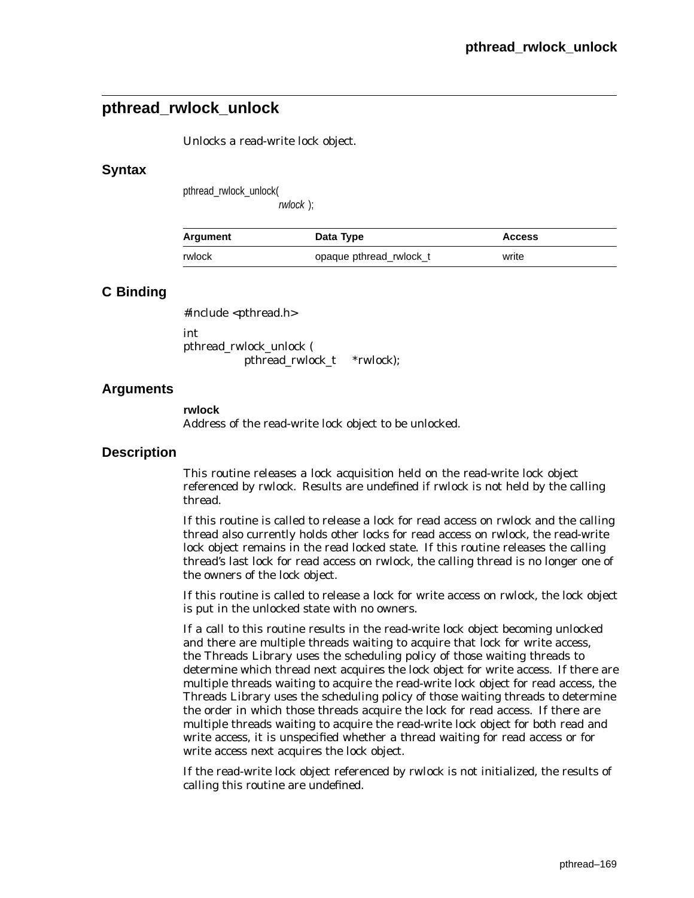# **pthread\_rwlock\_unlock**

Unlocks a read-write lock object.

### **Syntax**

pthread\_rwlock\_unlock(

rwlock );

| Argument | Data Type               | <b>Access</b> |
|----------|-------------------------|---------------|
| rwlock   | opaque pthread rwlock t | write         |

## **C Binding**

#include <pthread.h>

int pthread\_rwlock\_unlock ( pthread\_rwlock\_t *\*rwlock*);

## **Arguments**

**rwlock** Address of the read-write lock object to be unlocked.

### **Description**

This routine releases a lock acquisition held on the read-write lock object referenced by *rwlock*. Results are undefined if *rwlock* is not held by the calling thread.

If this routine is called to release a lock for read access on *rwlock* and the calling thread also currently holds other locks for read access on *rwlock*, the read-write lock object remains in the read locked state. If this routine releases the calling thread's last lock for read access on *rwlock*, the calling thread is no longer one of the owners of the lock object.

If this routine is called to release a lock for write access on *rwlock*, the lock object is put in the unlocked state with no owners.

If a call to this routine results in the read-write lock object becoming unlocked and there are multiple threads waiting to acquire that lock for write access, the Threads Library uses the scheduling policy of those waiting threads to determine which thread next acquires the lock object for write access. If there are multiple threads waiting to acquire the read-write lock object for read access, the Threads Library uses the scheduling policy of those waiting threads to determine the order in which those threads acquire the lock for read access. If there are multiple threads waiting to acquire the read-write lock object for both read and write access, it is unspecified whether a thread waiting for read access or for write access next acquires the lock object.

If the read-write lock object referenced by *rwlock* is not initialized, the results of calling this routine are undefined.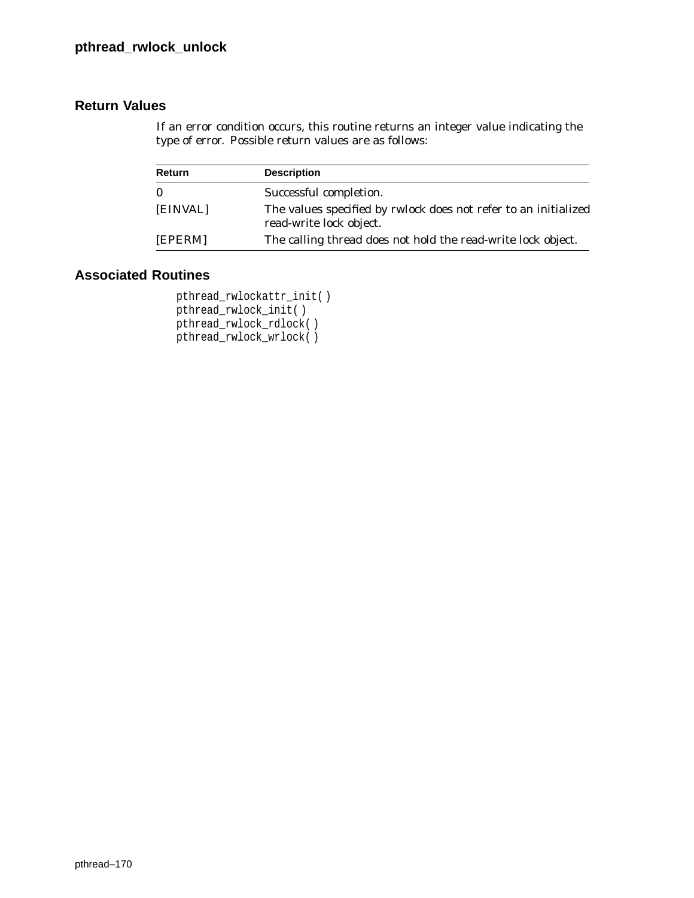If an error condition occurs, this routine returns an integer value indicating the type of error. Possible return values are as follows:

| <b>Return</b> | <b>Description</b>                                                                         |
|---------------|--------------------------------------------------------------------------------------------|
| $\bf{0}$      | Successful completion.                                                                     |
| [EINVAL]      | The values specified by rwlock does not refer to an initialized<br>read-write lock object. |
| [EPERM]       | The calling thread does not hold the read-write lock object.                               |

## **Associated Routines**

```
pthread_rwlockattr_init( )
pthread_rwlock_init( )
pthread_rwlock_rdlock( )
pthread_rwlock_wrlock( )
```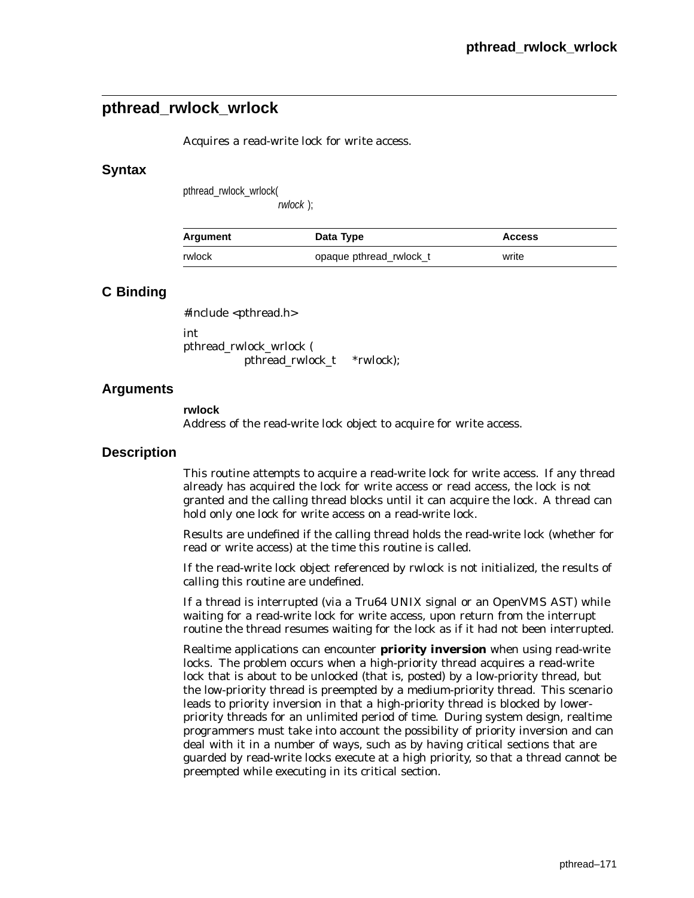# **pthread\_rwlock\_wrlock**

Acquires a read-write lock for write access.

### **Syntax**

pthread\_rwlock\_wrlock(

rwlock );

| Argument | Data Type               | <b>Access</b> |
|----------|-------------------------|---------------|
| rwlock   | opaque pthread_rwlock_t | write         |

## **C Binding**

#include <pthread.h>

int pthread\_rwlock\_wrlock ( pthread\_rwlock\_t *\*rwlock*);

## **Arguments**

**rwlock**

Address of the read-write lock object to acquire for write access.

### **Description**

This routine attempts to acquire a read-write lock for write access. If any thread already has acquired the lock for write access or read access, the lock is not granted and the calling thread blocks until it can acquire the lock. A thread can hold only one lock for write access on a read-write lock.

Results are undefined if the calling thread holds the read-write lock (whether for read or write access) at the time this routine is called.

If the read-write lock object referenced by *rwlock* is not initialized, the results of calling this routine are undefined.

If a thread is interrupted (via a Tru64 UNIX signal or an OpenVMS AST) while waiting for a read-write lock for write access, upon return from the interrupt routine the thread resumes waiting for the lock as if it had not been interrupted.

Realtime applications can encounter **priority inversion** when using read-write locks. The problem occurs when a high-priority thread acquires a read-write lock that is about to be unlocked (that is, posted) by a low-priority thread, but the low-priority thread is preempted by a medium-priority thread. This scenario leads to priority inversion in that a high-priority thread is blocked by lowerpriority threads for an unlimited period of time. During system design, realtime programmers must take into account the possibility of priority inversion and can deal with it in a number of ways, such as by having critical sections that are guarded by read-write locks execute at a high priority, so that a thread cannot be preempted while executing in its critical section.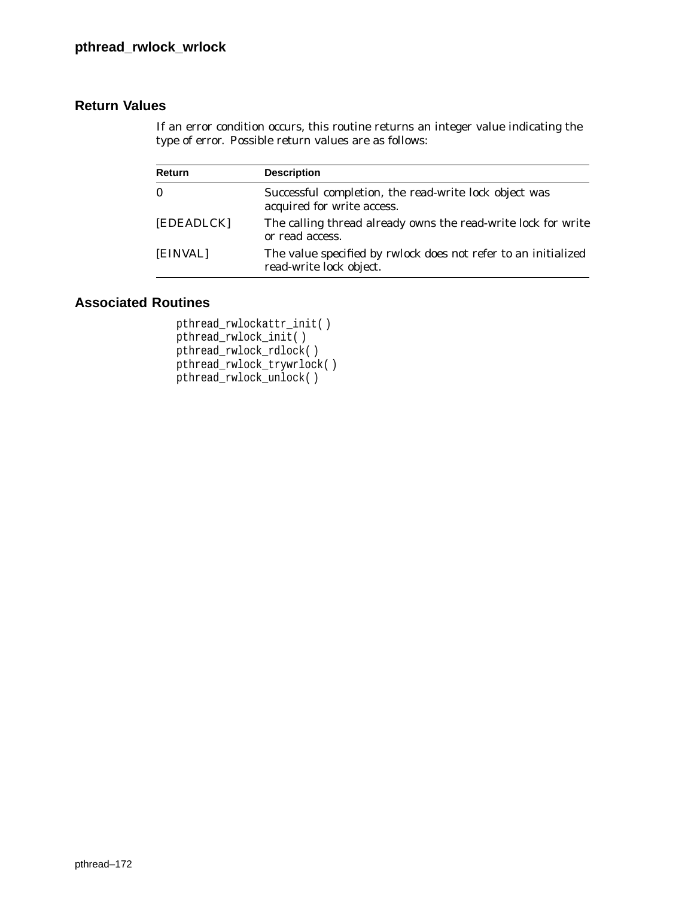If an error condition occurs, this routine returns an integer value indicating the type of error. Possible return values are as follows:

| Return     | <b>Description</b>                                                                        |
|------------|-------------------------------------------------------------------------------------------|
| $\bf{0}$   | Successful completion, the read-write lock object was<br>acquired for write access.       |
| [EDEADLCK] | The calling thread already owns the read-write lock for write<br>or read access.          |
| [EINVAL]   | The value specified by rwlock does not refer to an initialized<br>read-write lock object. |

# **Associated Routines**

```
pthread_rwlockattr_init( )
pthread_rwlock_init( )
pthread_rwlock_rdlock( )
pthread_rwlock_trywrlock( )
pthread_rwlock_unlock( )
```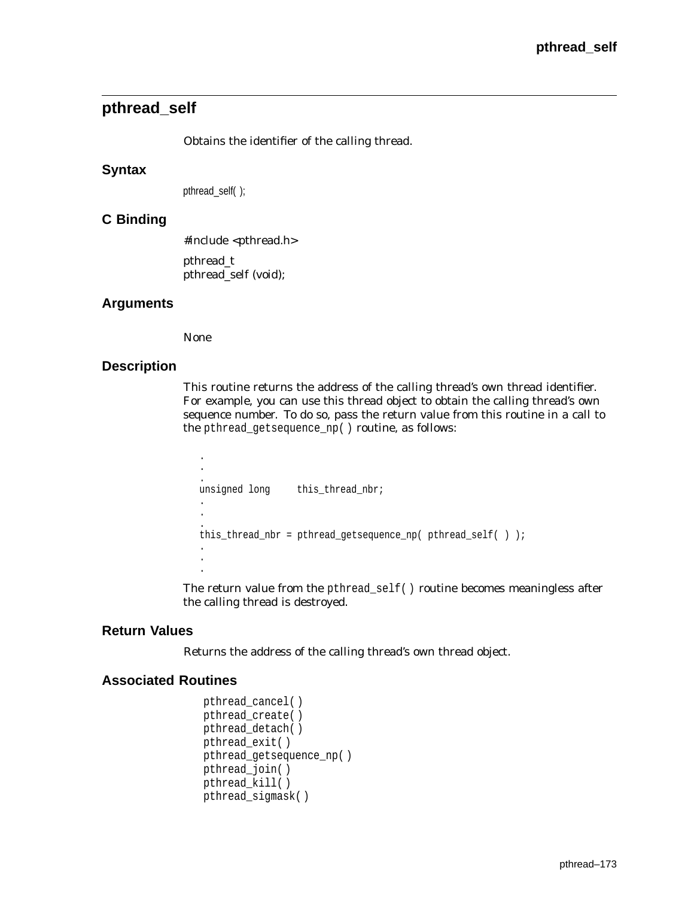# **pthread\_self**

Obtains the identifier of the calling thread.

### **Syntax**

pthread\_self( );

### **C Binding**

#include <pthread.h> pthread\_t pthread\_self (void);

### **Arguments**

None

### **Description**

This routine returns the address of the calling thread's own thread identifier. For example, you can use this thread object to obtain the calling thread's own sequence number. To do so, pass the return value from this routine in a call to the pthread\_getsequence\_np( ) routine, as follows:

```
.
.
unsigned long
               this_thread_nbr;
.
.
.
this_thread_nbr = pthread_getsequence_np( pthread_self( ) );
.
.
.
```
The return value from the pthread\_self( ) routine becomes meaningless after the calling thread is destroyed.

## **Return Values**

Returns the address of the calling thread's own thread object.

### **Associated Routines**

```
pthread_cancel( )
pthread_create( )
pthread_detach( )
pthread_exit( )
pthread_getsequence_np( )
pthread_join( )
pthread_kill( )
pthread_sigmask( )
```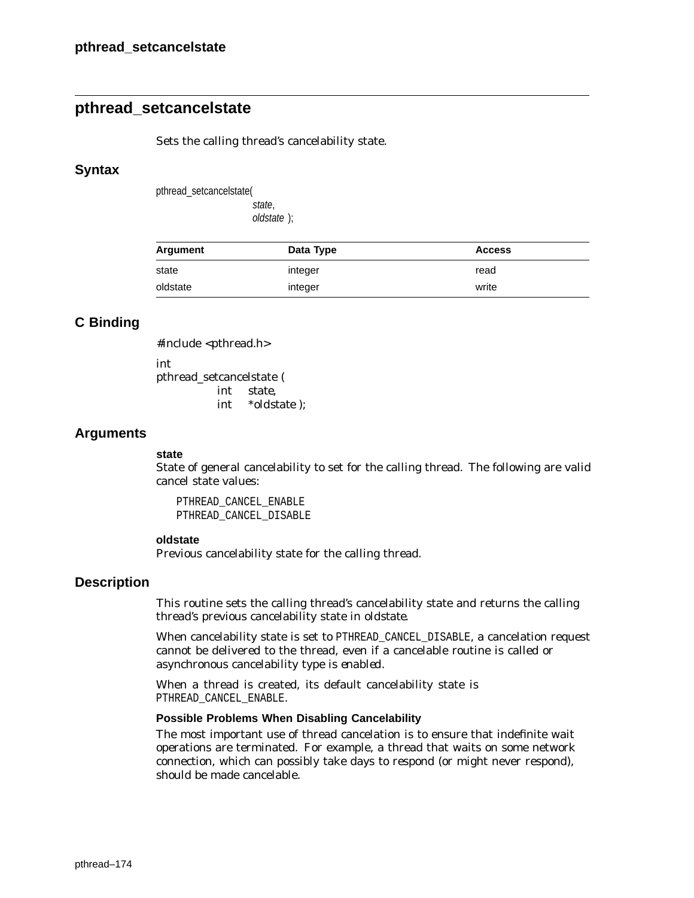# **pthread\_setcancelstate**

Sets the calling thread's cancelability state.

### **Syntax**

pthread\_setcancelstate( state,

oldstate );

| Argument | Data Type | <b>Access</b> |
|----------|-----------|---------------|
| state    | integer   | read          |
| oldstate | integer   | write         |

## **C Binding**

#include <pthread.h>

int pthread\_setcancelstate ( int *state*, int \**oldstate* );

### **Arguments**

#### **state**

State of general cancelability to set for the calling thread. The following are valid cancel state values:

PTHREAD\_CANCEL\_ENABLE PTHREAD\_CANCEL\_DISABLE

#### **oldstate**

Previous cancelability state for the calling thread.

### **Description**

This routine sets the calling thread's cancelability state and returns the calling thread's previous cancelability state in *oldstate*.

When cancelability state is set to PTHREAD CANCEL DISABLE, a cancelation request cannot be delivered to the thread, even if a cancelable routine is called or asynchronous cancelability type is *enabled*.

When a thread is created, its default cancelability state is PTHREAD\_CANCEL\_ENABLE.

#### **Possible Problems When Disabling Cancelability**

The most important use of thread cancelation is to ensure that indefinite wait operations are terminated. For example, a thread that waits on some network connection, which can possibly take days to respond (or might never respond), should be made cancelable.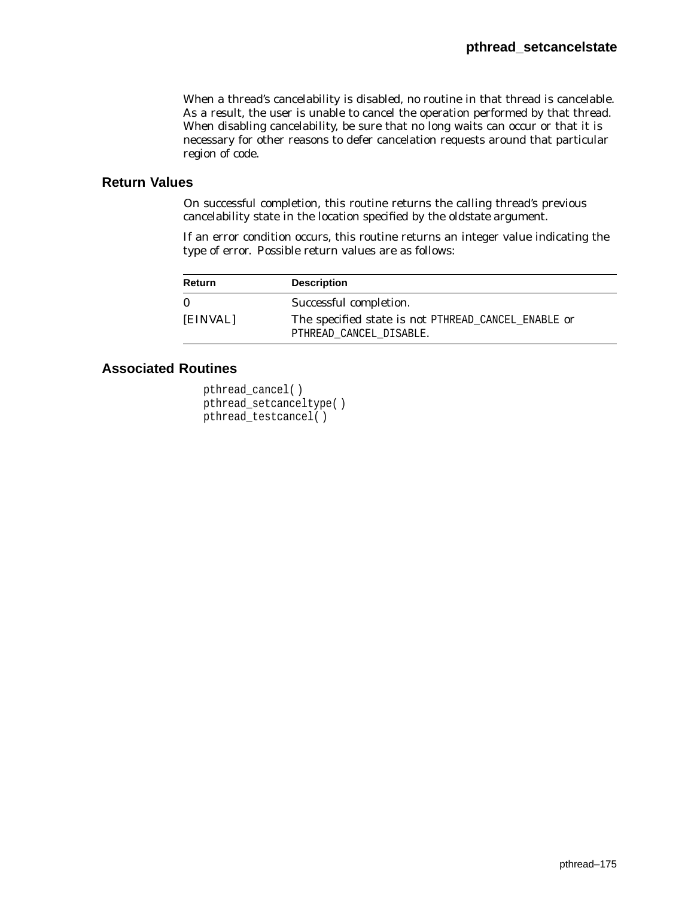When a thread's cancelability is disabled, no routine in that thread is cancelable. As a result, the user is unable to cancel the operation performed by that thread. When disabling cancelability, be sure that no long waits can occur or that it is necessary for other reasons to defer cancelation requests around that particular region of code.

## **Return Values**

On successful completion, this routine returns the calling thread's previous cancelability state in the location specified by the *oldstate* argument.

If an error condition occurs, this routine returns an integer value indicating the type of error. Possible return values are as follows:

| <b>Return</b> | <b>Description</b>                                                             |
|---------------|--------------------------------------------------------------------------------|
| 0             | Successful completion.                                                         |
| [EINVAL]      | The specified state is not PTHREAD_CANCEL_ENABLE or<br>PTHREAD CANCEL DISABLE. |

# **Associated Routines**

```
pthread_cancel( )
pthread_setcanceltype( )
pthread_testcancel( )
```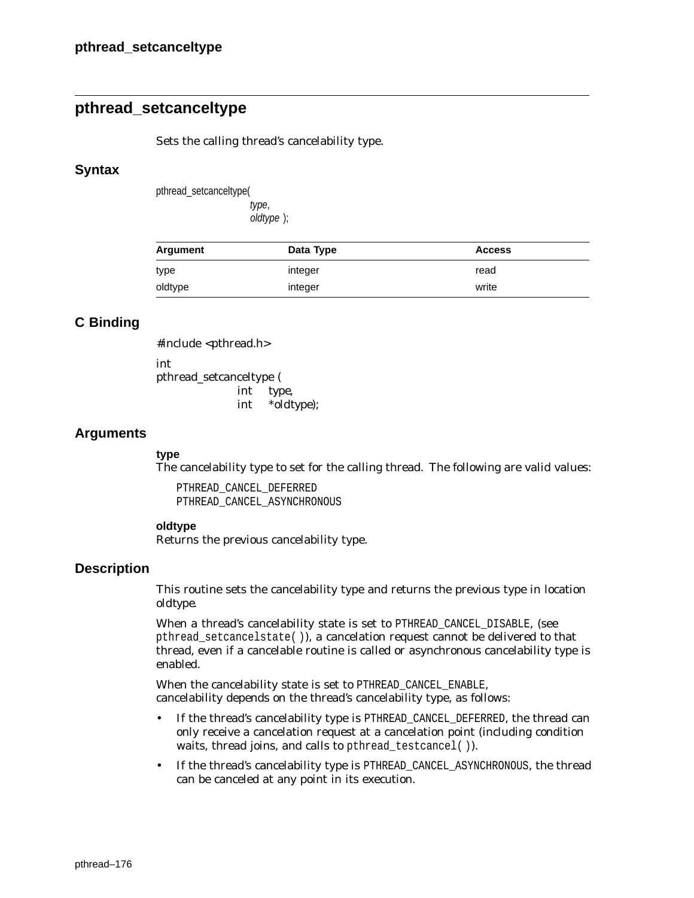# **pthread\_setcanceltype**

Sets the calling thread's cancelability type.

### **Syntax**

pthread\_setcanceltype( type, oldtype );

| Argument | Data Type | <b>Access</b> |
|----------|-----------|---------------|
| type     | integer   | read          |
| oldtype  | integer   | write         |

# **C Binding**

#include <pthread.h> int pthread\_setcanceltype ( int *type*, int \**oldtype*);

## **Arguments**

### **type**

The cancelability type to set for the calling thread. The following are valid values:

PTHREAD\_CANCEL\_DEFERRED PTHREAD\_CANCEL\_ASYNCHRONOUS

### **oldtype**

Returns the previous cancelability type.

## **Description**

This routine sets the cancelability type and returns the previous type in location *oldtype*.

When a thread's cancelability state is set to PTHREAD\_CANCEL\_DISABLE, (see pthread\_setcancelstate( )), a cancelation request cannot be delivered to that thread, even if a cancelable routine is called or asynchronous cancelability type is enabled.

When the cancelability state is set to PTHREAD\_CANCEL\_ENABLE, cancelability depends on the thread's cancelability type, as follows:

- If the thread's cancelability type is PTHREAD\_CANCEL\_DEFERRED, the thread can only receive a cancelation request at a cancelation point (including condition waits, thread joins, and calls to pthread\_testcancel( )).
- If the thread's cancelability type is PTHREAD\_CANCEL\_ASYNCHRONOUS, the thread can be canceled at any point in its execution.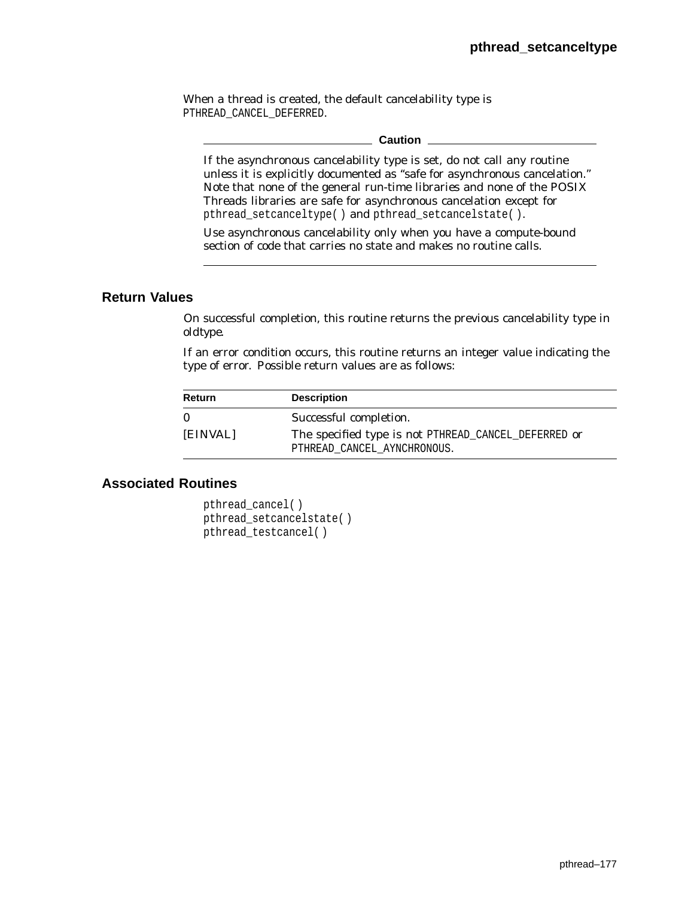When a thread is created, the default cancelability type is PTHREAD\_CANCEL\_DEFERRED.

#### **Caution**

If the asynchronous cancelability type is set, do not call any routine unless it is explicitly documented as ''safe for asynchronous cancelation.'' Note that none of the general run-time libraries and none of the POSIX Threads libraries are safe for asynchronous cancelation except for pthread setcanceltype( ) and pthread setcancelstate( ).

Use asynchronous cancelability only when you have a compute-bound section of code that carries no state and makes no routine calls.

### **Return Values**

On successful completion, this routine returns the previous cancelability type in *oldtype*.

If an error condition occurs, this routine returns an integer value indicating the type of error. Possible return values are as follows:

| Return   | <b>Description</b>                                                                  |
|----------|-------------------------------------------------------------------------------------|
| 0        | Successful completion.                                                              |
| [EINVAL] | The specified type is not PTHREAD_CANCEL_DEFERRED or<br>PTHREAD CANCEL AYNCHRONOUS. |

## **Associated Routines**

pthread\_cancel( ) pthread\_setcancelstate( ) pthread\_testcancel( )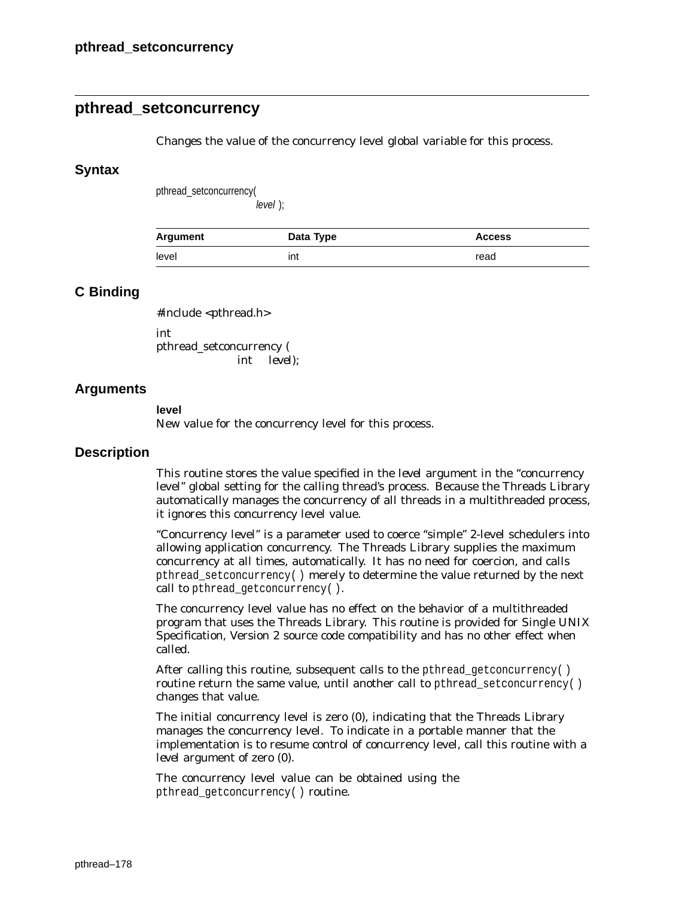# **pthread\_setconcurrency**

Changes the value of the concurrency level global variable for this process.

### **Syntax**

pthread\_setconcurrency(

level );

| <b>Argument</b> | Data Type | <b>Access</b> |
|-----------------|-----------|---------------|
| level           | ınt       | read          |

### **C Binding**

#include <pthread.h> int pthread\_setconcurrency (

int *level*);

### **Arguments**

#### **level**

New value for the concurrency level for this process.

### **Description**

This routine stores the value specified in the *level* argument in the ''concurrency level'' global setting for the calling thread's process. Because the Threads Library automatically manages the concurrency of all threads in a multithreaded process, it ignores this concurrency level value.

"Concurrency level" is a parameter used to coerce "simple" 2-level schedulers into allowing application concurrency. The Threads Library supplies the maximum concurrency at all times, automatically. It has no need for coercion, and calls pthread\_setconcurrency( ) merely to determine the value returned by the next call to pthread getconcurrency().

The concurrency level value has no effect on the behavior of a multithreaded program that uses the Threads Library. This routine is provided for Single UNIX Specification, Version 2 source code compatibility and has no other effect when called.

After calling this routine, subsequent calls to the pthread getconcurrency() routine return the same value, until another call to pthread\_setconcurrency() changes that value.

The initial concurrency level is zero (0), indicating that the Threads Library manages the concurrency level. To indicate in a portable manner that the implementation is to resume control of concurrency level, call this routine with a *level* argument of zero (0).

The concurrency level value can be obtained using the pthread\_getconcurrency( ) routine.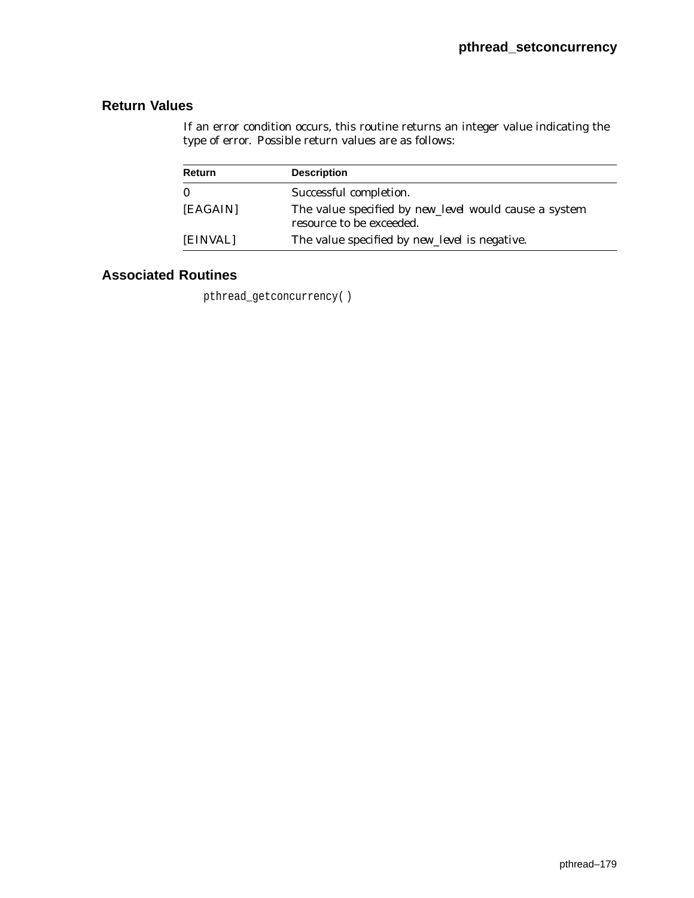If an error condition occurs, this routine returns an integer value indicating the type of error. Possible return values are as follows:

| Return   | <b>Description</b>                                                                |
|----------|-----------------------------------------------------------------------------------|
| $\bf{0}$ | Successful completion.                                                            |
| [EAGAIN] | The value specified by new_level would cause a system<br>resource to be exceeded. |
| [EINVAL] | The value specified by <i>new_level</i> is negative.                              |

## **Associated Routines**

pthread\_getconcurrency( )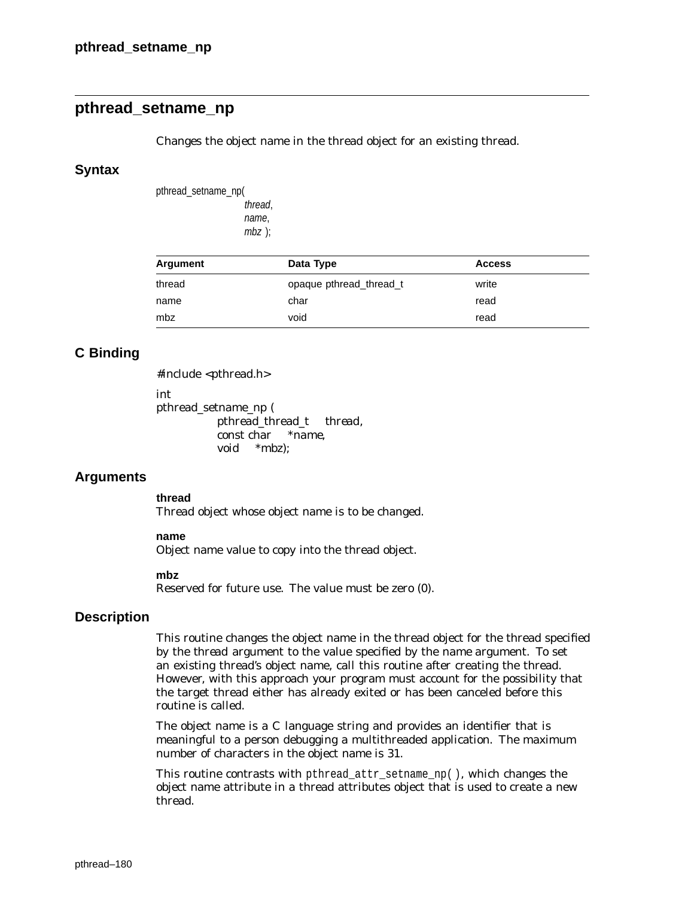# **pthread\_setname\_np**

Changes the object name in the thread object for an existing thread.

### **Syntax**

pthread\_setname\_np( thread, name, mbz );

| Argument | Data Type               | <b>Access</b> |
|----------|-------------------------|---------------|
| thread   | opaque pthread thread t | write         |
| name     | char                    | read          |
| mbz      | void                    | read          |

### **C Binding**

#include <pthread.h>

int

```
pthread_setname_np (
          pthread_thread_t thread,
          const char *name,
          void *mbz);
```
### **Arguments**

**thread**

Thread object whose object name is to be changed.

#### **name**

Object name value to copy into the thread object.

#### **mbz**

Reserved for future use. The value must be zero (0).

### **Description**

This routine changes the object name in the thread object for the thread specified by the *thread* argument to the value specified by the *name* argument. To set an existing thread's object name, call this routine after creating the thread. However, with this approach your program must account for the possibility that the target thread either has already exited or has been canceled before this routine is called.

The object name is a C language string and provides an identifier that is meaningful to a person debugging a multithreaded application. The maximum number of characters in the object name is 31.

This routine contrasts with pthread\_attr\_setname\_np( ), which changes the object name attribute in a thread attributes object that is used to create a new thread.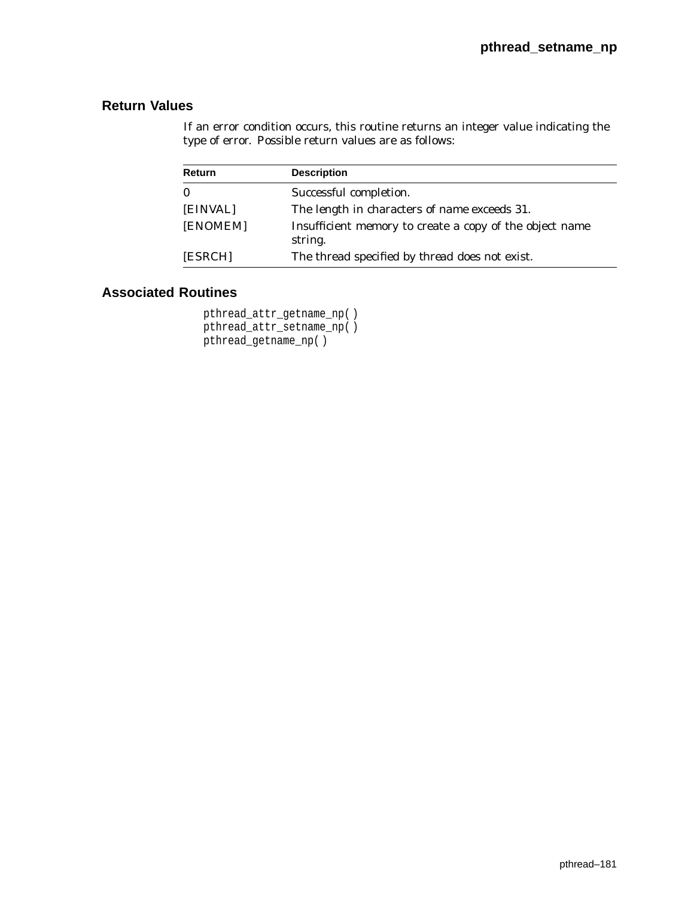If an error condition occurs, this routine returns an integer value indicating the type of error. Possible return values are as follows:

| <b>Return</b> | <b>Description</b>                                                 |
|---------------|--------------------------------------------------------------------|
| 0             | Successful completion.                                             |
| [EINVAL]      | The length in characters of <i>name</i> exceeds 31.                |
| [ENOMEM]      | Insufficient memory to create a copy of the object name<br>string. |
| [ESRCH]       | The thread specified by <i>thread</i> does not exist.              |

# **Associated Routines**

pthread\_attr\_getname\_np( ) pthread\_attr\_setname\_np( ) pthread\_getname\_np( )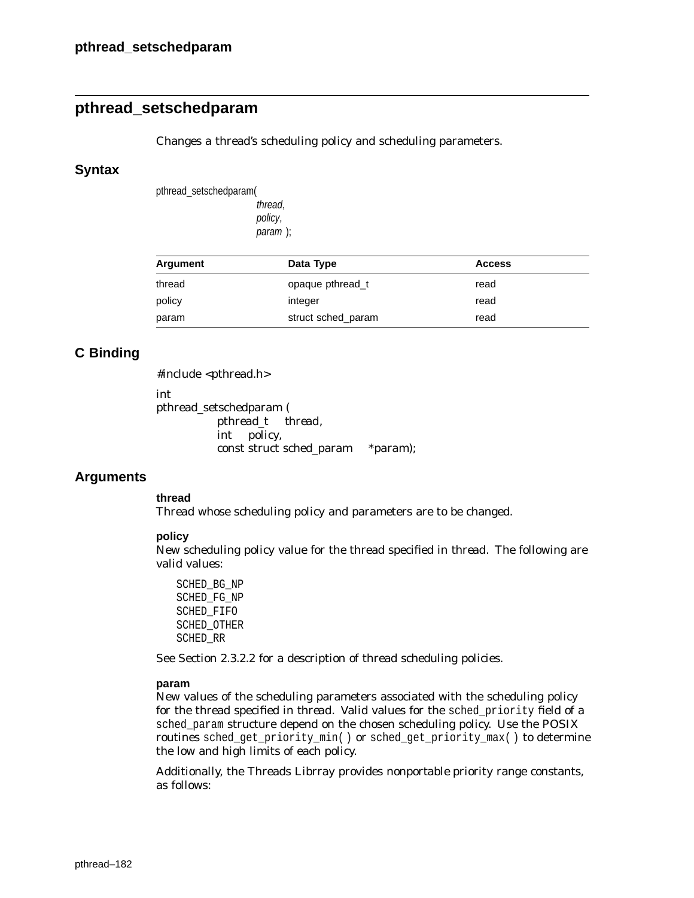# **pthread\_setschedparam**

Changes a thread's scheduling policy and scheduling parameters.

### **Syntax**

pthread\_setschedparam( thread, policy, param );

| Argument | Data Type          | <b>Access</b> |  |
|----------|--------------------|---------------|--|
| thread   | opaque pthread t   | read          |  |
| policy   | integer            | read          |  |
| param    | struct sched param | read          |  |

### **C Binding**

#include <pthread.h>

int

pthread\_setschedparam ( pthread\_t *thread*, int *policy*, const struct sched\_param \**param*);

### **Arguments**

**thread**

Thread whose scheduling policy and parameters are to be changed.

### **policy**

New scheduling policy value for the thread specified in *thread*. The following are valid values:

SCHED\_BG\_NP SCHED\_FG\_NP SCHED\_FIFO SCHED\_OTHER SCHED\_RR

See Section 2.3.2.2 for a description of thread scheduling policies.

#### **param**

New values of the scheduling parameters associated with the scheduling policy for the thread specified in *thread*. Valid values for the sched\_priority field of a sched\_param structure depend on the chosen scheduling policy. Use the POSIX routines sched\_get\_priority\_min( ) or sched\_get\_priority\_max( ) to determine the low and high limits of each policy.

Additionally, the Threads Librray provides *nonportable* priority range constants, as follows: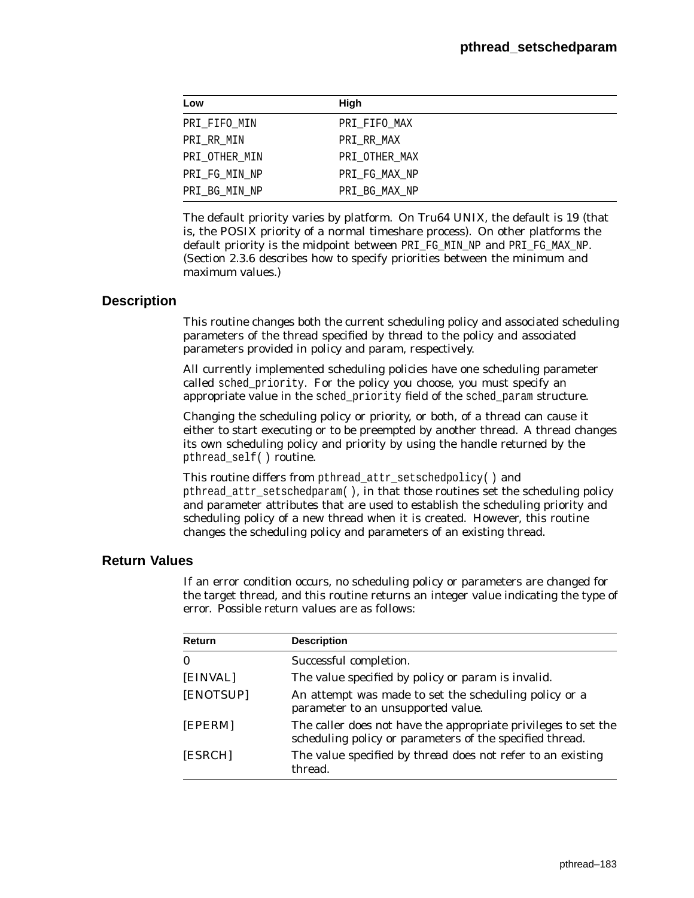| Low           | High          |
|---------------|---------------|
| PRI_FIFO_MIN  | PRI FIFO MAX  |
| PRI RR MIN    | PRI RR MAX    |
| PRI_OTHER_MIN | PRI OTHER MAX |
| PRI FG MIN NP | PRI FG MAX NP |
| PRI BG MIN NP | PRI_BG_MAX_NP |

The default priority varies by platform. On Tru64 UNIX, the default is 19 (that is, the POSIX priority of a normal timeshare process). On other platforms the default priority is the midpoint between PRI\_FG\_MIN\_NP and PRI\_FG\_MAX\_NP. (Section 2.3.6 describes how to specify priorities between the minimum and maximum values.)

## **Description**

This routine changes both the current scheduling policy and associated scheduling parameters of the thread specified by *thread* to the policy and associated parameters provided in *policy* and *param*, respectively.

All currently implemented scheduling policies have one scheduling parameter called sched priority. For the policy you choose, you must specify an appropriate value in the sched\_priority field of the sched\_param structure.

Changing the scheduling policy or priority, or both, of a thread can cause it either to start executing or to be preempted by another thread. A thread changes its own scheduling policy and priority by using the handle returned by the pthread\_self( ) routine.

This routine differs from pthread\_attr\_setschedpolicy( ) and pthread\_attr\_setschedparam( ), in that those routines set the scheduling policy and parameter attributes that are used to establish the scheduling priority and scheduling policy of a new thread when it is created. However, this routine changes the scheduling policy and parameters of an existing thread.

## **Return Values**

If an error condition occurs, no scheduling policy or parameters are changed for the target thread, and this routine returns an integer value indicating the type of error. Possible return values are as follows:

| Return    | <b>Description</b>                                                                                                         |
|-----------|----------------------------------------------------------------------------------------------------------------------------|
| 0         | Successful completion.                                                                                                     |
| [EINVAL]  | The value specified by <i>policy</i> or <i>param</i> is invalid.                                                           |
| [ENOTSUP] | An attempt was made to set the scheduling policy or a<br>parameter to an unsupported value.                                |
| [EPERM]   | The caller does not have the appropriate privileges to set the<br>scheduling policy or parameters of the specified thread. |
| [ESRCH]   | The value specified by <i>thread</i> does not refer to an existing<br>thread.                                              |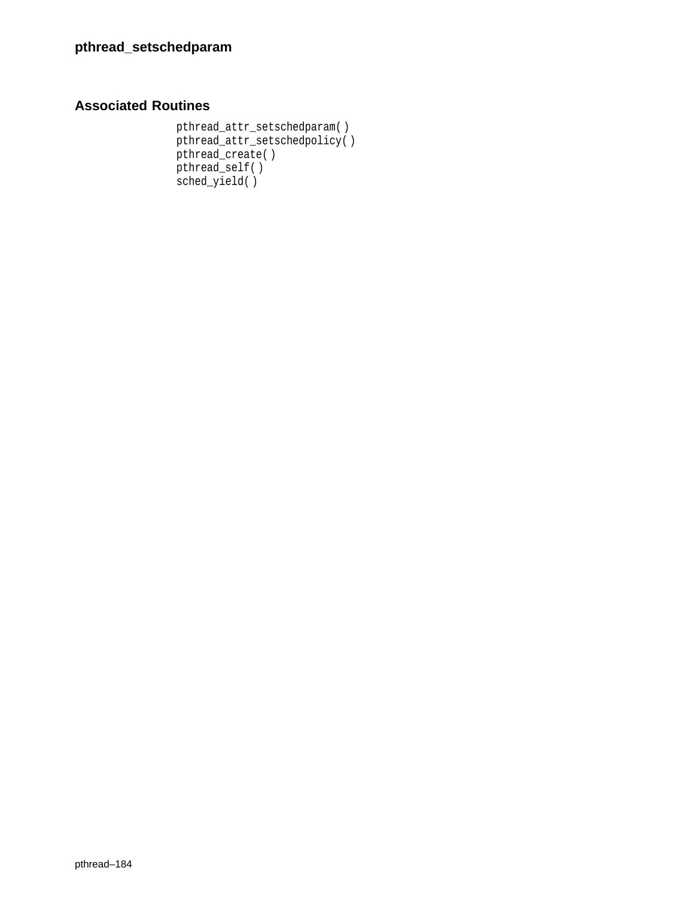```
pthread_attr_setschedparam( )
pthread_attr_setschedpolicy( )
pthread_create( )
pthread_self( )
sched_yield( )
```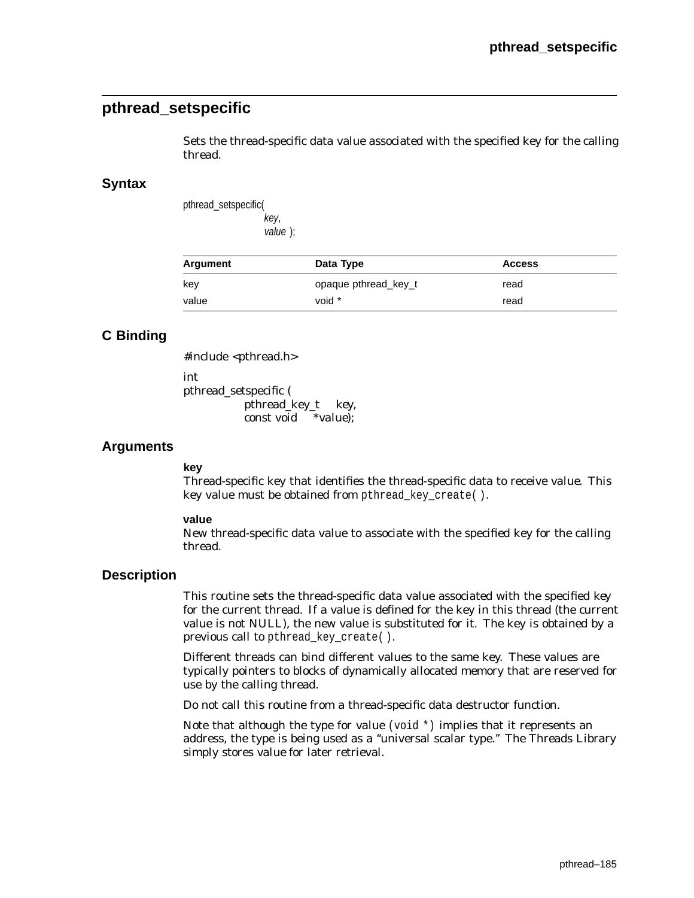## **pthread\_setspecific**

Sets the thread-specific data value associated with the specified key for the calling thread.

## **Syntax**

pthread\_setspecific( key, value );

| Argument | Data Type            | <b>Access</b> |
|----------|----------------------|---------------|
| key      | opaque pthread key t | read          |
| value    | void *               | read          |

## **C Binding**

#include <pthread.h>

int

pthread\_setspecific ( pthread\_key\_t *key*, const void \**value*);

## **Arguments**

### **key**

Thread-specific key that identifies the thread-specific data to receive *value*. This key value must be obtained from pthread\_key\_create( ).

#### **value**

New thread-specific data value to associate with the specified key for the calling thread.

## **Description**

This routine sets the thread-specific data value associated with the specified *key* for the current thread. If a value is defined for the key in this thread (the current value is not NULL), the new value is substituted for it. The key is obtained by a previous call to pthread key create( ).

Different threads can bind different values to the same key. These values are typically pointers to blocks of dynamically allocated memory that are reserved for use by the calling thread.

*Do not* call this routine from a thread-specific data destructor function.

Note that although the type for *value* (void \*) implies that it represents an address, the type is being used as a ''universal scalar type.'' The Threads Library simply stores *value* for later retrieval.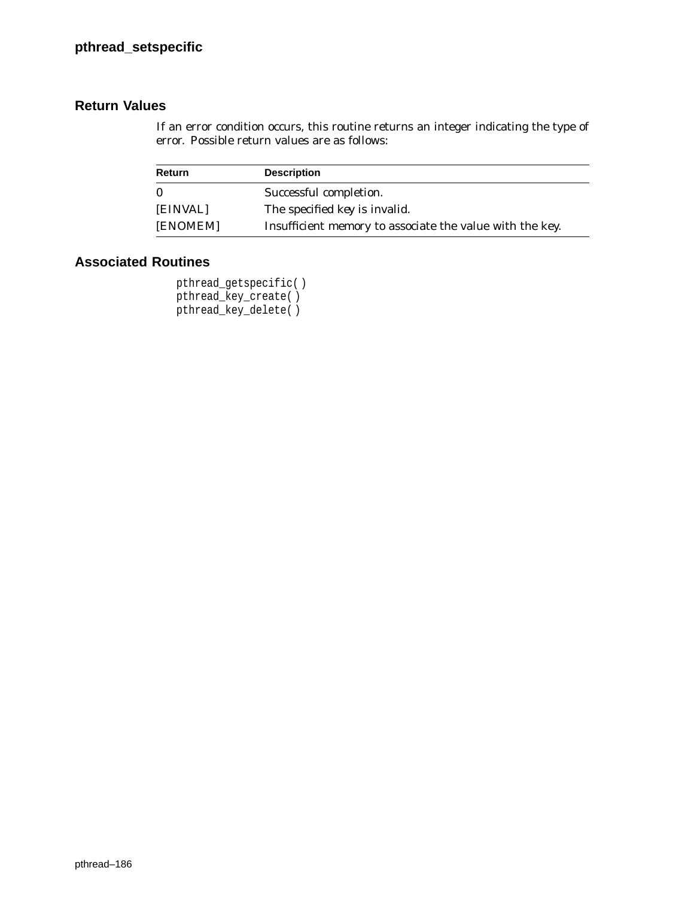## **Return Values**

If an error condition occurs, this routine returns an integer indicating the type of error. Possible return values are as follows:

| Return   | <b>Description</b>                                       |
|----------|----------------------------------------------------------|
| $\Omega$ | Successful completion.                                   |
| [EINVAL] | The specified key is invalid.                            |
| [ENOMEM] | Insufficient memory to associate the value with the key. |

## **Associated Routines**

pthread\_getspecific( ) pthread\_key\_create( ) pthread\_key\_delete( )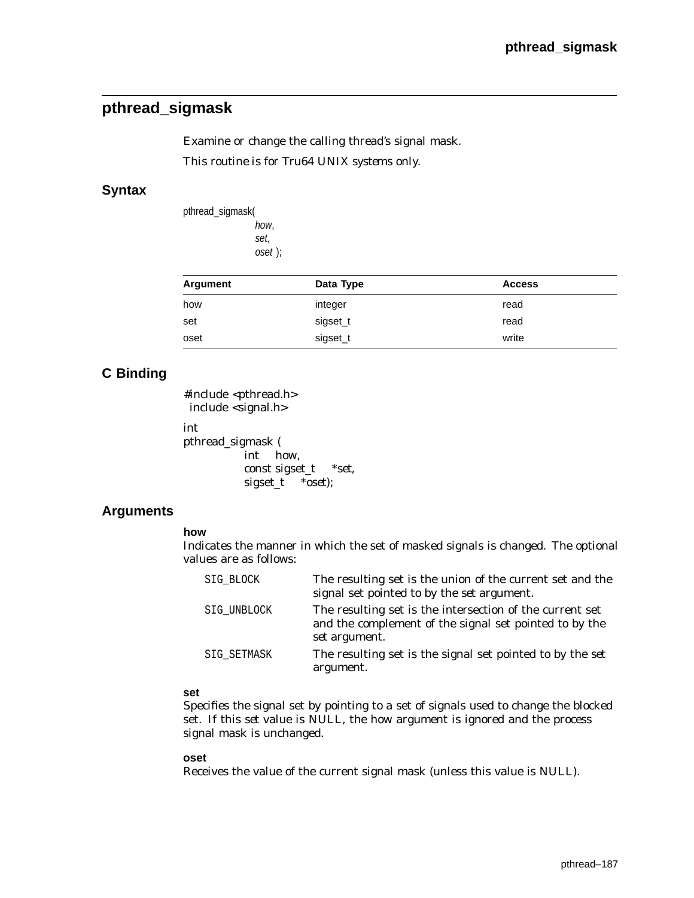## **pthread\_sigmask**

Examine or change the calling thread's signal mask. *This routine is for Tru64 UNIX systems only.*

## **Syntax**

pthread\_sigmask( how, set, oset );

| Argument | Data Type | <b>Access</b> |
|----------|-----------|---------------|
| how      | integer   | read          |
| set      | sigset_t  | read          |
| oset     | sigset_t  | write         |

## **C Binding**

#include <pthread.h> include <signal.h>

```
int
pthread_sigmask (
          int how,
          const sigset_t *set,
          sigset_t *oset);
```
## **Arguments**

### **how**

Indicates the manner in which the set of masked signals is changed. The optional values are as follows:

| SIG BLOCK   | The resulting set is the union of the current set and the<br>signal set pointed to by the set argument.                             |
|-------------|-------------------------------------------------------------------------------------------------------------------------------------|
| SIG_UNBLOCK | The resulting set is the intersection of the current set<br>and the complement of the signal set pointed to by the<br>set argument. |
| SIG SETMASK | The resulting set is the signal set pointed to by the set<br>argument.                                                              |

### **set**

Specifies the signal set by pointing to a set of signals used to change the blocked set. If this *set* value is NULL, the *how* argument is ignored and the process signal mask is unchanged.

#### **oset**

Receives the value of the current signal mask (unless this value is NULL).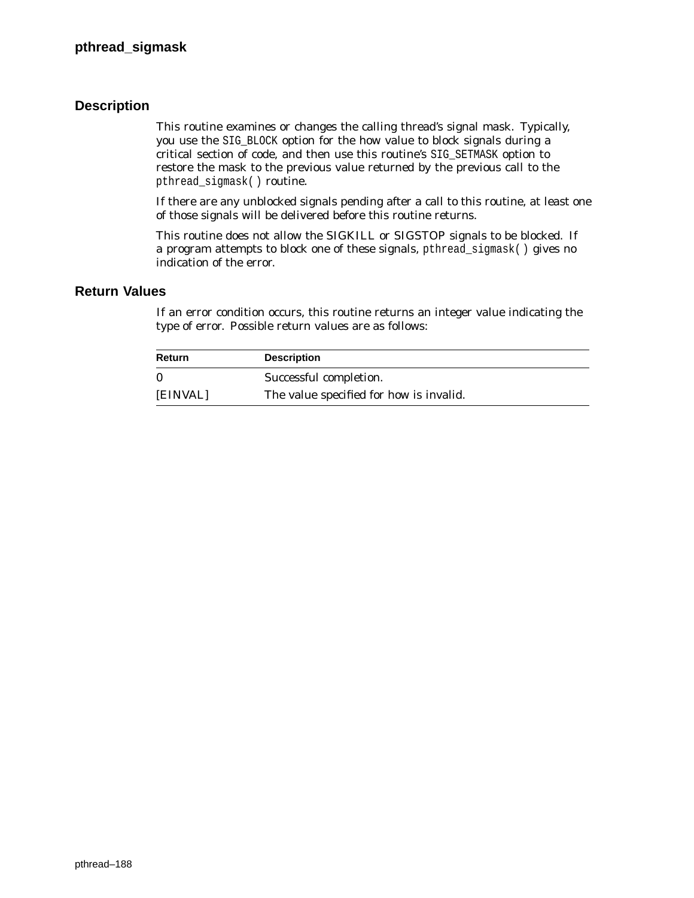## **Description**

This routine examines or changes the calling thread's signal mask. Typically, you use the SIG\_BLOCK option for the *how* value to block signals during a critical section of code, and then use this routine's SIG\_SETMASK option to restore the mask to the previous value returned by the previous call to the pthread\_sigmask( ) routine.

If there are any unblocked signals pending after a call to this routine, at least one of those signals will be delivered before this routine returns.

This routine does not allow the SIGKILL or SIGSTOP signals to be blocked. If a program attempts to block one of these signals, pthread\_sigmask( ) gives no indication of the error.

### **Return Values**

If an error condition occurs, this routine returns an integer value indicating the type of error. Possible return values are as follows:

| Return       | <b>Description</b>                             |
|--------------|------------------------------------------------|
| $\mathbf{0}$ | Successful completion.                         |
| [EINVAL]     | The value specified for <i>how</i> is invalid. |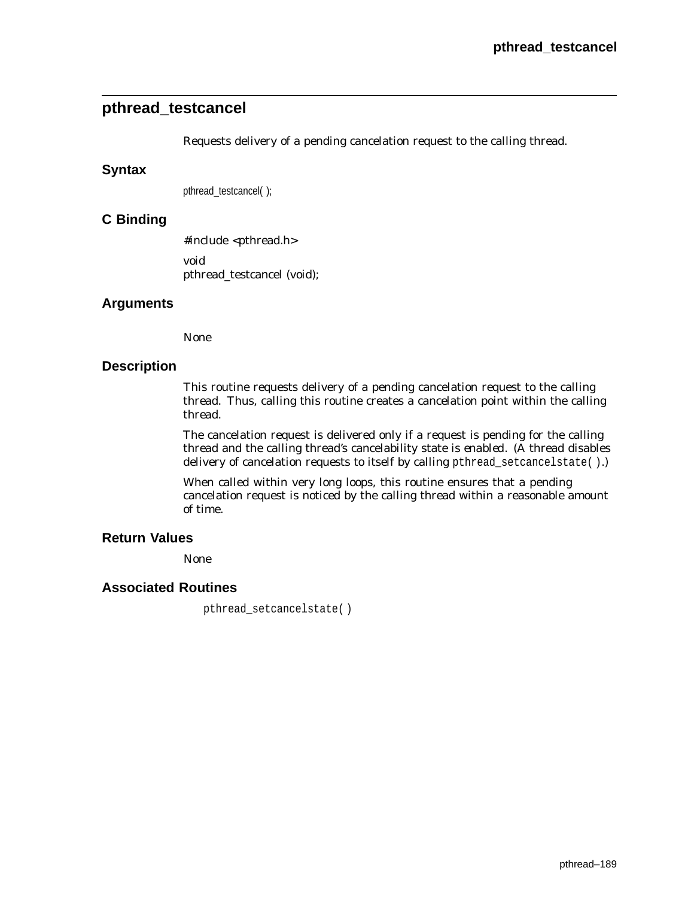## **pthread\_testcancel**

Requests delivery of a pending cancelation request to the calling thread.

## **Syntax**

pthread\_testcancel( );

## **C Binding**

#include <pthread.h> void pthread\_testcancel (void);

## **Arguments**

None

## **Description**

This routine requests delivery of a pending cancelation request to the calling thread. Thus, calling this routine creates a cancelation point within the calling thread.

The cancelation request is delivered only if a request is pending for the calling thread and the calling thread's cancelability state is *enabled*. (A thread disables delivery of cancelation requests to itself by calling pthread\_setcancelstate( ).)

When called within very long loops, this routine ensures that a pending cancelation request is noticed by the calling thread within a reasonable amount of time.

## **Return Values**

None

## **Associated Routines**

pthread\_setcancelstate( )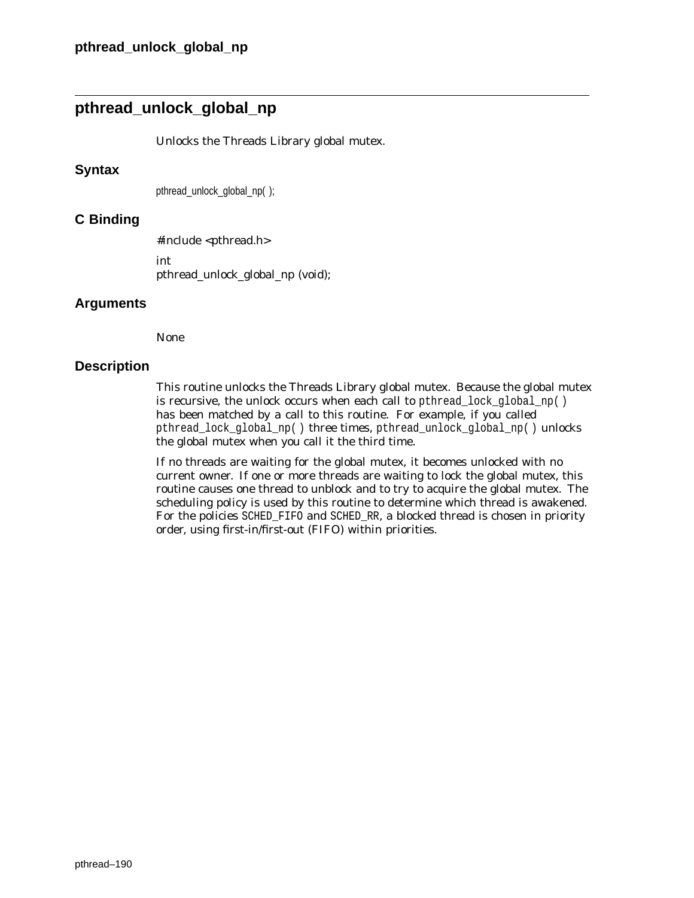## **pthread\_unlock\_global\_np**

Unlocks the Threads Library global mutex.

### **Syntax**

pthread\_unlock\_global\_np( );

## **C Binding**

#include <pthread.h> int pthread\_unlock\_global\_np (void);

## **Arguments**

None

## **Description**

This routine unlocks the Threads Library global mutex. Because the global mutex is recursive, the unlock occurs when each call to pthread lock global  $np()$ has been matched by a call to this routine. For example, if you called pthread\_lock\_global\_np( ) three times, pthread\_unlock\_global\_np( ) unlocks the global mutex when you call it the third time.

If no threads are waiting for the global mutex, it becomes unlocked with no current owner. If one or more threads are waiting to lock the global mutex, this routine causes one thread to unblock and to try to acquire the global mutex. The scheduling policy is used by this routine to determine which thread is awakened. For the policies SCHED\_FIFO and SCHED\_RR, a blocked thread is chosen in priority order, using first-in/first-out (FIFO) within priorities.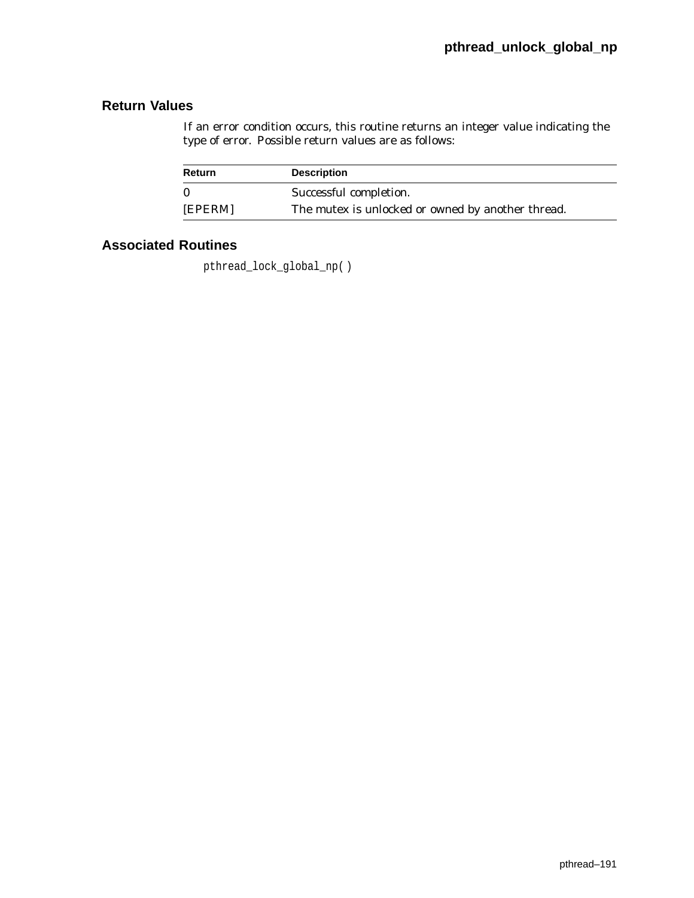## **Return Values**

If an error condition occurs, this routine returns an integer value indicating the type of error. Possible return values are as follows:

| Return  | <b>Description</b>                                |
|---------|---------------------------------------------------|
|         | Successful completion.                            |
| [EPERM] | The mutex is unlocked or owned by another thread. |

## **Associated Routines**

pthread\_lock\_global\_np( )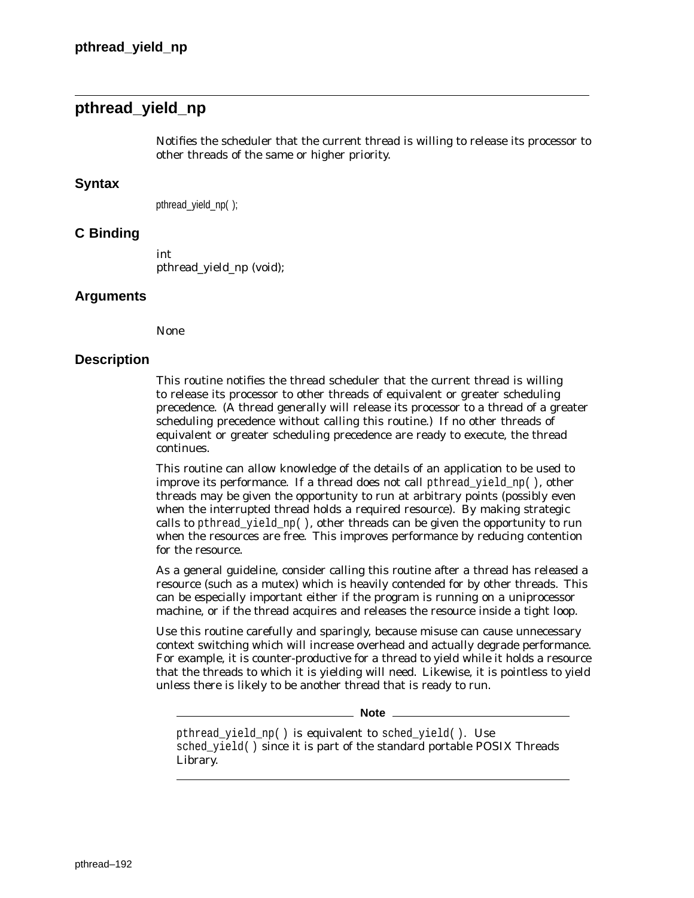## **pthread\_yield\_np**

Notifies the scheduler that the current thread is willing to release its processor to other threads of the same or higher priority.

## **Syntax**

pthread\_yield\_np( );

## **C Binding**

int pthread\_yield\_np (void);

#### **Arguments**

None

### **Description**

This routine notifies the thread scheduler that the current thread is willing to release its processor to other threads of equivalent or greater scheduling precedence. (A thread generally will release its processor to a thread of a greater scheduling precedence without calling this routine.) If no other threads of equivalent or greater scheduling precedence are ready to execute, the thread continues.

This routine can allow knowledge of the details of an application to be used to improve its performance. If a thread does not call pthread yield  $np( )$ , other threads may be given the opportunity to run at arbitrary points (possibly even when the interrupted thread holds a required resource). By making strategic calls to pthread\_yield\_np(), other threads can be given the opportunity to run when the resources are free. This improves performance by reducing contention for the resource.

As a general guideline, consider calling this routine after a thread has released a resource (such as a mutex) which is heavily contended for by other threads. This can be especially important either if the program is running on a uniprocessor machine, or if the thread acquires and releases the resource inside a tight loop.

Use this routine carefully and sparingly, because misuse can cause unnecessary context switching which will increase overhead and actually degrade performance. For example, it is counter-productive for a thread to yield while it holds a resource that the threads to which it is yielding will need. Likewise, it is pointless to yield unless there is likely to be another thread that is ready to run.

**Note**

pthread yield np( ) is equivalent to sched yield( ). Use sched\_yield( ) since it is part of the standard portable POSIX Threads Library.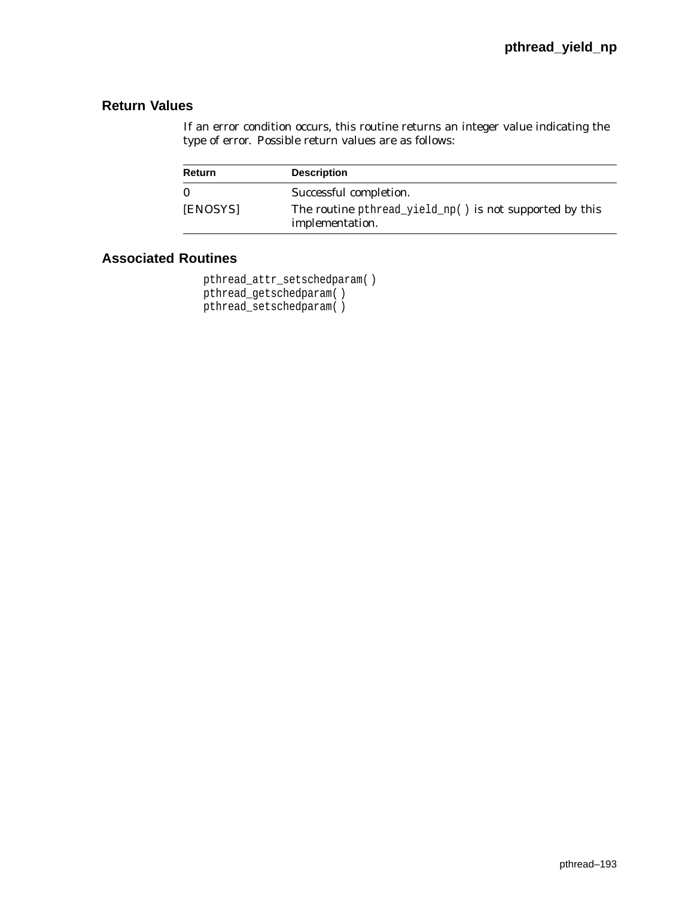## **Return Values**

If an error condition occurs, this routine returns an integer value indicating the type of error. Possible return values are as follows:

| Return       | <b>Description</b>                                                         |
|--------------|----------------------------------------------------------------------------|
| $\mathbf{0}$ | Successful completion.                                                     |
| [ENOSYS]     | The routine pthread_yield_np() is not supported by this<br>implementation. |

```
pthread_attr_setschedparam( )
pthread_getschedparam( )
pthread_setschedparam( )
```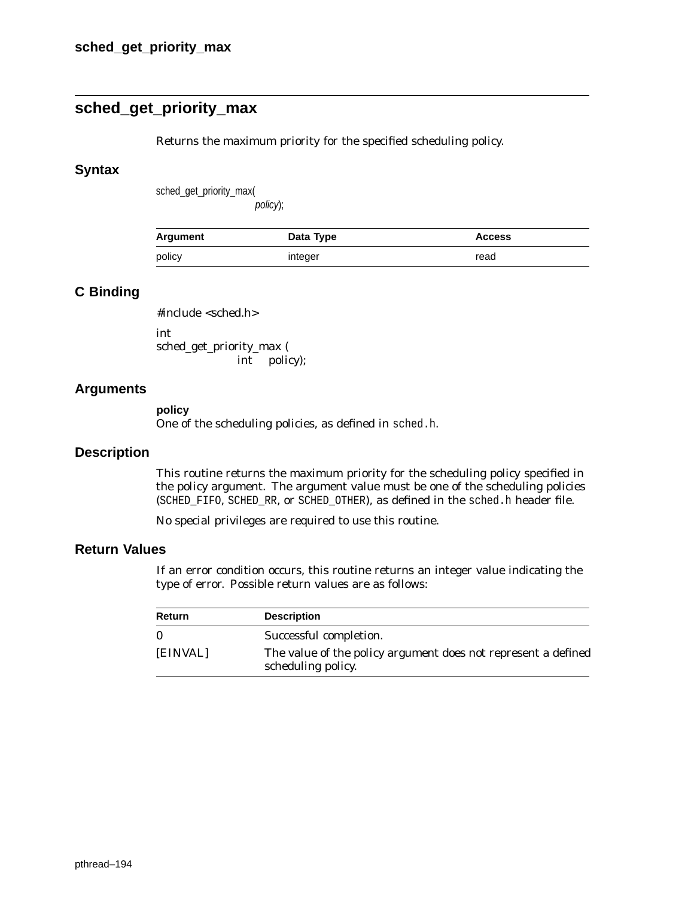## **sched\_get\_priority\_max**

Returns the maximum priority for the specified scheduling policy.

### **Syntax**

sched\_get\_priority\_max(

policy);

| Argument | Data Type | <b>Access</b> |
|----------|-----------|---------------|
| policy   | integer   | read          |

## **C Binding**

#include <sched.h> int

sched\_get\_priority\_max ( int *policy*);

## **Arguments**

#### **policy**

One of the scheduling policies, as defined in sched.h.

### **Description**

This routine returns the maximum priority for the scheduling policy specified in the *policy* argument. The argument value must be one of the scheduling policies (SCHED\_FIFO, SCHED\_RR, or SCHED\_OTHER), as defined in the sched.h header file.

No special privileges are required to use this routine.

## **Return Values**

If an error condition occurs, this routine returns an integer value indicating the type of error. Possible return values are as follows:

| Return   | <b>Description</b>                                                                         |
|----------|--------------------------------------------------------------------------------------------|
| $\Omega$ | Successful completion.                                                                     |
| [EINVAL] | The value of the <i>policy</i> argument does not represent a defined<br>scheduling policy. |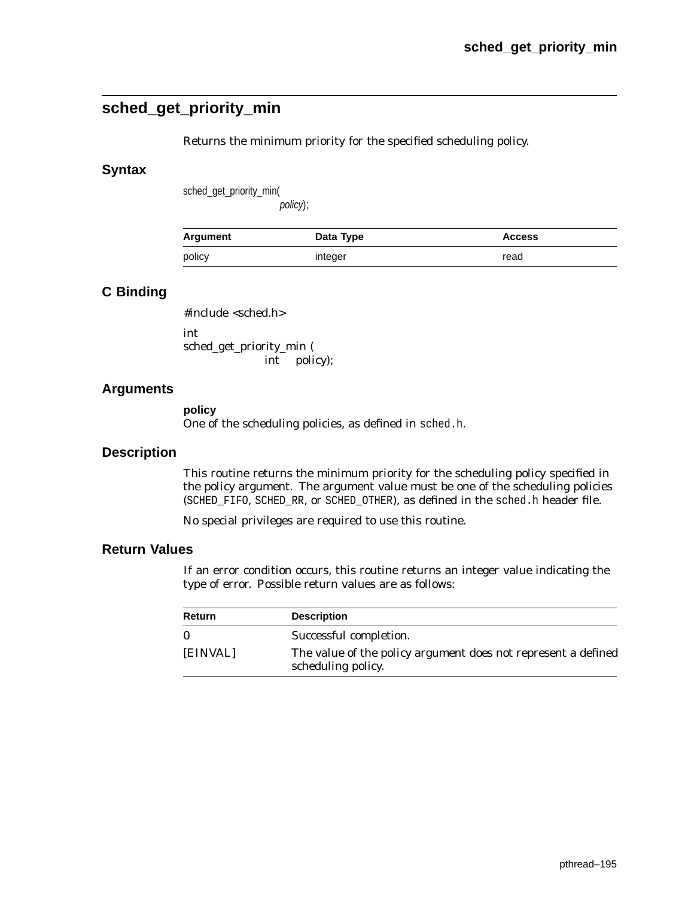## **sched\_get\_priority\_min**

Returns the minimum priority for the specified scheduling policy.

## **Syntax**

sched\_get\_priority\_min(

policy);

| Argument | Data Type | <b>Access</b> |
|----------|-----------|---------------|
| policy   | integer   | read          |

## **C Binding**

#include <sched.h>

int sched\_get\_priority\_min ( int *policy*);

## **Arguments**

**policy** One of the scheduling policies, as defined in sched.h.

## **Description**

This routine returns the minimum priority for the scheduling policy specified in the *policy* argument. The argument value must be one of the scheduling policies (SCHED\_FIFO, SCHED\_RR, or SCHED\_OTHER), as defined in the sched.h header file.

No special privileges are required to use this routine.

## **Return Values**

If an error condition occurs, this routine returns an integer value indicating the type of error. Possible return values are as follows:

| Return   | <b>Description</b>                                                                         |
|----------|--------------------------------------------------------------------------------------------|
|          | Successful completion.                                                                     |
| [EINVAL] | The value of the <i>policy</i> argument does not represent a defined<br>scheduling policy. |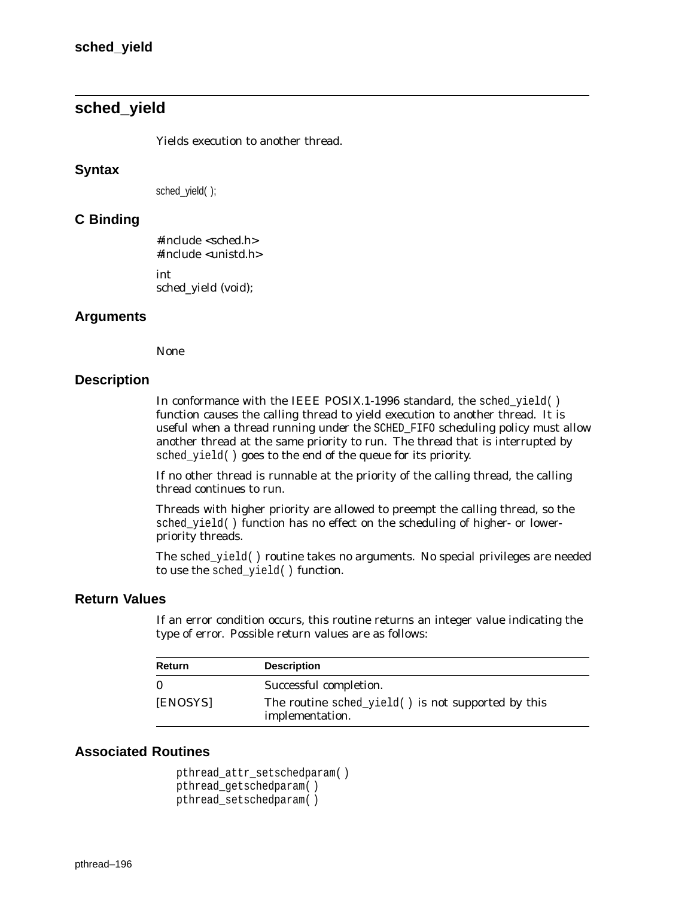## **sched\_yield**

Yields execution to another thread.

#### **Syntax**

sched\_yield( );

### **C Binding**

#include <sched.h> #include <unistd.h> int sched\_yield (void);

### **Arguments**

None

## **Description**

In conformance with the IEEE POSIX.1-1996 standard, the sched yield( ) function causes the calling thread to yield execution to another thread. It is useful when a thread running under the SCHED\_FIFO scheduling policy must allow another thread at the same priority to run. The thread that is interrupted by sched\_yield( ) goes to the end of the queue for its priority.

If no other thread is runnable at the priority of the calling thread, the calling thread continues to run.

Threads with higher priority are allowed to preempt the calling thread, so the sched\_yield( ) function has no effect on the scheduling of higher- or lowerpriority threads.

The sched\_yield( ) routine takes no arguments. No special privileges are needed to use the sched\_yield( ) function.

## **Return Values**

If an error condition occurs, this routine returns an integer value indicating the type of error. Possible return values are as follows:

| <b>Return</b> | <b>Description</b>                                                    |
|---------------|-----------------------------------------------------------------------|
|               | Successful completion.                                                |
| [ENOSYS]      | The routine sched_yield() is not supported by this<br>implementation. |

```
pthread_attr_setschedparam( )
pthread_getschedparam( )
pthread_setschedparam( )
```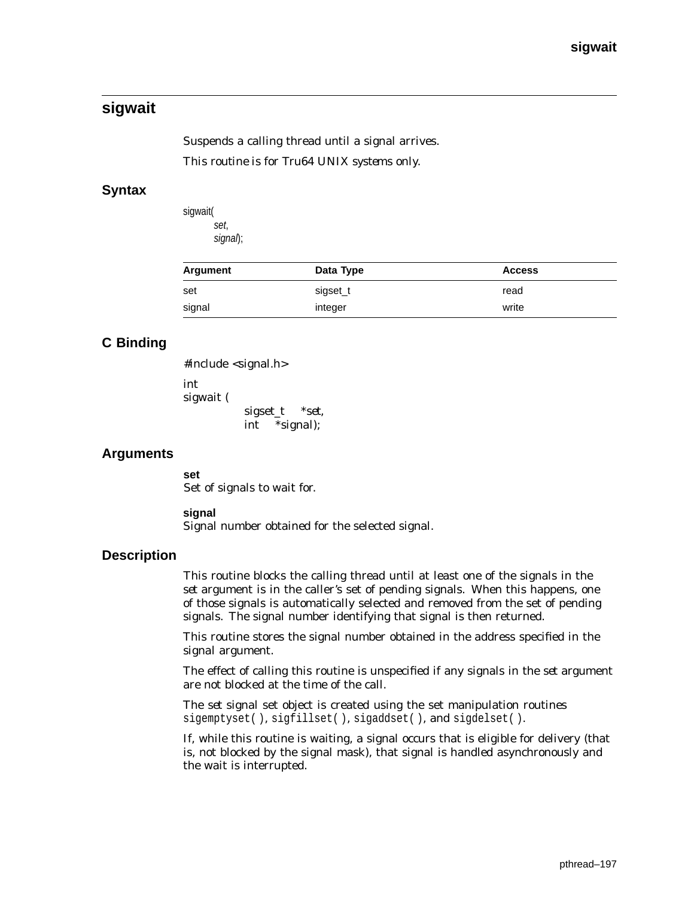## **sigwait**

Suspends a calling thread until a signal arrives. *This routine is for Tru64 UNIX systems only.*

## **Syntax**

sigwait( set, signal);

| Argument | Data Type | <b>Access</b> |
|----------|-----------|---------------|
| set      | sigset_t  | read          |
| signal   | integer   | write         |

## **C Binding**

```
#include <signal.h>
```
int sigwait ( sigset\_t \**set*, int \**signal*);

## **Arguments**

**set** Set of signals to wait for.

#### **signal**

Signal number obtained for the selected signal.

## **Description**

This routine blocks the calling thread until at least one of the signals in the *set* argument is in the caller's set of pending signals. When this happens, one of those signals is automatically selected and removed from the set of pending signals. The signal number identifying that signal is then returned.

This routine stores the signal number obtained in the address specified in the *signal* argument.

The effect of calling this routine is unspecified if any signals in the *set* argument are not blocked at the time of the call.

The *set* signal set object is created using the set manipulation routines sigemptyset( ), sigfillset( ), sigaddset( ), and sigdelset( ).

If, while this routine is waiting, a signal occurs that is eligible for delivery (that is, not blocked by the signal mask), that signal is handled asynchronously and the wait is interrupted.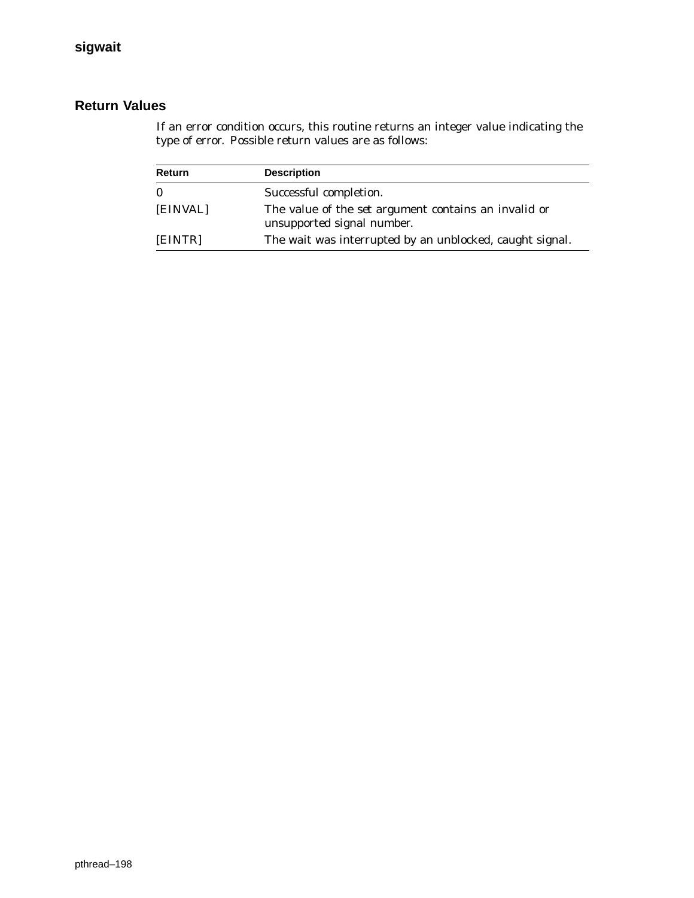## **Return Values**

If an error condition occurs, this routine returns an integer value indicating the type of error. Possible return values are as follows:

| Return   | <b>Description</b>                                                                        |
|----------|-------------------------------------------------------------------------------------------|
| $\bf{0}$ | Successful completion.                                                                    |
| [EINVAL] | The value of the <i>set</i> argument contains an invalid or<br>unsupported signal number. |
| [EINTR]  | The wait was interrupted by an unblocked, caught signal.                                  |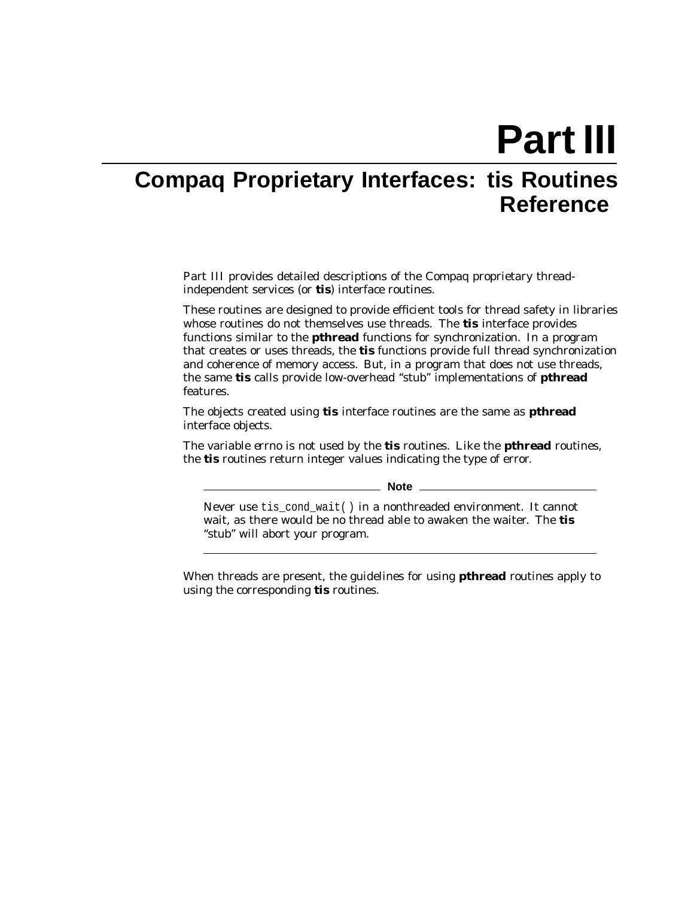**Part III**

# **Compaq Proprietary Interfaces: tis Routines Reference**

Part III provides detailed descriptions of the Compaq proprietary threadindependent services (or **tis**) interface routines.

These routines are designed to provide efficient tools for thread safety in libraries whose routines do not themselves use threads. The **tis** interface provides functions similar to the **pthread** functions for synchronization. In a program that creates or uses threads, the **tis** functions provide full thread synchronization and coherence of memory access. But, in a program that does not use threads, the same **tis** calls provide low-overhead ''stub'' implementations of **pthread** features.

The objects created using **tis** interface routines are the same as **pthread** interface objects.

The variable *errno* is not used by the **tis** routines. Like the **pthread** routines, the **tis** routines return integer values indicating the type of error.

**Note**

Never use tis\_cond\_wait( ) in a nonthreaded environment. It cannot wait, as there would be no thread able to awaken the waiter. The **tis** ''stub'' will abort your program.

When threads are present, the guidelines for using **pthread** routines apply to using the corresponding **tis** routines.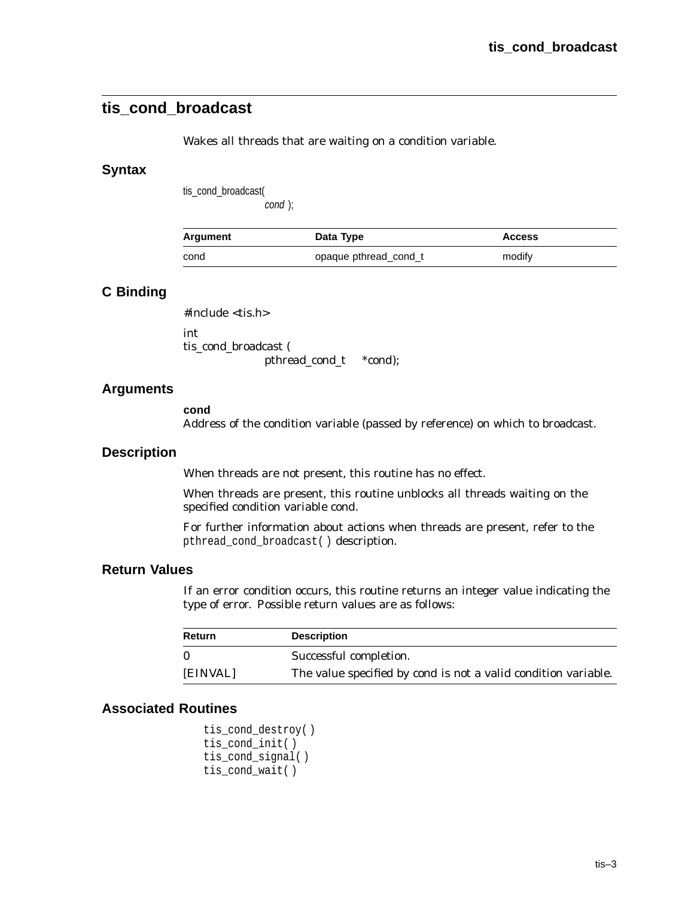## **tis\_cond\_broadcast**

Wakes all threads that are waiting on a condition variable.

### **Syntax**

tis\_cond\_broadcast(

cond );

| Argument | Data Type             | <b>Access</b> |
|----------|-----------------------|---------------|
| cond     | opaque pthread_cond_t | modify        |

## **C Binding**

#include <tis.h> int

tis\_cond\_broadcast (

pthread\_cond\_t \**cond*);

## **Arguments**

**cond**

Address of the condition variable (passed by reference) on which to broadcast.

### **Description**

When threads are not present, this routine has no effect.

When threads are present, this routine unblocks all threads waiting on the specified condition variable *cond*.

For further information about actions when threads are present, refer to the pthread\_cond\_broadcast( ) description.

## **Return Values**

If an error condition occurs, this routine returns an integer value indicating the type of error. Possible return values are as follows:

| Return   | <b>Description</b>                                                    |
|----------|-----------------------------------------------------------------------|
| 0        | Successful completion.                                                |
| [EINVAL] | The value specified by <i>cond</i> is not a valid condition variable. |

```
tis_cond_destroy( )
tis_cond_init( )
tis_cond_signal( )
tis_cond_wait( )
```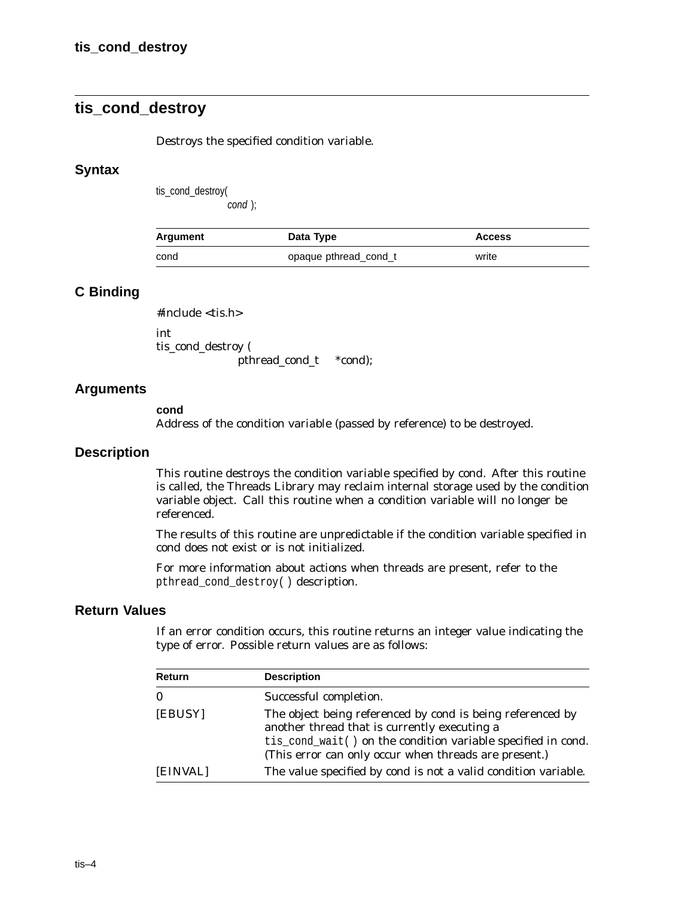## **tis\_cond\_destroy**

Destroys the specified condition variable.

### **Syntax**

tis\_cond\_destroy(

cond );

| Argument | Data Type             | <b>Access</b> |
|----------|-----------------------|---------------|
| cond     | opaque pthread_cond_t | write         |

## **C Binding**

#include <tis.h>

int tis\_cond\_destroy ( pthread\_cond\_t \**cond*);

### **Arguments**

#### **cond**

Address of the condition variable (passed by reference) to be destroyed.

#### **Description**

This routine destroys the condition variable specified by *cond*. After this routine is called, the Threads Library may reclaim internal storage used by the condition variable object. Call this routine when a condition variable will no longer be referenced.

The results of this routine are unpredictable if the condition variable specified in *cond* does not exist or is not initialized.

For more information about actions when threads are present, refer to the pthread\_cond\_destroy( ) description.

## **Return Values**

If an error condition occurs, this routine returns an integer value indicating the type of error. Possible return values are as follows:

| Return   | <b>Description</b>                                                                                                                                                                                                                         |
|----------|--------------------------------------------------------------------------------------------------------------------------------------------------------------------------------------------------------------------------------------------|
| $\bf{0}$ | Successful completion.                                                                                                                                                                                                                     |
| [EBUSY]  | The object being referenced by <i>cond</i> is being referenced by<br>another thread that is currently executing a<br>tis_cond_wait() on the condition variable specified in cond.<br>(This error can only occur when threads are present.) |
| [EINVAL] | The value specified by cond is not a valid condition variable.                                                                                                                                                                             |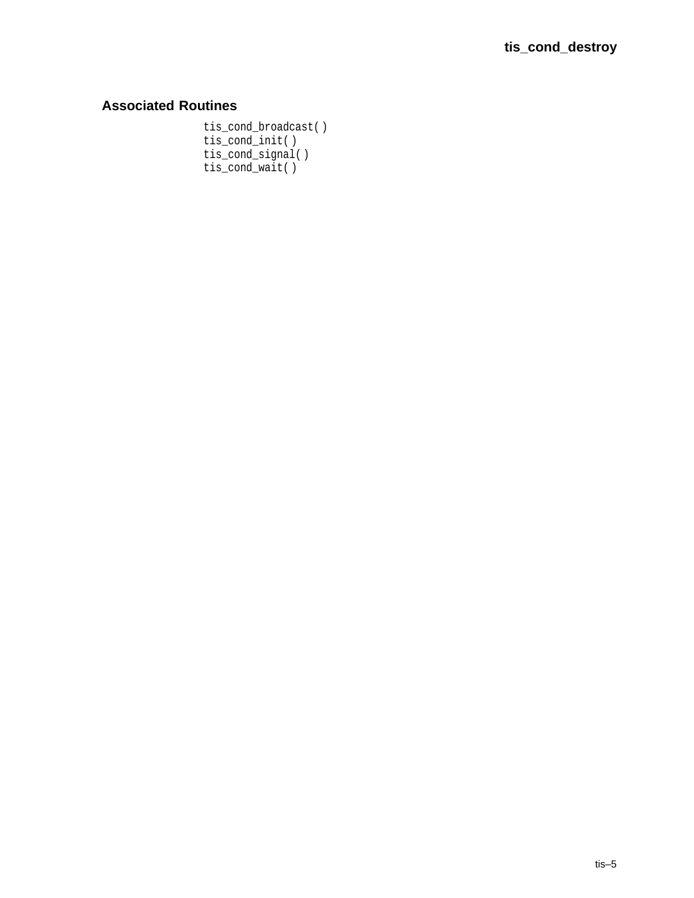## **Associated Routines**

tis\_cond\_broadcast( ) tis\_cond\_init( ) tis\_cond\_signal( ) tis\_cond\_wait( )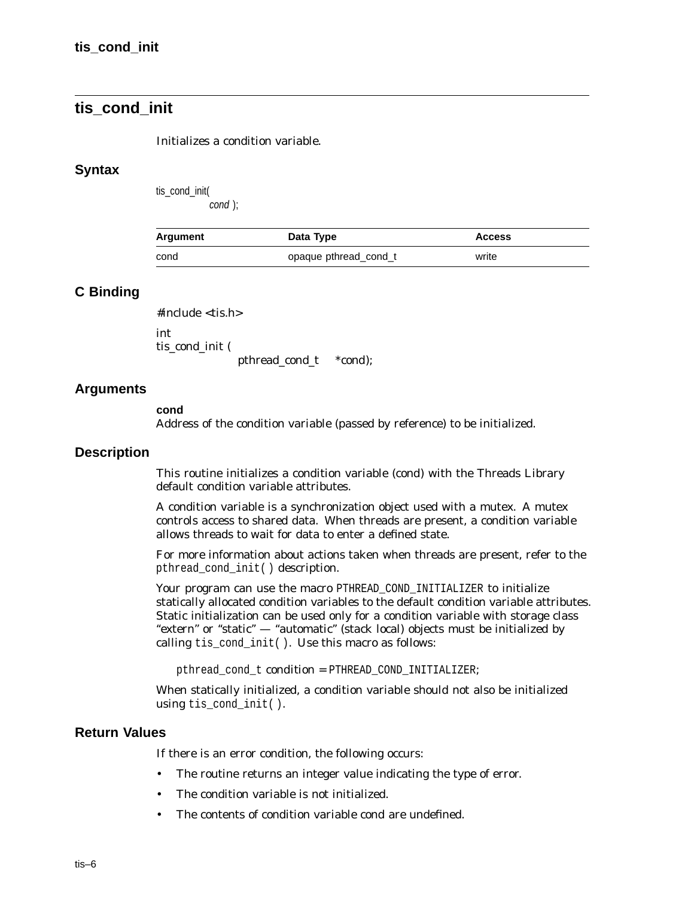## **tis\_cond\_init**

#### Initializes a condition variable.

#### **Syntax**

tis\_cond\_init(

cond );

| Argument | Data Type             | <b>Access</b> |
|----------|-----------------------|---------------|
| cond     | opaque pthread_cond_t | write         |

## **C Binding**

#include <tis.h>

int tis cond init (

pthread\_cond\_t \**cond*);

## **Arguments**

#### **cond**

Address of the condition variable (passed by reference) to be initialized.

#### **Description**

This routine initializes a condition variable (*cond*) with the Threads Library default condition variable attributes.

A condition variable is a synchronization object used with a mutex. A mutex controls access to shared data. When threads are present, a condition variable allows threads to wait for data to enter a defined state.

For more information about actions taken when threads are present, refer to the pthread\_cond\_init( ) description.

Your program can use the macro PTHREAD COND INITIALIZER to initialize statically allocated condition variables to the default condition variable attributes. Static initialization can be used only for a condition variable with storage class "extern" or "static" — "automatic" (stack local) objects must be initialized by calling tis\_cond\_init( ). Use this macro as follows:

pthread\_cond\_t *condition* = PTHREAD\_COND\_INITIALIZER;

When statically initialized, a condition variable should not also be initialized using tis\_cond\_init( ).

## **Return Values**

If there is an error condition, the following occurs:

- The routine returns an integer value indicating the type of error.
- The condition variable is not initialized.
- The contents of condition variable *cond* are undefined.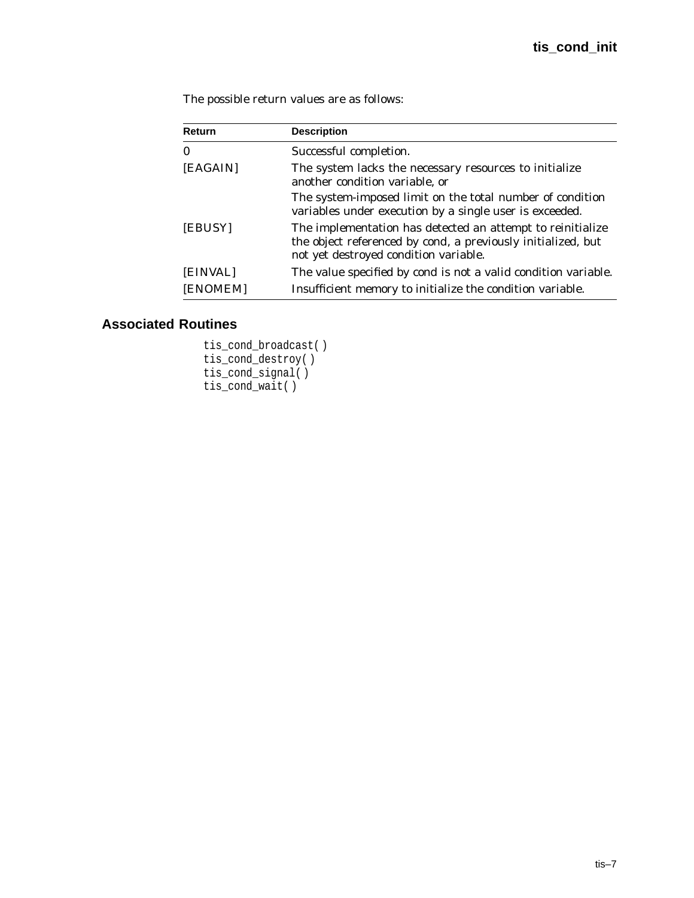The possible return values are as follows:

| Return       | <b>Description</b>                                                                                                                                                  |  |
|--------------|---------------------------------------------------------------------------------------------------------------------------------------------------------------------|--|
| $\mathbf{0}$ | Successful completion.                                                                                                                                              |  |
| [EAGAIN]     | The system lacks the necessary resources to initialize<br>another condition variable, or                                                                            |  |
|              | The system-imposed limit on the total number of condition<br>variables under execution by a single user is exceeded.                                                |  |
| [EBUSY]      | The implementation has detected an attempt to reinitialize<br>the object referenced by cond, a previously initialized, but<br>not yet destroyed condition variable. |  |
| [EINVAL]     | The value specified by cond is not a valid condition variable.                                                                                                      |  |
| [ENOMEM]     | Insufficient memory to initialize the condition variable.                                                                                                           |  |

```
tis_cond_broadcast( )
tis_cond_destroy( )
tis_cond_signal( )
tis_cond_wait( )
```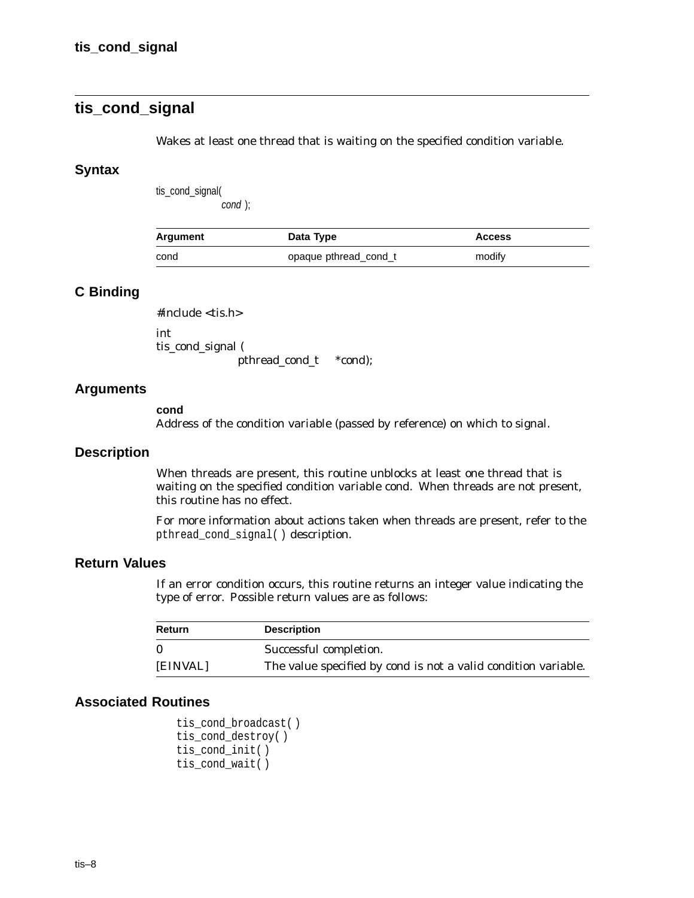## **tis\_cond\_signal**

Wakes at least one thread that is waiting on the specified condition variable.

### **Syntax**

tis\_cond\_signal(

cond );

| Argument | Data Type             | <b>Access</b> |
|----------|-----------------------|---------------|
| cond     | opaque pthread cond t | modify        |

## **C Binding**

#include <tis.h>

int tis\_cond\_signal ( pthread\_cond\_t \**cond*);

#### **Arguments**

#### **cond**

Address of the condition variable (passed by reference) on which to signal.

#### **Description**

When threads are present, this routine unblocks at least one thread that is waiting on the specified condition variable *cond*. When threads are not present, this routine has no effect.

For more information about actions taken when threads are present, refer to the pthread\_cond\_signal( ) description.

### **Return Values**

If an error condition occurs, this routine returns an integer value indicating the type of error. Possible return values are as follows:

| Return   | <b>Description</b>                                                    |
|----------|-----------------------------------------------------------------------|
| - 0      | Successful completion.                                                |
| [EINVAL] | The value specified by <i>cond</i> is not a valid condition variable. |

```
tis_cond_broadcast( )
tis_cond_destroy( )
tis_cond_init( )
tis_cond_wait( )
```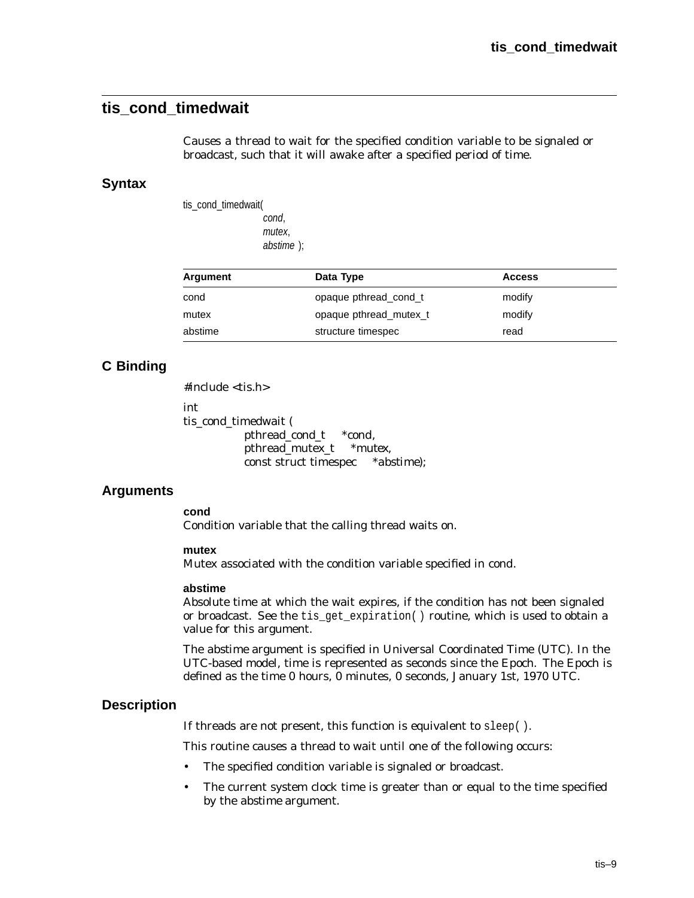## **tis\_cond\_timedwait**

Causes a thread to wait for the specified condition variable to be signaled or broadcast, such that it will awake after a specified period of time.

### **Syntax**

tis\_cond\_timedwait( cond, mutex, abstime );

| Argument | Data Type              | <b>Access</b> |  |
|----------|------------------------|---------------|--|
| cond     | opaque pthread cond t  | modify        |  |
| mutex    | opaque pthread mutex t | modify        |  |
| abstime  | structure timespec     | read          |  |

## **C Binding**

 $#include <$ tis.h>

int

tis\_cond\_timedwait ( pthread\_cond\_t \**cond*, pthread\_mutex\_t \**mutex*, const struct timespec \**abstime*);

## **Arguments**

**cond**

Condition variable that the calling thread waits on.

#### **mutex**

Mutex associated with the condition variable specified in *cond*.

#### **abstime**

Absolute time at which the wait expires, if the condition has not been signaled or broadcast. See the tis\_get\_expiration( ) routine, which is used to obtain a value for this argument.

The *abstime* argument is specified in Universal Coordinated Time (UTC). In the UTC-based model, time is represented as seconds since the Epoch. The Epoch is defined as the time 0 hours, 0 minutes, 0 seconds, January 1st, 1970 UTC.

## **Description**

If threads are not present, this function is equivalent to sleep( ).

This routine causes a thread to wait until one of the following occurs:

- The specified condition variable is signaled or broadcast.
- The current system clock time is greater than or equal to the time specified by the *abstime* argument.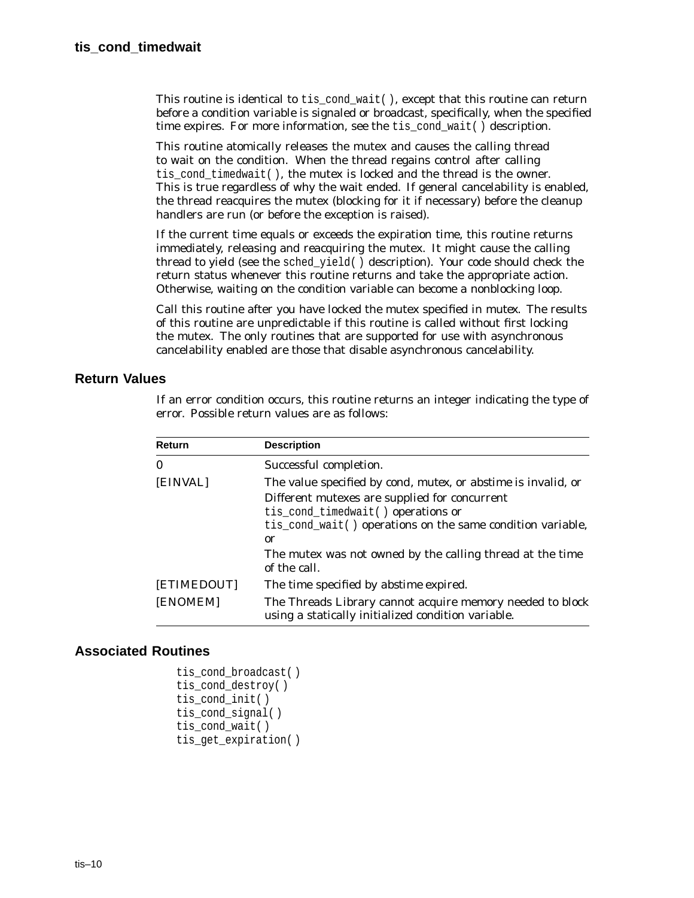This routine is identical to tis\_cond\_wait(), except that this routine can return before a condition variable is signaled or broadcast, specifically, when the specified time expires. For more information, see the tis cond wait() description.

This routine atomically releases the mutex and causes the calling thread to wait on the condition. When the thread regains control after calling tis cond timedwait( ), the mutex is locked and the thread is the owner. This is true regardless of why the wait ended. If general cancelability is enabled, the thread reacquires the mutex (blocking for it if necessary) before the cleanup handlers are run (or before the exception is raised).

If the current time equals or exceeds the expiration time, this routine returns immediately, releasing and reacquiring the mutex. It might cause the calling thread to yield (see the sched\_yield( ) description). Your code should check the return status whenever this routine returns and take the appropriate action. Otherwise, waiting on the condition variable can become a nonblocking loop.

Call this routine after you have locked the mutex specified in *mutex*. The results of this routine are unpredictable if this routine is called without first locking the mutex. The only routines that are supported for use with asynchronous cancelability enabled are those that disable asynchronous cancelability.

## **Return Values**

If an error condition occurs, this routine returns an integer indicating the type of error. Possible return values are as follows:

| Return      | <b>Description</b>                                                                                              |
|-------------|-----------------------------------------------------------------------------------------------------------------|
| $\bf{0}$    | Successful completion.                                                                                          |
| [EINVAL]    | The value specified by <i>cond, mutex, or abstime</i> is invalid, or                                            |
|             | Different mutexes are supplied for concurrent                                                                   |
|             | tis_cond_timedwait() operations or                                                                              |
|             | tis_cond_wait() operations on the same condition variable,                                                      |
|             | 0r                                                                                                              |
|             | The mutex was not owned by the calling thread at the time<br>of the call.                                       |
| [ETIMEDOUT] | The time specified by <i>abstime</i> expired.                                                                   |
| [ENOMEM]    | The Threads Library cannot acquire memory needed to block<br>using a statically initialized condition variable. |

```
tis cond broadcast()
tis cond destroy( )
tis cond init( )
tis cond signal( )
tis_cond_wait( )
tis_get_expiration( )
```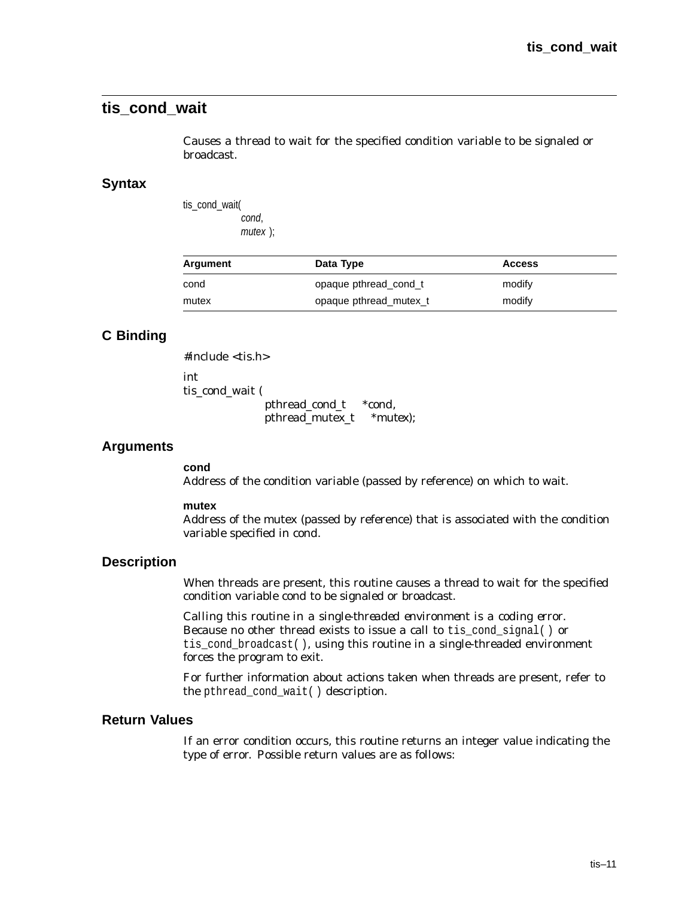## **tis\_cond\_wait**

Causes a thread to wait for the specified condition variable to be signaled or broadcast.

#### **Syntax**

tis\_cond\_wait( cond, mutex );

| Argument | Data Type              | <b>Access</b> |
|----------|------------------------|---------------|
| cond     | opaque pthread cond t  | modify        |
| mutex    | opaque pthread mutex t | modify        |

## **C Binding**

#include <tis.h> int tis\_cond\_wait ( pthread\_cond\_t \**cond*, pthread\_mutex\_t \**mutex*);

#### **Arguments**

**cond**

Address of the condition variable (passed by reference) on which to wait.

#### **mutex**

Address of the mutex (passed by reference) that is associated with the condition variable specified in *cond*.

## **Description**

When threads are present, this routine causes a thread to wait for the specified condition variable *cond* to be signaled or broadcast.

*Calling this routine in a single-threaded environment is a coding error.* Because no other thread exists to issue a call to tis\_cond\_signal( ) or tis cond broadcast(), using this routine in a single-threaded environment forces the program to exit.

For further information about actions taken when threads are present, refer to the pthread\_cond\_wait( ) description.

## **Return Values**

If an error condition occurs, this routine returns an integer value indicating the type of error. Possible return values are as follows: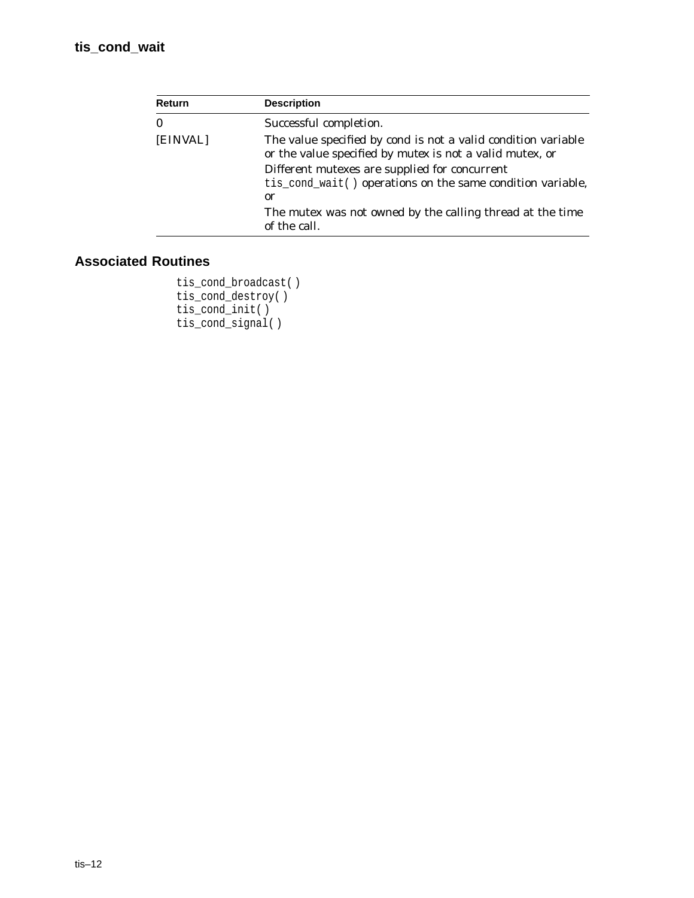| <b>Return</b> | <b>Description</b>                                                                                                                      |
|---------------|-----------------------------------------------------------------------------------------------------------------------------------------|
| $\bf{0}$      | Successful completion.                                                                                                                  |
| [EINVAL]      | The value specified by <i>cond</i> is not a valid condition variable<br>or the value specified by <i>mutex</i> is not a valid mutex, or |
|               | Different mutexes are supplied for concurrent<br>tis_cond_wait() operations on the same condition variable,<br>0r                       |
|               | The mutex was not owned by the calling thread at the time<br>of the call.                                                               |

```
tis_cond_broadcast( )
tis_cond_destroy( )
tis_cond_init( )
tis_cond_signal( )
```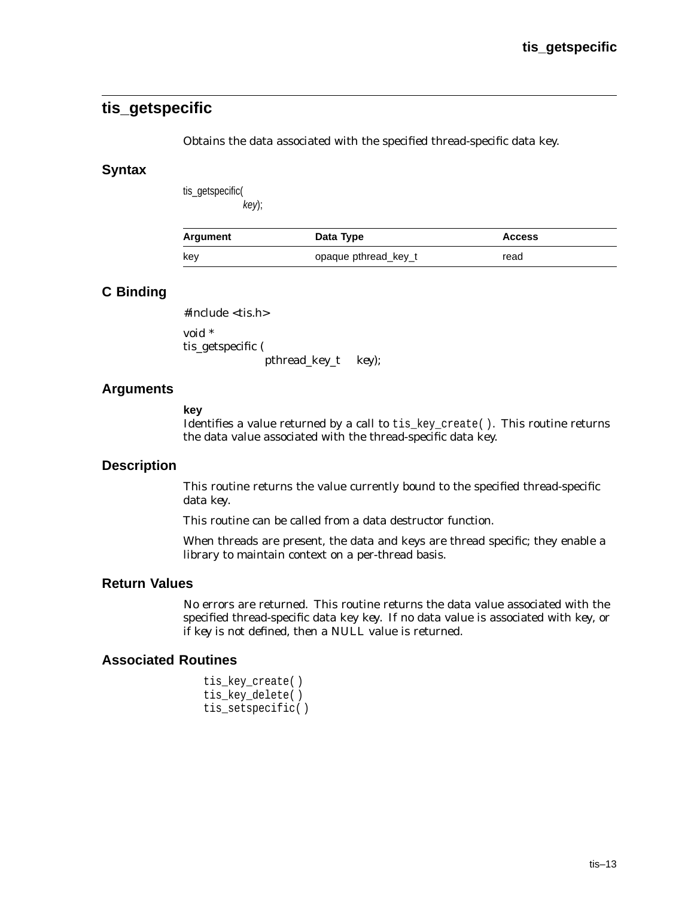## **tis\_getspecific**

Obtains the data associated with the specified thread-specific data key.

### **Syntax**

tis\_getspecific( key);

| Argument | Data Type            | <b>Access</b> |
|----------|----------------------|---------------|
| key      | opaque pthread_key_t | read          |

## **C Binding**

#include <tis.h>

void \* tis\_getspecific ( pthread\_key\_t *key*);

## **Arguments**

#### **key**

Identifies a value returned by a call to tis\_key\_create( ). This routine returns the data value associated with the thread-specific data key.

### **Description**

This routine returns the value currently bound to the specified thread-specific data *key*.

This routine can be called from a data destructor function.

When threads are present, the data and keys are thread specific; they enable a library to maintain context on a per-thread basis.

## **Return Values**

No errors are returned. This routine returns the data value associated with the specified thread-specific data key *key*. If no data value is associated with *key*, or if *key* is not defined, then a NULL value is returned.

```
tis_key_create( )
tis_key_delete( )
tis_setspecific( )
```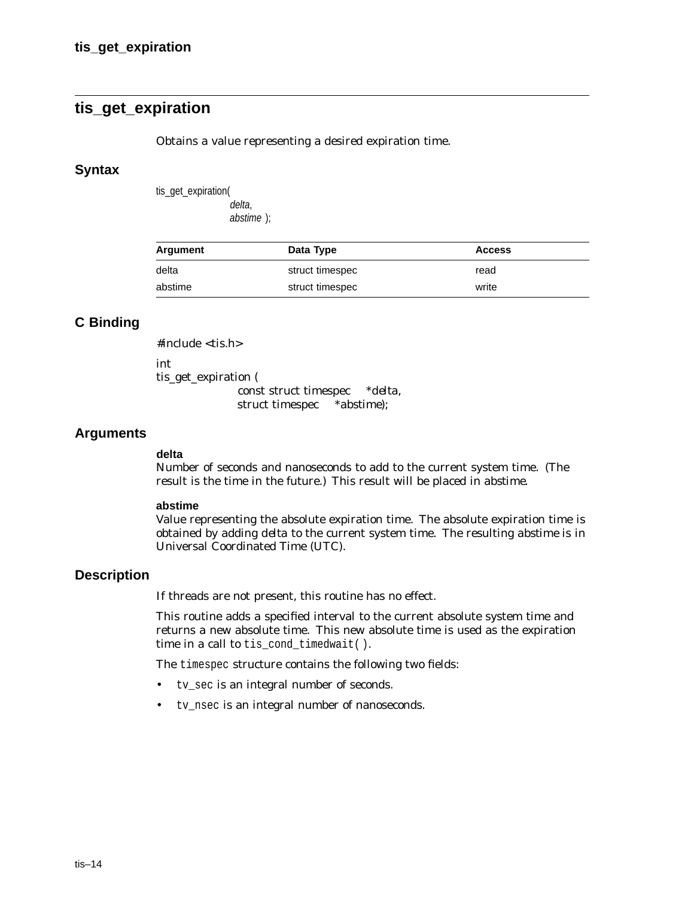## **tis\_get\_expiration**

Obtains a value representing a desired expiration time.

#### **Syntax**

tis get expiration( delta,

abstime );

| Argument | Data Type       | <b>Access</b> |
|----------|-----------------|---------------|
| delta    | struct timespec | read          |
| abstime  | struct timespec | write         |

## **C Binding**

#include <tis.h>

int

tis\_get\_expiration (

const struct timespec \**delta*, struct timespec \**abstime*);

### **Arguments**

#### **delta**

Number of seconds and nanoseconds to add to the current system time. (The result is the time in the future.) This result will be placed in *abstime*.

#### **abstime**

Value representing the absolute expiration time. The absolute expiration time is obtained by adding *delta* to the current system time. The resulting *abstime* is in Universal Coordinated Time (UTC).

### **Description**

If threads are not present, this routine has no effect.

This routine adds a specified interval to the current absolute system time and returns a new absolute time. This new absolute time is used as the expiration time in a call to tis\_cond\_timedwait( ).

The timespec structure contains the following two fields:

- tv\_sec is an integral number of seconds.
- tv\_nsec is an integral number of nanoseconds.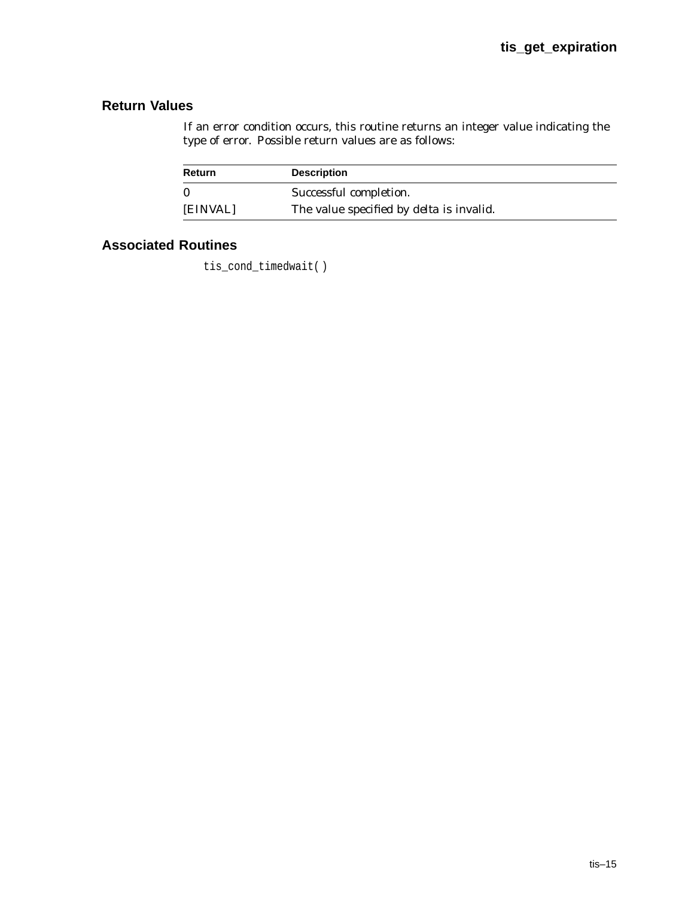## **Return Values**

If an error condition occurs, this routine returns an integer value indicating the type of error. Possible return values are as follows:

| Return   | <b>Description</b>                              |
|----------|-------------------------------------------------|
| 0        | Successful completion.                          |
| [EINVAL] | The value specified by <i>delta</i> is invalid. |

## **Associated Routines**

tis\_cond\_timedwait( )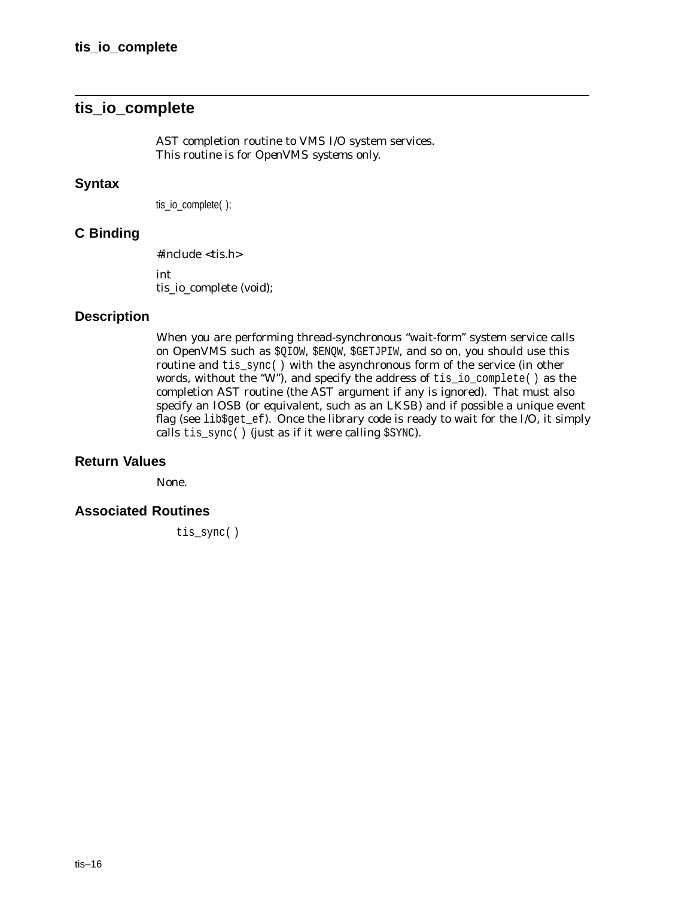## **tis\_io\_complete**

AST completion routine to VMS I/O system services. *This routine is for OpenVMS systems only.*

## **Syntax**

tis\_io\_complete( );

## **C Binding**

#include <tis.h> int tis\_io\_complete (void);

## **Description**

When you are performing thread-synchronous ''wait-form'' system service calls on OpenVMS such as \$QIOW, \$ENQW, \$GETJPIW, and so on, you should use this routine and tis\_sync( ) with the asynchronous form of the service (in other words, without the ''W''), and specify the address of tis\_io\_complete( ) as the completion AST routine (the AST argument if any is ignored). That must also specify an IOSB (or equivalent, such as an LKSB) and if possible a unique event flag (see lib\$get\_ef). Once the library code is ready to wait for the I/O, it simply calls tis\_sync( ) (just as if it were calling \$SYNC).

### **Return Values**

None.

## **Associated Routines**

tis\_sync()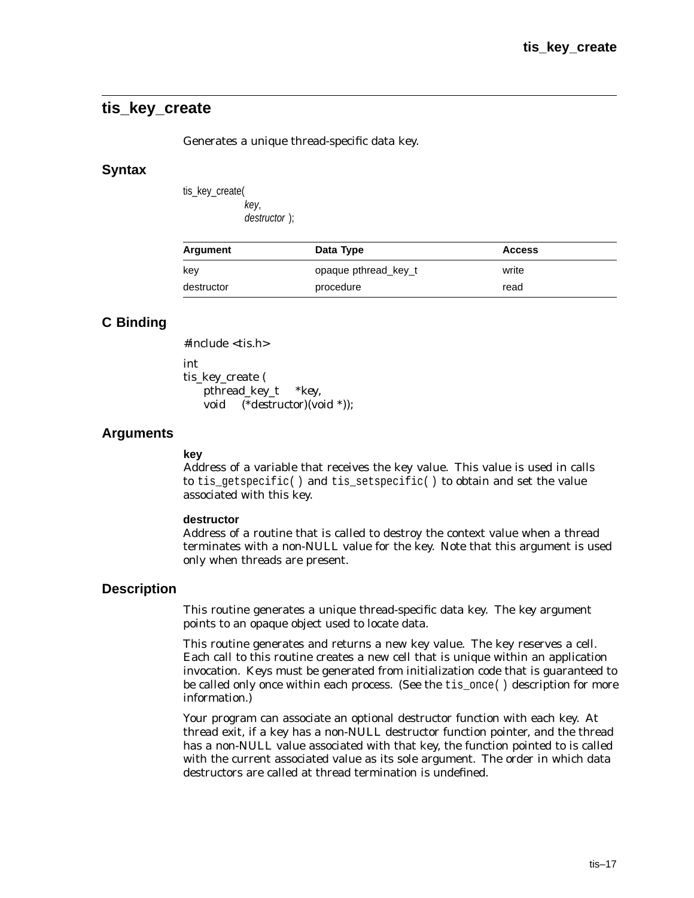## **tis\_key\_create**

Generates a unique thread-specific data key.

#### **Syntax**

tis key create( key,

destructor );

| Argument   | Data Type            | <b>Access</b> |
|------------|----------------------|---------------|
| kev        | opaque pthread key t | write         |
| destructor | procedure            | read          |

## **C Binding**

#include <tis.h>

int

tis key create ( pthread\_key\_t \**key*, void (\**destructor*)(void \*));

#### **Arguments**

#### **key**

Address of a variable that receives the key value. This value is used in calls to tis\_getspecific( ) and tis\_setspecific( ) to obtain and set the value associated with this key.

#### **destructor**

Address of a routine that is called to destroy the context value when a thread terminates with a non-NULL value for the key. Note that this argument is used only when threads are present.

#### **Description**

This routine generates a unique thread-specific data key. The *key* argument points to an opaque object used to locate data.

This routine generates and returns a new key value. The key reserves a cell. Each call to this routine creates a new cell that is unique within an application invocation. Keys must be generated from initialization code that is guaranteed to be called only once within each process. (See the tis\_once( ) description for more information.)

Your program can associate an optional destructor function with each key. At thread exit, if a key has a non-NULL destructor function pointer, and the thread has a non-NULL value associated with that key, the function pointed to is called with the current associated value as its sole argument. The order in which data destructors are called at thread termination is undefined.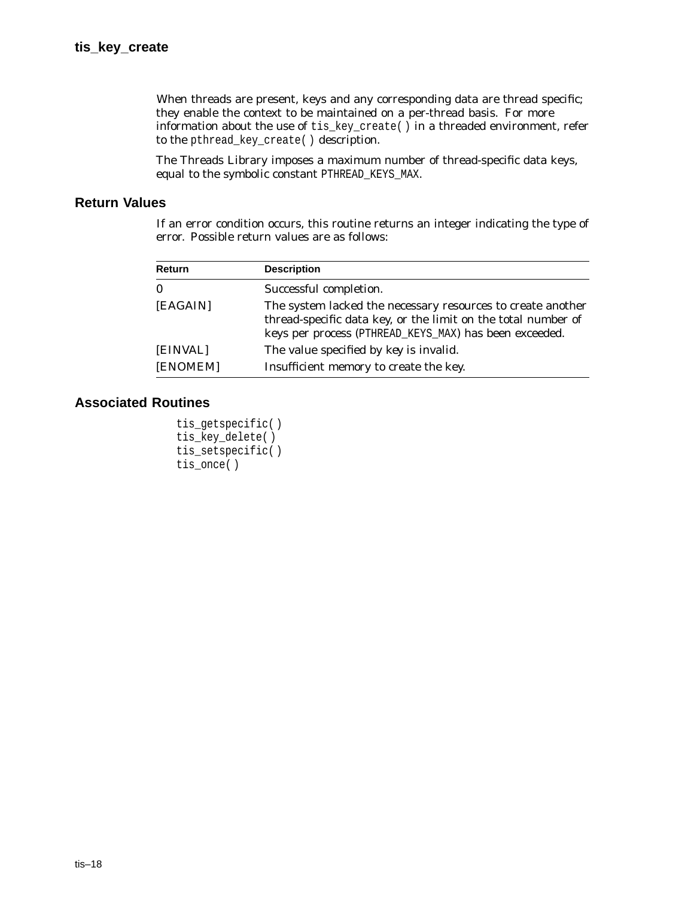When threads are present, keys and any corresponding data are thread specific; they enable the context to be maintained on a per-thread basis. For more information about the use of  $\text{tis\_key\_create}()$  in a threaded environment, refer to the pthread\_key\_create( ) description.

The Threads Library imposes a maximum number of thread-specific data keys, equal to the symbolic constant PTHREAD\_KEYS\_MAX.

## **Return Values**

If an error condition occurs, this routine returns an integer indicating the type of error. Possible return values are as follows:

| Return   | <b>Description</b>                                                                                                                                                                     |
|----------|----------------------------------------------------------------------------------------------------------------------------------------------------------------------------------------|
| $\bf{0}$ | Successful completion.                                                                                                                                                                 |
| [EAGAIN] | The system lacked the necessary resources to create another<br>thread-specific data key, or the limit on the total number of<br>keys per process (PTHREAD_KEYS_MAX) has been exceeded. |
| [EINVAL] | The value specified by key is invalid.                                                                                                                                                 |
| [ENOMEM] | Insufficient memory to create the key.                                                                                                                                                 |

```
tis_getspecific( )
tis_key_delete( )
tis_setspecific( )
tis_once( )
```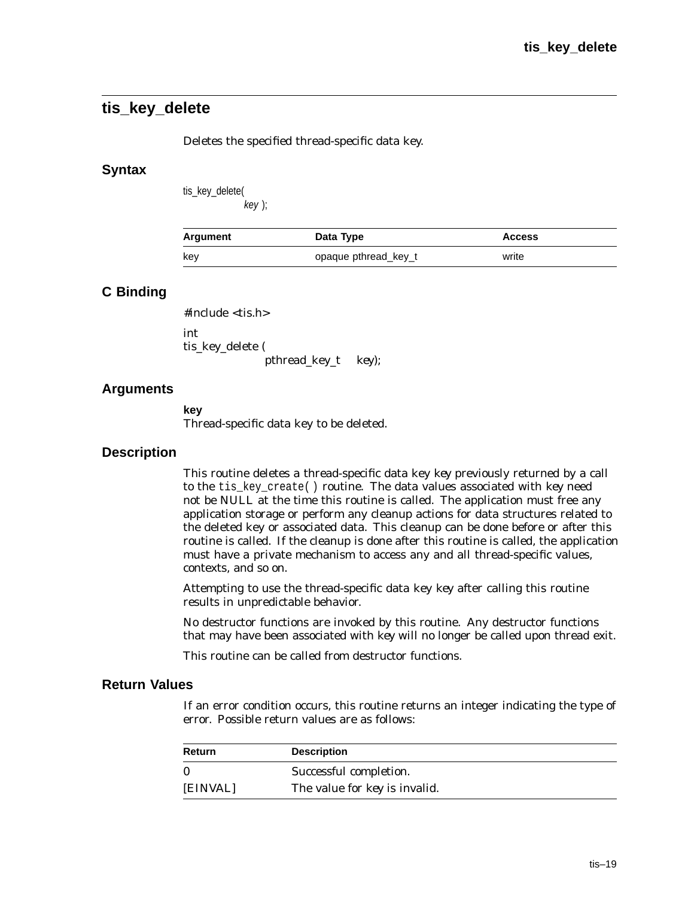## **tis\_key\_delete**

Deletes the specified thread-specific data key.

### **Syntax**

tis\_key\_delete(

key );

| Argument | Data Type            | <b>Access</b> |
|----------|----------------------|---------------|
| key      | opaque pthread_key_t | write         |

## **C Binding**

#include <tis.h>

int tis\_key\_delete ( pthread\_key\_t *key*);

## **Arguments**

**key** Thread-specific data key to be deleted.

### **Description**

This routine deletes a thread-specific data key *key* previously returned by a call to the tis\_key\_create( ) routine. The data values associated with *key* need not be NULL at the time this routine is called. The application must free any application storage or perform any cleanup actions for data structures related to the deleted key or associated data. This cleanup can be done before or after this routine is called. If the cleanup is done after this routine is called, the application must have a private mechanism to access any and all thread-specific values, contexts, and so on.

Attempting to use the thread-specific data key *key* after calling this routine results in unpredictable behavior.

No destructor functions are invoked by this routine. Any destructor functions that may have been associated with *key* will no longer be called upon thread exit.

This routine can be called from destructor functions.

### **Return Values**

If an error condition occurs, this routine returns an integer indicating the type of error. Possible return values are as follows:

| Return   | <b>Description</b>            |
|----------|-------------------------------|
|          | Successful completion.        |
| [EINVAL] | The value for key is invalid. |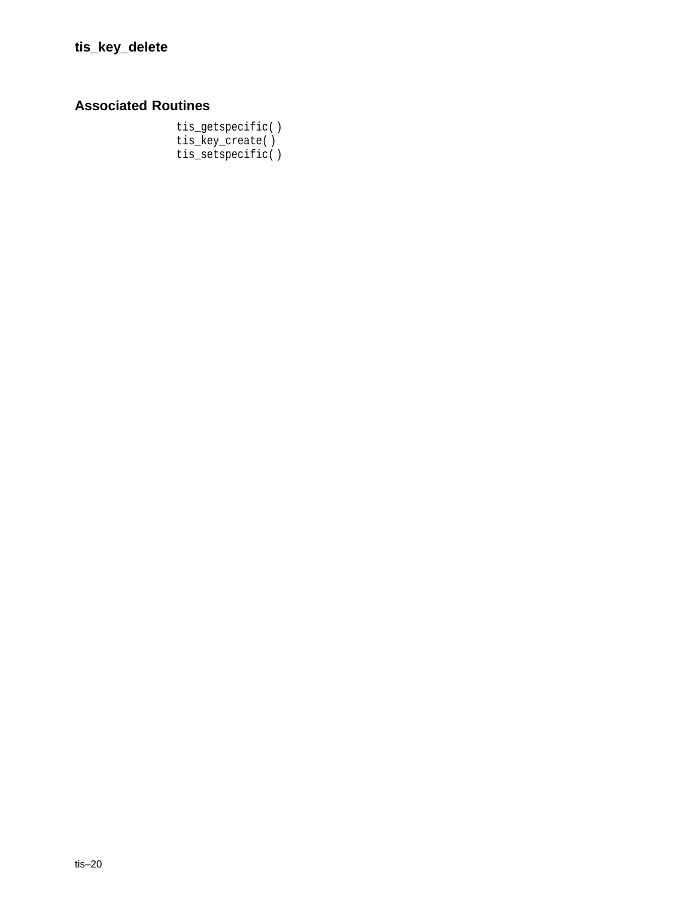## **Associated Routines**

tis\_getspecific( ) tis\_key\_create( ) tis\_setspecific( )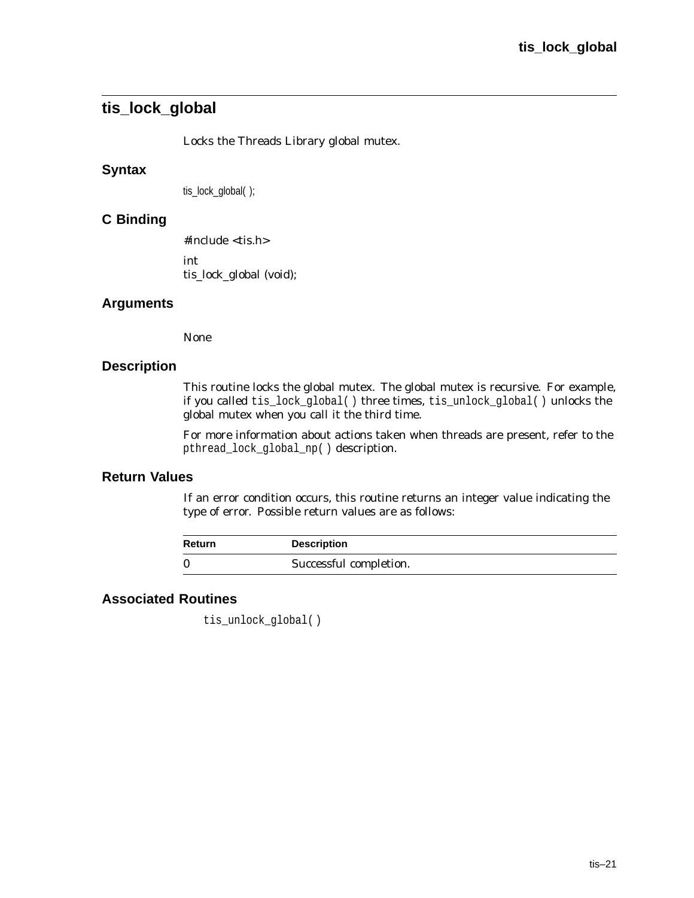# **tis\_lock\_global**

Locks the Threads Library global mutex.

#### **Syntax**

tis\_lock\_global( );

#### **C Binding**

#include <tis.h> int

tis\_lock\_global (void);

#### **Arguments**

None

#### **Description**

This routine locks the global mutex. The global mutex is recursive. For example, if you called tis\_lock\_global( ) three times, tis\_unlock\_global( ) unlocks the global mutex when you call it the third time.

For more information about actions taken when threads are present, refer to the pthread\_lock\_global\_np( ) description.

#### **Return Values**

If an error condition occurs, this routine returns an integer value indicating the type of error. Possible return values are as follows:

| Return | <b>Description</b>     |
|--------|------------------------|
| 0      | Successful completion. |

# **Associated Routines**

tis\_unlock\_global( )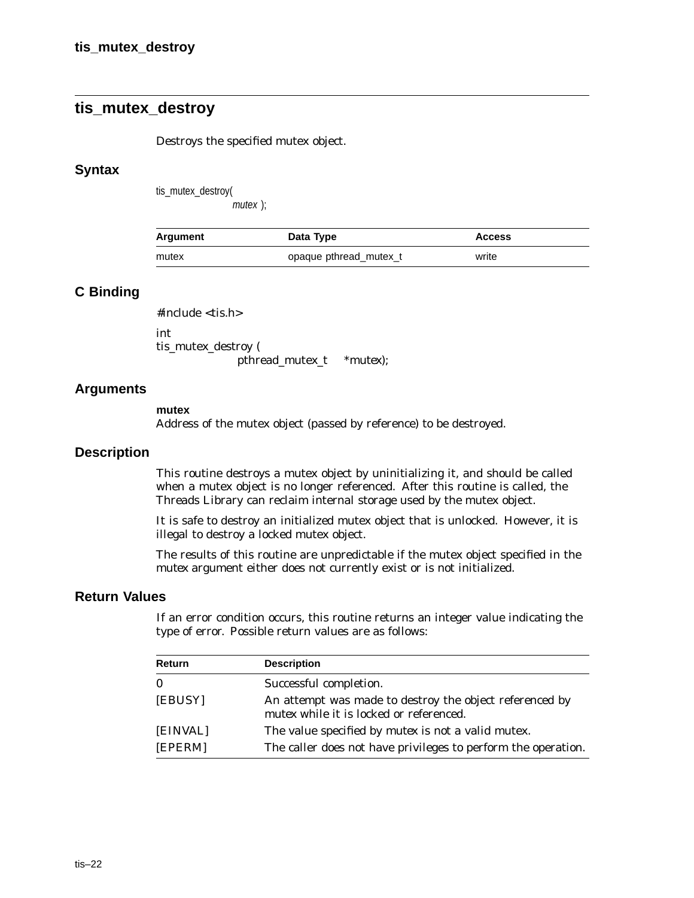# **tis\_mutex\_destroy**

Destroys the specified mutex object.

#### **Syntax**

tis\_mutex\_destroy(

mutex );

| Argument | Data Type              | <b>Access</b> |
|----------|------------------------|---------------|
| mutex    | opaque pthread mutex t | write         |

#### **C Binding**

#include <tis.h>

int tis\_mutex\_destroy ( pthread\_mutex\_t \**mutex*);

#### **Arguments**

#### **mutex**

Address of the mutex object (passed by reference) to be destroyed.

#### **Description**

This routine destroys a mutex object by uninitializing it, and should be called when a mutex object is no longer referenced. After this routine is called, the Threads Library can reclaim internal storage used by the mutex object.

It is safe to destroy an initialized mutex object that is unlocked. However, it is illegal to destroy a locked mutex object.

The results of this routine are unpredictable if the mutex object specified in the *mutex* argument either does not currently exist or is not initialized.

#### **Return Values**

| Return   | <b>Description</b>                                                                                 |
|----------|----------------------------------------------------------------------------------------------------|
| $\bf{0}$ | Successful completion.                                                                             |
| [EBUSY]  | An attempt was made to destroy the object referenced by<br>mutex while it is locked or referenced. |
| [EINVAL] | The value specified by <i>mutex</i> is not a valid mutex.                                          |
| [EPERM]  | The caller does not have privileges to perform the operation.                                      |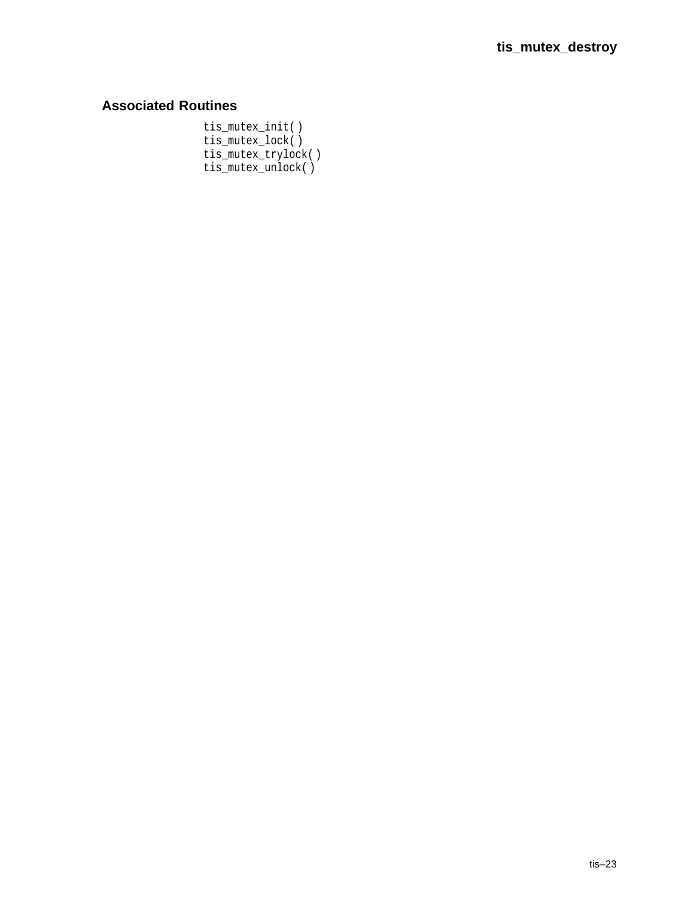# **Associated Routines**

tis\_mutex\_init( ) tis\_mutex\_lock( ) tis\_mutex\_trylock( ) tis\_mutex\_unlock( )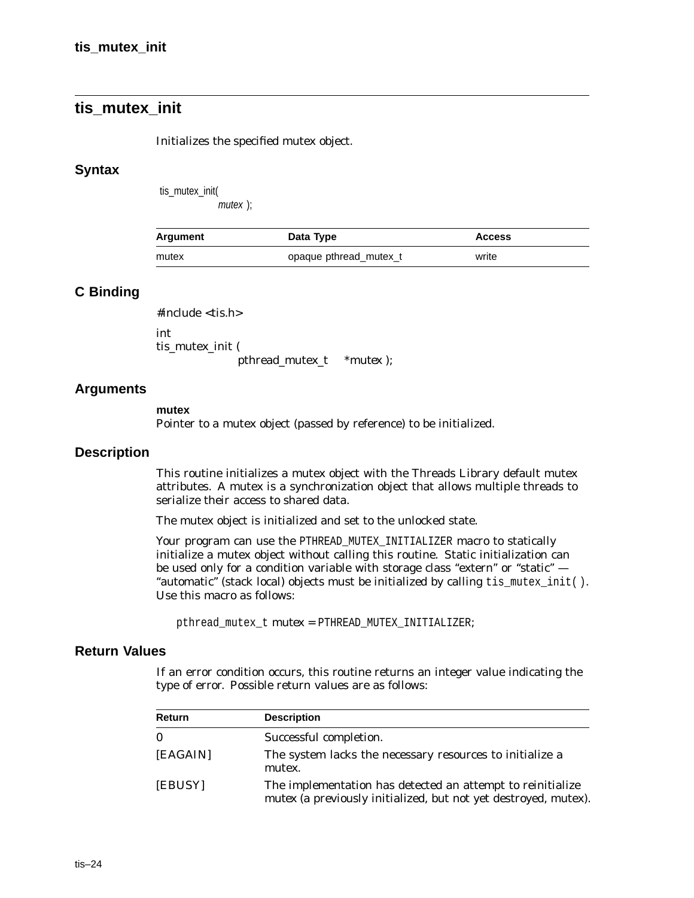# **tis\_mutex\_init**

Initializes the specified mutex object.

#### **Syntax**

tis\_mutex\_init(

mutex );

| Argument | Data Type              | <b>Access</b> |
|----------|------------------------|---------------|
| mutex    | opaque pthread_mutex_t | write         |

#### **C Binding**

#include <tis.h>

int tis\_mutex\_init (

pthread\_mutex\_t \**mutex* );

#### **Arguments**

#### **mutex**

Pointer to a mutex object (passed by reference) to be initialized.

#### **Description**

This routine initializes a mutex object with the Threads Library default mutex attributes. A mutex is a synchronization object that allows multiple threads to serialize their access to shared data.

The mutex object is initialized and set to the unlocked state.

Your program can use the PTHREAD MUTEX\_INITIALIZER macro to statically initialize a mutex object without calling this routine. Static initialization can be used only for a condition variable with storage class "extern" or "static"  $-$ ''automatic'' (stack local) objects must be initialized by calling tis\_mutex\_init( ). Use this macro as follows:

pthread\_mutex\_t *mutex* = PTHREAD\_MUTEX\_INITIALIZER;

#### **Return Values**

| <b>Return</b> | <b>Description</b>                                                                                                            |
|---------------|-------------------------------------------------------------------------------------------------------------------------------|
| $\bf{0}$      | Successful completion.                                                                                                        |
| [EAGAIN]      | The system lacks the necessary resources to initialize a<br>mutex.                                                            |
| [EBUSY]       | The implementation has detected an attempt to reinitialize<br>mutex (a previously initialized, but not yet destroyed, mutex). |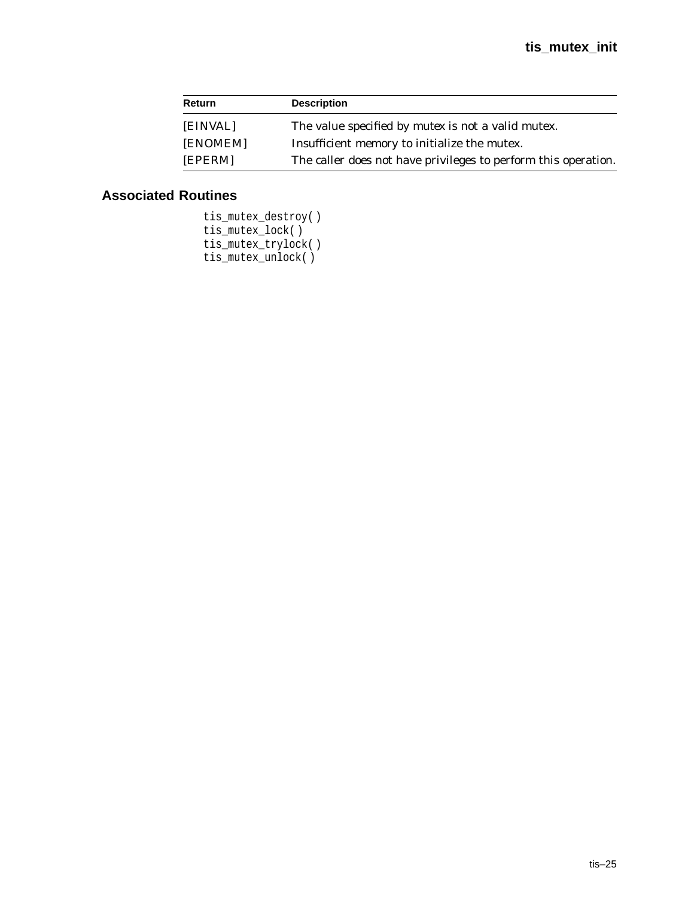| Return   | <b>Description</b>                                             |  |
|----------|----------------------------------------------------------------|--|
| [EINVAL] | The value specified by <i>mutex</i> is not a valid mutex.      |  |
| [ENOMEM] | Insufficient memory to initialize the mutex.                   |  |
| [EPERM]  | The caller does not have privileges to perform this operation. |  |

```
tis_mutex_destroy( )
tis_mutex_lock( )
tis_mutex_trylock( )
tis_mutex_unlock( )
```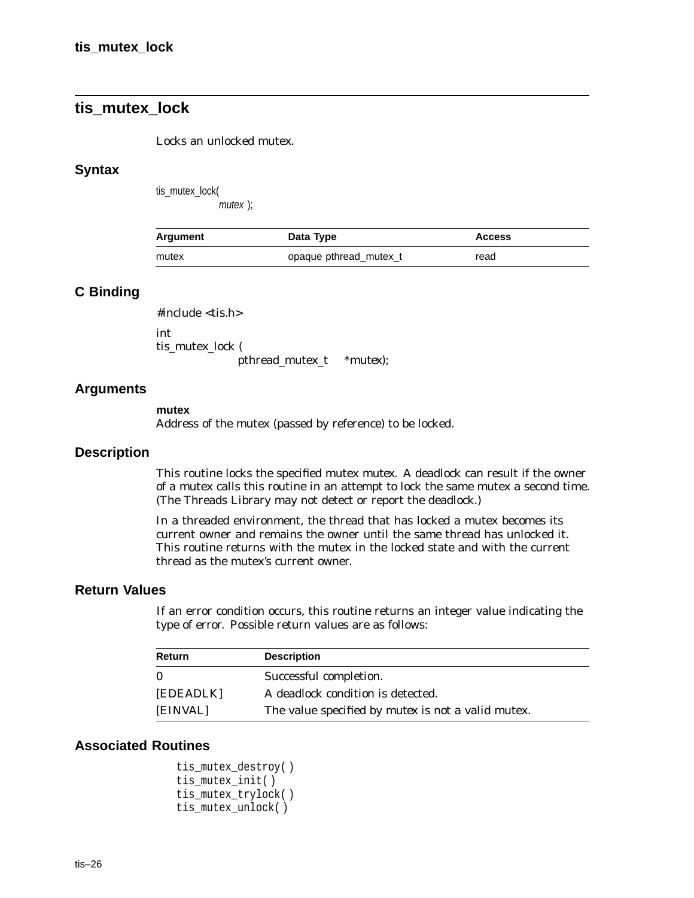# **tis\_mutex\_lock**

Locks an unlocked mutex.

#### **Syntax**

tis\_mutex\_lock(

mutex );

| Argument | Data Type              | <b>Access</b> |
|----------|------------------------|---------------|
| mutex    | opaque pthread_mutex_t | read          |

#### **C Binding**

#include <tis.h>

int tis\_mutex\_lock (

pthread\_mutex\_t *\*mutex*);

#### **Arguments**

#### **mutex**

Address of the mutex (passed by reference) to be locked.

#### **Description**

This routine locks the specified mutex *mutex*. A deadlock can result if the owner of a mutex calls this routine in an attempt to lock the same mutex a second time. (The Threads Library may not detect or report the deadlock.)

In a threaded environment, the thread that has locked a mutex becomes its current owner and remains the owner until the same thread has unlocked it. This routine returns with the mutex in the locked state and with the current thread as the mutex's current owner.

#### **Return Values**

If an error condition occurs, this routine returns an integer value indicating the type of error. Possible return values are as follows:

| <b>Return</b> | <b>Description</b>                                        |
|---------------|-----------------------------------------------------------|
| $\Omega$      | Successful completion.                                    |
| [EDEADLK]     | A deadlock condition is detected.                         |
| [EINVAL]      | The value specified by <i>mutex</i> is not a valid mutex. |

```
tis_mutex_destroy( )
tis_mutex_init( )
tis_mutex_trylock( )
tis_mutex_unlock( )
```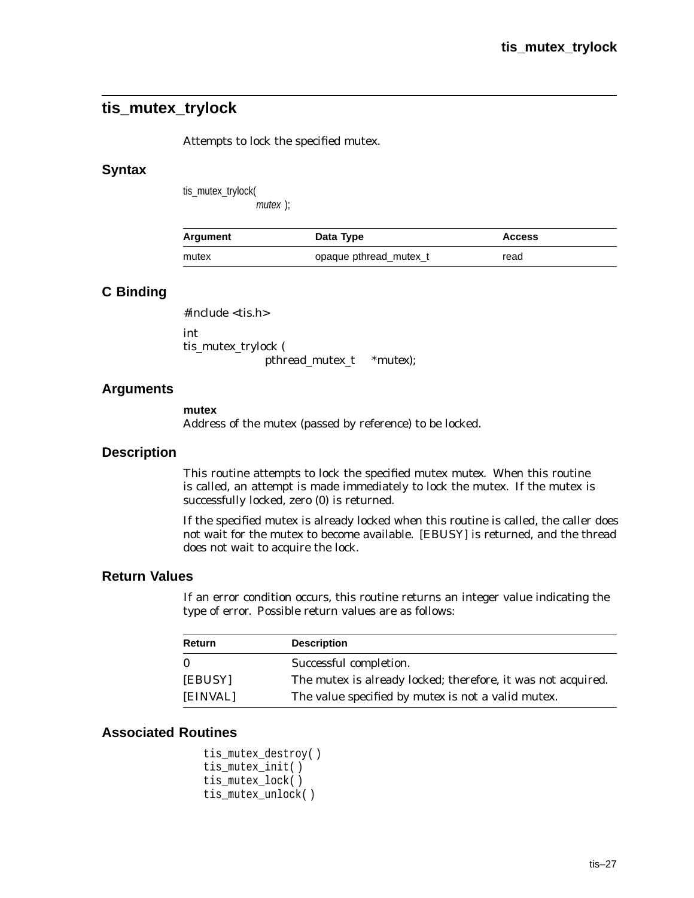# **tis\_mutex\_trylock**

Attempts to lock the specified mutex.

#### **Syntax**

tis\_mutex\_trylock( mutex );

| Argument | Data Type              | <b>Access</b> |
|----------|------------------------|---------------|
| mutex    | opaque pthread mutex t | read          |

## **C Binding**

#include <tis.h>

int tis\_mutex\_trylock ( pthread\_mutex\_t \**mutex*);

## **Arguments**

**mutex** Address of the mutex (passed by reference) to be locked.

#### **Description**

This routine attempts to lock the specified mutex *mutex*. When this routine is called, an attempt is made immediately to lock the mutex. If the mutex is successfully locked, zero (0) is returned.

If the specified mutex is already locked when this routine is called, the caller does not wait for the mutex to become available. [EBUSY] is returned, and the thread does not wait to acquire the lock.

#### **Return Values**

If an error condition occurs, this routine returns an integer value indicating the type of error. Possible return values are as follows:

| Return   | <b>Description</b>                                           |
|----------|--------------------------------------------------------------|
| $\bf{0}$ | Successful completion.                                       |
| [EBUSY]  | The mutex is already locked; therefore, it was not acquired. |
| [EINVAL] | The value specified by <i>mutex</i> is not a valid mutex.    |

```
tis_mutex_destroy( )
tis_mutex_init( )
tis_mutex_lock( )
tis_mutex_unlock( )
```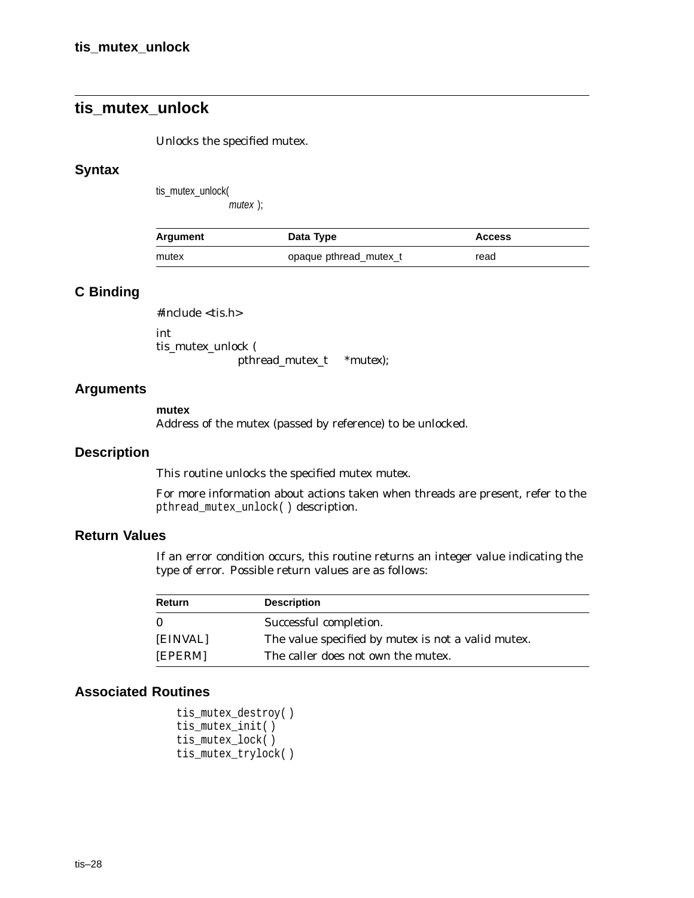# **tis\_mutex\_unlock**

Unlocks the specified mutex.

#### **Syntax**

tis\_mutex\_unlock(

mutex );

| Argument | Data Type              | <b>Access</b> |
|----------|------------------------|---------------|
| mutex    | opaque pthread mutex t | read          |

# **C Binding**

#include <tis.h>

int tis\_mutex\_unlock ( pthread\_mutex\_t \**mutex*);

#### **Arguments**

#### **mutex**

Address of the mutex (passed by reference) to be unlocked.

#### **Description**

This routine unlocks the specified mutex *mutex*.

For more information about actions taken when threads are present, refer to the pthread\_mutex\_unlock( ) description.

#### **Return Values**

If an error condition occurs, this routine returns an integer value indicating the type of error. Possible return values are as follows:

| Return   | <b>Description</b>                                        |
|----------|-----------------------------------------------------------|
| $\Omega$ | Successful completion.                                    |
| [EINVAL] | The value specified by <i>mutex</i> is not a valid mutex. |
| [EPERM]  | The caller does not own the mutex.                        |

```
tis_mutex_destroy( )
tis mutex init()
tis_mutex_lock( )
tis_mutex_trylock( )
```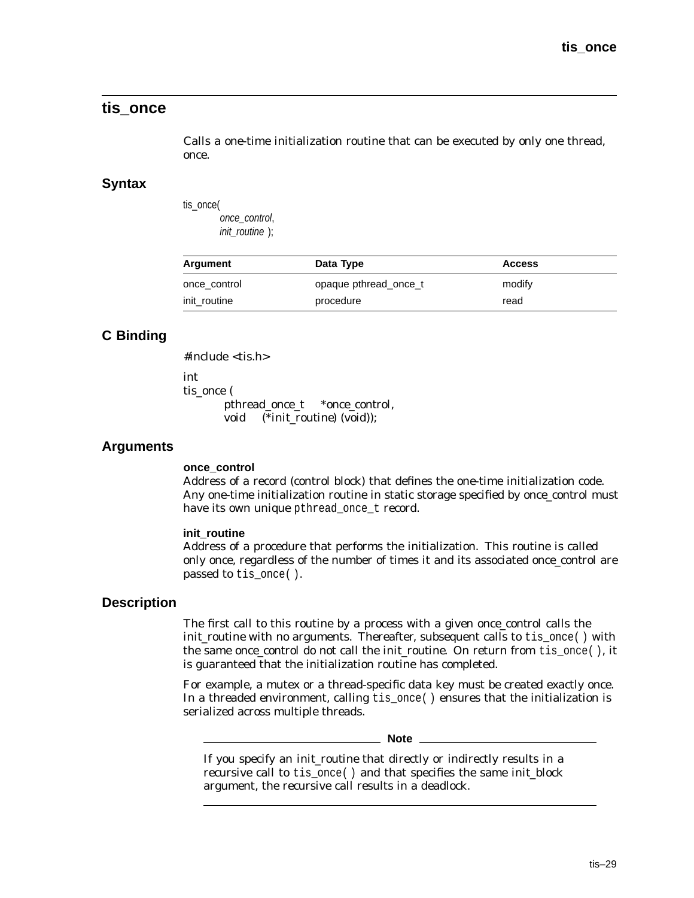# **tis\_once**

Calls a one-time initialization routine that can be executed by only one thread, once.

#### **Syntax**

tis\_once( once\_control, init\_routine );

| Argument     | Data Type             | <b>Access</b> |
|--------------|-----------------------|---------------|
| once_control | opaque pthread once t | modify        |
| init_routine | procedure             | read          |

# **C Binding**

#include <tis.h>

int tis\_once ( pthread\_once\_t \**once\_control*, void (\**init\_routine*) (void));

## **Arguments**

#### **once\_control**

Address of a record (control block) that defines the one-time initialization code. Any one-time initialization routine in static storage specified by *once\_control* must have its own unique pthread\_once\_t record.

#### **init\_routine**

Address of a procedure that performs the initialization. This routine is called only once, regardless of the number of times it and its associated *once\_control* are passed to tis\_once( ).

#### **Description**

The first call to this routine by a process with a given *once\_control* calls the *init routine* with no arguments. Thereafter, subsequent calls to tis once() with the same *once\_control* do not call the *init\_routine*. On return from tis\_once( ), it is guaranteed that the initialization routine has completed.

For example, a mutex or a thread-specific data key must be created exactly once. In a threaded environment, calling tis\_once( ) ensures that the initialization is serialized across multiple threads.

**Note**

If you specify an *init\_routine* that directly or indirectly results in a recursive call to tis\_once( ) and that specifies the same *init\_block* argument, the recursive call results in a deadlock.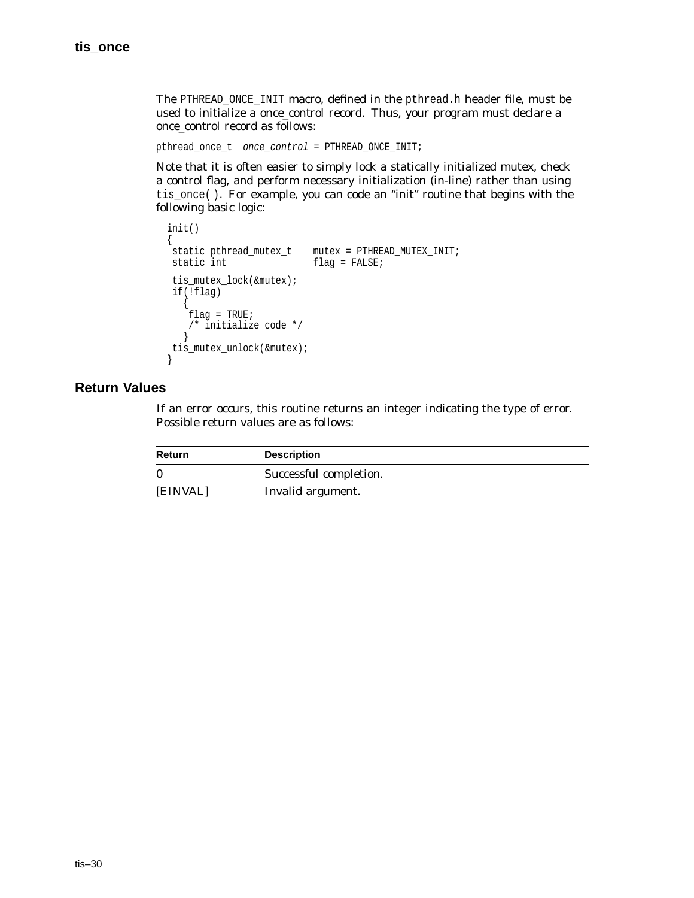The PTHREAD\_ONCE\_INIT macro, defined in the pthread.h header file, must be used to initialize a *once\_control* record. Thus, your program must declare a *once\_control* record as follows:

pthread\_once\_t once\_control = PTHREAD\_ONCE\_INIT;

Note that it is often easier to simply lock a statically initialized mutex, check a control flag, and perform necessary initialization (in-line) rather than using tis\_once( ). For example, you can code an ''init'' routine that begins with the following basic logic:

```
init()
{<br>static pthread mutex t
                         mutes = PTHREAD MUTEX INIT;
static int flag = FALSE;
tis_mutex_lock(&mutex);
if(!flag)
   {
   \intflag = TRUE;
   /* initialize code */
   }
tis_mutex_unlock(&mutex);
}
```
## **Return Values**

| Return   | <b>Description</b>     |
|----------|------------------------|
|          | Successful completion. |
| [EINVAL] | Invalid argument.      |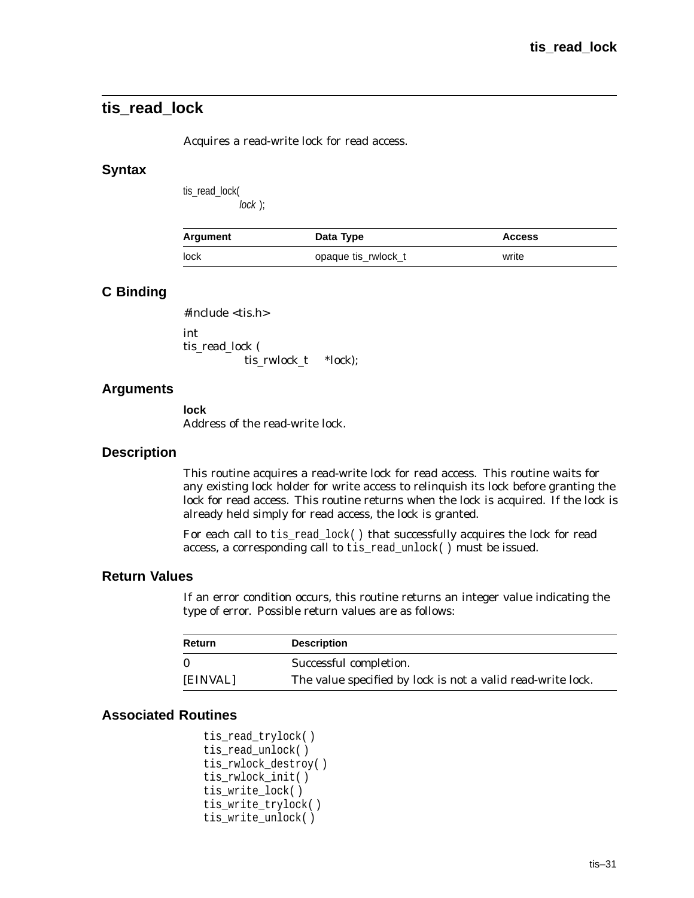# **tis\_read\_lock**

Acquires a read-write lock for read access.

#### **Syntax**

tis\_read\_lock( lock );

| <b>Argument</b> | Data Type           | <b>Access</b> |
|-----------------|---------------------|---------------|
| lock            | opaque tis_rwlock_t | write         |

## **C Binding**

#include <tis.h>

int tis read lock ( tis\_rwlock\_t *\*lock*);

## **Arguments**

**lock** Address of the read-write lock.

#### **Description**

This routine acquires a read-write lock for read access. This routine waits for any existing lock holder for write access to relinquish its lock before granting the lock for read access. This routine returns when the lock is acquired. If the lock is already held simply for read access, the lock is granted.

For each call to tis\_read\_lock( ) that successfully acquires the lock for read access, a corresponding call to tis\_read\_unlock( ) must be issued.

#### **Return Values**

If an error condition occurs, this routine returns an integer value indicating the type of error. Possible return values are as follows:

| Return   | <b>Description</b>                                                 |
|----------|--------------------------------------------------------------------|
| $\bf{0}$ | Successful completion.                                             |
| [EINVAL] | The value specified by <i>lock</i> is not a valid read-write lock. |

```
tis_read_trylock( )
tis_read_unlock( )
tis_rwlock_destroy( )
tis_rwlock_init( )
tis_write_lock( )
tis_write_trylock( )
tis_write_unlock( )
```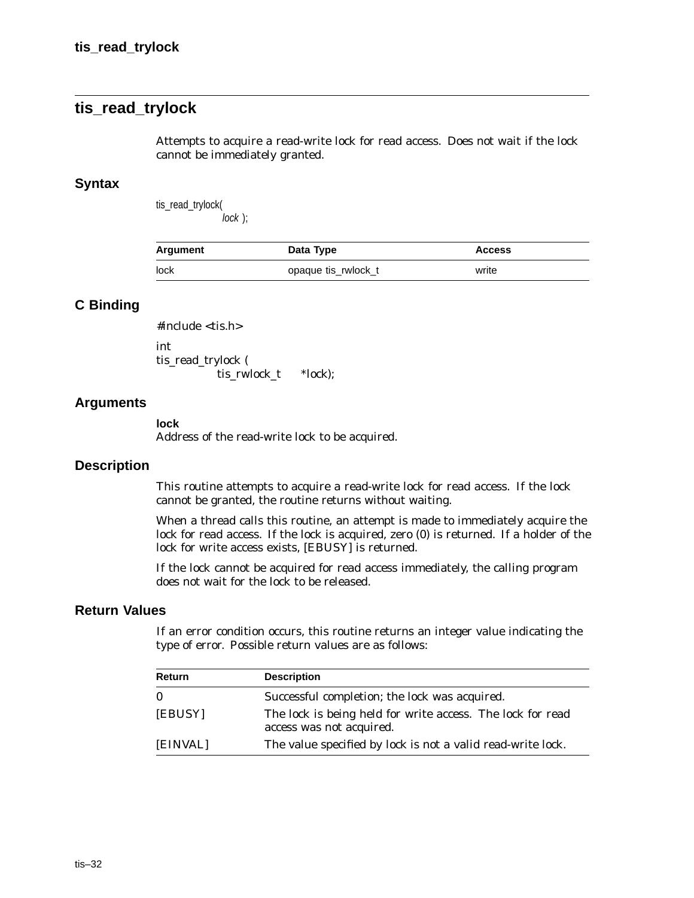# **tis\_read\_trylock**

Attempts to acquire a read-write lock for read access. Does not wait if the lock cannot be immediately granted.

#### **Syntax**

tis\_read\_trylock( lock );

| Argument | Data Type           | <b>Access</b> |
|----------|---------------------|---------------|
| lock     | opaque tis_rwlock_t | write         |

## **C Binding**

#include <tis.h> int tis\_read\_trylock ( tis\_rwlock\_t *\*lock*);

#### **Arguments**

#### **lock**

Address of the read-write lock to be acquired.

#### **Description**

This routine attempts to acquire a read-write lock for read access. If the lock cannot be granted, the routine returns without waiting.

When a thread calls this routine, an attempt is made to immediately acquire the lock for read access. If the lock is acquired, zero (0) is returned. If a holder of the lock for write access exists, [EBUSY] is returned.

If the lock cannot be acquired for read access immediately, the calling program does not wait for the lock to be released.

#### **Return Values**

| <b>Return</b> | <b>Description</b>                                                                     |
|---------------|----------------------------------------------------------------------------------------|
| $\mathbf{0}$  | Successful completion; the lock was acquired.                                          |
| [EBUSY]       | The lock is being held for write access. The lock for read<br>access was not acquired. |
| [EINVAL]      | The value specified by <i>lock</i> is not a valid read-write lock.                     |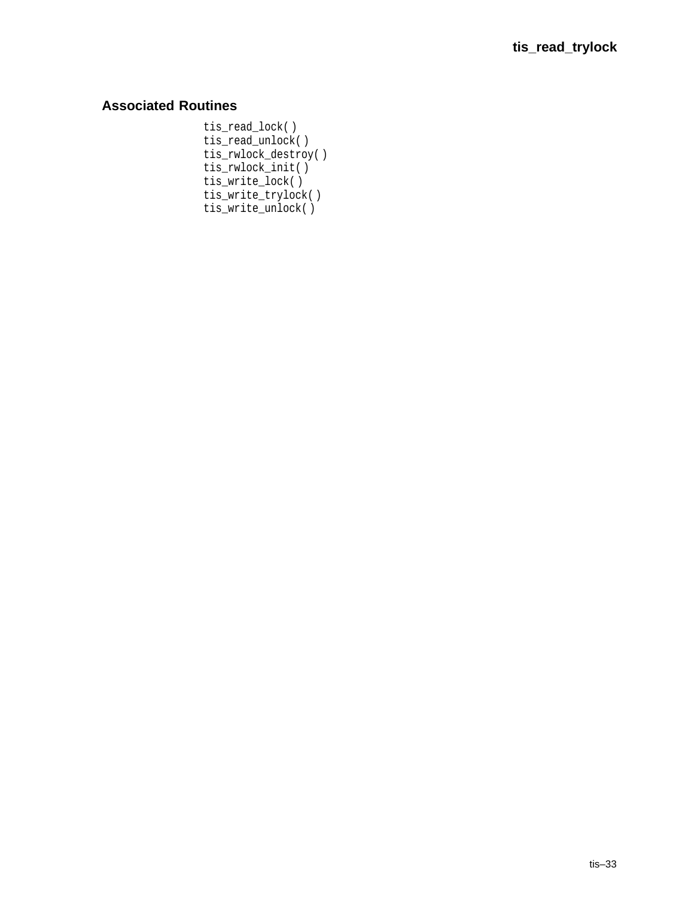# **Associated Routines**

tis\_read\_lock( ) tis\_read\_unlock( ) tis\_rwlock\_destroy( ) tis\_rwlock\_init( ) tis\_write\_lock( ) tis\_write\_trylock( ) tis\_write\_unlock( )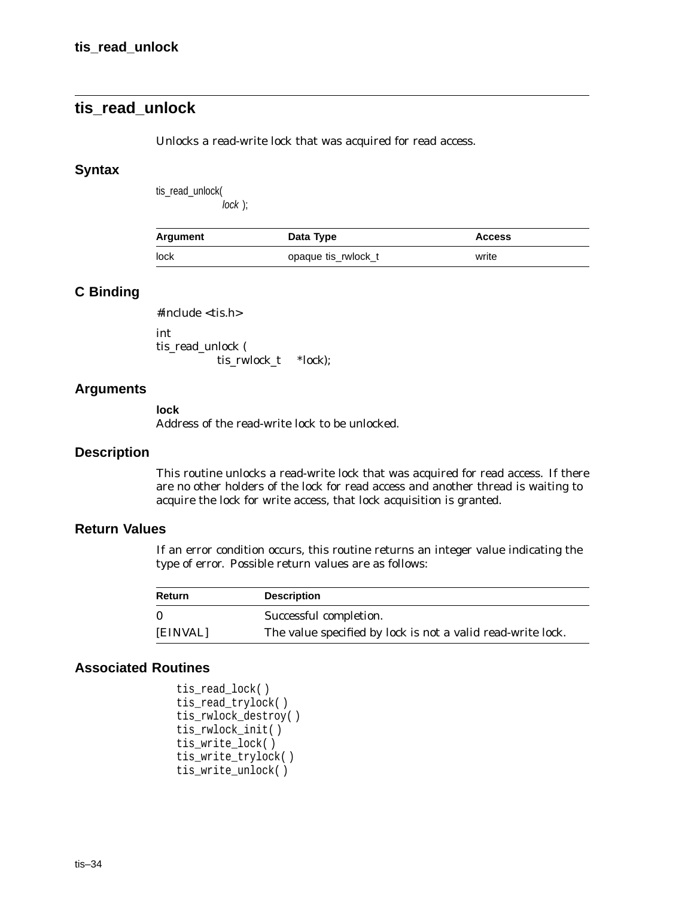# **tis\_read\_unlock**

Unlocks a read-write lock that was acquired for read access.

#### **Syntax**

tis\_read\_unlock(

lock );

| Argument | Data Type           | <b>Access</b> |
|----------|---------------------|---------------|
| lock     | opaque tis rwlock t | write         |

# **C Binding**

#include <tis.h>

int tis\_read\_unlock ( tis\_rwlock\_t *\*lock*);

#### **Arguments**

#### **lock**

Address of the read-write lock to be unlocked.

#### **Description**

This routine unlocks a read-write lock that was acquired for read access. If there are no other holders of the lock for read access and another thread is waiting to acquire the lock for write access, that lock acquisition is granted.

## **Return Values**

If an error condition occurs, this routine returns an integer value indicating the type of error. Possible return values are as follows:

| Return   | <b>Description</b>                                                 |
|----------|--------------------------------------------------------------------|
| $\Omega$ | Successful completion.                                             |
| [EINVAL] | The value specified by <i>lock</i> is not a valid read-write lock. |

```
tis_read_lock( )
tis_read_trylock( )
tis_rwlock_destroy( )
tis_rwlock_init( )
tis_write_lock( )
tis_write_trylock( )
tis_write_unlock( )
```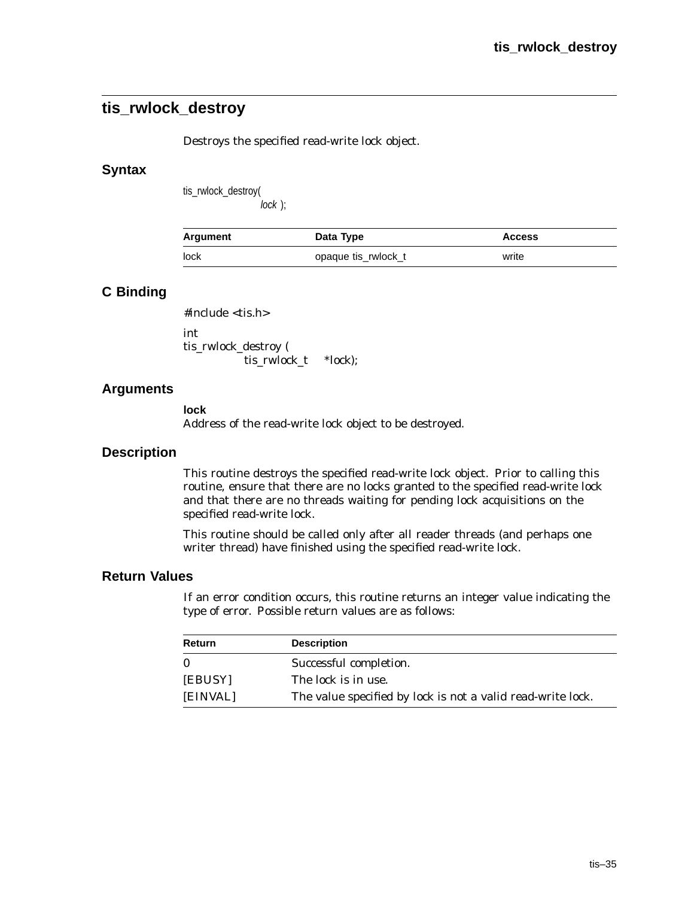# **tis\_rwlock\_destroy**

Destroys the specified read-write lock object.

## **Syntax**

tis\_rwlock\_destroy( lock );

| Argument | Data Type           | <b>Access</b> |
|----------|---------------------|---------------|
| lock     | opaque tis_rwlock_t | write         |

# **C Binding**

#include <tis.h>

int tis\_rwlock\_destroy ( tis\_rwlock\_t *\*lock*);

# **Arguments**

**lock** Address of the read-write lock object to be destroyed.

## **Description**

This routine destroys the specified read-write lock object. Prior to calling this routine, ensure that there are no locks granted to the specified read-write lock and that there are no threads waiting for pending lock acquisitions on the specified read-write lock.

This routine should be called only after all reader threads (and perhaps one writer thread) have finished using the specified read-write lock.

## **Return Values**

| Return   | <b>Description</b>                                                 |
|----------|--------------------------------------------------------------------|
| $\Omega$ | Successful completion.                                             |
| [EBUSY]  | The lock is in use.                                                |
| [EINVAL] | The value specified by <i>lock</i> is not a valid read-write lock. |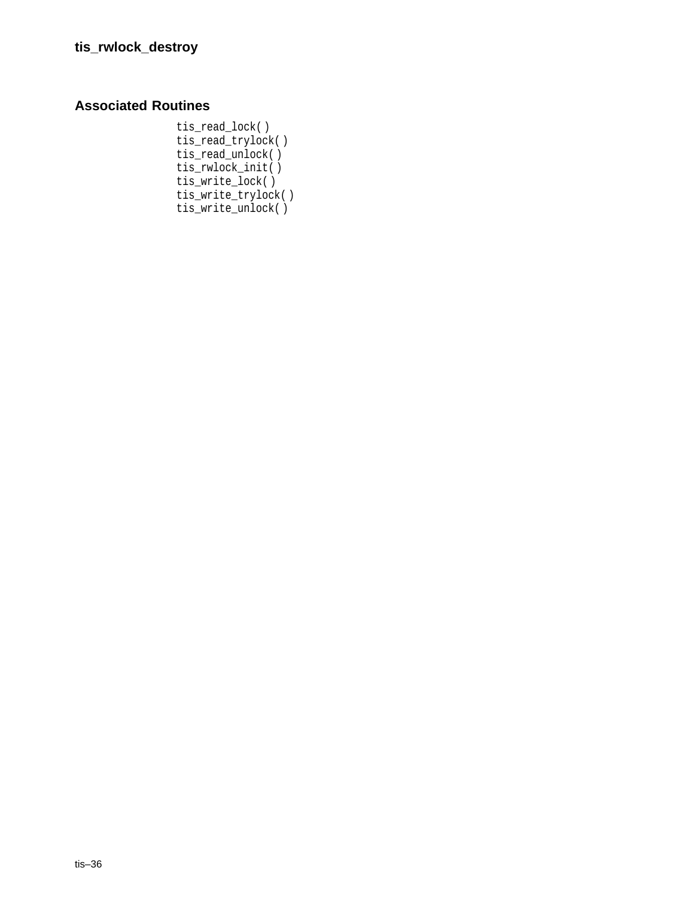# **Associated Routines**

tis\_read\_lock( ) tis\_read\_trylock( ) tis\_read\_unlock( ) tis\_rwlock\_init( ) tis\_write\_lock( ) tis\_write\_trylock( ) tis\_write\_unlock( )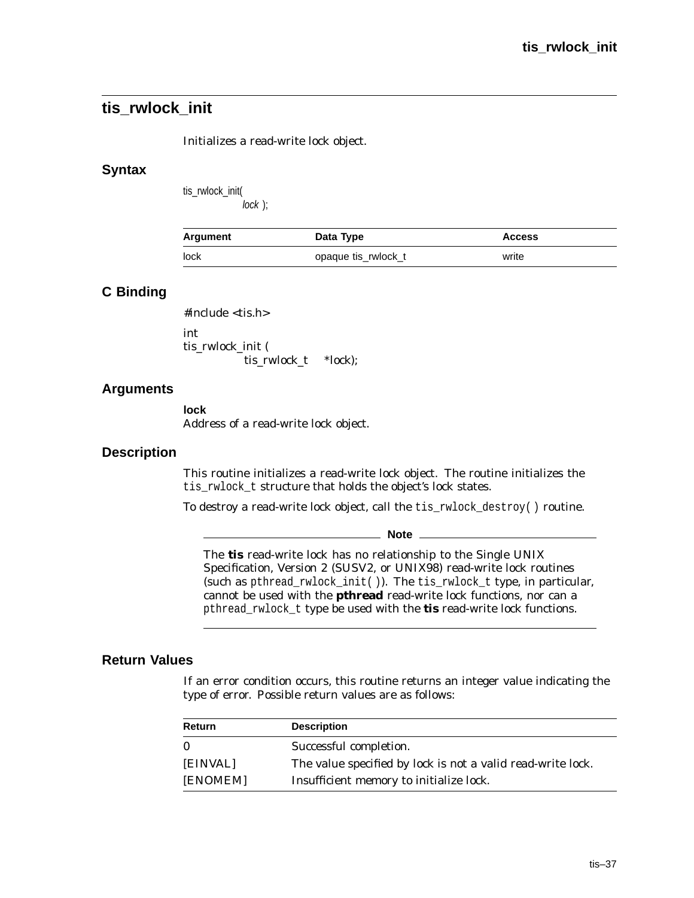# **tis\_rwlock\_init**

Initializes a read-write lock object.

#### **Syntax**

tis\_rwlock\_init( lock );

| Argument | Data Type           | <b>Access</b> |
|----------|---------------------|---------------|
| lock     | opaque tis_rwlock_t | write         |

## **C Binding**

#include <tis.h>

int tis\_rwlock\_init ( tis\_rwlock\_t *\*lock*);

#### **Arguments**

**lock** Address of a read-write lock object.

#### **Description**

This routine initializes a read-write lock object. The routine initializes the tis\_rwlock\_t structure that holds the object's lock states.

To destroy a read-write lock object, call the tis\_rwlock\_destroy( ) routine.

**Note** \_\_\_\_\_\_\_

The **tis** read-write lock has no relationship to the Single UNIX Specification, Version 2 (SUSV2, or UNIX98) read-write lock routines (such as pthread\_rwlock\_init( )). The tis\_rwlock\_t type, in particular, cannot be used with the **pthread** read-write lock functions, nor can a pthread\_rwlock\_t type be used with the **tis** read-write lock functions.

## **Return Values**

| Return   | <b>Description</b>                                                 |
|----------|--------------------------------------------------------------------|
| $\bf{0}$ | Successful completion.                                             |
| [EINVAL] | The value specified by <i>lock</i> is not a valid read-write lock. |
| [ENOMEM] | Insufficient memory to initialize lock.                            |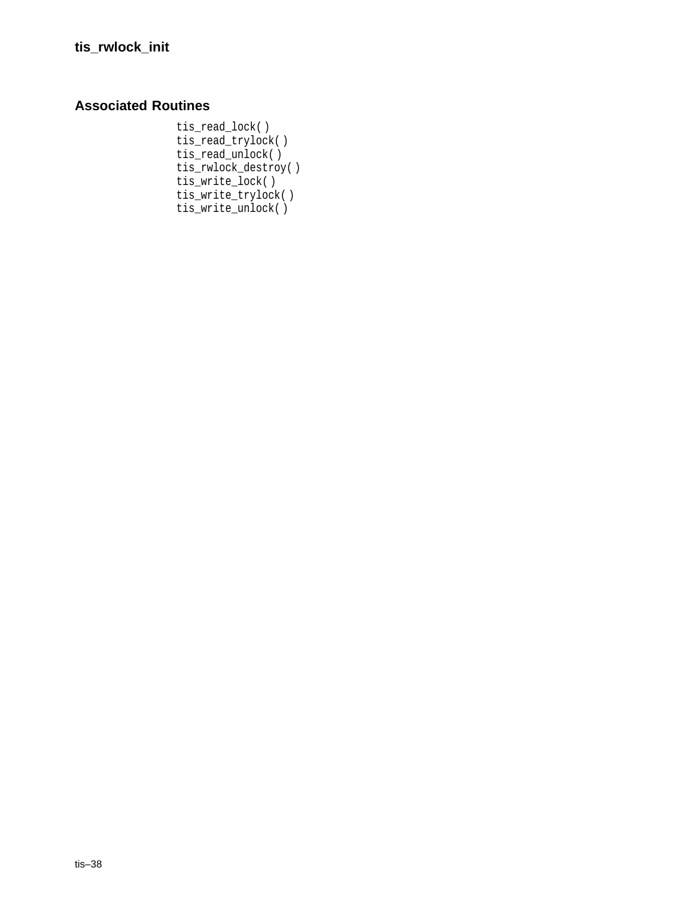# **Associated Routines**

tis\_read\_lock( ) tis\_read\_trylock( ) tis\_read\_unlock( ) tis\_rwlock\_destroy( ) tis\_write\_lock( ) tis\_write\_trylock( ) tis\_write\_unlock( )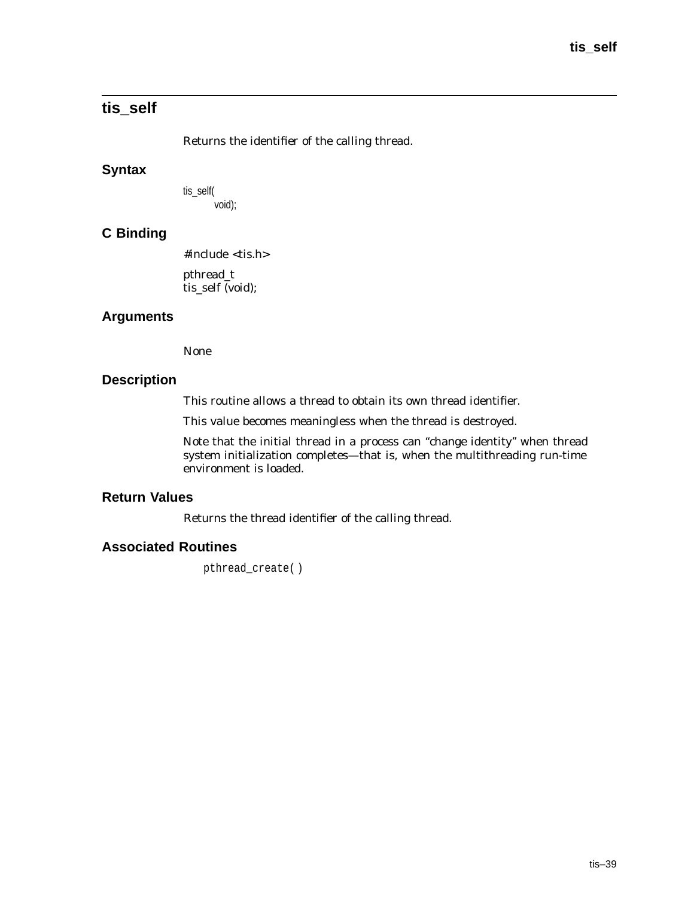# **tis\_self**

Returns the identifier of the calling thread.

# **Syntax**

tis\_self( void);

# **C Binding**

#include <tis.h>

pthread\_t tis\_self (void);

# **Arguments**

None

# **Description**

This routine allows a thread to obtain its own thread identifier.

This value becomes meaningless when the thread is destroyed.

Note that the initial thread in a process can ''change identity'' when thread system initialization completes—that is, when the multithreading run-time environment is loaded.

## **Return Values**

Returns the thread identifier of the calling thread.

# **Associated Routines**

pthread\_create( )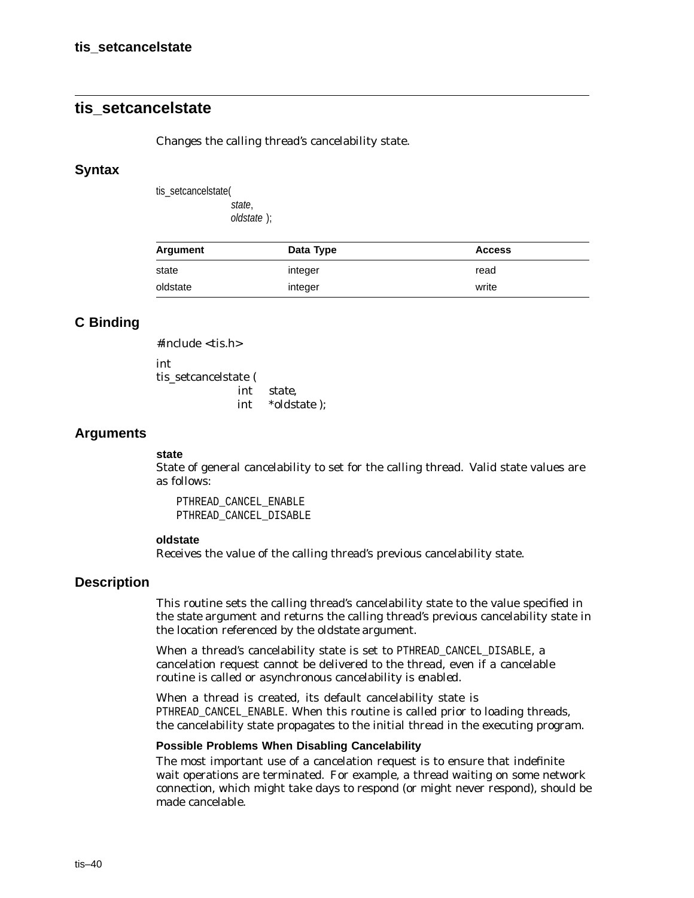# **tis\_setcancelstate**

Changes the calling thread's cancelability state.

#### **Syntax**

tis\_setcancelstate( state,

oldstate );

| Argument | Data Type | <b>Access</b> |
|----------|-----------|---------------|
| state    | integer   | read          |
| oldstate | integer   | write         |

## **C Binding**

#include <tis.h> int tis setcancelstate ( int *state*, int \**oldstate* );

#### **Arguments**

#### **state**

State of general cancelability to set for the calling thread. Valid state values are as follows:

PTHREAD\_CANCEL\_ENABLE PTHREAD\_CANCEL\_DISABLE

#### **oldstate**

Receives the value of the calling thread's previous cancelability state.

#### **Description**

This routine sets the calling thread's cancelability state to the value specified in the *state* argument and returns the calling thread's previous cancelability state in the location referenced by the *oldstate* argument.

When a thread's cancelability state is set to PTHREAD\_CANCEL\_DISABLE, a cancelation request cannot be delivered to the thread, even if a cancelable routine is called or asynchronous cancelability is *enabled*.

When a thread is created, its default cancelability state is PTHREAD\_CANCEL\_ENABLE. When this routine is called prior to loading threads, the cancelability state propagates to the initial thread in the executing program.

#### **Possible Problems When Disabling Cancelability**

The most important use of a cancelation request is to ensure that indefinite wait operations are terminated. For example, a thread waiting on some network connection, which might take days to respond (or might never respond), should be made cancelable.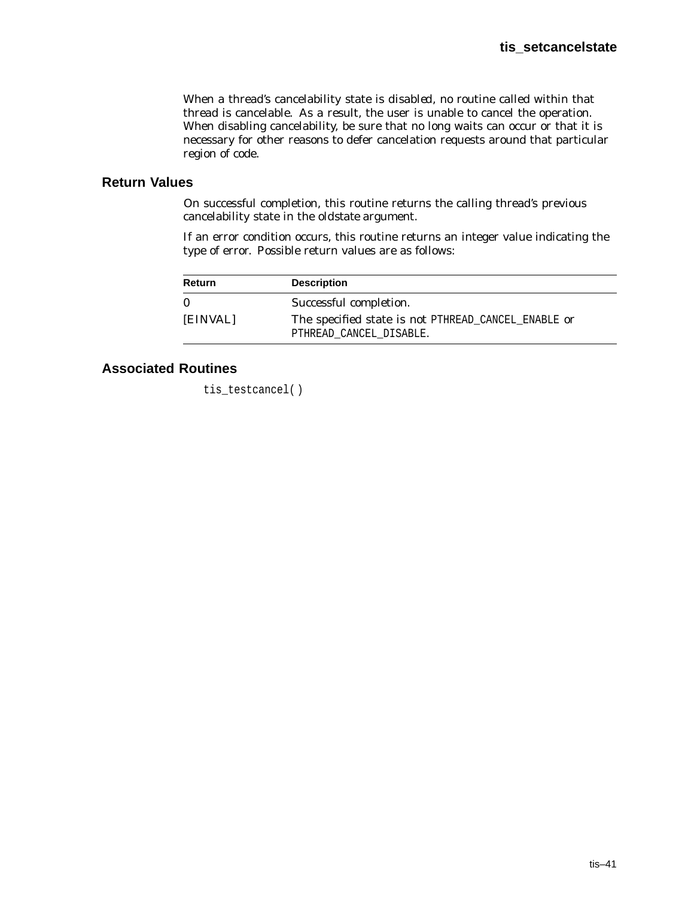When a thread's cancelability state is *disabled*, no routine called within that thread is cancelable. As a result, the user is unable to cancel the operation. When disabling cancelability, be sure that no long waits can occur or that it is necessary for other reasons to defer cancelation requests around that particular region of code.

## **Return Values**

On successful completion, this routine returns the calling thread's previous cancelability state in the *oldstate* argument.

If an error condition occurs, this routine returns an integer value indicating the type of error. Possible return values are as follows:

| <b>Return</b> | <b>Description</b>                                                             |
|---------------|--------------------------------------------------------------------------------|
| 0             | Successful completion.                                                         |
| [EINVAL]      | The specified state is not PTHREAD_CANCEL_ENABLE or<br>PTHREAD_CANCEL_DISABLE. |

# **Associated Routines**

tis\_testcancel( )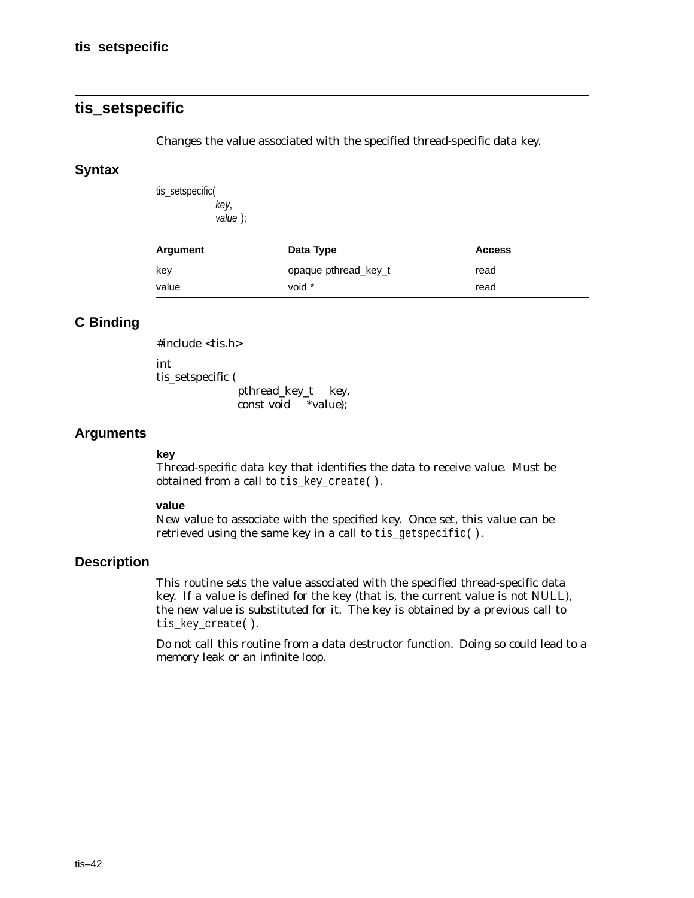# **tis\_setspecific**

Changes the value associated with the specified thread-specific data key.

#### **Syntax**

tis\_setspecific( key, value );

| Argument | Data Type            | <b>Access</b> |  |
|----------|----------------------|---------------|--|
| key      | opaque pthread key t | read          |  |
| value    | void *               | read          |  |

# **C Binding**

#include <tis.h>

int

tis\_setspecific (

pthread\_key\_t *key*, const void \**value*);

#### **Arguments**

#### **key**

Thread-specific data key that identifies the data to receive *value*. Must be obtained from a call to tis\_key\_create( ).

#### **value**

New value to associate with the specified key. Once set, this value can be retrieved using the same key in a call to tis\_getspecific( ).

## **Description**

This routine sets the value associated with the specified thread-specific data key. If a value is defined for the key (that is, the current value is not NULL), the new value is substituted for it. The key is obtained by a previous call to tis\_key\_create( ).

Do not call this routine from a data destructor function. Doing so could lead to a memory leak or an infinite loop.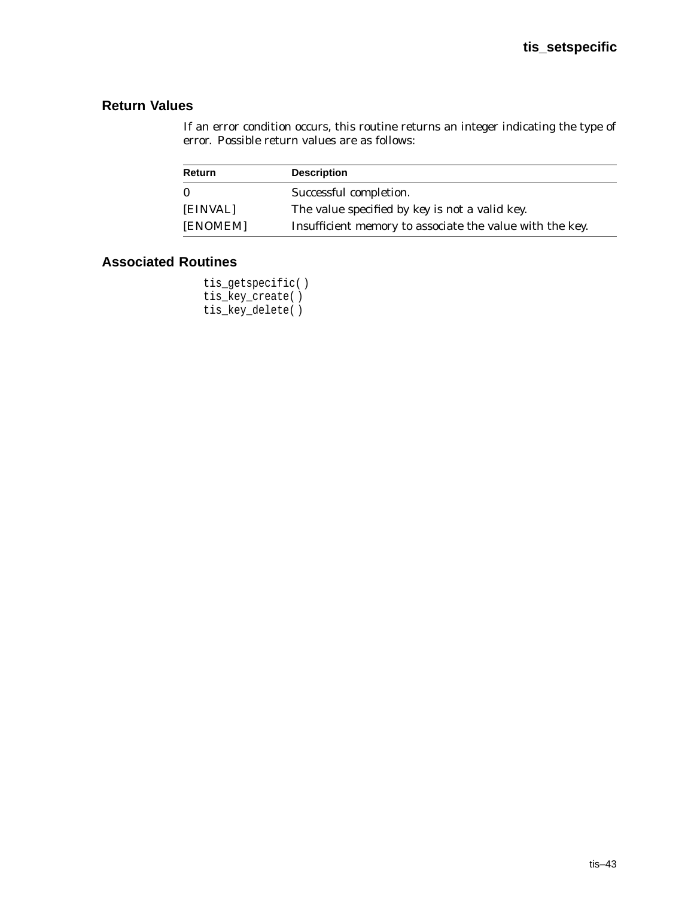# **Return Values**

If an error condition occurs, this routine returns an integer indicating the type of error. Possible return values are as follows:

| Return       | <b>Description</b>                                       |
|--------------|----------------------------------------------------------|
| $\mathbf{0}$ | Successful completion.                                   |
| [EINVAL]     | The value specified by key is not a valid key.           |
| [ENOMEM]     | Insufficient memory to associate the value with the key. |

# **Associated Routines**

tis\_getspecific( ) tis\_key\_create( ) tis\_key\_delete( )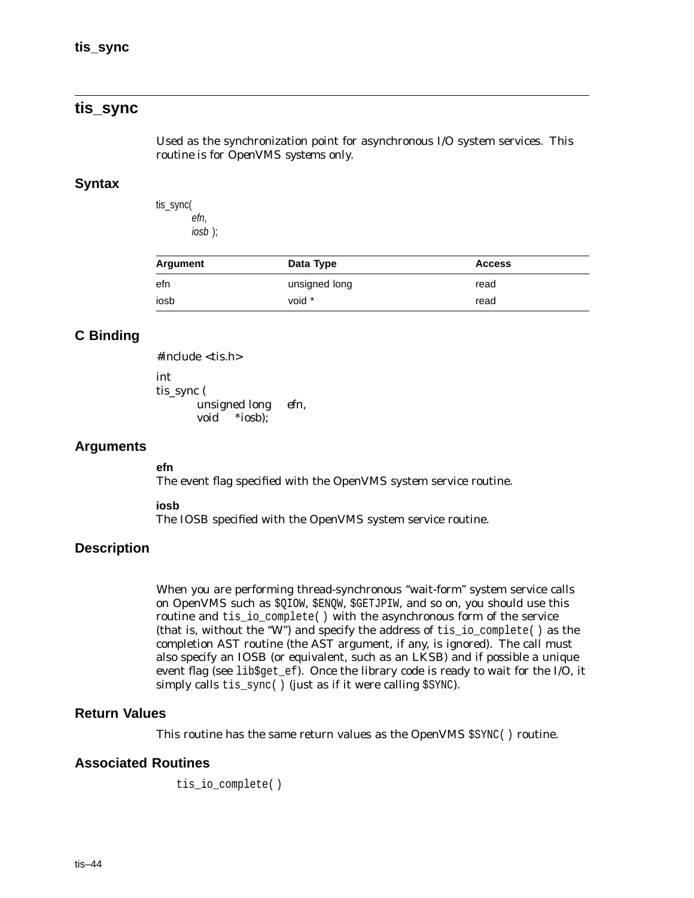# **tis\_sync**

Used as the synchronization point for asynchronous I/O system services. *This routine is for OpenVMS systems only.*

#### **Syntax**

tis\_sync( efn, iosb );

| Argument | Data Type     | <b>Access</b> |
|----------|---------------|---------------|
| efn      | unsigned long | read          |
| iosb     | void *        | read          |

# **C Binding**

```
#include <tis.h>
int
tis_sync (
       unsigned long efn,
       void *iosb);
```
#### **Arguments**

**efn** The event flag specified with the OpenVMS system service routine.

**iosb**

The IOSB specified with the OpenVMS system service routine.

## **Description**

When you are performing thread-synchronous ''wait-form'' system service calls on OpenVMS such as \$QIOW, \$ENQW, \$GETJPIW, and so on, you should use this routine and tis\_io\_complete( ) with the asynchronous form of the service (that is, without the ''W'') and specify the address of tis\_io\_complete( ) as the completion AST routine (the AST argument, if any, is ignored). The call must also specify an IOSB (or equivalent, such as an LKSB) and if possible a unique event flag (see lib\$get\_ef). Once the library code is ready to wait for the I/O, it simply calls tis\_sync( ) (just as if it were calling \$SYNC).

#### **Return Values**

This routine has the same return values as the OpenVMS \$SYNC( ) routine.

## **Associated Routines**

tis\_io\_complete( )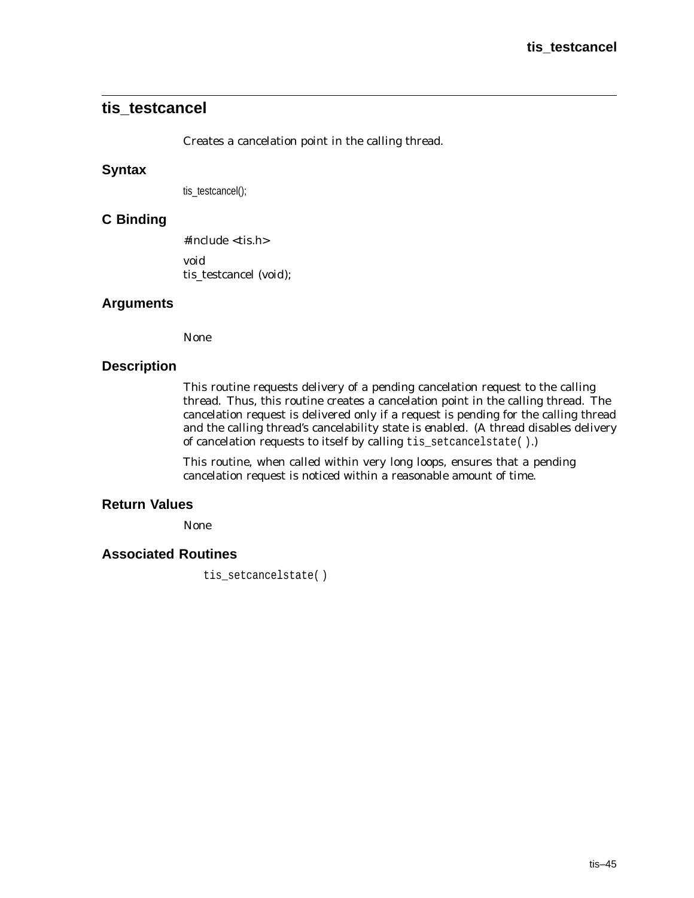# **tis\_testcancel**

Creates a cancelation point in the calling thread.

#### **Syntax**

tis\_testcancel();

## **C Binding**

#include <tis.h> void tis\_testcancel (*void*);

## **Arguments**

None

#### **Description**

This routine requests delivery of a pending cancelation request to the calling thread. Thus, this routine creates a cancelation point in the calling thread. The cancelation request is delivered only if a request is pending for the calling thread and the calling thread's cancelability state is *enabled*. (A thread disables delivery of cancelation requests to itself by calling tis\_setcancelstate( ).)

This routine, when called within very long loops, ensures that a pending cancelation request is noticed within a reasonable amount of time.

## **Return Values**

None

## **Associated Routines**

tis setcancelstate()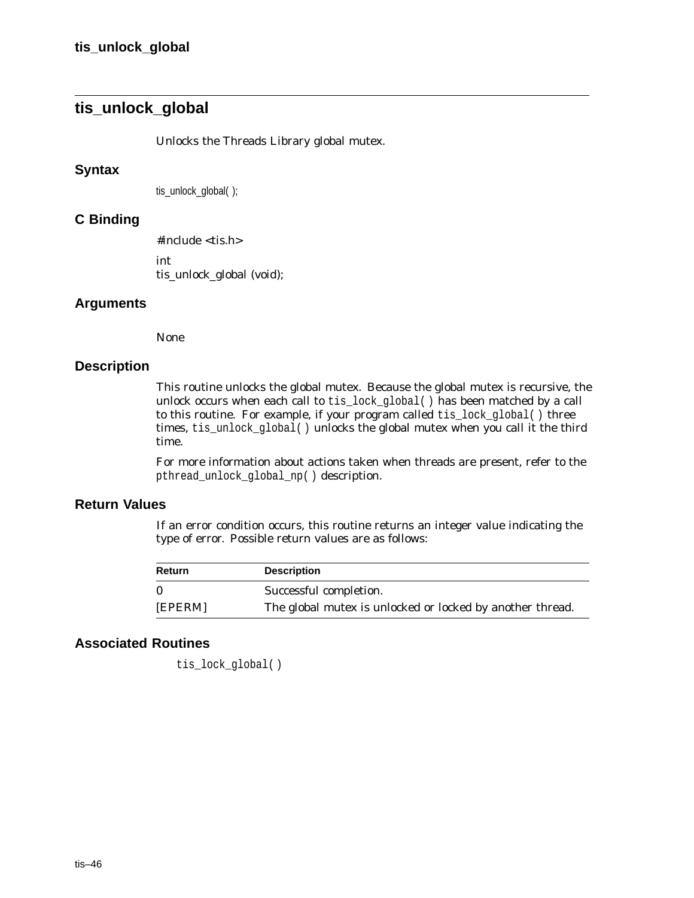# **tis\_unlock\_global**

Unlocks the Threads Library global mutex.

#### **Syntax**

tis\_unlock\_global( );

## **C Binding**

#include <tis.h> int tis\_unlock\_global (void);

#### **Arguments**

None

#### **Description**

This routine unlocks the global mutex. Because the global mutex is recursive, the unlock occurs when each call to tis lock global( ) has been matched by a call to this routine. For example, if your program called tis\_lock\_global( ) three times, tis\_unlock\_global( ) unlocks the global mutex when you call it the third time.

For more information about actions taken when threads are present, refer to the pthread\_unlock\_global\_np( ) description.

#### **Return Values**

If an error condition occurs, this routine returns an integer value indicating the type of error. Possible return values are as follows:

| Return   | <b>Description</b>                                        |
|----------|-----------------------------------------------------------|
| $\Omega$ | Successful completion.                                    |
| [EPERM]  | The global mutex is unlocked or locked by another thread. |

# **Associated Routines**

tis lock qlobal()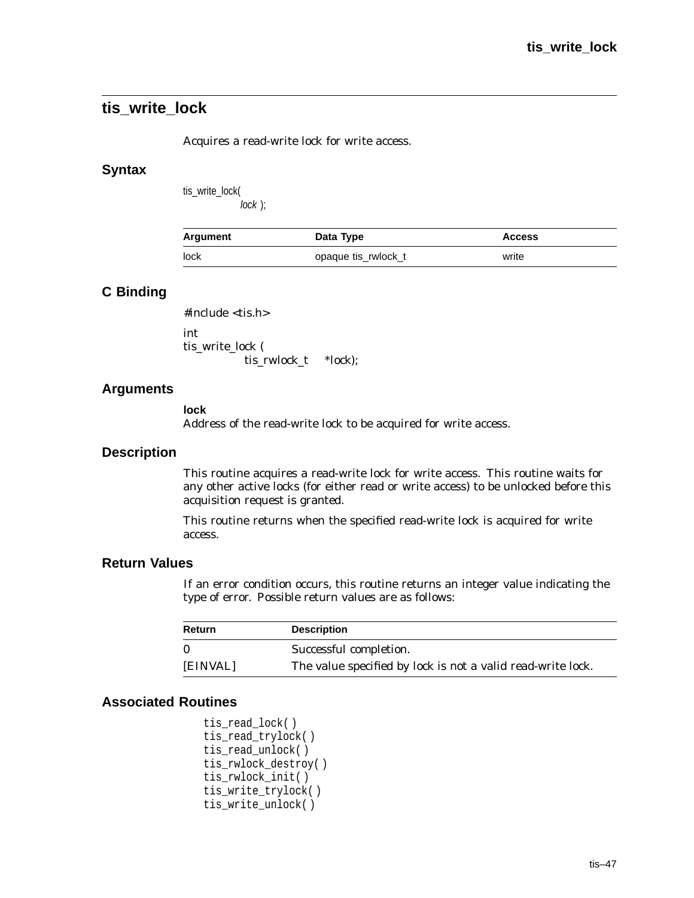# **tis\_write\_lock**

Acquires a read-write lock for write access.

#### **Syntax**

tis\_write\_lock( lock );

| Argument | Data Type           | <b>Access</b> |
|----------|---------------------|---------------|
| lock     | opaque tis_rwlock_t | write         |

# **C Binding**

#include <tis.h>

int tis write lock ( tis\_rwlock\_t *\*lock*);

## **Arguments**

**lock**

Address of the read-write lock to be acquired for write access.

#### **Description**

This routine acquires a read-write lock for write access. This routine waits for any other active locks (for either read or write access) to be unlocked before this acquisition request is granted.

This routine returns when the specified read-write lock is acquired for write access.

#### **Return Values**

If an error condition occurs, this routine returns an integer value indicating the type of error. Possible return values are as follows:

| <b>Return</b> | <b>Description</b>                                                 |
|---------------|--------------------------------------------------------------------|
| 0             | Successful completion.                                             |
| [EINVAL]      | The value specified by <i>lock</i> is not a valid read-write lock. |

```
tis_read_lock( )
tis read trylock()
tis_read_unlock( )
tis_rwlock_destroy( )
tis_rwlock_init( )
tis_write_trylock( )
tis_write_unlock( )
```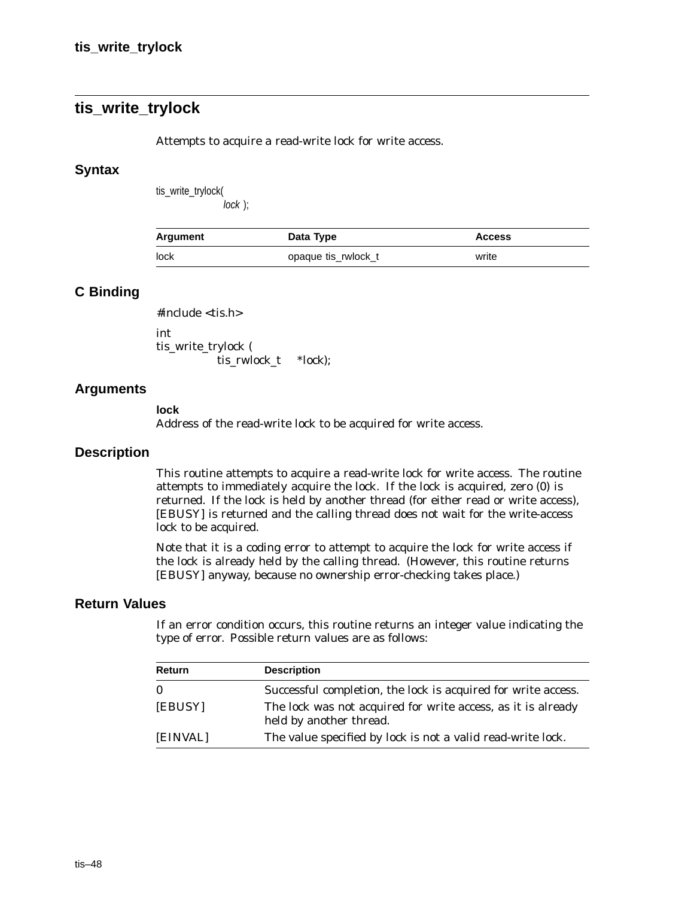# **tis\_write\_trylock**

Attempts to acquire a read-write lock for write access.

#### **Syntax**

tis\_write\_trylock(

lock );

| Argument | Data Type           | <b>Access</b> |
|----------|---------------------|---------------|
| lock     | opaque tis rwlock t | write         |

#### **C Binding**

#include <tis.h>

int tis\_write\_trylock ( tis\_rwlock\_t *\*lock*);

#### **Arguments**

#### **lock**

Address of the read-write lock to be acquired for write access.

#### **Description**

This routine attempts to acquire a read-write lock for write access. The routine attempts to immediately acquire the lock. If the lock is acquired, zero (0) is returned. If the lock is held by another thread (for either read or write access), [EBUSY] is returned and the calling thread does not wait for the write-access lock to be acquired.

Note that it is a coding error to attempt to acquire the lock for write access if the lock is already held by the calling thread. (However, this routine returns [EBUSY] anyway, because no ownership error-checking takes place.)

#### **Return Values**

| <b>Return</b> | <b>Description</b>                                                                      |
|---------------|-----------------------------------------------------------------------------------------|
| $\bf{0}$      | Successful completion, the lock is acquired for write access.                           |
| [EBUSY]       | The lock was not acquired for write access, as it is already<br>held by another thread. |
| [EINVAL]      | The value specified by <i>lock</i> is not a valid read-write lock.                      |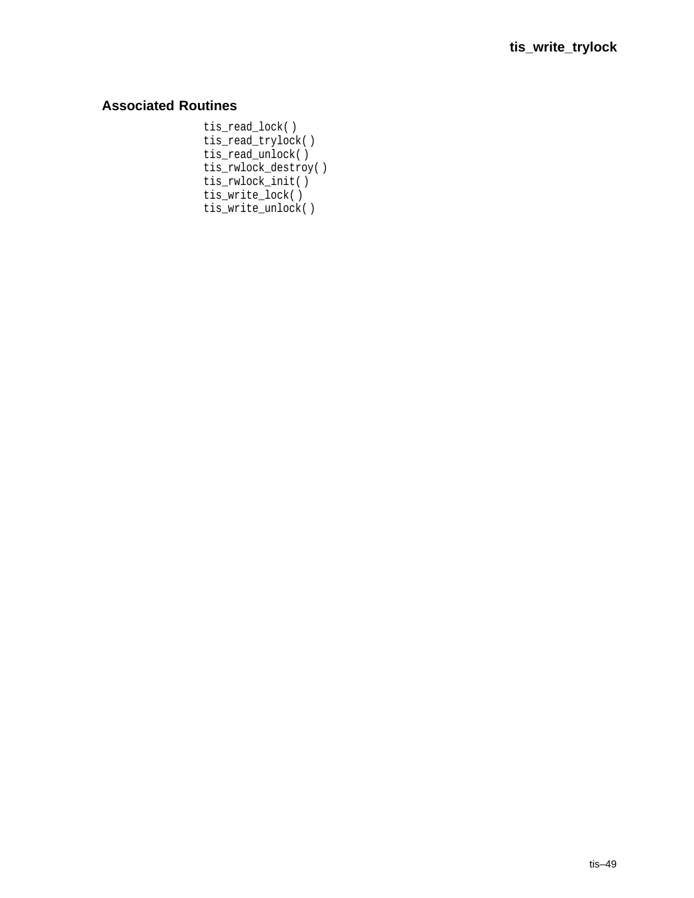# **Associated Routines**

tis\_read\_lock( ) tis\_read\_trylock( ) tis\_read\_unlock( ) tis\_rwlock\_destroy( ) tis\_rwlock\_init( ) tis\_write\_lock( ) tis\_write\_unlock( )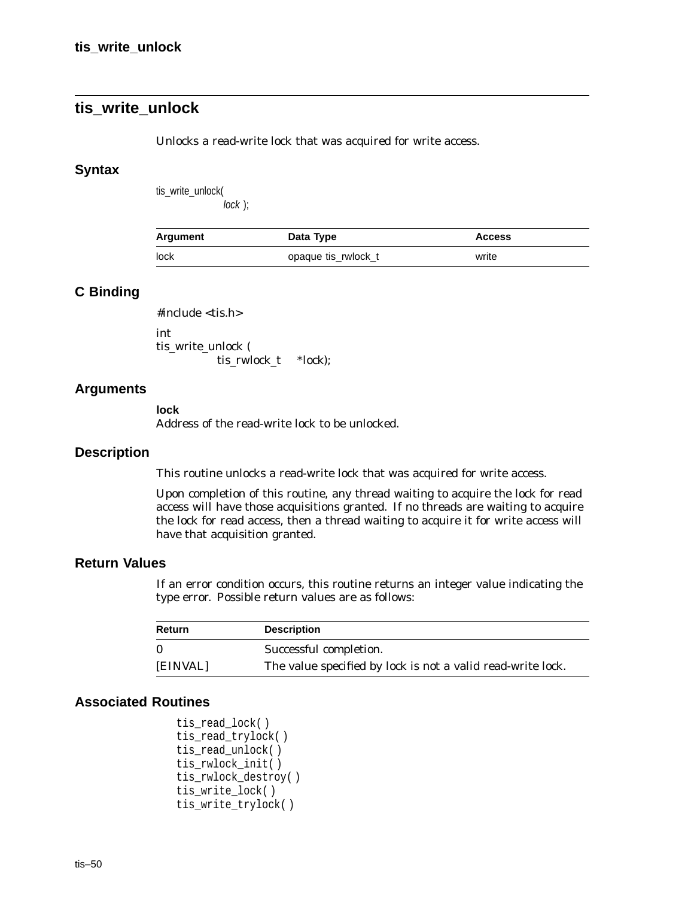# **tis\_write\_unlock**

Unlocks a read-write lock that was acquired for write access.

#### **Syntax**

tis\_write\_unlock(

lock );

| Argument | Data Type           | <b>Access</b> |
|----------|---------------------|---------------|
| lock     | opaque tis rwlock t | write         |

#### **C Binding**

#include <tis.h>

int tis\_write\_unlock ( tis\_rwlock\_t *\*lock*);

#### **Arguments**

**lock**

Address of the read-write lock to be unlocked.

#### **Description**

This routine unlocks a read-write lock that was acquired for write access.

Upon completion of this routine, any thread waiting to acquire the lock for read access will have those acquisitions granted. If no threads are waiting to acquire the lock for read access, then a thread waiting to acquire it for write access will have that acquisition granted.

#### **Return Values**

If an error condition occurs, this routine returns an integer value indicating the type error. Possible return values are as follows:

| Return   | <b>Description</b>                                                 |
|----------|--------------------------------------------------------------------|
| $\Omega$ | Successful completion.                                             |
| [EINVAL] | The value specified by <i>lock</i> is not a valid read-write lock. |

```
tis_read_lock( )
tis_read_trylock( )
tis_read_unlock( )
tis_rwlock_init( )
tis_rwlock_destroy( )
tis_write_lock( )
tis_write_trylock( )
```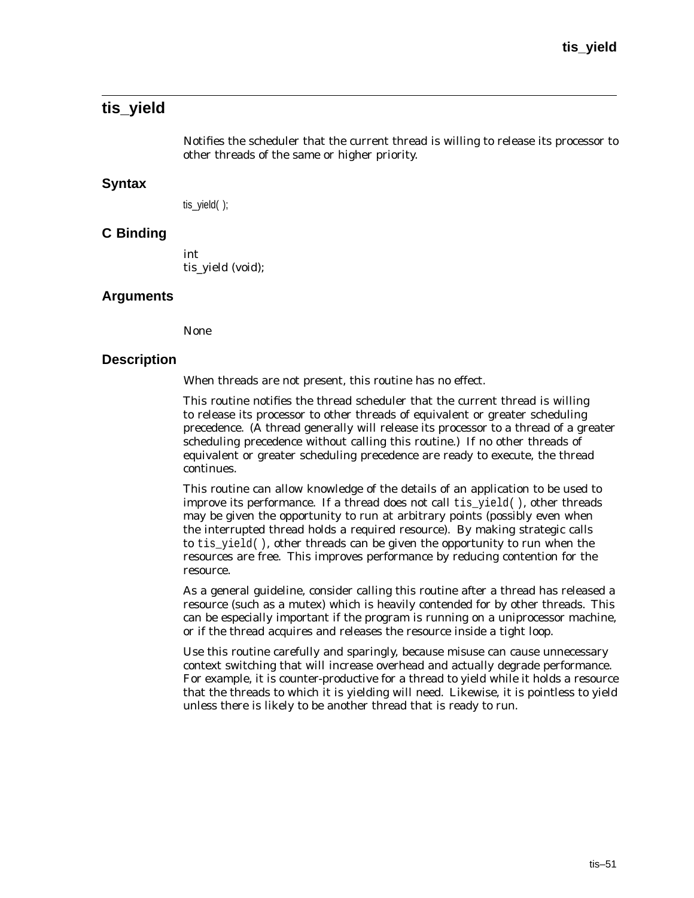# **tis\_yield**

Notifies the scheduler that the current thread is willing to release its processor to other threads of the same or higher priority.

#### **Syntax**

tis\_yield( );

## **C Binding**

int tis\_yield (void);

#### **Arguments**

None

#### **Description**

When threads are not present, this routine has no effect.

This routine notifies the thread scheduler that the current thread is willing to release its processor to other threads of equivalent or greater scheduling precedence. (A thread generally will release its processor to a thread of a greater scheduling precedence without calling this routine.) If no other threads of equivalent or greater scheduling precedence are ready to execute, the thread continues.

This routine can allow knowledge of the details of an application to be used to improve its performance. If a thread does not call  $\text{tis\_yield}($  ), other threads may be given the opportunity to run at arbitrary points (possibly even when the interrupted thread holds a required resource). By making strategic calls to tis\_yield( ), other threads can be given the opportunity to run when the resources are free. This improves performance by reducing contention for the resource.

As a general guideline, consider calling this routine after a thread has released a resource (such as a mutex) which is heavily contended for by other threads. This can be especially important if the program is running on a uniprocessor machine, or if the thread acquires and releases the resource inside a tight loop.

Use this routine carefully and sparingly, because misuse can cause unnecessary context switching that will increase overhead and actually degrade performance. For example, it is counter-productive for a thread to yield while it holds a resource that the threads to which it is yielding will need. Likewise, it is pointless to yield unless there is likely to be another thread that is ready to run.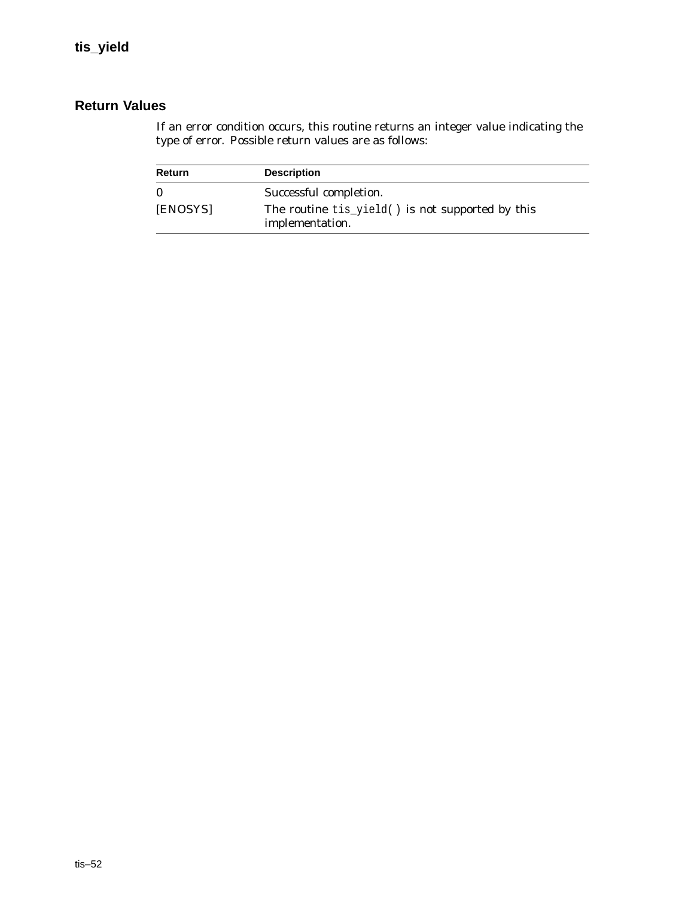# **Return Values**

| Return       | <b>Description</b>                                                  |
|--------------|---------------------------------------------------------------------|
| $\mathbf{0}$ | Successful completion.                                              |
| [ENOSYS]     | The routine tis_yield() is not supported by this<br>implementation. |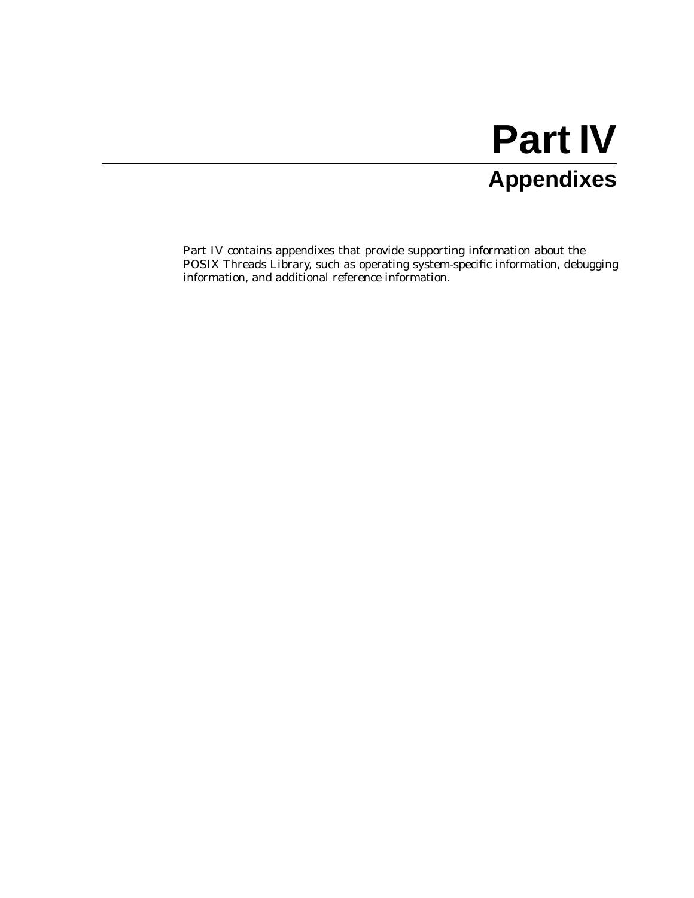# **Part IV Appendixes**

Part IV contains appendixes that provide supporting information about the POSIX Threads Library, such as operating system-specific information, debugging information, and additional reference information.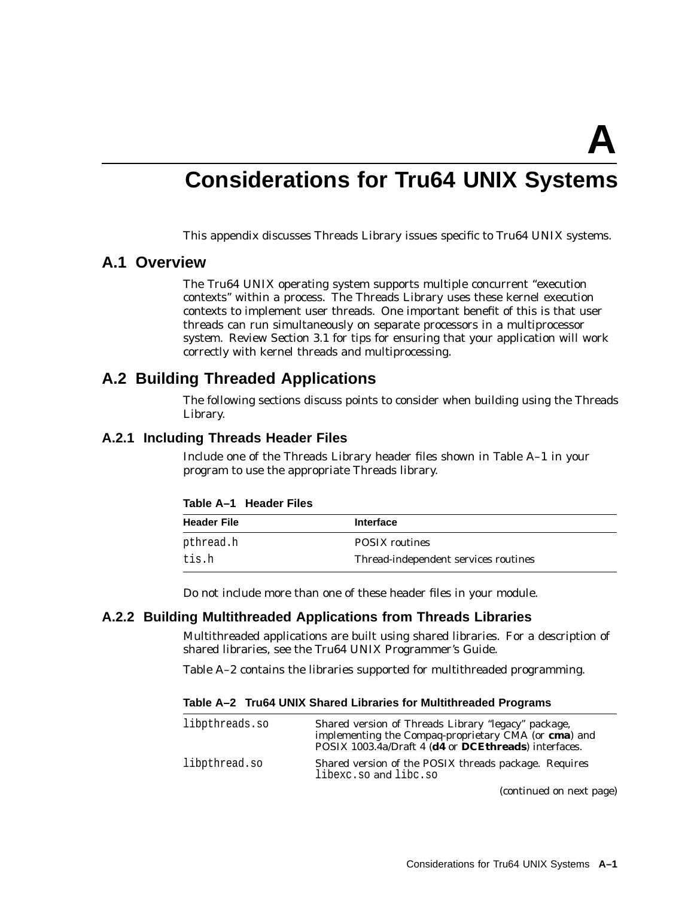**A**

# **Considerations for Tru64 UNIX Systems**

This appendix discusses Threads Library issues specific to Tru64 UNIX systems.

## **A.1 Overview**

The Tru64 UNIX operating system supports multiple concurrent ''execution contexts'' within a process. The Threads Library uses these kernel execution contexts to implement user threads. One important benefit of this is that user threads can run simultaneously on separate processors in a multiprocessor system. Review Section 3.1 for tips for ensuring that your application will work correctly with kernel threads and multiprocessing.

# **A.2 Building Threaded Applications**

The following sections discuss points to consider when building using the Threads Library.

#### **A.2.1 Including Threads Header Files**

Include one of the Threads Library header files shown in Table A–1 in your program to use the appropriate Threads library.

#### **Table A–1 Header Files**

| <b>Header File</b> | <b>Interface</b>                     |
|--------------------|--------------------------------------|
| pthread.h          | <b>POSIX</b> routines                |
| tis.h              | Thread-independent services routines |

Do not include more than one of these header files in your module.

#### **A.2.2 Building Multithreaded Applications from Threads Libraries**

Multithreaded applications are built using shared libraries. For a description of shared libraries, see the Tru64 UNIX Programmer's Guide.

Table A–2 contains the libraries supported for multithreaded programming.

**Table A–2 Tru64 UNIX Shared Libraries for Multithreaded Programs**

| libpthreads.so | Shared version of Threads Library "legacy" package,<br>implementing the Compaq-proprietary CMA (or cma) and<br>POSIX 1003.4a/Draft 4 (d4 or DCEthreads) interfaces. |
|----------------|---------------------------------------------------------------------------------------------------------------------------------------------------------------------|
| libpthread.so  | Shared version of the POSIX threads package. Requires<br>libexc.so and libc.so                                                                                      |

(continued on next page)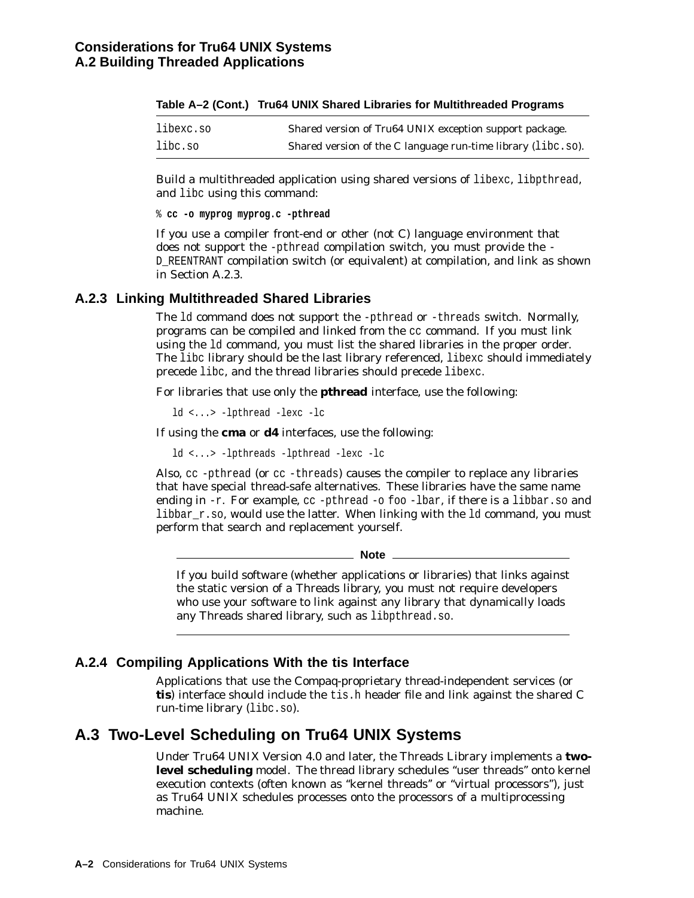| libexc.so | Shared version of Tru64 UNIX exception support package.      |
|-----------|--------------------------------------------------------------|
| libc.so   | Shared version of the C language run-time library (libc.so). |

|  | Table A–2 (Cont.)   Tru64 UNIX Shared Libraries for Multithreaded Programs |  |  |  |
|--|----------------------------------------------------------------------------|--|--|--|
|--|----------------------------------------------------------------------------|--|--|--|

Build a multithreaded application using shared versions of libexc, libpthread, and libc using this command:

% **cc -o myprog myprog.c -pthread**

If you use a compiler front-end or other (not C) language environment that does not support the -pthread compilation switch, you must provide the - D\_REENTRANT compilation switch (or equivalent) at compilation, and link as shown in Section A.2.3.

#### **A.2.3 Linking Multithreaded Shared Libraries**

The ld command does not support the -pthread or -threads switch. Normally, programs can be compiled and linked from the cc command. If you must link using the ld command, you must list the shared libraries in the proper order. The libc library should be the last library referenced, libexc should immediately precede libc, and the thread libraries should precede libexc.

For libraries that use only the **pthread** interface, use the following:

ld <...> -lpthread -lexc -lc

If using the **cma** or **d4** interfaces, use the following:

ld <...> -lpthreads -lpthread -lexc -lc

Also, cc -pthread (or cc -threads) causes the compiler to replace any libraries that have special thread-safe alternatives. These libraries have the same name ending in  $-r$ . For example,  $cc$  -pthread  $-0$  foo  $-l$  bar, if there is a libbar.so and libbar  $r.s$ , would use the latter. When linking with the 1d command, you must perform that search and replacement yourself.

**Note**

If you build software (whether applications or libraries) that links against the static version of a Threads library, you must not require developers who use your software to link against any library that dynamically loads any Threads shared library, such as libpthread.so.

# **A.2.4 Compiling Applications With the tis Interface**

Applications that use the Compaq-proprietary thread-independent services (or **tis**) interface should include the tis.h header file and link against the shared C run-time library (libc.so).

# **A.3 Two-Level Scheduling on Tru64 UNIX Systems**

Under Tru64 UNIX Version 4.0 and later, the Threads Library implements a **twolevel scheduling** model. The thread library schedules ''user threads'' onto kernel execution contexts (often known as "kernel threads" or "virtual processors"), just as Tru64 UNIX schedules processes onto the processors of a multiprocessing machine.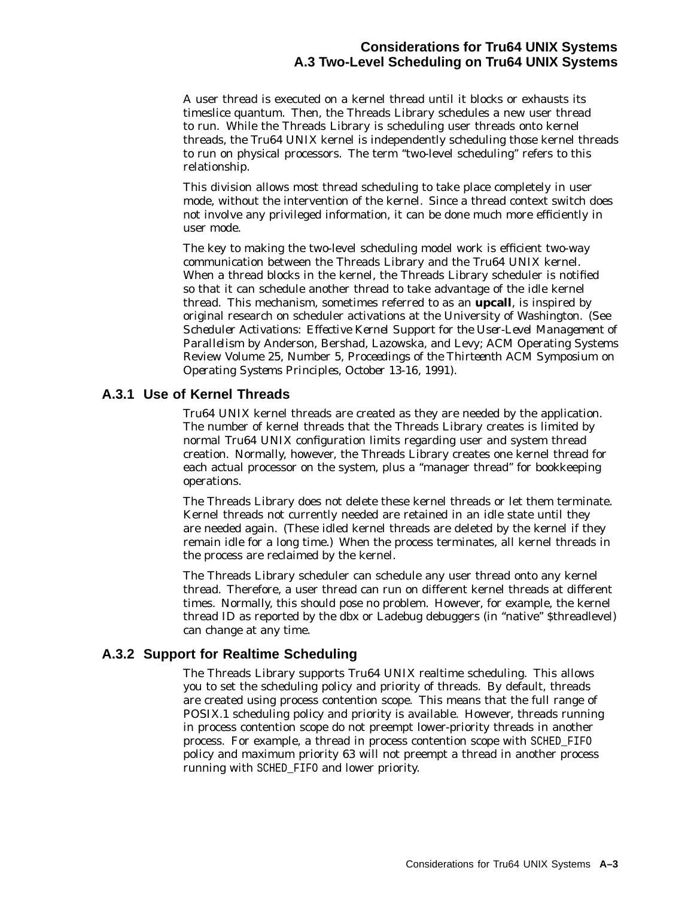A user thread is executed on a kernel thread until it blocks or exhausts its timeslice quantum. Then, the Threads Library schedules a new user thread to run. While the Threads Library is scheduling user threads onto kernel threads, the Tru64 UNIX kernel is independently scheduling those kernel threads to run on physical processors. The term ''two-level scheduling'' refers to this relationship.

This division allows most thread scheduling to take place completely in user mode, without the intervention of the kernel. Since a thread context switch does not involve any privileged information, it can be done much more efficiently in user mode.

The key to making the two-level scheduling model work is efficient two-way communication between the Threads Library and the Tru64 UNIX kernel. When a thread blocks in the kernel, the Threads Library scheduler is notified so that it can schedule another thread to take advantage of the idle kernel thread. This mechanism, sometimes referred to as an **upcall**, is inspired by original research on scheduler activations at the University of Washington. (See *Scheduler Activations: Effective Kernel Support for the User-Level Management of Parallelism* by Anderson, Bershad, Lazowska, and Levy; ACM Operating Systems Review Volume 25, Number 5, *Proceedings of the Thirteenth ACM Symposium on Operating Systems Principles, October 13-16, 1991*).

## **A.3.1 Use of Kernel Threads**

Tru64 UNIX kernel threads are created as they are needed by the application. The number of kernel threads that the Threads Library creates is limited by normal Tru64 UNIX configuration limits regarding user and system thread creation. Normally, however, the Threads Library creates one kernel thread for each actual processor on the system, plus a "manager thread" for bookkeeping operations.

The Threads Library does not delete these kernel threads or let them terminate. Kernel threads not currently needed are retained in an idle state until they are needed again. (These idled kernel threads are deleted by the kernel if they remain idle for a long time.) When the process terminates, all kernel threads in the process are reclaimed by the kernel.

The Threads Library scheduler can schedule any user thread onto any kernel thread. Therefore, a user thread can run on different kernel threads at different times. Normally, this should pose no problem. However, for example, the kernel thread ID as reported by the dbx or Ladebug debuggers (in ''native'' \$threadlevel) can change at any time.

## **A.3.2 Support for Realtime Scheduling**

The Threads Library supports Tru64 UNIX realtime scheduling. This allows you to set the scheduling policy and priority of threads. By default, threads are created using process contention scope. This means that the full range of POSIX.1 scheduling policy and priority is available. However, threads running in process contention scope do not preempt lower-priority threads in another process. For example, a thread in process contention scope with SCHED\_FIFO policy and maximum priority 63 will not preempt a thread in another process running with SCHED\_FIFO and lower priority.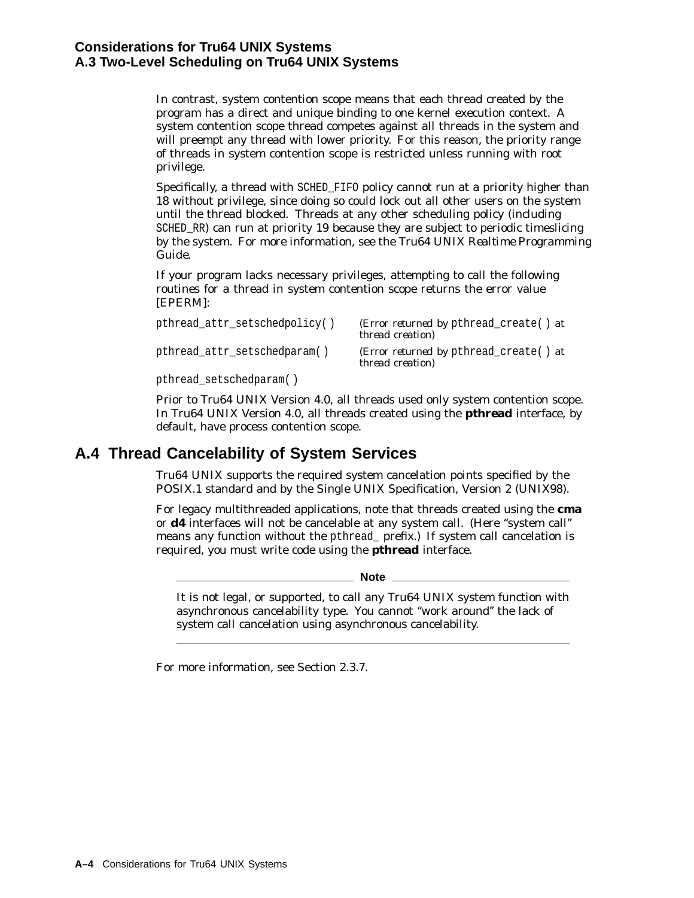## **Considerations for Tru64 UNIX Systems A.3 Two-Level Scheduling on Tru64 UNIX Systems**

In contrast, system contention scope means that each thread created by the program has a direct and unique binding to one kernel execution context. A system contention scope thread competes against all threads in the system and will preempt any thread with lower priority. For this reason, the priority range of threads in system contention scope is restricted unless running with root privilege.

Specifically, a thread with SCHED\_FIFO policy cannot run at a priority higher than 18 without privilege, since doing so could lock out all other users on the system until the thread blocked. Threads at any other scheduling policy (including SCHED\_RR) can run at priority 19 because they are subject to periodic timeslicing by the system. For more information, see the *Tru64 UNIX Realtime Programming Guide*.

If your program lacks necessary privileges, attempting to call the following routines for a thread in system contention scope returns the error value [EPERM]:

| pthread_attr_setschedpolicy() | ( <i>Error returned by</i> pthread create() at<br><i>thread creation</i> ) |
|-------------------------------|----------------------------------------------------------------------------|
| pthread_attr_setschedparam()  | ( <i>Error returned by</i> pthread create() at<br><i>thread creation</i> ) |
| pthread_setschedparam()       |                                                                            |

Prior to Tru64 UNIX Version 4.0, all threads used only system contention scope. In Tru64 UNIX Version 4.0, all threads created using the **pthread** interface, by default, have process contention scope.

# **A.4 Thread Cancelability of System Services**

Tru64 UNIX supports the required system cancelation points specified by the POSIX.1 standard and by the Single UNIX Specification, Version 2 (UNIX98).

For legacy multithreaded applications, note that threads created using the **cma** or **d4** interfaces will not be cancelable at any system call. (Here "system call" means any function without the pthread\_ prefix.) If system call cancelation is required, you must write code using the **pthread** interface.

**Note**

It is not legal, or supported, to call any Tru64 UNIX system function with asynchronous cancelability type. You cannot "work around" the lack of system call cancelation using asynchronous cancelability.

For more information, see Section 2.3.7.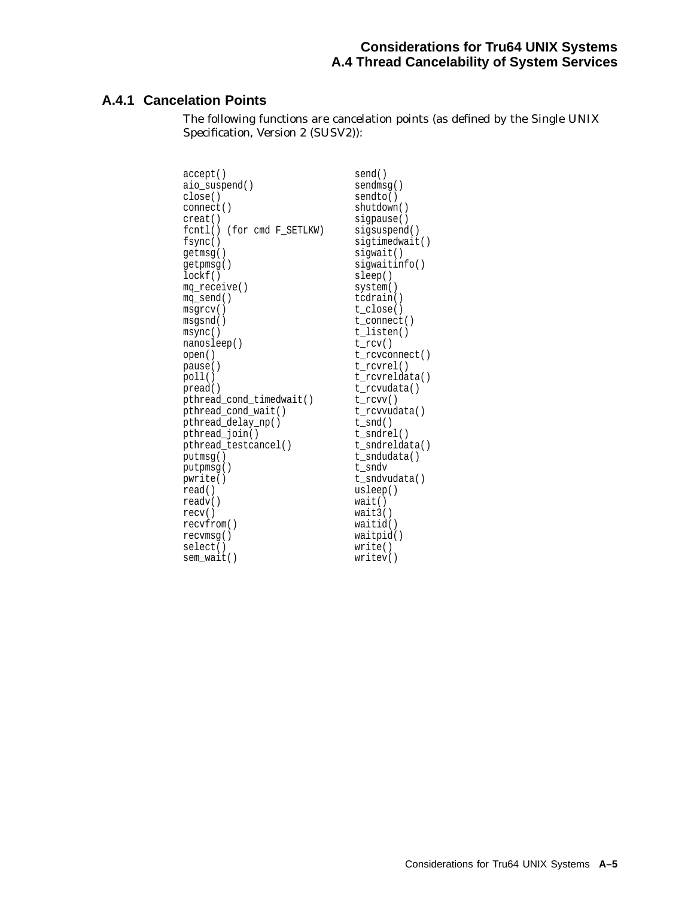### **Considerations for Tru64 UNIX Systems A.4 Thread Cancelability of System Services**

## **A.4.1 Cancelation Points**

The following functions are cancelation points (as defined by the Single UNIX Specification, Version 2 (SUSV2)):

| accept()                   | send()         |
|----------------------------|----------------|
| aio_suspend()              | sendmsg()      |
| close()                    | sendto()       |
| connect()                  | shutdown()     |
| creat()                    | siqpause()     |
| fcntl() (for cmd F SETLKW) | sigsuspend()   |
| fsync()                    | sigtimedwait() |
| qetmsq()                   | siqwait()      |
| getpmsg()                  | siqwaitinfo()  |
| lockf()                    | sleep()        |
| mq_receive()               | system()       |
| mq_send()                  | tcdrain()      |
| msqrt()                    | t close()      |
| msgsnd()                   | t connect()    |
| msync()                    | t_listen()     |
| nanosleep()                | $t_{rv}$       |
| open()                     | t_rcvconnect() |
| pause()                    | t rcvrel()     |
| poll()                     | t rcvreldata() |
| pread()                    | t rcvudata()   |
| pthread cond timedwait()   | $t_{rv}$       |
| pthread_cond_wait()        | t_rcvvudata()  |
| pthread_delay_np()         | $t\_snd()$     |
| pthread_join()             | t sndrel()     |
| pthread testcancel()       | t sndreldata() |
| putmsq()                   | t sndudata()   |
| putpmsg()                  | t sndv         |
| pwrite()                   | t sndvudata()  |
| read()                     | usleep()       |
| readv()                    | wait()         |
| recv()                     | wait3()        |
| recyfrom()                 | waitid()       |
| recvmsq()                  | waitpid()      |
| select()                   | write()        |
| sem wait()                 | writev()       |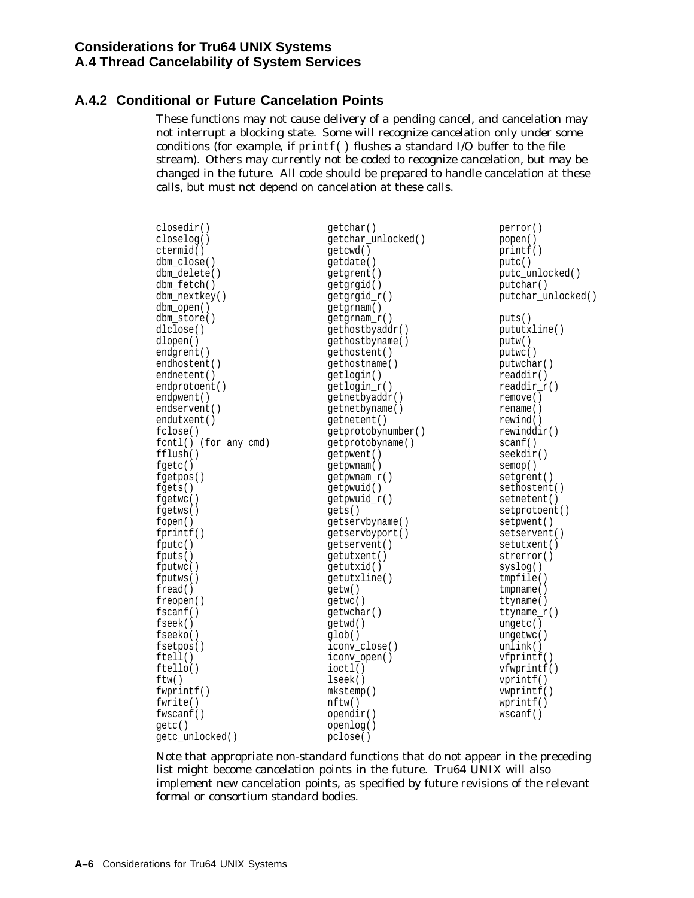## **A.4.2 Conditional or Future Cancelation Points**

These functions may not cause delivery of a pending cancel, and cancelation may not interrupt a blocking state. Some will recognize cancelation only under some conditions (for example, if printf( ) flushes a standard I/O buffer to the file stream). Others may currently not be coded to recognize cancelation, but may be changed in the future. All code should be prepared to handle cancelation at these calls, but must not depend on cancelation at these calls.

| closedir()            | qetchar()          | perror()           |
|-----------------------|--------------------|--------------------|
| closelog()            | getchar_unlocked() | popen()            |
| ctermid()             | qetcwd()           | print()            |
| dbm_close()           | getdate()          | putc()             |
| dbm delete()          | getgrent()         | putc_unlocked()    |
| dbm fetch()           | qetqrqid()         | putchar()          |
| dbm_nextkey()         | getgrgid_r()       | putchar_unlocked() |
| dbm_open()            | getgrnam()         |                    |
| dbm store()           | qetqrnam r()       | puts()             |
| dlclose()             | gethostbyaddr()    | pututxline()       |
| dlopen()              | qethostbyname()    | putw()             |
| endgrent()            | qethostent()       | putwc()            |
| endhostent()          | qethostname()      | putwchar()         |
| endnetent()           | getlogin()         | readdir()          |
| endprotoent()         | getlogin_r()       | $readdir_r()$      |
| endpwent()            | getnetbyaddr()     | remove()           |
| endservent()          | qetnetbyname()     | rename()           |
| endutxent()           | qetnetent()        | rewind()           |
| fclose()              | getprotobynumber() | rewinddir()        |
| fcntl() (for any cmd) | qetprotobyname()   | scanf()            |
| fflush()              | getpwent()         | seekdir()          |
| $f$ qetc $()$         | qetpwnam()         | semop()            |
| fgetpos()             | getpwnam_r()       | setgrent()         |
| fgetss()              | getpwuid()         | sethostent()       |
| fgetwc()              | getpwuid_r()       | setnetent()        |
| fgetws()              | gets()             | setprotoent()      |
| fopen()               | qetservbyname()    | setpwent()         |
| fprint()              | getservbyport()    | setservent()       |
| fputc()               | qetservent()       | setutxent()        |
| fputs()               | qetutxent()        | strerror()         |
| fputwc()              | getutxid()         | syslog()           |
| fputws()              | getutxline()       | tmpfile()          |
| freq()                | getw()             | tempname()         |
| freopen()             | getwc()            | ttyname()          |
| f <sub>scant()</sub>  | getwchar()         | ttyname $r()$      |
| fseek()               | qetwd()            | unqetc()           |
| fseeko()              | glob()             | ungetwc()          |
| fsetpos()             | iconv close()      | unlink()           |
| ftell()               | iconv_open()       | vfprint()          |
| ftello()              | $i$ oct $l()$      | vfwprint()         |
| ftw()                 | lseek()            | vprint()           |
| fwprint()             | mkstemp()          | vwprintf()         |
| fwrite()              | nftw()             | wprint(f)          |
| fwscanf()             | opendir()          | wscanf()           |
| qetc()                | openlog()          |                    |
| getc_unlocked()       | pclose()           |                    |
|                       |                    |                    |

Note that appropriate non-standard functions that do not appear in the preceding list might become cancelation points in the future. Tru64 UNIX will also implement new cancelation points, as specified by future revisions of the relevant formal or consortium standard bodies.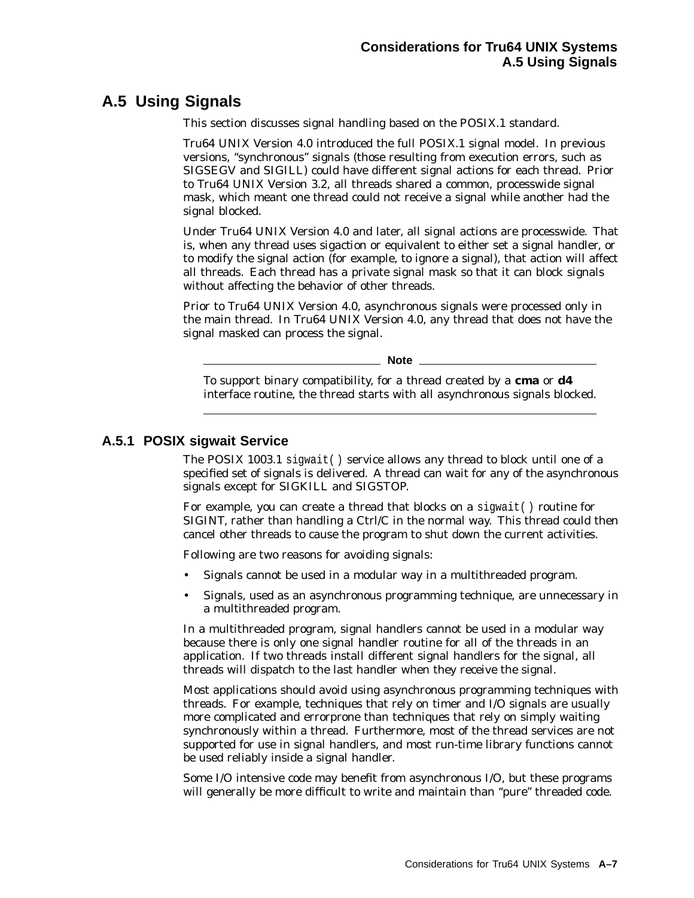# **A.5 Using Signals**

This section discusses signal handling based on the POSIX.1 standard.

Tru64 UNIX Version 4.0 introduced the full POSIX.1 signal model. In previous versions, ''synchronous'' signals (those resulting from execution errors, such as SIGSEGV and SIGILL) could have different signal actions for each thread. Prior to Tru64 UNIX Version 3.2, all threads shared a common, processwide signal mask, which meant one thread could not receive a signal while another had the signal blocked.

Under Tru64 UNIX Version 4.0 and later, all signal actions are processwide. That is, when any thread uses *sigaction* or equivalent to either set a signal handler, or to modify the signal action (for example, to ignore a signal), that action will affect all threads. Each thread has a private signal mask so that it can block signals without affecting the behavior of other threads.

Prior to Tru64 UNIX Version 4.0, asynchronous signals were processed only in the main thread. In Tru64 UNIX Version 4.0, any thread that does not have the signal masked can process the signal.

**Note**

To support binary compatibility, for a thread created by a **cma** or **d4** interface routine, the thread starts with all asynchronous signals blocked.

## **A.5.1 POSIX sigwait Service**

The POSIX 1003.1 sigwait( ) service allows any thread to block until one of a specified set of signals is delivered. A thread can wait for any of the asynchronous signals except for SIGKILL and SIGSTOP.

For example, you can create a thread that blocks on a sigwait( ) routine for SIGINT, rather than handling a Ctrl/C in the normal way. This thread could then cancel other threads to cause the program to shut down the current activities.

Following are two reasons for avoiding signals:

- Signals cannot be used in a modular way in a multithreaded program.
- Signals, used as an asynchronous programming technique, are unnecessary in a multithreaded program.

In a multithreaded program, signal handlers cannot be used in a modular way because there is only one signal handler routine for all of the threads in an application. If two threads install different signal handlers for the signal, all threads will dispatch to the last handler when they receive the signal.

Most applications should avoid using asynchronous programming techniques with threads. For example, techniques that rely on timer and I/O signals are usually more complicated and errorprone than techniques that rely on simply waiting synchronously within a thread. Furthermore, most of the thread services are not supported for use in signal handlers, and most run-time library functions cannot be used reliably inside a signal handler.

Some I/O intensive code may benefit from asynchronous I/O, but these programs will generally be more difficult to write and maintain than "pure" threaded code.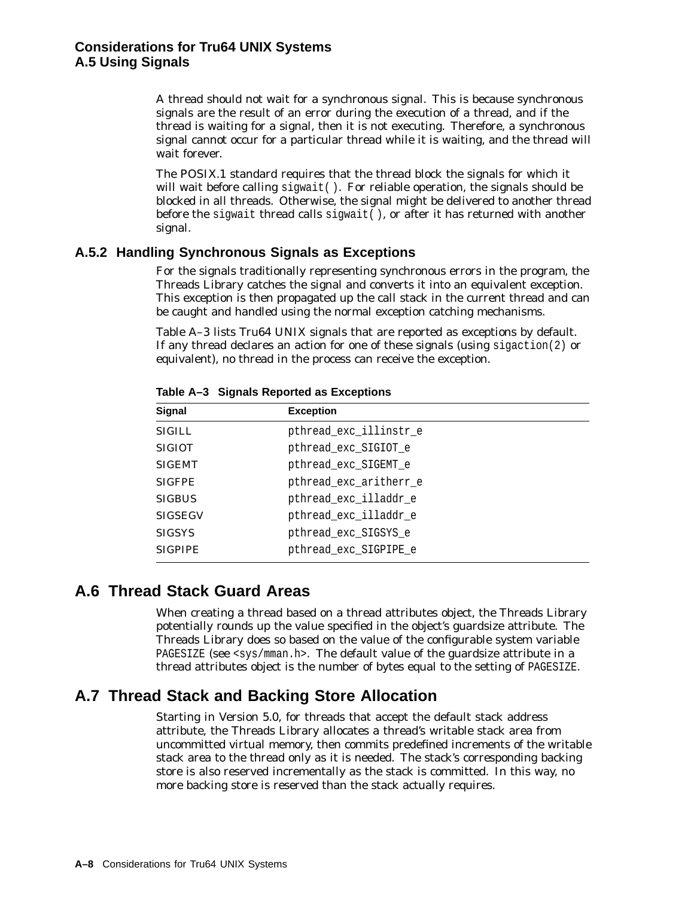A thread should not wait for a synchronous signal. This is because synchronous signals are the result of an error during the execution of a thread, and if the thread is waiting for a signal, then it is not executing. Therefore, a synchronous signal cannot occur for a particular thread while it is waiting, and the thread will wait forever.

The POSIX.1 standard requires that the thread block the signals for which it will wait before calling sigwait (). For reliable operation, the signals should be blocked in all threads. Otherwise, the signal might be delivered to another thread before the sigwait thread calls sigwait( ), or after it has returned with another signal.

## **A.5.2 Handling Synchronous Signals as Exceptions**

For the signals traditionally representing synchronous errors in the program, the Threads Library catches the signal and converts it into an equivalent exception. This exception is then propagated up the call stack in the current thread and can be caught and handled using the normal exception catching mechanisms.

Table A–3 lists Tru64 UNIX signals that are reported as exceptions by default. If any thread declares an action for one of these signals (using  $\text{sigmoid}(2)$  or equivalent), no thread in the process can receive the exception.

| Signal         | <b>Exception</b>       |
|----------------|------------------------|
| <b>SIGILL</b>  | pthread_exc_illinstr_e |
| <b>SIGIOT</b>  | pthread_exc_SIGIOT_e   |
| <b>SIGEMT</b>  | pthread_exc_SIGEMT_e   |
| <b>SIGFPE</b>  | pthread_exc_aritherr_e |
| <b>SIGBUS</b>  | pthread exc illaddr e  |
| <b>SIGSEGV</b> | pthread_exc_illaddr_e  |
| <b>SIGSYS</b>  | pthread_exc_SIGSYS_e   |
| <b>SIGPIPE</b> | pthread exc SIGPIPE e  |

**Table A–3 Signals Reported as Exceptions**

# **A.6 Thread Stack Guard Areas**

When creating a thread based on a thread attributes object, the Threads Library potentially rounds up the value specified in the object's guardsize attribute. The Threads Library does so based on the value of the configurable system variable PAGESIZE (see <sys/mman.h>. The default value of the guardsize attribute in a thread attributes object is the number of bytes equal to the setting of PAGESIZE.

# **A.7 Thread Stack and Backing Store Allocation**

Starting in Version 5.0, for threads that accept the default stack address attribute, the Threads Library allocates a thread's writable stack area from uncommitted virtual memory, then commits predefined increments of the writable stack area to the thread only as it is needed. The stack's corresponding backing store is also reserved incrementally as the stack is committed. In this way, no more backing store is reserved than the stack actually requires.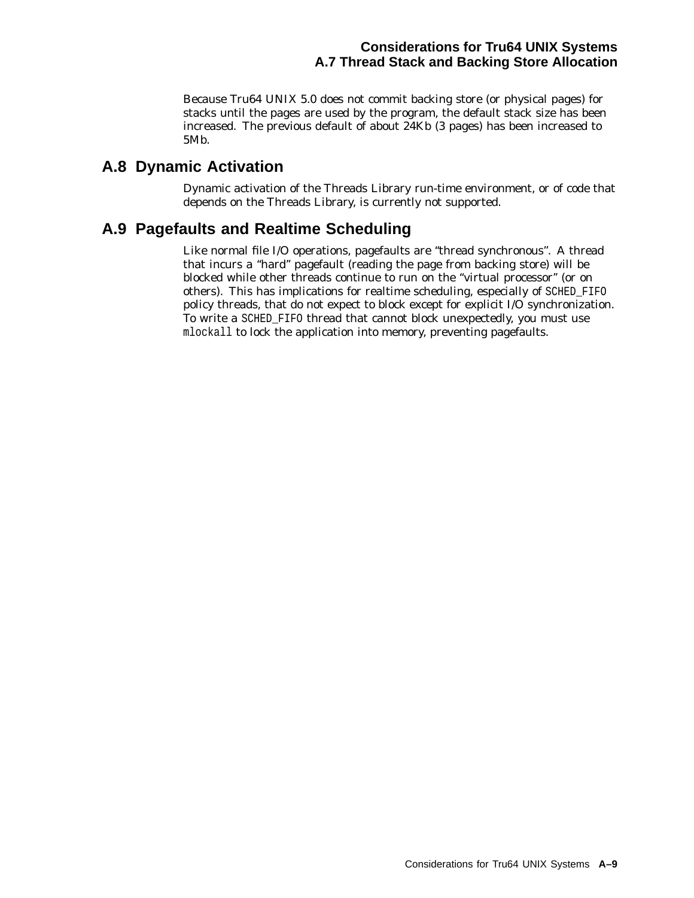Because Tru64 UNIX 5.0 does not commit backing store (or physical pages) for stacks until the pages are used by the program, the default stack size has been increased. The previous default of about 24Kb (3 pages) has been increased to 5Mb.

# **A.8 Dynamic Activation**

Dynamic activation of the Threads Library run-time environment, or of code that depends on the Threads Library, is currently not supported.

# **A.9 Pagefaults and Realtime Scheduling**

Like normal file I/O operations, pagefaults are ''thread synchronous''. A thread that incurs a ''hard'' pagefault (reading the page from backing store) will be blocked while other threads continue to run on the ''virtual processor'' (or on others). This has implications for realtime scheduling, especially of SCHED\_FIFO policy threads, that do not expect to block except for explicit I/O synchronization. To write a SCHED\_FIFO thread that cannot block unexpectedly, you must use mlockall to lock the application into memory, preventing pagefaults.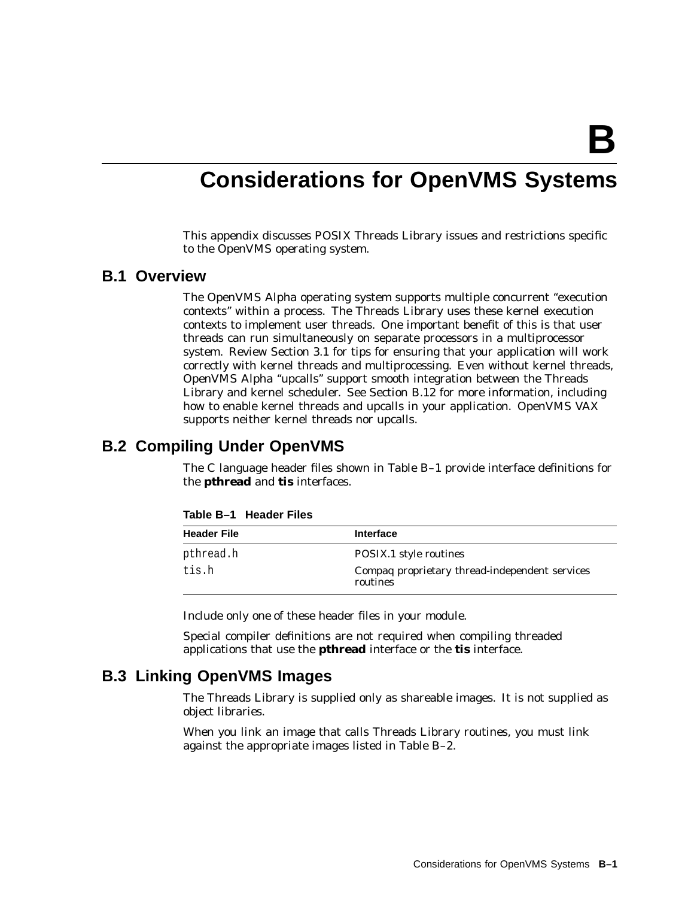**B**

# **Considerations for OpenVMS Systems**

This appendix discusses POSIX Threads Library issues and restrictions specific to the OpenVMS operating system.

## **B.1 Overview**

The OpenVMS Alpha operating system supports multiple concurrent ''execution contexts'' within a process. The Threads Library uses these kernel execution contexts to implement user threads. One important benefit of this is that user threads can run simultaneously on separate processors in a multiprocessor system. Review Section 3.1 for tips for ensuring that your application will work correctly with kernel threads and multiprocessing. Even without kernel threads, OpenVMS Alpha ''upcalls'' support smooth integration between the Threads Library and kernel scheduler. See Section B.12 for more information, including how to enable kernel threads and upcalls in your application. OpenVMS VAX supports neither kernel threads nor upcalls.

## **B.2 Compiling Under OpenVMS**

The C language header files shown in Table B–1 provide interface definitions for the **pthread** and **tis** interfaces.

| <b>Header File</b> | Interface                                                  |
|--------------------|------------------------------------------------------------|
| pthread.h          | POSIX.1 style routines                                     |
| tis.h              | Compag proprietary thread-independent services<br>routines |

**Table B–1 Header Files**

Include only *one* of these header files in your module.

Special compiler definitions are not required when compiling threaded applications that use the **pthread** interface or the **tis** interface.

## **B.3 Linking OpenVMS Images**

The Threads Library is supplied only as shareable images. It is not supplied as object libraries.

When you link an image that calls Threads Library routines, you must link against the appropriate images listed in Table B–2.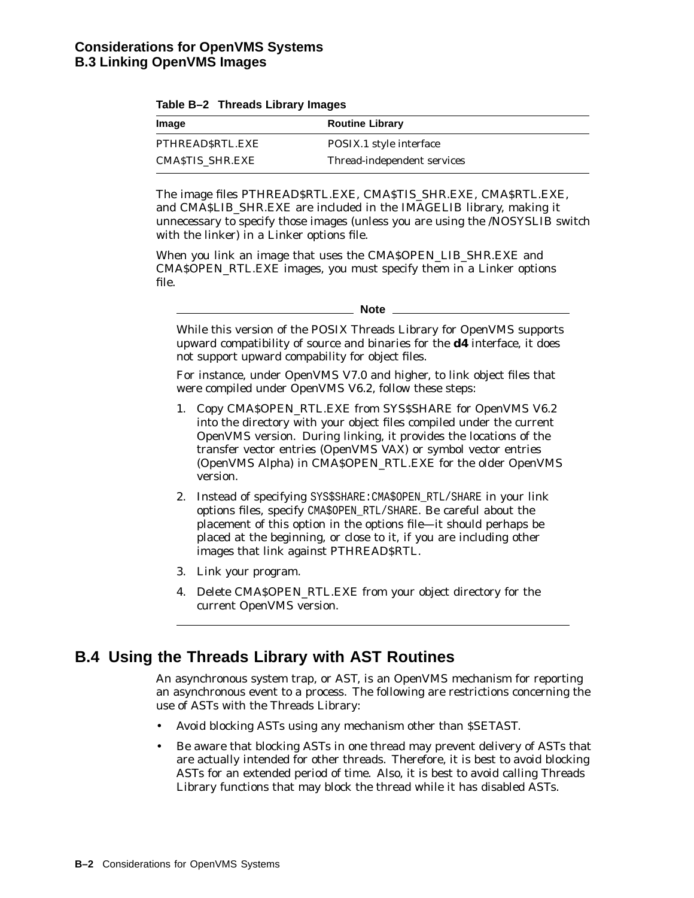| Table B-2 Threads Library Images |  |  |  |
|----------------------------------|--|--|--|
|----------------------------------|--|--|--|

| Image           | <b>Routine Library</b>      |
|-----------------|-----------------------------|
| PTHREADSRTL.EXE | POSIX.1 style interface     |
| CMASTIS SHR.EXE | Thread-independent services |

The image files PTHREAD\$RTL.EXE, CMA\$TIS\_SHR.EXE, CMA\$RTL.EXE, and CMA\$LIB\_SHR.EXE are included in the IMAGELIB library, making it unnecessary to specify those images (unless you are using the /NOSYSLIB switch with the linker) in a Linker options file.

When you link an image that uses the CMA\$OPEN\_LIB\_SHR.EXE and CMA\$OPEN\_RTL.EXE images, you must specify them in a Linker options file.

While this version of the POSIX Threads Library for OpenVMS supports upward compatibility of source and binaries for the **d4** interface, it does not support upward compability for object files.

For instance, under OpenVMS V7.0 and higher, to link object files that were compiled under OpenVMS V6.2, follow these steps:

- 1. Copy CMA\$OPEN\_RTL.EXE from SYS\$SHARE for OpenVMS V6.2 into the directory with your object files compiled under the current OpenVMS version. During linking, it provides the locations of the transfer vector entries (OpenVMS VAX) or symbol vector entries (OpenVMS Alpha) in CMA\$OPEN\_RTL.EXE for the older OpenVMS version.
- 2. Instead of specifying SYS\$SHARE: CMA\$OPEN RTL/SHARE in your link options files, specify CMA\$OPEN\_RTL/SHARE. Be careful about the placement of this option in the options file—it should perhaps be placed at the beginning, or close to it, if you are including other images that link against PTHREAD\$RTL.
- 3. Link your program.
- 4. Delete CMA\$OPEN\_RTL.EXE from your object directory for the current OpenVMS version.

# **B.4 Using the Threads Library with AST Routines**

An asynchronous system trap, or AST, is an OpenVMS mechanism for reporting an asynchronous event to a process. The following are restrictions concerning the use of ASTs with the Threads Library:

- Avoid blocking ASTs using any mechanism other than \$SETAST.
- Be aware that blocking ASTs in one thread may prevent delivery of ASTs that are actually intended for other threads. Therefore, it is best to avoid blocking ASTs for an extended period of time. Also, it is best to avoid calling Threads Library functions that may block the thread while it has disabled ASTs.

**Note**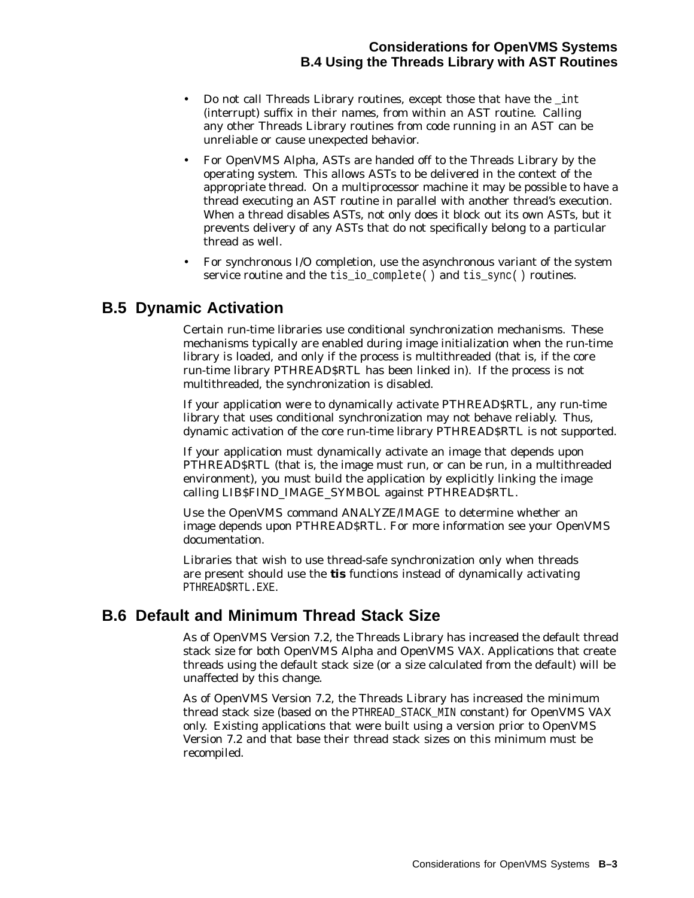- Do not call Threads Library routines, except those that have the \_int (interrupt) suffix in their names, from within an AST routine. Calling any other Threads Library routines from code running in an AST can be unreliable or cause unexpected behavior.
- For OpenVMS Alpha, ASTs are handed off to the Threads Library by the operating system. This allows ASTs to be delivered in the context of the appropriate thread. On a multiprocessor machine it may be possible to have a thread executing an AST routine in parallel with another thread's execution. When a thread disables ASTs, not only does it block out its own ASTs, but it prevents delivery of any ASTs that do not specifically belong to a particular thread as well.
- For synchronous I/O completion, use the asynchronous variant of the system service routine and the tis\_io\_complete() and tis\_sync() routines.

# **B.5 Dynamic Activation**

Certain run-time libraries use conditional synchronization mechanisms. These mechanisms typically are enabled during image initialization when the run-time library is loaded, and only if the process is multithreaded (that is, if the core run-time library PTHREAD\$RTL has been linked in). If the process is not multithreaded, the synchronization is disabled.

If your application were to dynamically activate PTHREAD\$RTL, any run-time library that uses conditional synchronization may not behave reliably. Thus, dynamic activation of the core run-time library PTHREAD\$RTL is not supported.

If your application must dynamically activate an image that depends upon PTHREAD\$RTL (that is, the image must run, or can be run, in a multithreaded environment), you must build the application by explicitly linking the image calling LIB\$FIND\_IMAGE\_SYMBOL against PTHREAD\$RTL.

Use the OpenVMS command ANALYZE/IMAGE to determine whether an image depends upon PTHREAD\$RTL. For more information see your OpenVMS documentation.

Libraries that wish to use thread-safe synchronization only when threads are present should use the **tis** functions instead of dynamically activating PTHREAD\$RTL.EXE.

# **B.6 Default and Minimum Thread Stack Size**

As of OpenVMS Version 7.2, the Threads Library has increased the default thread stack size for both OpenVMS Alpha and OpenVMS VAX. Applications that create threads using the default stack size (or a size calculated from the default) will be unaffected by this change.

As of OpenVMS Version 7.2, the Threads Library has increased the minimum thread stack size (based on the PTHREAD\_STACK\_MIN constant) for OpenVMS VAX only. Existing applications that were built using a version prior to OpenVMS Version 7.2 and that base their thread stack sizes on this minimum must be recompiled.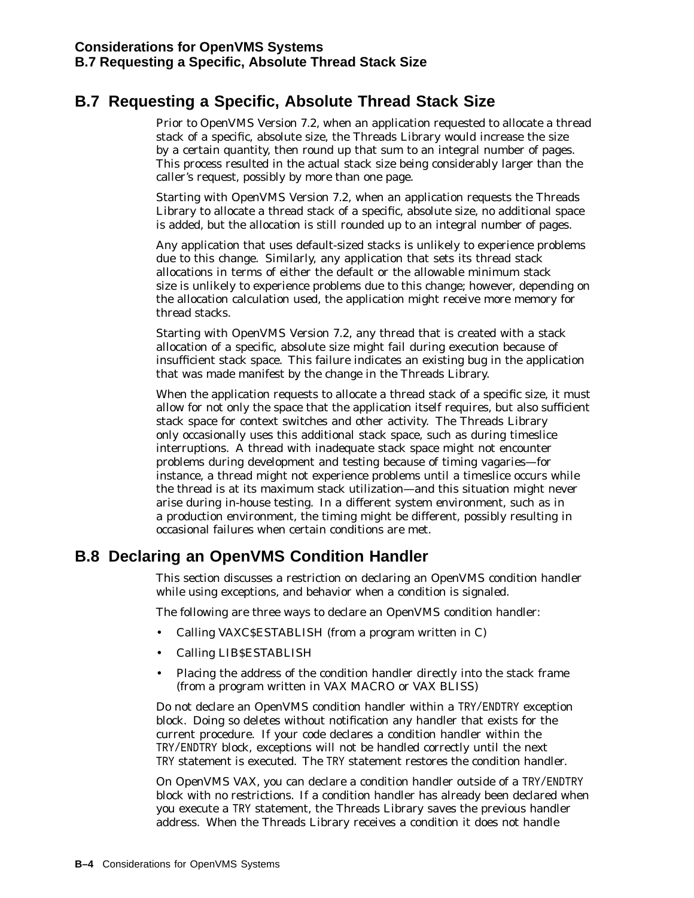# **B.7 Requesting a Specific, Absolute Thread Stack Size**

Prior to OpenVMS Version 7.2, when an application requested to allocate a thread stack of a specific, absolute size, the Threads Library would increase the size by a certain quantity, then round up that sum to an integral number of pages. This process resulted in the actual stack size being considerably larger than the caller's request, possibly by more than one page.

Starting with OpenVMS Version 7.2, when an application requests the Threads Library to allocate a thread stack of a specific, absolute size, no additional space is added, but the allocation is still rounded up to an integral number of pages.

Any application that uses default-sized stacks is unlikely to experience problems due to this change. Similarly, any application that sets its thread stack allocations in terms of either the default or the allowable minimum stack size is unlikely to experience problems due to this change; however, depending on the allocation calculation used, the application might receive more memory for thread stacks.

Starting with OpenVMS Version 7.2, any thread that is created with a stack allocation of a specific, absolute size might fail during execution because of insufficient stack space. This failure indicates an existing bug in the application that was made manifest by the change in the Threads Library.

When the application requests to allocate a thread stack of a specific size, it must allow for not only the space that the application itself requires, but also sufficient stack space for context switches and other activity. The Threads Library only occasionally uses this additional stack space, such as during timeslice interruptions. A thread with inadequate stack space might not encounter problems during development and testing because of timing vagaries—for instance, a thread might not experience problems until a timeslice occurs while the thread is at its maximum stack utilization—and this situation might never arise during in-house testing. In a different system environment, such as in a production environment, the timing might be different, possibly resulting in occasional failures when certain conditions are met.

# **B.8 Declaring an OpenVMS Condition Handler**

This section discusses a restriction on declaring an OpenVMS condition handler while using exceptions, and behavior when a condition is signaled.

The following are three ways to declare an OpenVMS condition handler:

- Calling VAXC\$ESTABLISH (from a program written in C)
- Calling LIB\$ESTABLISH
- Placing the address of the condition handler directly into the stack frame (from a program written in VAX MACRO or VAX BLISS)

Do not declare an OpenVMS condition handler within a TRY/ENDTRY exception block. Doing so deletes without notification any handler that exists for the current procedure. If your code declares a condition handler within the TRY/ENDTRY block, exceptions will not be handled correctly until the next TRY statement is executed. The TRY statement restores the condition handler.

On OpenVMS VAX, you can declare a condition handler outside of a TRY/ENDTRY block with no restrictions. If a condition handler has already been declared when you execute a TRY statement, the Threads Library saves the previous handler address. When the Threads Library receives a condition it does not handle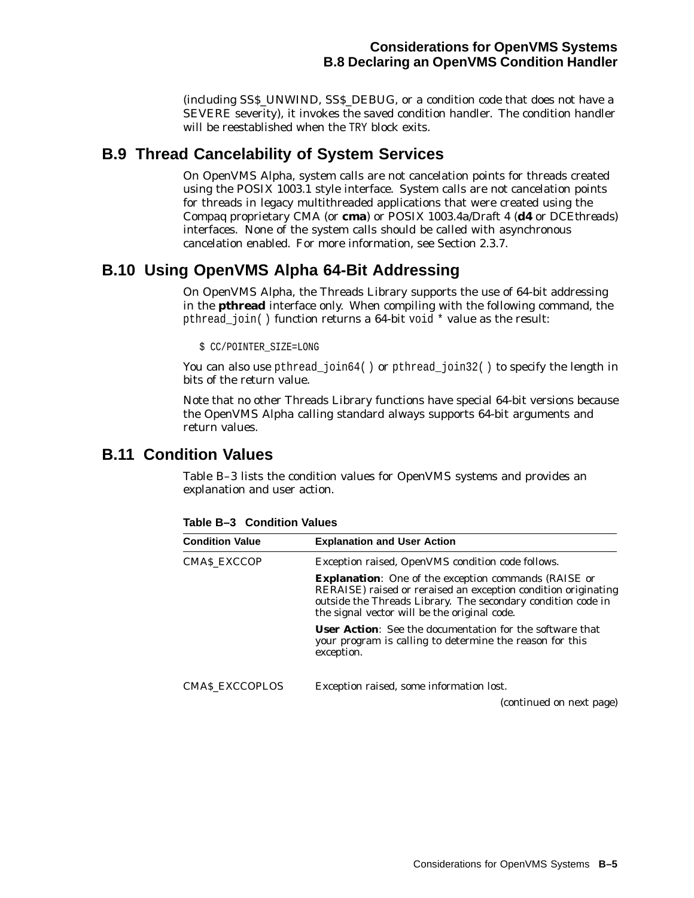(including SS\$\_UNWIND, SS\$\_DEBUG, or a condition code that does not have a SEVERE severity), it invokes the saved condition handler. The condition handler will be reestablished when the TRY block exits.

# **B.9 Thread Cancelability of System Services**

On OpenVMS Alpha, system calls are not cancelation points for threads created using the POSIX 1003.1 style interface. System calls are *not* cancelation points for threads in legacy multithreaded applications that were created using the Compaq proprietary CMA (or **cma**) or POSIX 1003.4a/Draft 4 (**d4** or *DCEthreads*) interfaces. None of the system calls should be called with asynchronous cancelation enabled. For more information, see Section 2.3.7.

# **B.10 Using OpenVMS Alpha 64-Bit Addressing**

On OpenVMS Alpha, the Threads Library supports the use of 64-bit addressing in the **pthread** interface only. When compiling with the following command, the pthread join() function returns a 64-bit void \* value as the result:

\$ CC/POINTER\_SIZE=LONG

You can also use pthread\_join64() or pthread\_join32() to specify the length in bits of the return value.

Note that no other Threads Library functions have special 64-bit versions because the OpenVMS Alpha calling standard always supports 64-bit arguments and return values.

# **B.11 Condition Values**

Table B–3 lists the condition values for OpenVMS systems and provides an explanation and user action.

| <b>Condition Value</b> | <b>Explanation and User Action</b>                                                                                                                                                                                                            |
|------------------------|-----------------------------------------------------------------------------------------------------------------------------------------------------------------------------------------------------------------------------------------------|
| <b>CMAS EXCCOP</b>     | Exception raised, OpenVMS condition code follows.                                                                                                                                                                                             |
|                        | <b>Explanation:</b> One of the exception commands (RAISE or<br>RERAISE) raised or reraised an exception condition originating<br>outside the Threads Library. The secondary condition code in<br>the signal vector will be the original code. |
|                        | <b>User Action:</b> See the documentation for the software that<br>your program is calling to determine the reason for this<br>exception.                                                                                                     |
| <b>CMAS EXCCOPLOS</b>  | Exception raised, some information lost.                                                                                                                                                                                                      |
|                        | (continued on next page)                                                                                                                                                                                                                      |

**Table B–3 Condition Values**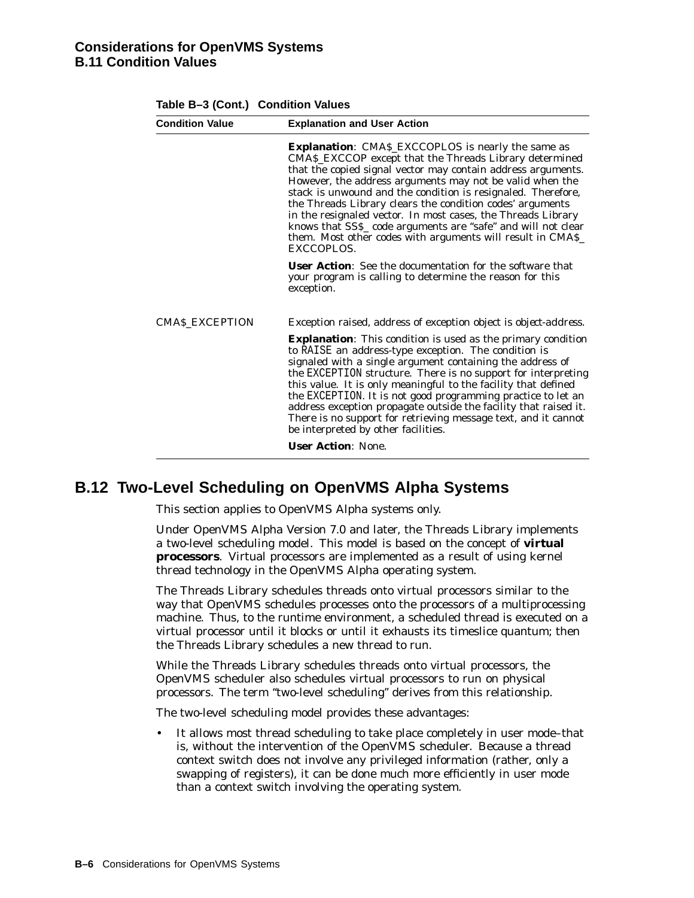|                       | <b>Explanation and User Action</b>                                                                                                                                                                                                                                                                                                                                                                                                                                                                                                                                                       |
|-----------------------|------------------------------------------------------------------------------------------------------------------------------------------------------------------------------------------------------------------------------------------------------------------------------------------------------------------------------------------------------------------------------------------------------------------------------------------------------------------------------------------------------------------------------------------------------------------------------------------|
|                       | <b>Explanation:</b> CMA\$_EXCCOPLOS is nearly the same as<br>CMAS_EXCCOP except that the Threads Library determined<br>that the copied signal vector may contain address arguments.<br>However, the address arguments may not be valid when the<br>stack is unwound and the condition is resignaled. Therefore,<br>the Threads Library clears the condition codes' arguments<br>in the resignaled vector. In most cases, the Threads Library<br>knows that SSS_ code arguments are "safe" and will not clear<br>them. Most other codes with arguments will result in CMAS_<br>EXCCOPLOS. |
|                       | <b>User Action:</b> See the documentation for the software that<br>your program is calling to determine the reason for this<br>exception.                                                                                                                                                                                                                                                                                                                                                                                                                                                |
| <b>CMAS EXCEPTION</b> | Exception raised, address of exception object is <i>object-address</i> .                                                                                                                                                                                                                                                                                                                                                                                                                                                                                                                 |
|                       | <b>Explanation:</b> This condition is used as the primary condition<br>to RAISE an address-type exception. The condition is<br>signaled with a single argument containing the address of<br>the EXCEPTION structure. There is no support for interpreting<br>this value. It is only meaningful to the facility that defined<br>the EXCEPTION. It is not good programming practice to let an<br>address exception propagate outside the facility that raised it.<br>There is no support for retrieving message text, and it cannot<br>be interpreted by other facilities.                 |
|                       |                                                                                                                                                                                                                                                                                                                                                                                                                                                                                                                                                                                          |

#### **Table B–3 (Cont.) Condition Values**

# **B.12 Two-Level Scheduling on OpenVMS Alpha Systems**

This section applies to OpenVMS Alpha systems only.

Under OpenVMS Alpha Version 7.0 and later, the Threads Library implements a two-level scheduling model. This model is based on the concept of **virtual processors**. Virtual processors are implemented as a result of using kernel thread technology in the OpenVMS Alpha operating system.

The Threads Library schedules threads onto virtual processors similar to the way that OpenVMS schedules processes onto the processors of a multiprocessing machine. Thus, to the runtime environment, a scheduled thread is executed on a virtual processor until it blocks or until it exhausts its timeslice quantum; then the Threads Library schedules a new thread to run.

While the Threads Library schedules threads onto virtual processors, the OpenVMS scheduler also schedules virtual processors to run on physical processors. The term "two-level scheduling" derives from this relationship.

The two-level scheduling model provides these advantages:

It allows most thread scheduling to take place completely in user mode–that is, without the intervention of the OpenVMS scheduler. Because a thread context switch does not involve any privileged information (rather, only a swapping of registers), it can be done much more efficiently in user mode than a context switch involving the operating system.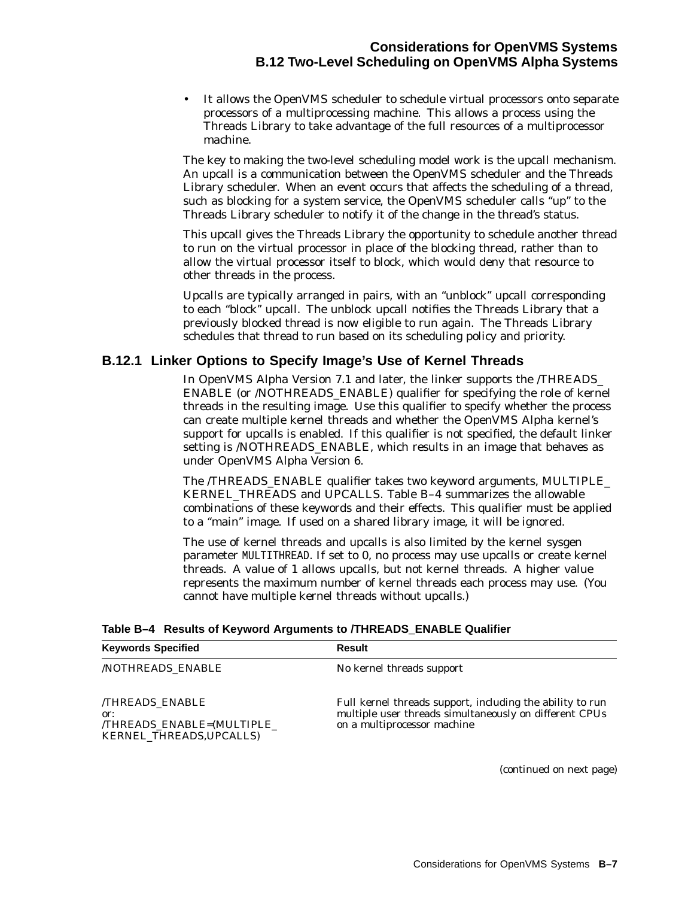## **Considerations for OpenVMS Systems B.12 Two-Level Scheduling on OpenVMS Alpha Systems**

• It allows the OpenVMS scheduler to schedule virtual processors onto separate processors of a multiprocessing machine. This allows a process using the Threads Library to take advantage of the full resources of a multiprocessor machine.

The key to making the two-level scheduling model work is the upcall mechanism. An upcall is a communication between the OpenVMS scheduler and the Threads Library scheduler. When an event occurs that affects the scheduling of a thread, such as blocking for a system service, the OpenVMS scheduler calls ''up'' to the Threads Library scheduler to notify it of the change in the thread's status.

This upcall gives the Threads Library the opportunity to schedule another thread to run on the virtual processor in place of the blocking thread, rather than to allow the virtual processor itself to block, which would deny that resource to other threads in the process.

Upcalls are typically arranged in pairs, with an ''unblock'' upcall corresponding to each ''block'' upcall. The unblock upcall notifies the Threads Library that a previously blocked thread is now eligible to run again. The Threads Library schedules that thread to run based on its scheduling policy and priority.

## **B.12.1 Linker Options to Specify Image's Use of Kernel Threads**

In OpenVMS Alpha Version 7.1 and later, the linker supports the /THREADS\_ ENABLE (or /NOTHREADS\_ENABLE) qualifier for specifying the role of kernel threads in the resulting image. Use this qualifier to specify whether the process can create multiple kernel threads and whether the OpenVMS Alpha kernel's support for upcalls is enabled. If this qualifier is not specified, the default linker setting is /NOTHREADS\_ENABLE, which results in an image that behaves as under OpenVMS Alpha Version 6.

The /THREADS\_ENABLE qualifier takes two keyword arguments, MULTIPLE\_ KERNEL\_THREADS and UPCALLS. Table B–4 summarizes the allowable combinations of these keywords and their effects. This qualifier must be applied to a ''main'' image. If used on a shared library image, it will be ignored.

The use of kernel threads and upcalls is also limited by the kernel sysgen parameter MULTITHREAD. If set to 0, no process may use upcalls or create kernel threads. A value of 1 allows upcalls, but not kernel threads. A higher value represents the maximum number of kernel threads each process may use. (You cannot have multiple kernel threads without upcalls.)

|  |  | Table B-4 Results of Keyword Arguments to /THREADS_ENABLE Qualifier |
|--|--|---------------------------------------------------------------------|
|  |  |                                                                     |

| <b>Keywords Specified</b>                                                              | <b>Result</b>                                                                                                                                      |
|----------------------------------------------------------------------------------------|----------------------------------------------------------------------------------------------------------------------------------------------------|
| <b>NOTHREADS ENABLE</b>                                                                | No kernel threads support                                                                                                                          |
| <b>THREADS ENABLE</b><br>or:<br>/THREADS_ENABLE=(MULTIPLE_<br>KERNEL_THREADS, UPCALLS) | Full kernel threads support, including the ability to run<br>multiple user threads simultaneously on different CPUs<br>on a multiprocessor machine |

(continued on next page)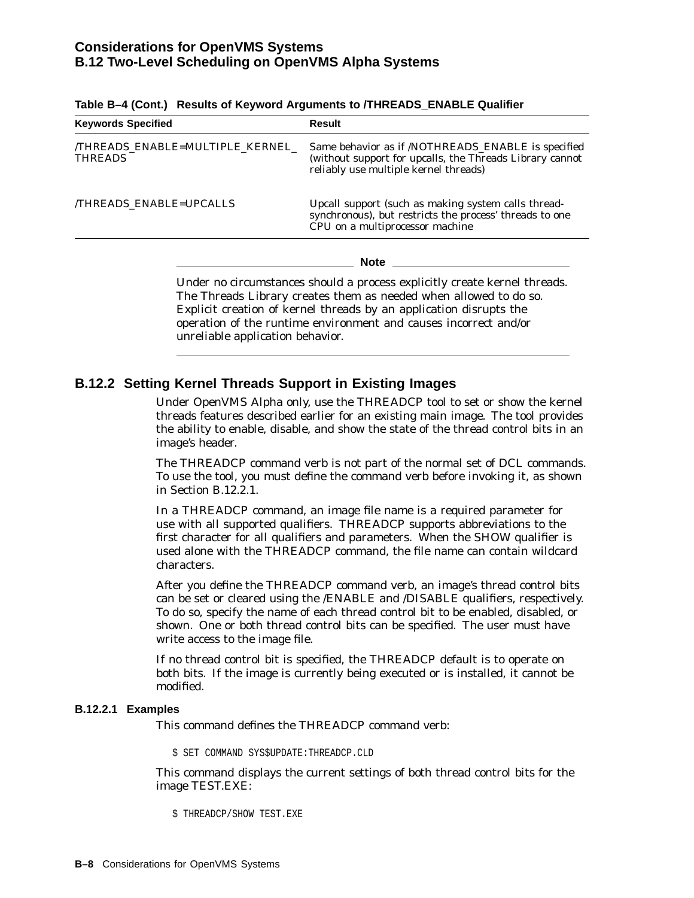| <b>Keywords Specified</b>                                                                                                                                                                                                                                                                | Result<br>Same behavior as if /NOTHREADS_ENABLE is specified<br>(without support for upcalls, the Threads Library cannot<br>reliably use multiple kernel threads)<br>Upcall support (such as making system calls thread-<br>synchronous), but restricts the process' threads to one<br>CPU on a multiprocessor machine |  |
|------------------------------------------------------------------------------------------------------------------------------------------------------------------------------------------------------------------------------------------------------------------------------------------|------------------------------------------------------------------------------------------------------------------------------------------------------------------------------------------------------------------------------------------------------------------------------------------------------------------------|--|
| THREADS ENABLE=MULTIPLE KERNEL<br><b>THREADS</b>                                                                                                                                                                                                                                         |                                                                                                                                                                                                                                                                                                                        |  |
| <b>THREADS ENABLE=UPCALLS</b>                                                                                                                                                                                                                                                            |                                                                                                                                                                                                                                                                                                                        |  |
|                                                                                                                                                                                                                                                                                          | <b>Note</b>                                                                                                                                                                                                                                                                                                            |  |
| Under no circumstances should a process explicitly create kernel threads.<br>The Threads Library creates them as needed when allowed to do so.<br>Explicit creation of kernel threads by an application disrupts the<br>operation of the runtime environment and causes incorrect and/or |                                                                                                                                                                                                                                                                                                                        |  |

|  |  | Table B–4 (Cont.) Results of Keyword Arguments to /THREADS_ENABLE Qualifier |  |
|--|--|-----------------------------------------------------------------------------|--|
|--|--|-----------------------------------------------------------------------------|--|

### **B.12.2 Setting Kernel Threads Support in Existing Images**

unreliable application behavior.

Under OpenVMS Alpha only, use the THREADCP tool to set or show the kernel threads features described earlier for an existing main image. The tool provides the ability to enable, disable, and show the state of the thread control bits in an image's header.

The THREADCP command verb is not part of the normal set of DCL commands. To use the tool, you must define the command verb before invoking it, as shown in Section B.12.2.1.

In a THREADCP command, an image file name is a required parameter for use with all supported qualifiers. THREADCP supports abbreviations to the first character for all qualifiers and parameters. When the SHOW qualifier is used alone with the THREADCP command, the file name can contain wildcard characters.

After you define the THREADCP command verb, an image's thread control bits can be set or cleared using the /ENABLE and /DISABLE qualifiers, respectively. To do so, specify the name of each thread control bit to be enabled, disabled, or shown. One or both thread control bits can be specified. The user must have write access to the image file.

If no thread control bit is specified, the THREADCP default is to operate on both bits. If the image is currently being executed or is installed, it cannot be modified.

#### **B.12.2.1 Examples**

This command defines the THREADCP command verb:

\$ SET COMMAND SYS\$UPDATE:THREADCP.CLD

This command displays the current settings of both thread control bits for the image TEST.EXE:

\$ THREADCP/SHOW TEST.EXE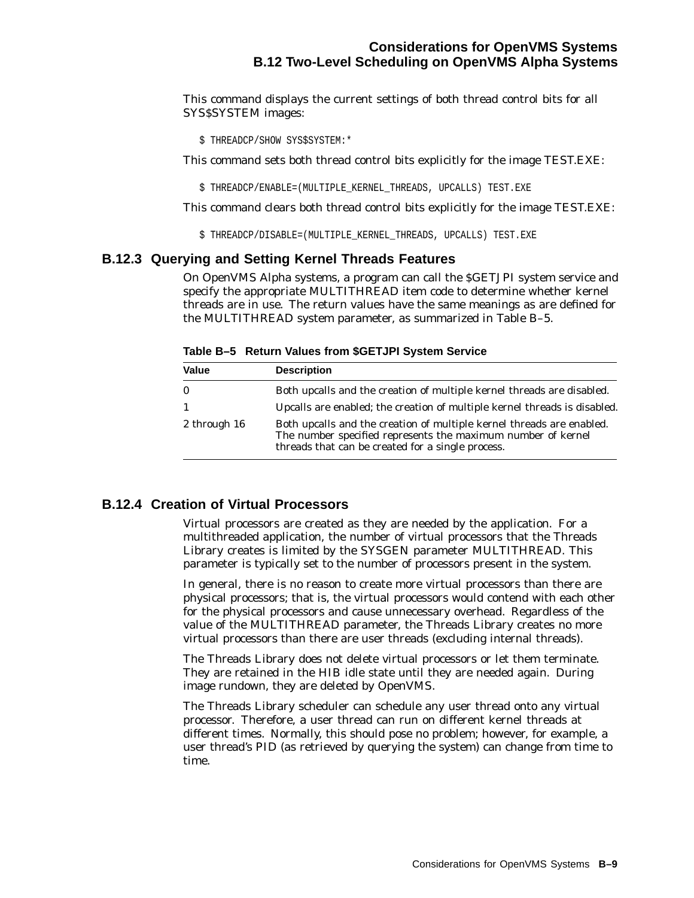## **Considerations for OpenVMS Systems B.12 Two-Level Scheduling on OpenVMS Alpha Systems**

This command displays the current settings of both thread control bits for all SYS\$SYSTEM images:

\$ THREADCP/SHOW SYS\$SYSTEM:\*

This command sets both thread control bits explicitly for the image TEST.EXE:

\$ THREADCP/ENABLE=(MULTIPLE\_KERNEL\_THREADS, UPCALLS) TEST.EXE

This command clears both thread control bits explicitly for the image TEST.EXE:

\$ THREADCP/DISABLE=(MULTIPLE\_KERNEL\_THREADS, UPCALLS) TEST.EXE

#### **B.12.3 Querying and Setting Kernel Threads Features**

On OpenVMS Alpha systems, a program can call the \$GETJPI system service and specify the appropriate MULTITHREAD item code to determine whether kernel threads are in use. The return values have the same meanings as are defined for the MULTITHREAD system parameter, as summarized in Table B–5.

**Table B–5 Return Values from \$GETJPI System Service**

| <b>Value</b> | <b>Description</b>                                                                                                                                                                         |
|--------------|--------------------------------------------------------------------------------------------------------------------------------------------------------------------------------------------|
| $\bf{0}$     | Both upcalls and the creation of multiple kernel threads are disabled.                                                                                                                     |
| -1           | Upcalls are enabled; the creation of multiple kernel threads is disabled.                                                                                                                  |
| 2 through 16 | Both upcalls and the creation of multiple kernel threads are enabled.<br>The number specified represents the maximum number of kernel<br>threads that can be created for a single process. |

#### **B.12.4 Creation of Virtual Processors**

Virtual processors are created as they are needed by the application. For a multithreaded application, the number of virtual processors that the Threads Library creates is limited by the SYSGEN parameter MULTITHREAD. This parameter is typically set to the number of processors present in the system.

In general, there is no reason to create more virtual processors than there are physical processors; that is, the virtual processors would contend with each other for the physical processors and cause unnecessary overhead. Regardless of the value of the MULTITHREAD parameter, the Threads Library creates no more virtual processors than there are user threads (excluding internal threads).

The Threads Library does not delete virtual processors or let them terminate. They are retained in the HIB idle state until they are needed again. During image rundown, they are deleted by OpenVMS.

The Threads Library scheduler can schedule any user thread onto any virtual processor. Therefore, a user thread can run on different kernel threads at different times. Normally, this should pose no problem; however, for example, a user thread's PID (as retrieved by querying the system) can change from time to time.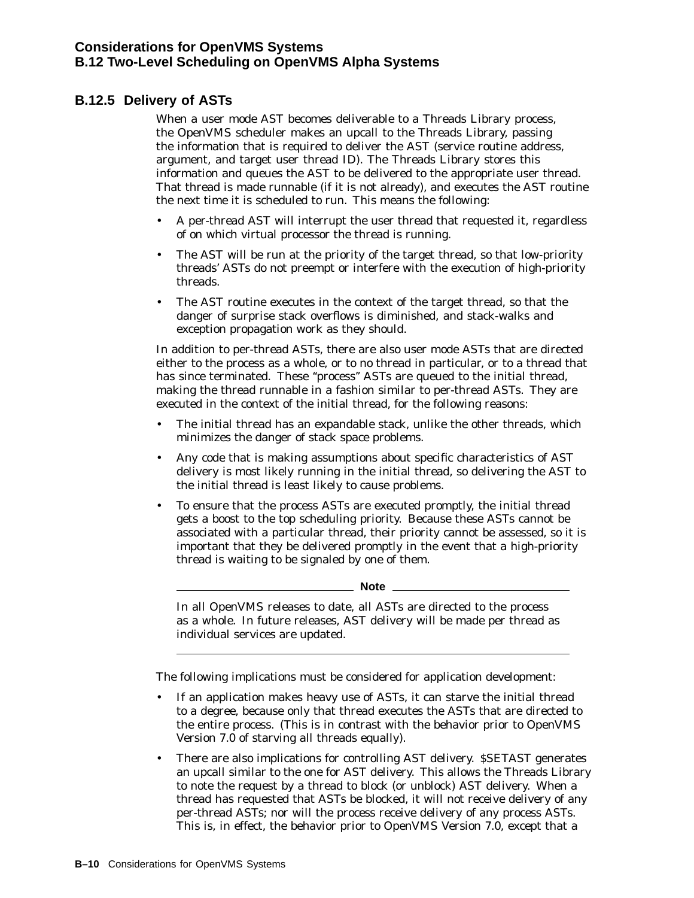## **B.12.5 Delivery of ASTs**

When a user mode AST becomes deliverable to a Threads Library process, the OpenVMS scheduler makes an upcall to the Threads Library, passing the information that is required to deliver the AST (service routine address, argument, and target user thread ID). The Threads Library stores this information and queues the AST to be delivered to the appropriate user thread. That thread is made runnable (if it is not already), and executes the AST routine the next time it is scheduled to run. This means the following:

- A per-thread AST will interrupt the user thread that requested it, regardless of on which virtual processor the thread is running.
- The AST will be run at the priority of the target thread, so that low-priority threads' ASTs do not preempt or interfere with the execution of high-priority threads.
- The AST routine executes in the context of the target thread, so that the danger of surprise stack overflows is diminished, and stack-walks and exception propagation work as they should.

In addition to per-thread ASTs, there are also user mode ASTs that are directed either to the process as a whole, or to no thread in particular, or to a thread that has since terminated. These "process" ASTs are queued to the initial thread, making the thread runnable in a fashion similar to per-thread ASTs. They are executed in the context of the initial thread, for the following reasons:

- The initial thread has an expandable stack, unlike the other threads, which minimizes the danger of stack space problems.
- Any code that is making assumptions about specific characteristics of AST delivery is most likely running in the initial thread, so delivering the AST to the initial thread is least likely to cause problems.
- To ensure that the process ASTs are executed promptly, the initial thread gets a boost to the top scheduling priority. Because these ASTs cannot be associated with a particular thread, their priority cannot be assessed, so it is important that they be delivered promptly in the event that a high-priority thread is waiting to be signaled by one of them.

**Note** 

In all OpenVMS releases to date, all ASTs are directed to the process as a whole. In future releases, AST delivery will be made per thread as individual services are updated.

The following implications must be considered for application development:

- If an application makes heavy use of ASTs, it can starve the initial thread to a degree, because only that thread executes the ASTs that are directed to the entire process. (This is in contrast with the behavior prior to OpenVMS Version 7.0 of starving all threads equally).
- There are also implications for controlling AST delivery. \$SETAST generates an upcall similar to the one for AST delivery. This allows the Threads Library to note the request by a thread to block (or unblock) AST delivery. When a thread has requested that ASTs be blocked, it will not receive delivery of any per-thread ASTs; nor will the process receive delivery of any process ASTs. This is, in effect, the behavior prior to OpenVMS Version 7.0, except that a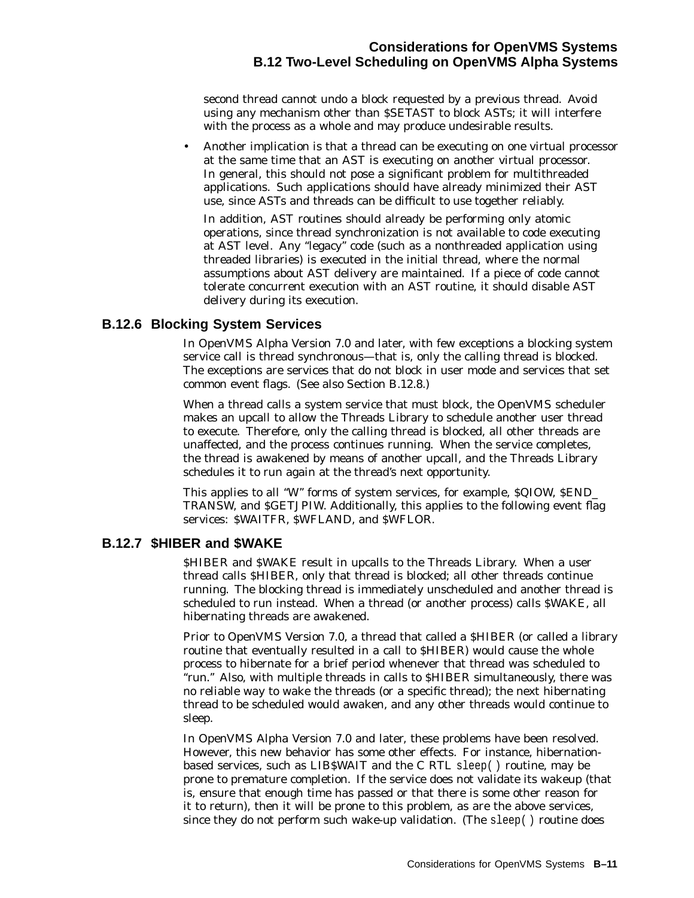## **Considerations for OpenVMS Systems B.12 Two-Level Scheduling on OpenVMS Alpha Systems**

second thread cannot undo a block requested by a previous thread. Avoid using any mechanism other than \$SETAST to block ASTs; it will interfere with the process as a whole and may produce undesirable results.

• Another implication is that a thread can be executing on one virtual processor at the same time that an AST is executing on another virtual processor. In general, this should not pose a significant problem for multithreaded applications. Such applications should have already minimized their AST use, since ASTs and threads can be difficult to use together reliably.

In addition, AST routines should already be performing only atomic operations, since thread synchronization is not available to code executing at AST level. Any ''legacy'' code (such as a nonthreaded application using threaded libraries) is executed in the initial thread, where the normal assumptions about AST delivery are maintained. If a piece of code cannot tolerate concurrent execution with an AST routine, it should disable AST delivery during its execution.

### **B.12.6 Blocking System Services**

In OpenVMS Alpha Version 7.0 and later, with few exceptions a blocking system service call is thread synchronous—that is, only the calling thread is blocked. The exceptions are services that do not block in user mode and services that set common event flags. (See also Section B.12.8.)

When a thread calls a system service that must block, the OpenVMS scheduler makes an upcall to allow the Threads Library to schedule another user thread to execute. Therefore, only the calling thread is blocked, all other threads are unaffected, and the process continues running. When the service completes, the thread is awakened by means of another upcall, and the Threads Library schedules it to run again at the thread's next opportunity.

This applies to all "W" forms of system services, for example, \$QIOW, \$END\_ TRANSW, and \$GETJPIW. Additionally, this applies to the following event flag services: \$WAITFR, \$WFLAND, and \$WFLOR.

## **B.12.7 \$HIBER and \$WAKE**

\$HIBER and \$WAKE result in upcalls to the Threads Library. When a user thread calls \$HIBER, only that thread is blocked; all other threads continue running. The blocking thread is immediately unscheduled and another thread is scheduled to run instead. When a thread (or another process) calls \$WAKE, all hibernating threads are awakened.

Prior to OpenVMS Version 7.0, a thread that called a \$HIBER (or called a library routine that eventually resulted in a call to \$HIBER) would cause the whole process to hibernate for a brief period whenever that thread was scheduled to ''run.'' Also, with multiple threads in calls to \$HIBER simultaneously, there was no reliable way to wake the threads (or a specific thread); the next hibernating thread to be scheduled would awaken, and any other threads would continue to sleep.

In OpenVMS Alpha Version 7.0 and later, these problems have been resolved. However, this new behavior has some other effects. For instance, hibernationbased services, such as LIB\$WAIT and the C RTL sleep( ) routine, may be prone to premature completion. If the service does not validate its wakeup (that is, ensure that enough time has passed or that there is some other reason for it to return), then it will be prone to this problem, as are the above services, since they do not perform such wake-up validation. (The sleep( ) routine does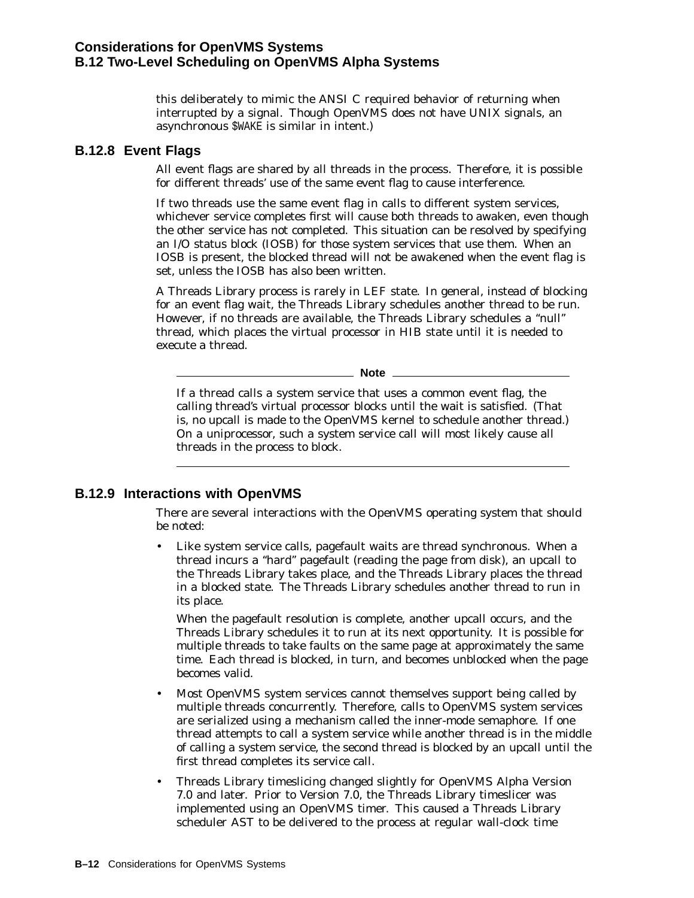this deliberately to mimic the ANSI C required behavior of returning when interrupted by a signal. Though OpenVMS does not have UNIX signals, an asynchronous \$WAKE is similar in intent.)

## **B.12.8 Event Flags**

All event flags are shared by all threads in the process. Therefore, it is possible for different threads' use of the same event flag to cause interference.

If two threads use the same event flag in calls to different system services, whichever service completes first will cause both threads to awaken, even though the other service has not completed. This situation can be resolved by specifying an I/O status block (IOSB) for those system services that use them. When an IOSB is present, the blocked thread will not be awakened when the event flag is set, unless the IOSB has also been written.

A Threads Library process is rarely in LEF state. In general, instead of blocking for an event flag wait, the Threads Library schedules another thread to be run. However, if no threads are available, the Threads Library schedules a ''null'' thread, which places the virtual processor in HIB state until it is needed to execute a thread.

**Note**

If a thread calls a system service that uses a common event flag, the calling thread's virtual processor blocks until the wait is satisfied. (That is, no upcall is made to the OpenVMS kernel to schedule another thread.) On a uniprocessor, such a system service call will most likely cause all threads in the process to block.

## **B.12.9 Interactions with OpenVMS**

There are several interactions with the OpenVMS operating system that should be noted:

• Like system service calls, pagefault waits are thread synchronous. When a thread incurs a ''hard'' pagefault (reading the page from disk), an upcall to the Threads Library takes place, and the Threads Library places the thread in a blocked state. The Threads Library schedules another thread to run in its place.

When the pagefault resolution is complete, another upcall occurs, and the Threads Library schedules it to run at its next opportunity. It is possible for multiple threads to take faults on the same page at approximately the same time. Each thread is blocked, in turn, and becomes unblocked when the page becomes valid.

- Most OpenVMS system services cannot themselves support being called by multiple threads concurrently. Therefore, calls to OpenVMS system services are serialized using a mechanism called the inner-mode semaphore. If one thread attempts to call a system service while another thread is in the middle of calling a system service, the second thread is blocked by an upcall until the first thread completes its service call.
- Threads Library timeslicing changed slightly for OpenVMS Alpha Version 7.0 and later. Prior to Version 7.0, the Threads Library timeslicer was implemented using an OpenVMS timer. This caused a Threads Library scheduler AST to be delivered to the process at regular wall-clock time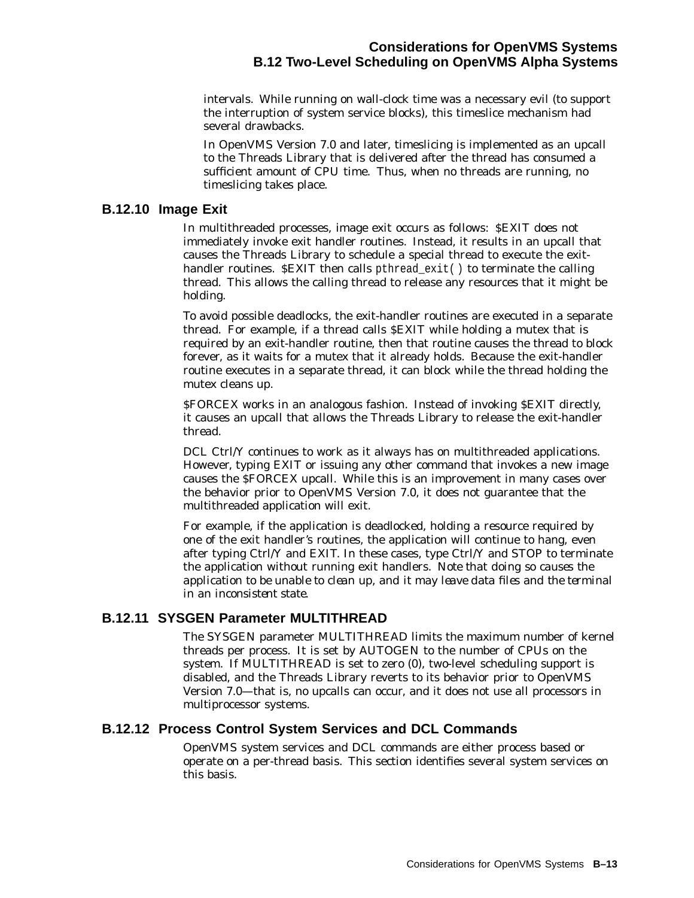## **Considerations for OpenVMS Systems B.12 Two-Level Scheduling on OpenVMS Alpha Systems**

intervals. While running on wall-clock time was a necessary evil (to support the interruption of system service blocks), this timeslice mechanism had several drawbacks.

In OpenVMS Version 7.0 and later, timeslicing is implemented as an upcall to the Threads Library that is delivered after the thread has consumed a sufficient amount of CPU time. Thus, when no threads are running, no timeslicing takes place.

### **B.12.10 Image Exit**

In multithreaded processes, image exit occurs as follows: \$EXIT does not immediately invoke exit handler routines. Instead, it results in an upcall that causes the Threads Library to schedule a special thread to execute the exithandler routines. \$EXIT then calls pthread\_exit() to terminate the calling thread. This allows the calling thread to release any resources that it might be holding.

To avoid possible deadlocks, the exit-handler routines are executed in a separate thread. For example, if a thread calls \$EXIT while holding a mutex that is required by an exit-handler routine, then that routine causes the thread to block forever, as it waits for a mutex that it already holds. Because the exit-handler routine executes in a separate thread, it can block while the thread holding the mutex cleans up.

\$FORCEX works in an analogous fashion. Instead of invoking \$EXIT directly, it causes an upcall that allows the Threads Library to release the exit-handler thread.

DCL Ctrl/Y continues to work as it always has on multithreaded applications. However, typing EXIT or issuing any other command that invokes a new image causes the \$FORCEX upcall. While this is an improvement in many cases over the behavior prior to OpenVMS Version 7.0, it does not guarantee that the multithreaded application will exit.

For example, if the application is deadlocked, holding a resource required by one of the exit handler's routines, the application will continue to hang, even after typing Ctrl/Y and EXIT. In these cases, type Ctrl/Y and STOP to terminate the application without running exit handlers. *Note that doing so causes the application to be unable to clean up, and it may leave data files and the terminal in an inconsistent state.*

## **B.12.11 SYSGEN Parameter MULTITHREAD**

The SYSGEN parameter MULTITHREAD limits the maximum number of kernel threads per process. It is set by AUTOGEN to the number of CPUs on the system. If MULTITHREAD is set to zero (0), two-level scheduling support is disabled, and the Threads Library reverts to its behavior prior to OpenVMS Version 7.0—that is, no upcalls can occur, and it does not use all processors in multiprocessor systems.

## **B.12.12 Process Control System Services and DCL Commands**

OpenVMS system services and DCL commands are either process based or operate on a per-thread basis. This section identifies several system services on this basis.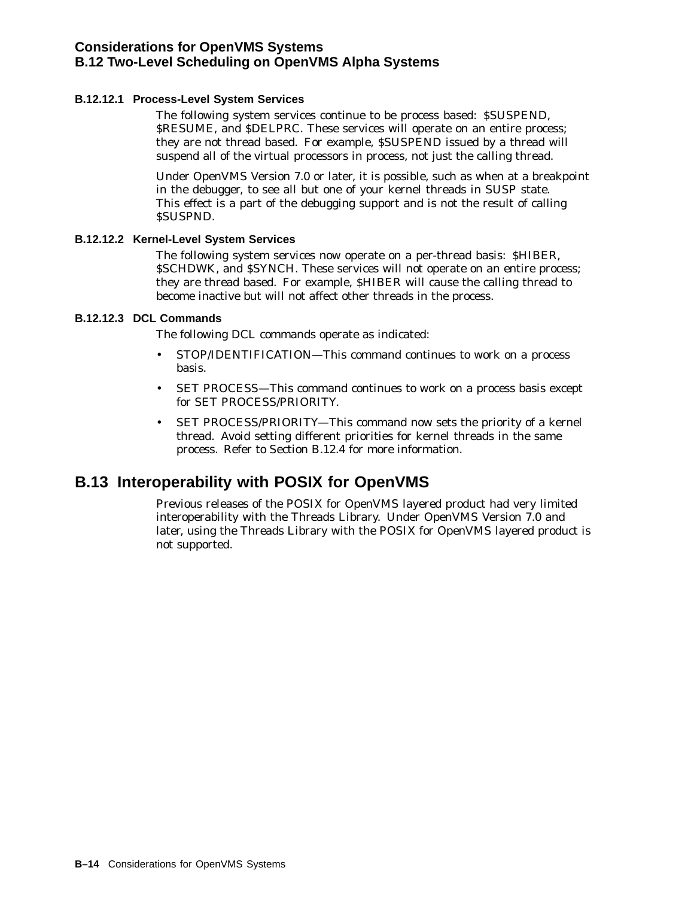#### **B.12.12.1 Process-Level System Services**

The following system services continue to be process based: \$SUSPEND, \$RESUME, and \$DELPRC. These services will operate on an entire process; they are not thread based. For example, \$SUSPEND issued by a thread will suspend all of the virtual processors in process, not just the calling thread.

Under OpenVMS Version 7.0 or later, it is possible, such as when at a breakpoint in the debugger, to see all but one of your kernel threads in SUSP state. This effect is a part of the debugging support and is not the result of calling \$SUSPND.

#### **B.12.12.2 Kernel-Level System Services**

The following system services now operate on a per-thread basis: \$HIBER, \$SCHDWK, and \$SYNCH. These services will not operate on an entire process; they are thread based. For example, \$HIBER will cause the calling thread to become inactive but will not affect other threads in the process.

#### **B.12.12.3 DCL Commands**

The following DCL commands operate as indicated:

- STOP/IDENTIFICATION—This command continues to work on a process basis.
- SET PROCESS—This command continues to work on a process basis except for SET PROCESS/PRIORITY.
- SET PROCESS/PRIORITY-This command now sets the priority of a kernel thread. Avoid setting different priorities for kernel threads in the same process. Refer to Section B.12.4 for more information.

# **B.13 Interoperability with POSIX for OpenVMS**

Previous releases of the POSIX for OpenVMS layered product had very limited interoperability with the Threads Library. Under OpenVMS Version 7.0 and later, using the Threads Library with the POSIX for OpenVMS layered product is not supported.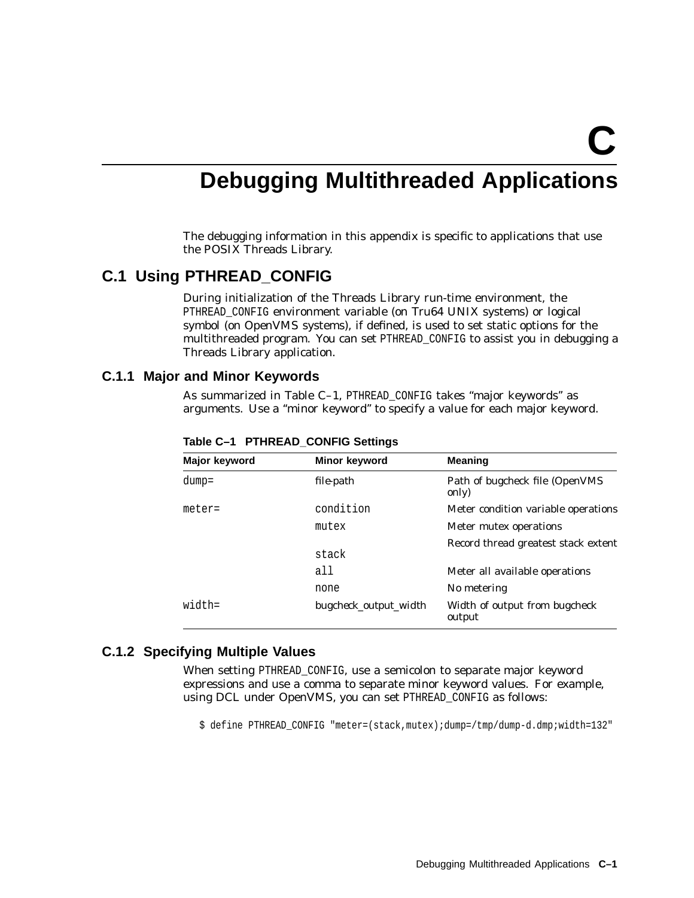**C**

# **Debugging Multithreaded Applications**

The debugging information in this appendix is specific to applications that use the POSIX Threads Library.

## **C.1 Using PTHREAD\_CONFIG**

During initialization of the Threads Library run-time environment, the PTHREAD\_CONFIG environment variable (on Tru64 UNIX systems) or logical symbol (on OpenVMS systems), if defined, is used to set static options for the multithreaded program. You can set PTHREAD\_CONFIG to assist you in debugging a Threads Library application.

#### **C.1.1 Major and Minor Keywords**

As summarized in Table C-1, PTHREAD\_CONFIG takes "major keywords" as arguments. Use a ''minor keyword'' to specify a value for each major keyword.

| Major keyword | Minor keyword         | <b>Meaning</b>                          |
|---------------|-----------------------|-----------------------------------------|
| $dump =$      | file-path             | Path of bugcheck file (OpenVMS<br>only) |
| $meter=$      | condition             | Meter condition variable operations     |
|               | mutex                 | Meter mutex operations                  |
|               |                       | Record thread greatest stack extent     |
|               | stack                 |                                         |
|               | all                   | Meter all available operations          |
|               | none                  | No metering                             |
| $width =$     | bugcheck_output_width | Width of output from bugcheck<br>output |

**Table C–1 PTHREAD\_CONFIG Settings**

#### **C.1.2 Specifying Multiple Values**

When setting PTHREAD CONFIG, use a semicolon to separate major keyword expressions and use a comma to separate minor keyword values. For example, using DCL under OpenVMS, you can set PTHREAD\_CONFIG as follows:

\$ define PTHREAD\_CONFIG "meter=(stack,mutex);dump=/tmp/dump-d.dmp;width=132"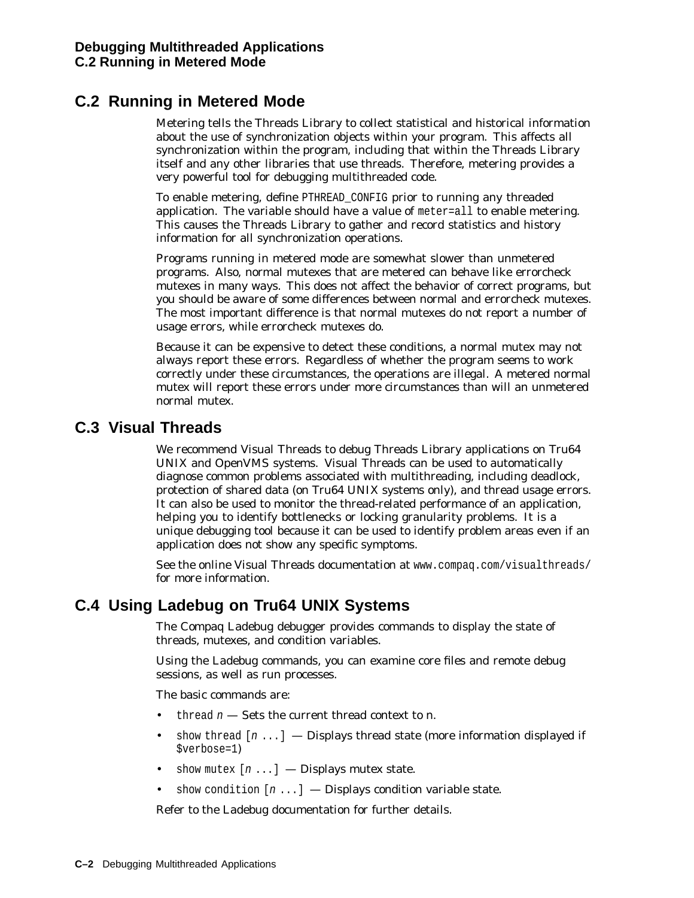# **C.2 Running in Metered Mode**

Metering tells the Threads Library to collect statistical and historical information about the use of synchronization objects within your program. This affects all synchronization within the program, including that within the Threads Library itself and any other libraries that use threads. Therefore, metering provides a very powerful tool for debugging multithreaded code.

To enable metering, define PTHREAD\_CONFIG prior to running any threaded application. The variable should have a value of meter=all to enable metering. This causes the Threads Library to gather and record statistics and history information for all synchronization operations.

Programs running in metered mode are somewhat slower than unmetered programs. Also, normal mutexes that are metered can behave like errorcheck mutexes in many ways. This does not affect the behavior of correct programs, but you should be aware of some differences between normal and errorcheck mutexes. The most important difference is that normal mutexes do not report a number of usage errors, while errorcheck mutexes do.

Because it can be expensive to detect these conditions, a normal mutex may not always report these errors. Regardless of whether the program seems to work correctly under these circumstances, the operations are illegal. A metered normal mutex will report these errors under more circumstances than will an unmetered normal mutex.

# **C.3 Visual Threads**

We recommend Visual Threads to debug Threads Library applications on Tru64 UNIX and OpenVMS systems. Visual Threads can be used to automatically diagnose common problems associated with multithreading, including deadlock, protection of shared data (on Tru64 UNIX systems only), and thread usage errors. It can also be used to monitor the thread-related performance of an application, helping you to identify bottlenecks or locking granularity problems. It is a unique debugging tool because it can be used to identify problem areas even if an application does not show any specific symptoms.

See the online Visual Threads documentation at www.compaq.com/visualthreads/ for more information.

# **C.4 Using Ladebug on Tru64 UNIX Systems**

The Compaq Ladebug debugger provides commands to display the state of threads, mutexes, and condition variables.

Using the Ladebug commands, you can examine core files and remote debug sessions, as well as run processes.

The basic commands are:

- thread  $n$  Sets the current thread context to  $n$ .
- show thread  $[n \ldots]$  Displays thread state (more information displayed if \$verbose=1)
- show mutex  $[n \dots]$  Displays mutex state.
- show condition  $[n \ldots]$  Displays condition variable state.

Refer to the Ladebug documentation for further details.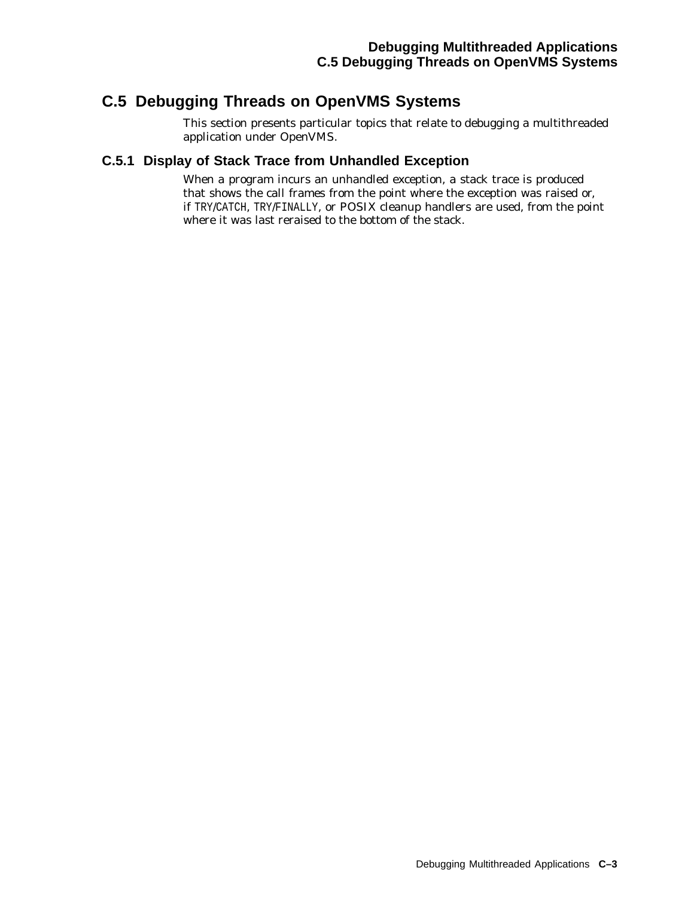# **C.5 Debugging Threads on OpenVMS Systems**

This section presents particular topics that relate to debugging a multithreaded application under OpenVMS.

## **C.5.1 Display of Stack Trace from Unhandled Exception**

When a program incurs an unhandled exception, a stack trace is produced that shows the call frames from the point where the exception was raised or, if TRY/CATCH, TRY/FINALLY, or POSIX cleanup handlers are used, from the point where it was last reraised to the bottom of the stack.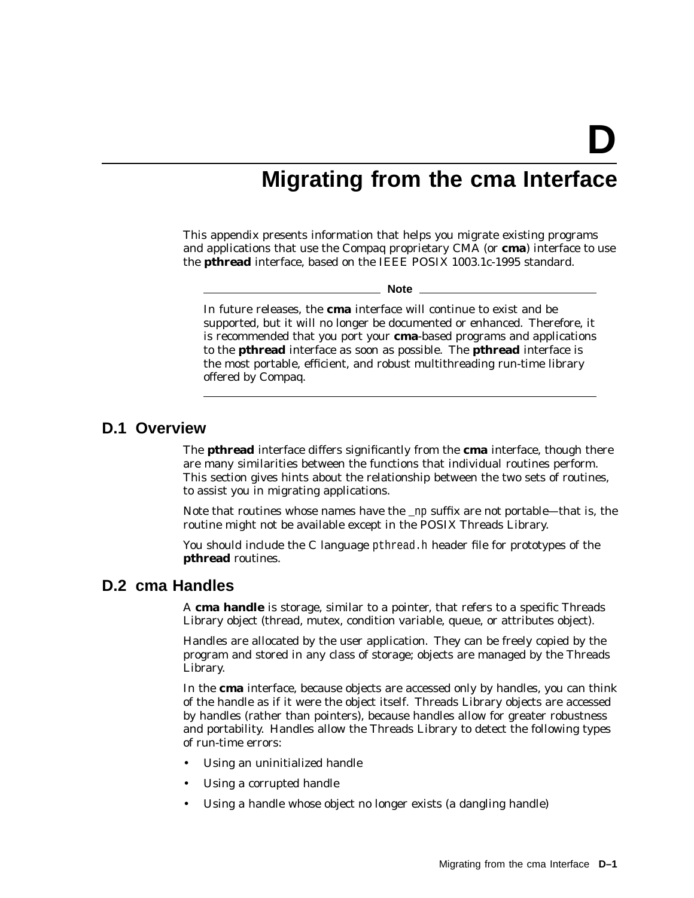# **Migrating from the cma Interface**

This appendix presents information that helps you migrate existing programs and applications that use the Compaq proprietary CMA (or **cma**) interface to use the **pthread** interface, based on the IEEE POSIX 1003.1c-1995 standard.

**Note**

In future releases, the **cma** interface will continue to exist and be supported, but it will no longer be documented or enhanced. Therefore, it is recommended that you port your **cma**-based programs and applications to the **pthread** interface as soon as possible. The **pthread** interface is the most portable, efficient, and robust multithreading run-time library offered by Compaq.

# **D.1 Overview**

The **pthread** interface differs significantly from the **cma** interface, though there are many similarities between the functions that individual routines perform. This section gives hints about the relationship between the two sets of routines, to assist you in migrating applications.

Note that routines whose names have the \_np suffix are *not portable*—that is, the routine might not be available except in the POSIX Threads Library.

You should include the C language pthread.h header file for prototypes of the **pthread** routines.

# **D.2 cma Handles**

A **cma handle** is storage, similar to a pointer, that refers to a specific Threads Library object (thread, mutex, condition variable, queue, or attributes object).

Handles are allocated by the user application. They can be freely copied by the program and stored in any class of storage; objects are managed by the Threads Library.

In the **cma** interface, because objects are accessed only by handles, you can think of the handle as if it were the object itself. Threads Library objects are accessed by handles (rather than pointers), because handles allow for greater robustness and portability. Handles allow the Threads Library to detect the following types of run-time errors:

- Using an uninitialized handle
- Using a corrupted handle
- Using a handle whose object no longer exists (a dangling handle)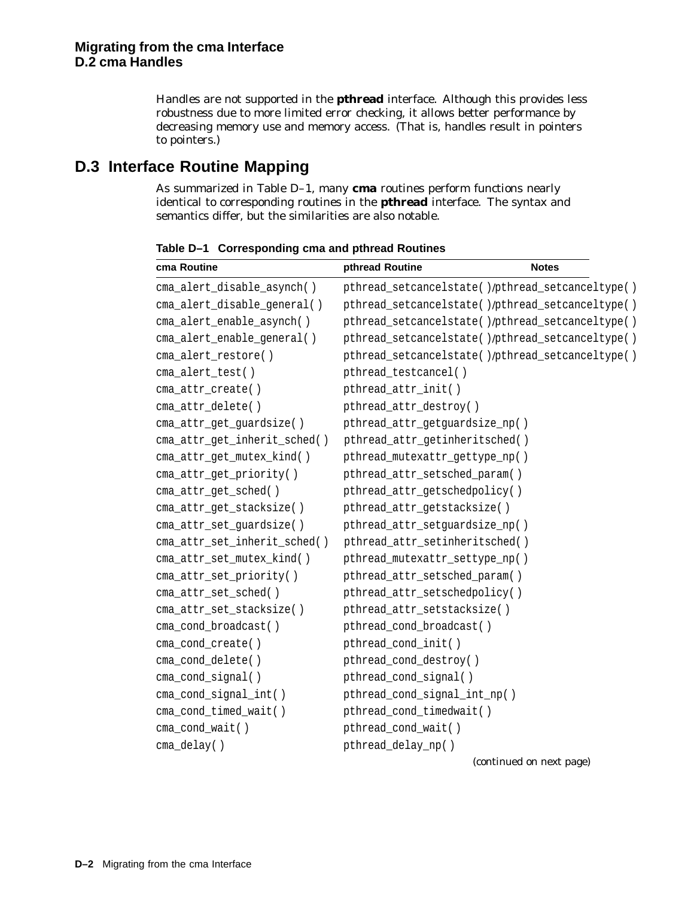Handles are not supported in the **pthread** interface. Although this provides less robustness due to more limited error checking, it allows better performance by decreasing memory use and memory access. (That is, handles result in pointers to pointers.)

# **D.3 Interface Routine Mapping**

As summarized in Table D–1, many **cma** routines perform functions nearly identical to corresponding routines in the **pthread** interface. The syntax and semantics differ, but the similarities are also notable.

| cma Routine                  | pthread Routine                | <b>Notes</b>                                     |
|------------------------------|--------------------------------|--------------------------------------------------|
| cma_alert_disable_asynch()   |                                | pthread_setcancelstate()/pthread_setcanceltype() |
| cma_alert_disable_general()  |                                | pthread_setcancelstate()/pthread_setcanceltype() |
| cma_alert_enable_asynch()    |                                | pthread_setcancelstate()/pthread_setcanceltype() |
| cma_alert_enable_general()   |                                | pthread_setcancelstate()/pthread_setcanceltype() |
| cma_alert_restore()          |                                | pthread_setcancelstate()/pthread_setcanceltype() |
| cma_alert_test()             | pthread_testcancel()           |                                                  |
| cma_attr_create()            | pthread_attr_init()            |                                                  |
| cma_attr_delete()            | pthread_attr_destroy()         |                                                  |
| cma_attr_get_guardsize()     | pthread_attr_getguardsize_np() |                                                  |
| cma_attr_get_inherit_sched() | pthread_attr_getinheritsched() |                                                  |
| cma_attr_get_mutex_kind()    | pthread_mutexattr_gettype_np() |                                                  |
| cma_attr_get_priority()      | pthread_attr_setsched_param()  |                                                  |
| cma_attr_get_sched()         | pthread_attr_getschedpolicy()  |                                                  |
| cma_attr_get_stacksize()     | pthread_attr_getstacksize()    |                                                  |
| cma_attr_set_guardsize()     | pthread_attr_setguardsize_np() |                                                  |
| cma_attr_set_inherit_sched() | pthread_attr_setinheritsched() |                                                  |
| cma_attr_set_mutex_kind()    | pthread_mutexattr_settype_np() |                                                  |
| cma_attr_set_priority()      | pthread_attr_setsched_param()  |                                                  |
| cma_attr_set_sched()         | pthread_attr_setschedpolicy()  |                                                  |
| cma_attr_set_stacksize()     | pthread_attr_setstacksize()    |                                                  |
| cma_cond_broadcast()         | pthread_cond_broadcast()       |                                                  |
| cma_cond_create()            | pthread_cond_init()            |                                                  |
| cma_cond_delete()            | pthread_cond_destroy()         |                                                  |
| cma_cond_signal()            | pthread_cond_signal()          |                                                  |
| cma_cond_signal_int()        | pthread_cond_signal_int_np()   |                                                  |
| cma_cond_timed_wait()        | pthread_cond_timedwait()       |                                                  |
| cma_cond_wait()              | pthread_cond_wait()            |                                                  |
| cma_delay()                  | pthread_delay_np()             |                                                  |
|                              |                                | (continued on next page)                         |

**Table D–1 Corresponding cma and pthread Routines**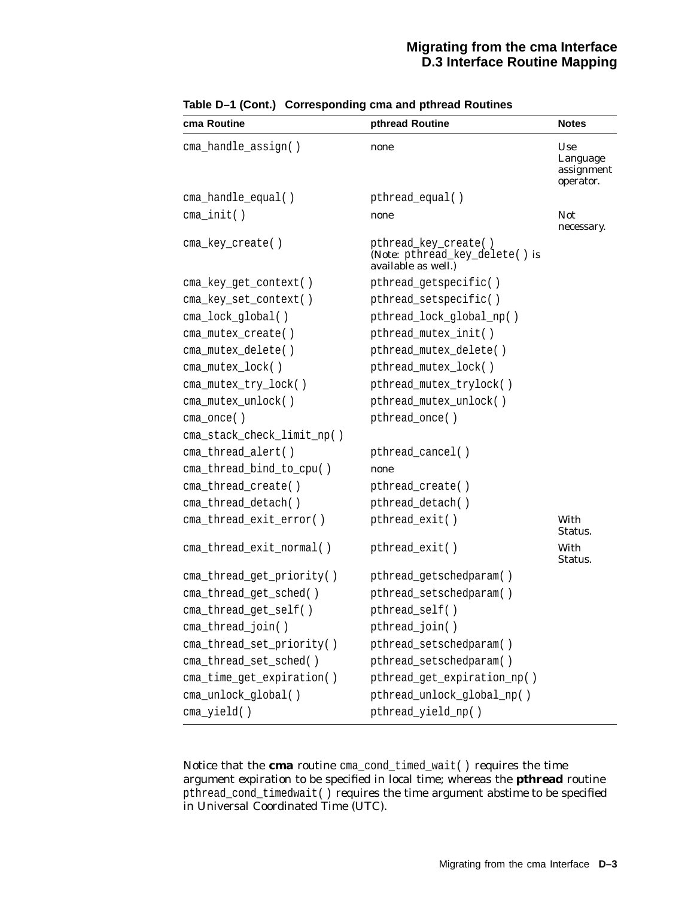## **Migrating from the cma Interface D.3 Interface Routine Mapping**

| cma Routine                | pthread Routine                                                               | <b>Notes</b>                               |
|----------------------------|-------------------------------------------------------------------------------|--------------------------------------------|
| cma_handle_assign()        | none                                                                          | Use<br>Language<br>assignment<br>operator. |
| cma_handle_equal()         | pthread_equal()                                                               |                                            |
| $cma\_init()$              | none                                                                          | <b>Not</b><br>necessary.                   |
| cma_key_create()           | pthread_key_create()<br>(Note: pthread_key_delete() is<br>available as well.) |                                            |
| cma_key_get_context()      | pthread_getspecific()                                                         |                                            |
| cma_key_set_context()      | pthread_setspecific()                                                         |                                            |
| cma_lock_global()          | pthread_lock_global_np()                                                      |                                            |
| cma_mutex_create()         | pthread_mutex_init()                                                          |                                            |
| cma_mutex_delete()         | pthread_mutex_delete()                                                        |                                            |
| cma_mutex_lock()           | pthread_mutex_lock()                                                          |                                            |
| cma_mutex_try_lock()       | pthread_mutex_trylock()                                                       |                                            |
| cma_mutex_unlock()         | pthread_mutex_unlock()                                                        |                                            |
| cma_once()                 | pthread_once()                                                                |                                            |
| cma_stack_check_limit_np() |                                                                               |                                            |
| cma_thread_alert()         | pthread_cancel()                                                              |                                            |
| cma_thread_bind_to_cpu()   | none                                                                          |                                            |
| cma_thread_create()        | pthread_create()                                                              |                                            |
| cma_thread_detach()        | pthread_detach()                                                              |                                            |
| cma_thread_exit_error()    | pthread_exit()                                                                | With<br>Status.                            |
| cma_thread_exit_normal()   | pthread_exit()                                                                | With<br>Status.                            |
| cma_thread_get_priority()  | pthread_getschedparam()                                                       |                                            |
| cma_thread_get_sched()     | pthread_setschedparam()                                                       |                                            |
| cma_thread_get_self()      | pthread_self()                                                                |                                            |
| cma_thread_join()          | pthread_join()                                                                |                                            |
| cma_thread_set_priority()  | pthread_setschedparam()                                                       |                                            |
| cma thread set sched()     | pthread_setschedparam()                                                       |                                            |
| cma_time_get_expiration()  | pthread_get_expiration_np()                                                   |                                            |
| cma_unlock_global()        | pthread_unlock_global_np()                                                    |                                            |
| cma_yield()                | pthread_yield_np()                                                            |                                            |

**Table D–1 (Cont.) Corresponding cma and pthread Routines**

Notice that the **cma** routine cma\_cond\_timed\_wait( ) requires the time argument *expiration* to be specified in local time; whereas the **pthread** routine pthread\_cond\_timedwait( ) requires the time argument *abstime* to be specified in Universal Coordinated Time (UTC).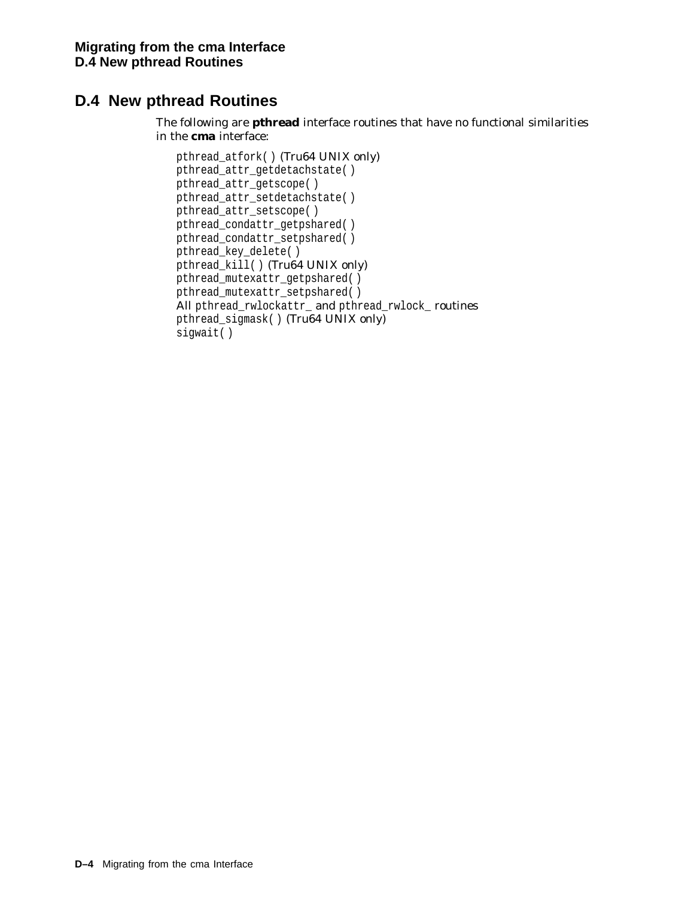# **D.4 New pthread Routines**

The following are **pthread** interface routines that have no functional similarities in the **cma** interface:

```
pthread_atfork( ) (Tru64 UNIX only)
pthread_attr_getdetachstate( )
pthread_attr_getscope( )
pthread_attr_setdetachstate( )
pthread_attr_setscope( )
pthread_condattr_getpshared( )
pthread_condattr_setpshared( )
pthread_key_delete( )
pthread_kill( ) (Tru64 UNIX only)
pthread_mutexattr_getpshared( )
pthread_mutexattr_setpshared( )
All pthread_rwlockattr_ and pthread_rwlock_ routines
pthread_sigmask( ) (Tru64 UNIX only)
sigwait( )
```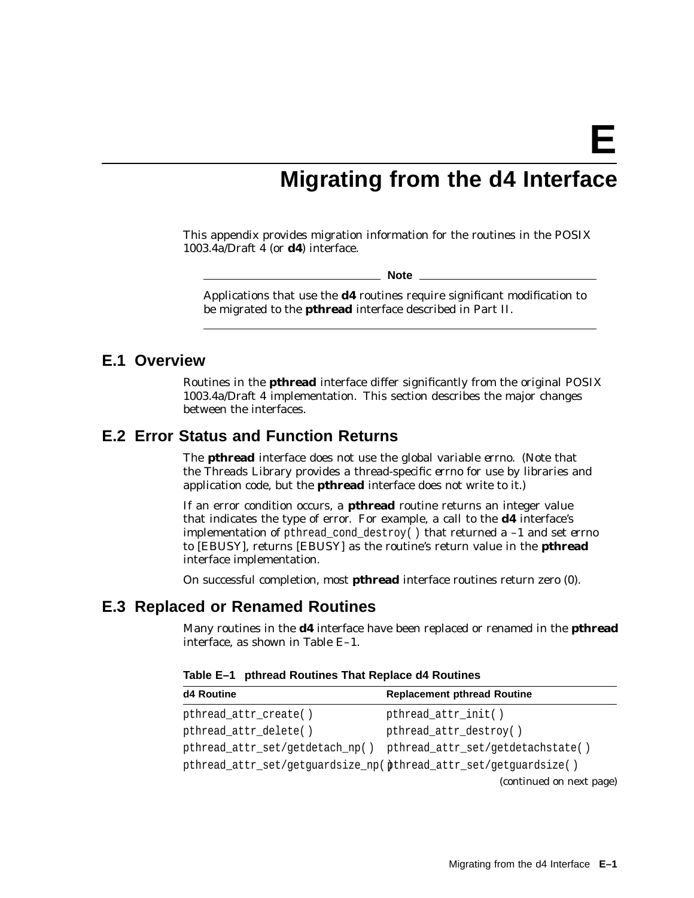**E**

# **Migrating from the d4 Interface**

This appendix provides migration information for the routines in the POSIX 1003.4a/Draft 4 (or **d4**) interface.

**Note**

Applications that use the **d4** routines require significant modification to be migrated to the **pthread** interface described in Part II.

## **E.1 Overview**

Routines in the **pthread** interface differ significantly from the original POSIX 1003.4a/Draft 4 implementation. This section describes the major changes between the interfaces.

# **E.2 Error Status and Function Returns**

The **pthread** interface does not use the global variable *errno*. (Note that the Threads Library provides a thread-specific *errno* for use by libraries and application code, but the **pthread** interface does not write to it.)

If an error condition occurs, a **pthread** routine returns an integer value that indicates the type of error. For example, a call to the **d4** interface's implementation of pthread\_cond\_destroy( ) that returned a –1 and set *errno* to [EBUSY], returns [EBUSY] as the routine's return value in the **pthread** interface implementation.

On successful completion, most **pthread** interface routines return zero (0).

## **E.3 Replaced or Renamed Routines**

Many routines in the **d4** interface have been replaced or renamed in the **pthread** interface, as shown in Table E–1.

| d4 Routine                                                         | <b>Replacement pthread Routine</b> |
|--------------------------------------------------------------------|------------------------------------|
| pthread_attr_create()                                              | pthread_attr_init()                |
| pthread_attr_delete()                                              | pthread_attr_destroy()             |
| pthread_attr_set/getdetach_np()                                    | pthread_attr_set/getdetachstate()  |
| pthread_attr_set/getguardsize_np( pthread_attr_set/getguardsize( ) |                                    |
|                                                                    | (continued on next page)           |

**Table E–1 pthread Routines That Replace d4 Routines**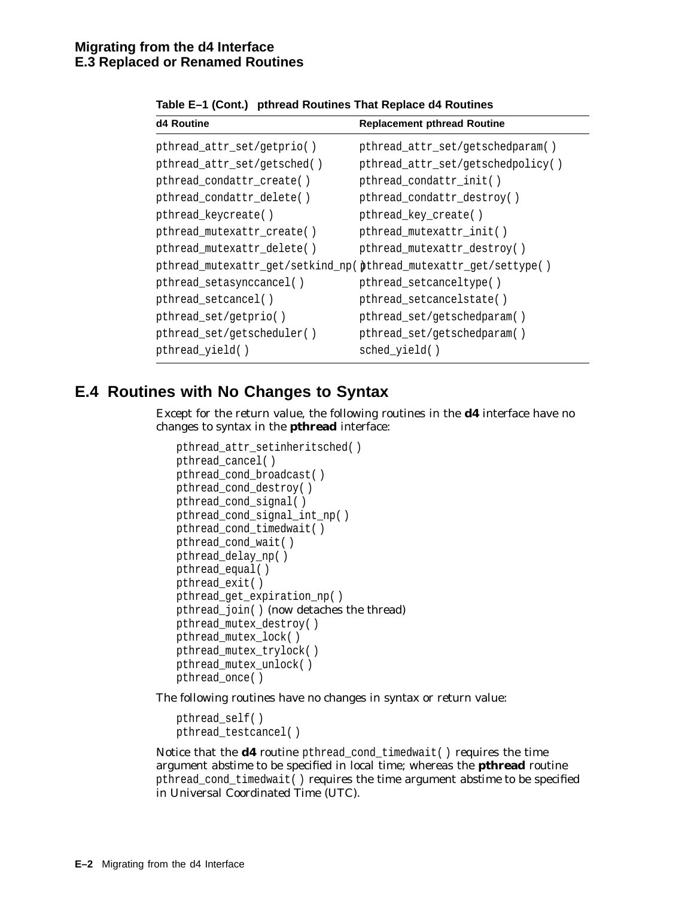| d4 Routine                  | <b>Replacement pthread Routine</b> |
|-----------------------------|------------------------------------|
| pthread_attr_set/getprio()  | pthread_attr_set/getschedparam()   |
| pthread_attr_set/getsched() | pthread_attr_set/getschedpolicy()  |
| pthread_condattr_create()   | pthread_condattr_init()            |
| pthread_condattr_delete()   | pthread_condattr_destroy()         |
| pthread_keycreate( )        | pthread_key_create()               |
| pthread_mutexattr_create()  | pthread_mutexattr_init()           |
| pthread_mutexattr_delete()  | pthread_mutexattr_destroy()        |
|                             |                                    |
| pthread_setasynccancel()    | pthread_setcanceltype()            |
| pthread_setcancel()         | pthread_setcancelstate()           |
| pthread_set/getprio()       | pthread_set/getschedparam()        |
| pthread_set/getscheduler()  | pthread_set/getschedparam()        |
| pthread_yield()             | sched_yield()                      |

**Table E–1 (Cont.) pthread Routines That Replace d4 Routines**

# **E.4 Routines with No Changes to Syntax**

Except for the return value, the following routines in the **d4** interface have no changes to syntax in the **pthread** interface:

```
pthread_attr_setinheritsched( )
pthread_cancel( )
pthread_cond_broadcast( )
pthread_cond_destroy( )
pthread_cond_signal( )
pthread_cond_signal_int_np( )
pthread_cond_timedwait( )
pthread_cond_wait( )
pthread_delay_np( )
pthread_equal( )
pthread_exit( )
pthread_get_expiration_np( )
pthread_join( ) (now detaches the thread)
pthread_mutex_destroy( )
pthread_mutex_lock( )
pthread_mutex_trylock( )
pthread_mutex_unlock( )
pthread_once( )
```
The following routines have no changes in syntax or return value:

```
pthread_self( )
pthread_testcancel( )
```
Notice that the **d4** routine pthread\_cond\_timedwait( ) requires the time argument *abstime* to be specified in local time; whereas the **pthread** routine pthread\_cond\_timedwait( ) requires the time argument *abstime* to be specified in Universal Coordinated Time (UTC).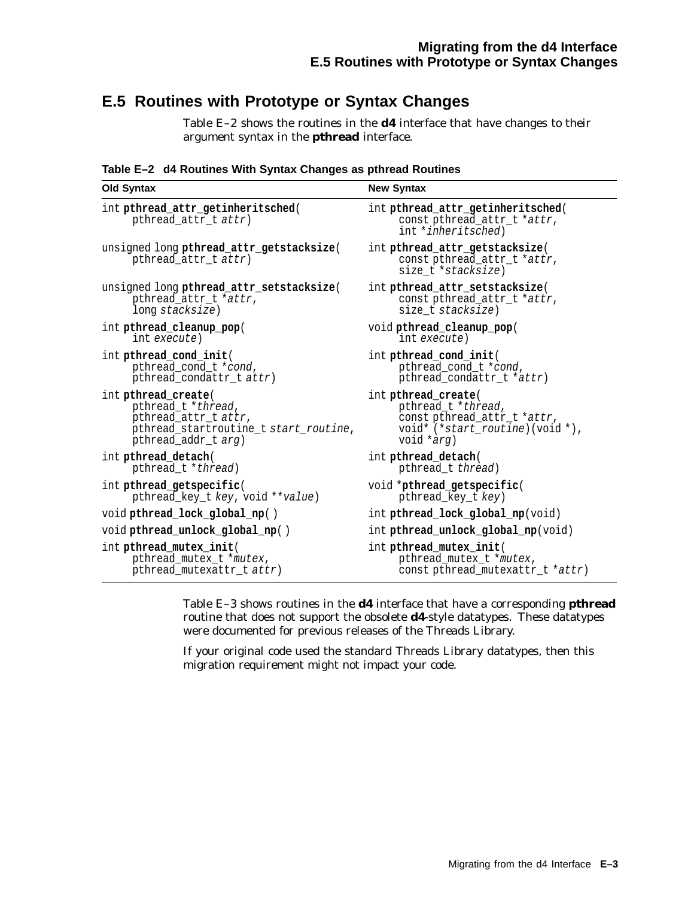# **E.5 Routines with Prototype or Syntax Changes**

Table E–2 shows the routines in the **d4** interface that have changes to their argument syntax in the **pthread** interface.

**Table E–2 d4 Routines With Syntax Changes as pthread Routines**

| <b>Old Syntax</b>                                                | <b>New Syntax</b>                                                                               |  |
|------------------------------------------------------------------|-------------------------------------------------------------------------------------------------|--|
| int pthread_attr_getinheritsched(<br>pthread_attr_t attr)        | int pthread attr getinheritsched(<br>const pthread_attr_t *attr,<br>int * <i>inheritsched</i> ) |  |
| unsigned long pthread_attr_getstacksize(<br>pthread_attr_t attr) | int pthread_attr_getstacksize(<br>const pthread_attr_t *attr,<br>size t *stacksize)             |  |
| unsigned long pthread_attr_setstacksize(                         | int pthread attr setstacksize(                                                                  |  |
| pthread_attr_t *attr,                                            | const pthread_attr_t *attr,                                                                     |  |
| long stacksize)                                                  | size t stacksize)                                                                               |  |
| int pthread_cleanup_pop(                                         | void pthread_cleanup_pop(                                                                       |  |
| int execute)                                                     | int execute)                                                                                    |  |
| int pthread_cond_init(                                           | int pthread_cond_init(                                                                          |  |
| pthread_cond_t *cond,                                            | pthread_cond_t *cond,                                                                           |  |
| pthread_condattr_t attr)                                         | pthread_condattr_t *attr)                                                                       |  |
| int pthread_create(                                              | int <b>pthread</b> create(                                                                      |  |
| pthread t *thread,                                               | pthread t *thread,                                                                              |  |
| pthread attr t attr,                                             | const pthread attr t *attr,                                                                     |  |
| pthread_startroutine_t start_routine,                            | void* $(*start\_routine)$ (void *),                                                             |  |
| pthread addr t arg)                                              | void *arg)                                                                                      |  |
| int <b>pthread detach</b> (                                      | int <b>pthread_detach</b> (                                                                     |  |
| pthread_t *thread)                                               | pthread t thread)                                                                               |  |
| int pthread_getspecific(                                         | void *pthread_getspecific(                                                                      |  |
| pthread_key_t key, void **value)                                 | pthread_key_t key)                                                                              |  |
| void pthread lock global np()                                    | int <b>pthread lock global np</b> (void)                                                        |  |
| void pthread_unlock_global_np()                                  | int pthread_unlock_global_np(void)                                                              |  |
| int pthread_mutex_init(                                          | int pthread_mutex_init(                                                                         |  |
| pthread_mutex_t *mutex,                                          | pthread_mutex_t *mutex,                                                                         |  |
| pthread_mutexattr_t attr)                                        | const pthread_mutexattr_t *attr)                                                                |  |

Table E–3 shows routines in the **d4** interface that have a corresponding **pthread** routine that does not support the obsolete **d4**-style datatypes. These datatypes were documented for previous releases of the Threads Library.

If your original code used the standard Threads Library datatypes, then this migration requirement might not impact your code.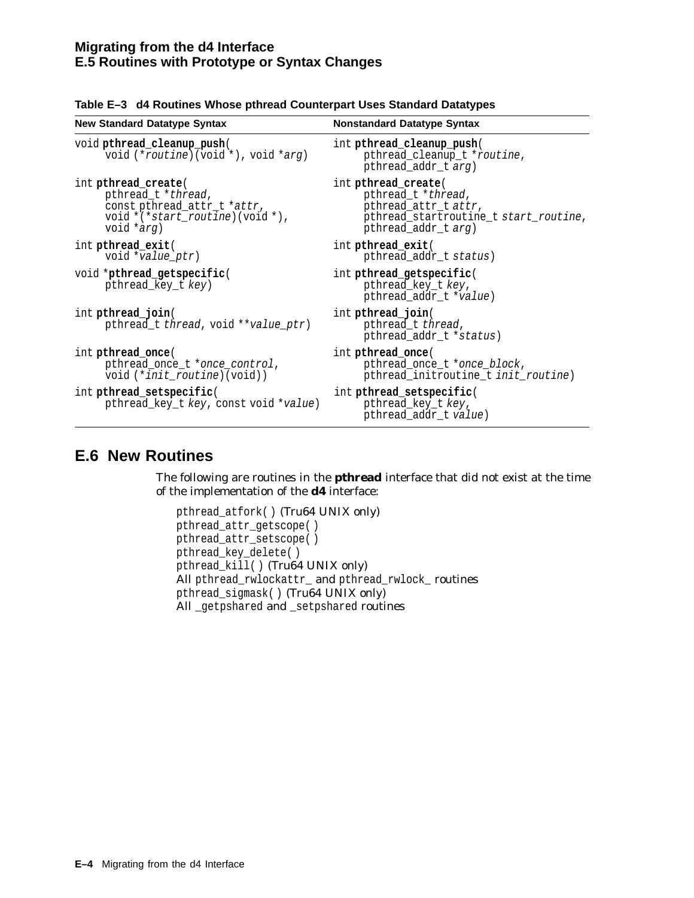| <b>New Standard Datatype Syntax</b>                                                                                                          | <b>Nonstandard Datatype Syntax</b>                                                                                                       |  |
|----------------------------------------------------------------------------------------------------------------------------------------------|------------------------------------------------------------------------------------------------------------------------------------------|--|
| void pthread cleanup push(<br>void $(*routine) (void *), void * arg)$                                                                        | int pthread_cleanup_push(<br>pthread_cleanup_t *routine,<br>pthread_addr_t <i>arg</i> )                                                  |  |
| int <b>pthread</b> create(<br>pthread_t *thread,<br>const pthread_attr_t *attr,<br>void $*(\star start\_routine)$ (void $*$ ),<br>void *arg) | int <b>pthread</b> create(<br>pthread_t *thread,<br>pthread_attr_t attr,<br>pthread_startroutine_t start_routine,<br>pthread_addr_t arg) |  |
| int <b>pthread</b> exit(<br>void *value ptr)                                                                                                 | int <b>pthread</b> exit(<br>pthread_addr_t status)                                                                                       |  |
| void *pthread getspecific(<br>pthread_key_t key)                                                                                             | int pthread_getspecific(<br>pthread_key_t key,<br>pthread_addr_t *value)                                                                 |  |
| int <b>pthread</b> join(<br>pthread_t thread, void **value_ptr)                                                                              | int <b>pthread</b> join(<br>pthread_t thread,<br>pthread_addr_t *status)                                                                 |  |
| int <b>pthread</b> once(<br>pthread_once_t *once_control,<br>void (* <i>init_routine</i> )(void))                                            | int <b>pthread</b> once(<br>pthread_once_t *once_block,<br>pthread_initroutine_t init_routine)                                           |  |
| int pthread setspecific(<br>pthread_key_t key, const void *value)                                                                            | int pthread_setspecific(<br>pthread_key_t key,<br>pthread_addr_t value)                                                                  |  |

|  | Table E-3 d4 Routines Whose pthread Counterpart Uses Standard Datatypes |
|--|-------------------------------------------------------------------------|
|--|-------------------------------------------------------------------------|

# **E.6 New Routines**

The following are routines in the **pthread** interface that did not exist at the time of the implementation of the **d4** interface:

```
pthread_atfork( ) (Tru64 UNIX only)
pthread_attr_getscope( )
pthread_attr_setscope( )
pthread_key_delete( )
pthread_kill( ) (Tru64 UNIX only)
All pthread_rwlockattr_ and pthread_rwlock_ routines
pthread_sigmask( ) (Tru64 UNIX only)
All _getpshared and _setpshared routines
```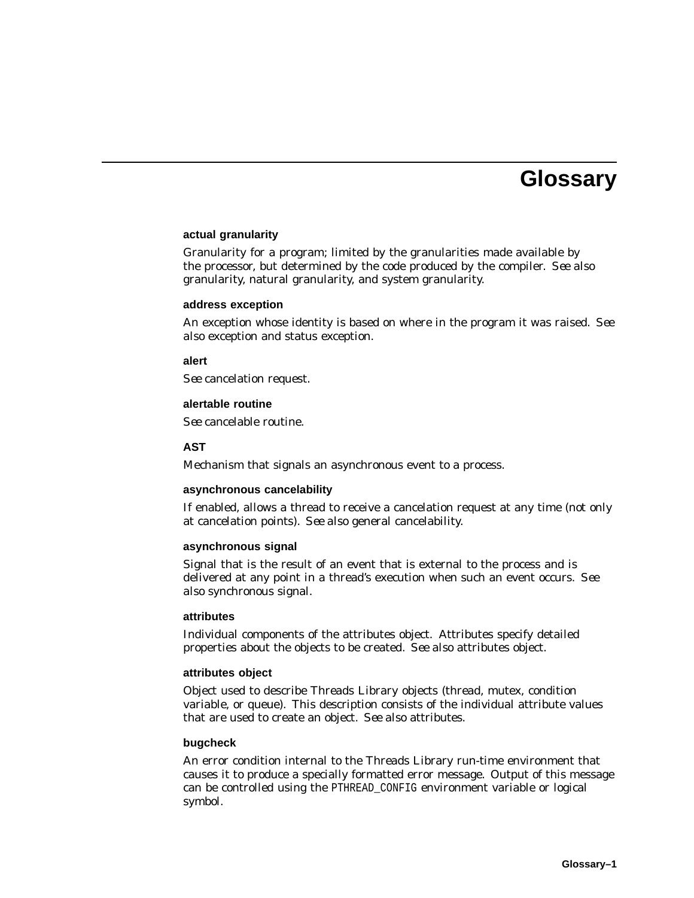# **Glossary**

#### **actual granularity**

Granularity for a program; limited by the granularities made available by the processor, but determined by the code produced by the compiler. *See also* granularity, natural granularity, and system granularity.

#### **address exception**

An exception whose identity is based on where in the program it was raised. *See also* exception and status exception.

#### **alert**

*See* cancelation request.

#### **alertable routine**

*See* cancelable routine.

#### **AST**

Mechanism that signals an asynchronous event to a process.

#### **asynchronous cancelability**

If enabled, allows a thread to receive a cancelation request at any time (not only at cancelation points). *See also* general cancelability.

#### **asynchronous signal**

Signal that is the result of an event that is external to the process and is delivered at any point in a thread's execution when such an event occurs. *See also* synchronous signal.

#### **attributes**

Individual components of the attributes object. Attributes specify detailed properties about the objects to be created. *See also* attributes object.

#### **attributes object**

Object used to describe Threads Library objects (thread, mutex, condition variable, or queue). This description consists of the individual attribute values that are used to create an object. *See also* attributes.

#### **bugcheck**

An error condition internal to the Threads Library run-time environment that causes it to produce a specially formatted error message. Output of this message can be controlled using the PTHREAD\_CONFIG environment variable or logical symbol.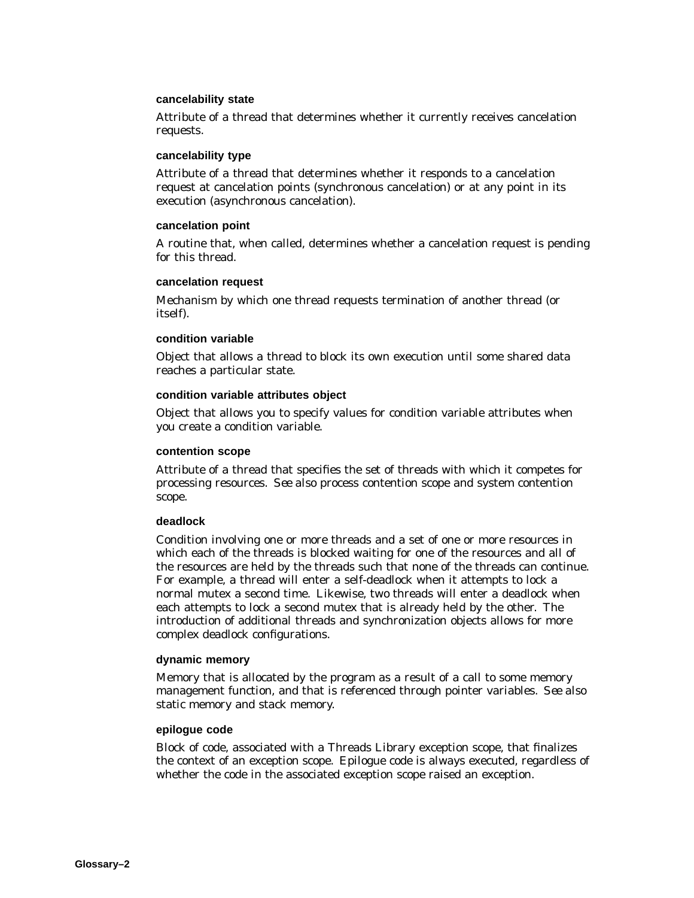#### **cancelability state**

Attribute of a thread that determines whether it currently receives cancelation requests.

#### **cancelability type**

Attribute of a thread that determines whether it responds to a cancelation request at cancelation points (synchronous cancelation) or at any point in its execution (asynchronous cancelation).

#### **cancelation point**

A routine that, when called, determines whether a cancelation request is pending for this thread.

#### **cancelation request**

Mechanism by which one thread requests termination of another thread (or itself).

#### **condition variable**

Object that allows a thread to block its own execution until some shared data reaches a particular state.

#### **condition variable attributes object**

Object that allows you to specify values for condition variable attributes when you create a condition variable.

#### **contention scope**

Attribute of a thread that specifies the set of threads with which it competes for processing resources. *See also* process contention scope and system contention scope.

#### **deadlock**

Condition involving one or more threads and a set of one or more resources in which each of the threads is blocked waiting for one of the resources and all of the resources are held by the threads such that none of the threads can continue. For example, a thread will enter a self-deadlock when it attempts to lock a normal mutex a second time. Likewise, two threads will enter a deadlock when each attempts to lock a second mutex that is already held by the other. The introduction of additional threads and synchronization objects allows for more complex deadlock configurations.

#### **dynamic memory**

Memory that is allocated by the program as a result of a call to some memory management function, and that is referenced through pointer variables. *See also* static memory and stack memory.

#### **epilogue code**

Block of code, associated with a Threads Library exception scope, that finalizes the context of an exception scope. Epilogue code is always executed, regardless of whether the code in the associated exception scope raised an exception.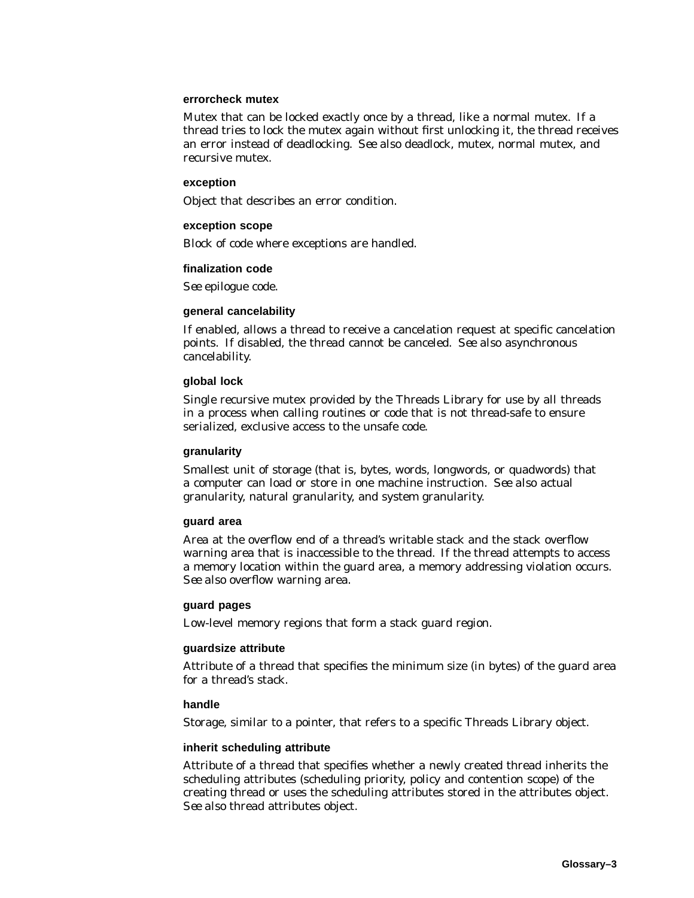#### **errorcheck mutex**

Mutex that can be locked exactly once by a thread, like a normal mutex. If a thread tries to lock the mutex again without first unlocking it, the thread receives an error instead of deadlocking. *See also* deadlock, mutex, normal mutex, and recursive mutex.

#### **exception**

Object that describes an error condition.

#### **exception scope**

Block of code where exceptions are handled.

#### **finalization code**

*See* epilogue code.

#### **general cancelability**

If enabled, allows a thread to receive a cancelation request at specific cancelation points. If disabled, the thread cannot be canceled. *See also* asynchronous cancelability.

#### **global lock**

Single recursive mutex provided by the Threads Library for use by all threads in a process when calling routines or code that is not thread-safe to ensure serialized, exclusive access to the unsafe code.

#### **granularity**

Smallest unit of storage (that is, bytes, words, longwords, or quadwords) that a computer can load or store in one machine instruction. *See also* actual granularity, natural granularity, and system granularity.

#### **guard area**

Area at the overflow end of a thread's writable stack and the stack overflow warning area that is inaccessible to the thread. If the thread attempts to access a memory location within the guard area, a memory addressing violation occurs. *See also* overflow warning area.

#### **guard pages**

Low-level memory regions that form a stack guard region.

#### **guardsize attribute**

Attribute of a thread that specifies the minimum size (in bytes) of the guard area for a thread's stack.

#### **handle**

Storage, similar to a pointer, that refers to a specific Threads Library object.

#### **inherit scheduling attribute**

Attribute of a thread that specifies whether a newly created thread inherits the scheduling attributes (scheduling priority, policy and contention scope) of the creating thread or uses the scheduling attributes stored in the attributes object. *See also* thread attributes object.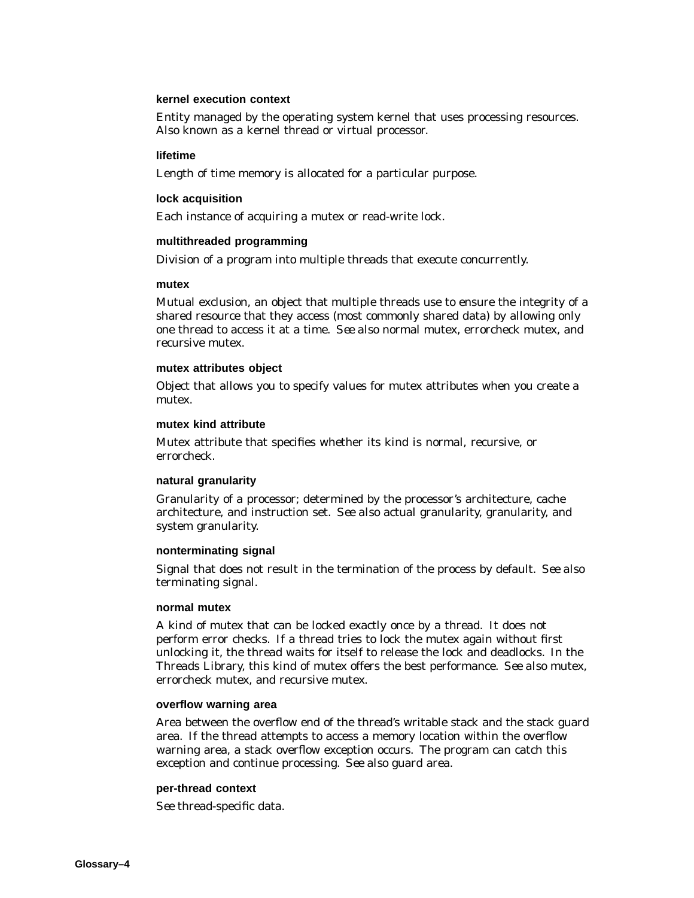#### **kernel execution context**

Entity managed by the operating system kernel that uses processing resources. Also known as a kernel thread or virtual processor.

#### **lifetime**

Length of time memory is allocated for a particular purpose.

#### **lock acquisition**

Each instance of acquiring a mutex or read-write lock.

#### **multithreaded programming**

Division of a program into multiple threads that execute concurrently.

#### **mutex**

Mutual exclusion, an object that multiple threads use to ensure the integrity of a shared resource that they access (most commonly shared data) by allowing only one thread to access it at a time. *See also* normal mutex, errorcheck mutex, and recursive mutex.

#### **mutex attributes object**

Object that allows you to specify values for mutex attributes when you create a mutex.

#### **mutex kind attribute**

Mutex attribute that specifies whether its kind is normal, recursive, or errorcheck.

#### **natural granularity**

Granularity of a processor; determined by the processor's architecture, cache architecture, and instruction set. *See also* actual granularity, granularity, and system granularity.

#### **nonterminating signal**

Signal that does not result in the termination of the process by default. *See also* terminating signal.

#### **normal mutex**

A kind of mutex that can be locked exactly once by a thread. It does not perform error checks. If a thread tries to lock the mutex again without first unlocking it, the thread waits for itself to release the lock and deadlocks. In the Threads Library, this kind of mutex offers the best performance. *See also* mutex, errorcheck mutex, and recursive mutex.

#### **overflow warning area**

Area between the overflow end of the thread's writable stack and the stack guard area. If the thread attempts to access a memory location within the overflow warning area, a stack overflow exception occurs. The program can catch this exception and continue processing. *See also* guard area.

#### **per-thread context**

*See* thread-specific data.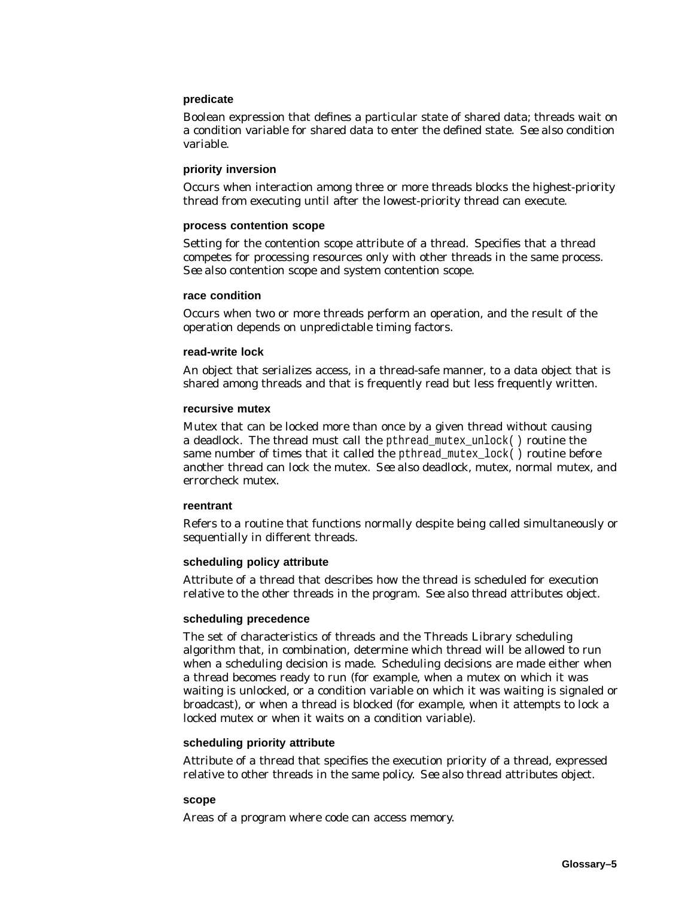#### **predicate**

Boolean expression that defines a particular state of shared data; threads wait on a condition variable for shared data to enter the defined state. *See also* condition variable.

#### **priority inversion**

Occurs when interaction among three or more threads blocks the highest-priority thread from executing until after the lowest-priority thread can execute.

#### **process contention scope**

Setting for the contention scope attribute of a thread. Specifies that a thread competes for processing resources only with other threads in the same process. *See also* contention scope and system contention scope.

#### **race condition**

Occurs when two or more threads perform an operation, and the result of the operation depends on unpredictable timing factors.

#### **read-write lock**

An object that serializes access, in a thread-safe manner, to a data object that is shared among threads and that is frequently read but less frequently written.

#### **recursive mutex**

Mutex that can be locked more than once by a given thread without causing a deadlock. The thread must call the pthread\_mutex\_unlock( ) routine the same number of times that it called the pthread mutex  $lock( )$  routine before another thread can lock the mutex. *See also* deadlock, mutex, normal mutex, and errorcheck mutex.

#### **reentrant**

Refers to a routine that functions normally despite being called simultaneously or sequentially in different threads.

#### **scheduling policy attribute**

Attribute of a thread that describes how the thread is scheduled for execution relative to the other threads in the program. *See also* thread attributes object.

#### **scheduling precedence**

The set of characteristics of threads and the Threads Library scheduling algorithm that, in combination, determine which thread will be allowed to run when a scheduling decision is made. Scheduling decisions are made either when a thread becomes ready to run (for example, when a mutex on which it was waiting is unlocked, or a condition variable on which it was waiting is signaled or broadcast), or when a thread is blocked (for example, when it attempts to lock a locked mutex or when it waits on a condition variable).

#### **scheduling priority attribute**

Attribute of a thread that specifies the execution priority of a thread, expressed relative to other threads in the same policy. *See also* thread attributes object.

#### **scope**

Areas of a program where code can access memory.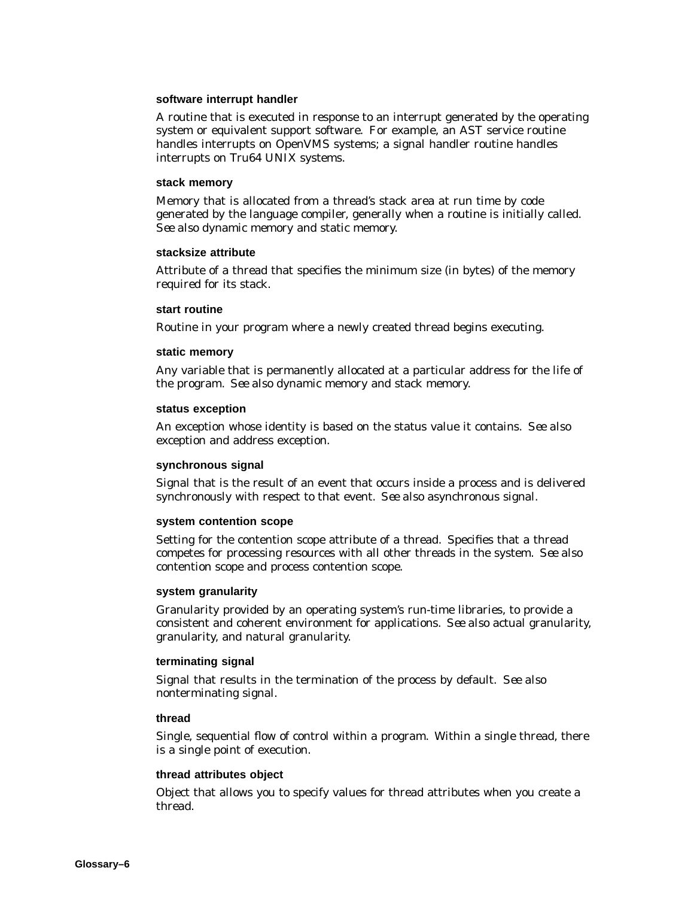#### **software interrupt handler**

A routine that is executed in response to an interrupt generated by the operating system or equivalent support software. For example, an AST service routine handles interrupts on OpenVMS systems; a signal handler routine handles interrupts on Tru64 UNIX systems.

#### **stack memory**

Memory that is allocated from a thread's stack area at run time by code generated by the language compiler, generally when a routine is initially called. *See also* dynamic memory and static memory.

#### **stacksize attribute**

Attribute of a thread that specifies the minimum size (in bytes) of the memory required for its stack.

#### **start routine**

Routine in your program where a newly created thread begins executing.

#### **static memory**

Any variable that is permanently allocated at a particular address for the life of the program. *See also* dynamic memory and stack memory.

#### **status exception**

An exception whose identity is based on the status value it contains. *See also* exception and address exception.

#### **synchronous signal**

Signal that is the result of an event that occurs inside a process and is delivered synchronously with respect to that event. *See also* asynchronous signal.

#### **system contention scope**

Setting for the contention scope attribute of a thread. Specifies that a thread competes for processing resources with all other threads in the system. *See also* contention scope and process contention scope.

#### **system granularity**

Granularity provided by an operating system's run-time libraries, to provide a consistent and coherent environment for applications. *See also* actual granularity, granularity, and natural granularity.

#### **terminating signal**

Signal that results in the termination of the process by default. *See also* nonterminating signal.

#### **thread**

Single, sequential flow of control within a program. Within a single thread, there is a single point of execution.

#### **thread attributes object**

Object that allows you to specify values for thread attributes when you create a thread.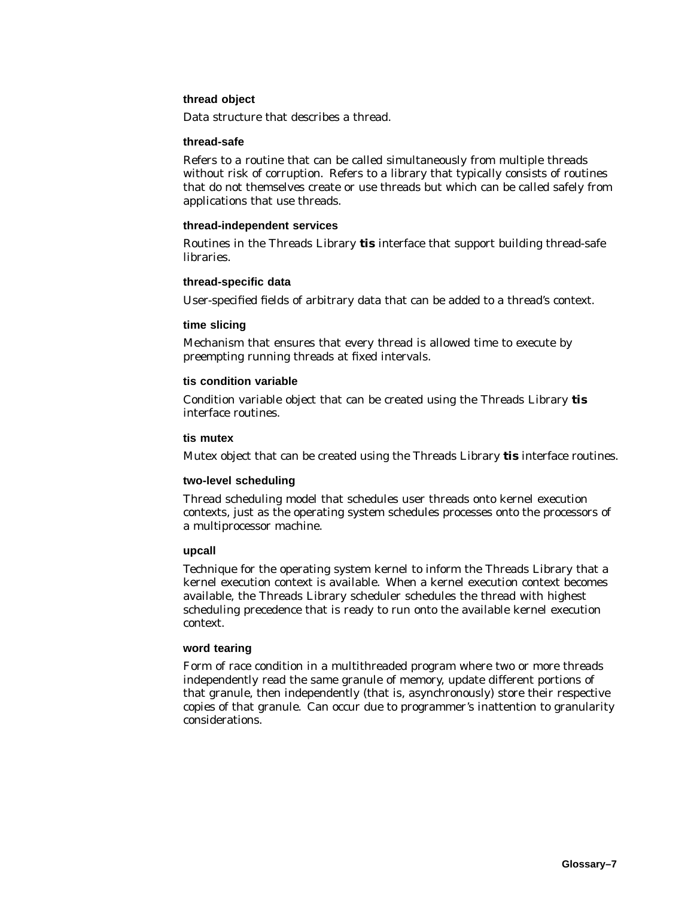#### **thread object**

Data structure that describes a thread.

#### **thread-safe**

Refers to a routine that can be called simultaneously from multiple threads without risk of corruption. Refers to a library that typically consists of routines that do not themselves create or use threads but which can be called safely from applications that use threads.

#### **thread-independent services**

Routines in the Threads Library **tis** interface that support building thread-safe libraries.

#### **thread-specific data**

User-specified fields of arbitrary data that can be added to a thread's context.

#### **time slicing**

Mechanism that ensures that every thread is allowed time to execute by preempting running threads at fixed intervals.

#### **tis condition variable**

Condition variable object that can be created using the Threads Library **tis** interface routines.

#### **tis mutex**

Mutex object that can be created using the Threads Library **tis** interface routines.

#### **two-level scheduling**

Thread scheduling model that schedules user threads onto kernel execution contexts, just as the operating system schedules processes onto the processors of a multiprocessor machine.

#### **upcall**

Technique for the operating system kernel to inform the Threads Library that a kernel execution context is available. When a kernel execution context becomes available, the Threads Library scheduler schedules the thread with highest scheduling precedence that is ready to run onto the available kernel execution context.

#### **word tearing**

Form of race condition in a multithreaded program where two or more threads independently read the same granule of memory, update different portions of that granule, then independently (that is, asynchronously) store their respective copies of that granule. Can occur due to programmer's inattention to granularity considerations.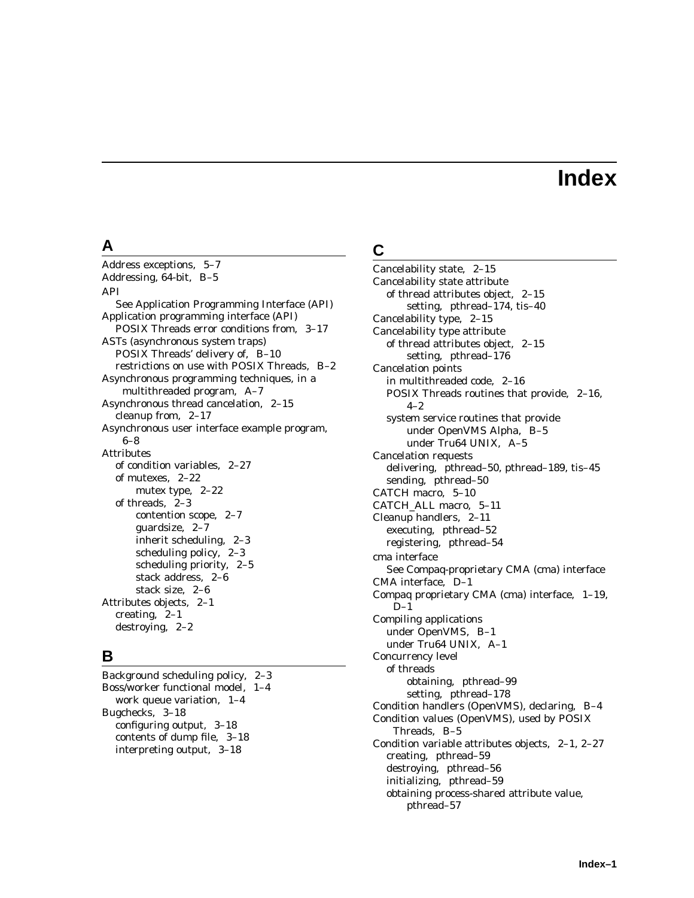# **Index**

### **A**

Address exceptions, 5–7 Addressing, 64-bit, B–5 API See Application Programming Interface (API) Application programming interface (API) POSIX Threads error conditions from, 3–17 ASTs (asynchronous system traps) POSIX Threads' delivery of, B–10 restrictions on use with POSIX Threads, B–2 Asynchronous programming techniques, in a multithreaded program, A–7 Asynchronous thread cancelation, 2–15 cleanup from, 2–17 Asynchronous user interface example program, 6–8 Attributes of condition variables, 2–27 of mutexes, 2–22 mutex type, 2–22 of threads, 2–3 contention scope, 2–7 guardsize, 2–7 inherit scheduling, 2–3 scheduling policy, 2–3 scheduling priority, 2–5 stack address, 2–6 stack size, 2–6 Attributes objects, 2–1 creating, 2–1 destroying, 2–2

# **B**

Background scheduling policy, 2–3 Boss/worker functional model, 1–4 work queue variation, 1–4 Bugchecks, 3–18 configuring output, 3–18 contents of dump file, 3–18 interpreting output, 3–18

# **C**

Cancelability state, 2–15 Cancelability state attribute of thread attributes object, 2–15 setting, pthread–174, tis–40 Cancelability type, 2–15 Cancelability type attribute of thread attributes object, 2–15 setting, pthread–176 Cancelation points in multithreaded code, 2–16 POSIX Threads routines that provide, 2–16, 4–2 system service routines that provide under OpenVMS Alpha, B–5 under Tru64 UNIX, A–5 Cancelation requests delivering, pthread–50, pthread–189, tis–45 sending, pthread–50 CATCH macro, 5–10 CATCH\_ALL macro, 5–11 Cleanup handlers, 2–11 executing, pthread–52 registering, pthread–54 cma interface See Compaq-proprietary CMA (cma) interface CMA interface, D–1 Compaq proprietary CMA (cma) interface, 1–19,  $D-1$ Compiling applications under OpenVMS, B–1 under Tru64 UNIX, A–1 Concurrency level of threads obtaining, pthread–99 setting, pthread–178 Condition handlers (OpenVMS), declaring, B–4 Condition values (OpenVMS), used by POSIX Threads, B–5 Condition variable attributes objects, 2–1, 2–27 creating, pthread–59 destroying, pthread–56 initializing, pthread–59 obtaining process-shared attribute value, pthread–57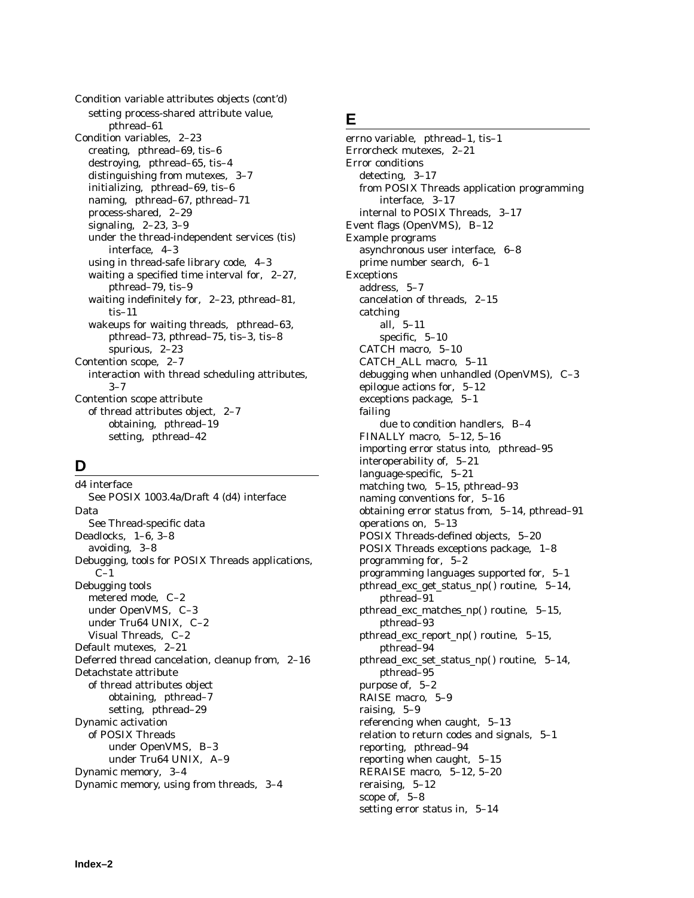Condition variable attributes objects (cont'd) setting process-shared attribute value, pthread–61 Condition variables, 2–23 creating, pthread–69, tis–6 destroying, pthread–65, tis–4 distinguishing from mutexes, 3–7 initializing, pthread–69, tis–6 naming, pthread–67, pthread–71 process-shared, 2–29 signaling, 2–23, 3–9 under the thread-independent services (tis) interface, 4–3 using in thread-safe library code, 4–3 waiting a specified time interval for, 2–27, pthread–79, tis–9 waiting indefinitely for, 2–23, pthread–81, tis–11 wakeups for waiting threads, pthread–63, pthread–73, pthread–75, tis–3, tis–8 spurious, 2–23 Contention scope, 2–7 interaction with thread scheduling attributes, 3–7 Contention scope attribute of thread attributes object, 2–7 obtaining, pthread–19 setting, pthread–42

# **D**

d4 interface See POSIX 1003.4a/Draft 4 (d4) interface Data See Thread-specific data Deadlocks, 1–6, 3–8 avoiding, 3–8 Debugging, tools for POSIX Threads applications,  $C-1$ Debugging tools metered mode, C–2 under OpenVMS, C–3 under Tru64 UNIX, C–2 Visual Threads, C–2 Default mutexes, 2–21 Deferred thread cancelation, cleanup from, 2–16 Detachstate attribute of thread attributes object obtaining, pthread–7 setting, pthread–29 Dynamic activation of POSIX Threads under OpenVMS, B–3 under Tru64 UNIX, A–9 Dynamic memory, 3–4 Dynamic memory, using from threads, 3–4

### **E**

errno variable, pthread–1, tis–1 Errorcheck mutexes, 2–21 Error conditions detecting, 3–17 from POSIX Threads application programming interface, 3–17 internal to POSIX Threads, 3–17 Event flags (OpenVMS), B–12 Example programs asynchronous user interface, 6–8 prime number search, 6–1 Exceptions address, 5–7 cancelation of threads, 2–15 catching all, 5–11 specific, 5–10 CATCH macro, 5–10 CATCH\_ALL macro, 5–11 debugging when unhandled (OpenVMS), C–3 epilogue actions for, 5–12 exceptions package, 5–1 failing due to condition handlers, B–4 FINALLY macro, 5–12, 5–16 importing error status into, pthread–95 interoperability of, 5–21 language-specific, 5–21 matching two, 5–15, pthread–93 naming conventions for, 5–16 obtaining error status from, 5–14, pthread–91 operations on, 5–13 POSIX Threads-defined objects, 5–20 POSIX Threads exceptions package, 1–8 programming for, 5–2 programming languages supported for, 5–1 pthread\_exc\_get\_status\_np( ) routine, 5–14, pthread–91 pthread\_exc\_matches\_np() routine, 5-15, pthread–93 pthread\_exc\_report\_np( ) routine, 5–15, pthread–94 pthread\_exc\_set\_status\_np( ) routine, 5–14, pthread–95 purpose of, 5–2 RAISE macro, 5–9 raising, 5–9 referencing when caught, 5–13 relation to return codes and signals, 5–1 reporting, pthread–94 reporting when caught, 5–15 RERAISE macro, 5–12, 5–20 reraising, 5–12 scope of, 5–8 setting error status in, 5–14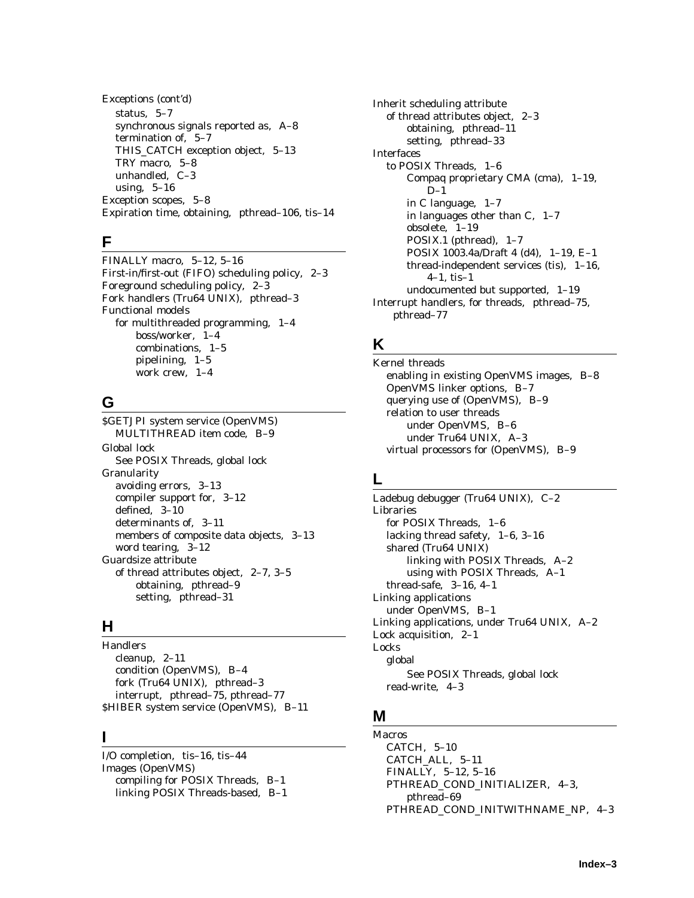Exceptions (cont'd) status, 5–7 synchronous signals reported as, A–8 termination of, 5–7 THIS\_CATCH exception object, 5–13 TRY macro, 5–8 unhandled, C–3 using, 5–16 Exception scopes, 5–8 Expiration time, obtaining, pthread–106, tis–14

# **F**

FINALLY macro, 5–12, 5–16 First-in/first-out (FIFO) scheduling policy, 2–3 Foreground scheduling policy, 2–3 Fork handlers (Tru64 UNIX), pthread–3 Functional models for multithreaded programming, 1–4 boss/worker, 1–4 combinations, 1–5 pipelining, 1–5 work crew, 1–4

# **G**

\$GETJPI system service (OpenVMS) MULTITHREAD item code, B–9 Global lock See POSIX Threads, global lock Granularity avoiding errors, 3–13 compiler support for, 3–12 defined, 3–10 determinants of, 3–11 members of composite data objects, 3–13 word tearing, 3–12 Guardsize attribute of thread attributes object, 2–7, 3–5 obtaining, pthread–9 setting, pthread–31

# **H**

**Handlers** cleanup, 2–11 condition (OpenVMS), B–4 fork (Tru64 UNIX), pthread–3 interrupt, pthread–75, pthread–77 \$HIBER system service (OpenVMS), B–11

### **I**

I/O completion, tis–16, tis–44 Images (OpenVMS) compiling for POSIX Threads, B–1 linking POSIX Threads-based, B–1 Inherit scheduling attribute of thread attributes object, 2–3 obtaining, pthread–11 setting, pthread–33 Interfaces to POSIX Threads, 1–6 Compaq proprietary CMA (cma), 1–19,  $D-1$ in C language, 1–7 in languages other than C, 1–7 obsolete, 1–19 POSIX.1 (pthread), 1–7 POSIX 1003.4a/Draft 4 (d4), 1–19, E–1 thread-independent services (tis), 1–16, 4–1, tis–1 undocumented but supported, 1–19 Interrupt handlers, for threads, pthread–75, pthread–77

# **K**

Kernel threads enabling in existing OpenVMS images, B–8 OpenVMS linker options, B–7 querying use of (OpenVMS), B–9 relation to user threads under OpenVMS, B–6 under Tru64 UNIX, A–3 virtual processors for (OpenVMS), B–9

# **L**

Ladebug debugger (Tru64 UNIX), C–2 Libraries for POSIX Threads, 1–6 lacking thread safety, 1–6, 3–16 shared (Tru64 UNIX) linking with POSIX Threads, A–2 using with POSIX Threads, A–1 thread-safe, 3–16, 4–1 Linking applications under OpenVMS, B–1 Linking applications, under Tru64 UNIX, A–2 Lock acquisition, 2–1 Locks global See POSIX Threads, global lock read-write, 4–3

# **M**

Macros CATCH, 5–10 CATCH\_ALL, 5–11 FINALLY, 5–12, 5–16 PTHREAD\_COND\_INITIALIZER, 4–3, pthread–69 PTHREAD\_COND\_INITWITHNAME\_NP, 4–3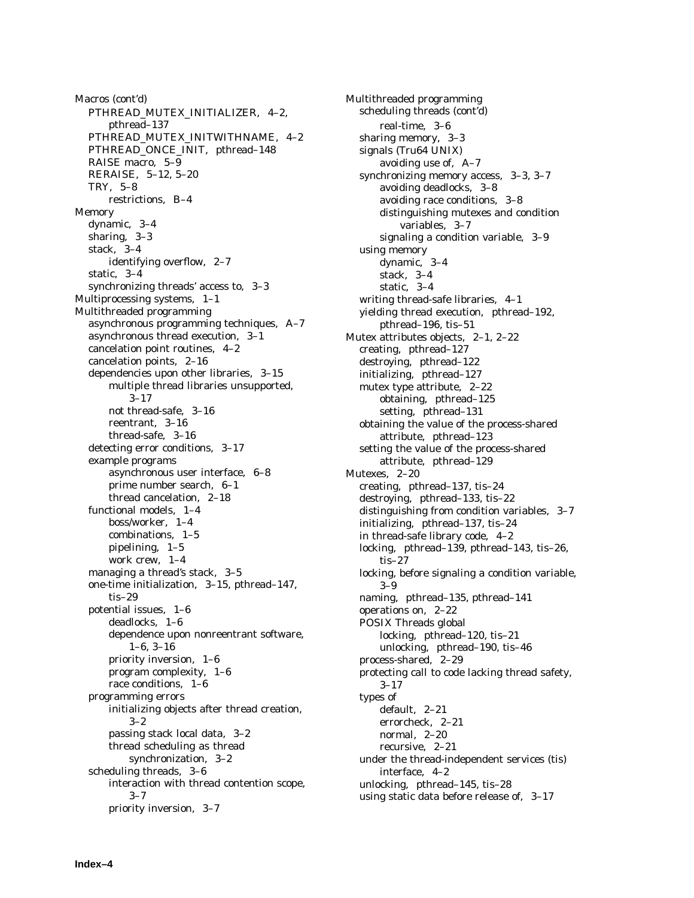Macros (cont'd) PTHREAD\_MUTEX\_INITIALIZER, 4–2, pthread–137 PTHREAD\_MUTEX\_INITWITHNAME, 4–2 PTHREAD\_ONCE\_INIT, pthread–148 RAISE macro, 5–9 RERAISE, 5–12, 5–20 TRY, 5–8 restrictions, B–4 Memory dynamic, 3–4 sharing, 3–3 stack, 3–4 identifying overflow, 2–7 static, 3–4 synchronizing threads' access to, 3–3 Multiprocessing systems, 1–1 Multithreaded programming asynchronous programming techniques, A–7 asynchronous thread execution, 3–1 cancelation point routines, 4–2 cancelation points, 2–16 dependencies upon other libraries, 3–15 multiple thread libraries unsupported, 3–17 not thread-safe, 3–16 reentrant, 3–16 thread-safe, 3–16 detecting error conditions, 3–17 example programs asynchronous user interface, 6–8 prime number search, 6–1 thread cancelation, 2–18 functional models, 1–4 boss/worker, 1–4 combinations, 1–5 pipelining, 1–5 work crew, 1–4 managing a thread's stack, 3–5 one-time initialization, 3–15, pthread–147, tis–29 potential issues, 1–6 deadlocks, 1–6 dependence upon nonreentrant software, 1–6, 3–16 priority inversion, 1–6 program complexity, 1–6 race conditions, 1–6 programming errors initializing objects after thread creation, 3–2 passing stack local data, 3–2 thread scheduling as thread synchronization, 3–2 scheduling threads, 3–6 interaction with thread contention scope,  $3 - 7$ priority inversion, 3–7

Multithreaded programming scheduling threads (cont'd) real-time, 3–6 sharing memory, 3–3 signals (Tru64 UNIX) avoiding use of, A–7 synchronizing memory access, 3–3, 3–7 avoiding deadlocks, 3–8 avoiding race conditions, 3–8 distinguishing mutexes and condition variables, 3–7 signaling a condition variable, 3–9 using memory dynamic, 3–4 stack, 3–4 static, 3–4 writing thread-safe libraries, 4–1 yielding thread execution, pthread–192, pthread–196, tis–51 Mutex attributes objects, 2–1, 2–22 creating, pthread–127 destroying, pthread–122 initializing, pthread–127 mutex type attribute, 2–22 obtaining, pthread–125 setting, pthread–131 obtaining the value of the process-shared attribute, pthread–123 setting the value of the process-shared attribute, pthread–129 Mutexes, 2–20 creating, pthread–137, tis–24 destroying, pthread–133, tis–22 distinguishing from condition variables, 3–7 initializing, pthread–137, tis–24 in thread-safe library code, 4–2 locking, pthread–139, pthread–143, tis–26, tis–27 locking, before signaling a condition variable, 3–9 naming, pthread–135, pthread–141 operations on, 2–22 POSIX Threads global locking, pthread–120, tis–21 unlocking, pthread–190, tis–46 process-shared, 2–29 protecting call to code lacking thread safety, 3–17 types of default, 2–21 errorcheck, 2–21 normal, 2–20 recursive, 2–21 under the thread-independent services (tis) interface, 4–2 unlocking, pthread–145, tis–28 using static data before release of, 3–17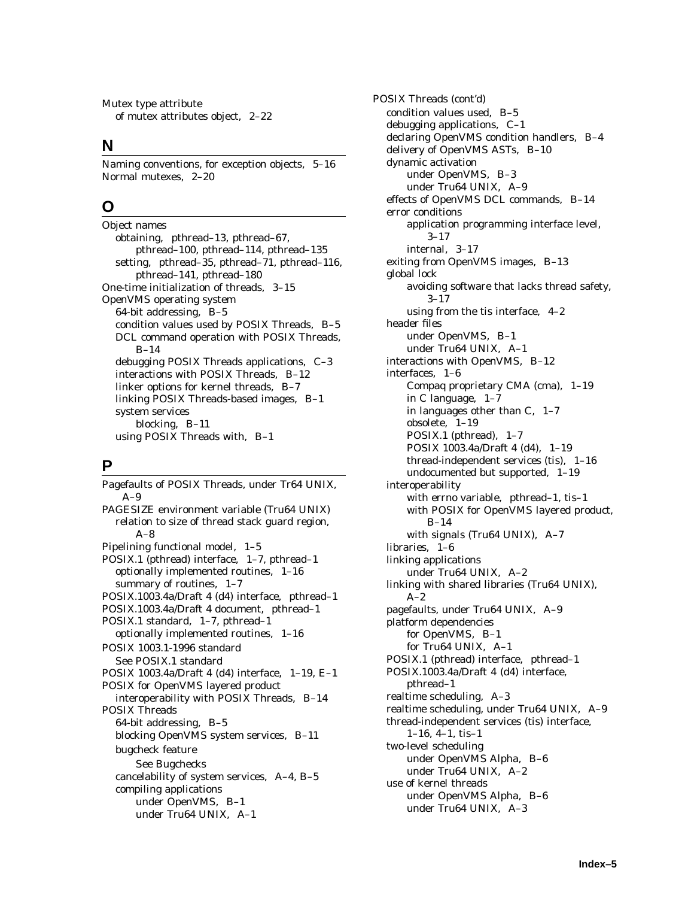Mutex type attribute of mutex attributes object, 2–22

### **N**

Naming conventions, for exception objects, 5–16 Normal mutexes, 2–20

# **O**

Object names obtaining, pthread–13, pthread–67, pthread–100, pthread–114, pthread–135 setting, pthread–35, pthread–71, pthread–116, pthread–141, pthread–180 One-time initialization of threads, 3–15 OpenVMS operating system 64-bit addressing, B–5 condition values used by POSIX Threads, B–5 DCL command operation with POSIX Threads, B–14 debugging POSIX Threads applications, C–3 interactions with POSIX Threads, B–12 linker options for kernel threads, B–7 linking POSIX Threads-based images, B–1 system services blocking, B–11 using POSIX Threads with, B–1

# **P**

Pagefaults of POSIX Threads, under Tr64 UNIX, A–9 PAGESIZE environment variable (Tru64 UNIX) relation to size of thread stack guard region, A–8 Pipelining functional model, 1–5 POSIX.1 (pthread) interface, 1–7, pthread–1 optionally implemented routines, 1–16 summary of routines, 1–7 POSIX.1003.4a/Draft 4 (d4) interface, pthread–1 POSIX.1003.4a/Draft 4 document, pthread–1 POSIX.1 standard, 1–7, pthread–1 optionally implemented routines, 1–16 POSIX 1003.1-1996 standard See POSIX.1 standard POSIX 1003.4a/Draft 4 (d4) interface, 1–19, E–1 POSIX for OpenVMS layered product interoperability with POSIX Threads, B–14 POSIX Threads 64-bit addressing, B–5 blocking OpenVMS system services, B–11 bugcheck feature See Bugchecks cancelability of system services, A–4, B–5 compiling applications under OpenVMS, B–1 under Tru64 UNIX, A–1

POSIX Threads (cont'd) condition values used, B–5 debugging applications, C–1 declaring OpenVMS condition handlers, B–4 delivery of OpenVMS ASTs, B–10 dynamic activation under OpenVMS, B–3 under Tru64 UNIX, A–9 effects of OpenVMS DCL commands, B–14 error conditions application programming interface level, 3–17 internal, 3–17 exiting from OpenVMS images, B–13 global lock avoiding software that lacks thread safety, 3–17 using from the tis interface, 4–2 header files under OpenVMS, B–1 under Tru64 UNIX, A–1 interactions with OpenVMS, B–12 interfaces, 1–6 Compaq proprietary CMA (cma), 1–19 in C language, 1–7 in languages other than C, 1–7 obsolete, 1–19 POSIX.1 (pthread), 1–7 POSIX 1003.4a/Draft 4 (d4), 1–19 thread-independent services (tis), 1–16 undocumented but supported, 1–19 interoperability with errno variable, pthread–1, tis–1 with POSIX for OpenVMS layered product, B–14 with signals (Tru64 UNIX), A–7 libraries, 1–6 linking applications under Tru64 UNIX, A–2 linking with shared libraries (Tru64 UNIX),  $A-2$ pagefaults, under Tru64 UNIX, A–9 platform dependencies for OpenVMS, B–1 for Tru64 UNIX, A–1 POSIX.1 (pthread) interface, pthread–1 POSIX.1003.4a/Draft 4 (d4) interface, pthread–1 realtime scheduling, A–3 realtime scheduling, under Tru64 UNIX, A–9 thread-independent services (tis) interface, 1–16, 4–1, tis–1 two-level scheduling under OpenVMS Alpha, B–6 under Tru64 UNIX, A–2 use of kernel threads under OpenVMS Alpha, B–6 under Tru64 UNIX, A–3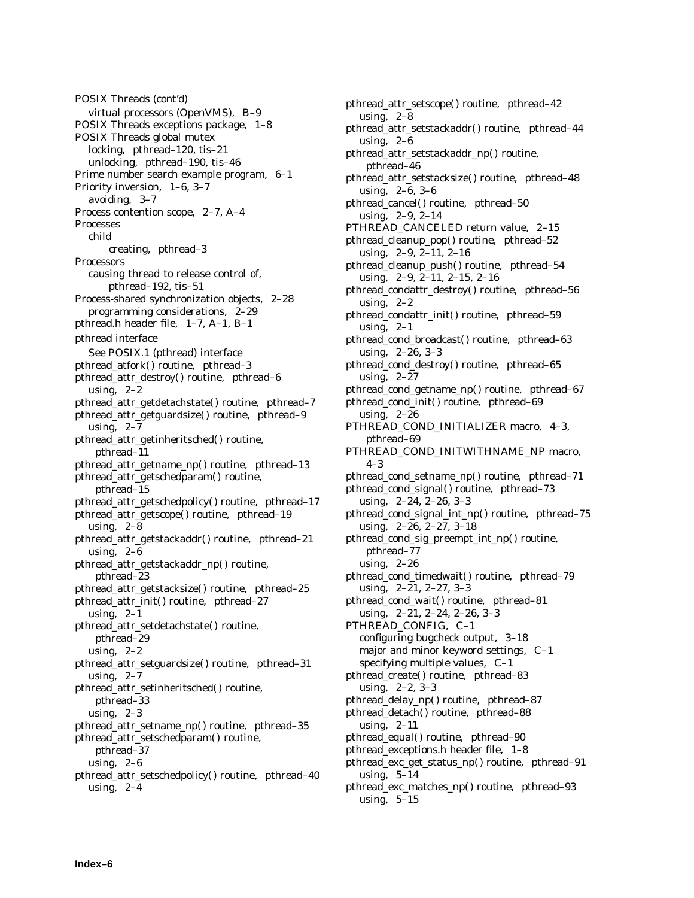POSIX Threads (cont'd) virtual processors (OpenVMS), B–9 POSIX Threads exceptions package, 1–8 POSIX Threads global mutex locking, pthread–120, tis–21 unlocking, pthread–190, tis–46 Prime number search example program, 6–1 Priority inversion, 1–6, 3–7 avoiding, 3–7 Process contention scope, 2–7, A–4 Processes child creating, pthread–3 **Processors** causing thread to release control of, pthread–192, tis–51 Process-shared synchronization objects, 2–28 programming considerations, 2–29 pthread.h header file, 1–7, A–1, B–1 pthread interface See POSIX.1 (pthread) interface pthread\_atfork( ) routine, pthread–3 pthread\_attr\_destroy() routine, pthread-6 using,  $2-2$ pthread\_attr\_getdetachstate( ) routine, pthread–7 pthread\_attr\_getguardsize( ) routine, pthread–9 using,  $2-7$ pthread\_attr\_getinheritsched( ) routine, pthread–11 pthread\_attr\_getname\_np( ) routine, pthread–13 pthread\_attr\_getschedparam( ) routine, pthread–15 pthread\_attr\_getschedpolicy( ) routine, pthread–17 pthread\_attr\_getscope( ) routine, pthread–19 using,  $2-8$ pthread\_attr\_getstackaddr( ) routine, pthread–21 using, 2–6 pthread\_attr\_getstackaddr\_np( ) routine, pthread–23 pthread\_attr\_getstacksize( ) routine, pthread–25 pthread attr init() routine, pthread–27 using,  $2-1$ pthread\_attr\_setdetachstate( ) routine, pthread–29 using,  $2-2$ pthread\_attr\_setguardsize( ) routine, pthread–31 using,  $2-7$ pthread\_attr\_setinheritsched( ) routine, pthread–33 using,  $2-3$ pthread\_attr\_setname\_np( ) routine, pthread–35 pthread\_attr\_setschedparam( ) routine, pthread–37 using,  $2-6$ pthread\_attr\_setschedpolicy() routine, pthread-40 using,  $2-4$ 

pthread\_attr\_setscope() routine, pthread-42 using, 2–8 pthread\_attr\_setstackaddr( ) routine, pthread–44 using,  $2-6$ pthread\_attr\_setstackaddr\_np( ) routine, pthread–46 pthread\_attr\_setstacksize( ) routine, pthread–48 using, 2–6, 3–6 pthread\_cancel() routine, pthread-50 using, 2–9, 2–14 PTHREAD\_CANCELED return value, 2–15 pthread\_cleanup\_pop( ) routine, pthread–52 using, 2–9, 2–11, 2–16 pthread\_cleanup\_push( ) routine, pthread–54 using, 2–9, 2–11, 2–15, 2–16 pthread condattr destroy() routine, pthread–56 using,  $2-2$ pthread\_condattr\_init( ) routine, pthread–59 using,  $2-1$ pthread\_cond\_broadcast() routine, pthread-63 using, 2–26, 3–3 pthread\_cond\_destroy( ) routine, pthread–65 using, 2–27 pthread\_cond\_getname\_np( ) routine, pthread–67 pthread\_cond\_init( ) routine, pthread–69 using, 2–26 PTHREAD\_COND\_INITIALIZER macro, 4–3, pthread–69 PTHREAD\_COND\_INITWITHNAME\_NP macro, 4–3 pthread\_cond\_setname\_np( ) routine, pthread–71 pthread\_cond\_signal( ) routine, pthread–73 using, 2–24, 2–26, 3–3 pthread\_cond\_signal\_int\_np( ) routine, pthread–75 using, 2–26, 2–27, 3–18 pthread\_cond\_sig\_preempt\_int\_np( ) routine, pthread–77 using, 2–26 pthread\_cond\_timedwait( ) routine, pthread–79 using, 2–21, 2–27, 3–3 pthread\_cond\_wait( ) routine, pthread–81 using, 2–21, 2–24, 2–26, 3–3 PTHREAD\_CONFIG, C–1 configuring bugcheck output, 3–18 major and minor keyword settings, C–1 specifying multiple values, C–1 pthread\_create( ) routine, pthread–83 using, 2–2, 3–3 pthread\_delay\_np( ) routine, pthread–87 pthread\_detach() routine, pthread-88 using, 2–11 pthread\_equal( ) routine, pthread–90 pthread\_exceptions.h header file, 1–8 pthread\_exc\_get\_status\_np( ) routine, pthread–91 using, 5–14 pthread\_exc\_matches\_np( ) routine, pthread–93 using,  $5-15$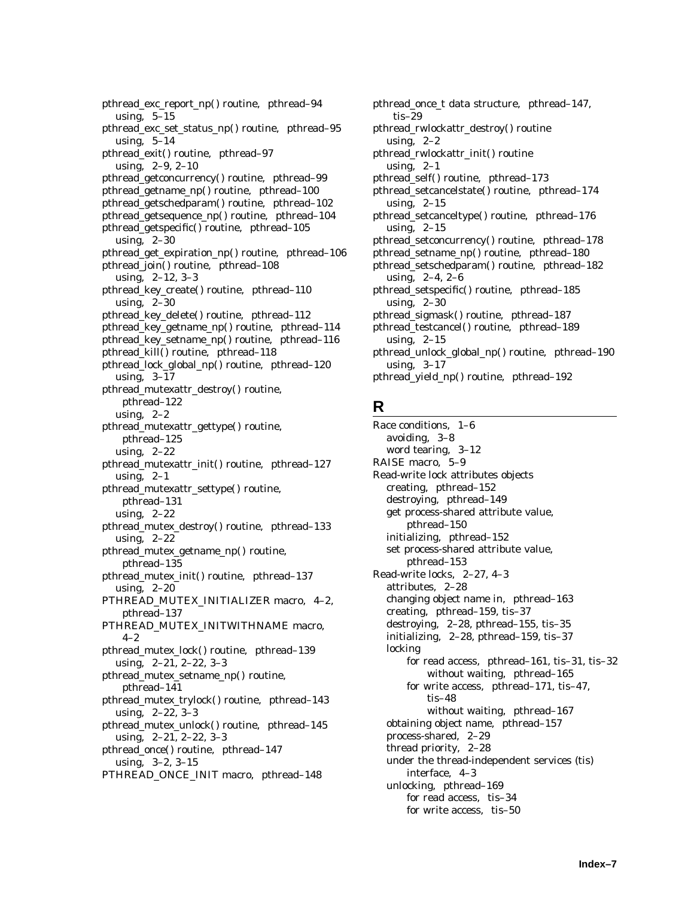pthread\_exc\_report\_np( ) routine, pthread–94 using, 5–15 pthread exc\_set\_status\_np() routine, pthread–95 using,  $5-14$ pthread\_exit() routine, pthread-97 using, 2–9, 2–10 pthread\_getconcurrency() routine, pthread–99 pthread\_getname\_np( ) routine, pthread–100 pthread\_getschedparam( ) routine, pthread–102 pthread\_getsequence\_np( ) routine, pthread–104 pthread\_getspecific( ) routine, pthread–105 using, 2–30 pthread\_get\_expiration\_np( ) routine, pthread–106 pthread\_join() routine, pthread–108 using, 2–12, 3–3 pthread key create() routine, pthread–110 using, 2–30 pthread\_key\_delete( ) routine, pthread–112 pthread\_key\_getname\_np( ) routine, pthread–114 pthread\_key\_setname\_np() routine, pthread-116 pthread\_kill() routine, pthread-118 pthread\_lock\_global\_np( ) routine, pthread–120 using, 3–17 pthread\_mutexattr\_destroy( ) routine, pthread–122 using, 2–2 pthread\_mutexattr\_gettype( ) routine, pthread–125 using, 2–22 pthread\_mutexattr\_init( ) routine, pthread–127 using,  $2-1$ pthread\_mutexattr\_settype() routine, pthread–131 using, 2–22 pthread\_mutex\_destroy( ) routine, pthread–133 using, 2–22 pthread\_mutex\_getname\_np( ) routine, pthread–135 pthread\_mutex\_init( ) routine, pthread–137 using, 2–20 PTHREAD\_MUTEX\_INITIALIZER macro, 4–2, pthread–137 PTHREAD\_MUTEX\_INITWITHNAME macro,  $4 - 2$ pthread\_mutex\_lock( ) routine, pthread–139 using, 2–21, 2–22, 3–3 pthread\_mutex\_setname\_np( ) routine, pthread–141 pthread\_mutex\_trylock() routine, pthread-143 using, 2–22, 3–3 pthread\_mutex\_unlock() routine, pthread-145 using, 2–21, 2–22, 3–3 pthread\_once( ) routine, pthread–147 using, 3–2, 3–15 PTHREAD\_ONCE\_INIT macro, pthread–148

pthread\_once\_t data structure, pthread–147, tis–29 pthread\_rwlockattr\_destroy( ) routine using,  $2-2$ pthread\_rwlockattr\_init( ) routine using, 2–1 pthread\_self() routine, pthread–173 pthread\_setcancelstate( ) routine, pthread–174 using,  $2-15$ pthread\_setcanceltype( ) routine, pthread–176 using, 2–15 pthread\_setconcurrency() routine, pthread-178 pthread\_setname\_np( ) routine, pthread–180 pthread\_setschedparam() routine, pthread-182 using, 2–4, 2–6 pthread\_setspecific( ) routine, pthread–185 using, 2–30 pthread\_sigmask() routine, pthread-187 pthread\_testcancel() routine, pthread-189 using,  $2-15$ pthread\_unlock\_global\_np( ) routine, pthread–190 using, 3–17 pthread\_yield\_np( ) routine, pthread–192

# **R**

Race conditions, 1–6 avoiding, 3–8 word tearing, 3–12 RAISE macro, 5–9 Read-write lock attributes objects creating, pthread–152 destroying, pthread–149 get process-shared attribute value, pthread–150 initializing, pthread–152 set process-shared attribute value, pthread–153 Read-write locks, 2–27, 4–3 attributes, 2–28 changing object name in, pthread–163 creating, pthread–159, tis–37 destroying, 2–28, pthread–155, tis–35 initializing, 2–28, pthread–159, tis–37 locking for read access, pthread–161, tis–31, tis–32 without waiting, pthread–165 for write access, pthread–171, tis–47, tis–48 without waiting, pthread–167 obtaining object name, pthread–157 process-shared, 2–29 thread priority, 2–28 under the thread-independent services (tis) interface, 4–3 unlocking, pthread–169 for read access, tis–34 for write access, tis–50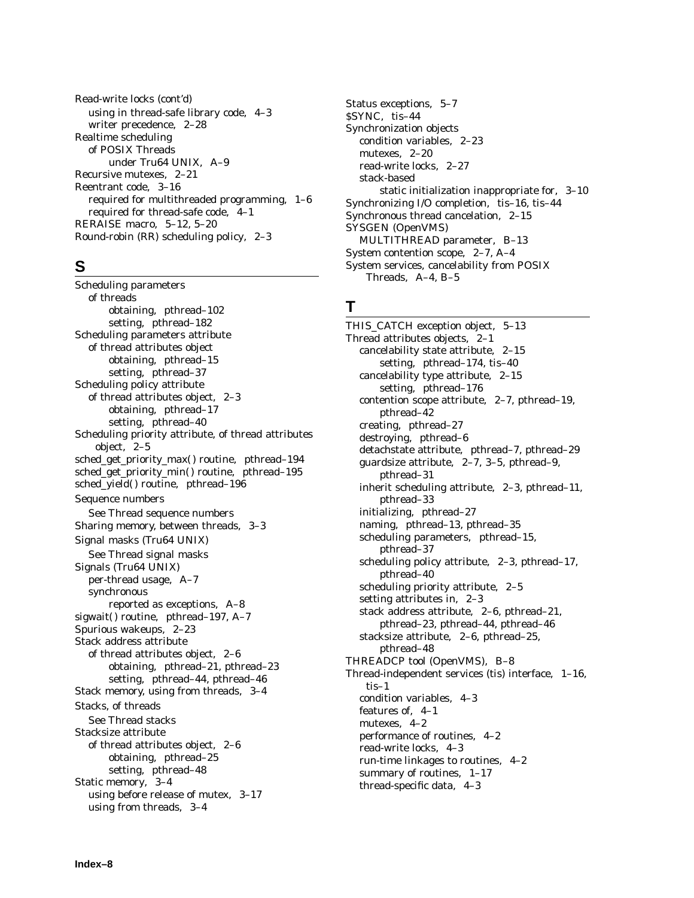Read-write locks (cont'd) using in thread-safe library code, 4–3 writer precedence, 2–28 Realtime scheduling of POSIX Threads under Tru64 UNIX, A–9 Recursive mutexes, 2–21 Reentrant code, 3–16 required for multithreaded programming, 1–6 required for thread-safe code, 4–1 RERAISE macro, 5–12, 5–20 Round-robin (RR) scheduling policy, 2–3

### **S**

Scheduling parameters of threads obtaining, pthread–102 setting, pthread–182 Scheduling parameters attribute of thread attributes object obtaining, pthread–15 setting, pthread–37 Scheduling policy attribute of thread attributes object, 2–3 obtaining, pthread–17 setting, pthread–40 Scheduling priority attribute, of thread attributes object, 2–5 sched\_get\_priority\_max( ) routine, pthread–194 sched\_get\_priority\_min() routine, pthread-195 sched\_yield() routine, pthread-196 Sequence numbers See Thread sequence numbers Sharing memory, between threads, 3–3 Signal masks (Tru64 UNIX) See Thread signal masks Signals (Tru64 UNIX) per-thread usage, A–7 synchronous reported as exceptions, A–8 sigwait() routine, pthread-197, A-7 Spurious wakeups, 2–23 Stack address attribute of thread attributes object, 2–6 obtaining, pthread–21, pthread–23 setting, pthread–44, pthread–46 Stack memory, using from threads, 3–4 Stacks, of threads See Thread stacks Stacksize attribute of thread attributes object, 2–6 obtaining, pthread–25 setting, pthread–48 Static memory, 3–4 using before release of mutex, 3–17 using from threads, 3–4

Status exceptions, 5–7 \$SYNC, tis–44 Synchronization objects condition variables, 2–23 mutexes, 2–20 read-write locks, 2–27 stack-based static initialization inappropriate for, 3–10 Synchronizing I/O completion, tis–16, tis–44 Synchronous thread cancelation, 2–15 SYSGEN (OpenVMS) MULTITHREAD parameter, B–13 System contention scope, 2–7, A–4 System services, cancelability from POSIX Threads, A–4, B–5

### **T**

THIS CATCH exception object, 5–13 Thread attributes objects, 2–1 cancelability state attribute, 2–15 setting, pthread–174, tis–40 cancelability type attribute, 2–15 setting, pthread–176 contention scope attribute, 2–7, pthread–19, pthread–42 creating, pthread–27 destroying, pthread–6 detachstate attribute, pthread–7, pthread–29 guardsize attribute, 2–7, 3–5, pthread–9, pthread–31 inherit scheduling attribute, 2–3, pthread–11, pthread–33 initializing, pthread–27 naming, pthread–13, pthread–35 scheduling parameters, pthread–15, pthread–37 scheduling policy attribute, 2–3, pthread–17, pthread–40 scheduling priority attribute, 2–5 setting attributes in, 2–3 stack address attribute, 2–6, pthread–21, pthread–23, pthread–44, pthread–46 stacksize attribute, 2–6, pthread–25, pthread–48 THREADCP tool (OpenVMS), B–8 Thread-independent services (tis) interface, 1–16, tis–1 condition variables, 4–3 features of, 4–1 mutexes, 4–2 performance of routines, 4–2 read-write locks, 4–3 run-time linkages to routines, 4–2 summary of routines, 1–17 thread-specific data, 4–3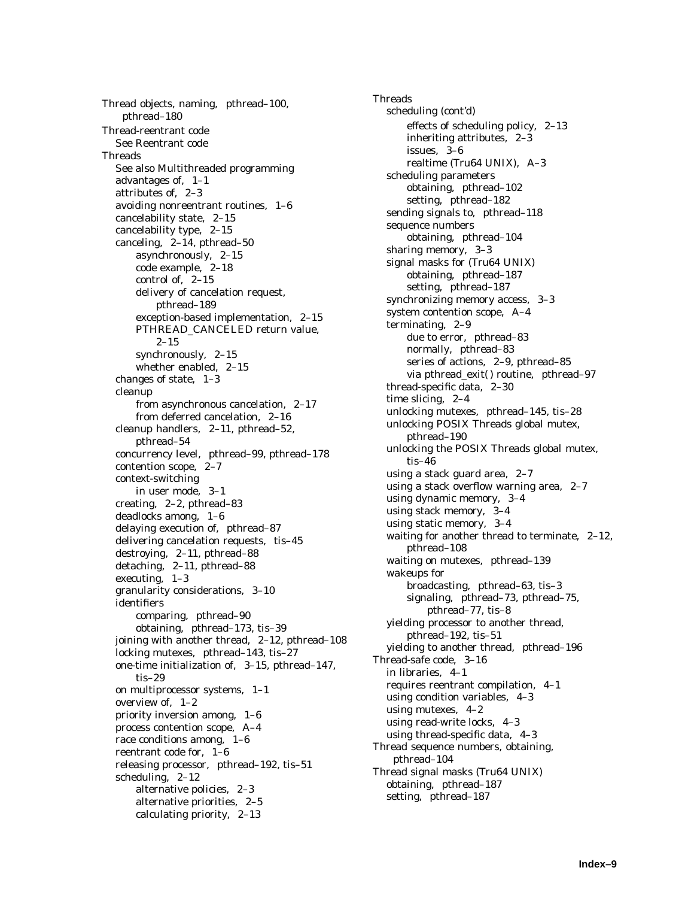Thread objects, naming, pthread–100, pthread–180 Thread-reentrant code See Reentrant code Threads See also Multithreaded programming advantages of, 1–1 attributes of, 2–3 avoiding nonreentrant routines, 1–6 cancelability state, 2–15 cancelability type, 2–15 canceling, 2–14, pthread–50 asynchronously, 2–15 code example, 2–18 control of, 2–15 delivery of cancelation request, pthread–189 exception-based implementation, 2–15 PTHREAD\_CANCELED return value, 2–15 synchronously, 2–15 whether enabled, 2–15 changes of state, 1–3 cleanup from asynchronous cancelation, 2–17 from deferred cancelation, 2–16 cleanup handlers, 2–11, pthread–52, pthread–54 concurrency level, pthread–99, pthread–178 contention scope, 2–7 context-switching in user mode, 3–1 creating, 2–2, pthread–83 deadlocks among, 1–6 delaying execution of, pthread–87 delivering cancelation requests, tis–45 destroying, 2–11, pthread–88 detaching, 2–11, pthread–88 executing, 1–3 granularity considerations, 3–10 identifiers comparing, pthread–90 obtaining, pthread–173, tis–39 joining with another thread, 2–12, pthread–108 locking mutexes, pthread–143, tis–27 one-time initialization of, 3–15, pthread–147, tis–29 on multiprocessor systems, 1–1 overview of, 1–2 priority inversion among, 1–6 process contention scope, A–4 race conditions among, 1–6 reentrant code for, 1–6 releasing processor, pthread–192, tis–51 scheduling, 2–12 alternative policies, 2–3 alternative priorities, 2–5 calculating priority, 2–13

**Threads** scheduling (cont'd) effects of scheduling policy, 2–13 inheriting attributes, 2–3 issues, 3–6 realtime (Tru64 UNIX), A–3 scheduling parameters obtaining, pthread–102 setting, pthread–182 sending signals to, pthread–118 sequence numbers obtaining, pthread–104 sharing memory, 3–3 signal masks for (Tru64 UNIX) obtaining, pthread–187 setting, pthread–187 synchronizing memory access, 3–3 system contention scope, A–4 terminating, 2–9 due to error, pthread–83 normally, pthread–83 series of actions, 2–9, pthread–85 via pthread\_exit() routine, pthread-97 thread-specific data, 2–30 time slicing, 2–4 unlocking mutexes, pthread–145, tis–28 unlocking POSIX Threads global mutex, pthread–190 unlocking the POSIX Threads global mutex, tis–46 using a stack guard area, 2–7 using a stack overflow warning area, 2–7 using dynamic memory, 3–4 using stack memory, 3–4 using static memory, 3–4 waiting for another thread to terminate, 2–12, pthread–108 waiting on mutexes, pthread–139 wakeups for broadcasting, pthread–63, tis–3 signaling, pthread–73, pthread–75, pthread–77, tis–8 yielding processor to another thread, pthread–192, tis–51 yielding to another thread, pthread–196 Thread-safe code, 3–16 in libraries, 4–1 requires reentrant compilation, 4–1 using condition variables, 4–3 using mutexes, 4–2 using read-write locks, 4–3 using thread-specific data, 4–3 Thread sequence numbers, obtaining, pthread–104 Thread signal masks (Tru64 UNIX) obtaining, pthread–187 setting, pthread–187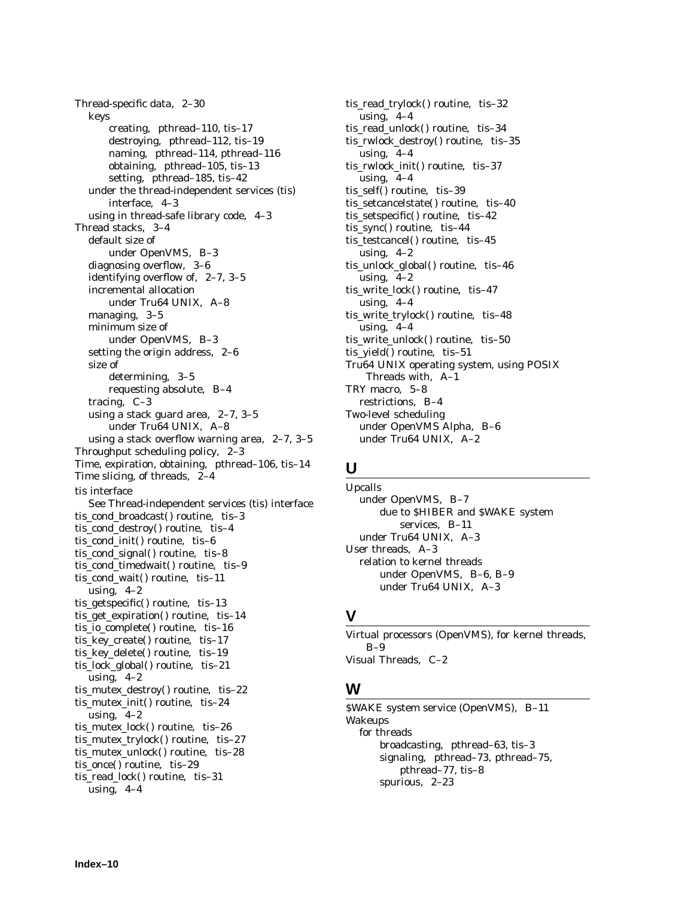Thread-specific data, 2–30 keys creating, pthread–110, tis–17 destroying, pthread–112, tis–19 naming, pthread–114, pthread–116 obtaining, pthread–105, tis–13 setting, pthread–185, tis–42 under the thread-independent services (tis) interface, 4–3 using in thread-safe library code, 4–3 Thread stacks, 3–4 default size of under OpenVMS, B–3 diagnosing overflow, 3–6 identifying overflow of, 2–7, 3–5 incremental allocation under Tru64 UNIX, A–8 managing, 3–5 minimum size of under OpenVMS, B–3 setting the origin address, 2–6 size of determining, 3–5 requesting absolute, B–4 tracing, C–3 using a stack guard area, 2–7, 3–5 under Tru64 UNIX, A–8 using a stack overflow warning area, 2–7, 3–5 Throughput scheduling policy, 2–3 Time, expiration, obtaining, pthread–106, tis–14 Time slicing, of threads, 2–4 tis interface See Thread-independent services (tis) interface tis\_cond\_broadcast() routine, tis-3 tis\_cond\_destroy( ) routine, tis–4 tis\_cond\_init() routine, tis-6 tis\_cond\_signal( ) routine, tis–8 tis\_cond\_timedwait( ) routine, tis–9 tis\_cond\_wait() routine, tis-11 using, 4–2 tis\_getspecific( ) routine, tis–13 tis\_get\_expiration() routine, tis-14 tis\_io\_complete( ) routine, tis–16 tis\_key\_create( ) routine, tis–17 tis\_key\_delete( ) routine, tis–19 tis\_lock\_global( ) routine, tis–21 using,  $4-2$ tis\_mutex\_destroy() routine, tis-22 tis\_mutex\_init( ) routine, tis–24 using,  $4-2$ tis\_mutex\_lock() routine,\_tis-26 tis\_mutex\_trylock( ) routine, tis–27 tis\_mutex\_unlock( ) routine, tis–28 tis\_once() routine, tis-29 tis\_read\_lock( ) routine, tis–31 using, 4–4

tis\_read\_trylock( ) routine, tis–32 using,  $4-4$ tis read unlock() routine, tis–34 tis\_rwlock\_destroy( ) routine, tis–35 using, 4–4 tis\_rwlock\_init( ) routine, tis–37 using, 4–4 tis\_self( ) routine, tis–39 tis\_setcancelstate( ) routine, tis–40 tis\_setspecific( ) routine, tis–42 tis\_sync( ) routine, tis–44 tis\_testcancel() routine, tis-45 using,  $4-2$ tis\_unlock\_global() routine, tis-46 using,  $4-2$ tis write  $lock()$  routine, tis–47 using, 4–4 tis\_write\_trylock( ) routine, tis–48 using, 4–4 tis\_write\_unlock( ) routine, tis–50 tis\_yield() routine, tis-51 Tru64 UNIX operating system, using POSIX Threads with, A–1 TRY macro, 5–8 restrictions, B–4 Two-level scheduling under OpenVMS Alpha, B–6 under Tru64 UNIX, A–2

### **U**

Upcalls under OpenVMS, B–7 due to \$HIBER and \$WAKE system services, B–11 under Tru64 UNIX, A–3 User threads, A–3 relation to kernel threads under OpenVMS, B–6, B–9 under Tru64 UNIX, A–3

### **V**

Virtual processors (OpenVMS), for kernel threads, B–9 Visual Threads, C–2

### **W**

\$WAKE system service (OpenVMS), B–11 Wakeups for threads broadcasting, pthread–63, tis–3 signaling, pthread–73, pthread–75, pthread–77, tis–8 spurious, 2–23